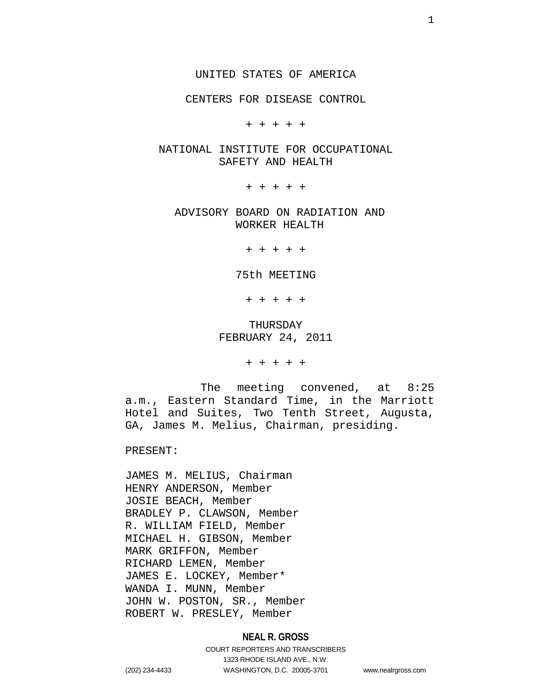CENTERS FOR DISEASE CONTROL

+ + + + +

## NATIONAL INSTITUTE FOR OCCUPATIONAL SAFETY AND HEALTH

+ + + + +

ADVISORY BOARD ON RADIATION AND WORKER HEALTH

+ + + + +

#### 75th MEETING

+ + + + +

## THURSDAY FEBRUARY 24, 2011

+ + + + +

 The meeting convened, at 8:25 a.m., Eastern Standard Time, in the Marriott Hotel and Suites, Two Tenth Street, Augusta, GA, James M. Melius, Chairman, presiding.

PRESENT:

JAMES M. MELIUS, Chairman HENRY ANDERSON, Member JOSIE BEACH, Member BRADLEY P. CLAWSON, Member R. WILLIAM FIELD, Member MICHAEL H. GIBSON, Member MARK GRIFFON, Member RICHARD LEMEN, Member JAMES E. LOCKEY, Member\* WANDA I. MUNN, Member JOHN W. POSTON, SR., Member ROBERT W. PRESLEY, Member

## **NEAL R. GROSS**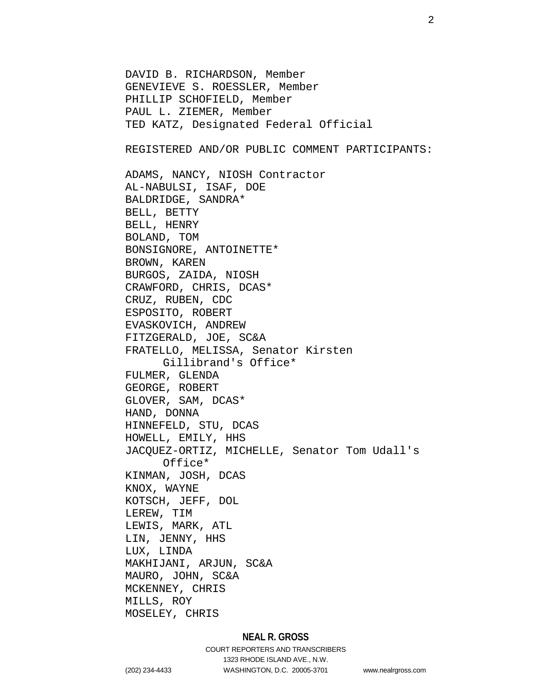DAVID B. RICHARDSON, Member GENEVIEVE S. ROESSLER, Member PHILLIP SCHOFIELD, Member PAUL L. ZIEMER, Member TED KATZ, Designated Federal Official REGISTERED AND/OR PUBLIC COMMENT PARTICIPANTS: ADAMS, NANCY, NIOSH Contractor AL-NABULSI, ISAF, DOE BALDRIDGE, SANDRA\* BELL, BETTY BELL, HENRY BOLAND, TOM BONSIGNORE, ANTOINETTE\* BROWN, KAREN BURGOS, ZAIDA, NIOSH CRAWFORD, CHRIS, DCAS\* CRUZ, RUBEN, CDC ESPOSITO, ROBERT EVASKOVICH, ANDREW FITZGERALD, JOE, SC&A FRATELLO, MELISSA, Senator Kirsten Gillibrand's Office\* FULMER, GLENDA GEORGE, ROBERT GLOVER, SAM, DCAS\* HAND, DONNA HINNEFELD, STU, DCAS HOWELL, EMILY, HHS JACQUEZ-ORTIZ, MICHELLE, Senator Tom Udall's Office\* KINMAN, JOSH, DCAS KNOX, WAYNE KOTSCH, JEFF, DOL LEREW, TIM LEWIS, MARK, ATL LIN, JENNY, HHS LUX, LINDA MAKHIJANI, ARJUN, SC&A MAURO, JOHN, SC&A MCKENNEY, CHRIS MILLS, ROY MOSELEY, CHRIS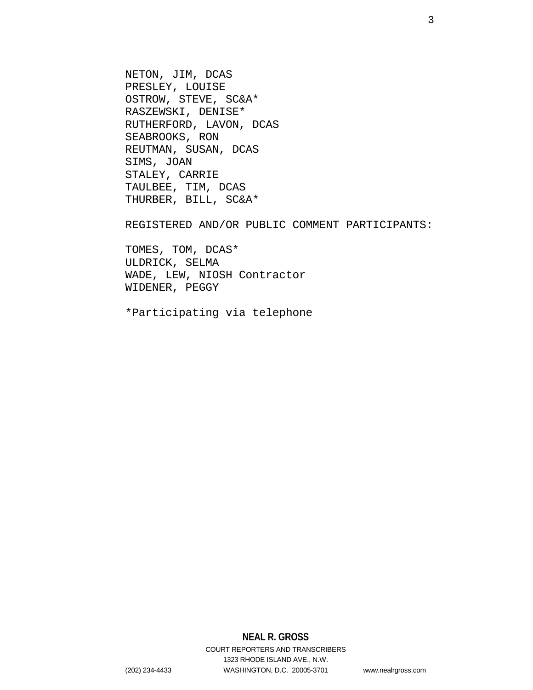NETON, JIM, DCAS PRESLEY, LOUISE OSTROW, STEVE, SC&A\* RASZEWSKI, DENISE\* RUTHERFORD, LAVON, DCAS SEABROOKS, RON REUTMAN, SUSAN, DCAS SIMS, JOAN STALEY, CARRIE TAULBEE, TIM, DCAS THURBER, BILL, SC&A\*

REGISTERED AND/OR PUBLIC COMMENT PARTICIPANTS:

TOMES, TOM, DCAS\* ULDRICK, SELMA WADE, LEW, NIOSH Contractor WIDENER, PEGGY

\*Participating via telephone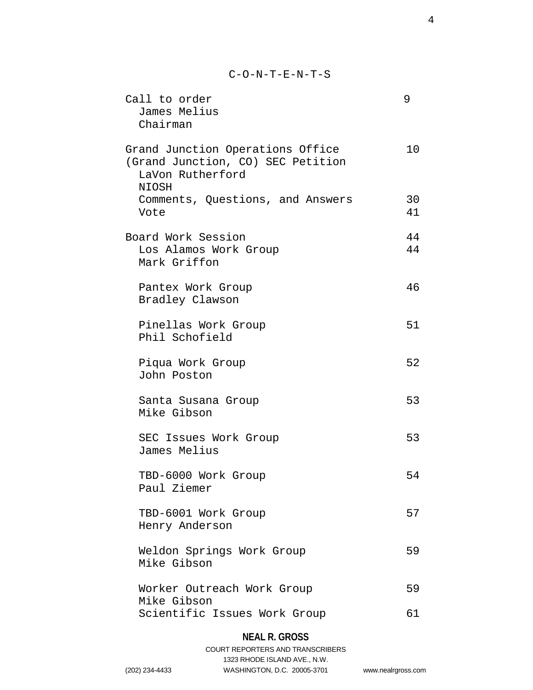C-O-N-T-E-N-T-S

| Call to order<br>James Melius<br>Chairman                                                                 | 9        |
|-----------------------------------------------------------------------------------------------------------|----------|
| Grand Junction Operations Office<br>(Grand Junction, CO) SEC Petition<br>LaVon Rutherford<br><b>NIOSH</b> | 10       |
| Comments, Questions, and Answers<br>Vote                                                                  | 30<br>41 |
| Board Work Session<br>Los Alamos Work Group<br>Mark Griffon                                               | 44<br>44 |
| Pantex Work Group<br>Bradley Clawson                                                                      | 46       |
| Pinellas Work Group<br>Phil Schofield                                                                     | 51       |
| Piqua Work Group<br>John Poston                                                                           | 52       |
| Santa Susana Group<br>Mike Gibson                                                                         | 53       |
| SEC Issues Work Group<br>James Melius                                                                     | 53       |
| TBD-6000 Work Group<br>Paul Ziemer                                                                        | 54       |
| TBD-6001 Work Group<br>Henry Anderson                                                                     | 57       |
| Weldon Springs Work Group<br>Mike Gibson                                                                  | 59       |
| Worker Outreach Work Group<br>Mike Gibson                                                                 | 59       |
| Scientific Issues Work Group                                                                              | 61       |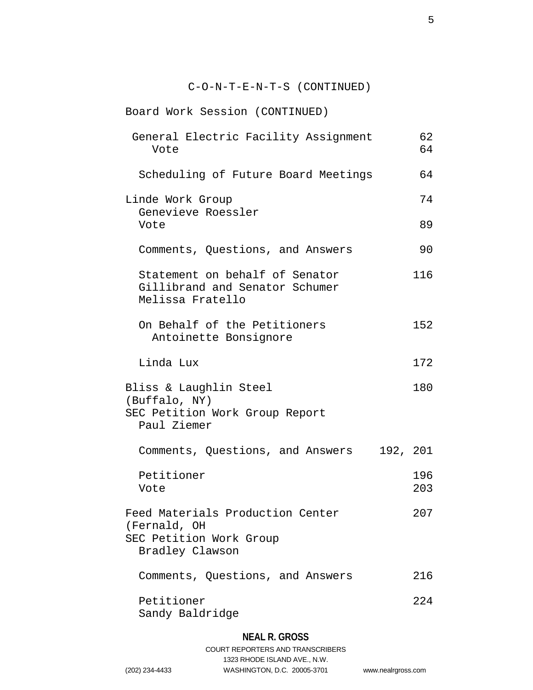| $C-O-N-T-E-N-T-S$ (CONTINUED)                                                                  |            |
|------------------------------------------------------------------------------------------------|------------|
| Board Work Session (CONTINUED)                                                                 |            |
| General Electric Facility Assignment<br>Vote                                                   | 62<br>64   |
| Scheduling of Future Board Meetings                                                            | 64         |
| Linde Work Group<br>Genevieve Roessler<br>Vote                                                 | 74<br>89   |
| Comments, Questions, and Answers                                                               | 90         |
| Statement on behalf of Senator<br>Gillibrand and Senator Schumer<br>Melissa Fratello           | 116        |
| On Behalf of the Petitioners<br>Antoinette Bonsignore                                          | 152        |
| Linda Lux                                                                                      | 172        |
| Bliss & Laughlin Steel<br>(Buffalo, NY)<br>SEC Petition Work Group Report<br>Paul Ziemer       | 180        |
| Comments, Questions, and Answers 192, 201                                                      |            |
| Petitioner<br>Vote                                                                             | 196<br>203 |
| Feed Materials Production Center<br>(Fernald, OH<br>SEC Petition Work Group<br>Bradley Clawson | 207        |
| Comments, Questions, and Answers                                                               | 216        |
| Petitioner<br>Sandy Baldridge                                                                  | 224        |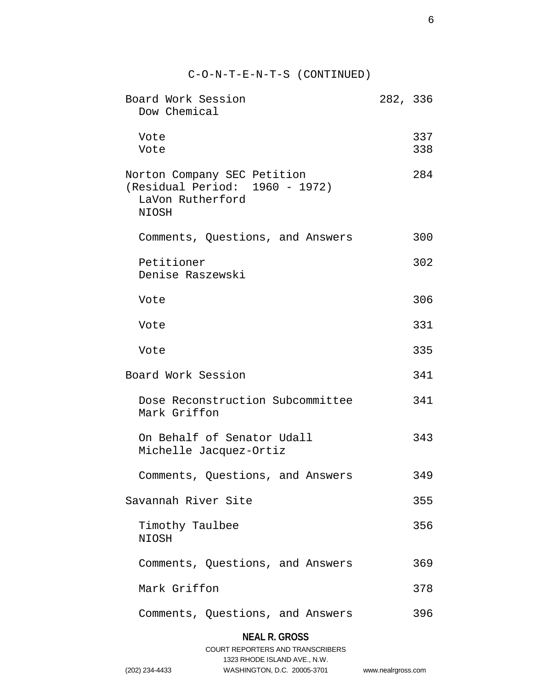| $C-O-N-T-E-N-T-S$ (CONTINUED)                                                                     |          |            |
|---------------------------------------------------------------------------------------------------|----------|------------|
| Board Work Session<br>Dow Chemical                                                                | 282, 336 |            |
| Vote<br>Vote                                                                                      |          | 337<br>338 |
| Norton Company SEC Petition<br>(Residual Period: 1960 - 1972)<br>LaVon Rutherford<br><b>NIOSH</b> |          | 284        |
| Comments, Questions, and Answers                                                                  |          | 300        |
| Petitioner<br>Denise Raszewski                                                                    |          | 302        |
| Vote                                                                                              |          | 306        |
| Vote                                                                                              |          | 331        |
| Vote                                                                                              |          | 335        |
| Board Work Session                                                                                |          | 341        |
| Dose Reconstruction Subcommittee<br>Mark Griffon                                                  |          | 341        |
| On Behalf of Senator Udall<br>Michelle Jacquez-Ortiz                                              |          | 343        |
| Comments, Questions, and Answers                                                                  |          | 349        |
| Savannah River Site                                                                               |          | 355        |
| Timothy Taulbee<br>NIOSH                                                                          |          | 356        |
| Comments, Questions, and Answers                                                                  |          | 369        |
| Mark Griffon                                                                                      |          | 378        |
| Comments, Questions, and Answers                                                                  |          | 396        |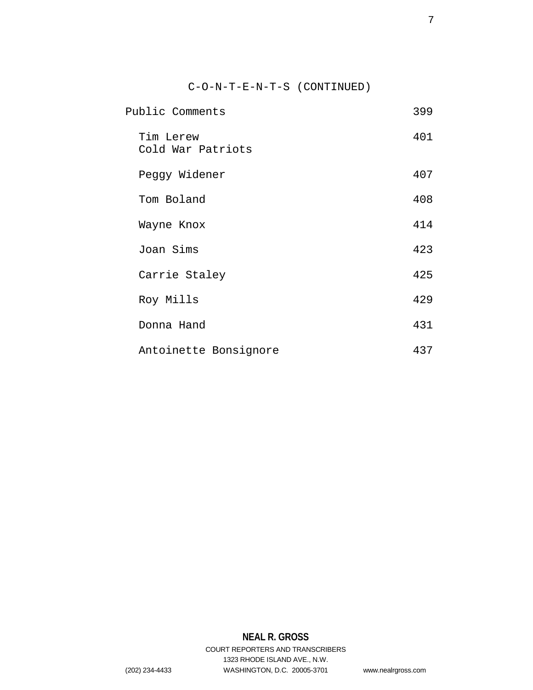C-O-N-T-E-N-T-S (CONTINUED)

| Public Comments                | 399 |
|--------------------------------|-----|
| Tim Lerew<br>Cold War Patriots | 401 |
| Peggy Widener                  | 407 |
| Tom Boland                     | 408 |
| Wayne Knox                     | 414 |
| Joan Sims                      | 423 |
| Carrie Staley                  | 425 |
| Roy Mills                      | 429 |
| Donna Hand                     | 431 |
| Antoinette Bonsignore          | 437 |

# **NEAL R. GROSS**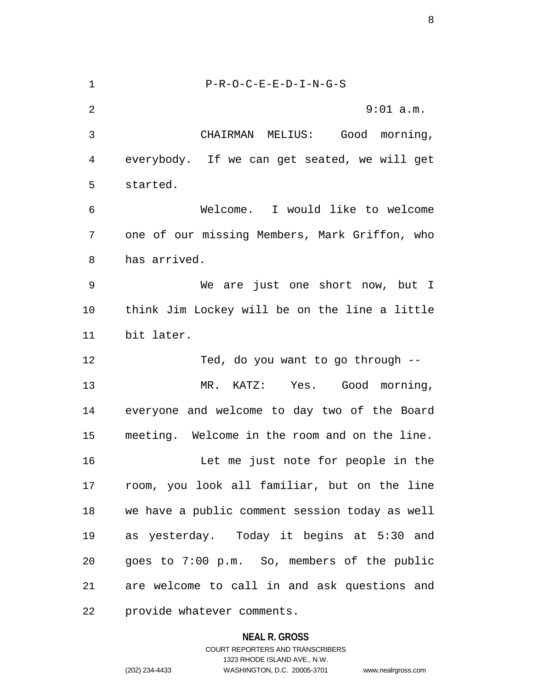1 P-R-O-C-E-E-D-I-N-G-S 2 9:01 a.m. 3 CHAIRMAN MELIUS: Good morning, 4 everybody. If we can get seated, we will get 5 started. 6 Welcome. I would like to welcome 7 one of our missing Members, Mark Griffon, who 8 has arrived. 9 We are just one short now, but I 10 think Jim Lockey will be on the line a little 11 bit later. 12 Ted, do you want to go through -- 13 MR. KATZ: Yes. Good morning, 14 everyone and welcome to day two of the Board 15 meeting. Welcome in the room and on the line. 16 Let me just note for people in the 17 room, you look all familiar, but on the line 18 we have a public comment session today as well 19 as yesterday. Today it begins at 5:30 and 20 goes to 7:00 p.m. So, members of the public 21 are welcome to call in and ask questions and 22 provide whatever comments.

**NEAL R. GROSS**

COURT REPORTERS AND TRANSCRIBERS 1323 RHODE ISLAND AVE., N.W. (202) 234-4433 WASHINGTON, D.C. 20005-3701 www.nealrgross.com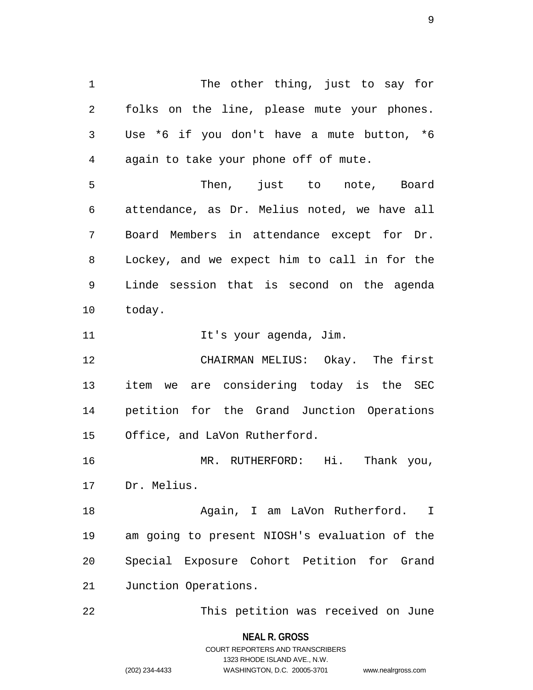1 The other thing, just to say for 2 folks on the line, please mute your phones. 3 Use \*6 if you don't have a mute button, \*6 4 again to take your phone off of mute. 5 Then, just to note, Board 6 attendance, as Dr. Melius noted, we have all 7 Board Members in attendance except for Dr. 8 Lockey, and we expect him to call in for the 9 Linde session that is second on the agenda 10 today. 11 11 It's your agenda, Jim. 12 CHAIRMAN MELIUS: Okay. The first 13 item we are considering today is the SEC 14 petition for the Grand Junction Operations 15 Office, and LaVon Rutherford. 16 MR. RUTHERFORD: Hi. Thank you, 17 Dr. Melius. 18 Again, I am LaVon Rutherford. I 19 am going to present NIOSH's evaluation of the 20 Special Exposure Cohort Petition for Grand

21 Junction Operations.

22 This petition was received on June

**NEAL R. GROSS** COURT REPORTERS AND TRANSCRIBERS

1323 RHODE ISLAND AVE., N.W.

(202) 234-4433 WASHINGTON, D.C. 20005-3701 www.nealrgross.com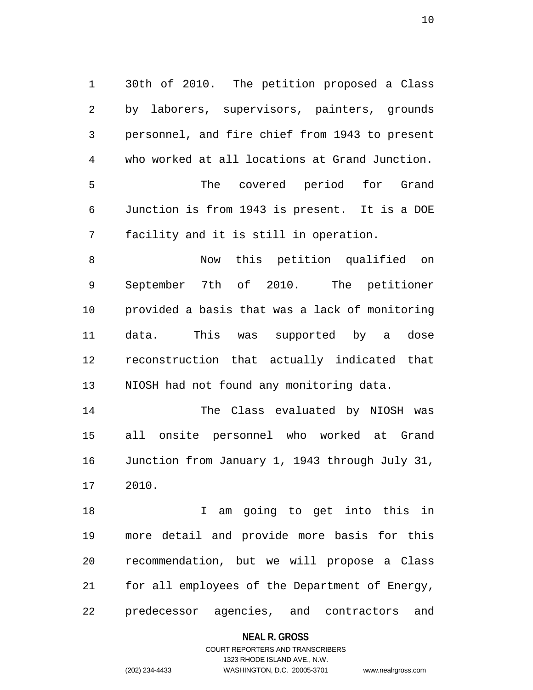1 30th of 2010. The petition proposed a Class 2 by laborers, supervisors, painters, grounds 3 personnel, and fire chief from 1943 to present 4 who worked at all locations at Grand Junction. 5 The covered period for Grand 6 Junction is from 1943 is present. It is a DOE 7 facility and it is still in operation.

8 Now this petition qualified on 9 September 7th of 2010. The petitioner 10 provided a basis that was a lack of monitoring 11 data. This was supported by a dose 12 reconstruction that actually indicated that 13 NIOSH had not found any monitoring data.

14 The Class evaluated by NIOSH was 15 all onsite personnel who worked at Grand 16 Junction from January 1, 1943 through July 31, 17 2010.

18 18 I am going to get into this in 19 more detail and provide more basis for this 20 recommendation, but we will propose a Class 21 for all employees of the Department of Energy, 22 predecessor agencies, and contractors and

#### **NEAL R. GROSS**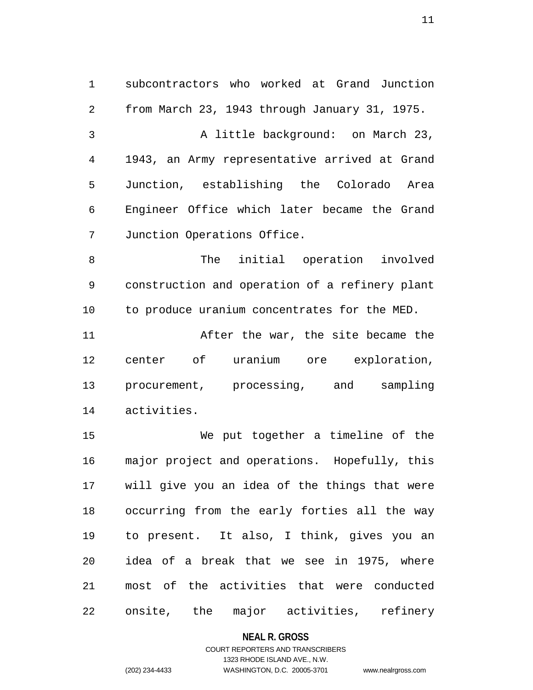1 subcontractors who worked at Grand Junction 2 from March 23, 1943 through January 31, 1975. 3 A little background: on March 23, 4 1943, an Army representative arrived at Grand 5 Junction, establishing the Colorado Area 6 Engineer Office which later became the Grand 7 Junction Operations Office.

8 The initial operation involved 9 construction and operation of a refinery plant 10 to produce uranium concentrates for the MED.

11 After the war, the site became the 12 center of uranium ore exploration, 13 procurement, processing, and sampling 14 activities.

15 We put together a timeline of the 16 major project and operations. Hopefully, this 17 will give you an idea of the things that were 18 occurring from the early forties all the way 19 to present. It also, I think, gives you an 20 idea of a break that we see in 1975, where 21 most of the activities that were conducted 22 onsite, the major activities, refinery

#### **NEAL R. GROSS**

## COURT REPORTERS AND TRANSCRIBERS 1323 RHODE ISLAND AVE., N.W. (202) 234-4433 WASHINGTON, D.C. 20005-3701 www.nealrgross.com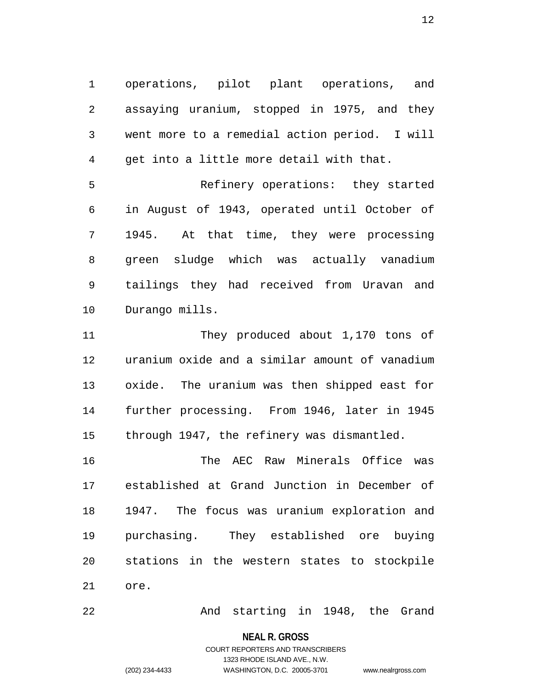1 operations, pilot plant operations, and 2 assaying uranium, stopped in 1975, and they 3 went more to a remedial action period. I will 4 get into a little more detail with that.

5 Refinery operations: they started 6 in August of 1943, operated until October of 7 1945. At that time, they were processing 8 green sludge which was actually vanadium 9 tailings they had received from Uravan and 10 Durango mills.

11 They produced about 1,170 tons of 12 uranium oxide and a similar amount of vanadium 13 oxide. The uranium was then shipped east for 14 further processing. From 1946, later in 1945 15 through 1947, the refinery was dismantled.

16 The AEC Raw Minerals Office was 17 established at Grand Junction in December of 18 1947. The focus was uranium exploration and 19 purchasing. They established ore buying 20 stations in the western states to stockpile 21 ore.

22 And starting in 1948, the Grand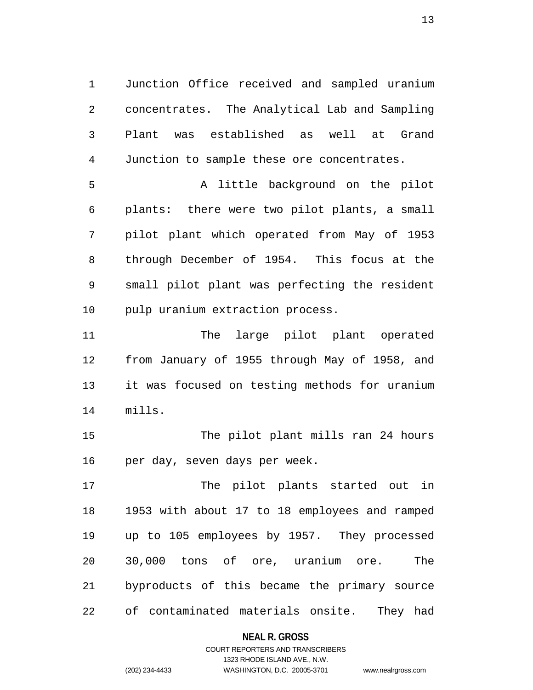1 Junction Office received and sampled uranium 2 concentrates. The Analytical Lab and Sampling 3 Plant was established as well at Grand 4 Junction to sample these ore concentrates.

5 A little background on the pilot 6 plants: there were two pilot plants, a small 7 pilot plant which operated from May of 1953 8 through December of 1954. This focus at the 9 small pilot plant was perfecting the resident 10 pulp uranium extraction process.

11 The large pilot plant operated 12 from January of 1955 through May of 1958, and 13 it was focused on testing methods for uranium 14 mills.

15 The pilot plant mills ran 24 hours 16 per day, seven days per week.

17 The pilot plants started out in 18 1953 with about 17 to 18 employees and ramped 19 up to 105 employees by 1957. They processed 20 30,000 tons of ore, uranium ore. The 21 byproducts of this became the primary source 22 of contaminated materials onsite. They had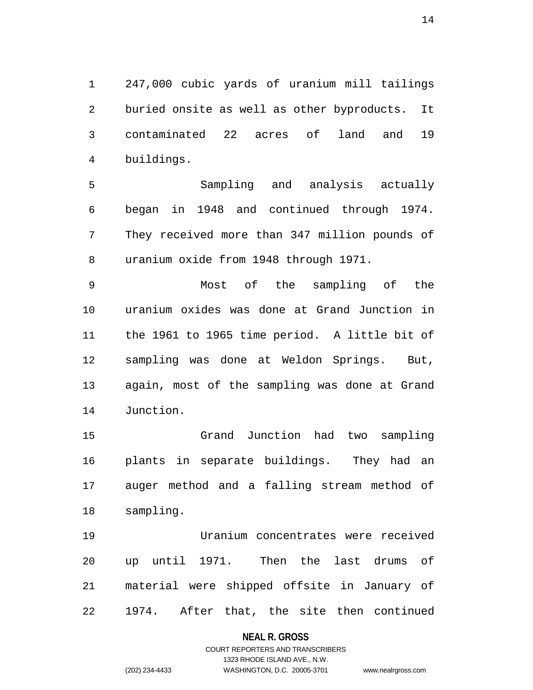1 247,000 cubic yards of uranium mill tailings 2 buried onsite as well as other byproducts. It 3 contaminated 22 acres of land and 19 4 buildings.

5 Sampling and analysis actually 6 began in 1948 and continued through 1974. 7 They received more than 347 million pounds of 8 uranium oxide from 1948 through 1971.

9 Most of the sampling of the 10 uranium oxides was done at Grand Junction in 11 the 1961 to 1965 time period. A little bit of 12 sampling was done at Weldon Springs. But, 13 again, most of the sampling was done at Grand 14 Junction.

15 Grand Junction had two sampling 16 plants in separate buildings. They had an 17 auger method and a falling stream method of 18 sampling.

19 Uranium concentrates were received 20 up until 1971. Then the last drums of 21 material were shipped offsite in January of 22 1974. After that, the site then continued

#### **NEAL R. GROSS**

## COURT REPORTERS AND TRANSCRIBERS 1323 RHODE ISLAND AVE., N.W. (202) 234-4433 WASHINGTON, D.C. 20005-3701 www.nealrgross.com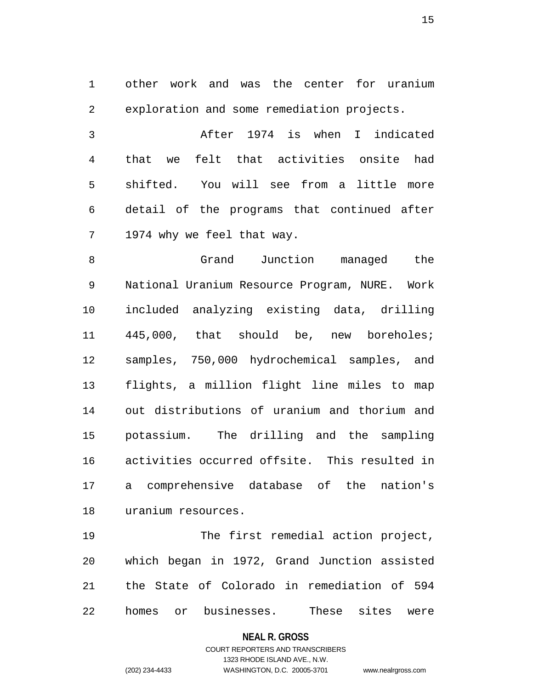1 other work and was the center for uranium 2 exploration and some remediation projects.

3 After 1974 is when I indicated 4 that we felt that activities onsite had 5 shifted. You will see from a little more 6 detail of the programs that continued after 7 1974 why we feel that way.

8 Grand Junction managed the 9 National Uranium Resource Program, NURE. Work 10 included analyzing existing data, drilling 11 445,000, that should be, new boreholes; 12 samples, 750,000 hydrochemical samples, and 13 flights, a million flight line miles to map 14 out distributions of uranium and thorium and 15 potassium. The drilling and the sampling 16 activities occurred offsite. This resulted in 17 a comprehensive database of the nation's 18 uranium resources.

19 The first remedial action project, 20 which began in 1972, Grand Junction assisted 21 the State of Colorado in remediation of 594 22 homes or businesses. These sites were

**NEAL R. GROSS**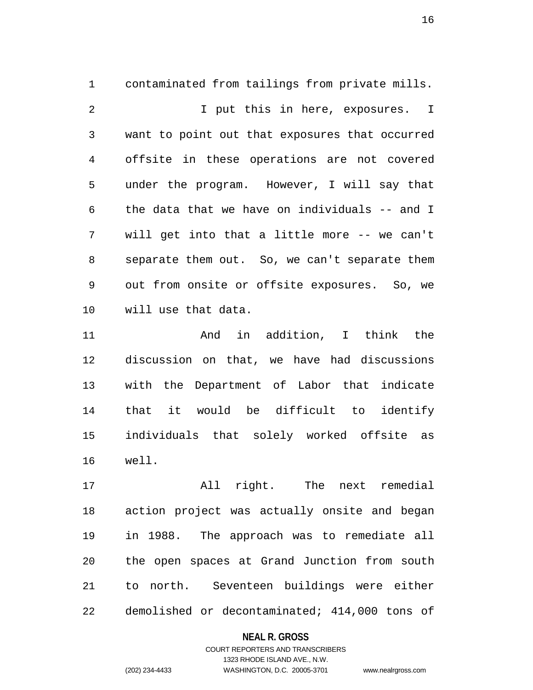1 contaminated from tailings from private mills. 2 I put this in here, exposures. I 3 want to point out that exposures that occurred 4 offsite in these operations are not covered 5 under the program. However, I will say that 6 the data that we have on individuals -- and I 7 will get into that a little more -- we can't 8 separate them out. So, we can't separate them 9 out from onsite or offsite exposures. So, we 10 will use that data.

11 And in addition, I think the 12 discussion on that, we have had discussions 13 with the Department of Labor that indicate 14 that it would be difficult to identify 15 individuals that solely worked offsite as 16 well.

17 All right. The next remedial 18 action project was actually onsite and began 19 in 1988. The approach was to remediate all 20 the open spaces at Grand Junction from south 21 to north. Seventeen buildings were either 22 demolished or decontaminated; 414,000 tons of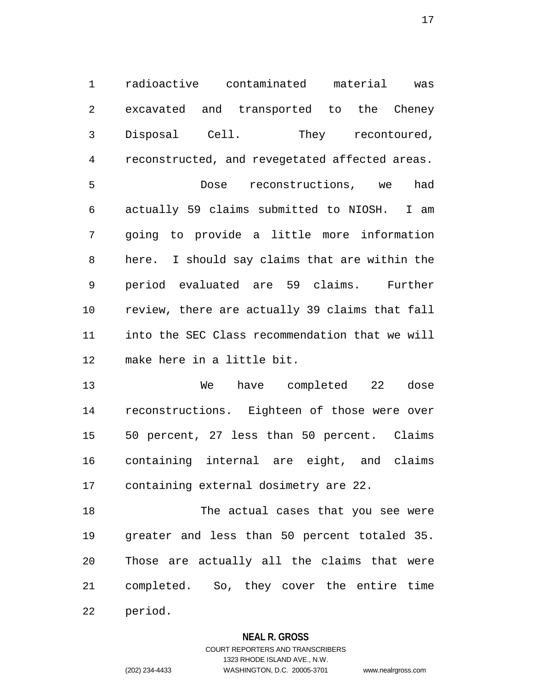1 radioactive contaminated material was 2 excavated and transported to the Cheney 3 Disposal Cell. They recontoured, 4 reconstructed, and revegetated affected areas. 5 Dose reconstructions, we had 6 actually 59 claims submitted to NIOSH. I am 7 going to provide a little more information 8 here. I should say claims that are within the 9 period evaluated are 59 claims. Further 10 review, there are actually 39 claims that fall 11 into the SEC Class recommendation that we will 12 make here in a little bit.

13 We have completed 22 dose 14 reconstructions. Eighteen of those were over 15 50 percent, 27 less than 50 percent. Claims 16 containing internal are eight, and claims 17 containing external dosimetry are 22.

18 The actual cases that you see were 19 greater and less than 50 percent totaled 35. 20 Those are actually all the claims that were 21 completed. So, they cover the entire time 22 period.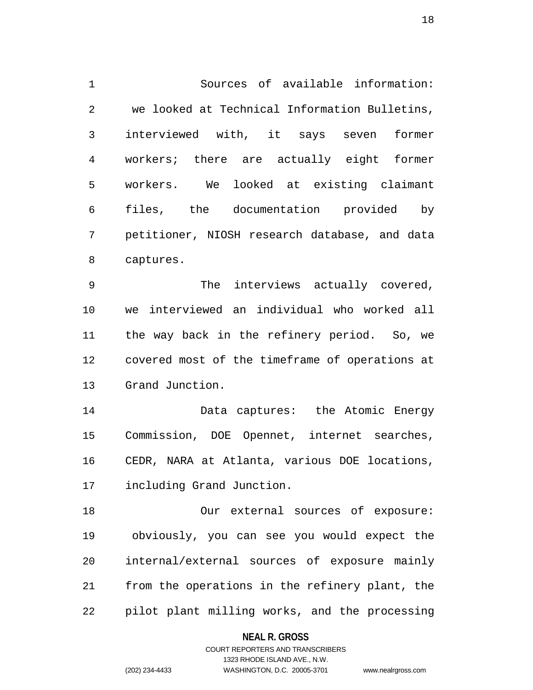1 Sources of available information: 2 we looked at Technical Information Bulletins, 3 interviewed with, it says seven former 4 workers; there are actually eight former 5 workers. We looked at existing claimant 6 files, the documentation provided by 7 petitioner, NIOSH research database, and data 8 captures.

9 The interviews actually covered, 10 we interviewed an individual who worked all 11 the way back in the refinery period. So, we 12 covered most of the timeframe of operations at 13 Grand Junction.

14 Data captures: the Atomic Energy 15 Commission, DOE Opennet, internet searches, 16 CEDR, NARA at Atlanta, various DOE locations, 17 including Grand Junction.

18 Our external sources of exposure: 19 obviously, you can see you would expect the 20 internal/external sources of exposure mainly 21 from the operations in the refinery plant, the 22 pilot plant milling works, and the processing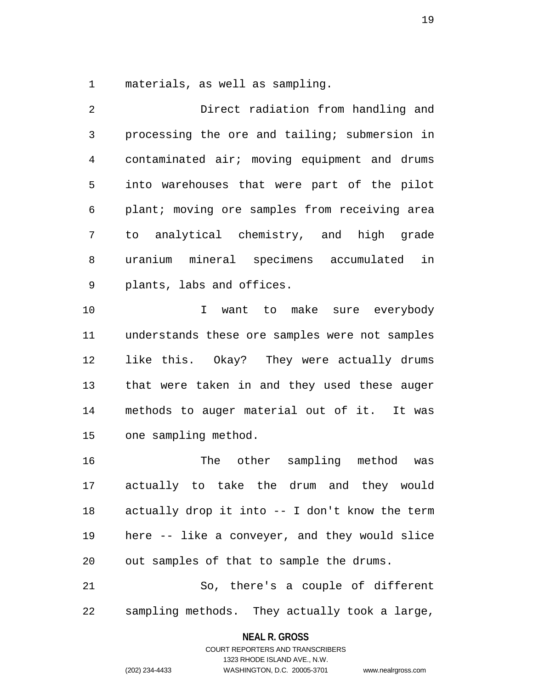1 materials, as well as sampling.

2 Direct radiation from handling and 3 processing the ore and tailing; submersion in 4 contaminated air; moving equipment and drums 5 into warehouses that were part of the pilot 6 plant; moving ore samples from receiving area 7 to analytical chemistry, and high grade 8 uranium mineral specimens accumulated in 9 plants, labs and offices. 10 I want to make sure everybody 11 understands these ore samples were not samples 12 like this. Okay? They were actually drums 13 that were taken in and they used these auger

14 methods to auger material out of it. It was 15 one sampling method.

16 The other sampling method was 17 actually to take the drum and they would 18 actually drop it into -- I don't know the term 19 here -- like a conveyer, and they would slice 20 out samples of that to sample the drums.

21 So, there's a couple of different 22 sampling methods. They actually took a large,

#### **NEAL R. GROSS**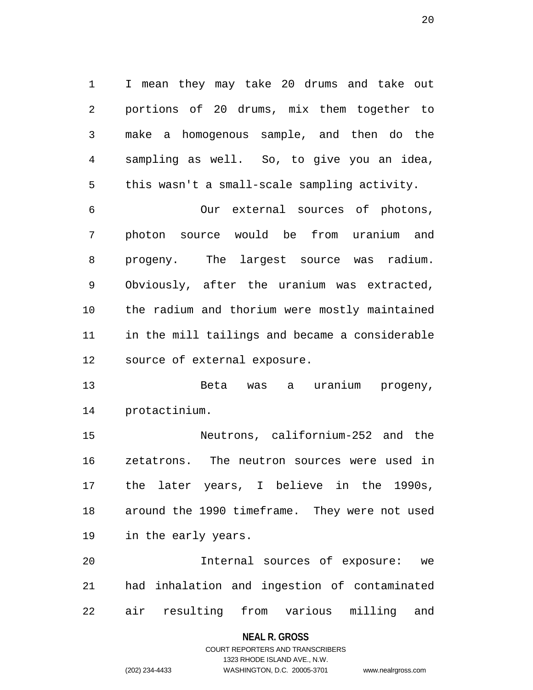1 I mean they may take 20 drums and take out 2 portions of 20 drums, mix them together to 3 make a homogenous sample, and then do the 4 sampling as well. So, to give you an idea, 5 this wasn't a small-scale sampling activity.

6 Our external sources of photons, 7 photon source would be from uranium and 8 progeny. The largest source was radium. 9 Obviously, after the uranium was extracted, 10 the radium and thorium were mostly maintained 11 in the mill tailings and became a considerable 12 source of external exposure.

13 Beta was a uranium progeny, 14 protactinium.

15 Neutrons, californium-252 and the 16 zetatrons. The neutron sources were used in 17 the later years, I believe in the 1990s, 18 around the 1990 timeframe. They were not used 19 in the early years.

20 Internal sources of exposure: we 21 had inhalation and ingestion of contaminated 22 air resulting from various milling and

#### **NEAL R. GROSS**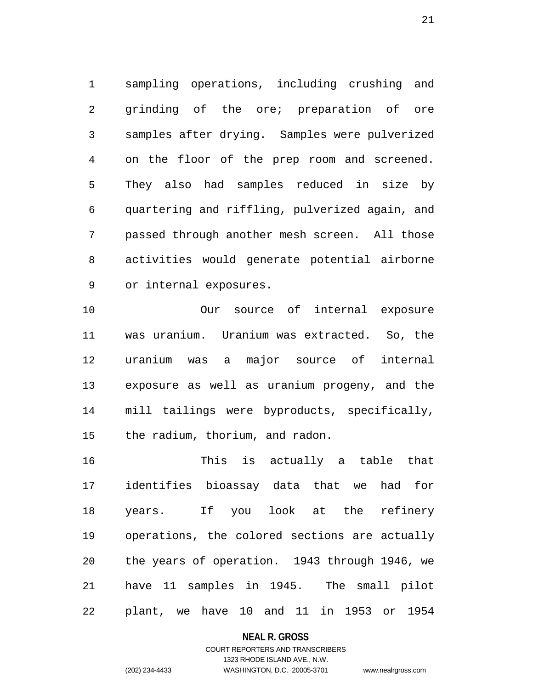1 sampling operations, including crushing and 2 grinding of the ore; preparation of ore 3 samples after drying. Samples were pulverized 4 on the floor of the prep room and screened. 5 They also had samples reduced in size by 6 quartering and riffling, pulverized again, and 7 passed through another mesh screen. All those 8 activities would generate potential airborne 9 or internal exposures.

10 Our source of internal exposure 11 was uranium. Uranium was extracted. So, the 12 uranium was a major source of internal 13 exposure as well as uranium progeny, and the 14 mill tailings were byproducts, specifically, 15 the radium, thorium, and radon.

16 This is actually a table that 17 identifies bioassay data that we had for 18 years. If you look at the refinery 19 operations, the colored sections are actually 20 the years of operation. 1943 through 1946, we 21 have 11 samples in 1945. The small pilot 22 plant, we have 10 and 11 in 1953 or 1954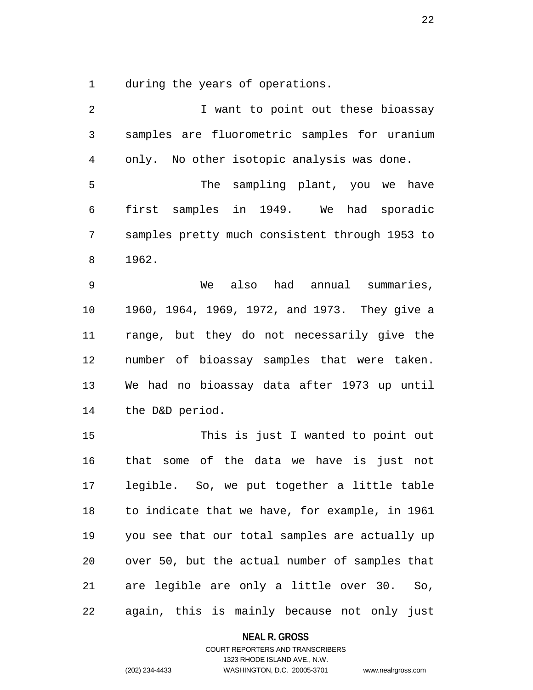1 during the years of operations.

| 2  | I want to point out these bioassay             |
|----|------------------------------------------------|
| 3  | samples are fluorometric samples for uranium   |
| 4  | only. No other isotopic analysis was done.     |
| 5  | The sampling plant, you we have                |
| 6  | first samples in 1949. We had sporadic         |
| 7  | samples pretty much consistent through 1953 to |
| 8  | 1962.                                          |
| 9  | also<br>had annual summaries,<br>We            |
| 10 | 1960, 1964, 1969, 1972, and 1973. They give a  |
| 11 | range, but they do not necessarily give the    |
| 12 | number of bioassay samples that were taken.    |
| 13 | We had no bioassay data after 1973 up until    |
| 14 | the D&D period.                                |
| 15 | This is just I wanted to point out             |
| 16 | some of the data we have is just not<br>that   |
| 17 | legible. So, we put together a little table    |
| 18 | to indicate that we have, for example, in 1961 |
| 19 | you see that our total samples are actually up |
| 20 | over 50, but the actual number of samples that |
| 21 | are legible are only a little over 30. So,     |
| 22 | again, this is mainly because not only just    |

## **NEAL R. GROSS**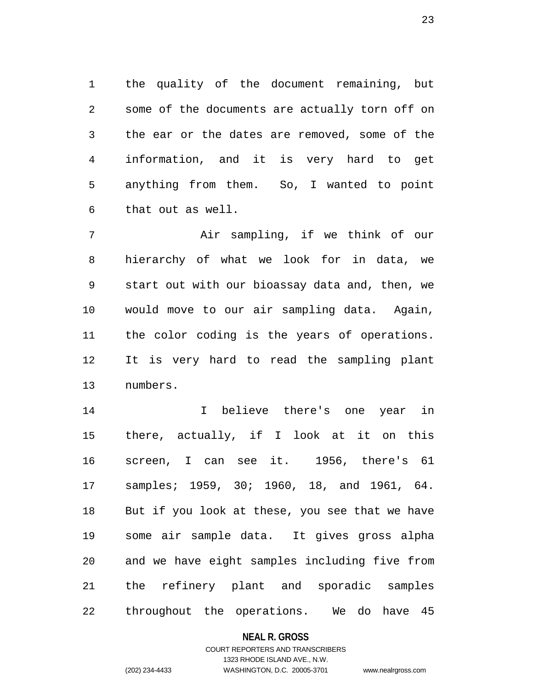1 the quality of the document remaining, but 2 some of the documents are actually torn off on 3 the ear or the dates are removed, some of the 4 information, and it is very hard to get 5 anything from them. So, I wanted to point 6 that out as well.

7 Air sampling, if we think of our 8 hierarchy of what we look for in data, we 9 start out with our bioassay data and, then, we 10 would move to our air sampling data. Again, 11 the color coding is the years of operations. 12 It is very hard to read the sampling plant 13 numbers.

14 I believe there's one year in 15 there, actually, if I look at it on this 16 screen, I can see it. 1956, there's 61 17 samples; 1959, 30; 1960, 18, and 1961, 64. 18 But if you look at these, you see that we have 19 some air sample data. It gives gross alpha 20 and we have eight samples including five from 21 the refinery plant and sporadic samples 22 throughout the operations. We do have 45

#### **NEAL R. GROSS**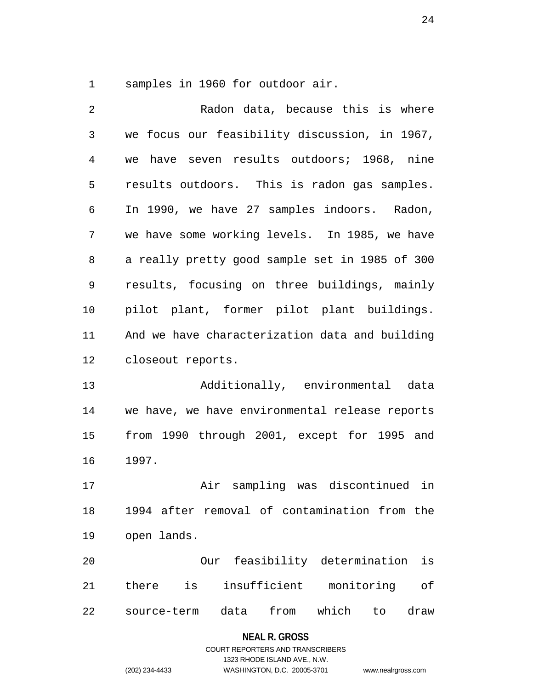1 samples in 1960 for outdoor air.

| 2            | Radon data, because this is where                  |  |  |
|--------------|----------------------------------------------------|--|--|
| $\mathsf{3}$ | we focus our feasibility discussion, in 1967,      |  |  |
| 4            | have seven results outdoors; 1968, nine<br>we      |  |  |
| 5            | results outdoors. This is radon gas samples.       |  |  |
| 6            | In 1990, we have 27 samples indoors. Radon,        |  |  |
| 7            | we have some working levels. In 1985, we have      |  |  |
| 8            | a really pretty good sample set in 1985 of 300     |  |  |
| 9            | results, focusing on three buildings, mainly       |  |  |
| 10           | pilot plant, former pilot plant buildings.         |  |  |
| 11           | And we have characterization data and building     |  |  |
| 12           | closeout reports.                                  |  |  |
| 13           | Additionally, environmental<br>data                |  |  |
| 14           | we have, we have environmental release reports     |  |  |
| 15           | from 1990 through 2001, except for 1995 and        |  |  |
| 16           | 1997.                                              |  |  |
| 17           | Air sampling was discontinued in                   |  |  |
| 18           | 1994 after removal of contamination from the       |  |  |
| 19           | open lands.                                        |  |  |
| 20           | feasibility determination<br>is<br>Our             |  |  |
| 21           | insufficient<br>monitoring<br>is<br>оf<br>there    |  |  |
| 22           | from<br>which<br>data<br>draw<br>source-term<br>to |  |  |

# **NEAL R. GROSS**

## COURT REPORTERS AND TRANSCRIBERS 1323 RHODE ISLAND AVE., N.W. (202) 234-4433 WASHINGTON, D.C. 20005-3701 www.nealrgross.com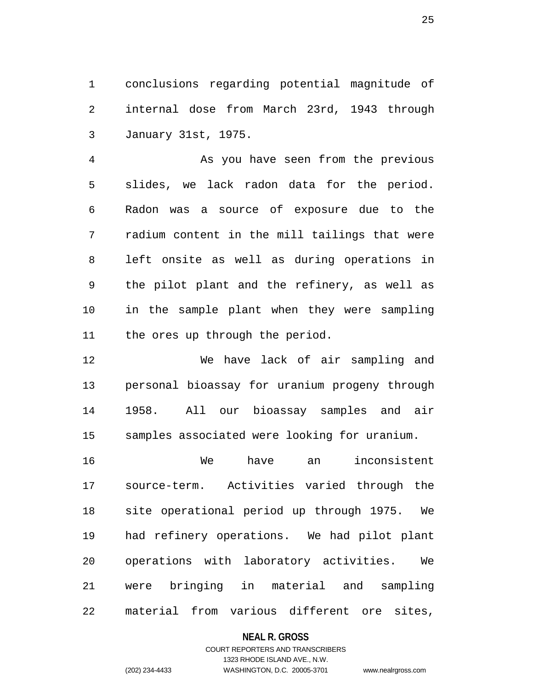1 conclusions regarding potential magnitude of 2 internal dose from March 23rd, 1943 through 3 January 31st, 1975.

4 As you have seen from the previous 5 slides, we lack radon data for the period. 6 Radon was a source of exposure due to the 7 radium content in the mill tailings that were 8 left onsite as well as during operations in 9 the pilot plant and the refinery, as well as 10 in the sample plant when they were sampling 11 the ores up through the period.

12 We have lack of air sampling and 13 personal bioassay for uranium progeny through 14 1958. All our bioassay samples and air 15 samples associated were looking for uranium.

16 We have an inconsistent 17 source-term. Activities varied through the 18 site operational period up through 1975. We 19 had refinery operations. We had pilot plant 20 operations with laboratory activities. We 21 were bringing in material and sampling 22 material from various different ore sites,

#### **NEAL R. GROSS**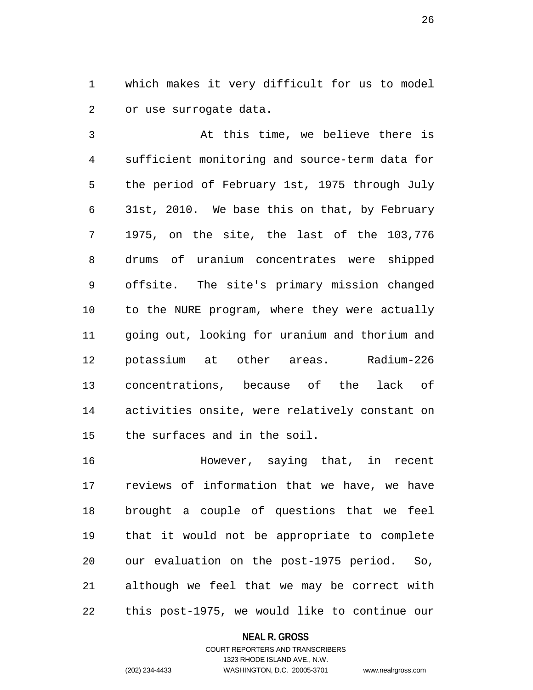1 which makes it very difficult for us to model 2 or use surrogate data.

3 At this time, we believe there is 4 sufficient monitoring and source-term data for 5 the period of February 1st, 1975 through July 6 31st, 2010. We base this on that, by February 7 1975, on the site, the last of the 103,776 8 drums of uranium concentrates were shipped 9 offsite. The site's primary mission changed 10 to the NURE program, where they were actually 11 going out, looking for uranium and thorium and 12 potassium at other areas. Radium-226 13 concentrations, because of the lack of 14 activities onsite, were relatively constant on 15 the surfaces and in the soil.

16 However, saying that, in recent 17 reviews of information that we have, we have 18 brought a couple of questions that we feel 19 that it would not be appropriate to complete 20 our evaluation on the post-1975 period. So, 21 although we feel that we may be correct with 22 this post-1975, we would like to continue our

#### **NEAL R. GROSS**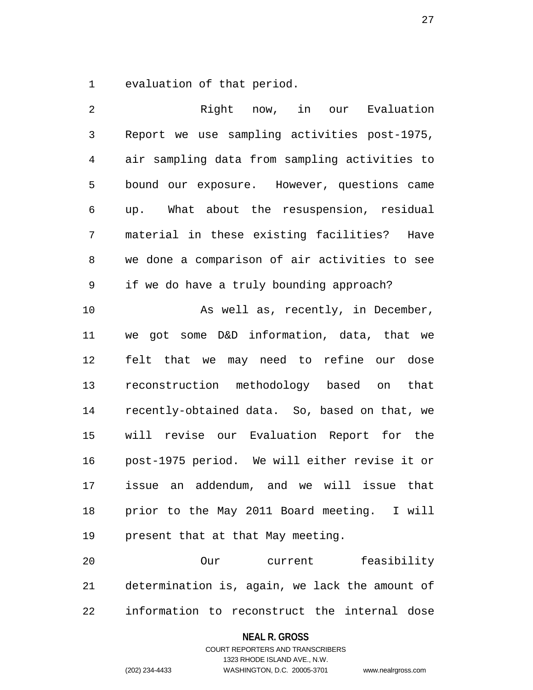1 evaluation of that period.

| 2              | Right now, in our<br>Evaluation                |
|----------------|------------------------------------------------|
| $\mathfrak{Z}$ | Report we use sampling activities post-1975,   |
| $\overline{4}$ | air sampling data from sampling activities to  |
| 5              | bound our exposure. However, questions came    |
| 6              | up. What about the resuspension, residual      |
| 7              | material in these existing facilities?<br>Have |
| 8              | we done a comparison of air activities to see  |
| 9              | if we do have a truly bounding approach?       |
| 10             | As well as, recently, in December,             |
| 11             | we got some D&D information, data, that we     |
| 12             | felt that we may need to refine our dose       |
| 13             | reconstruction methodology based on<br>that    |
| 14             | recently-obtained data. So, based on that, we  |
| 15             | will revise our Evaluation Report for the      |
| 16             | post-1975 period. We will either revise it or  |
| 17             | issue an addendum, and we will issue that      |
| 18             | prior to the May 2011 Board meeting. I will    |
| 19             | present that at that May meeting.              |
| 20             | Our<br>current feasibility                     |
| 21             | determination is, again, we lack the amount of |
|                |                                                |

22 information to reconstruct the internal dose

## **NEAL R. GROSS**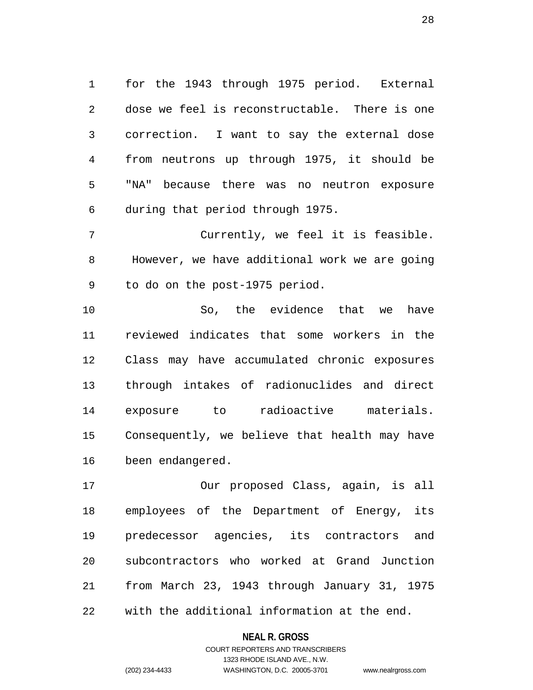1 for the 1943 through 1975 period. External 2 dose we feel is reconstructable. There is one 3 correction. I want to say the external dose 4 from neutrons up through 1975, it should be 5 "NA" because there was no neutron exposure 6 during that period through 1975.

7 Currently, we feel it is feasible. 8 However, we have additional work we are going 9 to do on the post-1975 period.

10 So, the evidence that we have 11 reviewed indicates that some workers in the 12 Class may have accumulated chronic exposures 13 through intakes of radionuclides and direct 14 exposure to radioactive materials. 15 Consequently, we believe that health may have 16 been endangered.

17 Our proposed Class, again, is all 18 employees of the Department of Energy, its 19 predecessor agencies, its contractors and 20 subcontractors who worked at Grand Junction 21 from March 23, 1943 through January 31, 1975 22 with the additional information at the end.

#### **NEAL R. GROSS**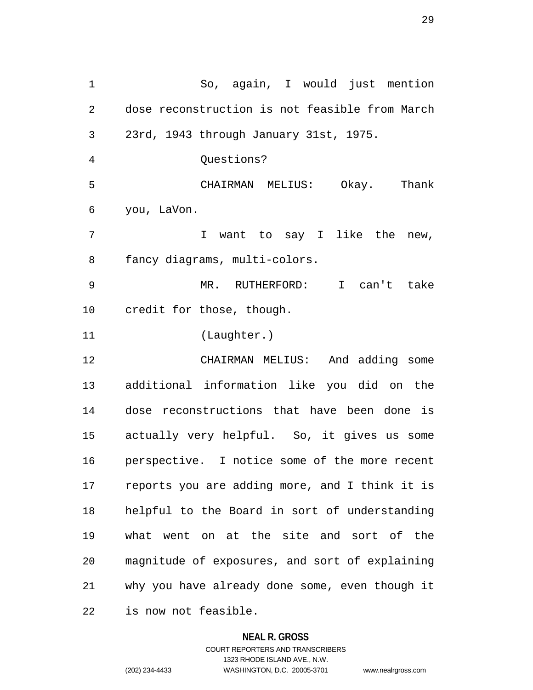1 So, again, I would just mention 2 dose reconstruction is not feasible from March 3 23rd, 1943 through January 31st, 1975. 4 Questions? 5 CHAIRMAN MELIUS: Okay. Thank 6 you, LaVon. 7 T want to say I like the new, 8 fancy diagrams, multi-colors. 9 MR. RUTHERFORD: I can't take 10 credit for those, though. 11 (Laughter.) 12 CHAIRMAN MELIUS: And adding some 13 additional information like you did on the 14 dose reconstructions that have been done is 15 actually very helpful. So, it gives us some 16 perspective. I notice some of the more recent 17 reports you are adding more, and I think it is 18 helpful to the Board in sort of understanding 19 what went on at the site and sort of the 20 magnitude of exposures, and sort of explaining 21 why you have already done some, even though it 22 is now not feasible.

#### **NEAL R. GROSS**

COURT REPORTERS AND TRANSCRIBERS 1323 RHODE ISLAND AVE., N.W. (202) 234-4433 WASHINGTON, D.C. 20005-3701 www.nealrgross.com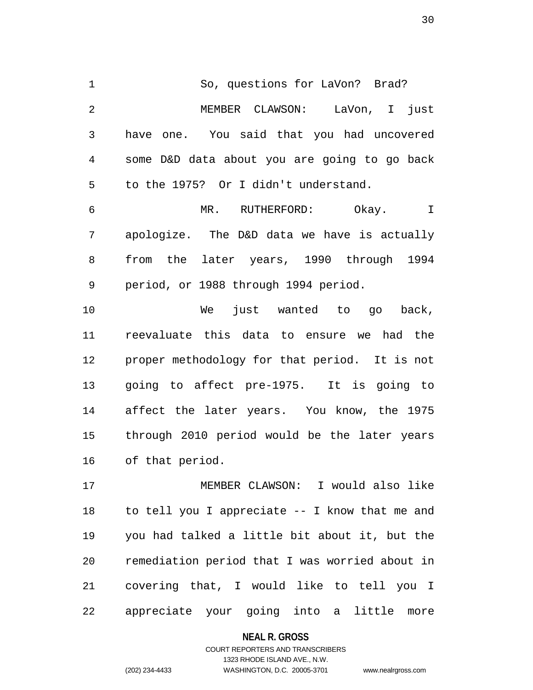1 So, questions for LaVon? Brad? 2 MEMBER CLAWSON: LaVon, I just 3 have one. You said that you had uncovered 4 some D&D data about you are going to go back 5 to the 1975? Or I didn't understand.

6 MR. RUTHERFORD: Okay. I 7 apologize. The D&D data we have is actually 8 from the later years, 1990 through 1994 9 period, or 1988 through 1994 period.

10 We just wanted to go back, 11 reevaluate this data to ensure we had the 12 proper methodology for that period. It is not 13 going to affect pre-1975. It is going to 14 affect the later years. You know, the 1975 15 through 2010 period would be the later years 16 of that period.

17 MEMBER CLAWSON: I would also like 18 to tell you I appreciate -- I know that me and 19 you had talked a little bit about it, but the 20 remediation period that I was worried about in 21 covering that, I would like to tell you I 22 appreciate your going into a little more

**NEAL R. GROSS**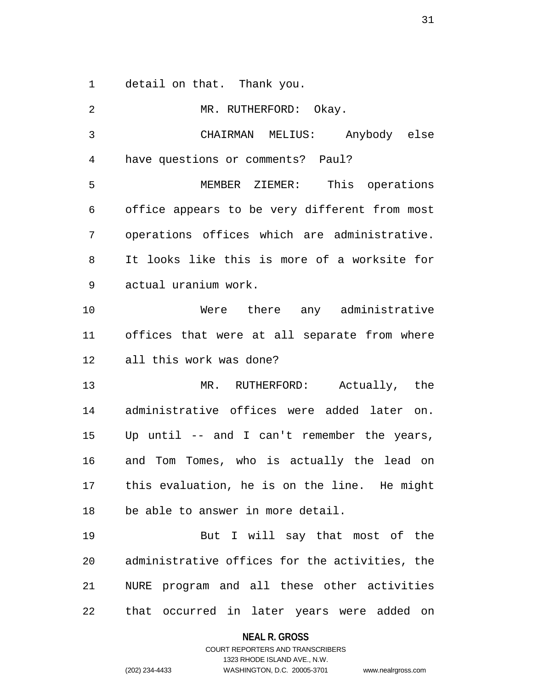1 detail on that. Thank you.

2 MR. RUTHERFORD: Okay. 3 CHAIRMAN MELIUS: Anybody else 4 have questions or comments? Paul? 5 MEMBER ZIEMER: This operations 6 office appears to be very different from most 7 operations offices which are administrative. 8 It looks like this is more of a worksite for 9 actual uranium work. 10 Were there any administrative 11 offices that were at all separate from where 12 all this work was done? 13 MR. RUTHERFORD: Actually, the 14 administrative offices were added later on. 15 Up until -- and I can't remember the years, 16 and Tom Tomes, who is actually the lead on 17 this evaluation, he is on the line. He might 18 be able to answer in more detail. 19 But I will say that most of the 20 administrative offices for the activities, the 21 NURE program and all these other activities 22 that occurred in later years were added on

> **NEAL R. GROSS** COURT REPORTERS AND TRANSCRIBERS

1323 RHODE ISLAND AVE., N.W. (202) 234-4433 WASHINGTON, D.C. 20005-3701 www.nealrgross.com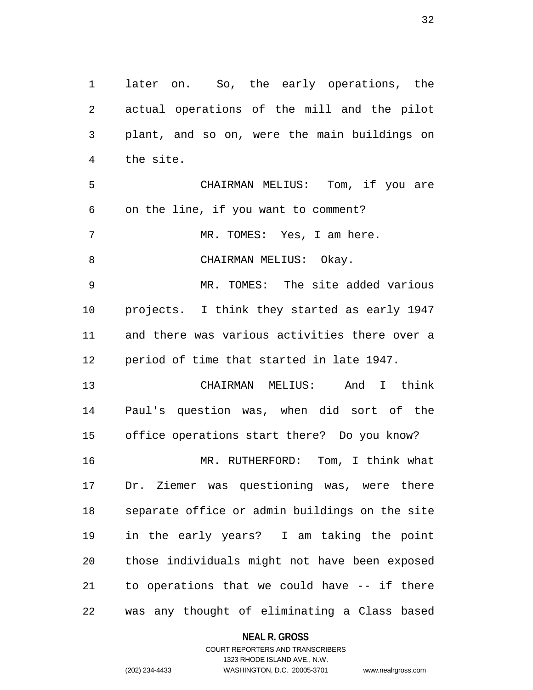1 later on. So, the early operations, the 2 actual operations of the mill and the pilot 3 plant, and so on, were the main buildings on 4 the site. 5 CHAIRMAN MELIUS: Tom, if you are 6 on the line, if you want to comment? 7 MR. TOMES: Yes, I am here. 8 CHAIRMAN MELIUS: Okay. 9 MR. TOMES: The site added various 10 projects. I think they started as early 1947 11 and there was various activities there over a 12 period of time that started in late 1947. 13 CHAIRMAN MELIUS: And I think 14 Paul's question was, when did sort of the 15 office operations start there? Do you know? 16 MR. RUTHERFORD: Tom, I think what 17 Dr. Ziemer was questioning was, were there 18 separate office or admin buildings on the site 19 in the early years? I am taking the point 20 those individuals might not have been exposed 21 to operations that we could have -- if there 22 was any thought of eliminating a Class based

**NEAL R. GROSS**

COURT REPORTERS AND TRANSCRIBERS 1323 RHODE ISLAND AVE., N.W. (202) 234-4433 WASHINGTON, D.C. 20005-3701 www.nealrgross.com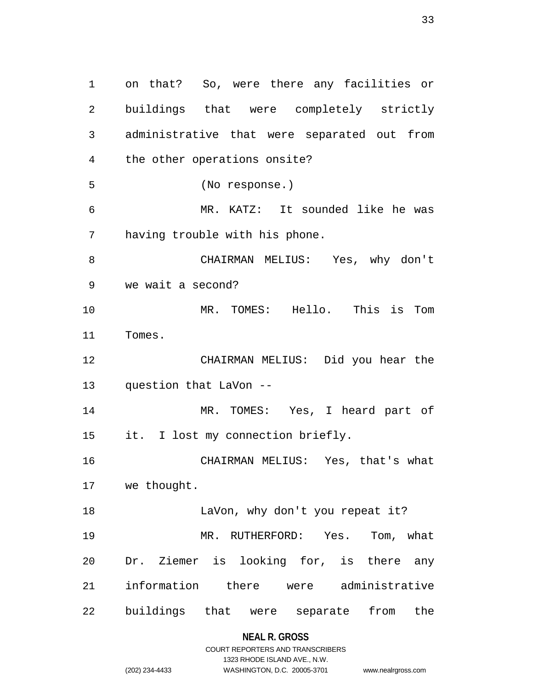1 on that? So, were there any facilities or 2 buildings that were completely strictly 3 administrative that were separated out from 4 the other operations onsite? 5 (No response.) 6 MR. KATZ: It sounded like he was 7 having trouble with his phone. 8 CHAIRMAN MELIUS: Yes, why don't 9 we wait a second? 10 MR. TOMES: Hello. This is Tom 11 Tomes. 12 CHAIRMAN MELIUS: Did you hear the 13 question that LaVon -- 14 MR. TOMES: Yes, I heard part of 15 it. I lost my connection briefly. 16 CHAIRMAN MELIUS: Yes, that's what 17 we thought. 18 LaVon, why don't you repeat it? 19 MR. RUTHERFORD: Yes. Tom, what 20 Dr. Ziemer is looking for, is there any 21 information there were administrative 22 buildings that were separate from the

## **NEAL R. GROSS**

|                | COURT REPORTERS AND TRANSCRIBERS |                    |
|----------------|----------------------------------|--------------------|
|                | 1323 RHODE ISLAND AVE., N.W.     |                    |
| (202) 234-4433 | WASHINGTON, D.C. 20005-3701      | www.nealrgross.com |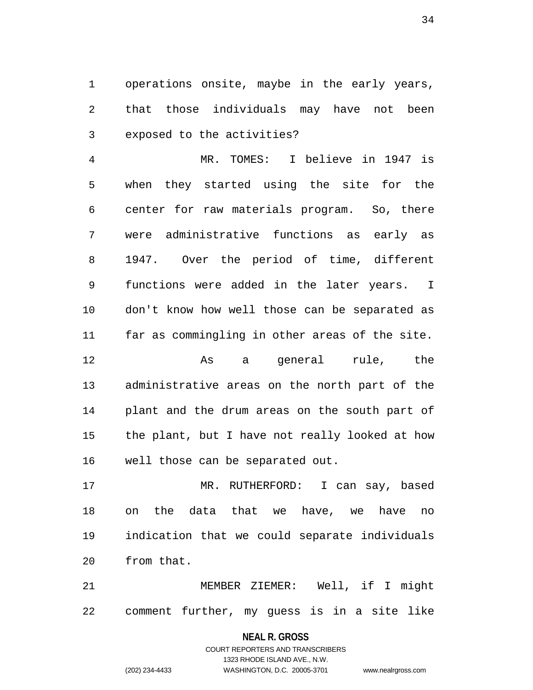1 operations onsite, maybe in the early years, 2 that those individuals may have not been 3 exposed to the activities?

4 MR. TOMES: I believe in 1947 is 5 when they started using the site for the 6 center for raw materials program. So, there 7 were administrative functions as early as 8 1947. Over the period of time, different 9 functions were added in the later years. I 10 don't know how well those can be separated as 11 far as commingling in other areas of the site.

12 As a general rule, the 13 administrative areas on the north part of the 14 plant and the drum areas on the south part of 15 the plant, but I have not really looked at how 16 well those can be separated out.

17 MR. RUTHERFORD: I can say, based 18 on the data that we have, we have no 19 indication that we could separate individuals 20 from that.

21 MEMBER ZIEMER: Well, if I might 22 comment further, my guess is in a site like

#### **NEAL R. GROSS**

COURT REPORTERS AND TRANSCRIBERS 1323 RHODE ISLAND AVE., N.W. (202) 234-4433 WASHINGTON, D.C. 20005-3701 www.nealrgross.com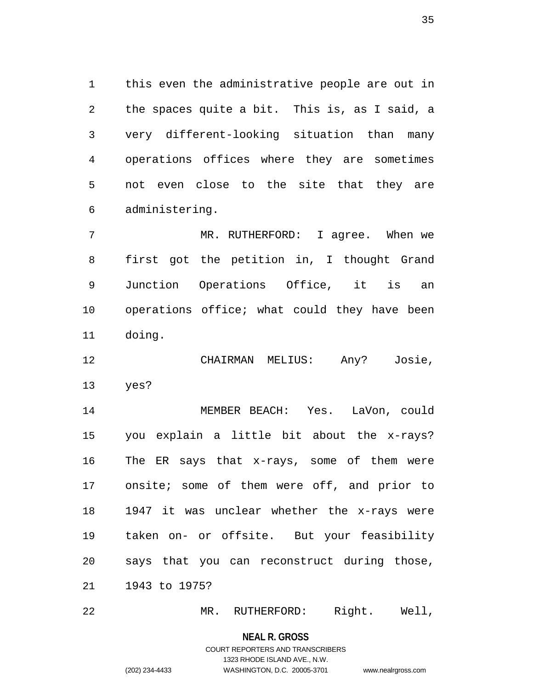1 this even the administrative people are out in 2 the spaces quite a bit. This is, as I said, a 3 very different-looking situation than many 4 operations offices where they are sometimes 5 not even close to the site that they are 6 administering.

7 MR. RUTHERFORD: I agree. When we 8 first got the petition in, I thought Grand 9 Junction Operations Office, it is an 10 operations office; what could they have been 11 doing.

12 CHAIRMAN MELIUS: Any? Josie, 13 yes?

14 MEMBER BEACH: Yes. LaVon, could 15 you explain a little bit about the x-rays? 16 The ER says that x-rays, some of them were 17 onsite; some of them were off, and prior to 18 1947 it was unclear whether the x-rays were 19 taken on- or offsite. But your feasibility 20 says that you can reconstruct during those, 21 1943 to 1975?

22 MR. RUTHERFORD: Right. Well,

**NEAL R. GROSS**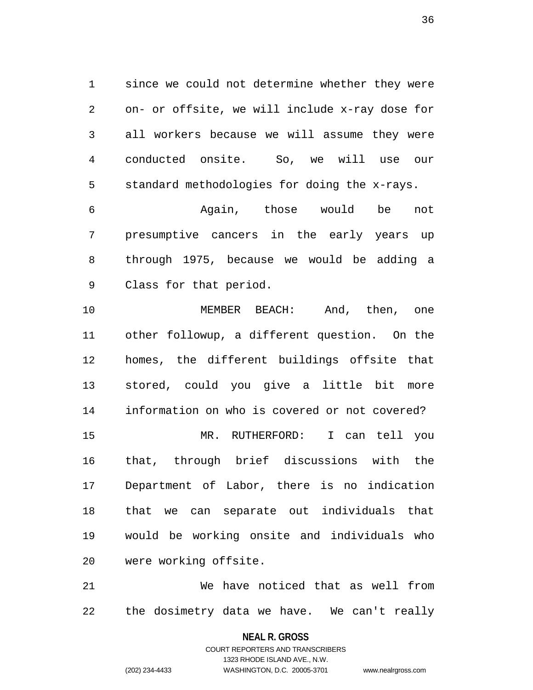1 since we could not determine whether they were 2 on- or offsite, we will include x-ray dose for 3 all workers because we will assume they were 4 conducted onsite. So, we will use our 5 standard methodologies for doing the x-rays.

6 Again, those would be not 7 presumptive cancers in the early years up 8 through 1975, because we would be adding a 9 Class for that period.

10 MEMBER BEACH: And, then, one 11 other followup, a different question. On the 12 homes, the different buildings offsite that 13 stored, could you give a little bit more 14 information on who is covered or not covered? 15 MR. RUTHERFORD: I can tell you 16 that, through brief discussions with the 17 Department of Labor, there is no indication 18 that we can separate out individuals that 19 would be working onsite and individuals who 20 were working offsite.

21 We have noticed that as well from 22 the dosimetry data we have. We can't really

**NEAL R. GROSS**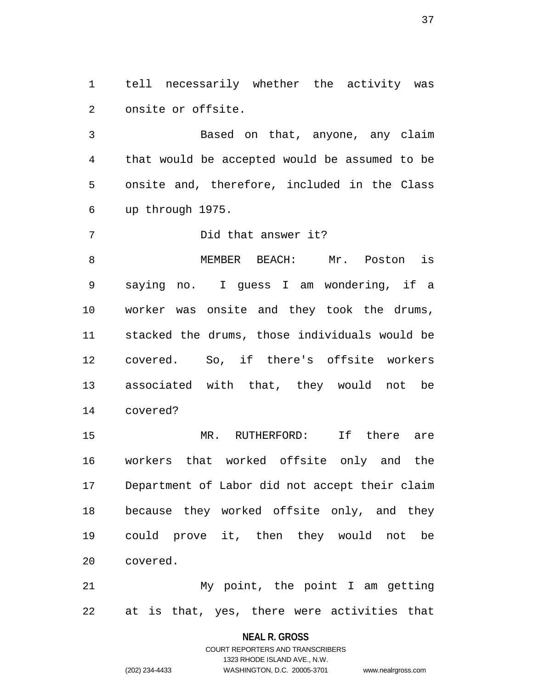1 tell necessarily whether the activity was 2 onsite or offsite.

3 Based on that, anyone, any claim 4 that would be accepted would be assumed to be 5 onsite and, therefore, included in the Class 6 up through 1975.

7 Did that answer it?

8 MEMBER BEACH: Mr. Poston is 9 saying no. I guess I am wondering, if a 10 worker was onsite and they took the drums, 11 stacked the drums, those individuals would be 12 covered. So, if there's offsite workers 13 associated with that, they would not be 14 covered?

15 MR. RUTHERFORD: If there are 16 workers that worked offsite only and the 17 Department of Labor did not accept their claim 18 because they worked offsite only, and they 19 could prove it, then they would not be 20 covered.

21 My point, the point I am getting 22 at is that, yes, there were activities that

#### **NEAL R. GROSS**

COURT REPORTERS AND TRANSCRIBERS 1323 RHODE ISLAND AVE., N.W. (202) 234-4433 WASHINGTON, D.C. 20005-3701 www.nealrgross.com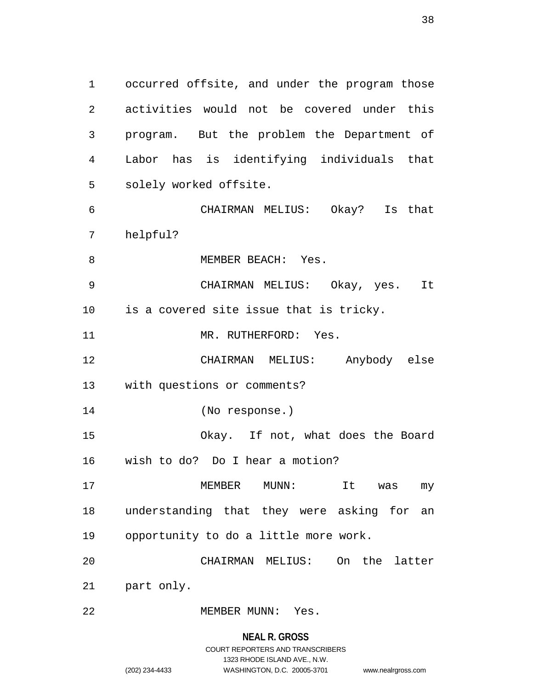1 occurred offsite, and under the program those 2 activities would not be covered under this 3 program. But the problem the Department of 4 Labor has is identifying individuals that 5 solely worked offsite. 6 CHAIRMAN MELIUS: Okay? Is that

7 helpful?

8 MEMBER BEACH: Yes.

9 CHAIRMAN MELIUS: Okay, yes. It 10 is a covered site issue that is tricky.

11 MR. RUTHERFORD: Yes.

12 CHAIRMAN MELIUS: Anybody else 13 with questions or comments?

14 (No response.)

15 Okay. If not, what does the Board 16 wish to do? Do I hear a motion?

17 MEMBER MUNN: It was my 18 understanding that they were asking for an 19 opportunity to do a little more work.

20 CHAIRMAN MELIUS: On the latter

21 part only.

22 MEMBER MUNN: Yes.

#### **NEAL R. GROSS**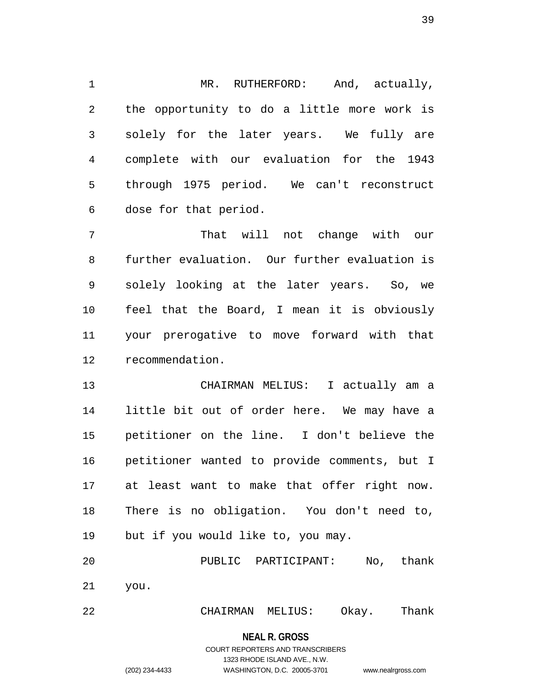1 MR. RUTHERFORD: And, actually, 2 the opportunity to do a little more work is 3 solely for the later years. We fully are 4 complete with our evaluation for the 1943 5 through 1975 period. We can't reconstruct 6 dose for that period.

7 That will not change with our 8 further evaluation. Our further evaluation is 9 solely looking at the later years. So, we 10 feel that the Board, I mean it is obviously 11 your prerogative to move forward with that 12 recommendation.

13 CHAIRMAN MELIUS: I actually am a 14 little bit out of order here. We may have a 15 petitioner on the line. I don't believe the 16 petitioner wanted to provide comments, but I 17 at least want to make that offer right now. 18 There is no obligation. You don't need to, 19 but if you would like to, you may.

20 PUBLIC PARTICIPANT: No, thank 21 you.

22 CHAIRMAN MELIUS: Okay. Thank

**NEAL R. GROSS**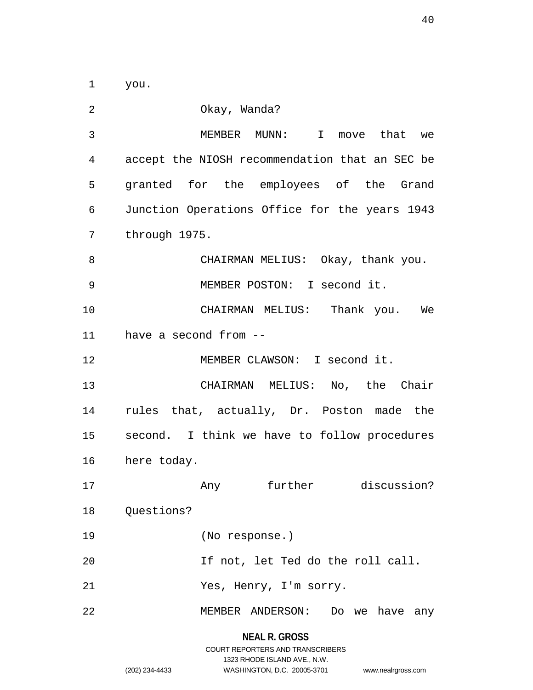1 you.

**NEAL R. GROSS** 2 Okay, Wanda? 3 MEMBER MUNN: I move that we 4 accept the NIOSH recommendation that an SEC be 5 granted for the employees of the Grand 6 Junction Operations Office for the years 1943 7 through 1975. 8 CHAIRMAN MELIUS: Okay, thank you. 9 MEMBER POSTON: I second it. 10 CHAIRMAN MELIUS: Thank you. We 11 have a second from -- 12 MEMBER CLAWSON: I second it. 13 CHAIRMAN MELIUS: No, the Chair 14 rules that, actually, Dr. Poston made the 15 second. I think we have to follow procedures 16 here today. 17 Any further discussion? 18 Questions? 19 (No response.) 20 If not, let Ted do the roll call. 21 Yes, Henry, I'm sorry. 22 MEMBER ANDERSON: Do we have any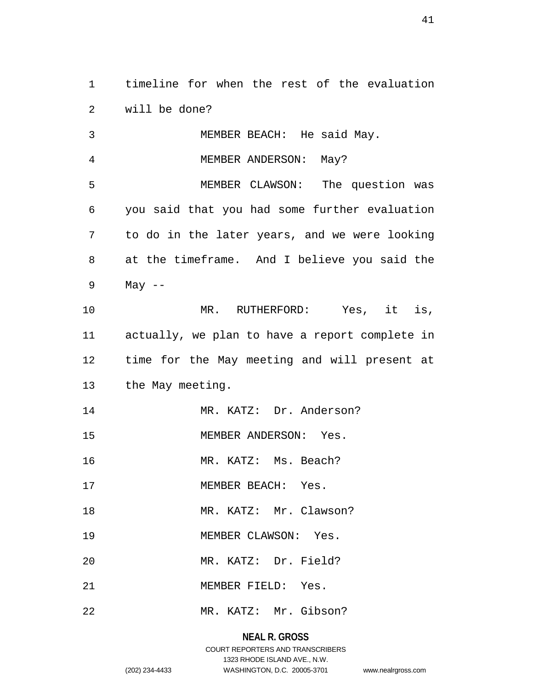1 timeline for when the rest of the evaluation 2 will be done?

3 MEMBER BEACH: He said May. 4 MEMBER ANDERSON: May? 5 MEMBER CLAWSON: The question was 6 you said that you had some further evaluation 7 to do in the later years, and we were looking 8 at the timeframe. And I believe you said the 9 May -- 10 MR. RUTHERFORD: Yes, it is, 11 actually, we plan to have a report complete in 12 time for the May meeting and will present at 13 the May meeting. 14 MR. KATZ: Dr. Anderson? 15 MEMBER ANDERSON: Yes. 16 MR. KATZ: Ms. Beach? 17 MEMBER BEACH: Yes. 18 MR. KATZ: Mr. Clawson? 19 MEMBER CLAWSON: Yes. 20 MR. KATZ: Dr. Field? 21 MEMBER FIELD: Yes. 22 MR. KATZ: Mr. Gibson?

# **NEAL R. GROSS**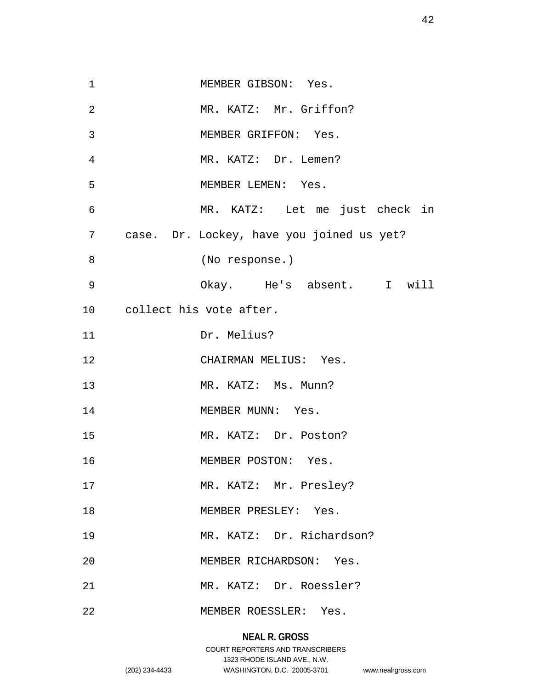| $\mathbf{1}$   | MEMBER GIBSON: Yes.                       |
|----------------|-------------------------------------------|
| $\overline{2}$ | MR. KATZ: Mr. Griffon?                    |
| 3              | MEMBER GRIFFON: Yes.                      |
| 4              | MR. KATZ: Dr. Lemen?                      |
| 5              | MEMBER LEMEN: Yes.                        |
| 6              | MR. KATZ: Let me just check in            |
| 7              | case. Dr. Lockey, have you joined us yet? |
| 8              | (No response.)                            |
| $\mathsf 9$    | Okay. He's absent. I will                 |
|                | 10 collect his vote after.                |
| 11             | Dr. Melius?                               |
| 12             | CHAIRMAN MELIUS: Yes.                     |
|                |                                           |
| 13             | MR. KATZ: Ms. Munn?                       |
| 14             | MEMBER MUNN: Yes.                         |
| 15             | MR. KATZ: Dr. Poston?                     |
| 16             | MEMBER POSTON: Yes.                       |
| 17             | MR. KATZ: Mr. Presley?                    |
| 18             | MEMBER PRESLEY: Yes.                      |
| 19             | MR. KATZ: Dr. Richardson?                 |
| 20             | MEMBER RICHARDSON: Yes.                   |
| 21             | MR. KATZ: Dr. Roessler?                   |

# **NEAL R. GROSS**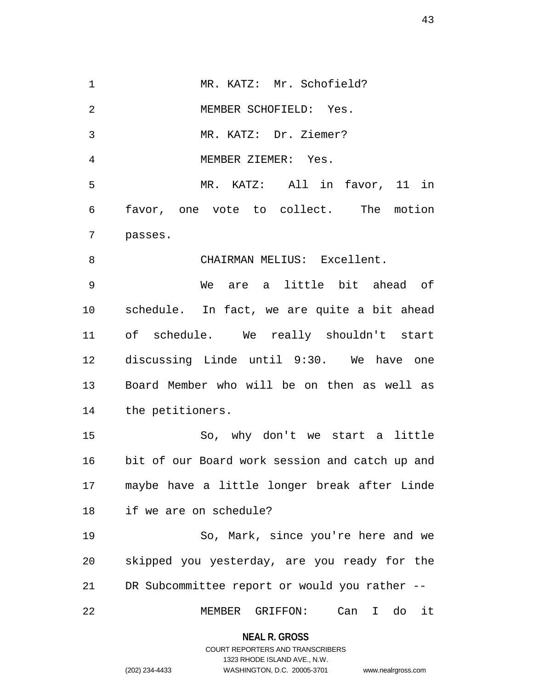1 MR. KATZ: Mr. Schofield? 2 MEMBER SCHOFIELD: Yes. 3 MR. KATZ: Dr. Ziemer? 4 MEMBER ZIEMER: Yes. 5 MR. KATZ: All in favor, 11 in 6 favor, one vote to collect. The motion 7 passes. 8 CHAIRMAN MELIUS: Excellent. 9 We are a little bit ahead of 10 schedule. In fact, we are quite a bit ahead 11 of schedule. We really shouldn't start 12 discussing Linde until 9:30. We have one 13 Board Member who will be on then as well as 14 the petitioners. 15 So, why don't we start a little 16 bit of our Board work session and catch up and 17 maybe have a little longer break after Linde 18 if we are on schedule? 19 So, Mark, since you're here and we 20 skipped you yesterday, are you ready for the 21 DR Subcommittee report or would you rather -- 22 MEMBER GRIFFON: Can I do it

> **NEAL R. GROSS** COURT REPORTERS AND TRANSCRIBERS

> > 1323 RHODE ISLAND AVE., N.W.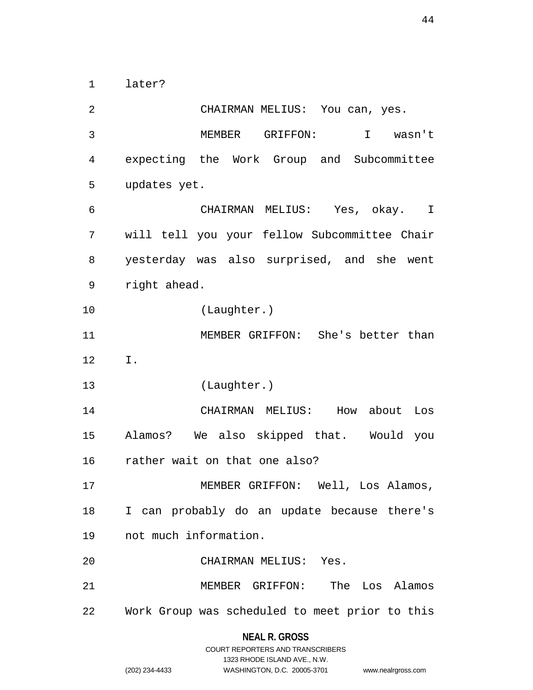1 later?

2 CHAIRMAN MELIUS: You can, yes. 3 MEMBER GRIFFON: I wasn't 4 expecting the Work Group and Subcommittee 5 updates yet. 6 CHAIRMAN MELIUS: Yes, okay. I 7 will tell you your fellow Subcommittee Chair 8 yesterday was also surprised, and she went 9 right ahead. 10 (Laughter.) 11 MEMBER GRIFFON: She's better than 12 I. 13 (Laughter.) 14 CHAIRMAN MELIUS: How about Los 15 Alamos? We also skipped that. Would you 16 rather wait on that one also? 17 MEMBER GRIFFON: Well, Los Alamos, 18 I can probably do an update because there's 19 not much information. 20 CHAIRMAN MELIUS: Yes. 21 MEMBER GRIFFON: The Los Alamos 22 Work Group was scheduled to meet prior to this

#### **NEAL R. GROSS**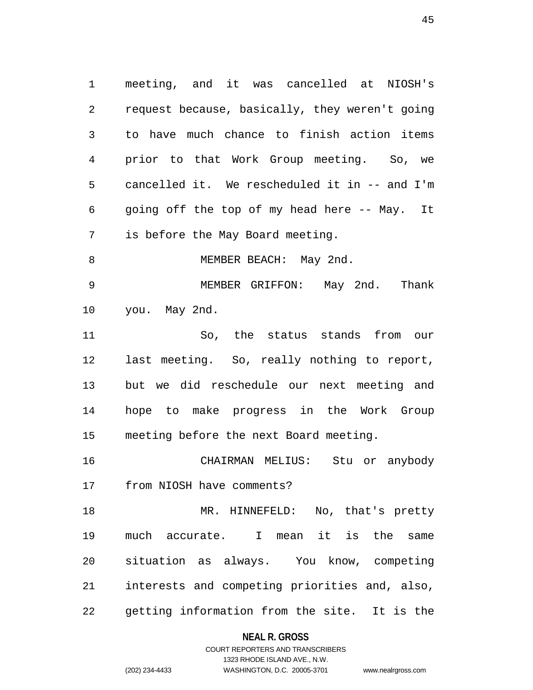1 meeting, and it was cancelled at NIOSH's 2 request because, basically, they weren't going 3 to have much chance to finish action items 4 prior to that Work Group meeting. So, we 5 cancelled it. We rescheduled it in -- and I'm 6 going off the top of my head here -- May. It 7 is before the May Board meeting. 8 MEMBER BEACH: May 2nd. 9 MEMBER GRIFFON: May 2nd. Thank 10 you. May 2nd. 11 So, the status stands from our 12 last meeting. So, really nothing to report, 13 but we did reschedule our next meeting and 14 hope to make progress in the Work Group 15 meeting before the next Board meeting. 16 CHAIRMAN MELIUS: Stu or anybody 17 from NIOSH have comments? 18 MR. HINNEFELD: No, that's pretty 19 much accurate. I mean it is the same 20 situation as always. You know, competing 21 interests and competing priorities and, also,

22 getting information from the site. It is the

#### **NEAL R. GROSS**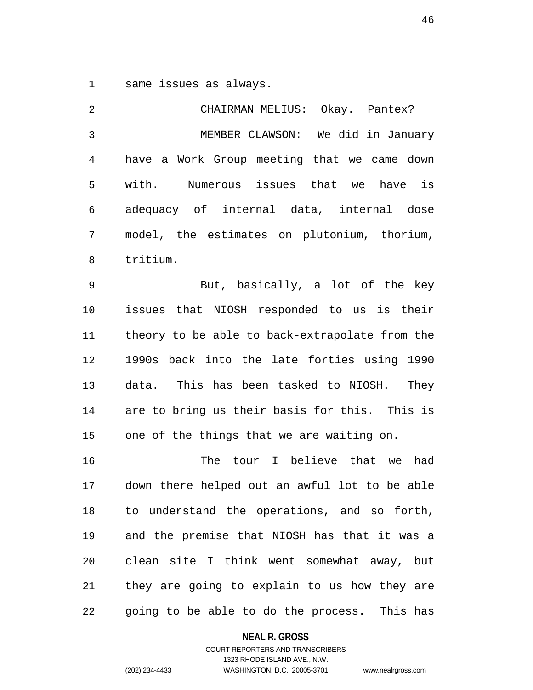1 same issues as always.

2 CHAIRMAN MELIUS: Okay. Pantex? 3 MEMBER CLAWSON: We did in January 4 have a Work Group meeting that we came down 5 with. Numerous issues that we have is 6 adequacy of internal data, internal dose 7 model, the estimates on plutonium, thorium, 8 tritium. 9 But, basically, a lot of the key 10 issues that NIOSH responded to us is their 11 theory to be able to back-extrapolate from the 12 1990s back into the late forties using 1990 13 data. This has been tasked to NIOSH. They 14 are to bring us their basis for this. This is 15 one of the things that we are waiting on. 16 The tour I believe that we had 17 down there helped out an awful lot to be able 18 to understand the operations, and so forth, 19 and the premise that NIOSH has that it was a 20 clean site I think went somewhat away, but 21 they are going to explain to us how they are 22 going to be able to do the process. This has

#### **NEAL R. GROSS**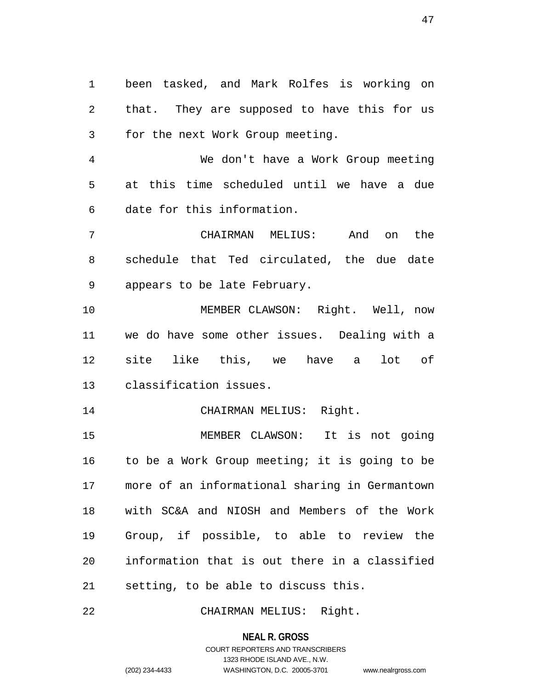1 been tasked, and Mark Rolfes is working on 2 that. They are supposed to have this for us 3 for the next Work Group meeting.

4 We don't have a Work Group meeting 5 at this time scheduled until we have a due 6 date for this information.

7 CHAIRMAN MELIUS: And on the 8 schedule that Ted circulated, the due date 9 appears to be late February.

10 MEMBER CLAWSON: Right. Well, now 11 we do have some other issues. Dealing with a 12 site like this, we have a lot of 13 classification issues.

14 CHAIRMAN MELIUS: Right.

15 MEMBER CLAWSON: It is not going 16 to be a Work Group meeting; it is going to be 17 more of an informational sharing in Germantown 18 with SC&A and NIOSH and Members of the Work 19 Group, if possible, to able to review the 20 information that is out there in a classified 21 setting, to be able to discuss this.

22 CHAIRMAN MELIUS: Right.

**NEAL R. GROSS**

COURT REPORTERS AND TRANSCRIBERS 1323 RHODE ISLAND AVE., N.W. (202) 234-4433 WASHINGTON, D.C. 20005-3701 www.nealrgross.com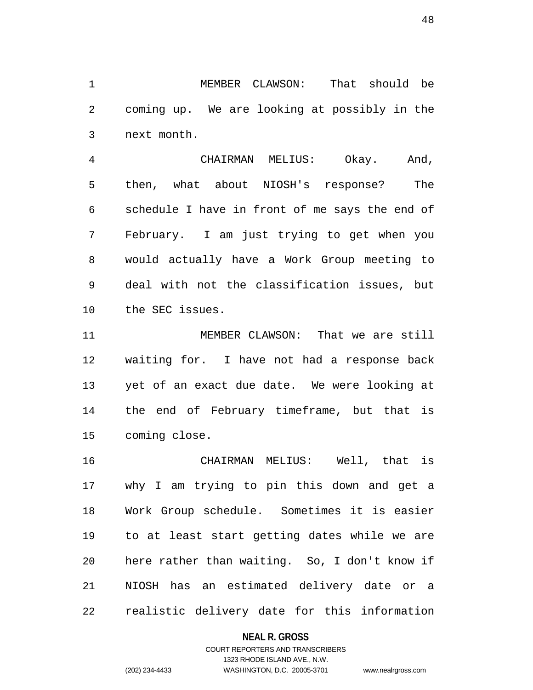1 MEMBER CLAWSON: That should be 2 coming up. We are looking at possibly in the 3 next month.

4 CHAIRMAN MELIUS: Okay. And, 5 then, what about NIOSH's response? The 6 schedule I have in front of me says the end of 7 February. I am just trying to get when you 8 would actually have a Work Group meeting to 9 deal with not the classification issues, but 10 the SEC issues.

11 MEMBER CLAWSON: That we are still 12 waiting for. I have not had a response back 13 yet of an exact due date. We were looking at 14 the end of February timeframe, but that is 15 coming close.

16 CHAIRMAN MELIUS: Well, that is 17 why I am trying to pin this down and get a 18 Work Group schedule. Sometimes it is easier 19 to at least start getting dates while we are 20 here rather than waiting. So, I don't know if 21 NIOSH has an estimated delivery date or a 22 realistic delivery date for this information

#### **NEAL R. GROSS**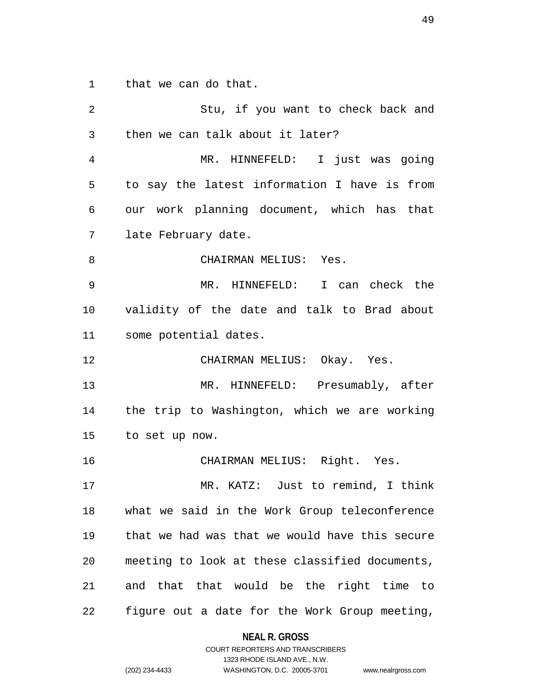1 that we can do that.

| 2  | Stu, if you want to check back and             |
|----|------------------------------------------------|
| 3  | then we can talk about it later?               |
| 4  | MR. HINNEFELD: I just was going                |
| 5  | to say the latest information I have is from   |
| 6  | our work planning document, which has that     |
| 7  | late February date.                            |
| 8  | CHAIRMAN MELIUS: Yes.                          |
| 9  | MR. HINNEFELD: I can check the                 |
| 10 | validity of the date and talk to Brad about    |
| 11 | some potential dates.                          |
| 12 | CHAIRMAN MELIUS: Okay. Yes.                    |
| 13 | MR. HINNEFELD: Presumably, after               |
| 14 | the trip to Washington, which we are working   |
| 15 | to set up now.                                 |
| 16 | CHAIRMAN MELIUS: Right. Yes.                   |
| 17 | MR. KATZ: Just to remind, I think              |
| 18 | what we said in the Work Group teleconference  |
| 19 | that we had was that we would have this secure |
| 20 | meeting to look at these classified documents, |
| 21 | and that that would be the right time to       |
| 22 | figure out a date for the Work Group meeting,  |

**NEAL R. GROSS** COURT REPORTERS AND TRANSCRIBERS

1323 RHODE ISLAND AVE., N.W.

(202) 234-4433 WASHINGTON, D.C. 20005-3701 www.nealrgross.com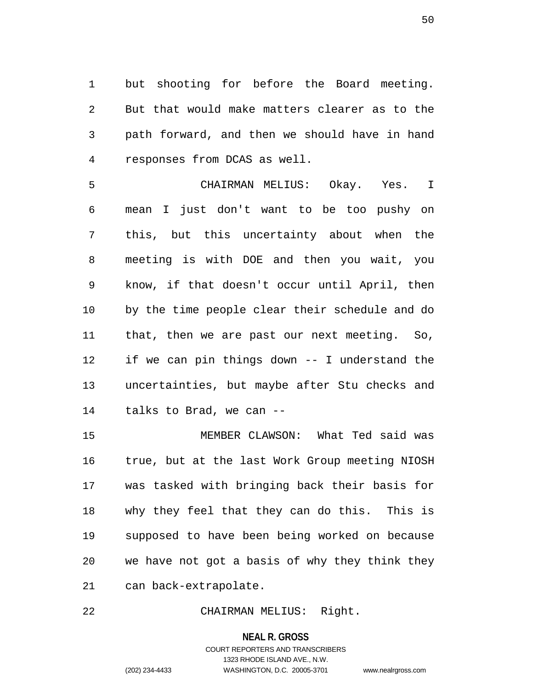1 but shooting for before the Board meeting. 2 But that would make matters clearer as to the 3 path forward, and then we should have in hand 4 responses from DCAS as well.

5 CHAIRMAN MELIUS: Okay. Yes. I 6 mean I just don't want to be too pushy on 7 this, but this uncertainty about when the 8 meeting is with DOE and then you wait, you 9 know, if that doesn't occur until April, then 10 by the time people clear their schedule and do 11 that, then we are past our next meeting. So, 12 if we can pin things down -- I understand the 13 uncertainties, but maybe after Stu checks and 14 talks to Brad, we can --

15 MEMBER CLAWSON: What Ted said was 16 true, but at the last Work Group meeting NIOSH 17 was tasked with bringing back their basis for 18 why they feel that they can do this. This is 19 supposed to have been being worked on because 20 we have not got a basis of why they think they 21 can back-extrapolate.

22 CHAIRMAN MELIUS: Right.

**NEAL R. GROSS**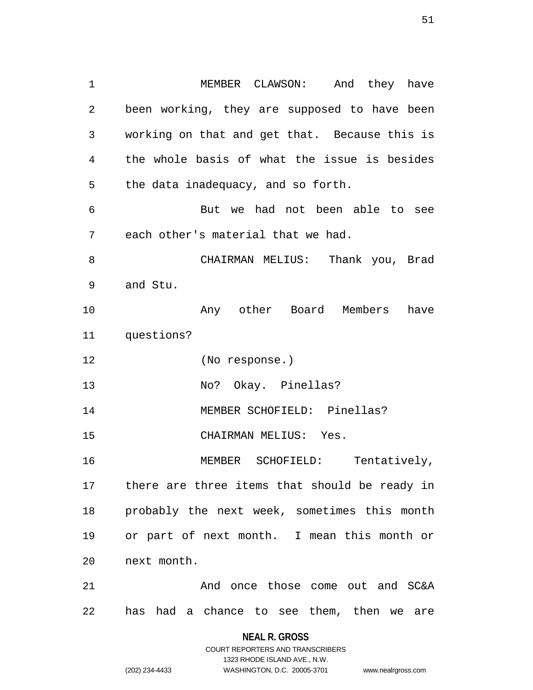1 MEMBER CLAWSON: And they have 2 been working, they are supposed to have been 3 working on that and get that. Because this is 4 the whole basis of what the issue is besides 5 the data inadequacy, and so forth. 6 But we had not been able to see 7 each other's material that we had. 8 CHAIRMAN MELIUS: Thank you, Brad 9 and Stu. 10 Any other Board Members have 11 questions? 12 (No response.) 13 No? Okay. Pinellas? 14 MEMBER SCHOFIELD: Pinellas? 15 CHAIRMAN MELIUS: Yes. 16 MEMBER SCHOFIELD: Tentatively, 17 there are three items that should be ready in 18 probably the next week, sometimes this month 19 or part of next month. I mean this month or 20 next month. 21 And once those come out and SC&A 22 has had a chance to see them, then we are

> **NEAL R. GROSS** COURT REPORTERS AND TRANSCRIBERS

> > 1323 RHODE ISLAND AVE., N.W.

(202) 234-4433 WASHINGTON, D.C. 20005-3701 www.nealrgross.com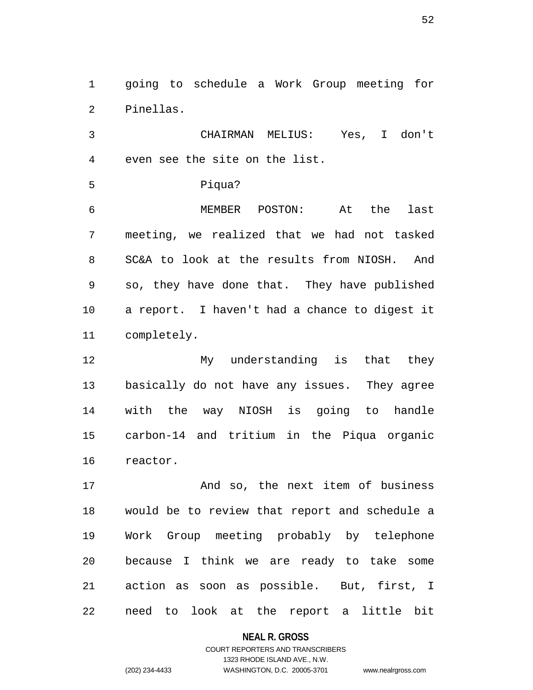1 going to schedule a Work Group meeting for 2 Pinellas.

3 CHAIRMAN MELIUS: Yes, I don't 4 even see the site on the list.

5 Piqua?

6 MEMBER POSTON: At the last 7 meeting, we realized that we had not tasked 8 SC&A to look at the results from NIOSH. And 9 so, they have done that. They have published 10 a report. I haven't had a chance to digest it 11 completely.

12 My understanding is that they 13 basically do not have any issues. They agree 14 with the way NIOSH is going to handle 15 carbon-14 and tritium in the Piqua organic 16 reactor.

17 And so, the next item of business 18 would be to review that report and schedule a 19 Work Group meeting probably by telephone 20 because I think we are ready to take some 21 action as soon as possible. But, first, I 22 need to look at the report a little bit

**NEAL R. GROSS**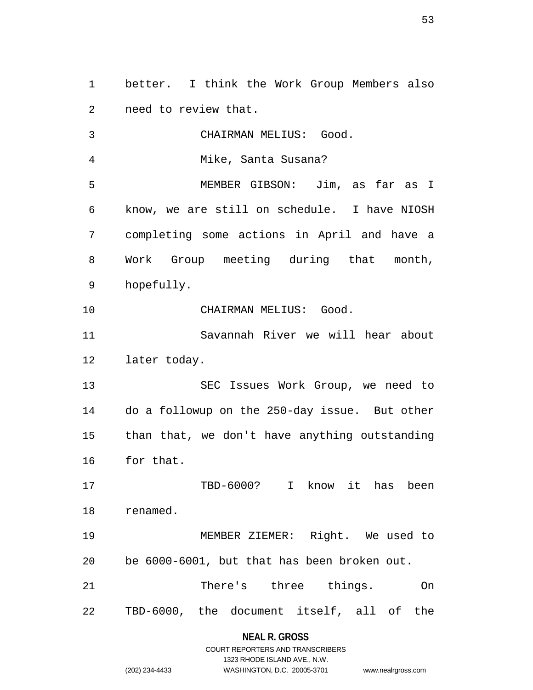1 better. I think the Work Group Members also 2 need to review that.

3 CHAIRMAN MELIUS: Good. 4 Mike, Santa Susana? 5 MEMBER GIBSON: Jim, as far as I 6 know, we are still on schedule. I have NIOSH 7 completing some actions in April and have a 8 Work Group meeting during that month, 9 hopefully. 10 CHAIRMAN MELIUS: Good. 11 Savannah River we will hear about 12 later today. 13 SEC Issues Work Group, we need to 14 do a followup on the 250-day issue. But other 15 than that, we don't have anything outstanding 16 for that. 17 TBD-6000? I know it has been 18 renamed. 19 MEMBER ZIEMER: Right. We used to 20 be 6000-6001, but that has been broken out. 21 There's three things. On 22 TBD-6000, the document itself, all of the

#### **NEAL R. GROSS**

|                | COURT REPORTERS AND TRANSCRIBERS |                    |
|----------------|----------------------------------|--------------------|
|                | 1323 RHODE ISLAND AVE N.W.       |                    |
| (202) 234-4433 | WASHINGTON, D.C. 20005-3701      | www.nealrgross.com |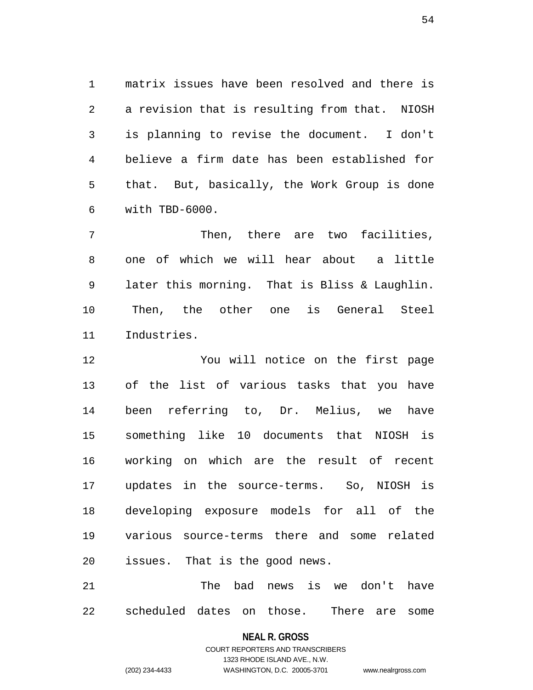1 matrix issues have been resolved and there is 2 a revision that is resulting from that. NIOSH 3 is planning to revise the document. I don't 4 believe a firm date has been established for 5 that. But, basically, the Work Group is done 6 with TBD-6000.

7 Then, there are two facilities, 8 one of which we will hear about a little 9 later this morning. That is Bliss & Laughlin. 10 Then, the other one is General Steel 11 Industries.

12 You will notice on the first page 13 of the list of various tasks that you have 14 been referring to, Dr. Melius, we have 15 something like 10 documents that NIOSH is 16 working on which are the result of recent 17 updates in the source-terms. So, NIOSH is 18 developing exposure models for all of the 19 various source-terms there and some related 20 issues. That is the good news.

21 The bad news is we don't have 22 scheduled dates on those. There are some

#### **NEAL R. GROSS**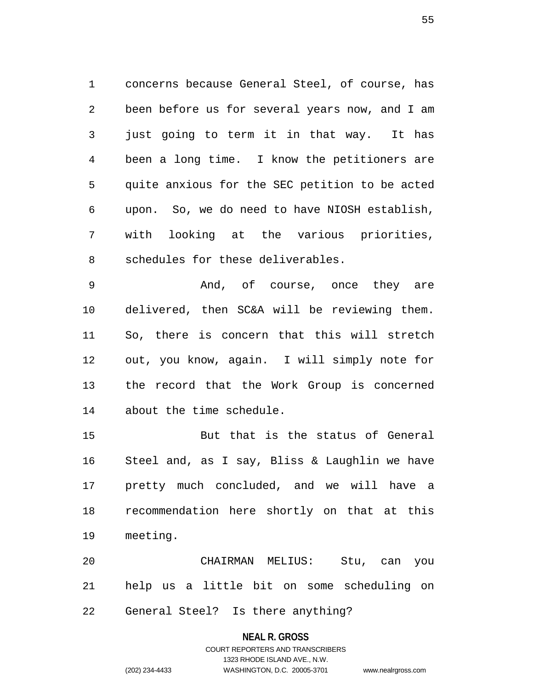1 concerns because General Steel, of course, has 2 been before us for several years now, and I am 3 just going to term it in that way. It has 4 been a long time. I know the petitioners are 5 quite anxious for the SEC petition to be acted 6 upon. So, we do need to have NIOSH establish, 7 with looking at the various priorities, 8 schedules for these deliverables.

9 And, of course, once they are 10 delivered, then SC&A will be reviewing them. 11 So, there is concern that this will stretch 12 out, you know, again. I will simply note for 13 the record that the Work Group is concerned 14 about the time schedule.

15 But that is the status of General 16 Steel and, as I say, Bliss & Laughlin we have 17 pretty much concluded, and we will have a 18 recommendation here shortly on that at this 19 meeting.

20 CHAIRMAN MELIUS: Stu, can you 21 help us a little bit on some scheduling on 22 General Steel? Is there anything?

#### **NEAL R. GROSS**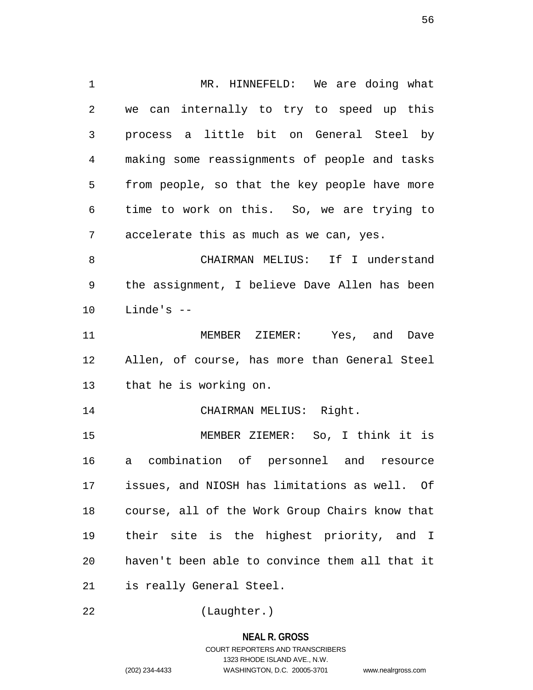1 MR. HINNEFELD: We are doing what 2 we can internally to try to speed up this 3 process a little bit on General Steel by 4 making some reassignments of people and tasks 5 from people, so that the key people have more 6 time to work on this. So, we are trying to 7 accelerate this as much as we can, yes. 8 CHAIRMAN MELIUS: If I understand 9 the assignment, I believe Dave Allen has been  $10$  Linde's  $-$ 11 MEMBER ZIEMER: Yes, and Dave 12 Allen, of course, has more than General Steel 13 that he is working on. 14 CHAIRMAN MELIUS: Right. 15 MEMBER ZIEMER: So, I think it is 16 a combination of personnel and resource 17 issues, and NIOSH has limitations as well. Of 18 course, all of the Work Group Chairs know that 19 their site is the highest priority, and I 20 haven't been able to convince them all that it 21 is really General Steel.

22 (Laughter.)

**NEAL R. GROSS** COURT REPORTERS AND TRANSCRIBERS 1323 RHODE ISLAND AVE., N.W. (202) 234-4433 WASHINGTON, D.C. 20005-3701 www.nealrgross.com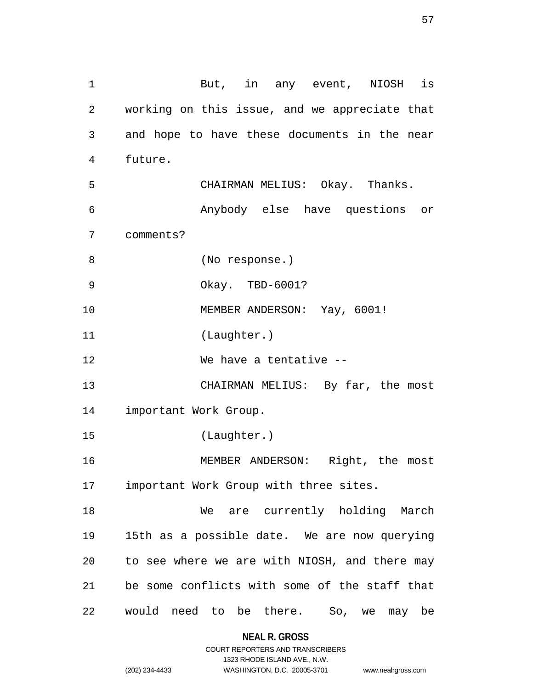1 But, in any event, NIOSH is 2 working on this issue, and we appreciate that 3 and hope to have these documents in the near 4 future. 5 CHAIRMAN MELIUS: Okay. Thanks. 6 Anybody else have questions or 7 comments? 8 (No response.) 9 Okay. TBD-6001? 10 MEMBER ANDERSON: Yay, 6001! 11 (Laughter.) 12 We have a tentative -- 13 CHAIRMAN MELIUS: By far, the most 14 important Work Group. 15 (Laughter.) 16 MEMBER ANDERSON: Right, the most 17 important Work Group with three sites. 18 We are currently holding March 19 15th as a possible date. We are now querying 20 to see where we are with NIOSH, and there may 21 be some conflicts with some of the staff that 22 would need to be there. So, we may be

> **NEAL R. GROSS** COURT REPORTERS AND TRANSCRIBERS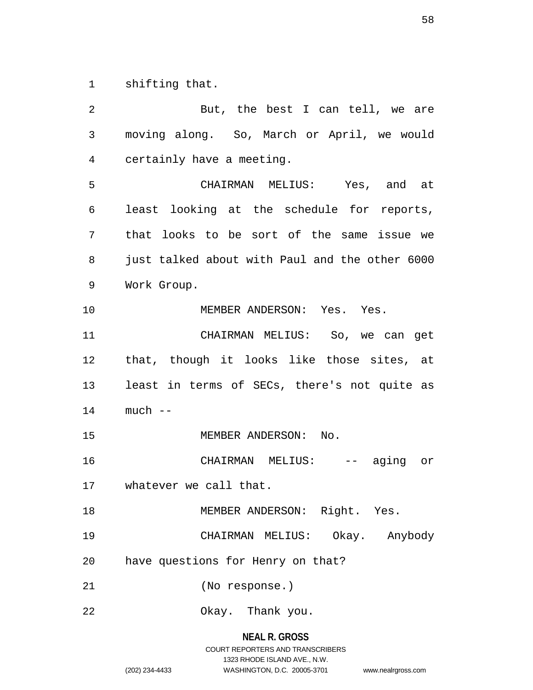1 shifting that.

2 But, the best I can tell, we are 3 moving along. So, March or April, we would 4 certainly have a meeting. 5 CHAIRMAN MELIUS: Yes, and at 6 least looking at the schedule for reports, 7 that looks to be sort of the same issue we 8 just talked about with Paul and the other 6000 9 Work Group. 10 MEMBER ANDERSON: Yes. Yes. 11 CHAIRMAN MELIUS: So, we can get 12 that, though it looks like those sites, at 13 least in terms of SECs, there's not quite as 14 much -- 15 MEMBER ANDERSON: No. 16 CHAIRMAN MELIUS: -- aging or 17 whatever we call that. 18 MEMBER ANDERSON: Right. Yes. 19 CHAIRMAN MELIUS: Okay. Anybody 20 have questions for Henry on that? 21 (No response.) 22 Okay. Thank you.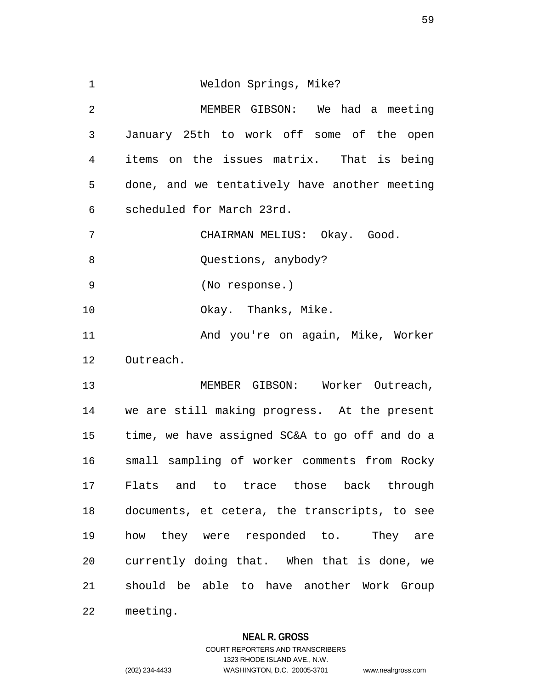1 Weldon Springs, Mike? 2 MEMBER GIBSON: We had a meeting 3 January 25th to work off some of the open 4 items on the issues matrix. That is being 5 done, and we tentatively have another meeting 6 scheduled for March 23rd. 7 CHAIRMAN MELIUS: Okay. Good. 8 Ouestions, anybody? 9 (No response.) 10 Okay. Thanks, Mike. 11 And you're on again, Mike, Worker 12 Outreach. 13 MEMBER GIBSON: Worker Outreach, 14 we are still making progress. At the present 15 time, we have assigned SC&A to go off and do a 16 small sampling of worker comments from Rocky 17 Flats and to trace those back through 18 documents, et cetera, the transcripts, to see 19 how they were responded to. They are 20 currently doing that. When that is done, we 21 should be able to have another Work Group 22 meeting.

### **NEAL R. GROSS**

# COURT REPORTERS AND TRANSCRIBERS 1323 RHODE ISLAND AVE., N.W. (202) 234-4433 WASHINGTON, D.C. 20005-3701 www.nealrgross.com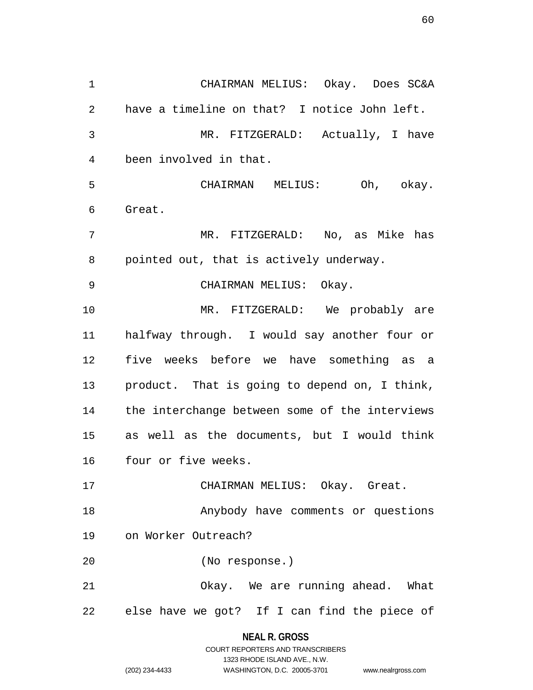1 CHAIRMAN MELIUS: Okay. Does SC&A 2 have a timeline on that? I notice John left. 3 MR. FITZGERALD: Actually, I have 4 been involved in that. 5 CHAIRMAN MELIUS: Oh, okay. 6 Great. 7 MR. FITZGERALD: No, as Mike has 8 pointed out, that is actively underway. 9 CHAIRMAN MELIUS: Okay. 10 MR. FITZGERALD: We probably are 11 halfway through. I would say another four or 12 five weeks before we have something as a 13 product. That is going to depend on, I think, 14 the interchange between some of the interviews 15 as well as the documents, but I would think 16 four or five weeks. 17 CHAIRMAN MELIUS: Okay. Great. 18 Anybody have comments or questions 19 on Worker Outreach? 20 (No response.) 21 Okay. We are running ahead. What 22 else have we got? If I can find the piece of

#### **NEAL R. GROSS**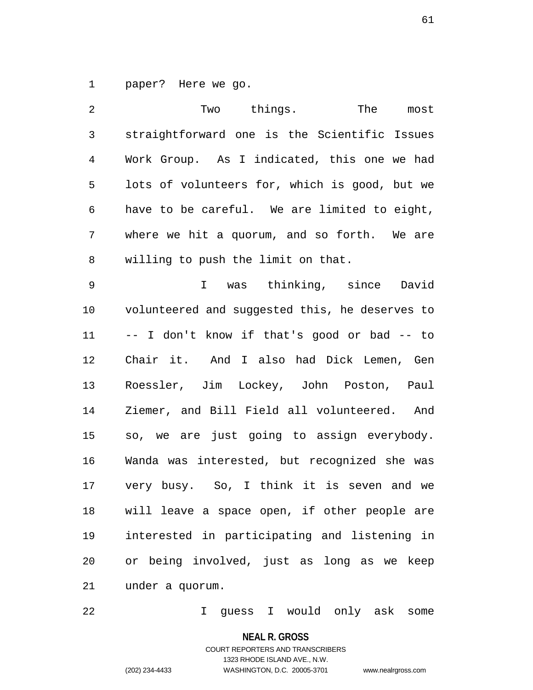1 paper? Here we go.

2 Two things. The most 3 straightforward one is the Scientific Issues 4 Work Group. As I indicated, this one we had 5 lots of volunteers for, which is good, but we 6 have to be careful. We are limited to eight, 7 where we hit a quorum, and so forth. We are 8 willing to push the limit on that. 9 I was thinking, since David 10 volunteered and suggested this, he deserves to 11 -- I don't know if that's good or bad -- to 12 Chair it. And I also had Dick Lemen, Gen 13 Roessler, Jim Lockey, John Poston, Paul 14 Ziemer, and Bill Field all volunteered. And 15 so, we are just going to assign everybody. 16 Wanda was interested, but recognized she was 17 very busy. So, I think it is seven and we 18 will leave a space open, if other people are 19 interested in participating and listening in 20 or being involved, just as long as we keep 21 under a quorum.

22 I guess I would only ask some

**NEAL R. GROSS**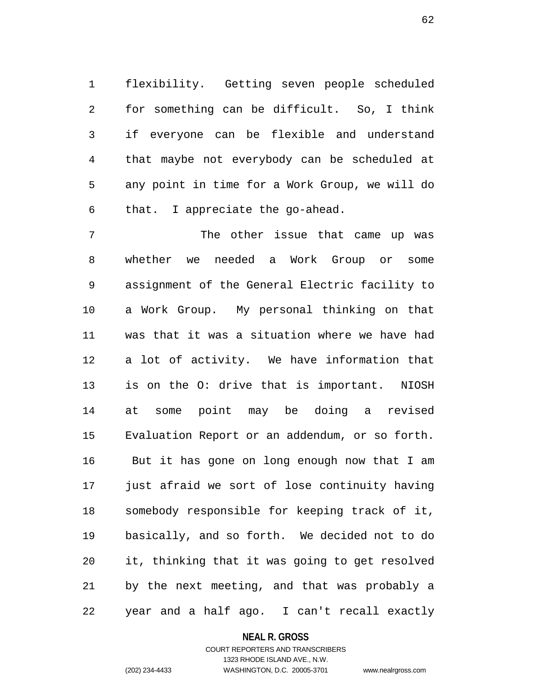1 flexibility. Getting seven people scheduled 2 for something can be difficult. So, I think 3 if everyone can be flexible and understand 4 that maybe not everybody can be scheduled at 5 any point in time for a Work Group, we will do 6 that. I appreciate the go-ahead.

7 The other issue that came up was 8 whether we needed a Work Group or some 9 assignment of the General Electric facility to 10 a Work Group. My personal thinking on that 11 was that it was a situation where we have had 12 a lot of activity. We have information that 13 is on the O: drive that is important. NIOSH 14 at some point may be doing a revised 15 Evaluation Report or an addendum, or so forth. 16 But it has gone on long enough now that I am 17 just afraid we sort of lose continuity having 18 somebody responsible for keeping track of it, 19 basically, and so forth. We decided not to do 20 it, thinking that it was going to get resolved 21 by the next meeting, and that was probably a 22 year and a half ago. I can't recall exactly

#### **NEAL R. GROSS**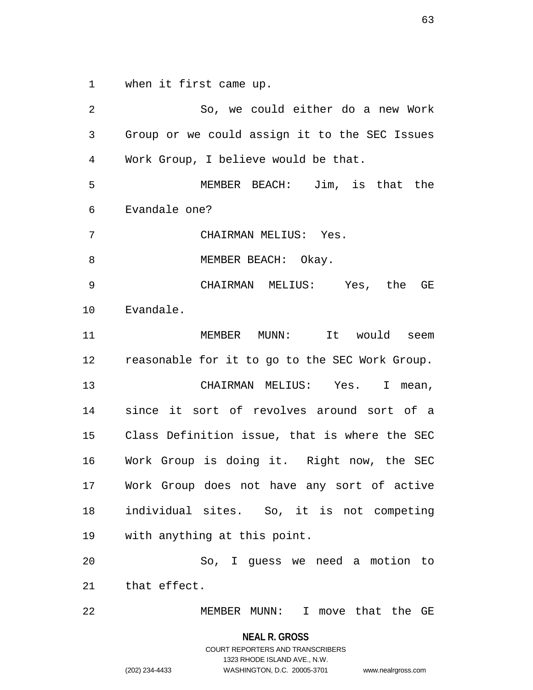1 when it first came up.

2 So, we could either do a new Work 3 Group or we could assign it to the SEC Issues 4 Work Group, I believe would be that. 5 MEMBER BEACH: Jim, is that the 6 Evandale one? 7 CHAIRMAN MELIUS: Yes. 8 MEMBER BEACH: Okay. 9 CHAIRMAN MELIUS: Yes, the GE 10 Evandale. 11 MEMBER MUNN: It would seem 12 reasonable for it to go to the SEC Work Group. 13 CHAIRMAN MELIUS: Yes. I mean, 14 since it sort of revolves around sort of a 15 Class Definition issue, that is where the SEC 16 Work Group is doing it. Right now, the SEC 17 Work Group does not have any sort of active 18 individual sites. So, it is not competing 19 with anything at this point. 20 So, I guess we need a motion to 21 that effect. 22 MEMBER MUNN: I move that the GE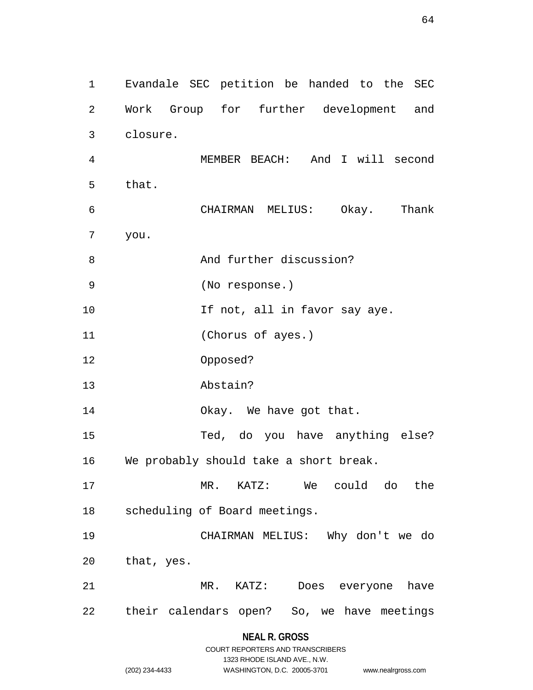1 Evandale SEC petition be handed to the SEC 2 Work Group for further development and 3 closure. 4 MEMBER BEACH: And I will second 5 that. 6 CHAIRMAN MELIUS: Okay. Thank 7 you. 8 And further discussion? 9 (No response.) 10 **If not, all in favor say aye.** 11 (Chorus of ayes.) 12 Opposed? 13 Abstain? 14 Okay. We have got that. 15 Ted, do you have anything else? 16 We probably should take a short break. 17 MR. KATZ: We could do the 18 scheduling of Board meetings. 19 CHAIRMAN MELIUS: Why don't we do 20 that, yes. 21 MR. KATZ: Does everyone have 22 their calendars open? So, we have meetings

### **NEAL R. GROSS**

|                | COURT REPORTERS AND TRANSCRIBERS |                    |
|----------------|----------------------------------|--------------------|
|                | 1323 RHODE ISLAND AVE N.W.       |                    |
| (202) 234-4433 | WASHINGTON, D.C. 20005-3701      | www.nealrgross.com |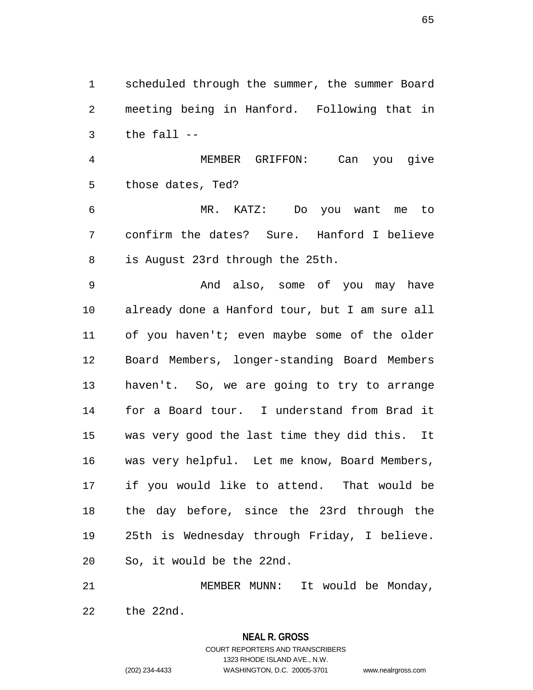1 scheduled through the summer, the summer Board 2 meeting being in Hanford. Following that in 3 the fall --

4 MEMBER GRIFFON: Can you give 5 those dates, Ted?

6 MR. KATZ: Do you want me to 7 confirm the dates? Sure. Hanford I believe 8 is August 23rd through the 25th.

9 And also, some of you may have 10 already done a Hanford tour, but I am sure all 11 of you haven't; even maybe some of the older 12 Board Members, longer-standing Board Members 13 haven't. So, we are going to try to arrange 14 for a Board tour. I understand from Brad it 15 was very good the last time they did this. It 16 was very helpful. Let me know, Board Members, 17 if you would like to attend. That would be 18 the day before, since the 23rd through the 19 25th is Wednesday through Friday, I believe. 20 So, it would be the 22nd.

21 MEMBER MUNN: It would be Monday, 22 the 22nd.

> **NEAL R. GROSS** COURT REPORTERS AND TRANSCRIBERS 1323 RHODE ISLAND AVE., N.W. (202) 234-4433 WASHINGTON, D.C. 20005-3701 www.nealrgross.com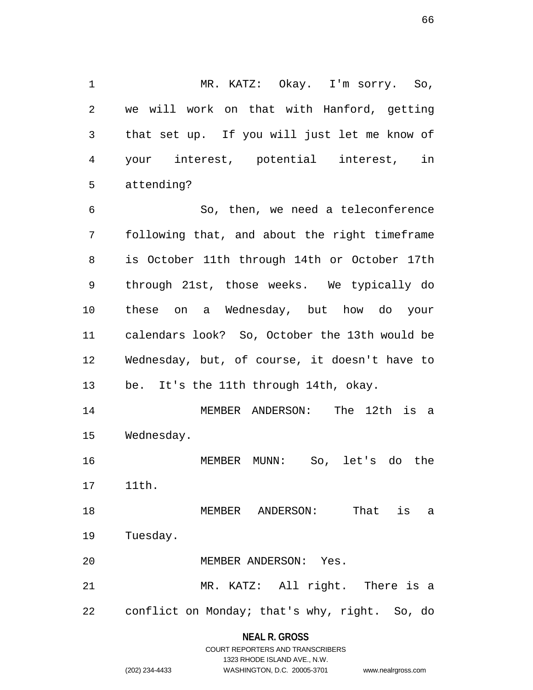1 MR. KATZ: Okay. I'm sorry. So, 2 we will work on that with Hanford, getting 3 that set up. If you will just let me know of 4 your interest, potential interest, in 5 attending?

6 So, then, we need a teleconference 7 following that, and about the right timeframe 8 is October 11th through 14th or October 17th 9 through 21st, those weeks. We typically do 10 these on a Wednesday, but how do your 11 calendars look? So, October the 13th would be 12 Wednesday, but, of course, it doesn't have to 13 be. It's the 11th through 14th, okay.

14 MEMBER ANDERSON: The 12th is a 15 Wednesday.

16 MEMBER MUNN: So, let's do the

17 11th.

18 MEMBER ANDERSON: That is a 19 Tuesday.

20 MEMBER ANDERSON: Yes.

21 MR. KATZ: All right. There is a 22 conflict on Monday; that's why, right. So, do

## **NEAL R. GROSS**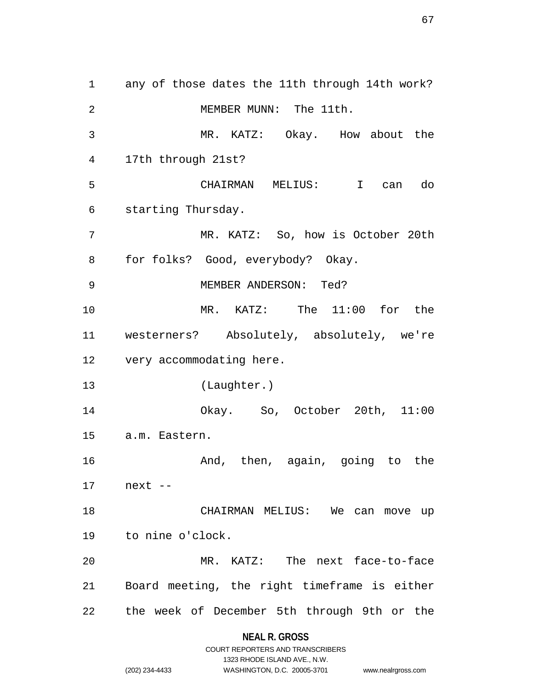1 any of those dates the 11th through 14th work? 2 MEMBER MUNN: The 11th. 3 MR. KATZ: Okay. How about the 4 17th through 21st? 5 CHAIRMAN MELIUS: I can do 6 starting Thursday. 7 MR. KATZ: So, how is October 20th 8 for folks? Good, everybody? Okay. 9 MEMBER ANDERSON: Ted? 10 MR. KATZ: The 11:00 for the 11 westerners? Absolutely, absolutely, we're 12 very accommodating here. 13 (Laughter.) 14 Okay. So, October 20th, 11:00 15 a.m. Eastern. 16 And, then, again, going to the 17 next -- 18 CHAIRMAN MELIUS: We can move up 19 to nine o'clock. 20 MR. KATZ: The next face-to-face 21 Board meeting, the right timeframe is either 22 the week of December 5th through 9th or the

**NEAL R. GROSS**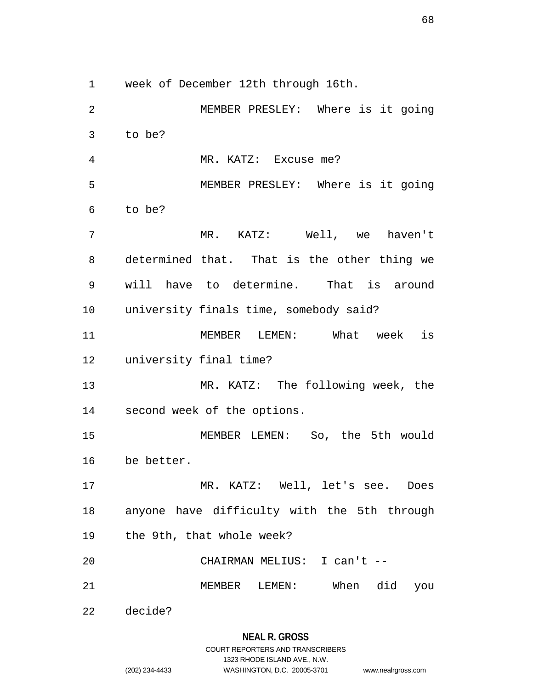1 week of December 12th through 16th.

2 MEMBER PRESLEY: Where is it going 3 to be? 4 MR. KATZ: Excuse me? 5 MEMBER PRESLEY: Where is it going 6 to be? 7 MR. KATZ: Well, we haven't 8 determined that. That is the other thing we 9 will have to determine. That is around 10 university finals time, somebody said? 11 MEMBER LEMEN: What week is 12 university final time? 13 MR. KATZ: The following week, the 14 second week of the options. 15 MEMBER LEMEN: So, the 5th would 16 be better. 17 MR. KATZ: Well, let's see. Does 18 anyone have difficulty with the 5th through 19 the 9th, that whole week? 20 CHAIRMAN MELIUS: I can't -- 21 MEMBER LEMEN: When did you 22 decide?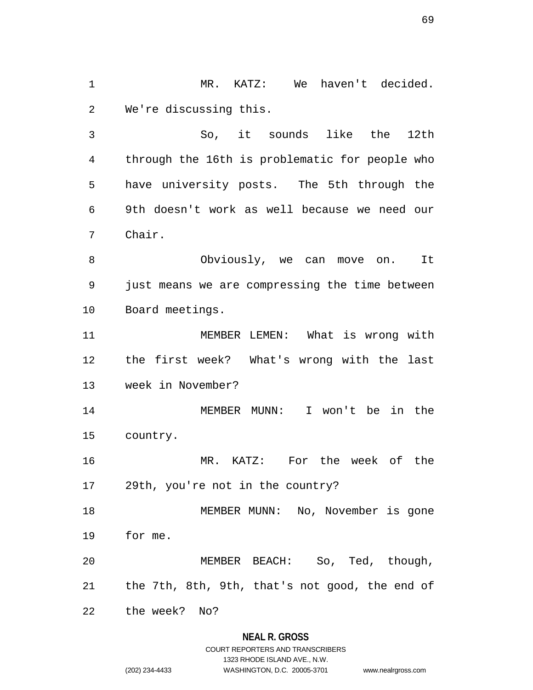1 MR. KATZ: We haven't decided. 2 We're discussing this.

3 So, it sounds like the 12th 4 through the 16th is problematic for people who 5 have university posts. The 5th through the 6 9th doesn't work as well because we need our 7 Chair.

8 Obviously, we can move on. It 9 just means we are compressing the time between 10 Board meetings.

11 MEMBER LEMEN: What is wrong with 12 the first week? What's wrong with the last 13 week in November?

14 MEMBER MUNN: I won't be in the 15 country.

16 MR. KATZ: For the week of the 17 29th, you're not in the country?

18 MEMBER MUNN: No, November is gone 19 for me.

20 MEMBER BEACH: So, Ted, though, 21 the 7th, 8th, 9th, that's not good, the end of

22 the week? No?

## **NEAL R. GROSS**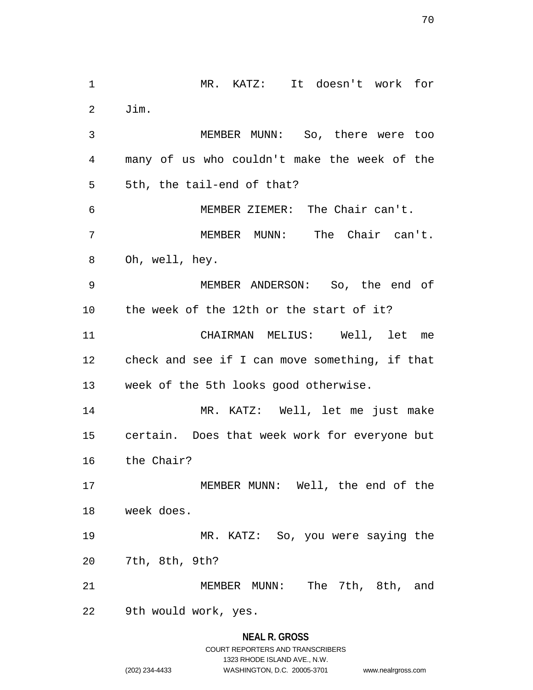1 MR. KATZ: It doesn't work for 2 Jim. 3 MEMBER MUNN: So, there were too 4 many of us who couldn't make the week of the 5 5th, the tail-end of that? 6 MEMBER ZIEMER: The Chair can't. 7 MEMBER MUNN: The Chair can't. 8 Oh, well, hey. 9 MEMBER ANDERSON: So, the end of 10 the week of the 12th or the start of it? 11 CHAIRMAN MELIUS: Well, let me 12 check and see if I can move something, if that 13 week of the 5th looks good otherwise. 14 MR. KATZ: Well, let me just make 15 certain. Does that week work for everyone but 16 the Chair? 17 MEMBER MUNN: Well, the end of the 18 week does. 19 MR. KATZ: So, you were saying the 20 7th, 8th, 9th? 21 MEMBER MUNN: The 7th, 8th, and 22 9th would work, yes.

# **NEAL R. GROSS** COURT REPORTERS AND TRANSCRIBERS 1323 RHODE ISLAND AVE., N.W. (202) 234-4433 WASHINGTON, D.C. 20005-3701 www.nealrgross.com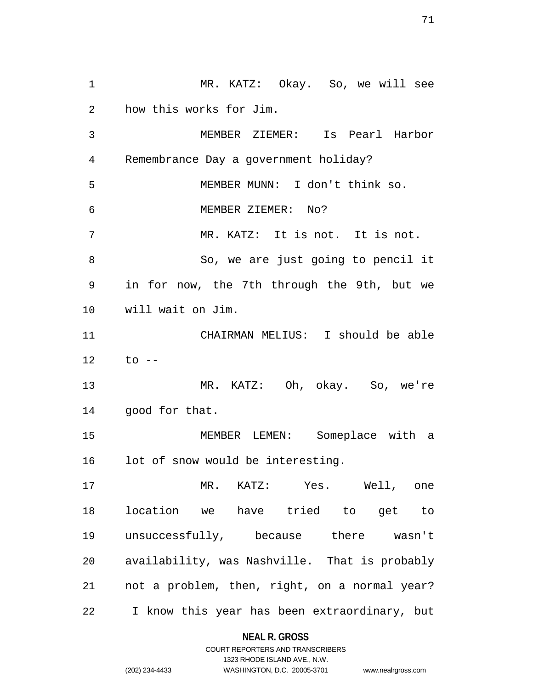1 MR. KATZ: Okay. So, we will see 2 how this works for Jim. 3 MEMBER ZIEMER: Is Pearl Harbor 4 Remembrance Day a government holiday? 5 MEMBER MUNN: I don't think so. 6 MEMBER ZIEMER: No? 7 MR. KATZ: It is not. It is not. 8 So, we are just going to pencil it 9 in for now, the 7th through the 9th, but we 10 will wait on Jim. 11 CHAIRMAN MELIUS: I should be able 12 to -- 13 MR. KATZ: Oh, okay. So, we're 14 good for that. 15 MEMBER LEMEN: Someplace with a 16 lot of snow would be interesting. 17 MR. KATZ: Yes. Well, one 18 location we have tried to get to 19 unsuccessfully, because there wasn't 20 availability, was Nashville. That is probably 21 not a problem, then, right, on a normal year? 22 I know this year has been extraordinary, but

### **NEAL R. GROSS**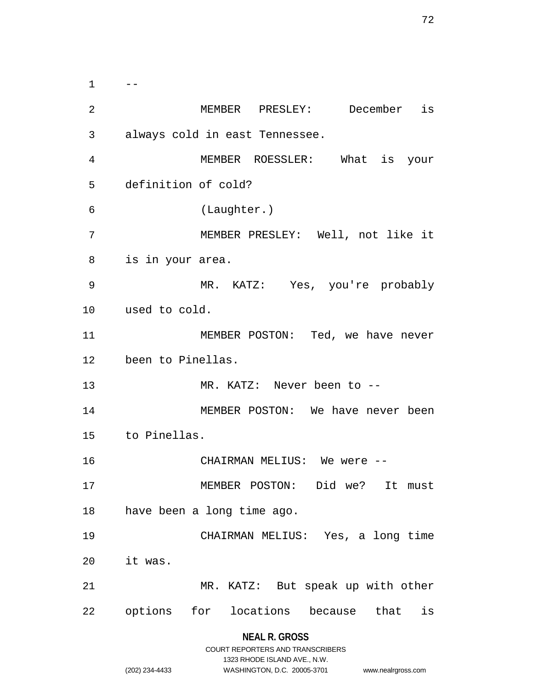$1 \qquad --$ 2 MEMBER PRESLEY: December is 3 always cold in east Tennessee. 4 MEMBER ROESSLER: What is your 5 definition of cold? 6 (Laughter.) 7 MEMBER PRESLEY: Well, not like it 8 is in your area. 9 MR. KATZ: Yes, you're probably 10 used to cold. 11 MEMBER POSTON: Ted, we have never 12 been to Pinellas. 13 MR. KATZ: Never been to -- 14 MEMBER POSTON: We have never been 15 to Pinellas. 16 CHAIRMAN MELIUS: We were -- 17 MEMBER POSTON: Did we? It must 18 have been a long time ago. 19 CHAIRMAN MELIUS: Yes, a long time 20 it was. 21 MR. KATZ: But speak up with other 22 options for locations because that is

# **NEAL R. GROSS**

|                | COURT REPORTERS AND TRANSCRIBERS |                    |
|----------------|----------------------------------|--------------------|
|                | 1323 RHODE ISLAND AVE N.W.       |                    |
| (202) 234-4433 | WASHINGTON, D.C. 20005-3701      | www.nealrgross.com |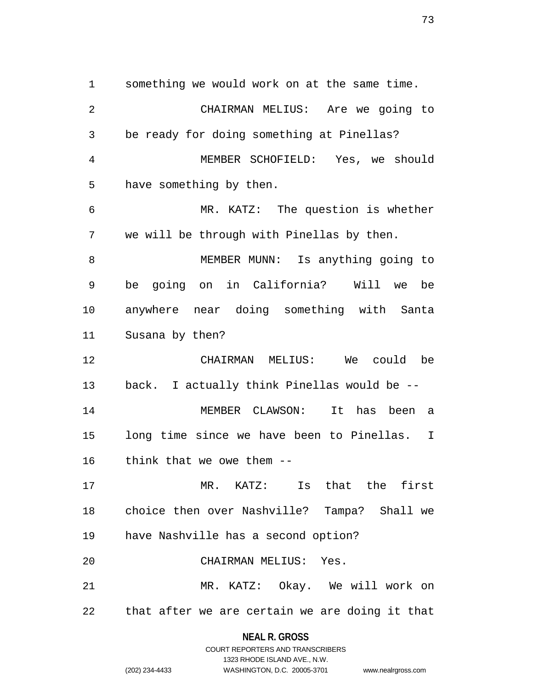1 something we would work on at the same time. 2 CHAIRMAN MELIUS: Are we going to 3 be ready for doing something at Pinellas? 4 MEMBER SCHOFIELD: Yes, we should 5 have something by then. 6 MR. KATZ: The question is whether 7 we will be through with Pinellas by then. 8 MEMBER MUNN: Is anything going to 9 be going on in California? Will we be 10 anywhere near doing something with Santa 11 Susana by then? 12 CHAIRMAN MELIUS: We could be 13 back. I actually think Pinellas would be -- 14 MEMBER CLAWSON: It has been a 15 long time since we have been to Pinellas. I 16 think that we owe them -- 17 MR. KATZ: Is that the first 18 choice then over Nashville? Tampa? Shall we 19 have Nashville has a second option? 20 CHAIRMAN MELIUS: Yes. 21 MR. KATZ: Okay. We will work on 22 that after we are certain we are doing it that

#### **NEAL R. GROSS**

COURT REPORTERS AND TRANSCRIBERS 1323 RHODE ISLAND AVE., N.W. (202) 234-4433 WASHINGTON, D.C. 20005-3701 www.nealrgross.com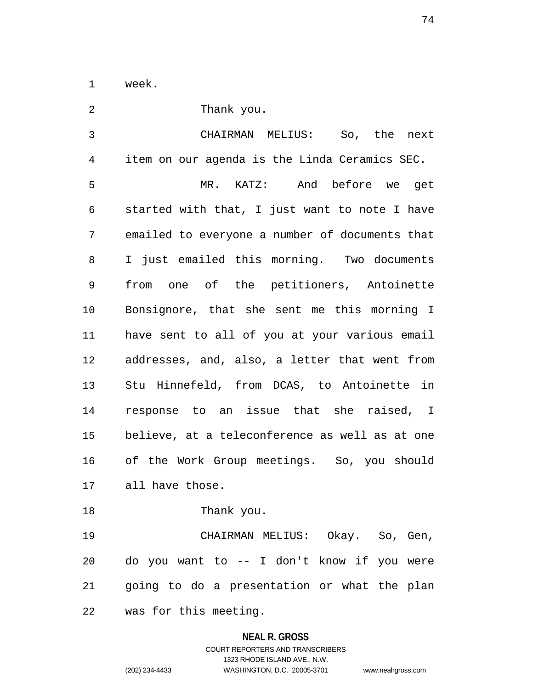1 week.

| 2  | Thank you.                                     |  |  |
|----|------------------------------------------------|--|--|
| 3  | CHAIRMAN MELIUS: So, the<br>next               |  |  |
| 4  | item on our agenda is the Linda Ceramics SEC.  |  |  |
| 5  | MR. KATZ: And before we get                    |  |  |
| 6  | started with that, I just want to note I have  |  |  |
| 7  | emailed to everyone a number of documents that |  |  |
| 8  | I just emailed this morning. Two documents     |  |  |
| 9  | from one of the petitioners, Antoinette        |  |  |
| 10 | Bonsignore, that she sent me this morning I    |  |  |
| 11 | have sent to all of you at your various email  |  |  |
| 12 | addresses, and, also, a letter that went from  |  |  |
| 13 | Stu Hinnefeld, from DCAS, to Antoinette in     |  |  |
| 14 | response to an issue that she raised, I        |  |  |
| 15 | believe, at a teleconference as well as at one |  |  |
| 16 | of the Work Group meetings. So, you should     |  |  |
| 17 | all have those.                                |  |  |
| 18 | Thank you.                                     |  |  |
| 19 | CHAIRMAN MELIUS: Okay. So, Gen,                |  |  |
| 20 | do you want to -- I don't know if you were     |  |  |
| 21 | going to do a presentation or what the plan    |  |  |
| 22 | was for this meeting.                          |  |  |

# **NEAL R. GROSS**

# COURT REPORTERS AND TRANSCRIBERS 1323 RHODE ISLAND AVE., N.W. (202) 234-4433 WASHINGTON, D.C. 20005-3701 www.nealrgross.com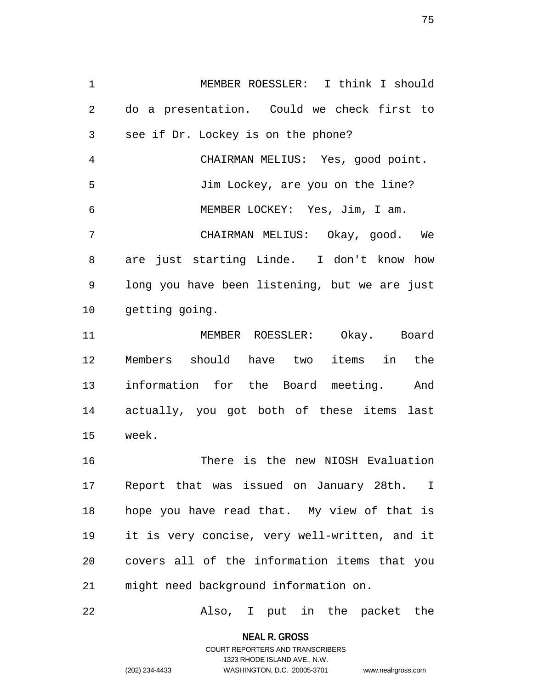1 MEMBER ROESSLER: I think I should 2 do a presentation. Could we check first to 3 see if Dr. Lockey is on the phone? 4 CHAIRMAN MELIUS: Yes, good point. 5 Jim Lockey, are you on the line? 6 MEMBER LOCKEY: Yes, Jim, I am. 7 CHAIRMAN MELIUS: Okay, good. We 8 are just starting Linde. I don't know how 9 long you have been listening, but we are just 10 getting going. 11 MEMBER ROESSLER: Okay. Board 12 Members should have two items in the 13 information for the Board meeting. And 14 actually, you got both of these items last 15 week. 16 There is the new NIOSH Evaluation 17 Report that was issued on January 28th. I 18 hope you have read that. My view of that is 19 it is very concise, very well-written, and it 20 covers all of the information items that you 21 might need background information on.

22 Also, I put in the packet the

**NEAL R. GROSS** COURT REPORTERS AND TRANSCRIBERS

1323 RHODE ISLAND AVE., N.W.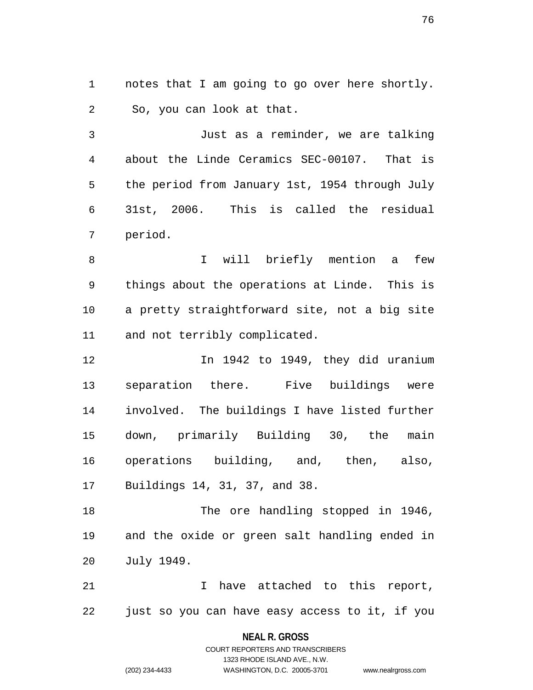1 notes that I am going to go over here shortly. 2 So, you can look at that.

3 Just as a reminder, we are talking 4 about the Linde Ceramics SEC-00107. That is 5 the period from January 1st, 1954 through July 6 31st, 2006. This is called the residual 7 period.

8 1 Vill briefly mention a few 9 things about the operations at Linde. This is 10 a pretty straightforward site, not a big site 11 and not terribly complicated.

12 In 1942 to 1949, they did uranium 13 separation there. Five buildings were 14 involved. The buildings I have listed further 15 down, primarily Building 30, the main 16 operations building, and, then, also, 17 Buildings 14, 31, 37, and 38.

18 The ore handling stopped in 1946, 19 and the oxide or green salt handling ended in 20 July 1949.

21 I have attached to this report, 22 just so you can have easy access to it, if you

### **NEAL R. GROSS**

COURT REPORTERS AND TRANSCRIBERS 1323 RHODE ISLAND AVE., N.W. (202) 234-4433 WASHINGTON, D.C. 20005-3701 www.nealrgross.com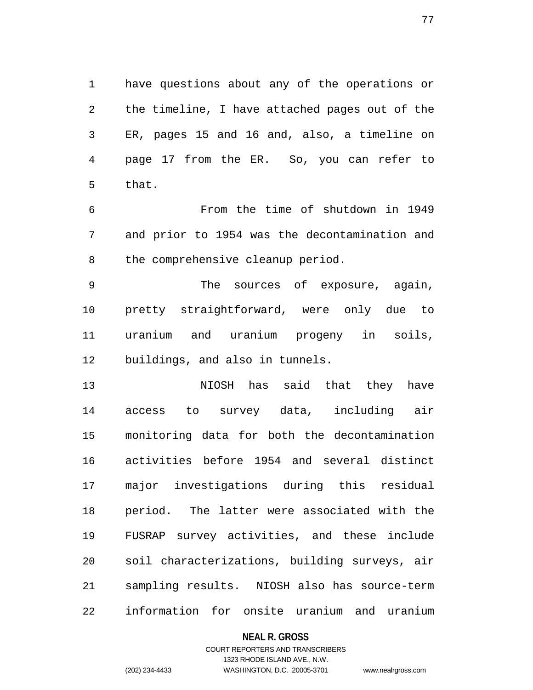1 have questions about any of the operations or 2 the timeline, I have attached pages out of the 3 ER, pages 15 and 16 and, also, a timeline on 4 page 17 from the ER. So, you can refer to 5 that.

6 From the time of shutdown in 1949 7 and prior to 1954 was the decontamination and 8 the comprehensive cleanup period.

9 The sources of exposure, again, 10 pretty straightforward, were only due to 11 uranium and uranium progeny in soils, 12 buildings, and also in tunnels.

13 NIOSH has said that they have 14 access to survey data, including air 15 monitoring data for both the decontamination 16 activities before 1954 and several distinct 17 major investigations during this residual 18 period. The latter were associated with the 19 FUSRAP survey activities, and these include 20 soil characterizations, building surveys, air 21 sampling results. NIOSH also has source-term 22 information for onsite uranium and uranium

### **NEAL R. GROSS**

### COURT REPORTERS AND TRANSCRIBERS 1323 RHODE ISLAND AVE., N.W. (202) 234-4433 WASHINGTON, D.C. 20005-3701 www.nealrgross.com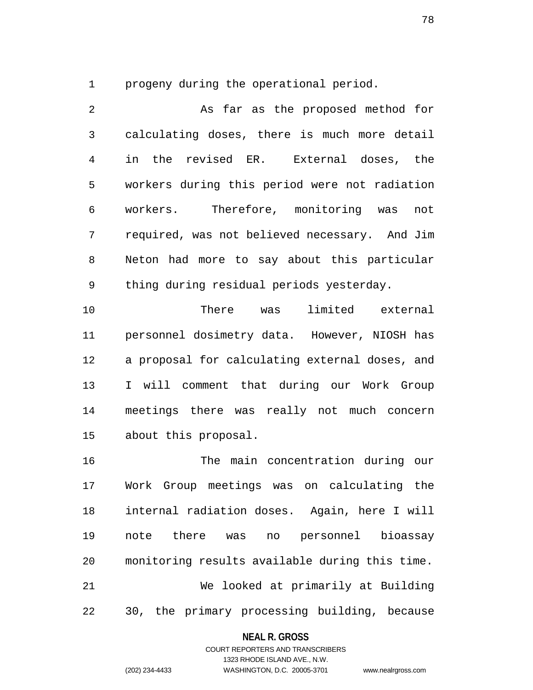1 progeny during the operational period.

2 As far as the proposed method for 3 calculating doses, there is much more detail 4 in the revised ER. External doses, the 5 workers during this period were not radiation 6 workers. Therefore, monitoring was not 7 required, was not believed necessary. And Jim 8 Neton had more to say about this particular 9 thing during residual periods yesterday.

10 There was limited external 11 personnel dosimetry data. However, NIOSH has 12 a proposal for calculating external doses, and 13 I will comment that during our Work Group 14 meetings there was really not much concern 15 about this proposal.

16 The main concentration during our 17 Work Group meetings was on calculating the 18 internal radiation doses. Again, here I will 19 note there was no personnel bioassay 20 monitoring results available during this time. 21 We looked at primarily at Building 22 30, the primary processing building, because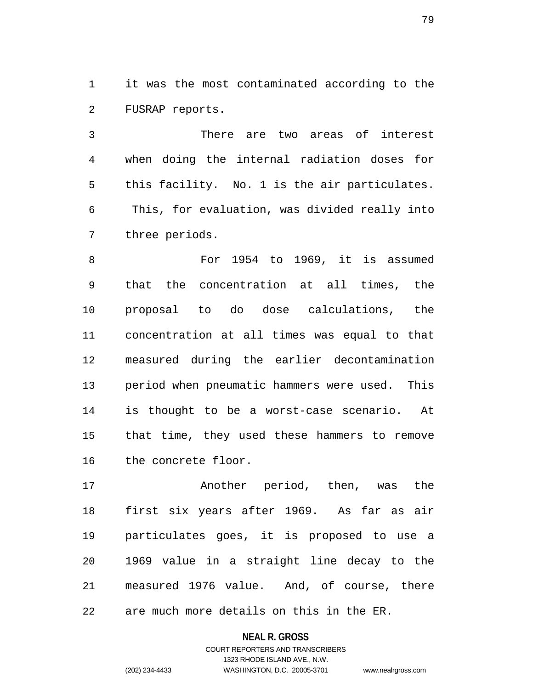1 it was the most contaminated according to the 2 FUSRAP reports.

3 There are two areas of interest 4 when doing the internal radiation doses for 5 this facility. No. 1 is the air particulates. 6 This, for evaluation, was divided really into 7 three periods.

8 For 1954 to 1969, it is assumed 9 that the concentration at all times, the 10 proposal to do dose calculations, the 11 concentration at all times was equal to that 12 measured during the earlier decontamination 13 period when pneumatic hammers were used. This 14 is thought to be a worst-case scenario. At 15 that time, they used these hammers to remove 16 the concrete floor.

17 Another period, then, was the 18 first six years after 1969. As far as air 19 particulates goes, it is proposed to use a 20 1969 value in a straight line decay to the 21 measured 1976 value. And, of course, there 22 are much more details on this in the ER.

> **NEAL R. GROSS** COURT REPORTERS AND TRANSCRIBERS 1323 RHODE ISLAND AVE., N.W. (202) 234-4433 WASHINGTON, D.C. 20005-3701 www.nealrgross.com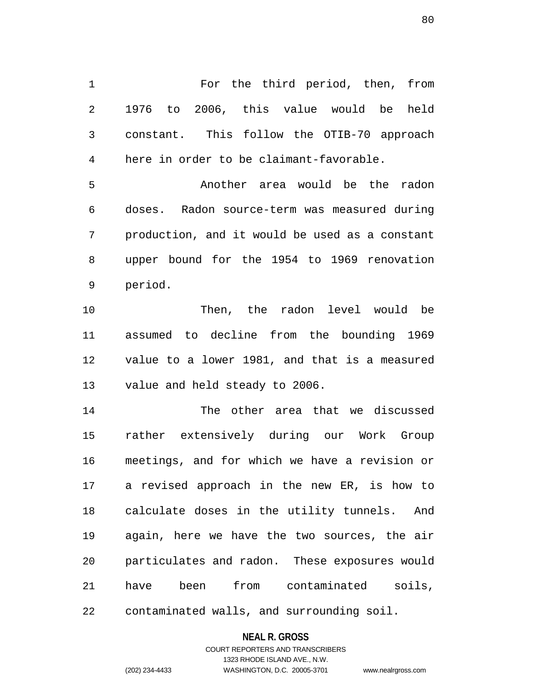1 For the third period, then, from 2 1976 to 2006, this value would be held 3 constant. This follow the OTIB-70 approach 4 here in order to be claimant-favorable.

5 Another area would be the radon 6 doses. Radon source-term was measured during 7 production, and it would be used as a constant 8 upper bound for the 1954 to 1969 renovation 9 period.

10 Then, the radon level would be 11 assumed to decline from the bounding 1969 12 value to a lower 1981, and that is a measured 13 value and held steady to 2006.

14 The other area that we discussed 15 rather extensively during our Work Group 16 meetings, and for which we have a revision or 17 a revised approach in the new ER, is how to 18 calculate doses in the utility tunnels. And 19 again, here we have the two sources, the air 20 particulates and radon. These exposures would 21 have been from contaminated soils, 22 contaminated walls, and surrounding soil.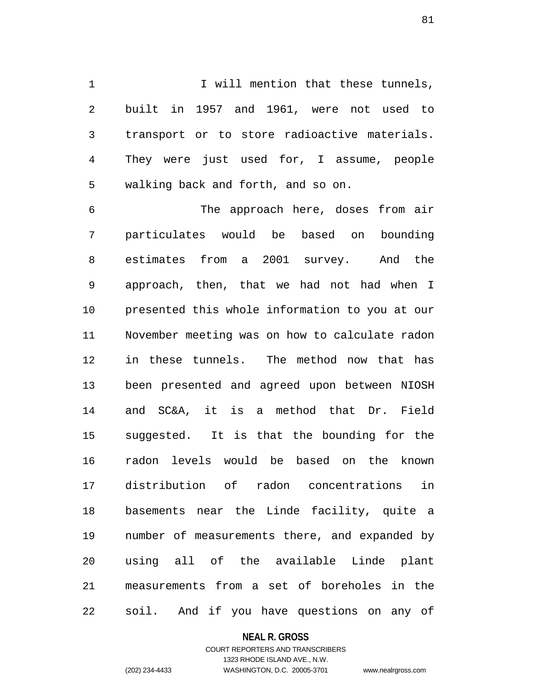1 1 I will mention that these tunnels, 2 built in 1957 and 1961, were not used to 3 transport or to store radioactive materials. 4 They were just used for, I assume, people 5 walking back and forth, and so on.

6 The approach here, doses from air 7 particulates would be based on bounding 8 estimates from a 2001 survey. And the 9 approach, then, that we had not had when I 10 presented this whole information to you at our 11 November meeting was on how to calculate radon 12 in these tunnels. The method now that has 13 been presented and agreed upon between NIOSH 14 and SC&A, it is a method that Dr. Field 15 suggested. It is that the bounding for the 16 radon levels would be based on the known 17 distribution of radon concentrations in 18 basements near the Linde facility, quite a 19 number of measurements there, and expanded by 20 using all of the available Linde plant 21 measurements from a set of boreholes in the 22 soil. And if you have questions on any of

#### **NEAL R. GROSS**

### COURT REPORTERS AND TRANSCRIBERS 1323 RHODE ISLAND AVE., N.W. (202) 234-4433 WASHINGTON, D.C. 20005-3701 www.nealrgross.com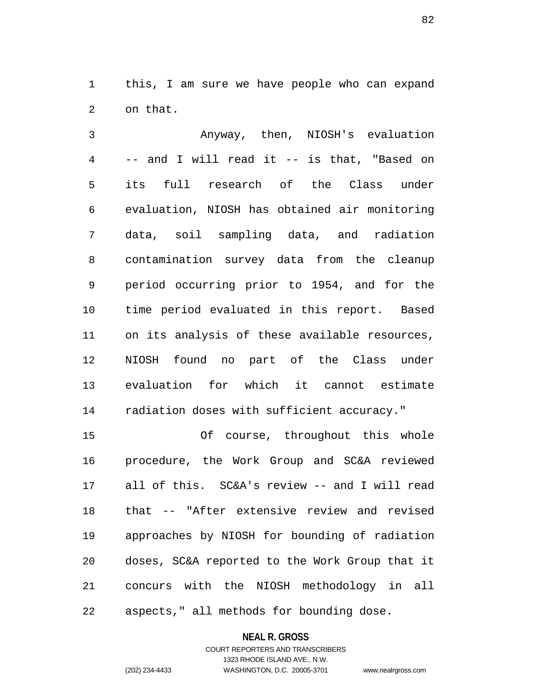1 this, I am sure we have people who can expand 2 on that.

3 Anyway, then, NIOSH's evaluation 4 -- and I will read it -- is that, "Based on 5 its full research of the Class under 6 evaluation, NIOSH has obtained air monitoring 7 data, soil sampling data, and radiation 8 contamination survey data from the cleanup 9 period occurring prior to 1954, and for the 10 time period evaluated in this report. Based 11 on its analysis of these available resources, 12 NIOSH found no part of the Class under 13 evaluation for which it cannot estimate 14 radiation doses with sufficient accuracy."

15 Of course, throughout this whole 16 procedure, the Work Group and SC&A reviewed 17 all of this. SC&A's review -- and I will read 18 that -- "After extensive review and revised 19 approaches by NIOSH for bounding of radiation 20 doses, SC&A reported to the Work Group that it 21 concurs with the NIOSH methodology in all 22 aspects," all methods for bounding dose.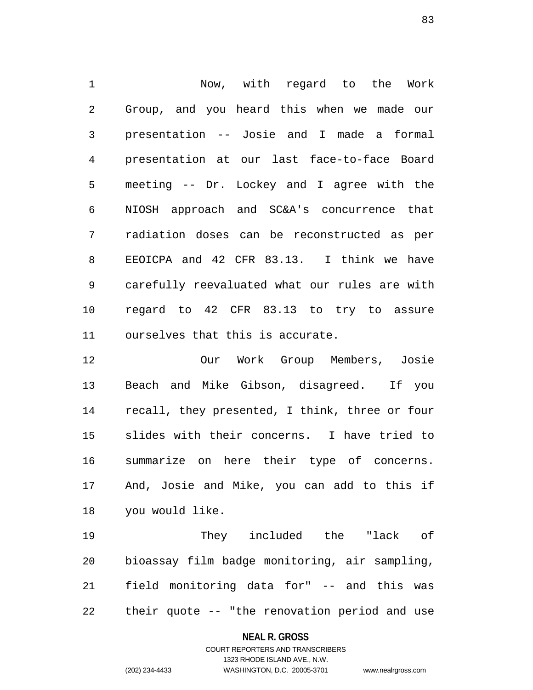1 Now, with regard to the Work 2 Group, and you heard this when we made our 3 presentation -- Josie and I made a formal 4 presentation at our last face-to-face Board 5 meeting -- Dr. Lockey and I agree with the 6 NIOSH approach and SC&A's concurrence that 7 radiation doses can be reconstructed as per 8 EEOICPA and 42 CFR 83.13. I think we have 9 carefully reevaluated what our rules are with 10 regard to 42 CFR 83.13 to try to assure 11 ourselves that this is accurate.

12 Our Work Group Members, Josie 13 Beach and Mike Gibson, disagreed. If you 14 recall, they presented, I think, three or four 15 slides with their concerns. I have tried to 16 summarize on here their type of concerns. 17 And, Josie and Mike, you can add to this if 18 you would like.

19 They included the "lack of 20 bioassay film badge monitoring, air sampling, 21 field monitoring data for" -- and this was 22 their quote -- "the renovation period and use

### **NEAL R. GROSS**

### COURT REPORTERS AND TRANSCRIBERS 1323 RHODE ISLAND AVE., N.W. (202) 234-4433 WASHINGTON, D.C. 20005-3701 www.nealrgross.com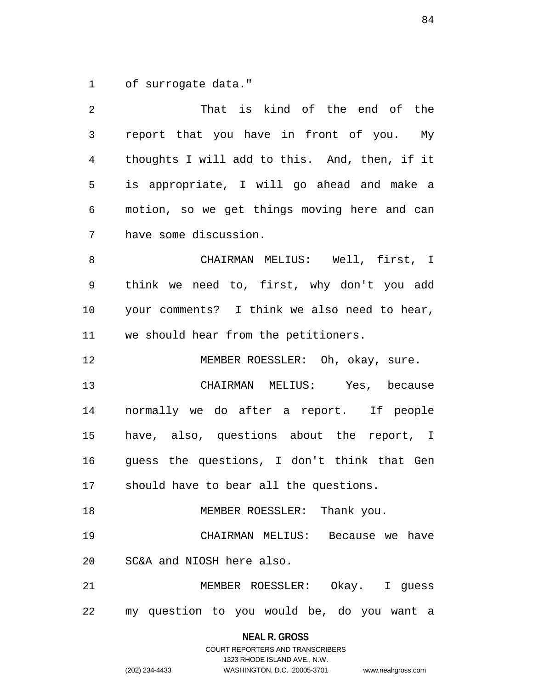1 of surrogate data."

| 2  | That is kind of the end of the                |  |  |  |
|----|-----------------------------------------------|--|--|--|
| 3  | report that you have in front of you. My      |  |  |  |
| 4  | thoughts I will add to this. And, then, if it |  |  |  |
| 5  | is appropriate, I will go ahead and make a    |  |  |  |
| 6  | motion, so we get things moving here and can  |  |  |  |
| 7  | have some discussion.                         |  |  |  |
| 8  | CHAIRMAN MELIUS: Well, first, I               |  |  |  |
| 9  | think we need to, first, why don't you add    |  |  |  |
| 10 | your comments? I think we also need to hear,  |  |  |  |
| 11 | we should hear from the petitioners.          |  |  |  |
| 12 | MEMBER ROESSLER: Oh, okay, sure.              |  |  |  |
| 13 | CHAIRMAN MELIUS: Yes, because                 |  |  |  |
| 14 | normally we do after a report. If people      |  |  |  |
| 15 | have, also, questions about the report, I     |  |  |  |
| 16 | guess the questions, I don't think that Gen   |  |  |  |
| 17 | should have to bear all the questions.        |  |  |  |
| 18 | MEMBER ROESSLER: Thank you.                   |  |  |  |
| 19 | CHAIRMAN MELIUS: Because we have              |  |  |  |
| 20 | SC&A and NIOSH here also.                     |  |  |  |
| 21 | MEMBER ROESSLER: Okay. I guess                |  |  |  |
|    | 22 my question to you would be, do you want a |  |  |  |

**NEAL R. GROSS**

## COURT REPORTERS AND TRANSCRIBERS 1323 RHODE ISLAND AVE., N.W. (202) 234-4433 WASHINGTON, D.C. 20005-3701 www.nealrgross.com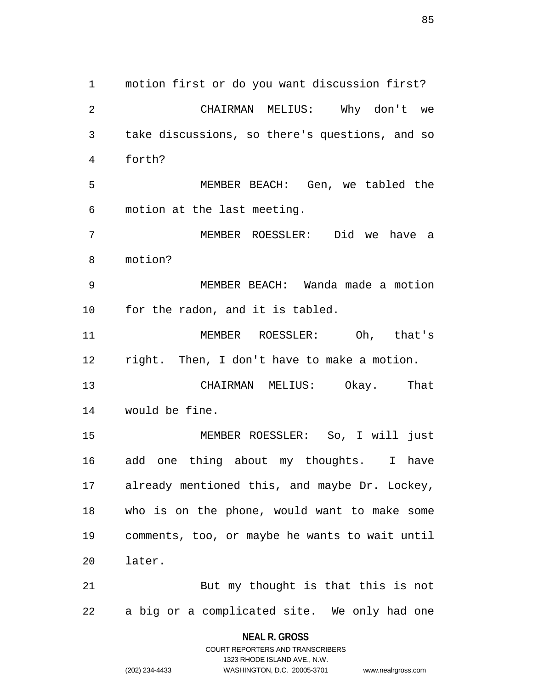1 motion first or do you want discussion first? 2 CHAIRMAN MELIUS: Why don't we 3 take discussions, so there's questions, and so 4 forth? 5 MEMBER BEACH: Gen, we tabled the 6 motion at the last meeting. 7 MEMBER ROESSLER: Did we have a 8 motion? 9 MEMBER BEACH: Wanda made a motion 10 for the radon, and it is tabled. 11 MEMBER ROESSLER: Oh, that's 12 right. Then, I don't have to make a motion. 13 CHAIRMAN MELIUS: Okay. That 14 would be fine. 15 MEMBER ROESSLER: So, I will just 16 add one thing about my thoughts. I have 17 already mentioned this, and maybe Dr. Lockey, 18 who is on the phone, would want to make some 19 comments, too, or maybe he wants to wait until 20 later. 21 But my thought is that this is not 22 a big or a complicated site. We only had one

> **NEAL R. GROSS** COURT REPORTERS AND TRANSCRIBERS

> > 1323 RHODE ISLAND AVE., N.W.

(202) 234-4433 WASHINGTON, D.C. 20005-3701 www.nealrgross.com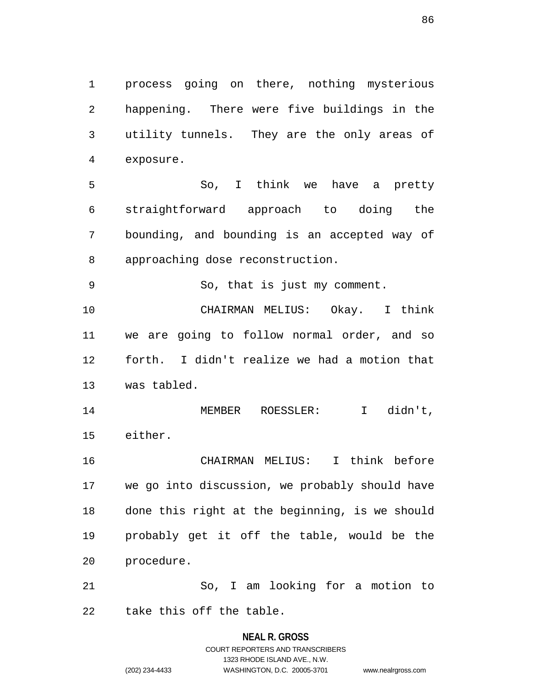1 process going on there, nothing mysterious 2 happening. There were five buildings in the 3 utility tunnels. They are the only areas of 4 exposure.

5 So, I think we have a pretty 6 straightforward approach to doing the 7 bounding, and bounding is an accepted way of 8 approaching dose reconstruction.

9 So, that is just my comment.

10 CHAIRMAN MELIUS: Okay. I think 11 we are going to follow normal order, and so 12 forth. I didn't realize we had a motion that 13 was tabled.

14 MEMBER ROESSLER: I didn't, 15 either.

16 CHAIRMAN MELIUS: I think before 17 we go into discussion, we probably should have 18 done this right at the beginning, is we should 19 probably get it off the table, would be the 20 procedure.

21 So, I am looking for a motion to 22 take this off the table.

# **NEAL R. GROSS** COURT REPORTERS AND TRANSCRIBERS 1323 RHODE ISLAND AVE., N.W. (202) 234-4433 WASHINGTON, D.C. 20005-3701 www.nealrgross.com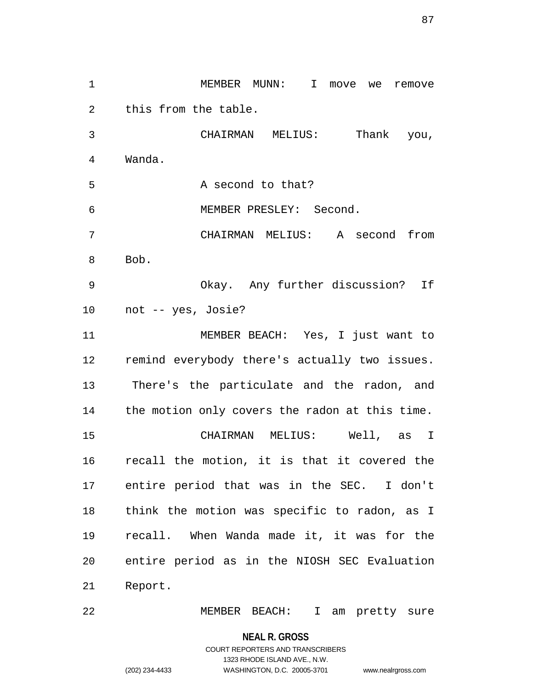1 MEMBER MUNN: I move we remove 2 this from the table. 3 CHAIRMAN MELIUS: Thank you, 4 Wanda. 5 A second to that? 6 MEMBER PRESLEY: Second. 7 CHAIRMAN MELIUS: A second from 8 Bob. 9 Okay. Any further discussion? If 10 not -- yes, Josie? 11 MEMBER BEACH: Yes, I just want to 12 remind everybody there's actually two issues. 13 There's the particulate and the radon, and 14 the motion only covers the radon at this time. 15 CHAIRMAN MELIUS: Well, as I 16 recall the motion, it is that it covered the 17 entire period that was in the SEC. I don't 18 think the motion was specific to radon, as I 19 recall. When Wanda made it, it was for the 20 entire period as in the NIOSH SEC Evaluation 21 Report.

22 MEMBER BEACH: I am pretty sure

**NEAL R. GROSS**

COURT REPORTERS AND TRANSCRIBERS 1323 RHODE ISLAND AVE., N.W. (202) 234-4433 WASHINGTON, D.C. 20005-3701 www.nealrgross.com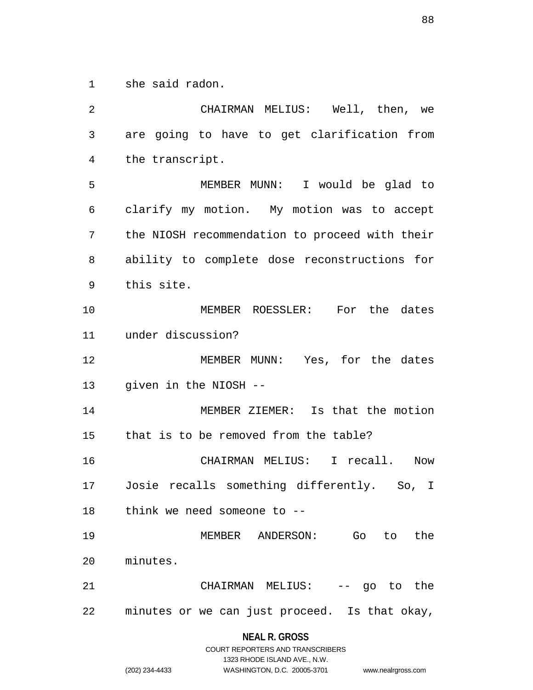1 she said radon.

2 CHAIRMAN MELIUS: Well, then, we 3 are going to have to get clarification from 4 the transcript. 5 MEMBER MUNN: I would be glad to 6 clarify my motion. My motion was to accept 7 the NIOSH recommendation to proceed with their 8 ability to complete dose reconstructions for 9 this site. 10 MEMBER ROESSLER: For the dates 11 under discussion? 12 MEMBER MUNN: Yes, for the dates 13 given in the NIOSH -- 14 MEMBER ZIEMER: Is that the motion 15 that is to be removed from the table? 16 CHAIRMAN MELIUS: I recall. Now 17 Josie recalls something differently. So, I 18 think we need someone to -- 19 MEMBER ANDERSON: Go to the 20 minutes. 21 CHAIRMAN MELIUS: -- go to the 22 minutes or we can just proceed. Is that okay,

|                | COURT REPORTERS AND TRANSCRIBERS |                    |
|----------------|----------------------------------|--------------------|
|                | 1323 RHODE ISLAND AVE N.W.       |                    |
| (202) 234-4433 | WASHINGTON, D.C. 20005-3701      | www.nealrgross.com |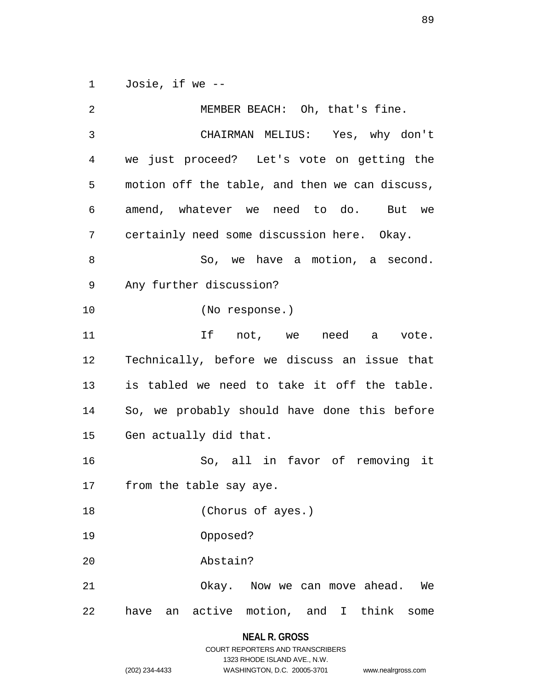1 Josie, if we --

2 MEMBER BEACH: Oh, that's fine. 3 CHAIRMAN MELIUS: Yes, why don't 4 we just proceed? Let's vote on getting the 5 motion off the table, and then we can discuss, 6 amend, whatever we need to do. But we 7 certainly need some discussion here. Okay. 8 So, we have a motion, a second. 9 Any further discussion? 10 (No response.) 11 If not, we need a vote. 12 Technically, before we discuss an issue that 13 is tabled we need to take it off the table. 14 So, we probably should have done this before 15 Gen actually did that. 16 So, all in favor of removing it 17 from the table say aye. 18 (Chorus of ayes.) 19 Opposed? 20 Abstain? 21 Okay. Now we can move ahead. We 22 have an active motion, and I think some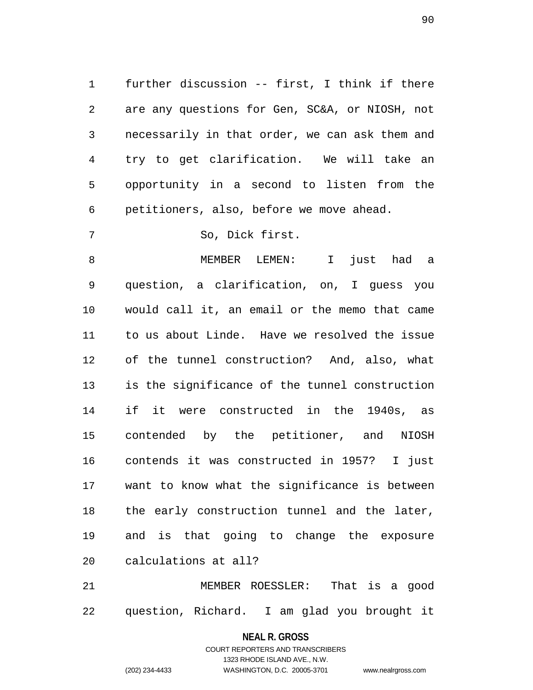1 further discussion -- first, I think if there 2 are any questions for Gen, SC&A, or NIOSH, not 3 necessarily in that order, we can ask them and 4 try to get clarification. We will take an 5 opportunity in a second to listen from the 6 petitioners, also, before we move ahead.

7 So, Dick first.

8 MEMBER LEMEN: I just had a 9 question, a clarification, on, I guess you 10 would call it, an email or the memo that came 11 to us about Linde. Have we resolved the issue 12 of the tunnel construction? And, also, what 13 is the significance of the tunnel construction 14 if it were constructed in the 1940s, as 15 contended by the petitioner, and NIOSH 16 contends it was constructed in 1957? I just 17 want to know what the significance is between 18 the early construction tunnel and the later, 19 and is that going to change the exposure 20 calculations at all?

21 MEMBER ROESSLER: That is a good 22 question, Richard. I am glad you brought it

> **NEAL R. GROSS** COURT REPORTERS AND TRANSCRIBERS

1323 RHODE ISLAND AVE., N.W. (202) 234-4433 WASHINGTON, D.C. 20005-3701 www.nealrgross.com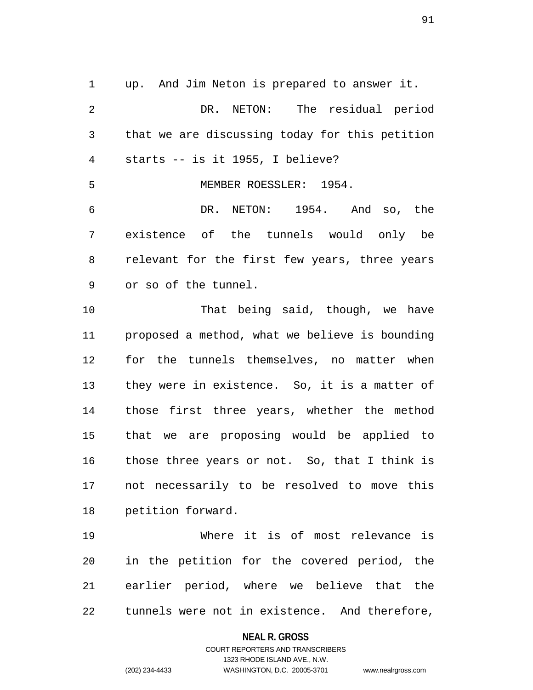1 up. And Jim Neton is prepared to answer it. 2 DR. NETON: The residual period 3 that we are discussing today for this petition 4 starts -- is it 1955, I believe? 5 MEMBER ROESSLER: 1954. 6 DR. NETON: 1954. And so, the 7 existence of the tunnels would only be 8 relevant for the first few years, three years 9 or so of the tunnel. 10 That being said, though, we have

11 proposed a method, what we believe is bounding 12 for the tunnels themselves, no matter when 13 they were in existence. So, it is a matter of 14 those first three years, whether the method 15 that we are proposing would be applied to 16 those three years or not. So, that I think is 17 not necessarily to be resolved to move this 18 petition forward.

19 Where it is of most relevance is 20 in the petition for the covered period, the 21 earlier period, where we believe that the 22 tunnels were not in existence. And therefore,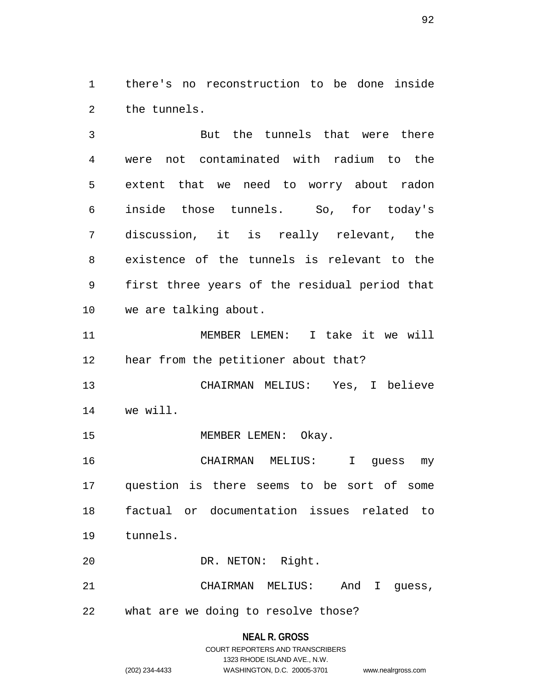1 there's no reconstruction to be done inside 2 the tunnels.

3 But the tunnels that were there 4 were not contaminated with radium to the 5 extent that we need to worry about radon 6 inside those tunnels. So, for today's 7 discussion, it is really relevant, the 8 existence of the tunnels is relevant to the 9 first three years of the residual period that 10 we are talking about.

11 MEMBER LEMEN: I take it we will 12 hear from the petitioner about that?

13 CHAIRMAN MELIUS: Yes, I believe 14 we will.

15 MEMBER LEMEN: Okay.

16 CHAIRMAN MELIUS: I guess my 17 question is there seems to be sort of some 18 factual or documentation issues related to 19 tunnels.

20 DR. NETON: Right.

21 CHAIRMAN MELIUS: And I guess,

22 what are we doing to resolve those?

#### **NEAL R. GROSS**

## COURT REPORTERS AND TRANSCRIBERS 1323 RHODE ISLAND AVE., N.W. (202) 234-4433 WASHINGTON, D.C. 20005-3701 www.nealrgross.com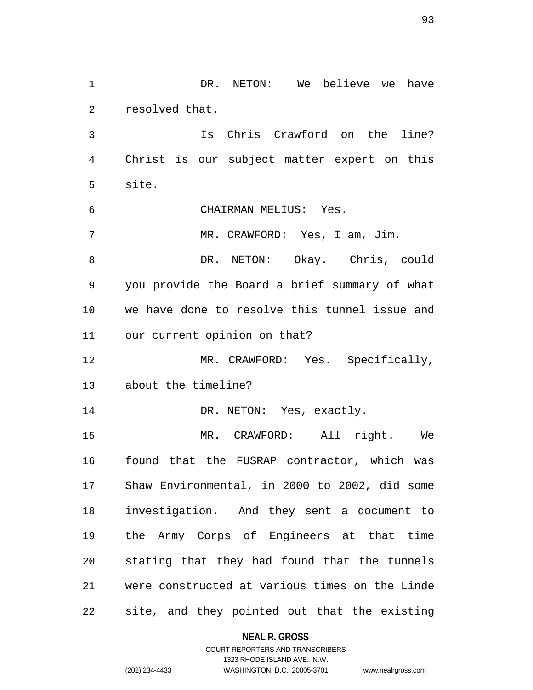1 DR. NETON: We believe we have 2 resolved that. 3 Is Chris Crawford on the line? 4 Christ is our subject matter expert on this 5 site. 6 CHAIRMAN MELIUS: Yes. 7 MR. CRAWFORD: Yes, I am, Jim. 8 DR. NETON: Okay. Chris, could 9 you provide the Board a brief summary of what 10 we have done to resolve this tunnel issue and 11 our current opinion on that? 12 MR. CRAWFORD: Yes. Specifically, 13 about the timeline? 14 DR. NETON: Yes, exactly. 15 MR. CRAWFORD: All right. We 16 found that the FUSRAP contractor, which was 17 Shaw Environmental, in 2000 to 2002, did some 18 investigation. And they sent a document to 19 the Army Corps of Engineers at that time 20 stating that they had found that the tunnels 21 were constructed at various times on the Linde 22 site, and they pointed out that the existing

**NEAL R. GROSS**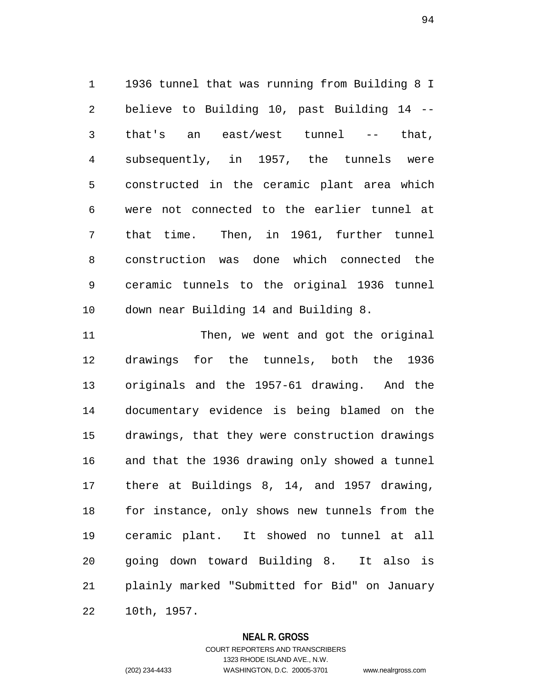1 1936 tunnel that was running from Building 8 I 2 believe to Building 10, past Building 14 -- 3 that's an east/west tunnel -- that, 4 subsequently, in 1957, the tunnels were 5 constructed in the ceramic plant area which 6 were not connected to the earlier tunnel at 7 that time. Then, in 1961, further tunnel 8 construction was done which connected the 9 ceramic tunnels to the original 1936 tunnel 10 down near Building 14 and Building 8.

11 Then, we went and got the original 12 drawings for the tunnels, both the 1936 13 originals and the 1957-61 drawing. And the 14 documentary evidence is being blamed on the 15 drawings, that they were construction drawings 16 and that the 1936 drawing only showed a tunnel 17 there at Buildings 8, 14, and 1957 drawing, 18 for instance, only shows new tunnels from the 19 ceramic plant. It showed no tunnel at all 20 going down toward Building 8. It also is 21 plainly marked "Submitted for Bid" on January 22 10th, 1957.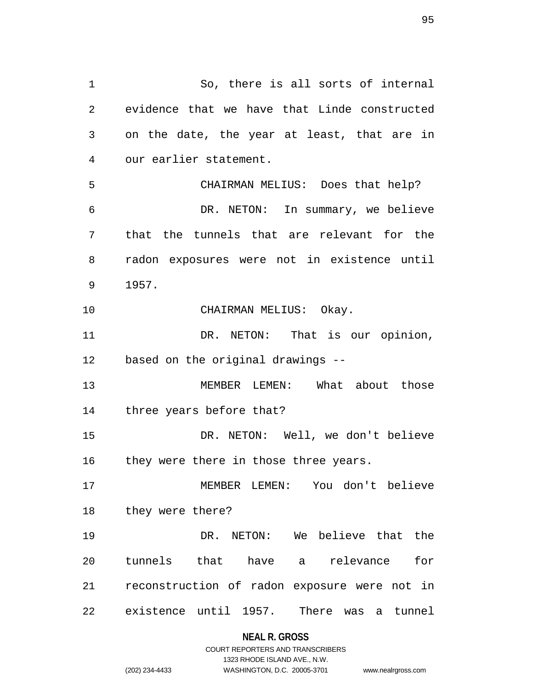1 So, there is all sorts of internal 2 evidence that we have that Linde constructed 3 on the date, the year at least, that are in 4 our earlier statement. 5 CHAIRMAN MELIUS: Does that help? 6 DR. NETON: In summary, we believe 7 that the tunnels that are relevant for the 8 radon exposures were not in existence until 9 1957. 10 CHAIRMAN MELIUS: Okay. 11 DR. NETON: That is our opinion, 12 based on the original drawings -- 13 MEMBER LEMEN: What about those 14 three years before that? 15 DR. NETON: Well, we don't believe 16 they were there in those three years. 17 MEMBER LEMEN: You don't believe 18 they were there? 19 DR. NETON: We believe that the 20 tunnels that have a relevance for 21 reconstruction of radon exposure were not in 22 existence until 1957. There was a tunnel

**NEAL R. GROSS**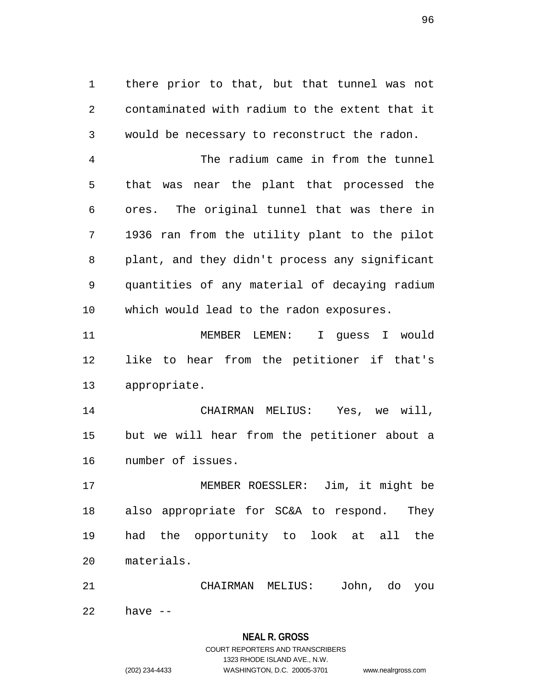1 there prior to that, but that tunnel was not 2 contaminated with radium to the extent that it 3 would be necessary to reconstruct the radon.

4 The radium came in from the tunnel 5 that was near the plant that processed the 6 ores. The original tunnel that was there in 7 1936 ran from the utility plant to the pilot 8 plant, and they didn't process any significant 9 quantities of any material of decaying radium 10 which would lead to the radon exposures.

11 MEMBER LEMEN: I guess I would 12 like to hear from the petitioner if that's 13 appropriate.

14 CHAIRMAN MELIUS: Yes, we will, 15 but we will hear from the petitioner about a 16 number of issues.

17 MEMBER ROESSLER: Jim, it might be 18 also appropriate for SC&A to respond. They 19 had the opportunity to look at all the 20 materials.

21 CHAIRMAN MELIUS: John, do you 22 have --

### **NEAL R. GROSS** COURT REPORTERS AND TRANSCRIBERS

1323 RHODE ISLAND AVE., N.W.

(202) 234-4433 WASHINGTON, D.C. 20005-3701 www.nealrgross.com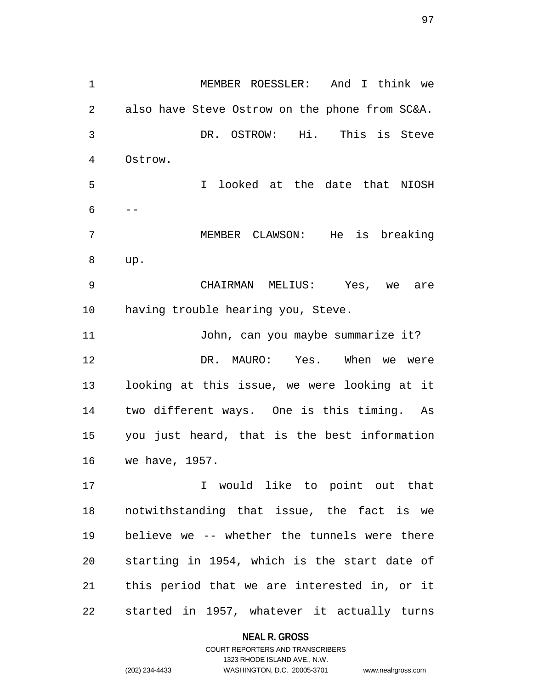1 MEMBER ROESSLER: And I think we 2 also have Steve Ostrow on the phone from SC&A. 3 DR. OSTROW: Hi. This is Steve 4 Ostrow. 5 I looked at the date that NIOSH  $6 - -$ 7 MEMBER CLAWSON: He is breaking 8 up. 9 CHAIRMAN MELIUS: Yes, we are 10 having trouble hearing you, Steve. 11 John, can you maybe summarize it? 12 DR. MAURO: Yes. When we were 13 looking at this issue, we were looking at it 14 two different ways. One is this timing. As 15 you just heard, that is the best information 16 we have, 1957. 17 10 I would like to point out that 18 notwithstanding that issue, the fact is we 19 believe we -- whether the tunnels were there 20 starting in 1954, which is the start date of 21 this period that we are interested in, or it

22 started in 1957, whatever it actually turns

#### **NEAL R. GROSS**

COURT REPORTERS AND TRANSCRIBERS 1323 RHODE ISLAND AVE., N.W. (202) 234-4433 WASHINGTON, D.C. 20005-3701 www.nealrgross.com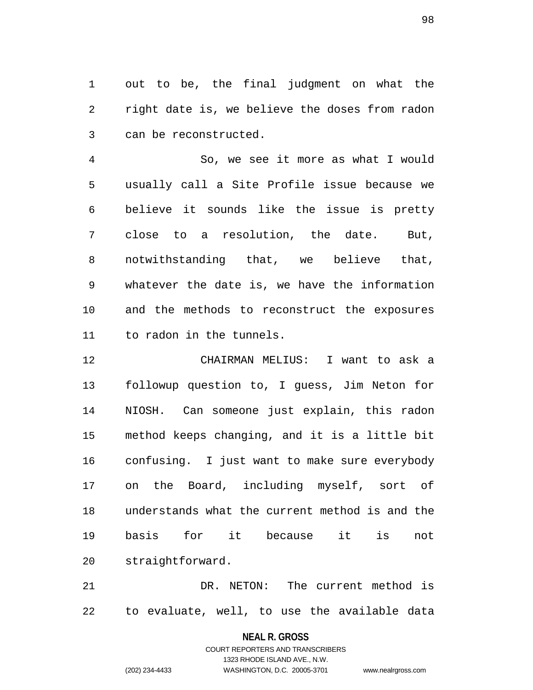1 out to be, the final judgment on what the 2 right date is, we believe the doses from radon 3 can be reconstructed.

4 So, we see it more as what I would 5 usually call a Site Profile issue because we 6 believe it sounds like the issue is pretty 7 close to a resolution, the date. But, 8 notwithstanding that, we believe that, 9 whatever the date is, we have the information 10 and the methods to reconstruct the exposures 11 to radon in the tunnels.

12 CHAIRMAN MELIUS: I want to ask a 13 followup question to, I guess, Jim Neton for 14 NIOSH. Can someone just explain, this radon 15 method keeps changing, and it is a little bit 16 confusing. I just want to make sure everybody 17 on the Board, including myself, sort of 18 understands what the current method is and the 19 basis for it because it is not 20 straightforward.

21 DR. NETON: The current method is 22 to evaluate, well, to use the available data

#### **NEAL R. GROSS**

COURT REPORTERS AND TRANSCRIBERS 1323 RHODE ISLAND AVE., N.W. (202) 234-4433 WASHINGTON, D.C. 20005-3701 www.nealrgross.com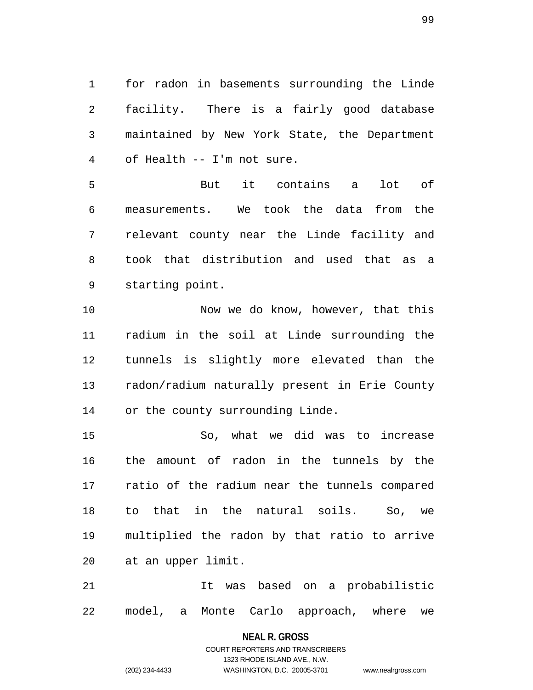1 for radon in basements surrounding the Linde 2 facility. There is a fairly good database 3 maintained by New York State, the Department 4 of Health -- I'm not sure.

5 But it contains a lot of 6 measurements. We took the data from the 7 relevant county near the Linde facility and 8 took that distribution and used that as a 9 starting point.

10 Now we do know, however, that this 11 radium in the soil at Linde surrounding the 12 tunnels is slightly more elevated than the 13 radon/radium naturally present in Erie County 14 or the county surrounding Linde.

15 So, what we did was to increase 16 the amount of radon in the tunnels by the 17 ratio of the radium near the tunnels compared 18 to that in the natural soils. So, we 19 multiplied the radon by that ratio to arrive 20 at an upper limit.

21 It was based on a probabilistic 22 model, a Monte Carlo approach, where we

### **NEAL R. GROSS** COURT REPORTERS AND TRANSCRIBERS

1323 RHODE ISLAND AVE., N.W.

(202) 234-4433 WASHINGTON, D.C. 20005-3701 www.nealrgross.com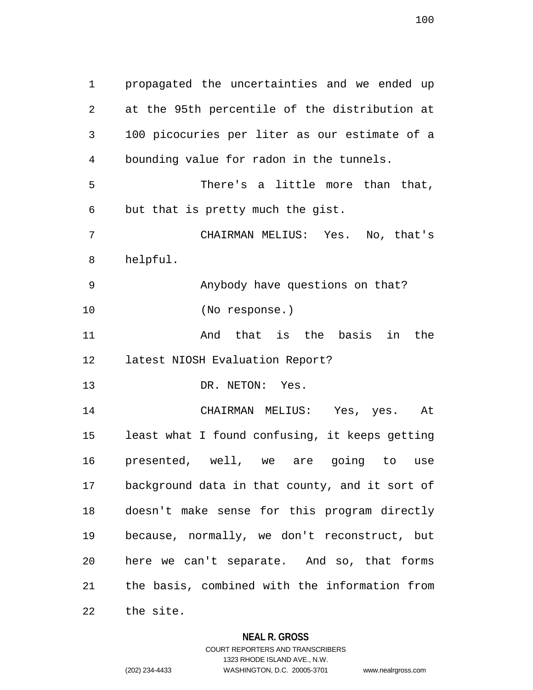1 propagated the uncertainties and we ended up 2 at the 95th percentile of the distribution at 3 100 picocuries per liter as our estimate of a 4 bounding value for radon in the tunnels. 5 There's a little more than that, 6 but that is pretty much the gist. 7 CHAIRMAN MELIUS: Yes. No, that's 8 helpful. 9 Anybody have questions on that? 10 (No response.) 11 And that is the basis in the 12 latest NIOSH Evaluation Report? 13 DR. NETON: Yes. 14 CHAIRMAN MELIUS: Yes, yes. At 15 least what I found confusing, it keeps getting 16 presented, well, we are going to use 17 background data in that county, and it sort of 18 doesn't make sense for this program directly 19 because, normally, we don't reconstruct, but 20 here we can't separate. And so, that forms 21 the basis, combined with the information from 22 the site.

**NEAL R. GROSS**

COURT REPORTERS AND TRANSCRIBERS 1323 RHODE ISLAND AVE., N.W. (202) 234-4433 WASHINGTON, D.C. 20005-3701 www.nealrgross.com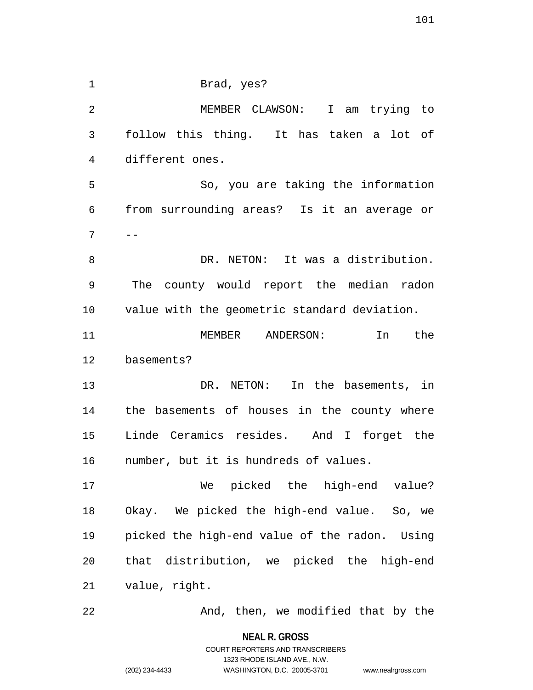1 Brad, yes? 2 MEMBER CLAWSON: I am trying to 3 follow this thing. It has taken a lot of 4 different ones. 5 So, you are taking the information 6 from surrounding areas? Is it an average or  $7 \quad -$ 8 DR. NETON: It was a distribution. 9 The county would report the median radon 10 value with the geometric standard deviation. 11 MEMBER ANDERSON: In the 12 basements? 13 DR. NETON: In the basements, in 14 the basements of houses in the county where 15 Linde Ceramics resides. And I forget the 16 number, but it is hundreds of values. 17 We picked the high-end value? 18 Okay. We picked the high-end value. So, we 19 picked the high-end value of the radon. Using 20 that distribution, we picked the high-end 21 value, right. 22 And, then, we modified that by the

> **NEAL R. GROSS** COURT REPORTERS AND TRANSCRIBERS 1323 RHODE ISLAND AVE., N.W. (202) 234-4433 WASHINGTON, D.C. 20005-3701 www.nealrgross.com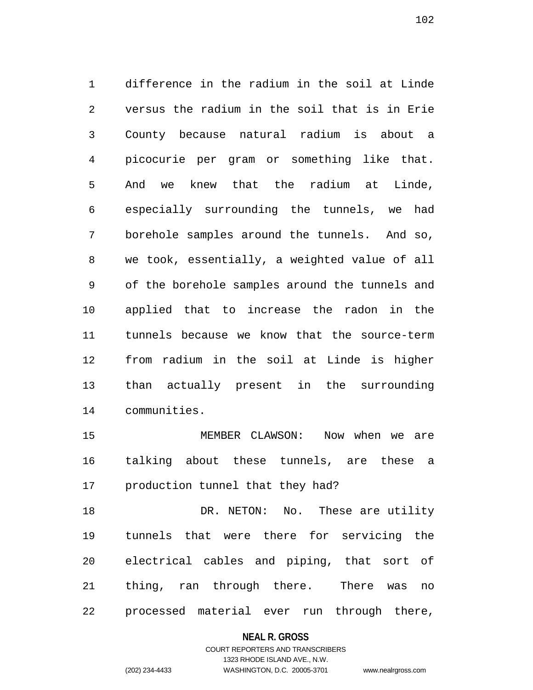1 difference in the radium in the soil at Linde 2 versus the radium in the soil that is in Erie 3 County because natural radium is about a 4 picocurie per gram or something like that. 5 And we knew that the radium at Linde, 6 especially surrounding the tunnels, we had 7 borehole samples around the tunnels. And so, 8 we took, essentially, a weighted value of all 9 of the borehole samples around the tunnels and 10 applied that to increase the radon in the 11 tunnels because we know that the source-term 12 from radium in the soil at Linde is higher 13 than actually present in the surrounding 14 communities.

15 MEMBER CLAWSON: Now when we are 16 talking about these tunnels, are these a 17 production tunnel that they had?

18 DR. NETON: No. These are utility 19 tunnels that were there for servicing the 20 electrical cables and piping, that sort of 21 thing, ran through there. There was no 22 processed material ever run through there,

#### **NEAL R. GROSS**

## COURT REPORTERS AND TRANSCRIBERS 1323 RHODE ISLAND AVE., N.W. (202) 234-4433 WASHINGTON, D.C. 20005-3701 www.nealrgross.com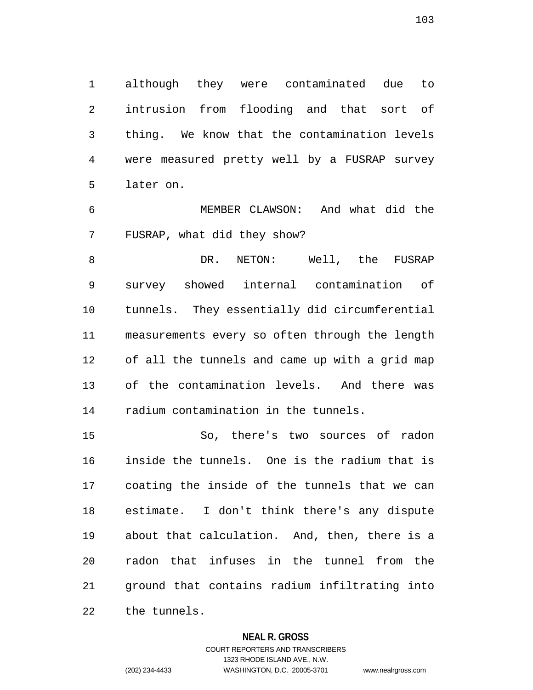1 although they were contaminated due to 2 intrusion from flooding and that sort of 3 thing. We know that the contamination levels 4 were measured pretty well by a FUSRAP survey 5 later on.

6 MEMBER CLAWSON: And what did the 7 FUSRAP, what did they show?

8 B DR. NETON: Well, the FUSRAP 9 survey showed internal contamination of 10 tunnels. They essentially did circumferential 11 measurements every so often through the length 12 of all the tunnels and came up with a grid map 13 of the contamination levels. And there was 14 radium contamination in the tunnels.

15 So, there's two sources of radon 16 inside the tunnels. One is the radium that is 17 coating the inside of the tunnels that we can 18 estimate. I don't think there's any dispute 19 about that calculation. And, then, there is a 20 radon that infuses in the tunnel from the 21 ground that contains radium infiltrating into 22 the tunnels.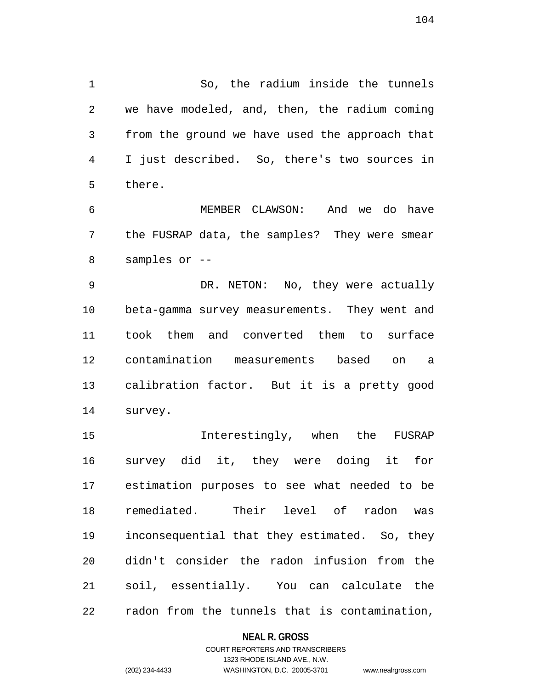1 So, the radium inside the tunnels 2 we have modeled, and, then, the radium coming 3 from the ground we have used the approach that 4 I just described. So, there's two sources in 5 there.

6 MEMBER CLAWSON: And we do have 7 the FUSRAP data, the samples? They were smear 8 samples or --

9 DR. NETON: No, they were actually 10 beta-gamma survey measurements. They went and 11 took them and converted them to surface 12 contamination measurements based on a 13 calibration factor. But it is a pretty good 14 survey.

15 Interestingly, when the FUSRAP 16 survey did it, they were doing it for 17 estimation purposes to see what needed to be 18 remediated. Their level of radon was 19 inconsequential that they estimated. So, they 20 didn't consider the radon infusion from the 21 soil, essentially. You can calculate the 22 radon from the tunnels that is contamination,

#### **NEAL R. GROSS**

### COURT REPORTERS AND TRANSCRIBERS 1323 RHODE ISLAND AVE., N.W. (202) 234-4433 WASHINGTON, D.C. 20005-3701 www.nealrgross.com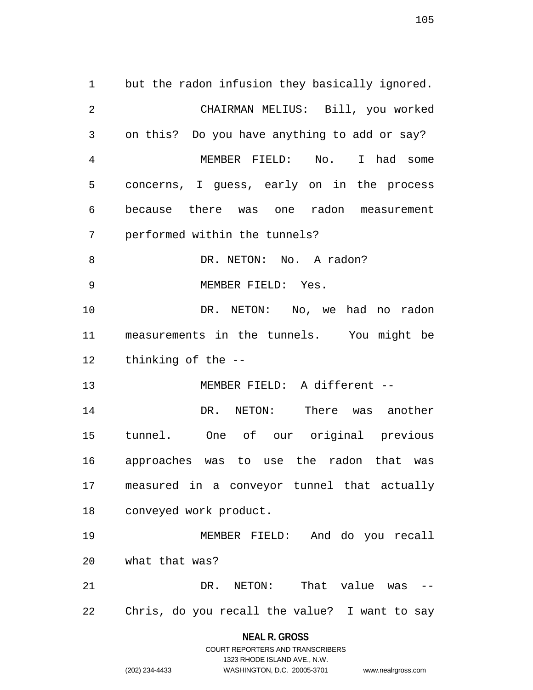1 but the radon infusion they basically ignored. 2 CHAIRMAN MELIUS: Bill, you worked 3 on this? Do you have anything to add or say? 4 MEMBER FIELD: No. I had some 5 concerns, I guess, early on in the process 6 because there was one radon measurement 7 performed within the tunnels? 8 DR. NETON: No. A radon? 9 MEMBER FIELD: Yes. 10 DR. NETON: No, we had no radon 11 measurements in the tunnels. You might be 12 thinking of the -- 13 MEMBER FIELD: A different -- 14 DR. NETON: There was another 15 tunnel. One of our original previous 16 approaches was to use the radon that was 17 measured in a conveyor tunnel that actually 18 conveyed work product. 19 MEMBER FIELD: And do you recall 20 what that was? 21 DR. NETON: That value was -- 22 Chris, do you recall the value? I want to say

#### **NEAL R. GROSS**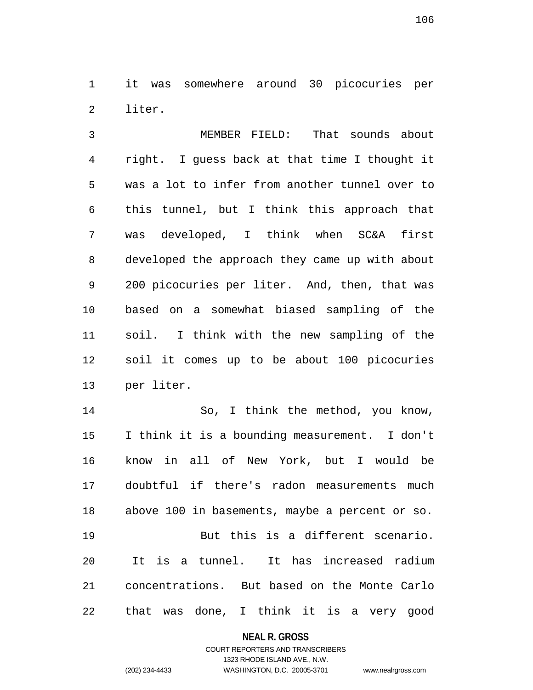1 it was somewhere around 30 picocuries per 2 liter.

3 MEMBER FIELD: That sounds about 4 right. I guess back at that time I thought it 5 was a lot to infer from another tunnel over to 6 this tunnel, but I think this approach that 7 was developed, I think when SC&A first 8 developed the approach they came up with about 9 200 picocuries per liter. And, then, that was 10 based on a somewhat biased sampling of the 11 soil. I think with the new sampling of the 12 soil it comes up to be about 100 picocuries 13 per liter.

14 So, I think the method, you know, 15 I think it is a bounding measurement. I don't 16 know in all of New York, but I would be 17 doubtful if there's radon measurements much 18 above 100 in basements, maybe a percent or so. 19 But this is a different scenario. 20 It is a tunnel. It has increased radium 21 concentrations. But based on the Monte Carlo 22 that was done, I think it is a very good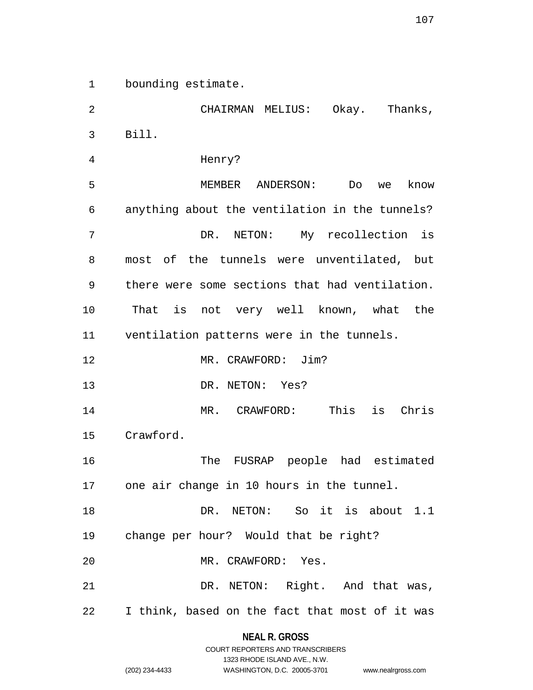1 bounding estimate.

2 CHAIRMAN MELIUS: Okay. Thanks, 3 Bill. 4 Henry? 5 MEMBER ANDERSON: Do we know 6 anything about the ventilation in the tunnels? 7 DR. NETON: My recollection is 8 most of the tunnels were unventilated, but 9 there were some sections that had ventilation. 10 That is not very well known, what the 11 ventilation patterns were in the tunnels. 12 MR. CRAWFORD: Jim? 13 DR. NETON: Yes? 14 MR. CRAWFORD: This is Chris 15 Crawford. 16 The FUSRAP people had estimated 17 one air change in 10 hours in the tunnel. 18 DR. NETON: So it is about 1.1 19 change per hour? Would that be right? 20 MR. CRAWFORD: Yes. 21 DR. NETON: Right. And that was, 22 I think, based on the fact that most of it was

### **NEAL R. GROSS** COURT REPORTERS AND TRANSCRIBERS

1323 RHODE ISLAND AVE., N.W.

(202) 234-4433 WASHINGTON, D.C. 20005-3701 www.nealrgross.com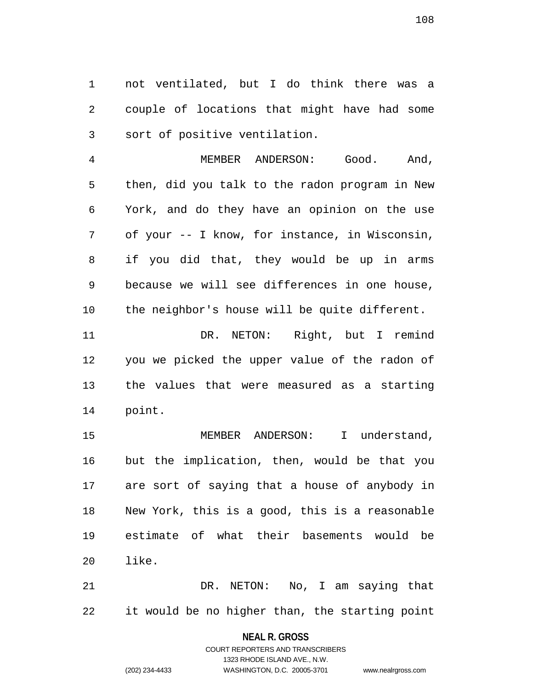1 not ventilated, but I do think there was a 2 couple of locations that might have had some 3 sort of positive ventilation.

4 MEMBER ANDERSON: Good. And, 5 then, did you talk to the radon program in New 6 York, and do they have an opinion on the use 7 of your -- I know, for instance, in Wisconsin, 8 if you did that, they would be up in arms 9 because we will see differences in one house, 10 the neighbor's house will be quite different.

11 DR. NETON: Right, but I remind 12 you we picked the upper value of the radon of 13 the values that were measured as a starting 14 point.

15 MEMBER ANDERSON: I understand, 16 but the implication, then, would be that you 17 are sort of saying that a house of anybody in 18 New York, this is a good, this is a reasonable 19 estimate of what their basements would be 20 like.

21 DR. NETON: No, I am saying that 22 it would be no higher than, the starting point

> **NEAL R. GROSS** COURT REPORTERS AND TRANSCRIBERS

1323 RHODE ISLAND AVE., N.W. (202) 234-4433 WASHINGTON, D.C. 20005-3701 www.nealrgross.com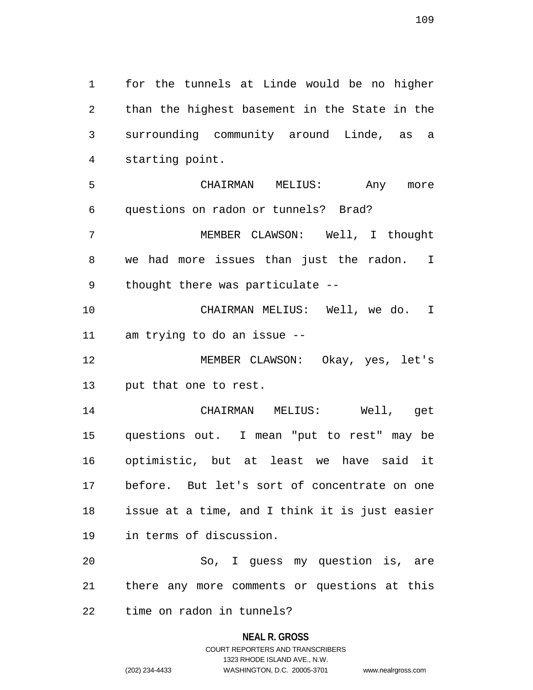1 for the tunnels at Linde would be no higher 2 than the highest basement in the State in the 3 surrounding community around Linde, as a 4 starting point. 5 CHAIRMAN MELIUS: Any more 6 questions on radon or tunnels? Brad? 7 MEMBER CLAWSON: Well, I thought 8 we had more issues than just the radon. I 9 thought there was particulate -- 10 CHAIRMAN MELIUS: Well, we do. I 11 am trying to do an issue -- 12 MEMBER CLAWSON: Okay, yes, let's 13 put that one to rest. 14 CHAIRMAN MELIUS: Well, get 15 questions out. I mean "put to rest" may be 16 optimistic, but at least we have said it 17 before. But let's sort of concentrate on one 18 issue at a time, and I think it is just easier 19 in terms of discussion. 20 So, I guess my question is, are 21 there any more comments or questions at this

22 time on radon in tunnels?

## **NEAL R. GROSS**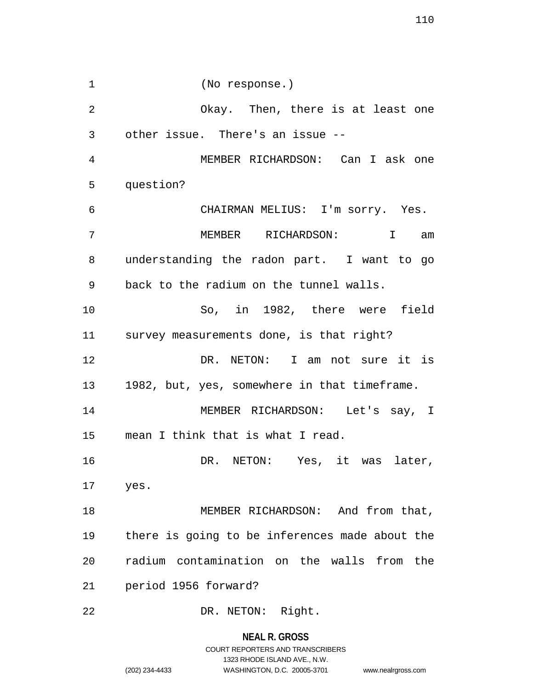1 (No response.) 2 Okay. Then, there is at least one 3 other issue. There's an issue -- 4 MEMBER RICHARDSON: Can I ask one 5 question? 6 CHAIRMAN MELIUS: I'm sorry. Yes. 7 MEMBER RICHARDSON: I am 8 understanding the radon part. I want to go 9 back to the radium on the tunnel walls. 10 So, in 1982, there were field 11 survey measurements done, is that right? 12 DR. NETON: I am not sure it is 13 1982, but, yes, somewhere in that timeframe. 14 MEMBER RICHARDSON: Let's say, I 15 mean I think that is what I read. 16 DR. NETON: Yes, it was later, 17 yes. 18 MEMBER RICHARDSON: And from that, 19 there is going to be inferences made about the 20 radium contamination on the walls from the 21 period 1956 forward? 22 DR. NETON: Right.

> **NEAL R. GROSS** COURT REPORTERS AND TRANSCRIBERS 1323 RHODE ISLAND AVE., N.W. (202) 234-4433 WASHINGTON, D.C. 20005-3701 www.nealrgross.com

110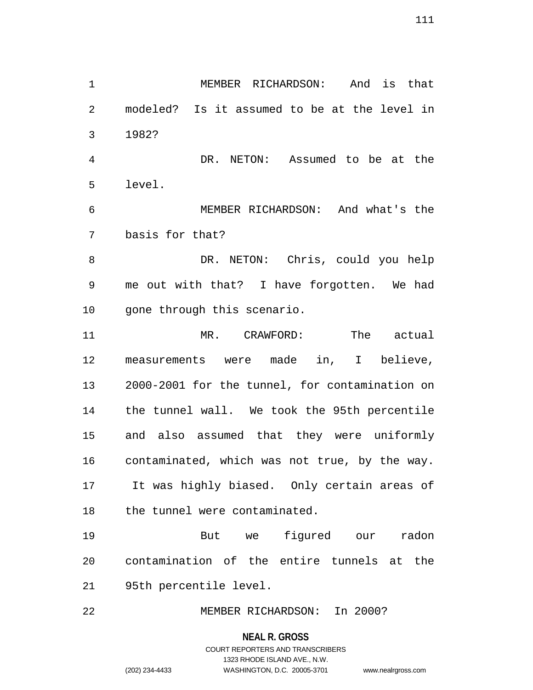1 MEMBER RICHARDSON: And is that 2 modeled? Is it assumed to be at the level in 3 1982?

4 DR. NETON: Assumed to be at the 5 level.

6 MEMBER RICHARDSON: And what's the 7 basis for that?

8 DR. NETON: Chris, could you help 9 me out with that? I have forgotten. We had 10 gone through this scenario.

11 MR. CRAWFORD: The actual 12 measurements were made in, I believe, 13 2000-2001 for the tunnel, for contamination on 14 the tunnel wall. We took the 95th percentile 15 and also assumed that they were uniformly 16 contaminated, which was not true, by the way. 17 It was highly biased. Only certain areas of 18 the tunnel were contaminated.

19 But we figured our radon 20 contamination of the entire tunnels at the 21 95th percentile level.

22 MEMBER RICHARDSON: In 2000?

**NEAL R. GROSS**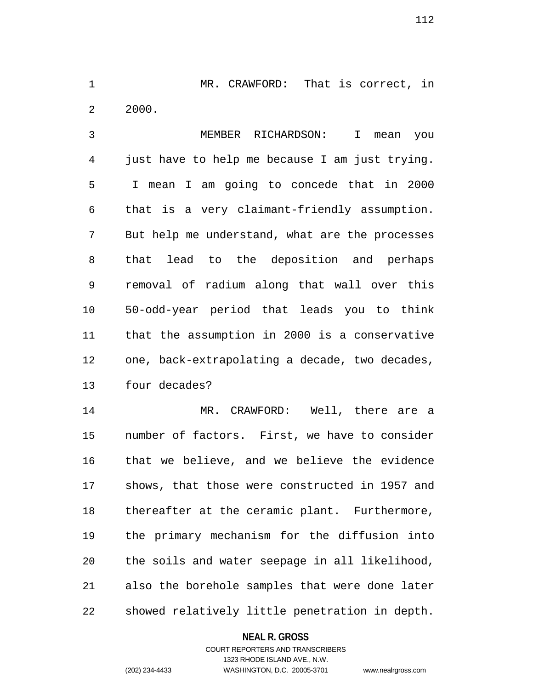1 MR. CRAWFORD: That is correct, in 2 2000.

3 MEMBER RICHARDSON: I mean you 4 just have to help me because I am just trying. 5 I mean I am going to concede that in 2000 6 that is a very claimant-friendly assumption. 7 But help me understand, what are the processes 8 that lead to the deposition and perhaps 9 removal of radium along that wall over this 10 50-odd-year period that leads you to think 11 that the assumption in 2000 is a conservative 12 one, back-extrapolating a decade, two decades, 13 four decades?

14 MR. CRAWFORD: Well, there are a 15 number of factors. First, we have to consider 16 that we believe, and we believe the evidence 17 shows, that those were constructed in 1957 and 18 thereafter at the ceramic plant. Furthermore, 19 the primary mechanism for the diffusion into 20 the soils and water seepage in all likelihood, 21 also the borehole samples that were done later 22 showed relatively little penetration in depth.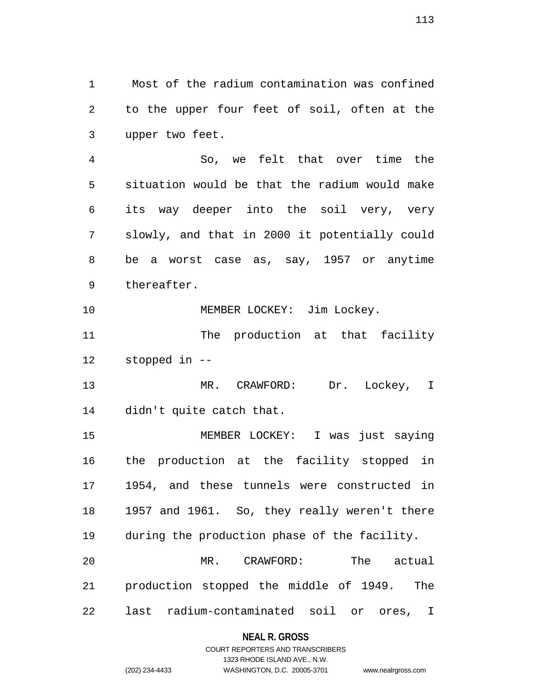1 Most of the radium contamination was confined 2 to the upper four feet of soil, often at the 3 upper two feet.

4 So, we felt that over time the 5 situation would be that the radium would make 6 its way deeper into the soil very, very 7 slowly, and that in 2000 it potentially could 8 be a worst case as, say, 1957 or anytime 9 thereafter.

10 MEMBER LOCKEY: Jim Lockey.

11 The production at that facility 12 stopped in --

13 MR. CRAWFORD: Dr. Lockey, I 14 didn't quite catch that.

15 MEMBER LOCKEY: I was just saying 16 the production at the facility stopped in 17 1954, and these tunnels were constructed in 18 1957 and 1961. So, they really weren't there 19 during the production phase of the facility. 20 MR. CRAWFORD: The actual 21 production stopped the middle of 1949. The

22 last radium-contaminated soil or ores, I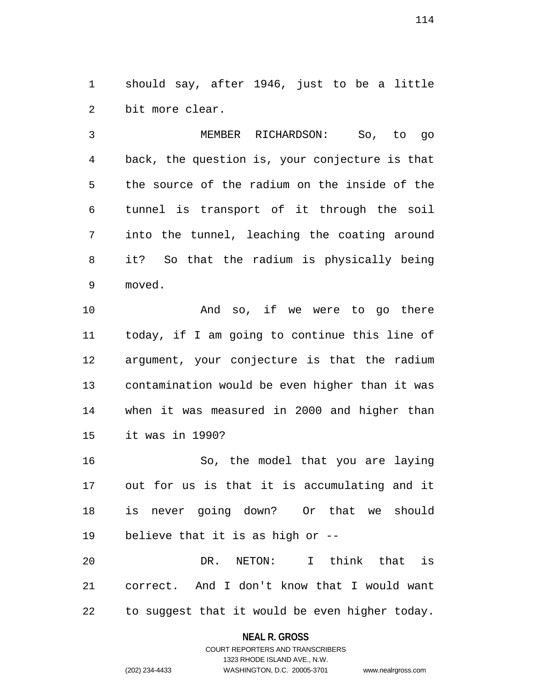1 should say, after 1946, just to be a little 2 bit more clear.

3 MEMBER RICHARDSON: So, to go 4 back, the question is, your conjecture is that 5 the source of the radium on the inside of the 6 tunnel is transport of it through the soil 7 into the tunnel, leaching the coating around 8 it? So that the radium is physically being 9 moved.

10 And so, if we were to go there 11 today, if I am going to continue this line of 12 argument, your conjecture is that the radium 13 contamination would be even higher than it was 14 when it was measured in 2000 and higher than 15 it was in 1990?

16 So, the model that you are laying 17 out for us is that it is accumulating and it 18 is never going down? Or that we should 19 believe that it is as high or --

20 DR. NETON: I think that is 21 correct. And I don't know that I would want 22 to suggest that it would be even higher today.

## **NEAL R. GROSS**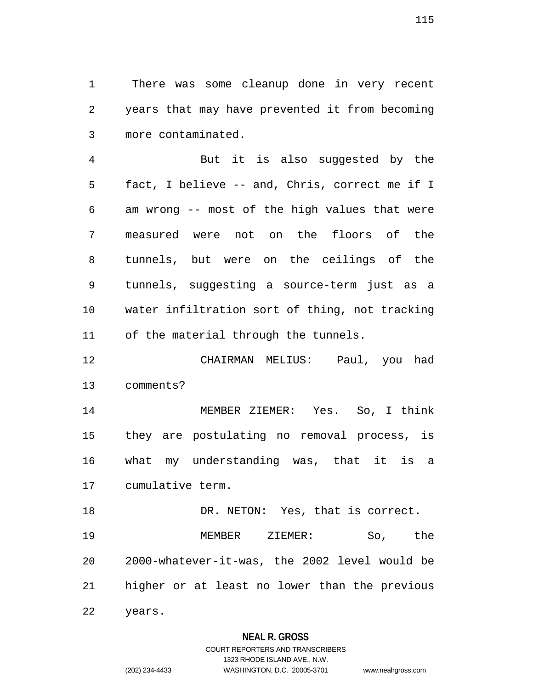1 There was some cleanup done in very recent 2 years that may have prevented it from becoming 3 more contaminated.

4 But it is also suggested by the 5 fact, I believe -- and, Chris, correct me if I 6 am wrong -- most of the high values that were 7 measured were not on the floors of the 8 tunnels, but were on the ceilings of the 9 tunnels, suggesting a source-term just as a 10 water infiltration sort of thing, not tracking 11 of the material through the tunnels.

12 CHAIRMAN MELIUS: Paul, you had 13 comments?

14 MEMBER ZIEMER: Yes. So, I think 15 they are postulating no removal process, is 16 what my understanding was, that it is a 17 cumulative term.

18 DR. NETON: Yes, that is correct. 19 MEMBER ZIEMER: So, the 20 2000-whatever-it-was, the 2002 level would be 21 higher or at least no lower than the previous 22 years.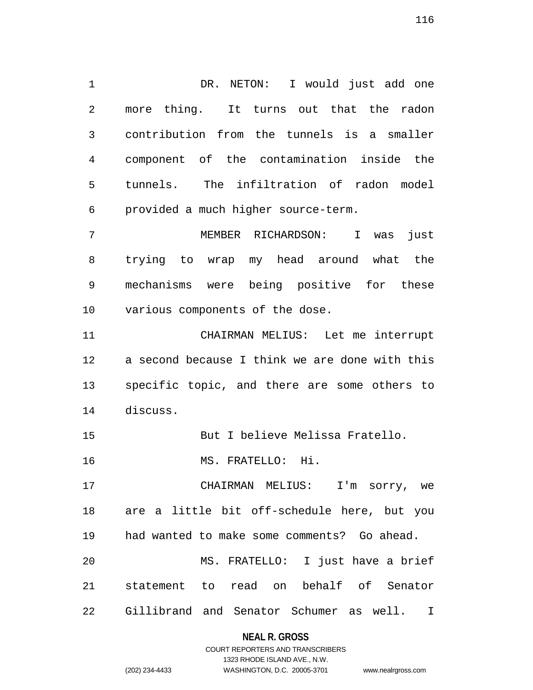1 DR. NETON: I would just add one 2 more thing. It turns out that the radon 3 contribution from the tunnels is a smaller 4 component of the contamination inside the 5 tunnels. The infiltration of radon model 6 provided a much higher source-term.

7 MEMBER RICHARDSON: I was just 8 trying to wrap my head around what the 9 mechanisms were being positive for these 10 various components of the dose.

11 CHAIRMAN MELIUS: Let me interrupt 12 a second because I think we are done with this 13 specific topic, and there are some others to 14 discuss.

15 But I believe Melissa Fratello.

16 MS. FRATELLO: Hi.

17 CHAIRMAN MELIUS: I'm sorry, we 18 are a little bit off-schedule here, but you 19 had wanted to make some comments? Go ahead. 20 MS. FRATELLO: I just have a brief 21 statement to read on behalf of Senator 22 Gillibrand and Senator Schumer as well. I

# **NEAL R. GROSS** COURT REPORTERS AND TRANSCRIBERS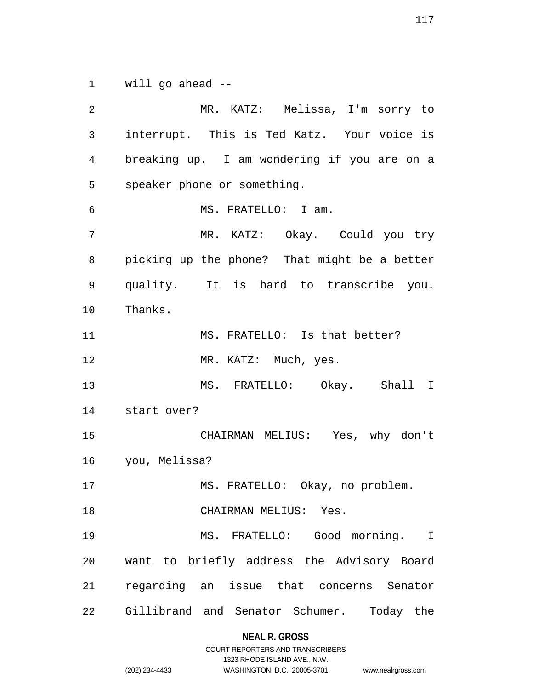1 will go ahead --

2 MR. KATZ: Melissa, I'm sorry to 3 interrupt. This is Ted Katz. Your voice is 4 breaking up. I am wondering if you are on a 5 speaker phone or something. 6 MS. FRATELLO: I am. 7 MR. KATZ: Okay. Could you try 8 picking up the phone? That might be a better 9 quality. It is hard to transcribe you. 10 Thanks. 11 MS. FRATELLO: Is that better? 12 MR. KATZ: Much, yes. 13 MS. FRATELLO: Okay. Shall I 14 start over? 15 CHAIRMAN MELIUS: Yes, why don't 16 you, Melissa? 17 MS. FRATELLO: Okay, no problem. 18 CHAIRMAN MELIUS: Yes. 19 MS. FRATELLO: Good morning. I 20 want to briefly address the Advisory Board 21 regarding an issue that concerns Senator 22 Gillibrand and Senator Schumer. Today the

## **NEAL R. GROSS**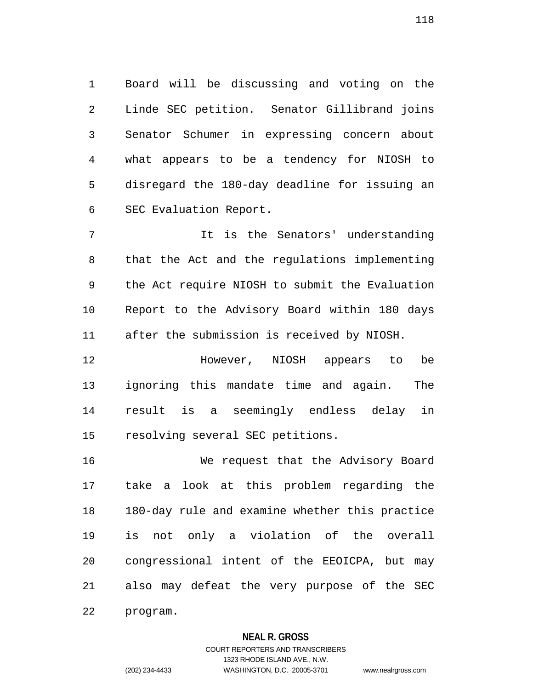1 Board will be discussing and voting on the 2 Linde SEC petition. Senator Gillibrand joins 3 Senator Schumer in expressing concern about 4 what appears to be a tendency for NIOSH to 5 disregard the 180-day deadline for issuing an 6 SEC Evaluation Report.

7 It is the Senators' understanding 8 that the Act and the regulations implementing 9 the Act require NIOSH to submit the Evaluation 10 Report to the Advisory Board within 180 days 11 after the submission is received by NIOSH.

12 However, NIOSH appears to be 13 ignoring this mandate time and again. The 14 result is a seemingly endless delay in 15 resolving several SEC petitions.

16 We request that the Advisory Board 17 take a look at this problem regarding the 18 180-day rule and examine whether this practice 19 is not only a violation of the overall 20 congressional intent of the EEOICPA, but may 21 also may defeat the very purpose of the SEC 22 program.

## **NEAL R. GROSS**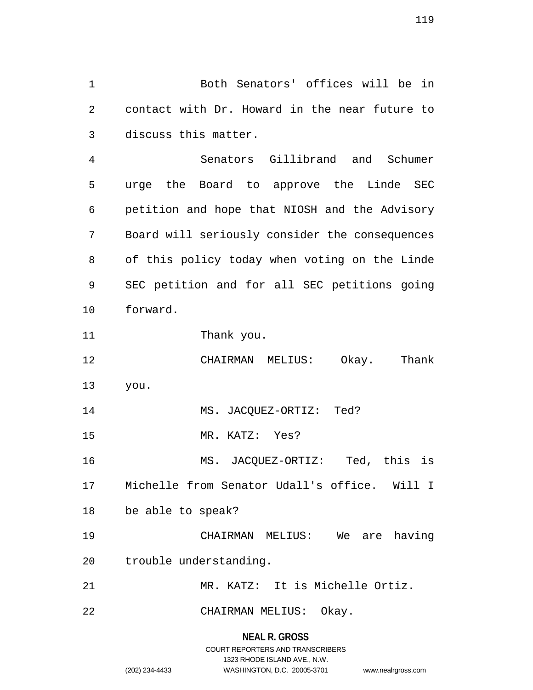1 Both Senators' offices will be in 2 contact with Dr. Howard in the near future to 3 discuss this matter.

4 Senators Gillibrand and Schumer 5 urge the Board to approve the Linde SEC 6 petition and hope that NIOSH and the Advisory 7 Board will seriously consider the consequences 8 of this policy today when voting on the Linde 9 SEC petition and for all SEC petitions going 10 forward.

11 Thank you.

12 CHAIRMAN MELIUS: Okay. Thank 13 you. 14 MS. JACQUEZ-ORTIZ: Ted?

15 MR. KATZ: Yes?

16 MS. JACQUEZ-ORTIZ: Ted, this is 17 Michelle from Senator Udall's office. Will I

18 be able to speak?

19 CHAIRMAN MELIUS: We are having 20 trouble understanding.

21 MR. KATZ: It is Michelle Ortiz.

22 CHAIRMAN MELIUS: Okay.

**NEAL R. GROSS** COURT REPORTERS AND TRANSCRIBERS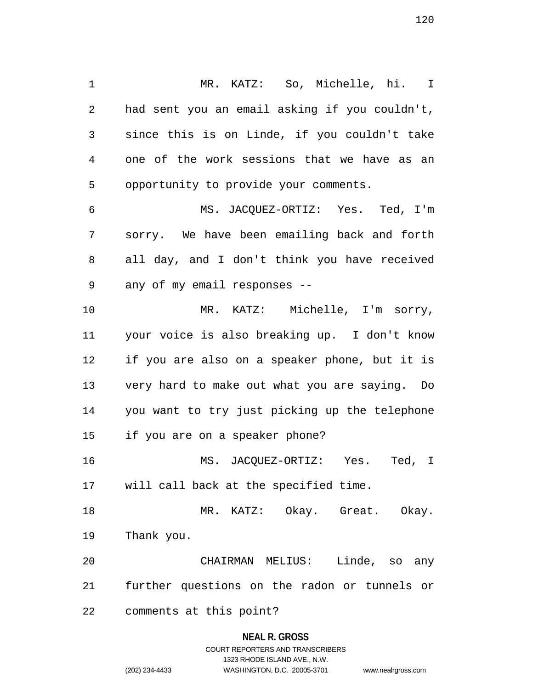1 MR. KATZ: So, Michelle, hi. I 2 had sent you an email asking if you couldn't, 3 since this is on Linde, if you couldn't take 4 one of the work sessions that we have as an 5 opportunity to provide your comments. 6 MS. JACQUEZ-ORTIZ: Yes. Ted, I'm

7 sorry. We have been emailing back and forth 8 all day, and I don't think you have received 9 any of my email responses --

10 MR. KATZ: Michelle, I'm sorry, 11 your voice is also breaking up. I don't know 12 if you are also on a speaker phone, but it is 13 very hard to make out what you are saying. Do 14 you want to try just picking up the telephone 15 if you are on a speaker phone?

16 MS. JACQUEZ-ORTIZ: Yes. Ted, I 17 will call back at the specified time.

18 MR. KATZ: Okay. Great. Okay. 19 Thank you.

20 CHAIRMAN MELIUS: Linde, so any 21 further questions on the radon or tunnels or 22 comments at this point?

## **NEAL R. GROSS**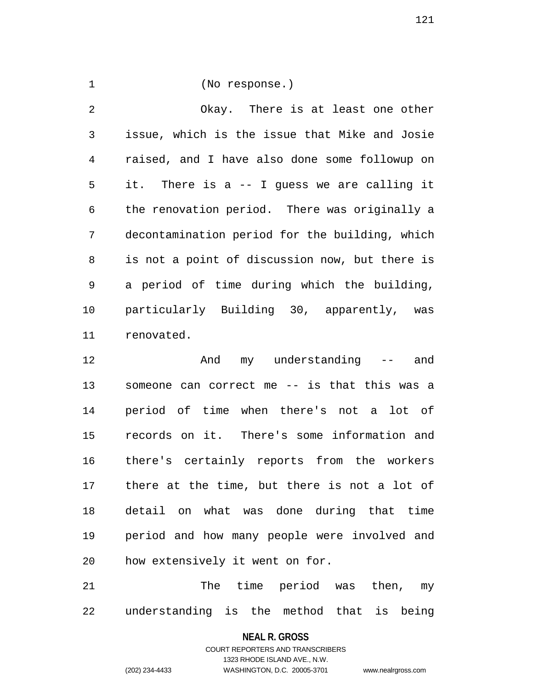1 (No response.)

2 Okay. There is at least one other 3 issue, which is the issue that Mike and Josie 4 raised, and I have also done some followup on 5 it. There is a -- I guess we are calling it 6 the renovation period. There was originally a 7 decontamination period for the building, which 8 is not a point of discussion now, but there is 9 a period of time during which the building, 10 particularly Building 30, apparently, was 11 renovated.

12 And my understanding -- and 13 someone can correct me -- is that this was a 14 period of time when there's not a lot of 15 records on it. There's some information and 16 there's certainly reports from the workers 17 there at the time, but there is not a lot of 18 detail on what was done during that time 19 period and how many people were involved and 20 how extensively it went on for.

21 The time period was then, my 22 understanding is the method that is being

#### **NEAL R. GROSS**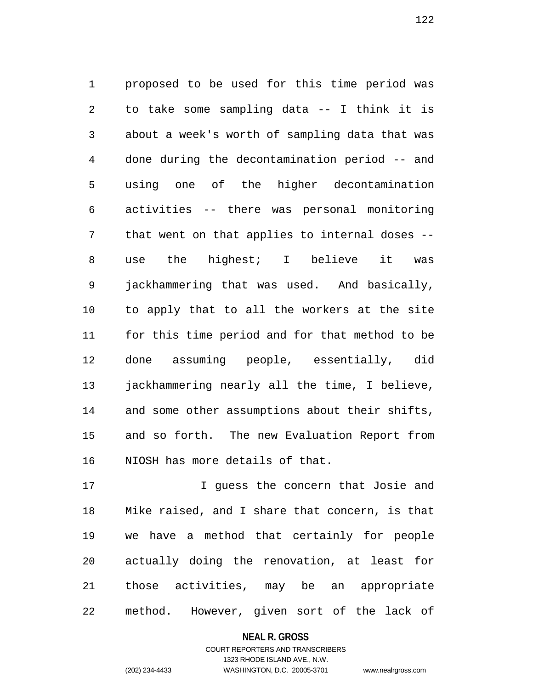1 proposed to be used for this time period was 2 to take some sampling data -- I think it is 3 about a week's worth of sampling data that was 4 done during the decontamination period -- and 5 using one of the higher decontamination 6 activities -- there was personal monitoring 7 that went on that applies to internal doses -- 8 use the highest; I believe it was 9 jackhammering that was used. And basically, 10 to apply that to all the workers at the site 11 for this time period and for that method to be 12 done assuming people, essentially, did 13 jackhammering nearly all the time, I believe, 14 and some other assumptions about their shifts, 15 and so forth. The new Evaluation Report from 16 NIOSH has more details of that.

17 I guess the concern that Josie and 18 Mike raised, and I share that concern, is that 19 we have a method that certainly for people 20 actually doing the renovation, at least for 21 those activities, may be an appropriate 22 method. However, given sort of the lack of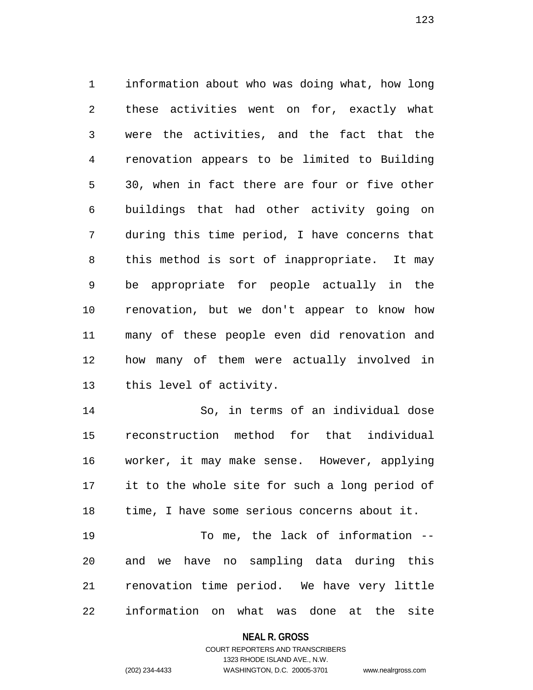1 information about who was doing what, how long 2 these activities went on for, exactly what 3 were the activities, and the fact that the 4 renovation appears to be limited to Building 5 30, when in fact there are four or five other 6 buildings that had other activity going on 7 during this time period, I have concerns that 8 this method is sort of inappropriate. It may 9 be appropriate for people actually in the 10 renovation, but we don't appear to know how 11 many of these people even did renovation and 12 how many of them were actually involved in 13 this level of activity.

14 So, in terms of an individual dose 15 reconstruction method for that individual 16 worker, it may make sense. However, applying 17 it to the whole site for such a long period of 18 time, I have some serious concerns about it.

19 To me, the lack of information -- 20 and we have no sampling data during this 21 renovation time period. We have very little 22 information on what was done at the site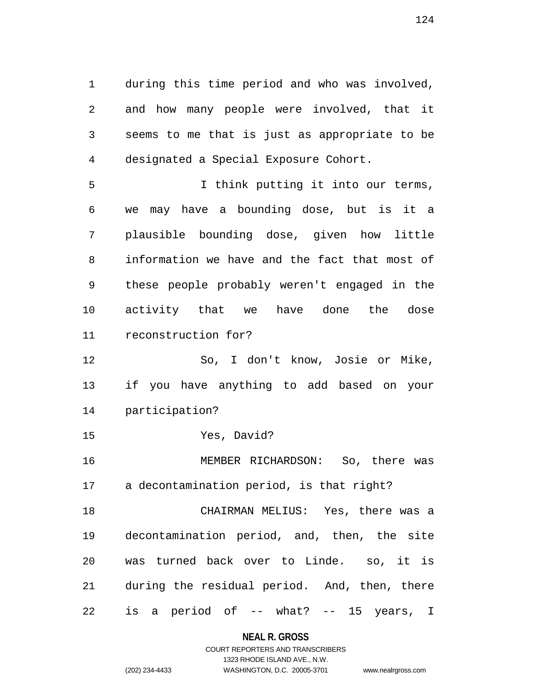1 during this time period and who was involved, 2 and how many people were involved, that it 3 seems to me that is just as appropriate to be 4 designated a Special Exposure Cohort.

5 I think putting it into our terms, 6 we may have a bounding dose, but is it a 7 plausible bounding dose, given how little 8 information we have and the fact that most of 9 these people probably weren't engaged in the 10 activity that we have done the dose 11 reconstruction for?

12 So, I don't know, Josie or Mike, 13 if you have anything to add based on your 14 participation?

15 Yes, David?

16 MEMBER RICHARDSON: So, there was 17 a decontamination period, is that right?

18 CHAIRMAN MELIUS: Yes, there was a 19 decontamination period, and, then, the site 20 was turned back over to Linde. so, it is 21 during the residual period. And, then, there 22 is a period of -- what? -- 15 years, I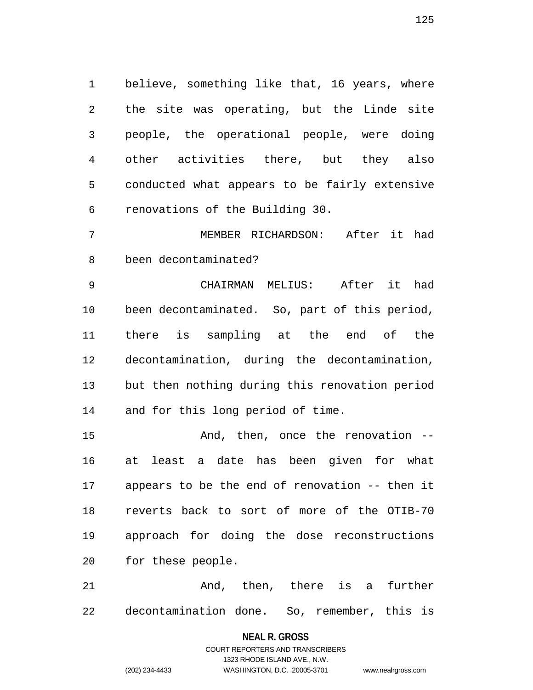1 believe, something like that, 16 years, where 2 the site was operating, but the Linde site 3 people, the operational people, were doing 4 other activities there, but they also 5 conducted what appears to be fairly extensive 6 renovations of the Building 30.

7 MEMBER RICHARDSON: After it had 8 been decontaminated?

9 CHAIRMAN MELIUS: After it had 10 been decontaminated. So, part of this period, 11 there is sampling at the end of the 12 decontamination, during the decontamination, 13 but then nothing during this renovation period 14 and for this long period of time.

15 And, then, once the renovation --16 at least a date has been given for what 17 appears to be the end of renovation -- then it 18 reverts back to sort of more of the OTIB-70 19 approach for doing the dose reconstructions 20 for these people.

21 And, then, there is a further 22 decontamination done. So, remember, this is

## **NEAL R. GROSS**

COURT REPORTERS AND TRANSCRIBERS 1323 RHODE ISLAND AVE., N.W. (202) 234-4433 WASHINGTON, D.C. 20005-3701 www.nealrgross.com

125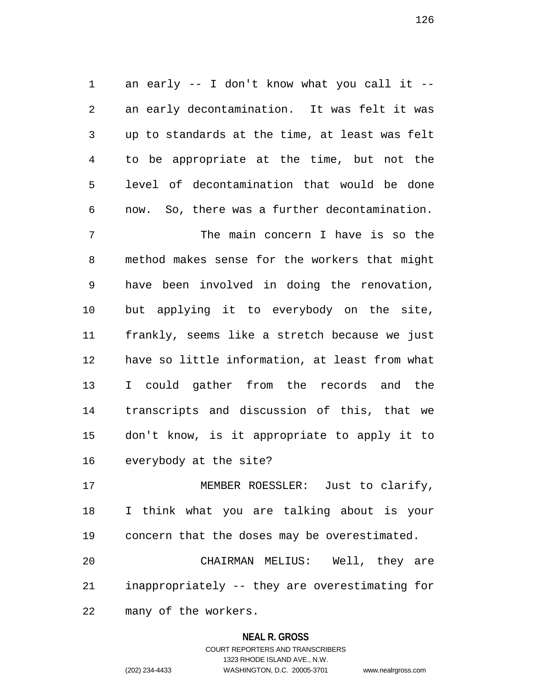1 an early -- I don't know what you call it -- 2 an early decontamination. It was felt it was 3 up to standards at the time, at least was felt 4 to be appropriate at the time, but not the 5 level of decontamination that would be done 6 now. So, there was a further decontamination.

7 The main concern I have is so the 8 method makes sense for the workers that might 9 have been involved in doing the renovation, 10 but applying it to everybody on the site, 11 frankly, seems like a stretch because we just 12 have so little information, at least from what 13 I could gather from the records and the 14 transcripts and discussion of this, that we 15 don't know, is it appropriate to apply it to 16 everybody at the site?

17 MEMBER ROESSLER: Just to clarify, 18 I think what you are talking about is your 19 concern that the doses may be overestimated.

20 CHAIRMAN MELIUS: Well, they are 21 inappropriately -- they are overestimating for 22 many of the workers.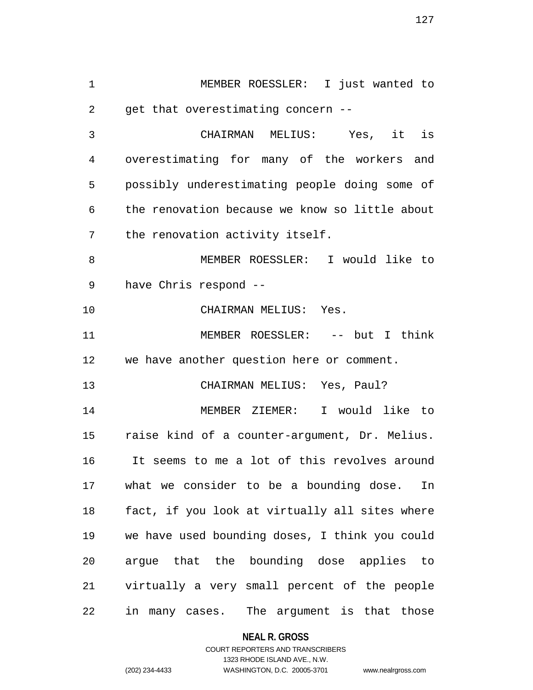1 MEMBER ROESSLER: I just wanted to 2 get that overestimating concern -- 3 CHAIRMAN MELIUS: Yes, it is 4 overestimating for many of the workers and 5 possibly underestimating people doing some of 6 the renovation because we know so little about 7 the renovation activity itself. 8 MEMBER ROESSLER: I would like to 9 have Chris respond -- 10 CHAIRMAN MELIUS: Yes. 11 MEMBER ROESSLER: -- but I think 12 we have another question here or comment. 13 CHAIRMAN MELIUS: Yes, Paul? 14 MEMBER ZIEMER: I would like to 15 raise kind of a counter-argument, Dr. Melius. 16 It seems to me a lot of this revolves around 17 what we consider to be a bounding dose. In 18 fact, if you look at virtually all sites where 19 we have used bounding doses, I think you could 20 argue that the bounding dose applies to 21 virtually a very small percent of the people 22 in many cases. The argument is that those

**NEAL R. GROSS**

## COURT REPORTERS AND TRANSCRIBERS 1323 RHODE ISLAND AVE., N.W. (202) 234-4433 WASHINGTON, D.C. 20005-3701 www.nealrgross.com

127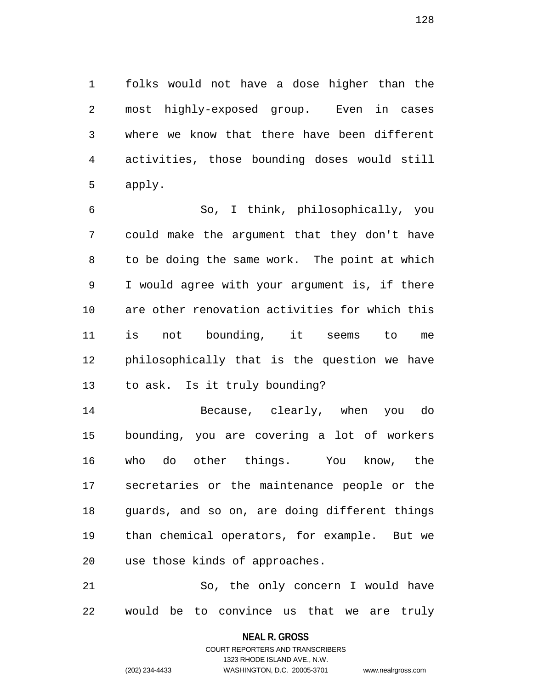1 folks would not have a dose higher than the 2 most highly-exposed group. Even in cases 3 where we know that there have been different 4 activities, those bounding doses would still 5 apply.

6 So, I think, philosophically, you 7 could make the argument that they don't have 8 to be doing the same work. The point at which 9 I would agree with your argument is, if there 10 are other renovation activities for which this 11 is not bounding, it seems to me 12 philosophically that is the question we have 13 to ask. Is it truly bounding?

14 Because, clearly, when you do 15 bounding, you are covering a lot of workers 16 who do other things. You know, the 17 secretaries or the maintenance people or the 18 guards, and so on, are doing different things 19 than chemical operators, for example. But we 20 use those kinds of approaches.

21 So, the only concern I would have 22 would be to convince us that we are truly

> **NEAL R. GROSS** COURT REPORTERS AND TRANSCRIBERS

> > 1323 RHODE ISLAND AVE., N.W.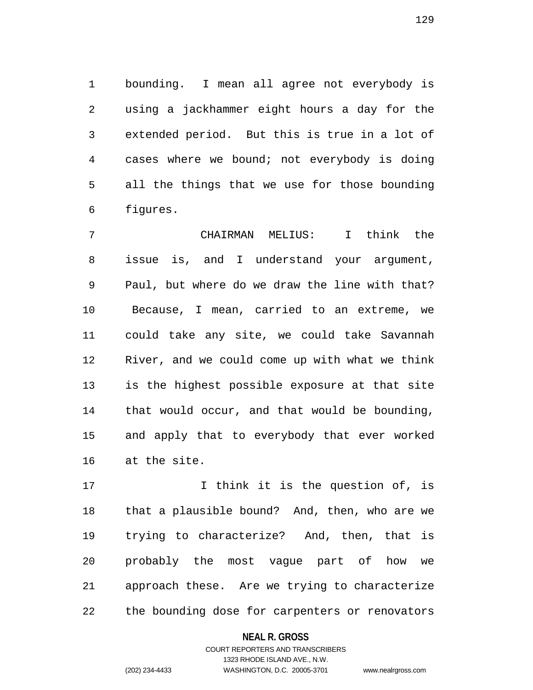1 bounding. I mean all agree not everybody is 2 using a jackhammer eight hours a day for the 3 extended period. But this is true in a lot of 4 cases where we bound; not everybody is doing 5 all the things that we use for those bounding 6 figures.

7 CHAIRMAN MELIUS: I think the 8 issue is, and I understand your argument, 9 Paul, but where do we draw the line with that? 10 Because, I mean, carried to an extreme, we 11 could take any site, we could take Savannah 12 River, and we could come up with what we think 13 is the highest possible exposure at that site 14 that would occur, and that would be bounding, 15 and apply that to everybody that ever worked 16 at the site.

17 17 I think it is the question of, is 18 that a plausible bound? And, then, who are we 19 trying to characterize? And, then, that is 20 probably the most vague part of how we 21 approach these. Are we trying to characterize 22 the bounding dose for carpenters or renovators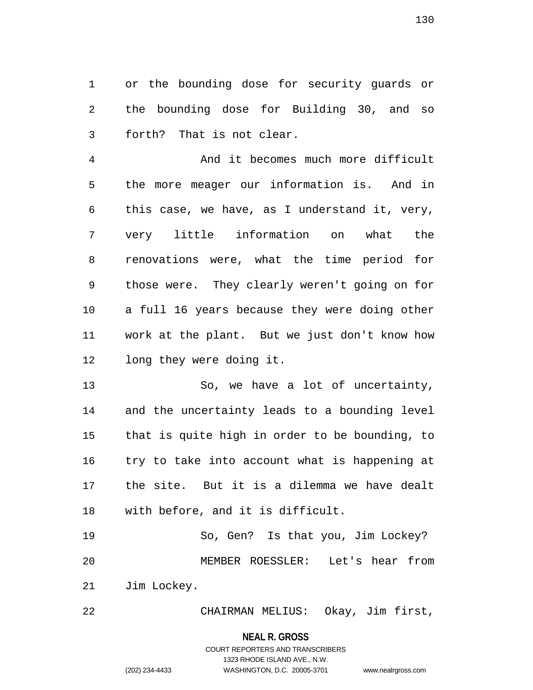1 or the bounding dose for security guards or 2 the bounding dose for Building 30, and so 3 forth? That is not clear.

4 And it becomes much more difficult 5 the more meager our information is. And in 6 this case, we have, as I understand it, very, 7 very little information on what the 8 renovations were, what the time period for 9 those were. They clearly weren't going on for 10 a full 16 years because they were doing other 11 work at the plant. But we just don't know how 12 long they were doing it.

13 So, we have a lot of uncertainty, 14 and the uncertainty leads to a bounding level 15 that is quite high in order to be bounding, to 16 try to take into account what is happening at 17 the site. But it is a dilemma we have dealt 18 with before, and it is difficult.

19 So, Gen? Is that you, Jim Lockey? 20 MEMBER ROESSLER: Let's hear from 21 Jim Lockey.

22 CHAIRMAN MELIUS: Okay, Jim first,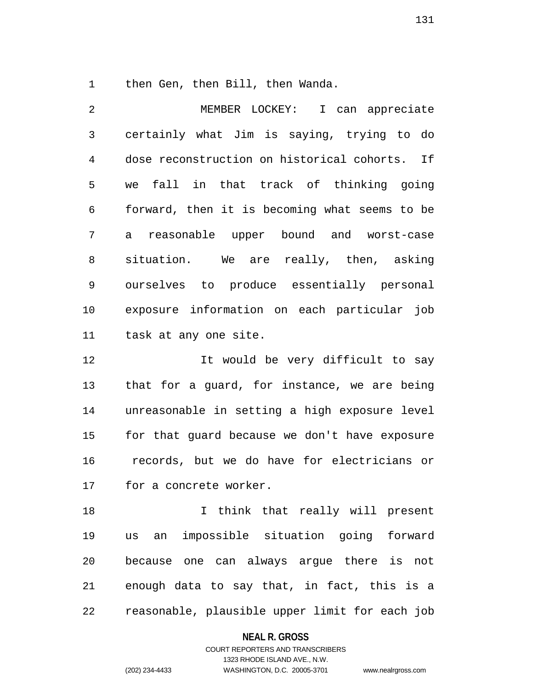1 then Gen, then Bill, then Wanda.

2 MEMBER LOCKEY: I can appreciate 3 certainly what Jim is saying, trying to do 4 dose reconstruction on historical cohorts. If 5 we fall in that track of thinking going 6 forward, then it is becoming what seems to be 7 a reasonable upper bound and worst-case 8 situation. We are really, then, asking 9 ourselves to produce essentially personal 10 exposure information on each particular job 11 task at any one site.

12 12 It would be very difficult to say 13 that for a guard, for instance, we are being 14 unreasonable in setting a high exposure level 15 for that guard because we don't have exposure 16 records, but we do have for electricians or 17 for a concrete worker.

18 18 I think that really will present 19 us an impossible situation going forward 20 because one can always argue there is not 21 enough data to say that, in fact, this is a 22 reasonable, plausible upper limit for each job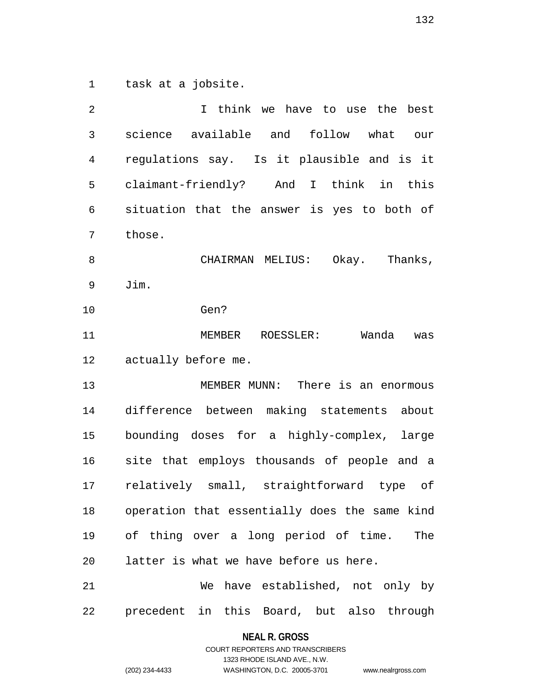1 task at a jobsite.

| 2  | I think we have to use the best               |
|----|-----------------------------------------------|
| 3  | science available and follow what our         |
| 4  | regulations say. Is it plausible and is it    |
| 5  | claimant-friendly? And I think in this        |
| 6  | situation that the answer is yes to both of   |
| 7  | those.                                        |
| 8  | Okay. Thanks,<br>CHAIRMAN MELIUS:             |
| 9  | Jim.                                          |
| 10 | Gen?                                          |
| 11 | Wanda<br>MEMBER ROESSLER:<br>was              |
| 12 | actually before me.                           |
| 13 | MEMBER MUNN: There is an enormous             |
| 14 | difference between making statements about    |
| 15 | bounding doses for a highly-complex, large    |
| 16 | site that employs thousands of people and a   |
| 17 | relatively small, straightforward type of     |
| 18 | operation that essentially does the same kind |
| 19 | of thing over a long period of time.<br>The   |
| 20 | latter is what we have before us here.        |
| 21 | We have established, not only by              |
| 22 | precedent in this Board, but also through     |

**NEAL R. GROSS** COURT REPORTERS AND TRANSCRIBERS

1323 RHODE ISLAND AVE., N.W.

(202) 234-4433 WASHINGTON, D.C. 20005-3701 www.nealrgross.com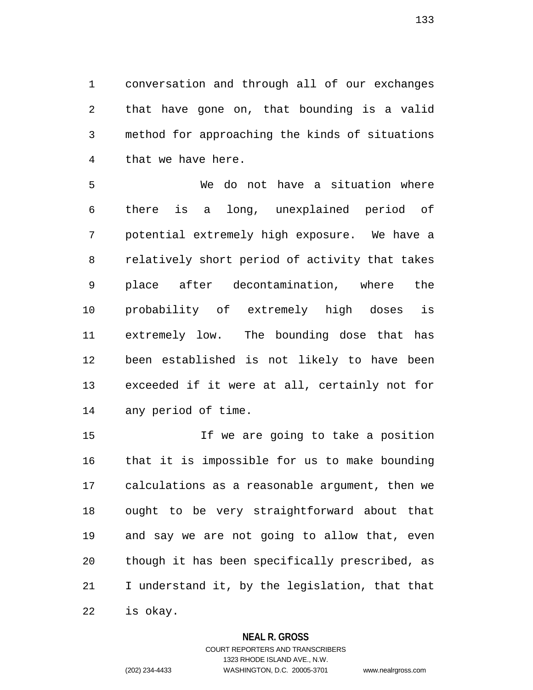1 conversation and through all of our exchanges 2 that have gone on, that bounding is a valid 3 method for approaching the kinds of situations 4 that we have here.

5 We do not have a situation where 6 there is a long, unexplained period of 7 potential extremely high exposure. We have a 8 relatively short period of activity that takes 9 place after decontamination, where the 10 probability of extremely high doses is 11 extremely low. The bounding dose that has 12 been established is not likely to have been 13 exceeded if it were at all, certainly not for 14 any period of time.

15 If we are going to take a position 16 that it is impossible for us to make bounding 17 calculations as a reasonable argument, then we 18 ought to be very straightforward about that 19 and say we are not going to allow that, even 20 though it has been specifically prescribed, as 21 I understand it, by the legislation, that that 22 is okay.

## **NEAL R. GROSS**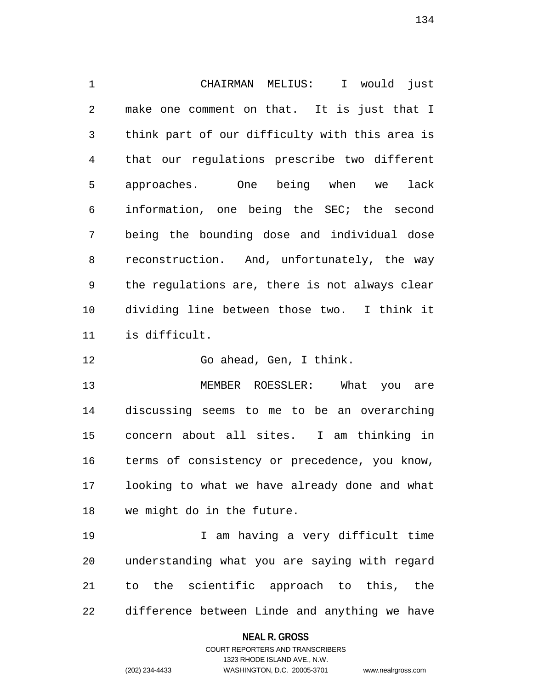1 CHAIRMAN MELIUS: I would just 2 make one comment on that. It is just that I 3 think part of our difficulty with this area is 4 that our regulations prescribe two different 5 approaches. One being when we lack 6 information, one being the SEC; the second 7 being the bounding dose and individual dose 8 reconstruction. And, unfortunately, the way 9 the regulations are, there is not always clear 10 dividing line between those two. I think it 11 is difficult.

12 Go ahead, Gen, I think.

13 MEMBER ROESSLER: What you are 14 discussing seems to me to be an overarching 15 concern about all sites. I am thinking in 16 terms of consistency or precedence, you know, 17 looking to what we have already done and what 18 we might do in the future.

19 I am having a very difficult time 20 understanding what you are saying with regard 21 to the scientific approach to this, the 22 difference between Linde and anything we have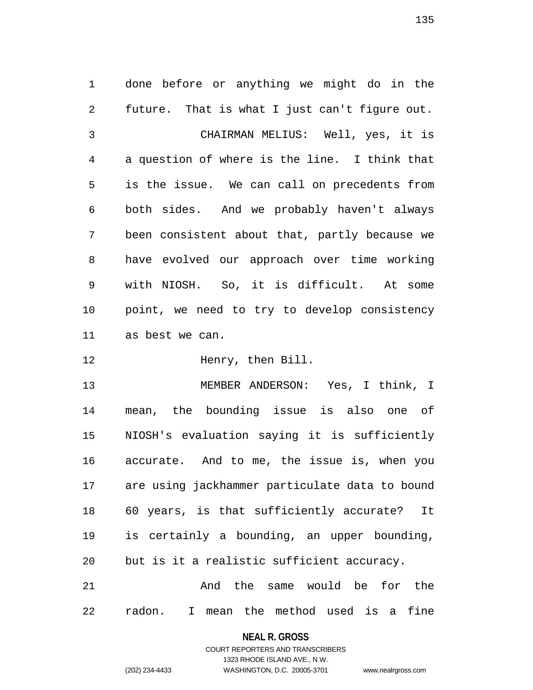1 done before or anything we might do in the 2 future. That is what I just can't figure out. 3 CHAIRMAN MELIUS: Well, yes, it is 4 a question of where is the line. I think that 5 is the issue. We can call on precedents from 6 both sides. And we probably haven't always 7 been consistent about that, partly because we 8 have evolved our approach over time working 9 with NIOSH. So, it is difficult. At some 10 point, we need to try to develop consistency 11 as best we can.

12 **Henry**, then Bill.

13 MEMBER ANDERSON: Yes, I think, I 14 mean, the bounding issue is also one of 15 NIOSH's evaluation saying it is sufficiently 16 accurate. And to me, the issue is, when you 17 are using jackhammer particulate data to bound 18 60 years, is that sufficiently accurate? It 19 is certainly a bounding, an upper bounding, 20 but is it a realistic sufficient accuracy.

21 and the same would be for the 22 radon. I mean the method used is a fine

## **NEAL R. GROSS** COURT REPORTERS AND TRANSCRIBERS

1323 RHODE ISLAND AVE., N.W.

(202) 234-4433 WASHINGTON, D.C. 20005-3701 www.nealrgross.com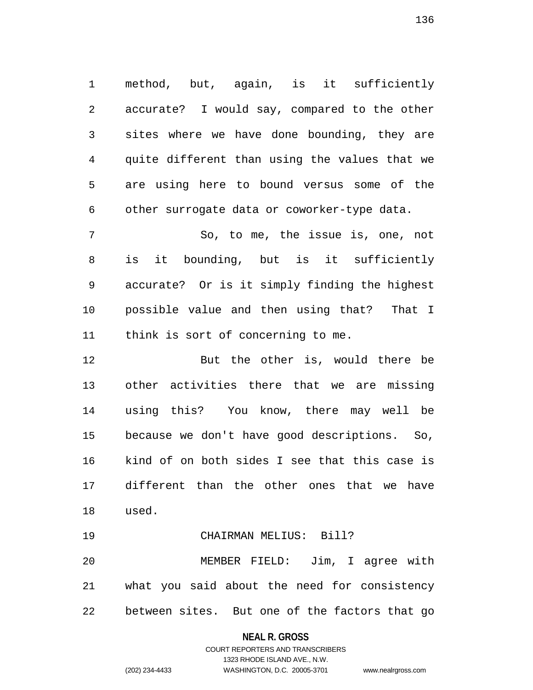1 method, but, again, is it sufficiently 2 accurate? I would say, compared to the other 3 sites where we have done bounding, they are 4 quite different than using the values that we 5 are using here to bound versus some of the 6 other surrogate data or coworker-type data.

7 So, to me, the issue is, one, not 8 is it bounding, but is it sufficiently 9 accurate? Or is it simply finding the highest 10 possible value and then using that? That I 11 think is sort of concerning to me.

12 But the other is, would there be 13 other activities there that we are missing 14 using this? You know, there may well be 15 because we don't have good descriptions. So, 16 kind of on both sides I see that this case is 17 different than the other ones that we have 18 used.

19 CHAIRMAN MELIUS: Bill? 20 MEMBER FIELD: Jim, I agree with 21 what you said about the need for consistency 22 between sites. But one of the factors that go

## **NEAL R. GROSS**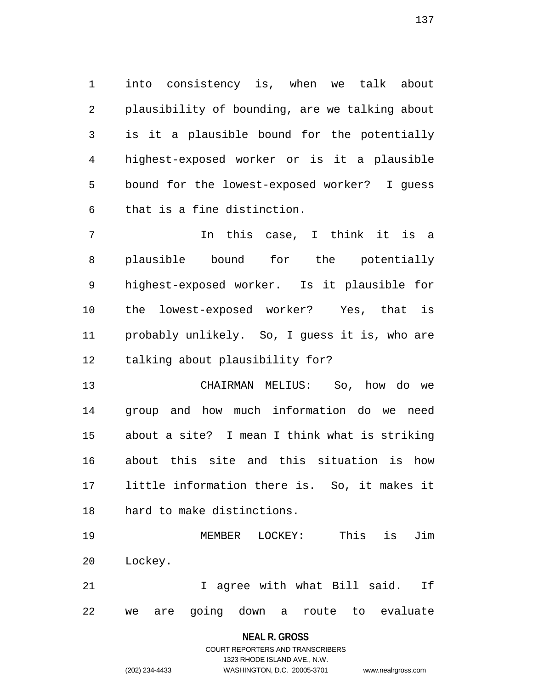1 into consistency is, when we talk about 2 plausibility of bounding, are we talking about 3 is it a plausible bound for the potentially 4 highest-exposed worker or is it a plausible 5 bound for the lowest-exposed worker? I guess 6 that is a fine distinction.

7 The this case, I think it is a 8 plausible bound for the potentially 9 highest-exposed worker. Is it plausible for 10 the lowest-exposed worker? Yes, that is 11 probably unlikely. So, I guess it is, who are 12 talking about plausibility for?

13 CHAIRMAN MELIUS: So, how do we 14 group and how much information do we need 15 about a site? I mean I think what is striking 16 about this site and this situation is how 17 little information there is. So, it makes it 18 hard to make distinctions.

19 MEMBER LOCKEY: This is Jim 20 Lockey.

21 1 agree with what Bill said. If 22 we are going down a route to evaluate

## **NEAL R. GROSS**

COURT REPORTERS AND TRANSCRIBERS 1323 RHODE ISLAND AVE., N.W. (202) 234-4433 WASHINGTON, D.C. 20005-3701 www.nealrgross.com

137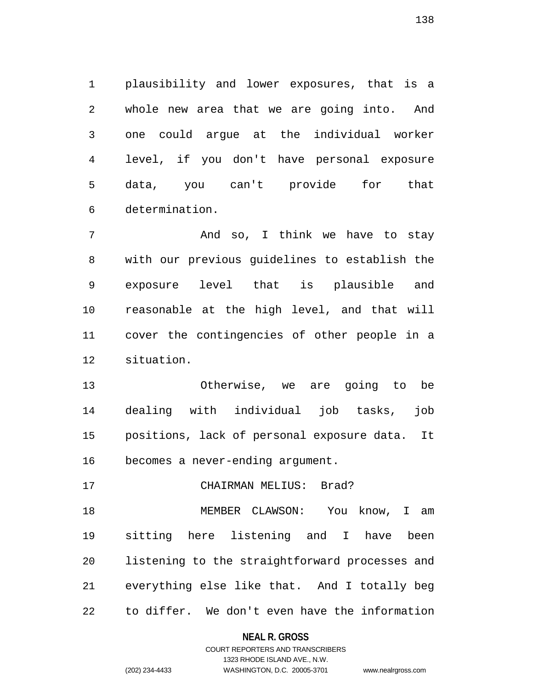1 plausibility and lower exposures, that is a 2 whole new area that we are going into. And 3 one could argue at the individual worker 4 level, if you don't have personal exposure 5 data, you can't provide for that 6 determination.

7 And so, I think we have to stay 8 with our previous guidelines to establish the 9 exposure level that is plausible and 10 reasonable at the high level, and that will 11 cover the contingencies of other people in a 12 situation.

13 Otherwise, we are going to be 14 dealing with individual job tasks, job 15 positions, lack of personal exposure data. It 16 becomes a never-ending argument.

17 CHAIRMAN MELIUS: Brad?

18 MEMBER CLAWSON: You know, I am 19 sitting here listening and I have been 20 listening to the straightforward processes and 21 everything else like that. And I totally beg 22 to differ. We don't even have the information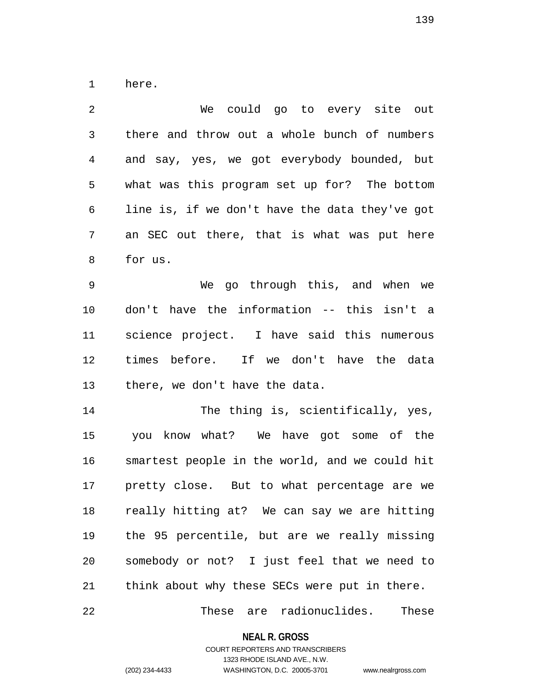1 here.

| 2              | We could go to every site out                  |
|----------------|------------------------------------------------|
| $\mathfrak{Z}$ | there and throw out a whole bunch of numbers   |
| 4              | and say, yes, we got everybody bounded, but    |
| 5              | what was this program set up for? The bottom   |
| 6              | line is, if we don't have the data they've got |
| 7              | an SEC out there, that is what was put here    |
| 8              | for us.                                        |
| 9              | We go through this, and when we                |
| 10             | don't have the information -- this isn't a     |
| 11             | science project. I have said this numerous     |
| 12             | times before. If we don't have the data        |
| 13             | there, we don't have the data.                 |
| 14             | The thing is, scientifically, yes,             |
| 15             | you know what? We have got some of the         |
| 16             | smartest people in the world, and we could hit |
| 17             | pretty close. But to what percentage are we    |
| 18             | really hitting at? We can say we are hitting   |
| 19             | the 95 percentile, but are we really missing   |
| 20             | somebody or not? I just feel that we need to   |
| 21             | think about why these SECs were put in there.  |
| 22             | These are radionuclides. These                 |

**NEAL R. GROSS**

# COURT REPORTERS AND TRANSCRIBERS 1323 RHODE ISLAND AVE., N.W.

(202) 234-4433 WASHINGTON, D.C. 20005-3701 www.nealrgross.com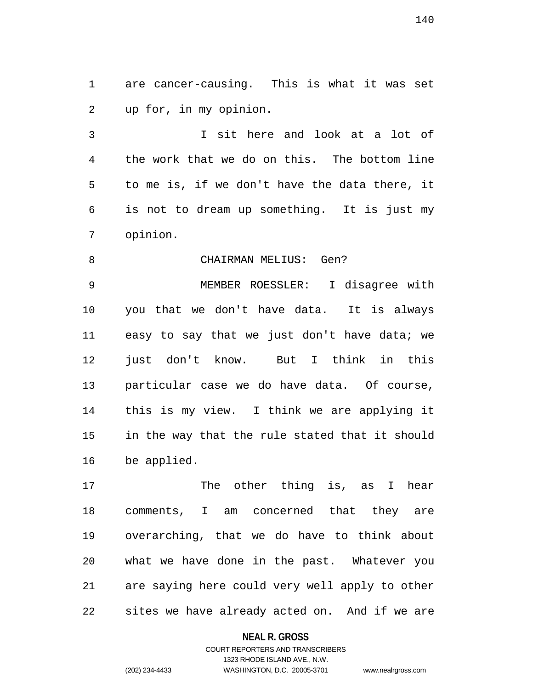1 are cancer-causing. This is what it was set 2 up for, in my opinion.

3 I sit here and look at a lot of 4 the work that we do on this. The bottom line 5 to me is, if we don't have the data there, it 6 is not to dream up something. It is just my 7 opinion.

8 CHAIRMAN MELIUS: Gen?

9 MEMBER ROESSLER: I disagree with 10 you that we don't have data. It is always 11 easy to say that we just don't have data; we 12 just don't know. But I think in this 13 particular case we do have data. Of course, 14 this is my view. I think we are applying it 15 in the way that the rule stated that it should 16 be applied.

17 The other thing is, as I hear 18 comments, I am concerned that they are 19 overarching, that we do have to think about 20 what we have done in the past. Whatever you 21 are saying here could very well apply to other 22 sites we have already acted on. And if we are

**NEAL R. GROSS**

## COURT REPORTERS AND TRANSCRIBERS 1323 RHODE ISLAND AVE., N.W. (202) 234-4433 WASHINGTON, D.C. 20005-3701 www.nealrgross.com

140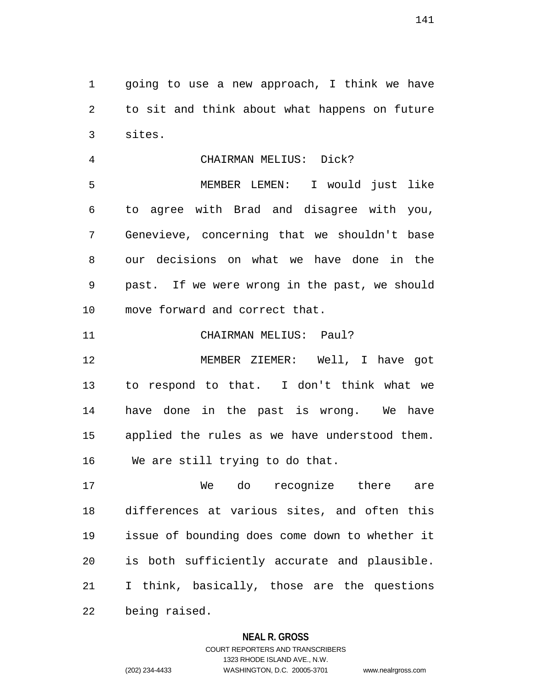1 going to use a new approach, I think we have 2 to sit and think about what happens on future 3 sites.

4 CHAIRMAN MELIUS: Dick?

5 MEMBER LEMEN: I would just like 6 to agree with Brad and disagree with you, 7 Genevieve, concerning that we shouldn't base 8 our decisions on what we have done in the 9 past. If we were wrong in the past, we should 10 move forward and correct that.

11 CHAIRMAN MELIUS: Paul?

12 MEMBER ZIEMER: Well, I have got 13 to respond to that. I don't think what we 14 have done in the past is wrong. We have 15 applied the rules as we have understood them. 16 We are still trying to do that.

17 We do recognize there are 18 differences at various sites, and often this 19 issue of bounding does come down to whether it 20 is both sufficiently accurate and plausible. 21 I think, basically, those are the questions 22 being raised.

## **NEAL R. GROSS**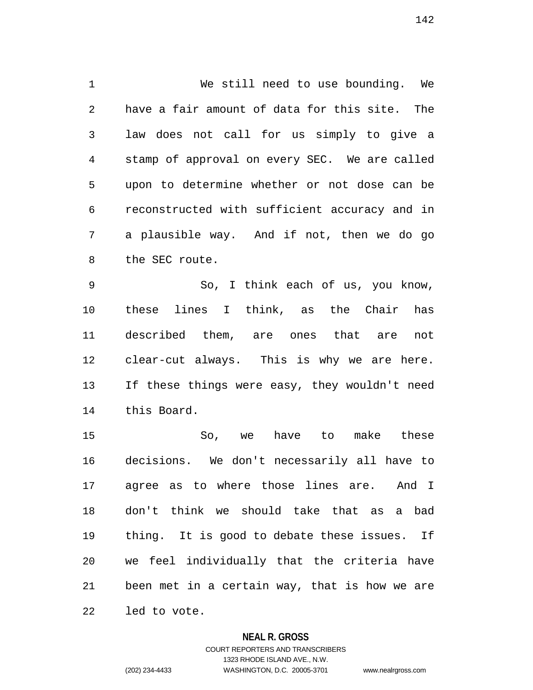1 We still need to use bounding. We 2 have a fair amount of data for this site. The 3 law does not call for us simply to give a 4 stamp of approval on every SEC. We are called 5 upon to determine whether or not dose can be 6 reconstructed with sufficient accuracy and in 7 a plausible way. And if not, then we do go 8 the SEC route.

9 So, I think each of us, you know, 10 these lines I think, as the Chair has 11 described them, are ones that are not 12 clear-cut always. This is why we are here. 13 If these things were easy, they wouldn't need 14 this Board.

15 So, we have to make these 16 decisions. We don't necessarily all have to 17 agree as to where those lines are. And I 18 don't think we should take that as a bad 19 thing. It is good to debate these issues. If 20 we feel individually that the criteria have 21 been met in a certain way, that is how we are 22 led to vote.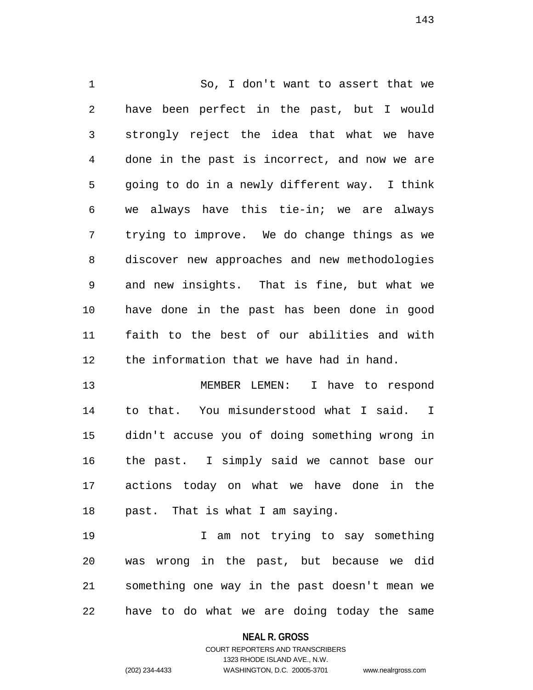1 So, I don't want to assert that we 2 have been perfect in the past, but I would 3 strongly reject the idea that what we have 4 done in the past is incorrect, and now we are 5 going to do in a newly different way. I think 6 we always have this tie-in; we are always 7 trying to improve. We do change things as we 8 discover new approaches and new methodologies 9 and new insights. That is fine, but what we 10 have done in the past has been done in good 11 faith to the best of our abilities and with 12 the information that we have had in hand.

13 MEMBER LEMEN: I have to respond 14 to that. You misunderstood what I said. I 15 didn't accuse you of doing something wrong in 16 the past. I simply said we cannot base our 17 actions today on what we have done in the 18 past. That is what I am saying.

19 I am not trying to say something 20 was wrong in the past, but because we did 21 something one way in the past doesn't mean we 22 have to do what we are doing today the same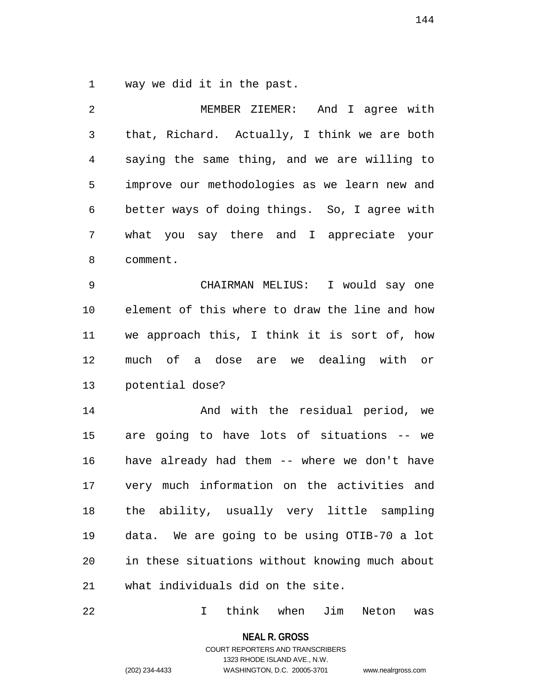1 way we did it in the past.

| MEMBER ZIEMER: And I agree with                |
|------------------------------------------------|
| that, Richard. Actually, I think we are both   |
| saying the same thing, and we are willing to   |
| improve our methodologies as we learn new and  |
| better ways of doing things. So, I agree with  |
| what you say there and I appreciate your       |
| comment.                                       |
| CHAIRMAN MELIUS: I would say one               |
| element of this where to draw the line and how |
| we approach this, I think it is sort of, how   |
|                                                |
| much of a dose are we dealing with or          |
| potential dose?                                |
| And with the residual period, we               |
| are going to have lots of situations -- we     |
| have already had them -- where we don't have   |
| very much information on the activities and    |
| the ability, usually very little sampling      |
| data. We are going to be using OTIB-70 a lot   |
| in these situations without knowing much about |
|                                                |

22 I think when Jim Neton was

**NEAL R. GROSS**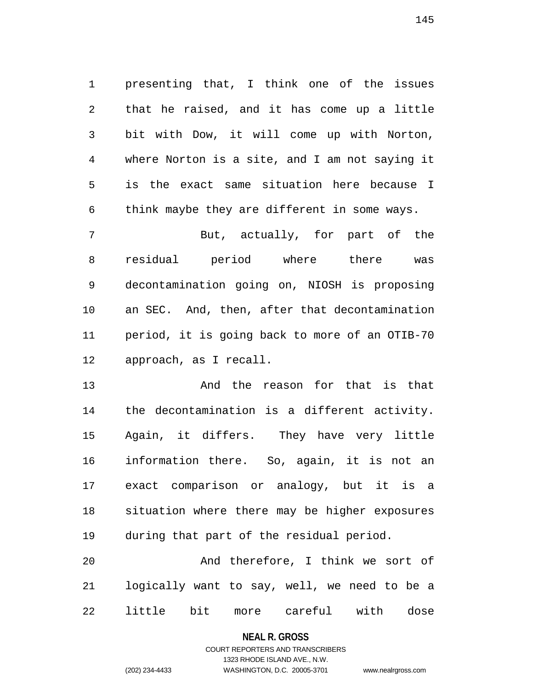1 presenting that, I think one of the issues 2 that he raised, and it has come up a little 3 bit with Dow, it will come up with Norton, 4 where Norton is a site, and I am not saying it 5 is the exact same situation here because I 6 think maybe they are different in some ways.

7 But, actually, for part of the 8 residual period where there was 9 decontamination going on, NIOSH is proposing 10 an SEC. And, then, after that decontamination 11 period, it is going back to more of an OTIB-70 12 approach, as I recall.

13 And the reason for that is that 14 the decontamination is a different activity. 15 Again, it differs. They have very little 16 information there. So, again, it is not an 17 exact comparison or analogy, but it is a 18 situation where there may be higher exposures 19 during that part of the residual period.

20 And therefore, I think we sort of 21 logically want to say, well, we need to be a 22 little bit more careful with dose

### **NEAL R. GROSS**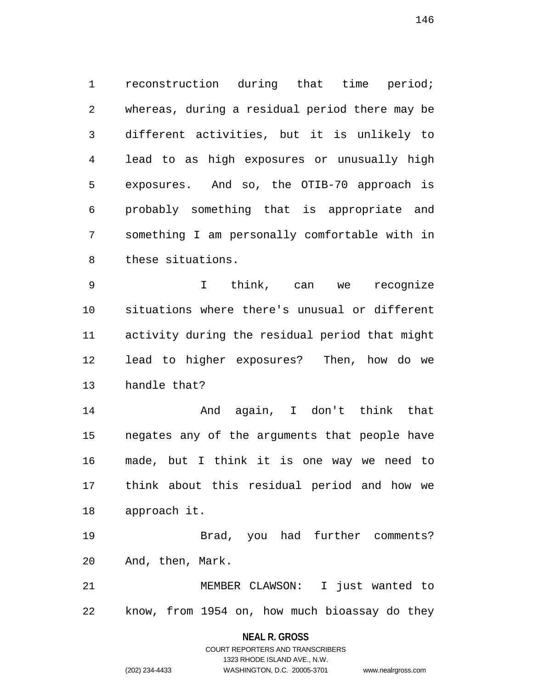1 reconstruction during that time period; 2 whereas, during a residual period there may be 3 different activities, but it is unlikely to 4 lead to as high exposures or unusually high 5 exposures. And so, the OTIB-70 approach is 6 probably something that is appropriate and 7 something I am personally comfortable with in 8 these situations.

9 I think, can we recognize 10 situations where there's unusual or different 11 activity during the residual period that might 12 lead to higher exposures? Then, how do we 13 handle that?

14 And again, I don't think that 15 negates any of the arguments that people have 16 made, but I think it is one way we need to 17 think about this residual period and how we 18 approach it.

19 Brad, you had further comments? 20 And, then, Mark.

21 MEMBER CLAWSON: I just wanted to 22 know, from 1954 on, how much bioassay do they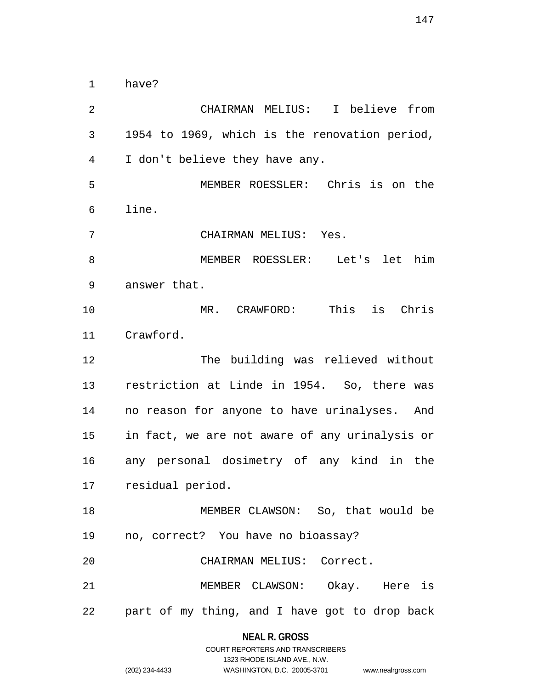1 have?

2 CHAIRMAN MELIUS: I believe from 3 1954 to 1969, which is the renovation period, 4 I don't believe they have any. 5 MEMBER ROESSLER: Chris is on the 6 line. 7 CHAIRMAN MELIUS: Yes. 8 MEMBER ROESSLER: Let's let him 9 answer that. 10 MR. CRAWFORD: This is Chris 11 Crawford. 12 The building was relieved without 13 restriction at Linde in 1954. So, there was 14 no reason for anyone to have urinalyses. And 15 in fact, we are not aware of any urinalysis or 16 any personal dosimetry of any kind in the 17 residual period. 18 MEMBER CLAWSON: So, that would be 19 no, correct? You have no bioassay? 20 CHAIRMAN MELIUS: Correct. 21 MEMBER CLAWSON: Okay. Here is 22 part of my thing, and I have got to drop back

> **NEAL R. GROSS** COURT REPORTERS AND TRANSCRIBERS

|                | 1323 RHODE ISLAND AVE., N.W. |                    |
|----------------|------------------------------|--------------------|
| (202) 234-4433 | WASHINGTON, D.C. 20005-3701  | www.nealrgross.com |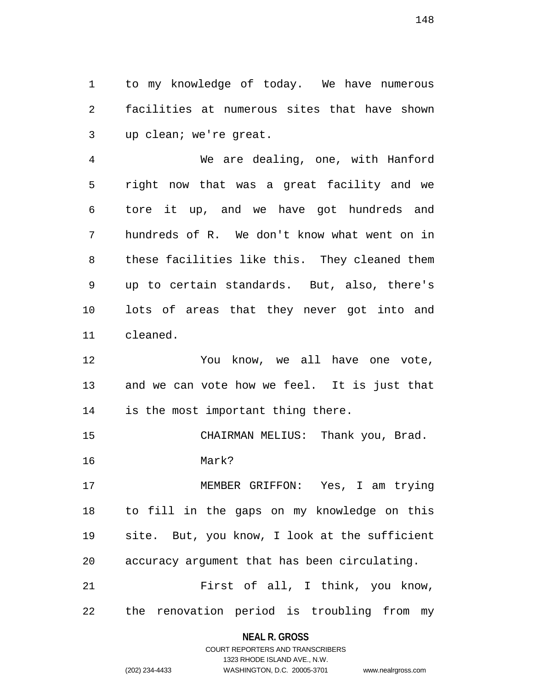1 to my knowledge of today. We have numerous 2 facilities at numerous sites that have shown 3 up clean; we're great.

4 We are dealing, one, with Hanford 5 right now that was a great facility and we 6 tore it up, and we have got hundreds and 7 hundreds of R. We don't know what went on in 8 these facilities like this. They cleaned them 9 up to certain standards. But, also, there's 10 lots of areas that they never got into and 11 cleaned.

12 You know, we all have one vote, 13 and we can vote how we feel. It is just that 14 is the most important thing there.

15 CHAIRMAN MELIUS: Thank you, Brad. 16 Mark?

17 MEMBER GRIFFON: Yes, I am trying 18 to fill in the gaps on my knowledge on this 19 site. But, you know, I look at the sufficient 20 accuracy argument that has been circulating.

21 First of all, I think, you know, 22 the renovation period is troubling from my

## **NEAL R. GROSS** COURT REPORTERS AND TRANSCRIBERS

1323 RHODE ISLAND AVE., N.W.

|                | TUZU INTUUL TULAI YU AVE IY.VV. |                    |
|----------------|---------------------------------|--------------------|
| (202) 234-4433 | WASHINGTON, D.C. 20005-3701     | www.nealrgross.com |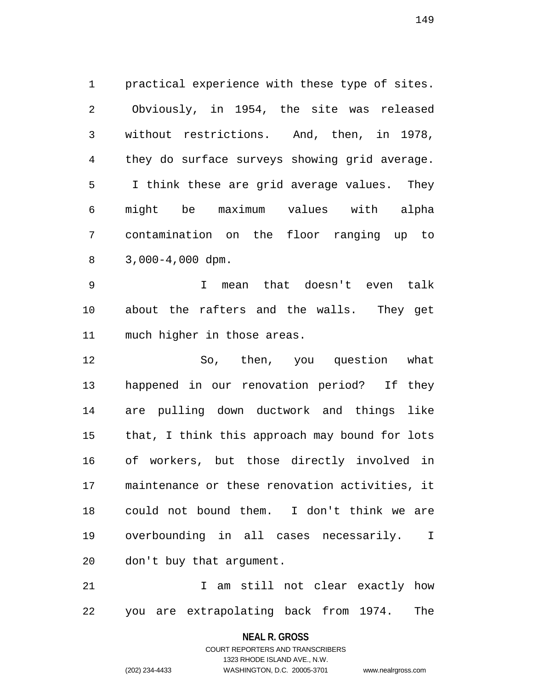1 practical experience with these type of sites. 2 Obviously, in 1954, the site was released 3 without restrictions. And, then, in 1978, 4 they do surface surveys showing grid average. 5 I think these are grid average values. They 6 might be maximum values with alpha 7 contamination on the floor ranging up to 8 3,000-4,000 dpm.

9 I mean that doesn't even talk 10 about the rafters and the walls. They get 11 much higher in those areas.

12 So, then, you question what 13 happened in our renovation period? If they 14 are pulling down ductwork and things like 15 that, I think this approach may bound for lots 16 of workers, but those directly involved in 17 maintenance or these renovation activities, it 18 could not bound them. I don't think we are 19 overbounding in all cases necessarily. I 20 don't buy that argument.

21 1 am still not clear exactly how 22 you are extrapolating back from 1974. The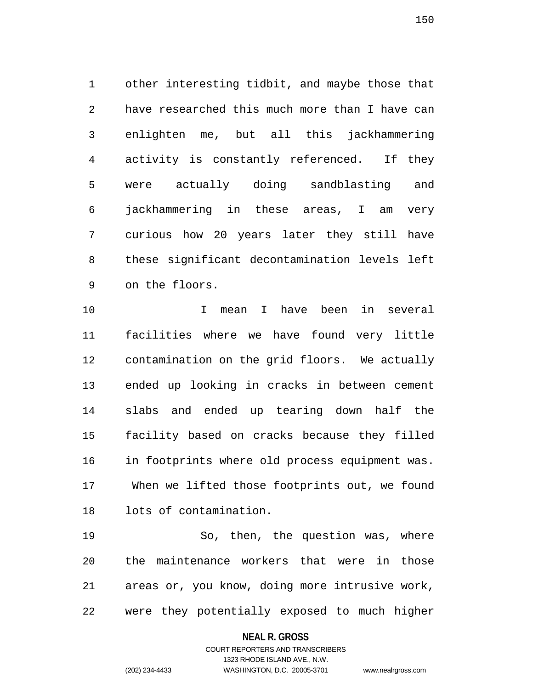1 other interesting tidbit, and maybe those that 2 have researched this much more than I have can 3 enlighten me, but all this jackhammering 4 activity is constantly referenced. If they 5 were actually doing sandblasting and 6 jackhammering in these areas, I am very 7 curious how 20 years later they still have 8 these significant decontamination levels left 9 on the floors.

10 I mean I have been in several 11 facilities where we have found very little 12 contamination on the grid floors. We actually 13 ended up looking in cracks in between cement 14 slabs and ended up tearing down half the 15 facility based on cracks because they filled 16 in footprints where old process equipment was. 17 When we lifted those footprints out, we found 18 lots of contamination.

19 So, then, the question was, where 20 the maintenance workers that were in those 21 areas or, you know, doing more intrusive work, 22 were they potentially exposed to much higher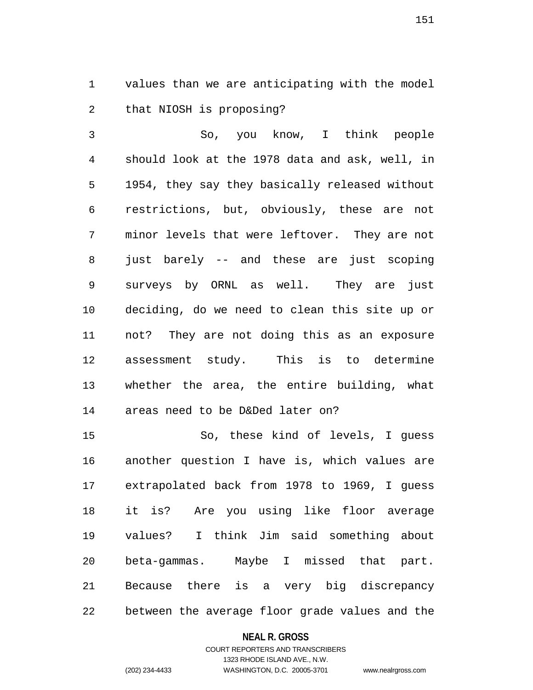1 values than we are anticipating with the model 2 that NIOSH is proposing?

3 So, you know, I think people 4 should look at the 1978 data and ask, well, in 5 1954, they say they basically released without 6 restrictions, but, obviously, these are not 7 minor levels that were leftover. They are not 8 just barely -- and these are just scoping 9 surveys by ORNL as well. They are just 10 deciding, do we need to clean this site up or 11 not? They are not doing this as an exposure 12 assessment study. This is to determine 13 whether the area, the entire building, what 14 areas need to be D&Ded later on?

15 So, these kind of levels, I guess 16 another question I have is, which values are 17 extrapolated back from 1978 to 1969, I guess 18 it is? Are you using like floor average 19 values? I think Jim said something about 20 beta-gammas. Maybe I missed that part. 21 Because there is a very big discrepancy 22 between the average floor grade values and the

### **NEAL R. GROSS**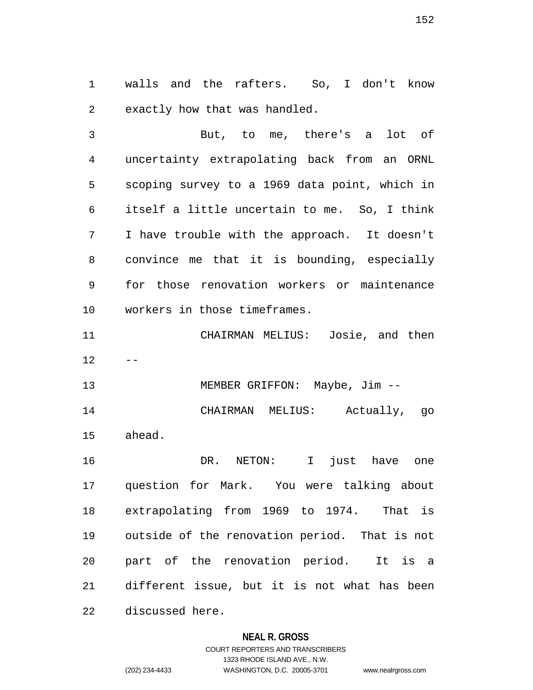1 walls and the rafters. So, I don't know 2 exactly how that was handled.

3 But, to me, there's a lot of 4 uncertainty extrapolating back from an ORNL 5 scoping survey to a 1969 data point, which in 6 itself a little uncertain to me. So, I think 7 I have trouble with the approach. It doesn't 8 convince me that it is bounding, especially 9 for those renovation workers or maintenance 10 workers in those timeframes.

11 CHAIRMAN MELIUS: Josie, and then  $12$ 

13 MEMBER GRIFFON: Maybe, Jim --14 CHAIRMAN MELIUS: Actually, go 15 ahead.

16 DR. NETON: I just have one 17 question for Mark. You were talking about 18 extrapolating from 1969 to 1974. That is 19 outside of the renovation period. That is not 20 part of the renovation period. It is a 21 different issue, but it is not what has been 22 discussed here.

### **NEAL R. GROSS**

COURT REPORTERS AND TRANSCRIBERS 1323 RHODE ISLAND AVE., N.W. (202) 234-4433 WASHINGTON, D.C. 20005-3701 www.nealrgross.com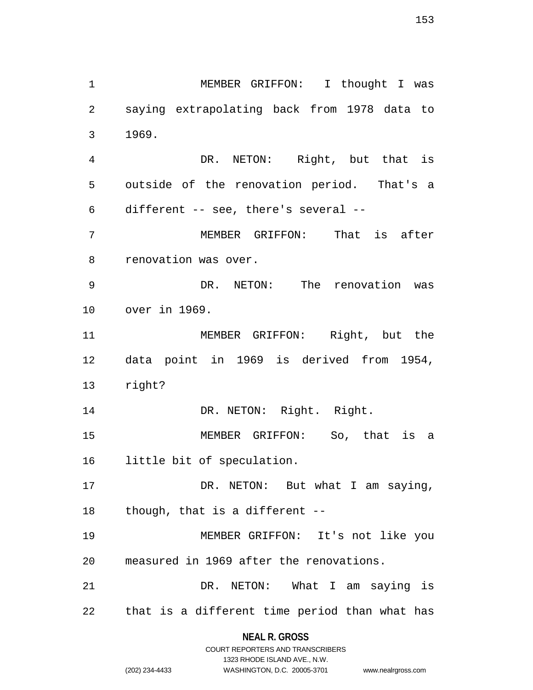153

1 MEMBER GRIFFON: I thought I was 2 saying extrapolating back from 1978 data to 3 1969. 4 DR. NETON: Right, but that is 5 outside of the renovation period. That's a 6 different -- see, there's several -- 7 MEMBER GRIFFON: That is after 8 renovation was over. 9 DR. NETON: The renovation was 10 over in 1969. 11 MEMBER GRIFFON: Right, but the 12 data point in 1969 is derived from 1954, 13 right? 14 DR. NETON: Right. Right. 15 MEMBER GRIFFON: So, that is a 16 little bit of speculation. 17 DR. NETON: But what I am saying, 18 though, that is a different -- 19 MEMBER GRIFFON: It's not like you 20 measured in 1969 after the renovations. 21 DR. NETON: What I am saying is 22 that is a different time period than what has

> **NEAL R. GROSS** COURT REPORTERS AND TRANSCRIBERS

> > 1323 RHODE ISLAND AVE., N.W.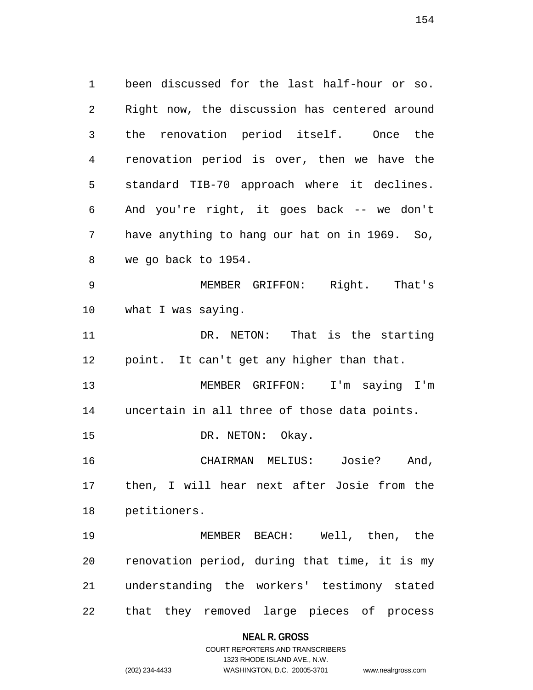1 been discussed for the last half-hour or so. 2 Right now, the discussion has centered around 3 the renovation period itself. Once the 4 renovation period is over, then we have the 5 standard TIB-70 approach where it declines. 6 And you're right, it goes back -- we don't 7 have anything to hang our hat on in 1969. So, 8 we go back to 1954. 9 MEMBER GRIFFON: Right. That's 10 what I was saying. 11 DR. NETON: That is the starting 12 point. It can't get any higher than that. 13 MEMBER GRIFFON: I'm saying I'm 14 uncertain in all three of those data points. 15 DR. NETON: Okay. 16 CHAIRMAN MELIUS: Josie? And, 17 then, I will hear next after Josie from the 18 petitioners. 19 MEMBER BEACH: Well, then, the 20 renovation period, during that time, it is my 21 understanding the workers' testimony stated 22 that they removed large pieces of process

#### **NEAL R. GROSS**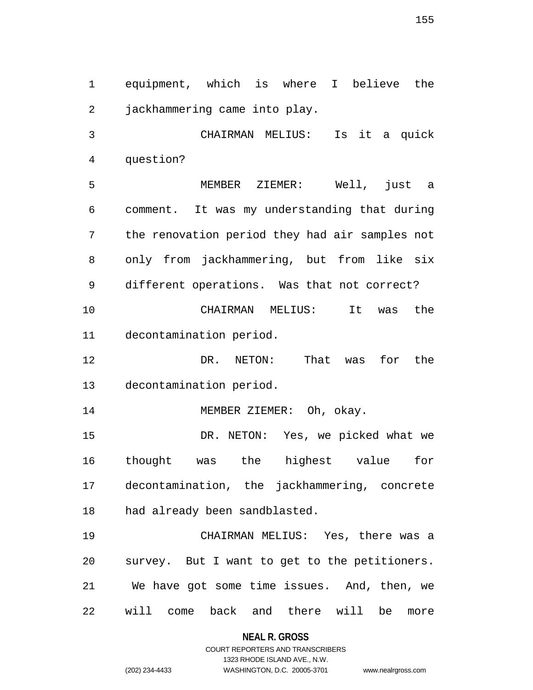1 equipment, which is where I believe the 2 jackhammering came into play.

3 CHAIRMAN MELIUS: Is it a quick 4 question?

5 MEMBER ZIEMER: Well, just a 6 comment. It was my understanding that during 7 the renovation period they had air samples not 8 only from jackhammering, but from like six 9 different operations. Was that not correct? 10 CHAIRMAN MELIUS: It was the 11 decontamination period.

12 DR. NETON: That was for the 13 decontamination period.

14 MEMBER ZIEMER: Oh, okay.

15 DR. NETON: Yes, we picked what we 16 thought was the highest value for 17 decontamination, the jackhammering, concrete 18 had already been sandblasted.

19 CHAIRMAN MELIUS: Yes, there was a 20 survey. But I want to get to the petitioners. 21 We have got some time issues. And, then, we 22 will come back and there will be more

**NEAL R. GROSS**

COURT REPORTERS AND TRANSCRIBERS 1323 RHODE ISLAND AVE., N.W. (202) 234-4433 WASHINGTON, D.C. 20005-3701 www.nealrgross.com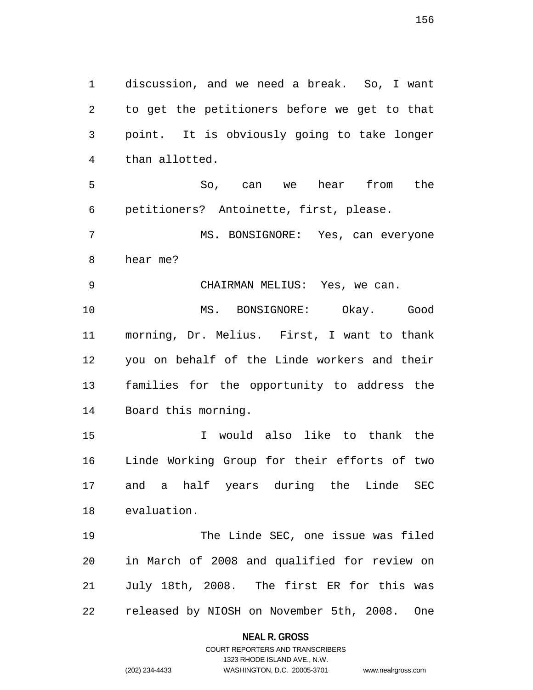1 discussion, and we need a break. So, I want 2 to get the petitioners before we get to that 3 point. It is obviously going to take longer 4 than allotted. 5 So, can we hear from the

6 petitioners? Antoinette, first, please.

7 MS. BONSIGNORE: Yes, can everyone 8 hear me?

9 CHAIRMAN MELIUS: Yes, we can.

10 MS. BONSIGNORE: Okay. Good 11 morning, Dr. Melius. First, I want to thank 12 you on behalf of the Linde workers and their 13 families for the opportunity to address the 14 Board this morning.

15 I would also like to thank the 16 Linde Working Group for their efforts of two 17 and a half years during the Linde SEC 18 evaluation.

19 The Linde SEC, one issue was filed 20 in March of 2008 and qualified for review on 21 July 18th, 2008. The first ER for this was 22 released by NIOSH on November 5th, 2008. One

### **NEAL R. GROSS**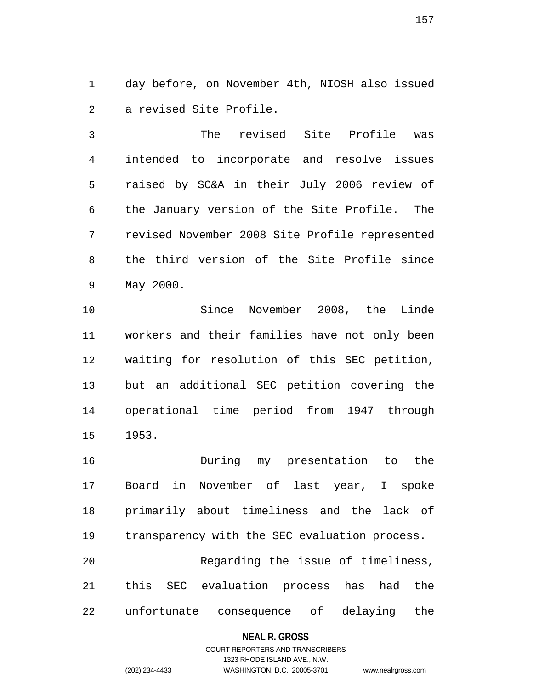1 day before, on November 4th, NIOSH also issued 2 a revised Site Profile.

3 The revised Site Profile was 4 intended to incorporate and resolve issues 5 raised by SC&A in their July 2006 review of 6 the January version of the Site Profile. The 7 revised November 2008 Site Profile represented 8 the third version of the Site Profile since 9 May 2000.

10 Since November 2008, the Linde 11 workers and their families have not only been 12 waiting for resolution of this SEC petition, 13 but an additional SEC petition covering the 14 operational time period from 1947 through 15 1953.

16 During my presentation to the 17 Board in November of last year, I spoke 18 primarily about timeliness and the lack of 19 transparency with the SEC evaluation process. 20 Regarding the issue of timeliness, 21 this SEC evaluation process has had the

22 unfortunate consequence of delaying the

### **NEAL R. GROSS**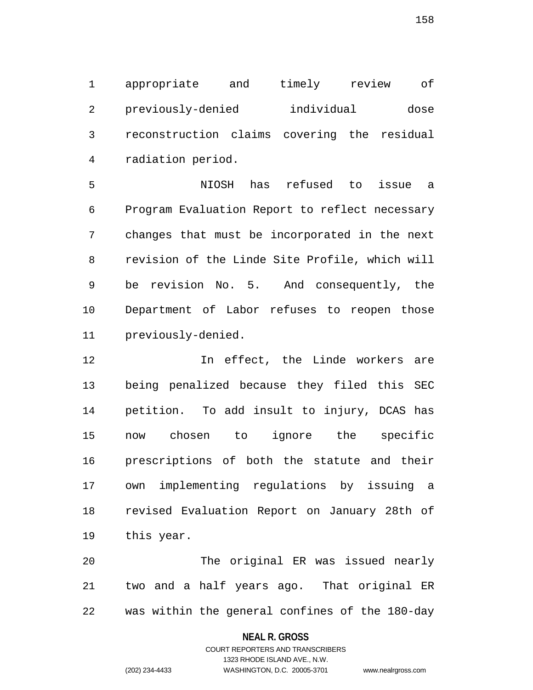1 appropriate and timely review of 2 previously-denied individual dose 3 reconstruction claims covering the residual 4 radiation period.

5 NIOSH has refused to issue a 6 Program Evaluation Report to reflect necessary 7 changes that must be incorporated in the next 8 revision of the Linde Site Profile, which will 9 be revision No. 5. And consequently, the 10 Department of Labor refuses to reopen those 11 previously-denied.

12 In effect, the Linde workers are 13 being penalized because they filed this SEC 14 petition. To add insult to injury, DCAS has 15 now chosen to ignore the specific 16 prescriptions of both the statute and their 17 own implementing regulations by issuing a 18 revised Evaluation Report on January 28th of 19 this year.

20 The original ER was issued nearly 21 two and a half years ago. That original ER 22 was within the general confines of the 180-day

### **NEAL R. GROSS**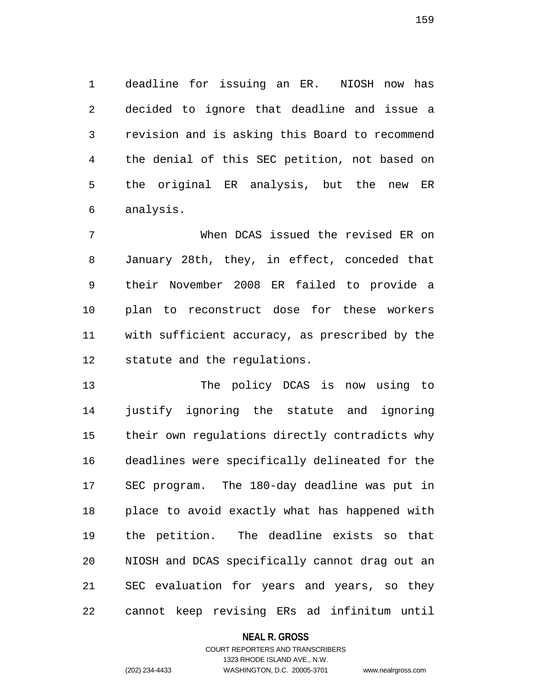1 deadline for issuing an ER. NIOSH now has 2 decided to ignore that deadline and issue a 3 revision and is asking this Board to recommend 4 the denial of this SEC petition, not based on 5 the original ER analysis, but the new ER 6 analysis.

7 When DCAS issued the revised ER on 8 January 28th, they, in effect, conceded that 9 their November 2008 ER failed to provide a 10 plan to reconstruct dose for these workers 11 with sufficient accuracy, as prescribed by the 12 statute and the regulations.

13 The policy DCAS is now using to 14 justify ignoring the statute and ignoring 15 their own regulations directly contradicts why 16 deadlines were specifically delineated for the 17 SEC program. The 180-day deadline was put in 18 place to avoid exactly what has happened with 19 the petition. The deadline exists so that 20 NIOSH and DCAS specifically cannot drag out an 21 SEC evaluation for years and years, so they 22 cannot keep revising ERs ad infinitum until

### **NEAL R. GROSS**

## COURT REPORTERS AND TRANSCRIBERS 1323 RHODE ISLAND AVE., N.W. (202) 234-4433 WASHINGTON, D.C. 20005-3701 www.nealrgross.com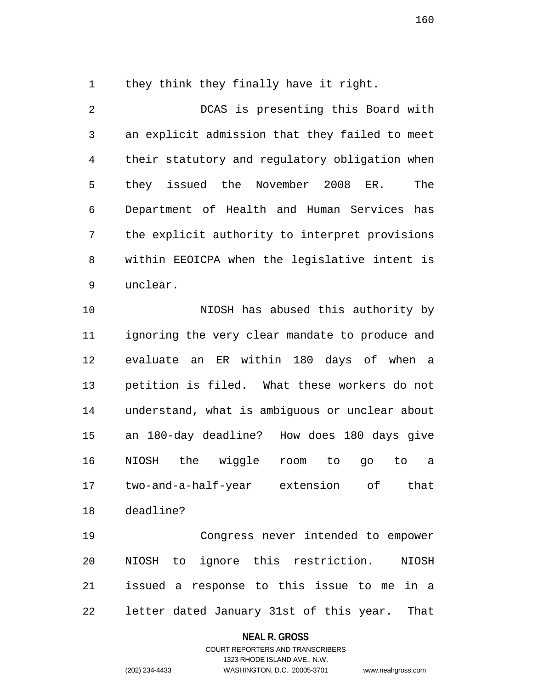1 they think they finally have it right.

2 DCAS is presenting this Board with 3 an explicit admission that they failed to meet 4 their statutory and regulatory obligation when 5 they issued the November 2008 ER. The 6 Department of Health and Human Services has 7 the explicit authority to interpret provisions 8 within EEOICPA when the legislative intent is 9 unclear.

10 NIOSH has abused this authority by 11 ignoring the very clear mandate to produce and 12 evaluate an ER within 180 days of when a 13 petition is filed. What these workers do not 14 understand, what is ambiguous or unclear about 15 an 180-day deadline? How does 180 days give 16 NIOSH the wiggle room to go to a 17 two-and-a-half-year extension of that 18 deadline?

19 Congress never intended to empower 20 NIOSH to ignore this restriction. NIOSH 21 issued a response to this issue to me in a 22 letter dated January 31st of this year. That

### **NEAL R. GROSS**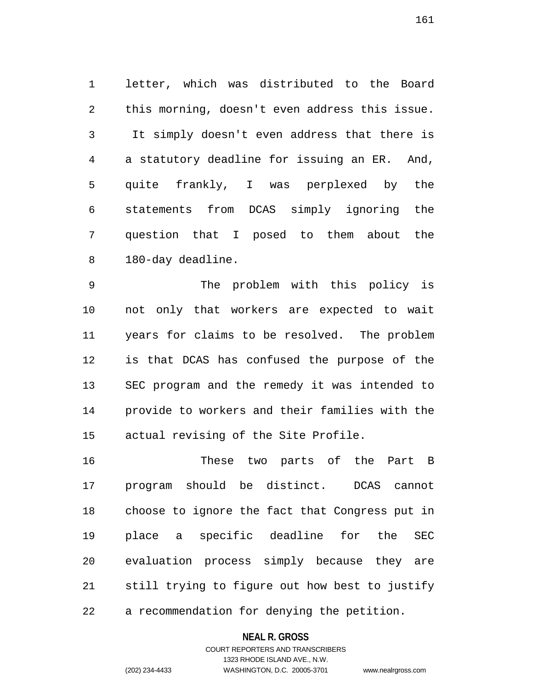1 letter, which was distributed to the Board 2 this morning, doesn't even address this issue. 3 It simply doesn't even address that there is 4 a statutory deadline for issuing an ER. And, 5 quite frankly, I was perplexed by the 6 statements from DCAS simply ignoring the 7 question that I posed to them about the 8 180-day deadline.

9 The problem with this policy is 10 not only that workers are expected to wait 11 years for claims to be resolved. The problem 12 is that DCAS has confused the purpose of the 13 SEC program and the remedy it was intended to 14 provide to workers and their families with the 15 actual revising of the Site Profile.

16 These two parts of the Part B 17 program should be distinct. DCAS cannot 18 choose to ignore the fact that Congress put in 19 place a specific deadline for the SEC 20 evaluation process simply because they are 21 still trying to figure out how best to justify 22 a recommendation for denying the petition.

### **NEAL R. GROSS**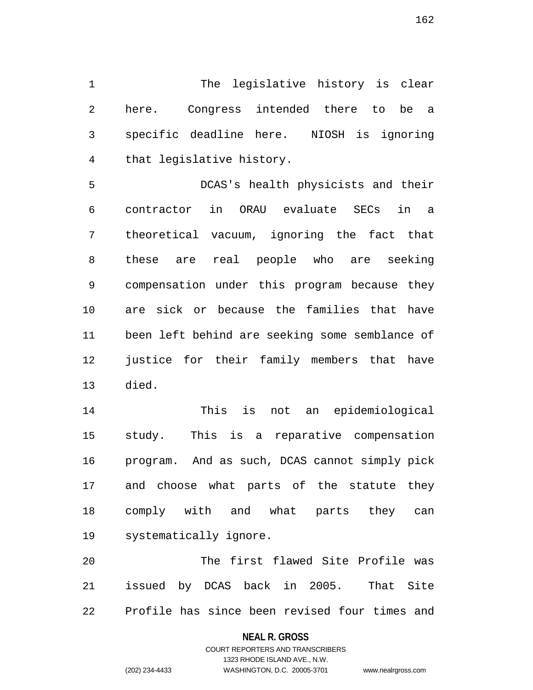1 The legislative history is clear 2 here. Congress intended there to be a 3 specific deadline here. NIOSH is ignoring 4 that legislative history.

5 DCAS's health physicists and their 6 contractor in ORAU evaluate SECs in a 7 theoretical vacuum, ignoring the fact that 8 these are real people who are seeking 9 compensation under this program because they 10 are sick or because the families that have 11 been left behind are seeking some semblance of 12 justice for their family members that have 13 died.

14 This is not an epidemiological 15 study. This is a reparative compensation 16 program. And as such, DCAS cannot simply pick 17 and choose what parts of the statute they 18 comply with and what parts they can 19 systematically ignore.

20 The first flawed Site Profile was 21 issued by DCAS back in 2005. That Site 22 Profile has since been revised four times and

### **NEAL R. GROSS**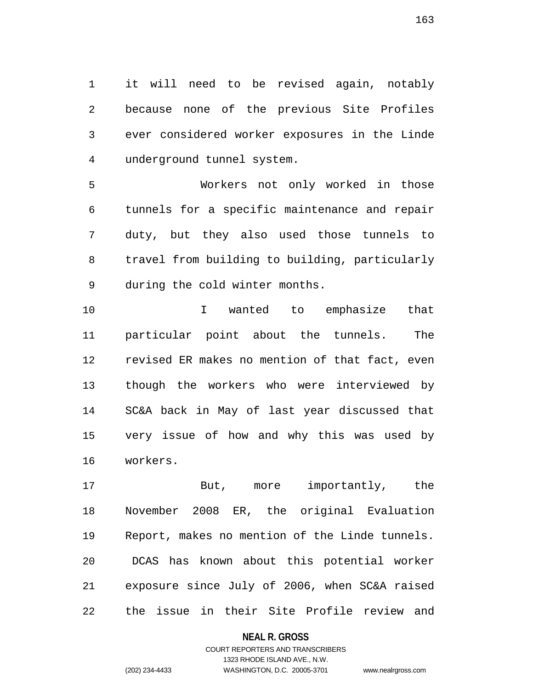1 it will need to be revised again, notably 2 because none of the previous Site Profiles 3 ever considered worker exposures in the Linde 4 underground tunnel system.

5 Workers not only worked in those 6 tunnels for a specific maintenance and repair 7 duty, but they also used those tunnels to 8 travel from building to building, particularly 9 during the cold winter months.

10 I wanted to emphasize that 11 particular point about the tunnels. The 12 revised ER makes no mention of that fact, even 13 though the workers who were interviewed by 14 SC&A back in May of last year discussed that 15 very issue of how and why this was used by 16 workers.

17 But, more importantly, the 18 November 2008 ER, the original Evaluation 19 Report, makes no mention of the Linde tunnels. 20 DCAS has known about this potential worker 21 exposure since July of 2006, when SC&A raised 22 the issue in their Site Profile review and

### **NEAL R. GROSS**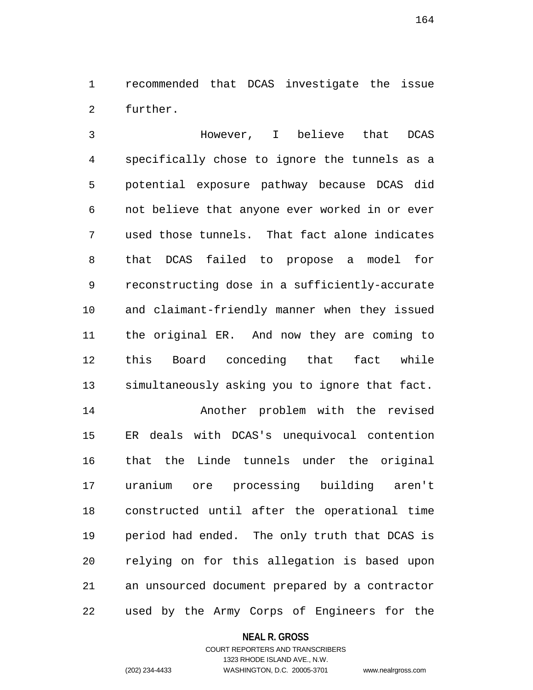1 recommended that DCAS investigate the issue 2 further.

3 However, I believe that DCAS 4 specifically chose to ignore the tunnels as a 5 potential exposure pathway because DCAS did 6 not believe that anyone ever worked in or ever 7 used those tunnels. That fact alone indicates 8 that DCAS failed to propose a model for 9 reconstructing dose in a sufficiently-accurate 10 and claimant-friendly manner when they issued 11 the original ER. And now they are coming to 12 this Board conceding that fact while 13 simultaneously asking you to ignore that fact. 14 Another problem with the revised 15 ER deals with DCAS's unequivocal contention 16 that the Linde tunnels under the original 17 uranium ore processing building aren't 18 constructed until after the operational time 19 period had ended. The only truth that DCAS is 20 relying on for this allegation is based upon 21 an unsourced document prepared by a contractor 22 used by the Army Corps of Engineers for the

#### **NEAL R. GROSS**

## COURT REPORTERS AND TRANSCRIBERS 1323 RHODE ISLAND AVE., N.W. (202) 234-4433 WASHINGTON, D.C. 20005-3701 www.nealrgross.com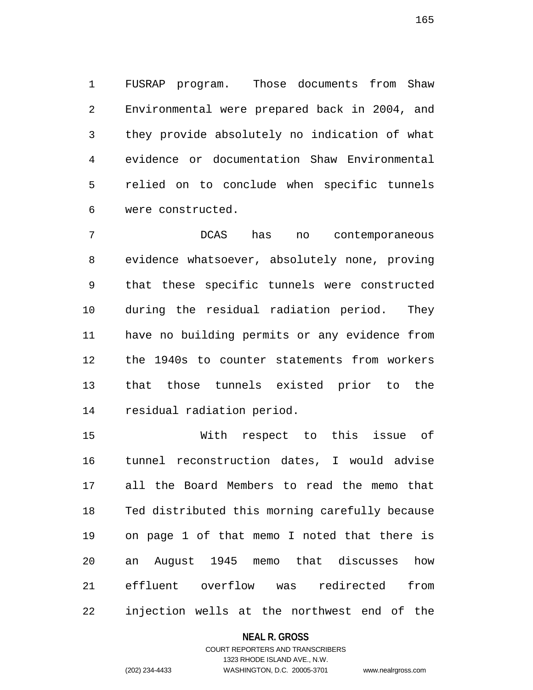1 FUSRAP program. Those documents from Shaw 2 Environmental were prepared back in 2004, and 3 they provide absolutely no indication of what 4 evidence or documentation Shaw Environmental 5 relied on to conclude when specific tunnels 6 were constructed.

7 DCAS has no contemporaneous 8 evidence whatsoever, absolutely none, proving 9 that these specific tunnels were constructed 10 during the residual radiation period. They 11 have no building permits or any evidence from 12 the 1940s to counter statements from workers 13 that those tunnels existed prior to the 14 residual radiation period.

15 With respect to this issue of 16 tunnel reconstruction dates, I would advise 17 all the Board Members to read the memo that 18 Ted distributed this morning carefully because 19 on page 1 of that memo I noted that there is 20 an August 1945 memo that discusses how 21 effluent overflow was redirected from 22 injection wells at the northwest end of the

### **NEAL R. GROSS**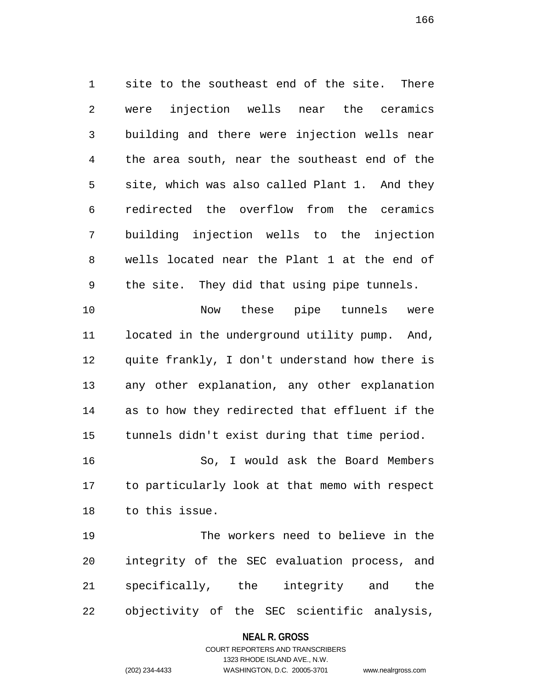1 site to the southeast end of the site. There 2 were injection wells near the ceramics 3 building and there were injection wells near 4 the area south, near the southeast end of the 5 site, which was also called Plant 1. And they 6 redirected the overflow from the ceramics 7 building injection wells to the injection 8 wells located near the Plant 1 at the end of 9 the site. They did that using pipe tunnels. 10 Now these pipe tunnels were

11 located in the underground utility pump. And, 12 quite frankly, I don't understand how there is 13 any other explanation, any other explanation 14 as to how they redirected that effluent if the 15 tunnels didn't exist during that time period.

16 So, I would ask the Board Members 17 to particularly look at that memo with respect 18 to this issue.

19 The workers need to believe in the 20 integrity of the SEC evaluation process, and 21 specifically, the integrity and the 22 objectivity of the SEC scientific analysis,

### **NEAL R. GROSS**

# COURT REPORTERS AND TRANSCRIBERS 1323 RHODE ISLAND AVE., N.W. (202) 234-4433 WASHINGTON, D.C. 20005-3701 www.nealrgross.com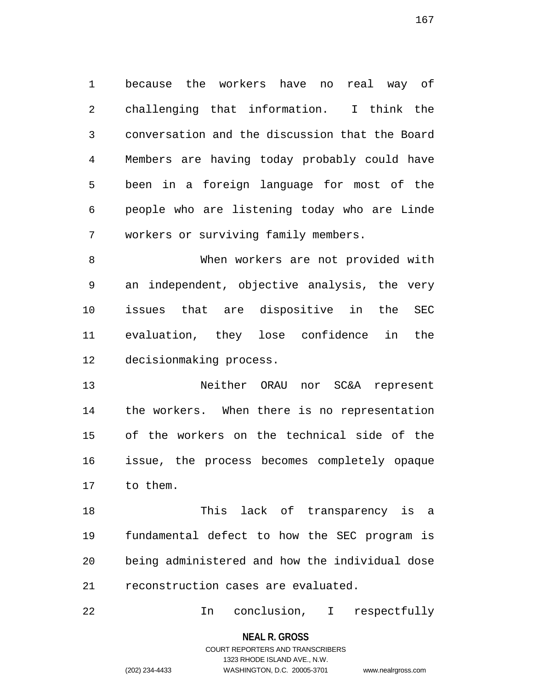1 because the workers have no real way of 2 challenging that information. I think the 3 conversation and the discussion that the Board 4 Members are having today probably could have 5 been in a foreign language for most of the 6 people who are listening today who are Linde 7 workers or surviving family members.

8 When workers are not provided with 9 an independent, objective analysis, the very 10 issues that are dispositive in the SEC 11 evaluation, they lose confidence in the 12 decisionmaking process.

13 Neither ORAU nor SC&A represent 14 the workers. When there is no representation 15 of the workers on the technical side of the 16 issue, the process becomes completely opaque 17 to them.

18 This lack of transparency is a 19 fundamental defect to how the SEC program is 20 being administered and how the individual dose 21 reconstruction cases are evaluated.

22 In conclusion, I respectfully

**NEAL R. GROSS** COURT REPORTERS AND TRANSCRIBERS

1323 RHODE ISLAND AVE., N.W.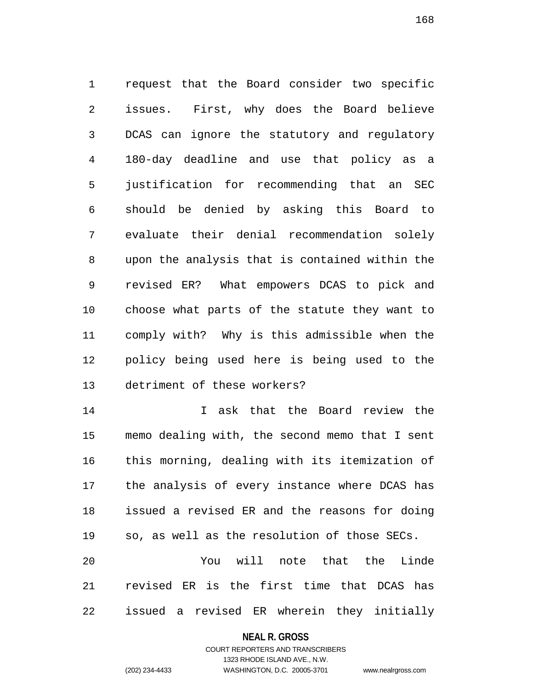1 request that the Board consider two specific 2 issues. First, why does the Board believe 3 DCAS can ignore the statutory and regulatory 4 180-day deadline and use that policy as a 5 justification for recommending that an SEC 6 should be denied by asking this Board to 7 evaluate their denial recommendation solely 8 upon the analysis that is contained within the 9 revised ER? What empowers DCAS to pick and 10 choose what parts of the statute they want to 11 comply with? Why is this admissible when the 12 policy being used here is being used to the 13 detriment of these workers?

14 I ask that the Board review the 15 memo dealing with, the second memo that I sent 16 this morning, dealing with its itemization of 17 the analysis of every instance where DCAS has 18 issued a revised ER and the reasons for doing 19 so, as well as the resolution of those SECs. 20 You will note that the Linde 21 revised ER is the first time that DCAS has

22 issued a revised ER wherein they initially

#### **NEAL R. GROSS**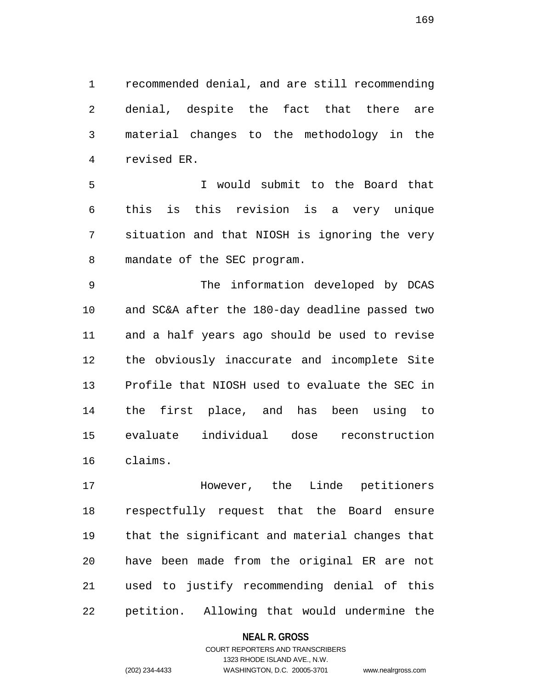1 recommended denial, and are still recommending 2 denial, despite the fact that there are 3 material changes to the methodology in the 4 revised ER.

5 I would submit to the Board that 6 this is this revision is a very unique 7 situation and that NIOSH is ignoring the very 8 mandate of the SEC program.

9 The information developed by DCAS 10 and SC&A after the 180-day deadline passed two 11 and a half years ago should be used to revise 12 the obviously inaccurate and incomplete Site 13 Profile that NIOSH used to evaluate the SEC in 14 the first place, and has been using to 15 evaluate individual dose reconstruction 16 claims.

17 However, the Linde petitioners 18 respectfully request that the Board ensure 19 that the significant and material changes that 20 have been made from the original ER are not 21 used to justify recommending denial of this 22 petition. Allowing that would undermine the

### **NEAL R. GROSS**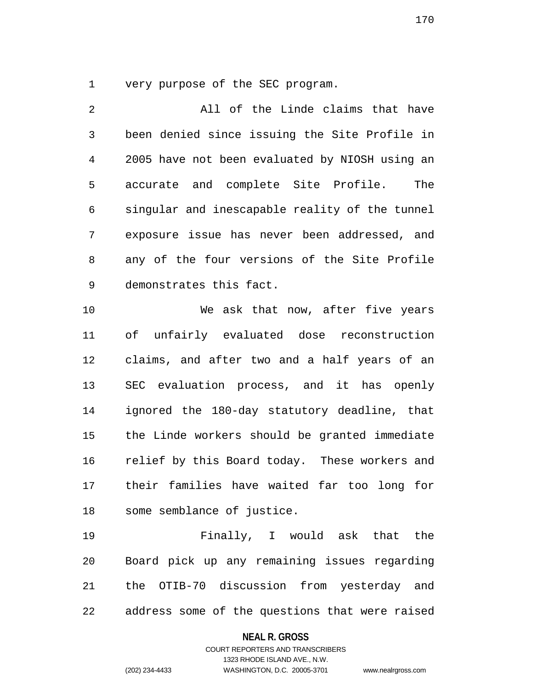1 very purpose of the SEC program.

2 All of the Linde claims that have 3 been denied since issuing the Site Profile in 4 2005 have not been evaluated by NIOSH using an 5 accurate and complete Site Profile. The 6 singular and inescapable reality of the tunnel 7 exposure issue has never been addressed, and 8 any of the four versions of the Site Profile 9 demonstrates this fact. 10 We ask that now, after five years

11 of unfairly evaluated dose reconstruction 12 claims, and after two and a half years of an 13 SEC evaluation process, and it has openly 14 ignored the 180-day statutory deadline, that 15 the Linde workers should be granted immediate 16 relief by this Board today. These workers and 17 their families have waited far too long for 18 some semblance of justice.

19 Finally, I would ask that the 20 Board pick up any remaining issues regarding 21 the OTIB-70 discussion from yesterday and 22 address some of the questions that were raised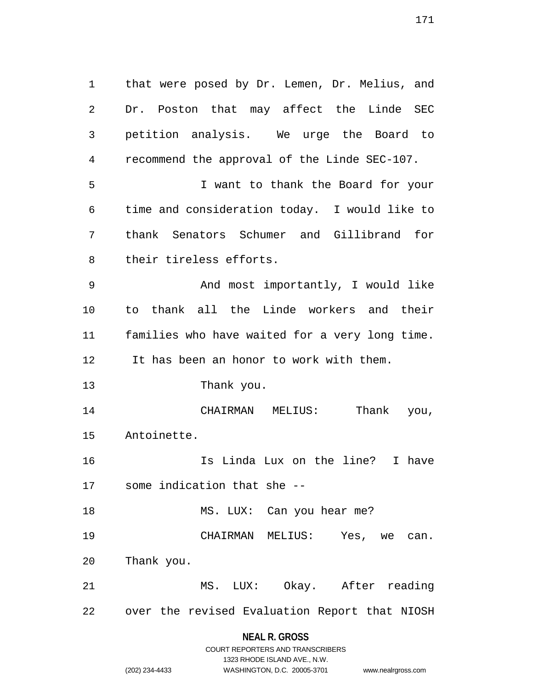1 that were posed by Dr. Lemen, Dr. Melius, and 2 Dr. Poston that may affect the Linde SEC 3 petition analysis. We urge the Board to 4 recommend the approval of the Linde SEC-107. 5 I want to thank the Board for your 6 time and consideration today. I would like to 7 thank Senators Schumer and Gillibrand for 8 their tireless efforts. 9 And most importantly, I would like 10 to thank all the Linde workers and their 11 families who have waited for a very long time. 12 It has been an honor to work with them. 13 Thank you. 14 CHAIRMAN MELIUS: Thank you, 15 Antoinette. 16 Is Linda Lux on the line? I have 17 some indication that she -- 18 MS. LUX: Can you hear me? 19 CHAIRMAN MELIUS: Yes, we can. 20 Thank you. 21 MS. LUX: Okay. After reading 22 over the revised Evaluation Report that NIOSH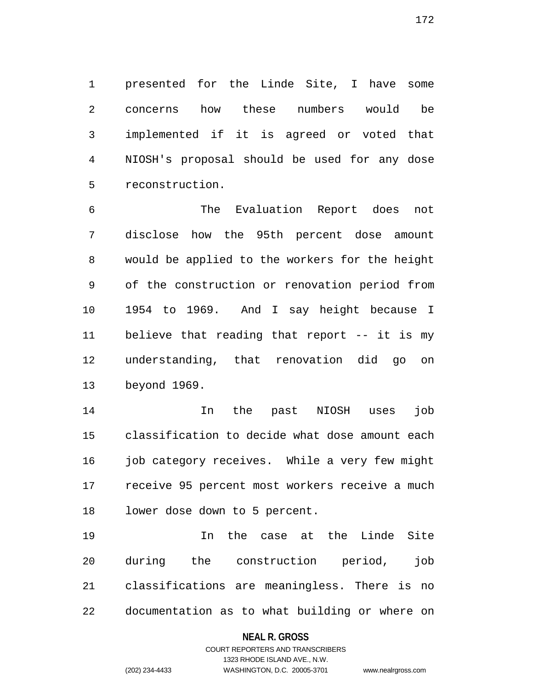1 presented for the Linde Site, I have some 2 concerns how these numbers would be 3 implemented if it is agreed or voted that 4 NIOSH's proposal should be used for any dose 5 reconstruction.

6 The Evaluation Report does not 7 disclose how the 95th percent dose amount 8 would be applied to the workers for the height 9 of the construction or renovation period from 10 1954 to 1969. And I say height because I 11 believe that reading that report -- it is my 12 understanding, that renovation did go on 13 beyond 1969.

14 In the past NIOSH uses job 15 classification to decide what dose amount each 16 job category receives. While a very few might 17 receive 95 percent most workers receive a much 18 lower dose down to 5 percent.

19 In the case at the Linde Site 20 during the construction period, job 21 classifications are meaningless. There is no 22 documentation as to what building or where on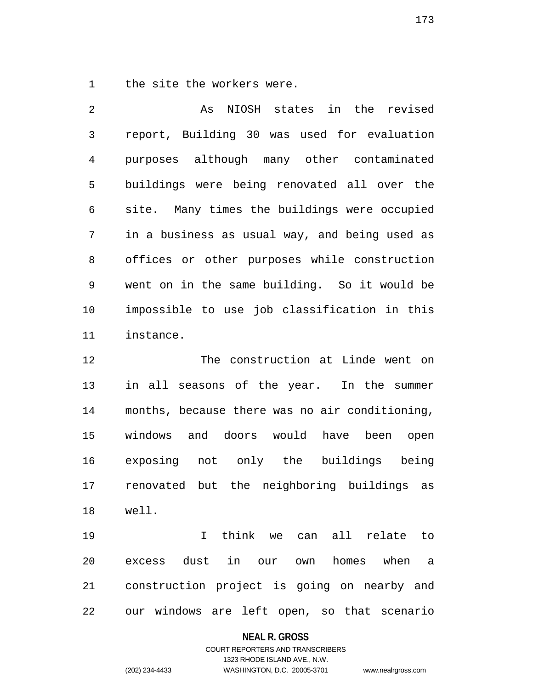1 the site the workers were.

2 As NIOSH states in the revised 3 report, Building 30 was used for evaluation 4 purposes although many other contaminated 5 buildings were being renovated all over the 6 site. Many times the buildings were occupied 7 in a business as usual way, and being used as 8 offices or other purposes while construction 9 went on in the same building. So it would be 10 impossible to use job classification in this 11 instance.

12 The construction at Linde went on 13 in all seasons of the year. In the summer 14 months, because there was no air conditioning, 15 windows and doors would have been open 16 exposing not only the buildings being 17 renovated but the neighboring buildings as 18 well.

19 I think we can all relate to 20 excess dust in our own homes when a 21 construction project is going on nearby and 22 our windows are left open, so that scenario

### **NEAL R. GROSS**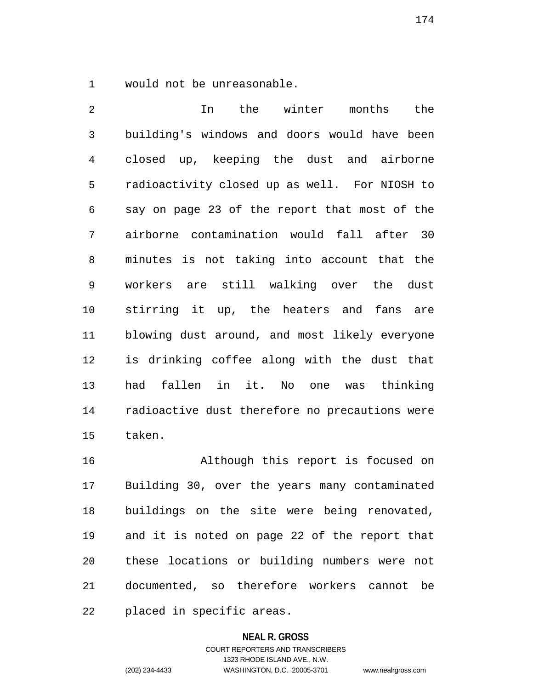1 would not be unreasonable.

2 In the winter months the 3 building's windows and doors would have been 4 closed up, keeping the dust and airborne 5 radioactivity closed up as well. For NIOSH to 6 say on page 23 of the report that most of the 7 airborne contamination would fall after 30 8 minutes is not taking into account that the 9 workers are still walking over the dust 10 stirring it up, the heaters and fans are 11 blowing dust around, and most likely everyone 12 is drinking coffee along with the dust that 13 had fallen in it. No one was thinking 14 radioactive dust therefore no precautions were 15 taken.

16 Although this report is focused on 17 Building 30, over the years many contaminated 18 buildings on the site were being renovated, 19 and it is noted on page 22 of the report that 20 these locations or building numbers were not 21 documented, so therefore workers cannot be 22 placed in specific areas.

### **NEAL R. GROSS**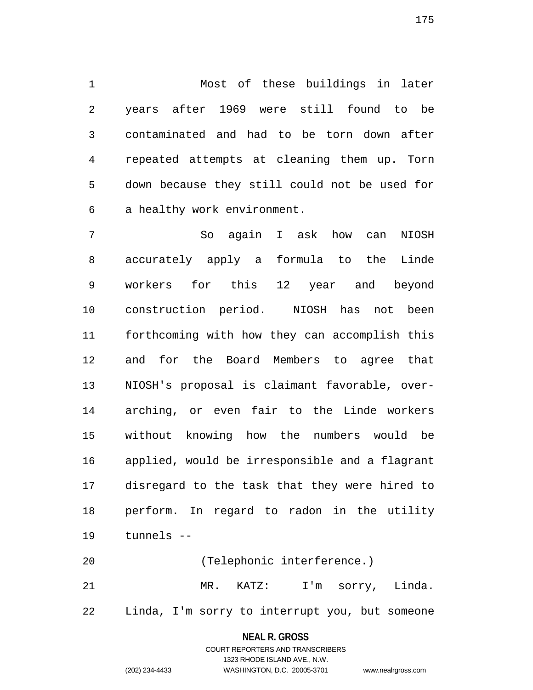1 Most of these buildings in later 2 years after 1969 were still found to be 3 contaminated and had to be torn down after 4 repeated attempts at cleaning them up. Torn 5 down because they still could not be used for 6 a healthy work environment.

7 So again I ask how can NIOSH 8 accurately apply a formula to the Linde 9 workers for this 12 year and beyond 10 construction period. NIOSH has not been 11 forthcoming with how they can accomplish this 12 and for the Board Members to agree that 13 NIOSH's proposal is claimant favorable, over-14 arching, or even fair to the Linde workers 15 without knowing how the numbers would be 16 applied, would be irresponsible and a flagrant 17 disregard to the task that they were hired to 18 perform. In regard to radon in the utility 19 tunnels --

20 (Telephonic interference.) 21 MR. KATZ: I'm sorry, Linda. 22 Linda, I'm sorry to interrupt you, but someone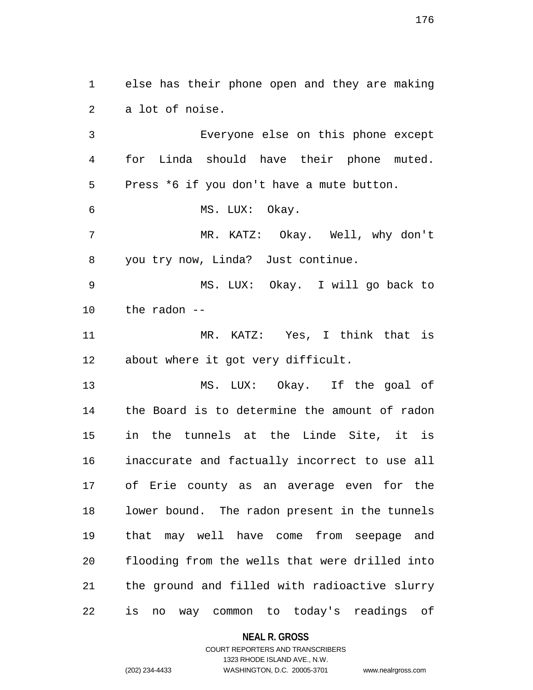1 else has their phone open and they are making 2 a lot of noise. 3 Everyone else on this phone except

4 for Linda should have their phone muted. 5 Press \*6 if you don't have a mute button. 6 MS. LUX: Okay. 7 MR. KATZ: Okay. Well, why don't 8 you try now, Linda? Just continue.

9 MS. LUX: Okay. I will go back to 10 the radon --

11 MR. KATZ: Yes, I think that is 12 about where it got very difficult.

13 MS. LUX: Okay. If the goal of 14 the Board is to determine the amount of radon 15 in the tunnels at the Linde Site, it is 16 inaccurate and factually incorrect to use all 17 of Erie county as an average even for the 18 lower bound. The radon present in the tunnels 19 that may well have come from seepage and 20 flooding from the wells that were drilled into 21 the ground and filled with radioactive slurry 22 is no way common to today's readings of

### **NEAL R. GROSS**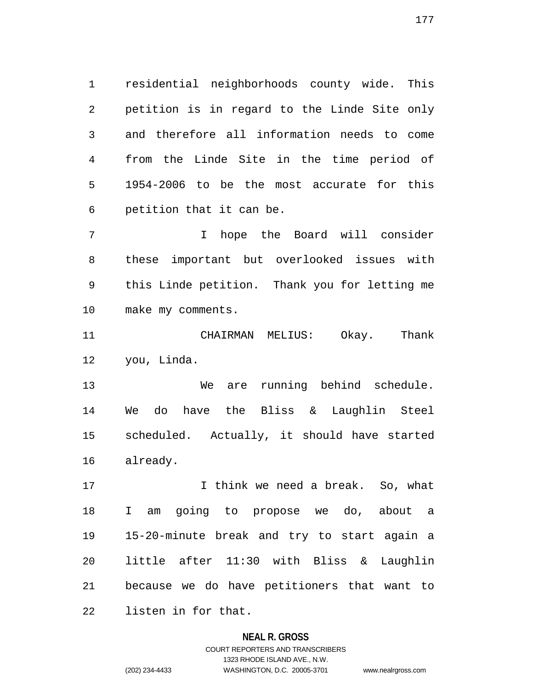1 residential neighborhoods county wide. This 2 petition is in regard to the Linde Site only 3 and therefore all information needs to come 4 from the Linde Site in the time period of 5 1954-2006 to be the most accurate for this 6 petition that it can be.

7 I hope the Board will consider 8 these important but overlooked issues with 9 this Linde petition. Thank you for letting me 10 make my comments.

11 CHAIRMAN MELIUS: Okay. Thank 12 you, Linda.

13 We are running behind schedule. 14 We do have the Bliss & Laughlin Steel 15 scheduled. Actually, it should have started 16 already.

17 17 I think we need a break. So, what 18 I am going to propose we do, about a 19 15-20-minute break and try to start again a 20 little after 11:30 with Bliss & Laughlin 21 because we do have petitioners that want to 22 listen in for that.

### **NEAL R. GROSS**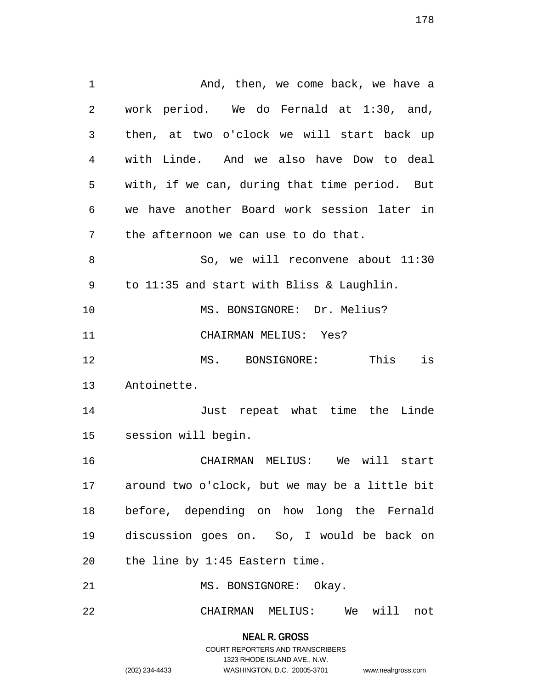1 And, then, we come back, we have a 2 work period. We do Fernald at 1:30, and, 3 then, at two o'clock we will start back up 4 with Linde. And we also have Dow to deal 5 with, if we can, during that time period. But 6 we have another Board work session later in 7 the afternoon we can use to do that. 8 So, we will reconvene about 11:30 9 to 11:35 and start with Bliss & Laughlin. 10 MS. BONSIGNORE: Dr. Melius? 11 CHAIRMAN MELIUS: Yes? 12 MS. BONSIGNORE: This is 13 Antoinette. 14 Just repeat what time the Linde 15 session will begin. 16 CHAIRMAN MELIUS: We will start 17 around two o'clock, but we may be a little bit 18 before, depending on how long the Fernald 19 discussion goes on. So, I would be back on 20 the line by 1:45 Eastern time. 21 MS. BONSIGNORE: Okay. 22 CHAIRMAN MELIUS: We will not

> **NEAL R. GROSS** COURT REPORTERS AND TRANSCRIBERS 1323 RHODE ISLAND AVE., N.W.

178

(202) 234-4433 WASHINGTON, D.C. 20005-3701 www.nealrgross.com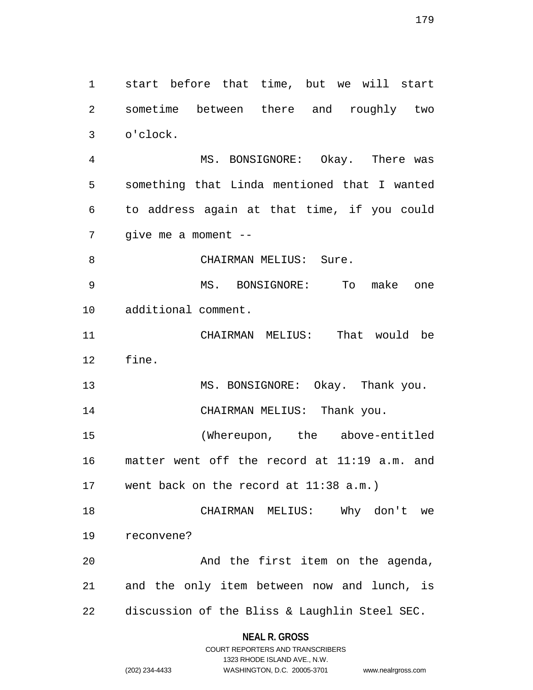1 start before that time, but we will start 2 sometime between there and roughly two 3 o'clock. 4 MS. BONSIGNORE: Okay. There was 5 something that Linda mentioned that I wanted 6 to address again at that time, if you could 7 give me a moment -- 8 CHAIRMAN MELIUS: Sure. 9 MS. BONSIGNORE: To make one 10 additional comment. 11 CHAIRMAN MELIUS: That would be 12 fine. 13 MS. BONSIGNORE: Okay. Thank you. 14 CHAIRMAN MELIUS: Thank you. 15 (Whereupon, the above-entitled 16 matter went off the record at 11:19 a.m. and 17 went back on the record at 11:38 a.m.) 18 CHAIRMAN MELIUS: Why don't we 19 reconvene? 20 And the first item on the agenda, 21 and the only item between now and lunch, is 22 discussion of the Bliss & Laughlin Steel SEC.

### **NEAL R. GROSS**

COURT REPORTERS AND TRANSCRIBERS 1323 RHODE ISLAND AVE., N.W. (202) 234-4433 WASHINGTON, D.C. 20005-3701 www.nealrgross.com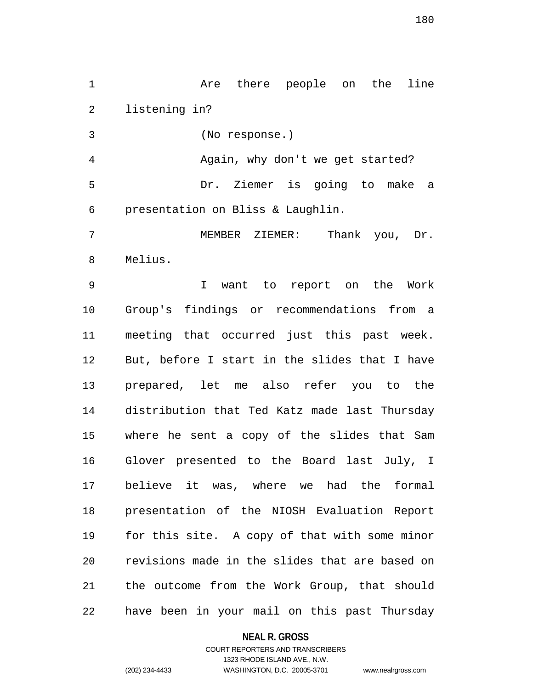1 are there people on the line 2 listening in?

3 (No response.)

4 Again, why don't we get started? 5 Dr. Ziemer is going to make a 6 presentation on Bliss & Laughlin.

7 MEMBER ZIEMER: Thank you, Dr. 8 Melius.

9 I want to report on the Work 10 Group's findings or recommendations from a 11 meeting that occurred just this past week. 12 But, before I start in the slides that I have 13 prepared, let me also refer you to the 14 distribution that Ted Katz made last Thursday 15 where he sent a copy of the slides that Sam 16 Glover presented to the Board last July, I 17 believe it was, where we had the formal 18 presentation of the NIOSH Evaluation Report 19 for this site. A copy of that with some minor 20 revisions made in the slides that are based on 21 the outcome from the Work Group, that should 22 have been in your mail on this past Thursday

**NEAL R. GROSS**

COURT REPORTERS AND TRANSCRIBERS 1323 RHODE ISLAND AVE., N.W. (202) 234-4433 WASHINGTON, D.C. 20005-3701 www.nealrgross.com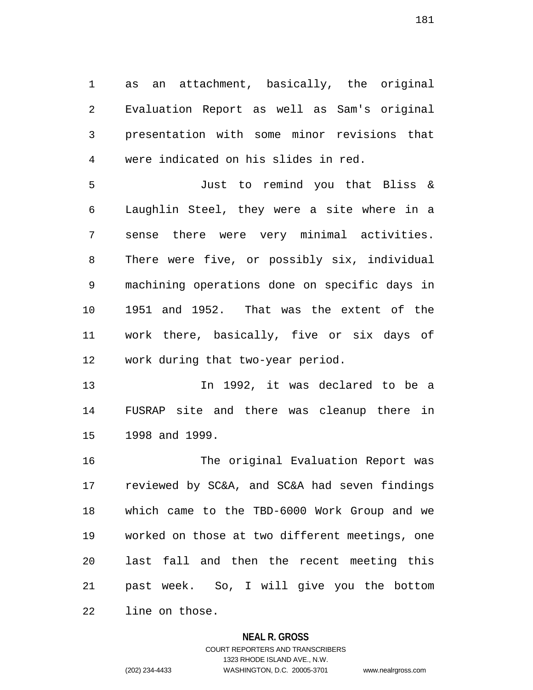1 as an attachment, basically, the original 2 Evaluation Report as well as Sam's original 3 presentation with some minor revisions that 4 were indicated on his slides in red.

5 Just to remind you that Bliss & 6 Laughlin Steel, they were a site where in a 7 sense there were very minimal activities. 8 There were five, or possibly six, individual 9 machining operations done on specific days in 10 1951 and 1952. That was the extent of the 11 work there, basically, five or six days of 12 work during that two-year period.

13 In 1992, it was declared to be a 14 FUSRAP site and there was cleanup there in 15 1998 and 1999.

16 The original Evaluation Report was 17 reviewed by SC&A, and SC&A had seven findings 18 which came to the TBD-6000 Work Group and we 19 worked on those at two different meetings, one 20 last fall and then the recent meeting this 21 past week. So, I will give you the bottom 22 line on those.

#### **NEAL R. GROSS**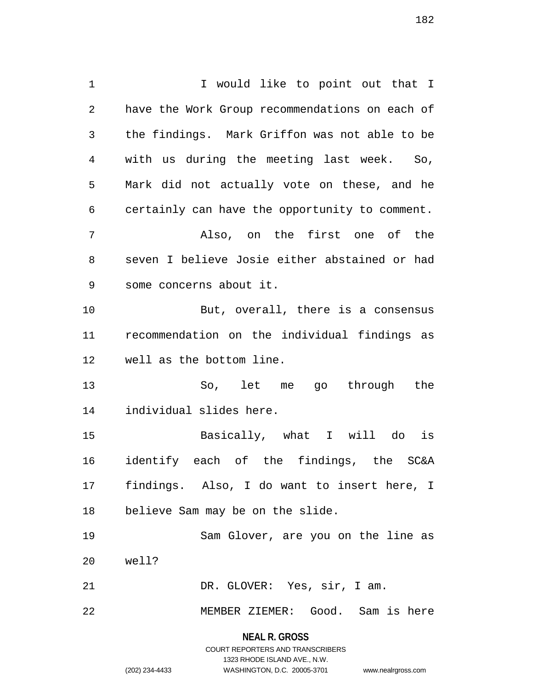1 1 I would like to point out that I 2 have the Work Group recommendations on each of 3 the findings. Mark Griffon was not able to be 4 with us during the meeting last week. So, 5 Mark did not actually vote on these, and he 6 certainly can have the opportunity to comment. 7 Also, on the first one of the 8 seven I believe Josie either abstained or had 9 some concerns about it. 10 But, overall, there is a consensus 11 recommendation on the individual findings as 12 well as the bottom line. 13 So, let me go through the 14 individual slides here. 15 Basically, what I will do is 16 identify each of the findings, the SC&A 17 findings. Also, I do want to insert here, I 18 believe Sam may be on the slide. 19 Sam Glover, are you on the line as 20 well? 21 DR. GLOVER: Yes, sir, I am. 22 MEMBER ZIEMER: Good. Sam is here

> **NEAL R. GROSS** COURT REPORTERS AND TRANSCRIBERS 1323 RHODE ISLAND AVE., N.W. (202) 234-4433 WASHINGTON, D.C. 20005-3701 www.nealrgross.com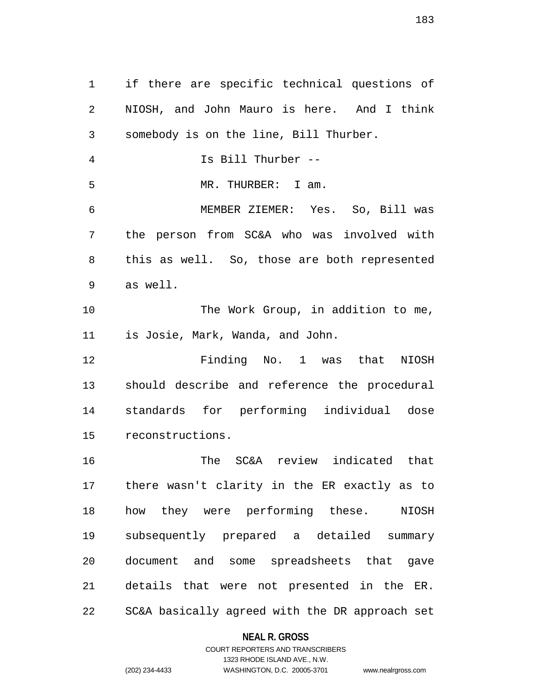1 if there are specific technical questions of 2 NIOSH, and John Mauro is here. And I think 3 somebody is on the line, Bill Thurber. 4 Is Bill Thurber -- 5 MR. THURBER: I am. 6 MEMBER ZIEMER: Yes. So, Bill was 7 the person from SC&A who was involved with 8 this as well. So, those are both represented 9 as well. 10 The Work Group, in addition to me, 11 is Josie, Mark, Wanda, and John. 12 Finding No. 1 was that NIOSH 13 should describe and reference the procedural 14 standards for performing individual dose 15 reconstructions. 16 The SC&A review indicated that 17 there wasn't clarity in the ER exactly as to 18 how they were performing these. NIOSH 19 subsequently prepared a detailed summary 20 document and some spreadsheets that gave 21 details that were not presented in the ER.

22 SC&A basically agreed with the DR approach set

#### **NEAL R. GROSS**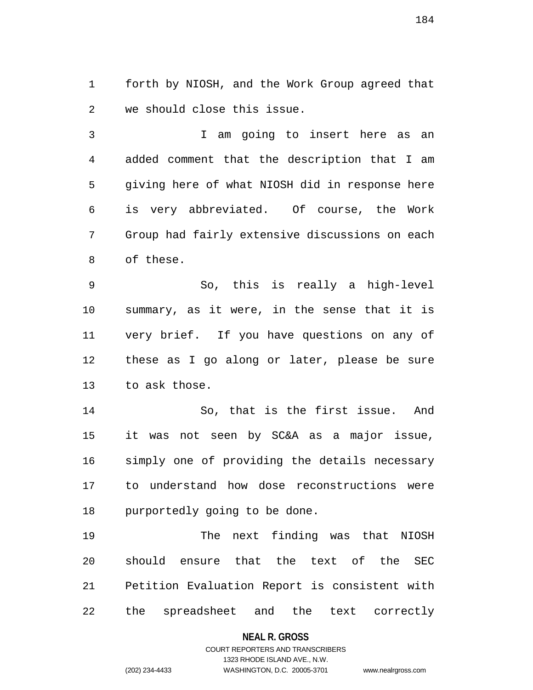1 forth by NIOSH, and the Work Group agreed that 2 we should close this issue.

3 I am going to insert here as an 4 added comment that the description that I am 5 giving here of what NIOSH did in response here 6 is very abbreviated. Of course, the Work 7 Group had fairly extensive discussions on each 8 of these.

9 So, this is really a high-level 10 summary, as it were, in the sense that it is 11 very brief. If you have questions on any of 12 these as I go along or later, please be sure 13 to ask those.

14 So, that is the first issue. And 15 it was not seen by SC&A as a major issue, 16 simply one of providing the details necessary 17 to understand how dose reconstructions were 18 purportedly going to be done.

19 The next finding was that NIOSH 20 should ensure that the text of the SEC 21 Petition Evaluation Report is consistent with 22 the spreadsheet and the text correctly

#### **NEAL R. GROSS**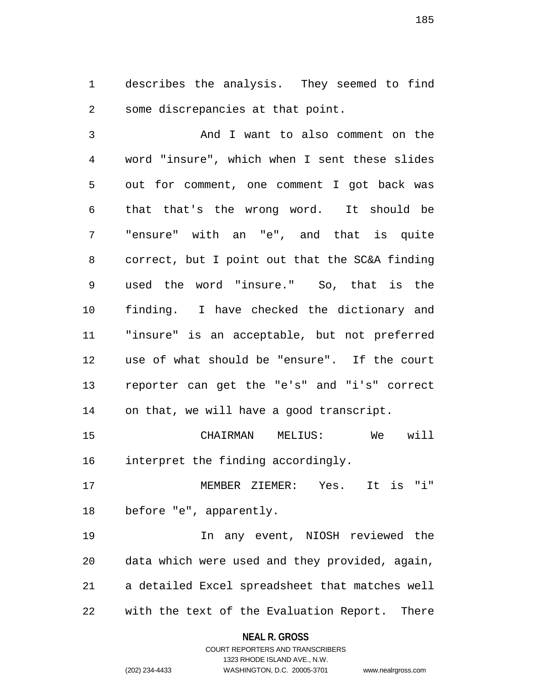1 describes the analysis. They seemed to find 2 some discrepancies at that point.

3 And I want to also comment on the 4 word "insure", which when I sent these slides 5 out for comment, one comment I got back was 6 that that's the wrong word. It should be 7 "ensure" with an "e", and that is quite 8 correct, but I point out that the SC&A finding 9 used the word "insure." So, that is the 10 finding. I have checked the dictionary and 11 "insure" is an acceptable, but not preferred 12 use of what should be "ensure". If the court 13 reporter can get the "e's" and "i's" correct 14 on that, we will have a good transcript.

15 CHAIRMAN MELIUS: We will 16 interpret the finding accordingly.

17 MEMBER ZIEMER: Yes. It is "i" 18 before "e", apparently.

19 In any event, NIOSH reviewed the 20 data which were used and they provided, again, 21 a detailed Excel spreadsheet that matches well 22 with the text of the Evaluation Report. There

> **NEAL R. GROSS** COURT REPORTERS AND TRANSCRIBERS

> > 1323 RHODE ISLAND AVE., N.W.

(202) 234-4433 WASHINGTON, D.C. 20005-3701 www.nealrgross.com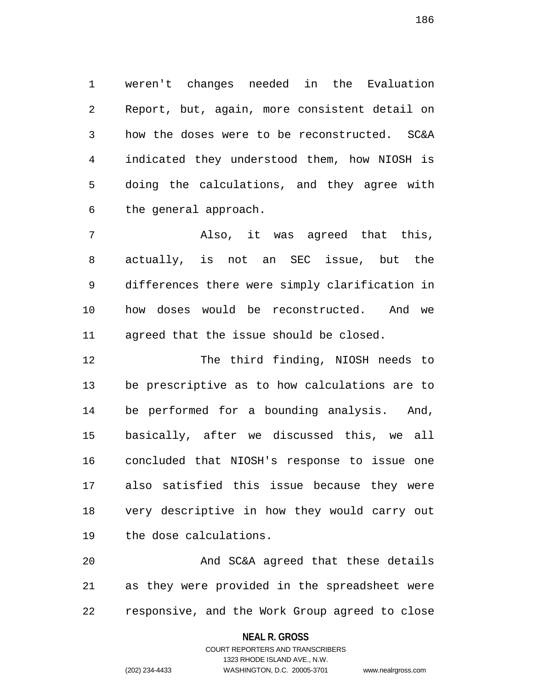1 weren't changes needed in the Evaluation 2 Report, but, again, more consistent detail on 3 how the doses were to be reconstructed. SC&A 4 indicated they understood them, how NIOSH is 5 doing the calculations, and they agree with 6 the general approach.

7 Also, it was agreed that this, 8 actually, is not an SEC issue, but the 9 differences there were simply clarification in 10 how doses would be reconstructed. And we 11 agreed that the issue should be closed.

12 The third finding, NIOSH needs to 13 be prescriptive as to how calculations are to 14 be performed for a bounding analysis. And, 15 basically, after we discussed this, we all 16 concluded that NIOSH's response to issue one 17 also satisfied this issue because they were 18 very descriptive in how they would carry out 19 the dose calculations.

20 And SC&A agreed that these details 21 as they were provided in the spreadsheet were 22 responsive, and the Work Group agreed to close

**NEAL R. GROSS**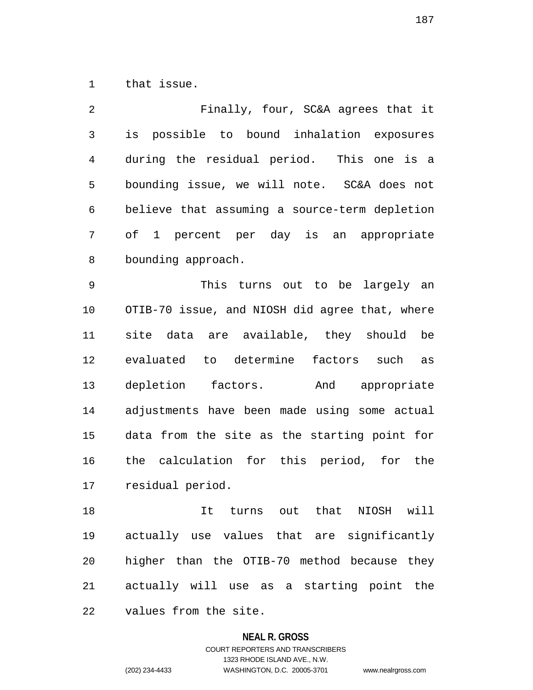1 that issue.

2 Finally, four, SC&A agrees that it 3 is possible to bound inhalation exposures 4 during the residual period. This one is a 5 bounding issue, we will note. SC&A does not 6 believe that assuming a source-term depletion 7 of 1 percent per day is an appropriate 8 bounding approach. 9 This turns out to be largely an 10 OTIB-70 issue, and NIOSH did agree that, where 11 site data are available, they should be 12 evaluated to determine factors such as 13 depletion factors. And appropriate 14 adjustments have been made using some actual 15 data from the site as the starting point for 16 the calculation for this period, for the 17 residual period. 18 It turns out that NIOSH will

19 actually use values that are significantly 20 higher than the OTIB-70 method because they 21 actually will use as a starting point the 22 values from the site.

### **NEAL R. GROSS** COURT REPORTERS AND TRANSCRIBERS 1323 RHODE ISLAND AVE., N.W.

(202) 234-4433 WASHINGTON, D.C. 20005-3701 www.nealrgross.com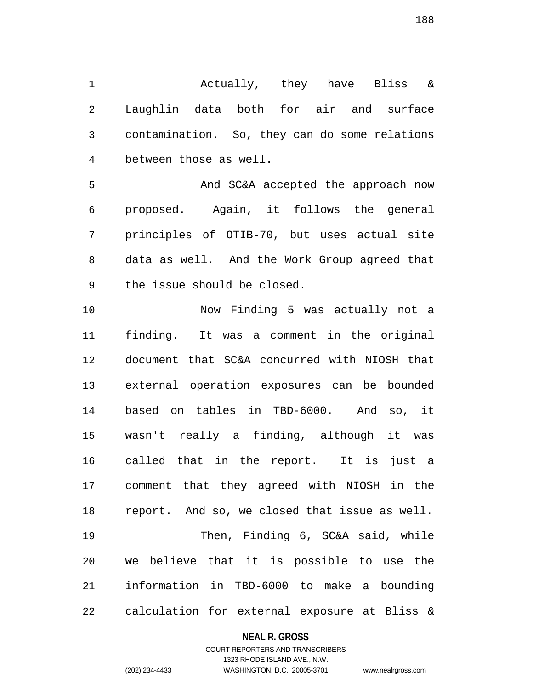1 Actually, they have Bliss & 2 Laughlin data both for air and surface 3 contamination. So, they can do some relations 4 between those as well.

5 And SC&A accepted the approach now 6 proposed. Again, it follows the general 7 principles of OTIB-70, but uses actual site 8 data as well. And the Work Group agreed that 9 the issue should be closed.

10 Now Finding 5 was actually not a 11 finding. It was a comment in the original 12 document that SC&A concurred with NIOSH that 13 external operation exposures can be bounded 14 based on tables in TBD-6000. And so, it 15 wasn't really a finding, although it was 16 called that in the report. It is just a 17 comment that they agreed with NIOSH in the 18 report. And so, we closed that issue as well. 19 Then, Finding 6, SC&A said, while 20 we believe that it is possible to use the 21 information in TBD-6000 to make a bounding 22 calculation for external exposure at Bliss &

#### **NEAL R. GROSS**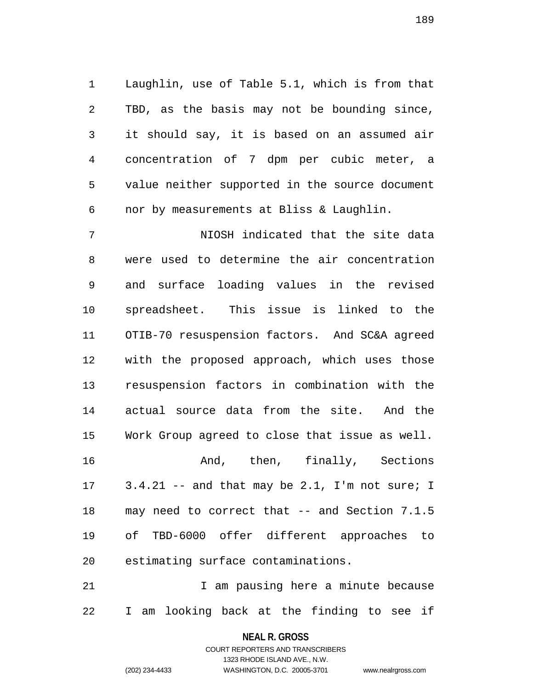1 Laughlin, use of Table 5.1, which is from that 2 TBD, as the basis may not be bounding since, 3 it should say, it is based on an assumed air 4 concentration of 7 dpm per cubic meter, a 5 value neither supported in the source document 6 nor by measurements at Bliss & Laughlin.

7 NIOSH indicated that the site data 8 were used to determine the air concentration 9 and surface loading values in the revised 10 spreadsheet. This issue is linked to the 11 OTIB-70 resuspension factors. And SC&A agreed 12 with the proposed approach, which uses those 13 resuspension factors in combination with the 14 actual source data from the site. And the 15 Work Group agreed to close that issue as well. 16 **And, then, finally, Sections** 17 3.4.21 -- and that may be 2.1, I'm not sure; I 18 may need to correct that -- and Section 7.1.5 19 of TBD-6000 offer different approaches to 20 estimating surface contaminations.

21 1 1 am pausing here a minute because 22 I am looking back at the finding to see if

### **NEAL R. GROSS** COURT REPORTERS AND TRANSCRIBERS

1323 RHODE ISLAND AVE., N.W.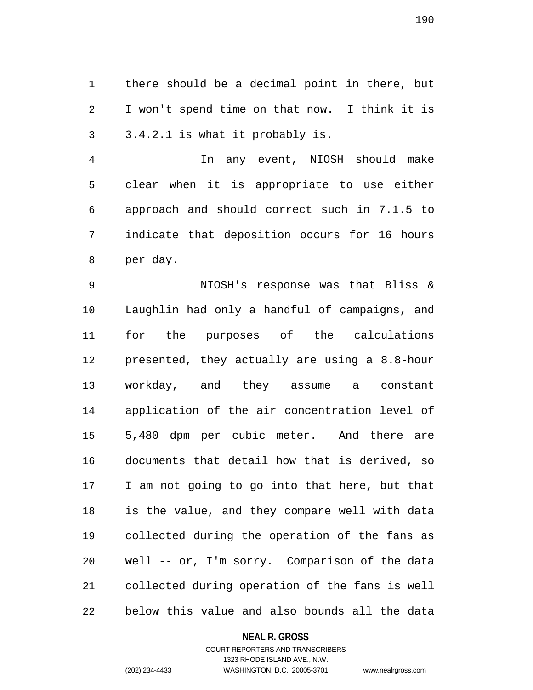1 there should be a decimal point in there, but 2 I won't spend time on that now. I think it is 3 3.4.2.1 is what it probably is.

4 In any event, NIOSH should make 5 clear when it is appropriate to use either 6 approach and should correct such in 7.1.5 to 7 indicate that deposition occurs for 16 hours 8 per day.

9 NIOSH's response was that Bliss & 10 Laughlin had only a handful of campaigns, and 11 for the purposes of the calculations 12 presented, they actually are using a 8.8-hour 13 workday, and they assume a constant 14 application of the air concentration level of 15 5,480 dpm per cubic meter. And there are 16 documents that detail how that is derived, so 17 I am not going to go into that here, but that 18 is the value, and they compare well with data 19 collected during the operation of the fans as 20 well -- or, I'm sorry. Comparison of the data 21 collected during operation of the fans is well 22 below this value and also bounds all the data

#### **NEAL R. GROSS**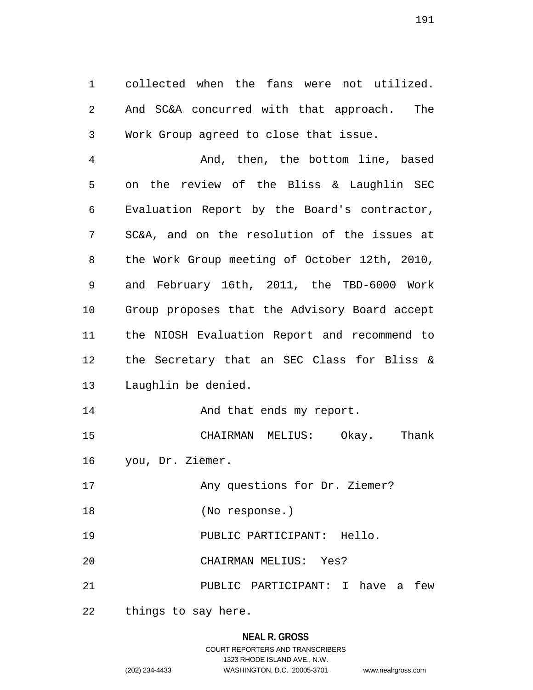1 collected when the fans were not utilized. 2 And SC&A concurred with that approach. The 3 Work Group agreed to close that issue.

4 And, then, the bottom line, based 5 on the review of the Bliss & Laughlin SEC 6 Evaluation Report by the Board's contractor, 7 SC&A, and on the resolution of the issues at 8 the Work Group meeting of October 12th, 2010, 9 and February 16th, 2011, the TBD-6000 Work 10 Group proposes that the Advisory Board accept 11 the NIOSH Evaluation Report and recommend to 12 the Secretary that an SEC Class for Bliss & 13 Laughlin be denied.

14 And that ends my report.

15 CHAIRMAN MELIUS: Okay. Thank 16 you, Dr. Ziemer.

17 Any questions for Dr. Ziemer?

18 (No response.)

19 PUBLIC PARTICIPANT: Hello.

20 CHAIRMAN MELIUS: Yes?

21 PUBLIC PARTICIPANT: I have a few

22 things to say here.

### **NEAL R. GROSS**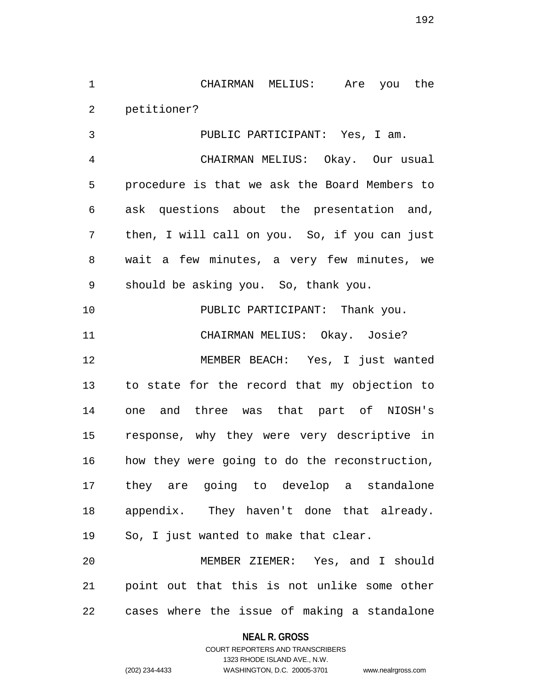1 CHAIRMAN MELIUS: Are you the 2 petitioner?

3 PUBLIC PARTICIPANT: Yes, I am. 4 CHAIRMAN MELIUS: Okay. Our usual 5 procedure is that we ask the Board Members to 6 ask questions about the presentation and, 7 then, I will call on you. So, if you can just 8 wait a few minutes, a very few minutes, we 9 should be asking you. So, thank you. 10 PUBLIC PARTICIPANT: Thank you. 11 CHAIRMAN MELIUS: Okay. Josie? 12 MEMBER BEACH: Yes, I just wanted 13 to state for the record that my objection to 14 one and three was that part of NIOSH's 15 response, why they were very descriptive in 16 how they were going to do the reconstruction, 17 they are going to develop a standalone 18 appendix. They haven't done that already. 19 So, I just wanted to make that clear. 20 MEMBER ZIEMER: Yes, and I should 21 point out that this is not unlike some other

22 cases where the issue of making a standalone

**NEAL R. GROSS**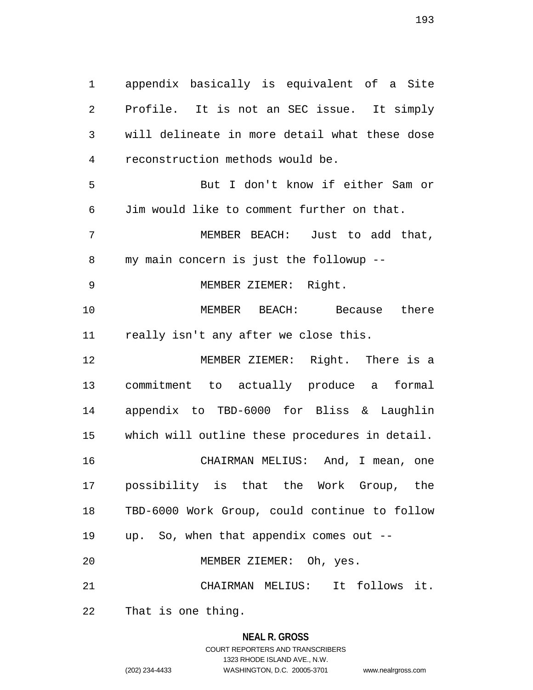1 appendix basically is equivalent of a Site 2 Profile. It is not an SEC issue. It simply 3 will delineate in more detail what these dose 4 reconstruction methods would be. 5 But I don't know if either Sam or 6 Jim would like to comment further on that. 7 MEMBER BEACH: Just to add that, 8 my main concern is just the followup -- 9 MEMBER ZIEMER: Right. 10 MEMBER BEACH: Because there 11 really isn't any after we close this. 12 MEMBER ZIEMER: Right. There is a 13 commitment to actually produce a formal 14 appendix to TBD-6000 for Bliss & Laughlin 15 which will outline these procedures in detail. 16 CHAIRMAN MELIUS: And, I mean, one 17 possibility is that the Work Group, the 18 TBD-6000 Work Group, could continue to follow

19 up. So, when that appendix comes out -- 20 MEMBER ZIEMER: Oh, yes.

21 CHAIRMAN MELIUS: It follows it.

22 That is one thing.

## **NEAL R. GROSS**

COURT REPORTERS AND TRANSCRIBERS 1323 RHODE ISLAND AVE., N.W. (202) 234-4433 WASHINGTON, D.C. 20005-3701 www.nealrgross.com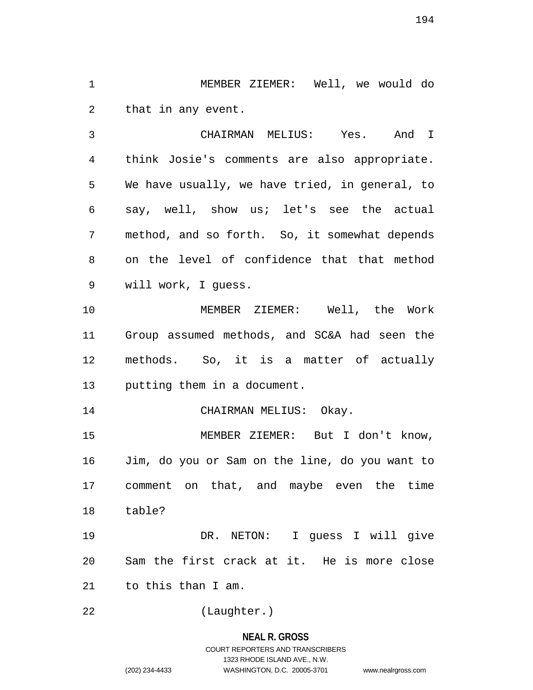1 MEMBER ZIEMER: Well, we would do 2 that in any event.

3 CHAIRMAN MELIUS: Yes. And I 4 think Josie's comments are also appropriate. 5 We have usually, we have tried, in general, to 6 say, well, show us; let's see the actual 7 method, and so forth. So, it somewhat depends 8 on the level of confidence that that method 9 will work, I guess.

10 MEMBER ZIEMER: Well, the Work 11 Group assumed methods, and SC&A had seen the 12 methods. So, it is a matter of actually 13 putting them in a document.

14 CHAIRMAN MELIUS: Okay.

15 MEMBER ZIEMER: But I don't know, 16 Jim, do you or Sam on the line, do you want to 17 comment on that, and maybe even the time 18 table?

19 DR. NETON: I guess I will give 20 Sam the first crack at it. He is more close 21 to this than I am.

22 (Laughter.)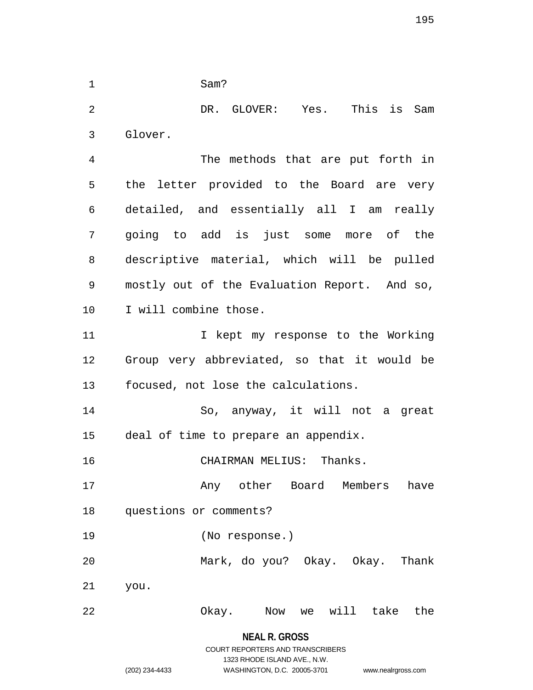1 Sam?

2 DR. GLOVER: Yes. This is Sam 3 Glover.

4 The methods that are put forth in 5 the letter provided to the Board are very 6 detailed, and essentially all I am really 7 going to add is just some more of the 8 descriptive material, which will be pulled 9 mostly out of the Evaluation Report. And so, 10 I will combine those. 11 1 I kept my response to the Working 12 Group very abbreviated, so that it would be 13 focused, not lose the calculations.

14 So, anyway, it will not a great 15 deal of time to prepare an appendix.

16 CHAIRMAN MELIUS: Thanks.

17 **Any other Board Members have** 18 questions or comments?

19 (No response.)

20 Mark, do you? Okay. Okay. Thank

21 you.

# 22 Okay. Now we will take the

**NEAL R. GROSS** COURT REPORTERS AND TRANSCRIBERS

1323 RHODE ISLAND AVE., N.W.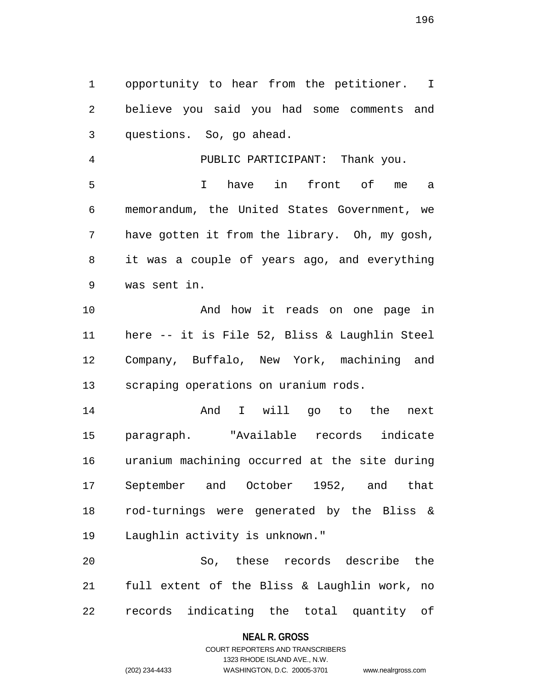1 opportunity to hear from the petitioner. I 2 believe you said you had some comments and 3 questions. So, go ahead.

4 PUBLIC PARTICIPANT: Thank you. 5 I have in front of me a 6 memorandum, the United States Government, we 7 have gotten it from the library. Oh, my gosh, 8 it was a couple of years ago, and everything 9 was sent in.

10 And how it reads on one page in 11 here -- it is File 52, Bliss & Laughlin Steel 12 Company, Buffalo, New York, machining and 13 scraping operations on uranium rods.

14 And I will go to the next 15 paragraph. "Available records indicate 16 uranium machining occurred at the site during 17 September and October 1952, and that 18 rod-turnings were generated by the Bliss & 19 Laughlin activity is unknown."

20 So, these records describe the 21 full extent of the Bliss & Laughlin work, no 22 records indicating the total quantity of

#### **NEAL R. GROSS**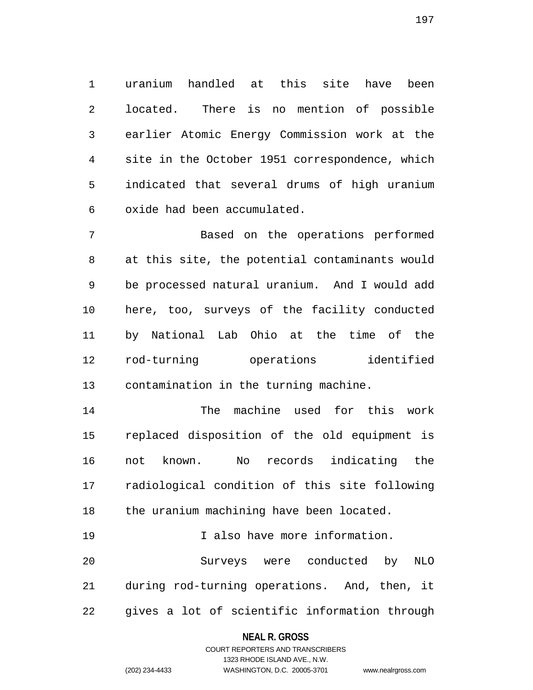1 uranium handled at this site have been 2 located. There is no mention of possible 3 earlier Atomic Energy Commission work at the 4 site in the October 1951 correspondence, which 5 indicated that several drums of high uranium 6 oxide had been accumulated.

7 Based on the operations performed 8 at this site, the potential contaminants would 9 be processed natural uranium. And I would add 10 here, too, surveys of the facility conducted 11 by National Lab Ohio at the time of the 12 rod-turning operations identified 13 contamination in the turning machine.

14 The machine used for this work 15 replaced disposition of the old equipment is 16 not known. No records indicating the 17 radiological condition of this site following 18 the uranium machining have been located.

19 I also have more information. 20 Surveys were conducted by NLO 21 during rod-turning operations. And, then, it 22 gives a lot of scientific information through

#### **NEAL R. GROSS**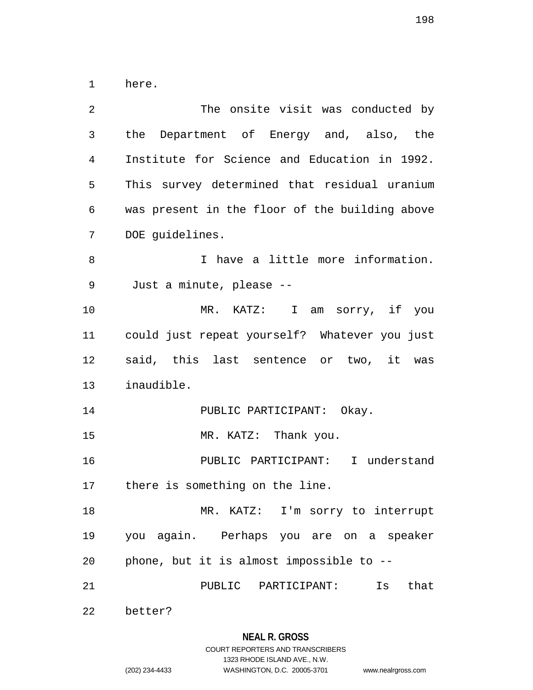1 here.

| $\overline{2}$ | The onsite visit was conducted by              |
|----------------|------------------------------------------------|
| 3              | the Department of Energy and, also, the        |
| 4              | Institute for Science and Education in 1992.   |
| 5              | This survey determined that residual uranium   |
| 6              | was present in the floor of the building above |
| 7              | DOE guidelines.                                |
| 8              | I have a little more information.              |
| 9              | Just a minute, please --                       |
| 10             | MR. KATZ: I am sorry, if you                   |
| 11             | could just repeat yourself? Whatever you just  |
| 12             | said, this last sentence or two, it was        |
| 13             | inaudible.                                     |
| 14             | PUBLIC PARTICIPANT: Okay.                      |
| 15             | MR. KATZ: Thank you.                           |
| 16             | PUBLIC PARTICIPANT: I understand               |
| 17             | there is something on the line.                |
| 18             | MR. KATZ: I'm sorry to interrupt               |
| 19             | you again. Perhaps you are on a speaker        |
| 20             | phone, but it is almost impossible to --       |
| 21             | PUBLIC PARTICIPANT:<br>Is<br>that              |
| 22             | better?                                        |

**NEAL R. GROSS** COURT REPORTERS AND TRANSCRIBERS

1323 RHODE ISLAND AVE., N.W.

(202) 234-4433 WASHINGTON, D.C. 20005-3701 www.nealrgross.com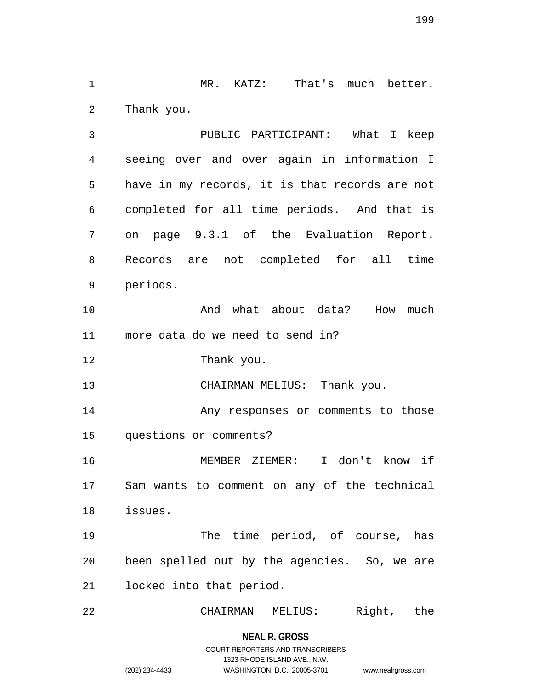1 MR. KATZ: That's much better. 2 Thank you.

3 PUBLIC PARTICIPANT: What I keep 4 seeing over and over again in information I 5 have in my records, it is that records are not 6 completed for all time periods. And that is 7 on page 9.3.1 of the Evaluation Report. 8 Records are not completed for all time 9 periods.

10 And what about data? How much 11 more data do we need to send in?

12 Thank you.

13 CHAIRMAN MELIUS: Thank you.

14 Any responses or comments to those 15 questions or comments?

16 MEMBER ZIEMER: I don't know if 17 Sam wants to comment on any of the technical 18 issues.

19 The time period, of course, has 20 been spelled out by the agencies. So, we are 21 locked into that period.

22 CHAIRMAN MELIUS: Right, the

**NEAL R. GROSS** COURT REPORTERS AND TRANSCRIBERS

1323 RHODE ISLAND AVE., N.W.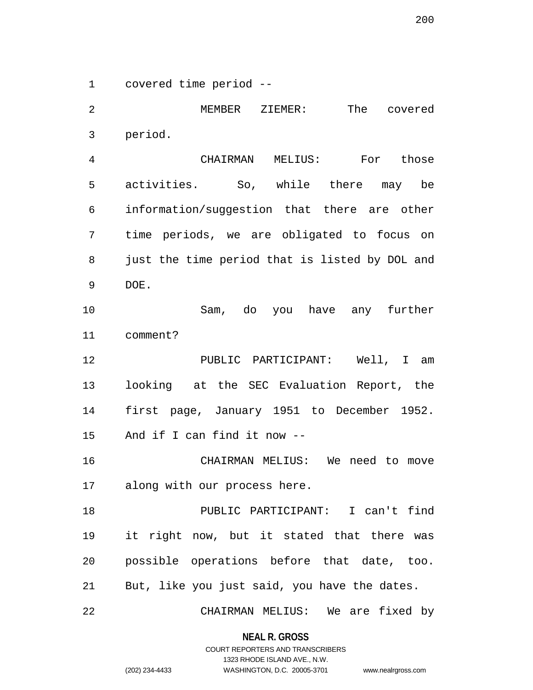1 covered time period --

2 MEMBER ZIEMER: The covered 3 period. 4 CHAIRMAN MELIUS: For those 5 activities. So, while there may be 6 information/suggestion that there are other 7 time periods, we are obligated to focus on 8 just the time period that is listed by DOL and 9 DOE. 10 Sam, do you have any further 11 comment? 12 PUBLIC PARTICIPANT: Well, I am 13 looking at the SEC Evaluation Report, the 14 first page, January 1951 to December 1952. 15 And if I can find it now -- 16 CHAIRMAN MELIUS: We need to move 17 along with our process here. 18 PUBLIC PARTICIPANT: I can't find 19 it right now, but it stated that there was 20 possible operations before that date, too. 21 But, like you just said, you have the dates. 22 CHAIRMAN MELIUS: We are fixed by

> **NEAL R. GROSS** COURT REPORTERS AND TRANSCRIBERS

> > 1323 RHODE ISLAND AVE., N.W.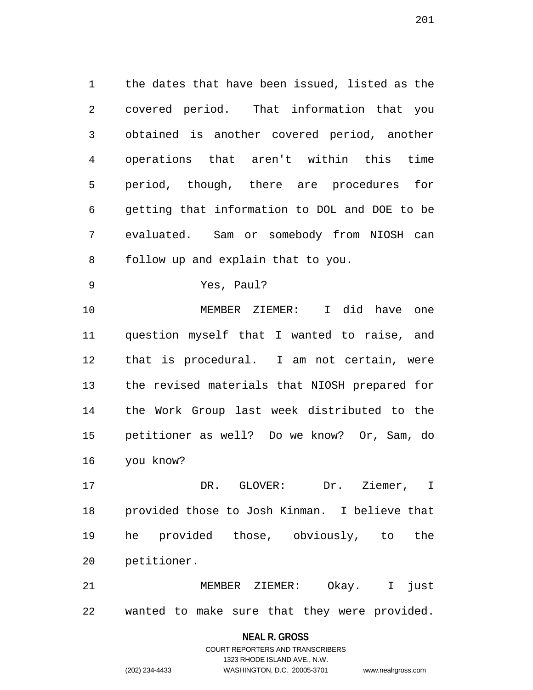1 the dates that have been issued, listed as the 2 covered period. That information that you 3 obtained is another covered period, another 4 operations that aren't within this time 5 period, though, there are procedures for 6 getting that information to DOL and DOE to be 7 evaluated. Sam or somebody from NIOSH can 8 follow up and explain that to you.

9 Yes, Paul?

10 MEMBER ZIEMER: I did have one 11 question myself that I wanted to raise, and 12 that is procedural. I am not certain, were 13 the revised materials that NIOSH prepared for 14 the Work Group last week distributed to the 15 petitioner as well? Do we know? Or, Sam, do 16 you know?

17 DR. GLOVER: Dr. Ziemer, I 18 provided those to Josh Kinman. I believe that 19 he provided those, obviously, to the 20 petitioner.

21 MEMBER ZIEMER: Okay. I just 22 wanted to make sure that they were provided.

#### **NEAL R. GROSS**

### COURT REPORTERS AND TRANSCRIBERS 1323 RHODE ISLAND AVE., N.W. (202) 234-4433 WASHINGTON, D.C. 20005-3701 www.nealrgross.com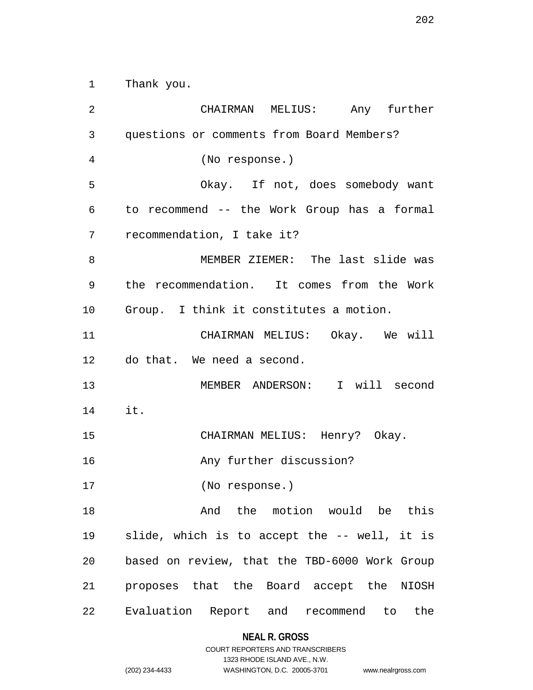1 Thank you.

2 CHAIRMAN MELIUS: Any further 3 questions or comments from Board Members? 4 (No response.) 5 Okay. If not, does somebody want 6 to recommend -- the Work Group has a formal 7 recommendation, I take it? 8 MEMBER ZIEMER: The last slide was 9 the recommendation. It comes from the Work 10 Group. I think it constitutes a motion. 11 CHAIRMAN MELIUS: Okay. We will 12 do that. We need a second. 13 MEMBER ANDERSON: I will second 14 it. 15 CHAIRMAN MELIUS: Henry? Okay. 16 **Any further discussion?** 17 (No response.) 18 And the motion would be this 19 slide, which is to accept the -- well, it is 20 based on review, that the TBD-6000 Work Group 21 proposes that the Board accept the NIOSH 22 Evaluation Report and recommend to the

#### **NEAL R. GROSS**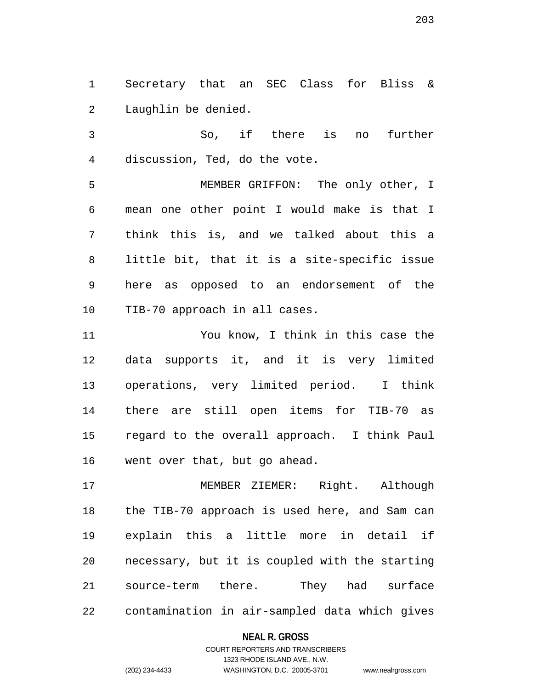1 Secretary that an SEC Class for Bliss & 2 Laughlin be denied.

3 So, if there is no further 4 discussion, Ted, do the vote.

5 MEMBER GRIFFON: The only other, I 6 mean one other point I would make is that I 7 think this is, and we talked about this a 8 little bit, that it is a site-specific issue 9 here as opposed to an endorsement of the 10 TIB-70 approach in all cases.

11 You know, I think in this case the 12 data supports it, and it is very limited 13 operations, very limited period. I think 14 there are still open items for TIB-70 as 15 regard to the overall approach. I think Paul 16 went over that, but go ahead.

17 MEMBER ZIEMER: Right. Although 18 the TIB-70 approach is used here, and Sam can 19 explain this a little more in detail if 20 necessary, but it is coupled with the starting 21 source-term there. They had surface 22 contamination in air-sampled data which gives

#### **NEAL R. GROSS**

### COURT REPORTERS AND TRANSCRIBERS 1323 RHODE ISLAND AVE., N.W. (202) 234-4433 WASHINGTON, D.C. 20005-3701 www.nealrgross.com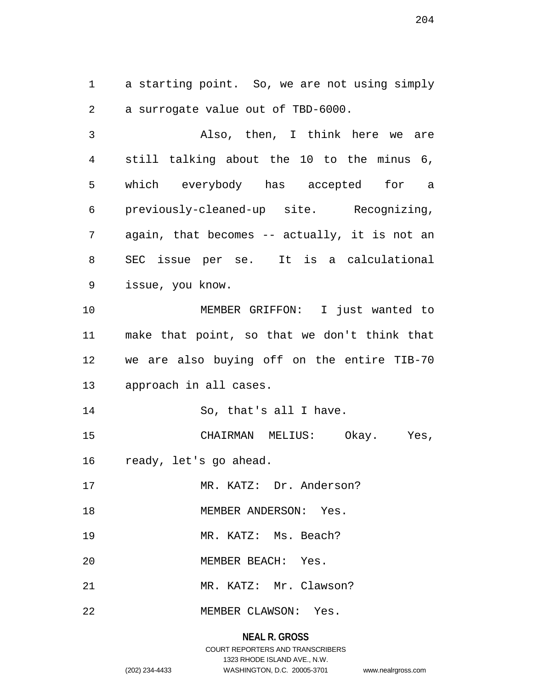1 a starting point. So, we are not using simply 2 a surrogate value out of TBD-6000.

3 Also, then, I think here we are 4 still talking about the 10 to the minus 6, 5 which everybody has accepted for a 6 previously-cleaned-up site. Recognizing, 7 again, that becomes -- actually, it is not an 8 SEC issue per se. It is a calculational 9 issue, you know. 10 MEMBER GRIFFON: I just wanted to 11 make that point, so that we don't think that 12 we are also buying off on the entire TIB-70 13 approach in all cases. 14 So, that's all I have. 15 CHAIRMAN MELIUS: Okay. Yes, 16 ready, let's go ahead. 17 MR. KATZ: Dr. Anderson? 18 MEMBER ANDERSON: Yes. 19 MR. KATZ: Ms. Beach? 20 MEMBER BEACH: Yes. 21 MR. KATZ: Mr. Clawson? 22 MEMBER CLAWSON: Yes.

### **NEAL R. GROSS**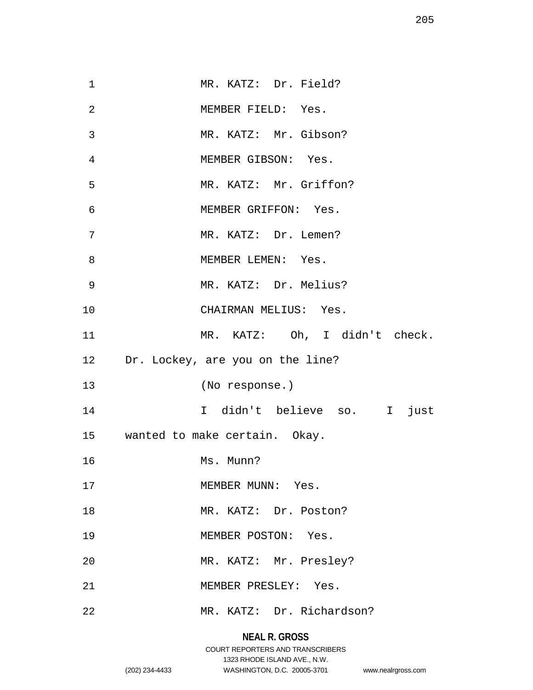| $\mathbf{1}$   | MR. KATZ: Dr. Field?                |
|----------------|-------------------------------------|
| $\overline{2}$ | MEMBER FIELD: Yes.                  |
| 3              | MR. KATZ: Mr. Gibson?               |
| 4              | MEMBER GIBSON: Yes.                 |
| 5              | MR. KATZ: Mr. Griffon?              |
| 6              | MEMBER GRIFFON: Yes.                |
| 7              | MR. KATZ: Dr. Lemen?                |
| 8              | MEMBER LEMEN: Yes.                  |
| 9              | MR. KATZ: Dr. Melius?               |
| 10             | CHAIRMAN MELIUS: Yes.               |
|                | MR. KATZ: Oh, I didn't check.       |
| 11             |                                     |
|                | 12 Dr. Lockey, are you on the line? |
| 13             | (No response.)                      |
| 14             | I didn't believe so. I just         |
|                | 15 wanted to make certain. Okay.    |
| 16             | Ms. Munn?                           |
| 17             | MEMBER MUNN: Yes.                   |
| 18             | MR. KATZ: Dr. Poston?               |
| 19             | MEMBER POSTON: Yes.                 |
| 20             | MR. KATZ: Mr. Presley?              |
| 21             | MEMBER PRESLEY: Yes.                |

# **NEAL R. GROSS**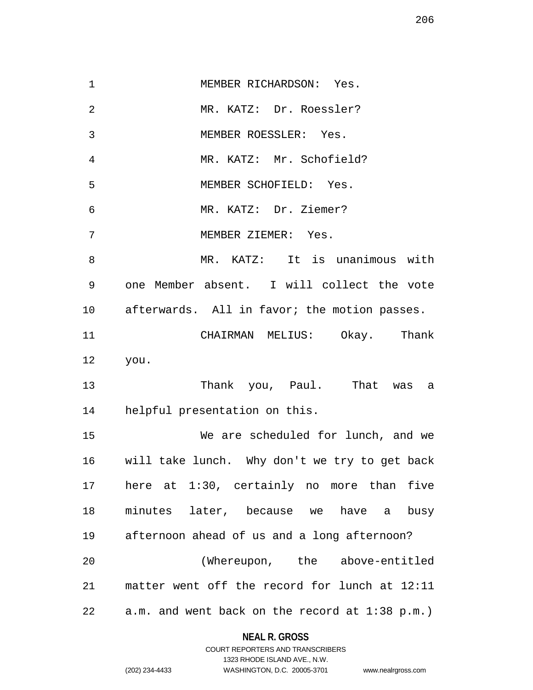1 MEMBER RICHARDSON: Yes. 2 MR. KATZ: Dr. Roessler? 3 MEMBER ROESSLER: Yes. 4 MR. KATZ: Mr. Schofield? 5 MEMBER SCHOFIELD: Yes. 6 MR. KATZ: Dr. Ziemer? 7 MEMBER ZIEMER: Yes. 8 MR. KATZ: It is unanimous with 9 one Member absent. I will collect the vote 10 afterwards. All in favor; the motion passes. 11 CHAIRMAN MELIUS: Okay. Thank 12 you. 13 Thank you, Paul. That was a 14 helpful presentation on this. 15 We are scheduled for lunch, and we 16 will take lunch. Why don't we try to get back 17 here at 1:30, certainly no more than five 18 minutes later, because we have a busy 19 afternoon ahead of us and a long afternoon? 20 (Whereupon, the above-entitled 21 matter went off the record for lunch at 12:11 22 a.m. and went back on the record at 1:38 p.m.)

### **NEAL R. GROSS** COURT REPORTERS AND TRANSCRIBERS

1323 RHODE ISLAND AVE., N.W.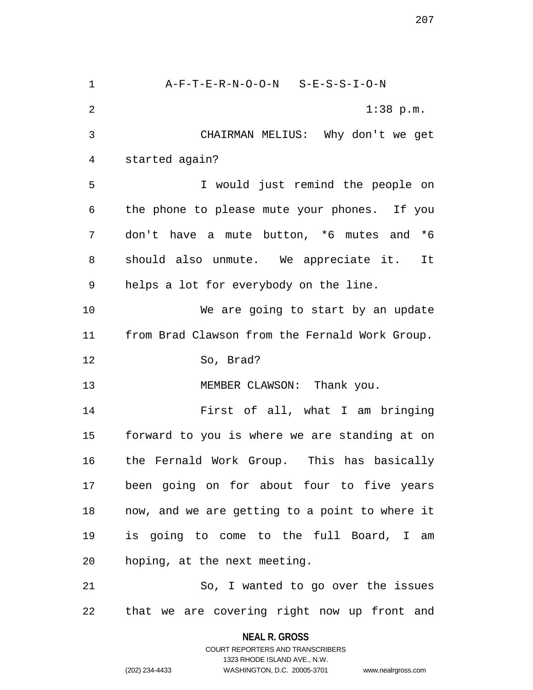1 A-F-T-E-R-N-O-O-N S-E-S-S-I-O-N 2 1:38 p.m. 3 CHAIRMAN MELIUS: Why don't we get 4 started again? 5 I would just remind the people on 6 the phone to please mute your phones. If you 7 don't have a mute button, \*6 mutes and \*6 8 should also unmute. We appreciate it. It 9 helps a lot for everybody on the line. 10 We are going to start by an update 11 from Brad Clawson from the Fernald Work Group. 12 So, Brad? 13 MEMBER CLAWSON: Thank you. 14 First of all, what I am bringing 15 forward to you is where we are standing at on 16 the Fernald Work Group. This has basically 17 been going on for about four to five years 18 now, and we are getting to a point to where it 19 is going to come to the full Board, I am 20 hoping, at the next meeting. 21 So, I wanted to go over the issues 22 that we are covering right now up front and

> **NEAL R. GROSS** COURT REPORTERS AND TRANSCRIBERS

> > 1323 RHODE ISLAND AVE., N.W.

(202) 234-4433 WASHINGTON, D.C. 20005-3701 www.nealrgross.com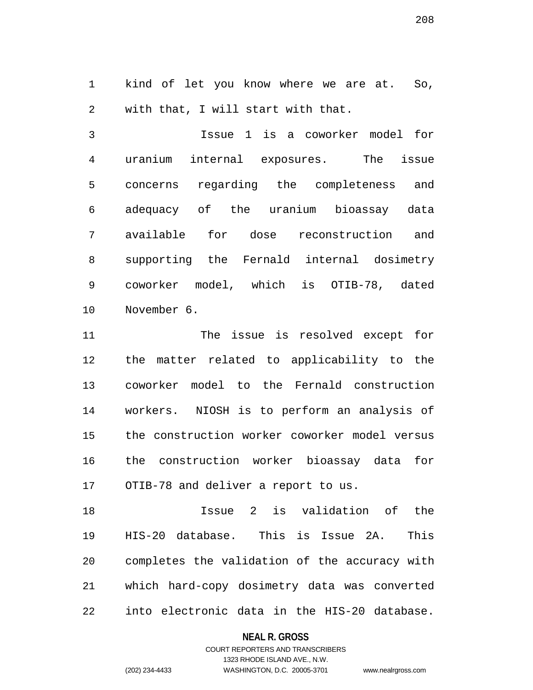1 kind of let you know where we are at. So, 2 with that, I will start with that.

3 Issue 1 is a coworker model for 4 uranium internal exposures. The issue 5 concerns regarding the completeness and 6 adequacy of the uranium bioassay data 7 available for dose reconstruction and 8 supporting the Fernald internal dosimetry 9 coworker model, which is OTIB-78, dated 10 November 6.

11 The issue is resolved except for 12 the matter related to applicability to the 13 coworker model to the Fernald construction 14 workers. NIOSH is to perform an analysis of 15 the construction worker coworker model versus 16 the construction worker bioassay data for 17 OTIB-78 and deliver a report to us.

18 Issue 2 is validation of the 19 HIS-20 database. This is Issue 2A. This 20 completes the validation of the accuracy with 21 which hard-copy dosimetry data was converted 22 into electronic data in the HIS-20 database.

#### **NEAL R. GROSS**

### COURT REPORTERS AND TRANSCRIBERS 1323 RHODE ISLAND AVE., N.W. (202) 234-4433 WASHINGTON, D.C. 20005-3701 www.nealrgross.com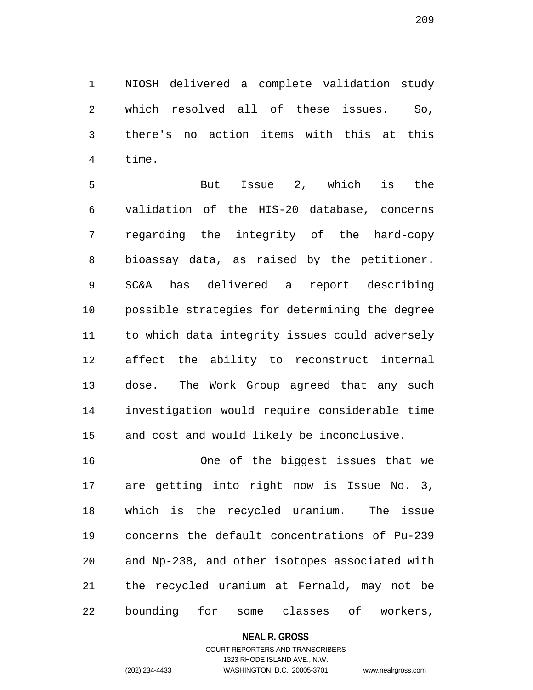1 NIOSH delivered a complete validation study 2 which resolved all of these issues. So, 3 there's no action items with this at this 4 time.

5 But Issue 2, which is the 6 validation of the HIS-20 database, concerns 7 regarding the integrity of the hard-copy 8 bioassay data, as raised by the petitioner. 9 SC&A has delivered a report describing 10 possible strategies for determining the degree 11 to which data integrity issues could adversely 12 affect the ability to reconstruct internal 13 dose. The Work Group agreed that any such 14 investigation would require considerable time 15 and cost and would likely be inconclusive.

16 One of the biggest issues that we 17 are getting into right now is Issue No. 3, 18 which is the recycled uranium. The issue 19 concerns the default concentrations of Pu-239 20 and Np-238, and other isotopes associated with 21 the recycled uranium at Fernald, may not be 22 bounding for some classes of workers,

#### **NEAL R. GROSS**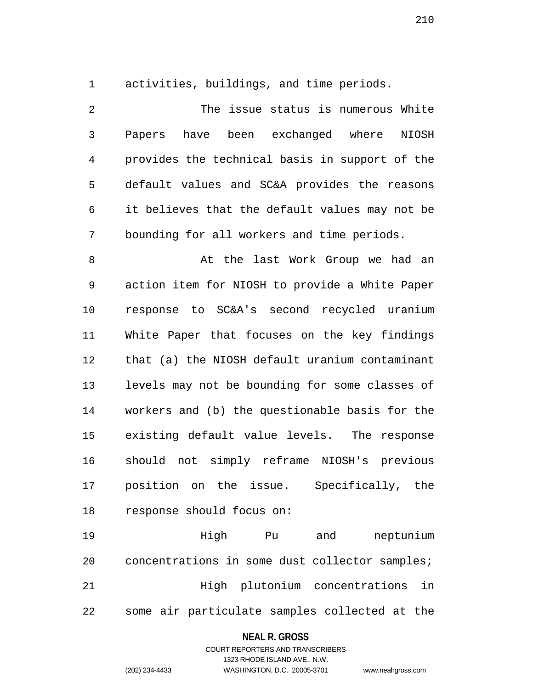1 activities, buildings, and time periods.

2 The issue status is numerous White 3 Papers have been exchanged where NIOSH 4 provides the technical basis in support of the 5 default values and SC&A provides the reasons 6 it believes that the default values may not be 7 bounding for all workers and time periods.

8 At the last Work Group we had an 9 action item for NIOSH to provide a White Paper 10 response to SC&A's second recycled uranium 11 White Paper that focuses on the key findings 12 that (a) the NIOSH default uranium contaminant 13 levels may not be bounding for some classes of 14 workers and (b) the questionable basis for the 15 existing default value levels. The response 16 should not simply reframe NIOSH's previous 17 position on the issue. Specifically, the 18 response should focus on:

19 High Pu and neptunium 20 concentrations in some dust collector samples; 21 High plutonium concentrations in 22 some air particulate samples collected at the

#### **NEAL R. GROSS**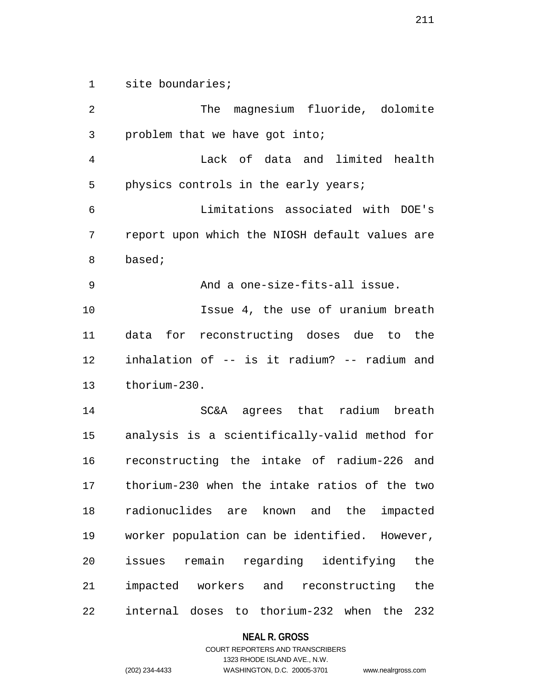1 site boundaries;

2 The magnesium fluoride, dolomite 3 problem that we have got into; 4 Lack of data and limited health 5 physics controls in the early years; 6 Limitations associated with DOE's 7 report upon which the NIOSH default values are 8 based; 9 And a one-size-fits-all issue. 10 Issue 4, the use of uranium breath 11 data for reconstructing doses due to the 12 inhalation of -- is it radium? -- radium and 13 thorium-230. 14 SC&A agrees that radium breath 15 analysis is a scientifically-valid method for 16 reconstructing the intake of radium-226 and 17 thorium-230 when the intake ratios of the two 18 radionuclides are known and the impacted 19 worker population can be identified. However, 20 issues remain regarding identifying the 21 impacted workers and reconstructing the 22 internal doses to thorium-232 when the 232

#### **NEAL R. GROSS**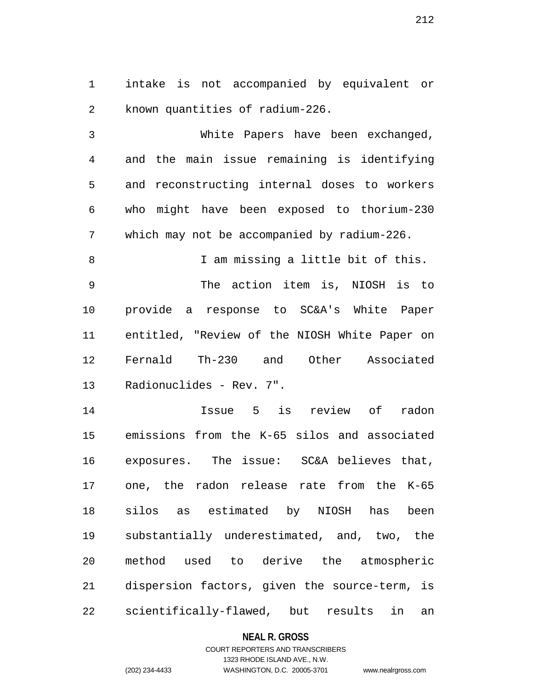1 intake is not accompanied by equivalent or 2 known quantities of radium-226.

3 White Papers have been exchanged, 4 and the main issue remaining is identifying 5 and reconstructing internal doses to workers 6 who might have been exposed to thorium-230 7 which may not be accompanied by radium-226.

8 I am missing a little bit of this. 9 The action item is, NIOSH is to 10 provide a response to SC&A's White Paper 11 entitled, "Review of the NIOSH White Paper on 12 Fernald Th-230 and Other Associated 13 Radionuclides - Rev. 7".

14 Issue 5 is review of radon 15 emissions from the K-65 silos and associated 16 exposures. The issue: SC&A believes that, 17 one, the radon release rate from the K-65 18 silos as estimated by NIOSH has been 19 substantially underestimated, and, two, the 20 method used to derive the atmospheric 21 dispersion factors, given the source-term, is 22 scientifically-flawed, but results in an

#### **NEAL R. GROSS**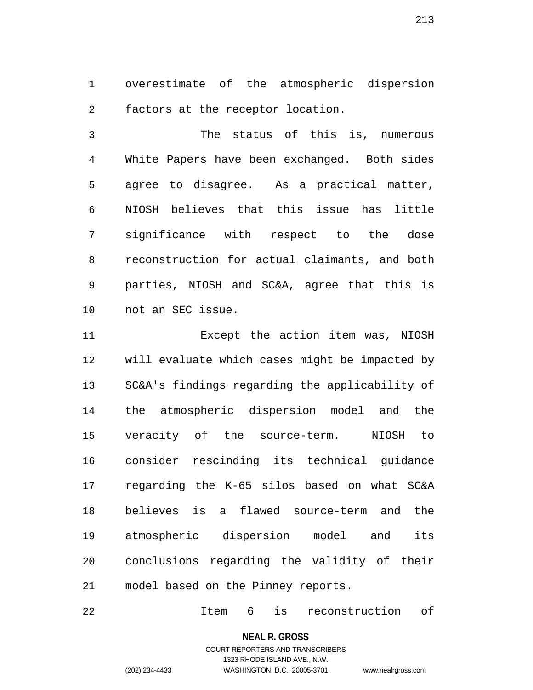1 overestimate of the atmospheric dispersion 2 factors at the receptor location.

3 The status of this is, numerous 4 White Papers have been exchanged. Both sides 5 agree to disagree. As a practical matter, 6 NIOSH believes that this issue has little 7 significance with respect to the dose 8 reconstruction for actual claimants, and both 9 parties, NIOSH and SC&A, agree that this is 10 not an SEC issue.

11 Except the action item was, NIOSH 12 will evaluate which cases might be impacted by 13 SC&A's findings regarding the applicability of 14 the atmospheric dispersion model and the 15 veracity of the source-term. NIOSH to 16 consider rescinding its technical guidance 17 regarding the K-65 silos based on what SC&A 18 believes is a flawed source-term and the 19 atmospheric dispersion model and its 20 conclusions regarding the validity of their 21 model based on the Pinney reports.

22 Item 6 is reconstruction of

**NEAL R. GROSS**

COURT REPORTERS AND TRANSCRIBERS 1323 RHODE ISLAND AVE., N.W. (202) 234-4433 WASHINGTON, D.C. 20005-3701 www.nealrgross.com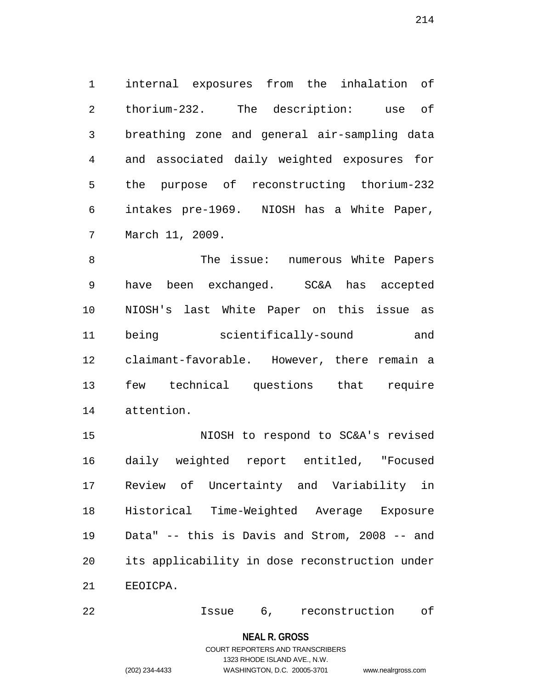1 internal exposures from the inhalation of 2 thorium-232. The description: use of 3 breathing zone and general air-sampling data 4 and associated daily weighted exposures for 5 the purpose of reconstructing thorium-232 6 intakes pre-1969. NIOSH has a White Paper, 7 March 11, 2009.

8 The issue: numerous White Papers 9 have been exchanged. SC&A has accepted 10 NIOSH's last White Paper on this issue as 11 being scientifically-sound and 12 claimant-favorable. However, there remain a 13 few technical questions that require 14 attention.

15 NIOSH to respond to SC&A's revised 16 daily weighted report entitled, "Focused 17 Review of Uncertainty and Variability in 18 Historical Time-Weighted Average Exposure 19 Data" -- this is Davis and Strom, 2008 -- and 20 its applicability in dose reconstruction under 21 EEOICPA.

22 Issue 6, reconstruction of

**NEAL R. GROSS** COURT REPORTERS AND TRANSCRIBERS

1323 RHODE ISLAND AVE., N.W.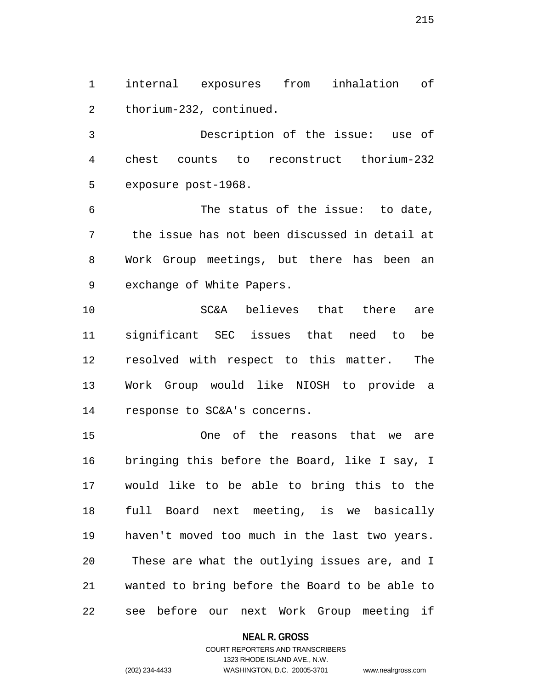1 internal exposures from inhalation of 2 thorium-232, continued.

3 Description of the issue: use of 4 chest counts to reconstruct thorium-232 5 exposure post-1968.

6 The status of the issue: to date, 7 the issue has not been discussed in detail at 8 Work Group meetings, but there has been an 9 exchange of White Papers.

10 SC&A believes that there are 11 significant SEC issues that need to be 12 resolved with respect to this matter. The 13 Work Group would like NIOSH to provide a 14 response to SC&A's concerns.

15 One of the reasons that we are 16 bringing this before the Board, like I say, I 17 would like to be able to bring this to the 18 full Board next meeting, is we basically 19 haven't moved too much in the last two years. 20 These are what the outlying issues are, and I 21 wanted to bring before the Board to be able to 22 see before our next Work Group meeting if

#### **NEAL R. GROSS**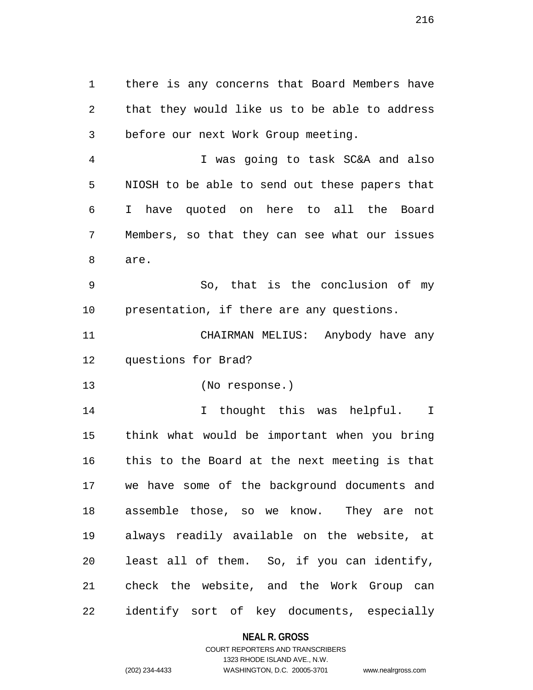1 there is any concerns that Board Members have 2 that they would like us to be able to address 3 before our next Work Group meeting.

4 I was going to task SC&A and also 5 NIOSH to be able to send out these papers that 6 I have quoted on here to all the Board 7 Members, so that they can see what our issues 8 are.

9 So, that is the conclusion of my 10 presentation, if there are any questions.

11 CHAIRMAN MELIUS: Anybody have any 12 questions for Brad?

13 (No response.)

14 I thought this was helpful. I 15 think what would be important when you bring 16 this to the Board at the next meeting is that 17 we have some of the background documents and 18 assemble those, so we know. They are not 19 always readily available on the website, at 20 least all of them. So, if you can identify, 21 check the website, and the Work Group can 22 identify sort of key documents, especially

#### **NEAL R. GROSS**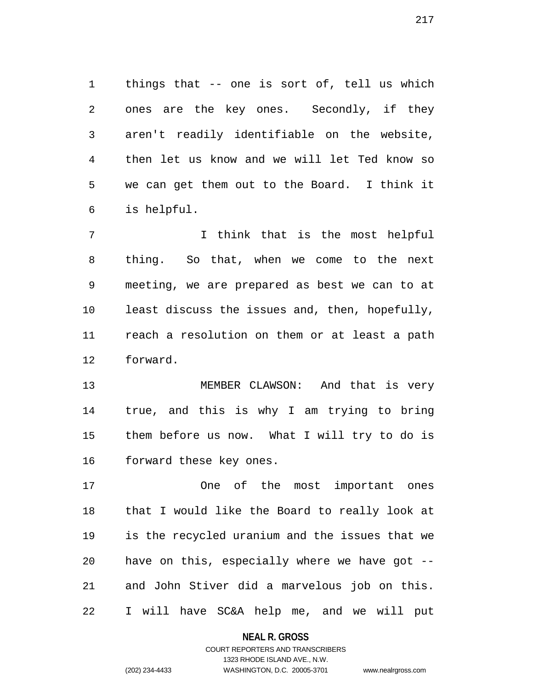1 things that -- one is sort of, tell us which 2 ones are the key ones. Secondly, if they 3 aren't readily identifiable on the website, 4 then let us know and we will let Ted know so 5 we can get them out to the Board. I think it 6 is helpful.

7 I think that is the most helpful 8 thing. So that, when we come to the next 9 meeting, we are prepared as best we can to at 10 least discuss the issues and, then, hopefully, 11 reach a resolution on them or at least a path 12 forward.

13 MEMBER CLAWSON: And that is very 14 true, and this is why I am trying to bring 15 them before us now. What I will try to do is 16 forward these key ones.

17 One of the most important ones 18 that I would like the Board to really look at 19 is the recycled uranium and the issues that we 20 have on this, especially where we have got -- 21 and John Stiver did a marvelous job on this. 22 I will have SC&A help me, and we will put

#### **NEAL R. GROSS**

## COURT REPORTERS AND TRANSCRIBERS 1323 RHODE ISLAND AVE., N.W. (202) 234-4433 WASHINGTON, D.C. 20005-3701 www.nealrgross.com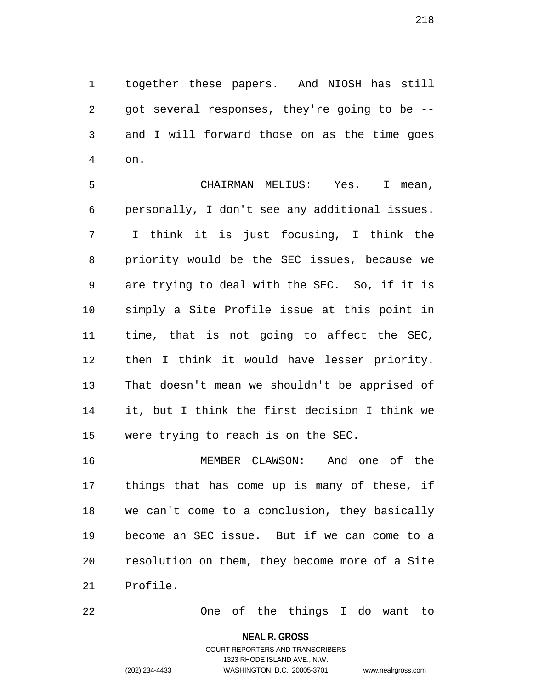1 together these papers. And NIOSH has still 2 got several responses, they're going to be -- 3 and I will forward those on as the time goes 4 on.

5 CHAIRMAN MELIUS: Yes. I mean, 6 personally, I don't see any additional issues. 7 I think it is just focusing, I think the 8 priority would be the SEC issues, because we 9 are trying to deal with the SEC. So, if it is 10 simply a Site Profile issue at this point in 11 time, that is not going to affect the SEC, 12 then I think it would have lesser priority. 13 That doesn't mean we shouldn't be apprised of 14 it, but I think the first decision I think we 15 were trying to reach is on the SEC.

16 MEMBER CLAWSON: And one of the 17 things that has come up is many of these, if 18 we can't come to a conclusion, they basically 19 become an SEC issue. But if we can come to a 20 resolution on them, they become more of a Site 21 Profile.

22 One of the things I do want to

#### **NEAL R. GROSS**

COURT REPORTERS AND TRANSCRIBERS 1323 RHODE ISLAND AVE., N.W. (202) 234-4433 WASHINGTON, D.C. 20005-3701 www.nealrgross.com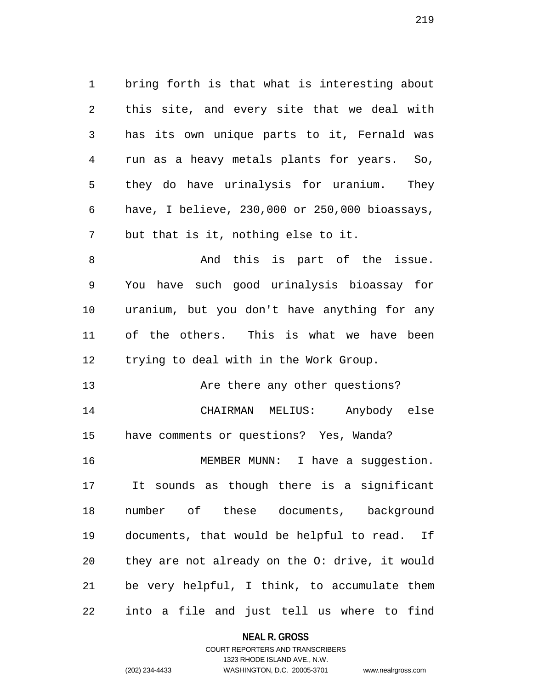1 bring forth is that what is interesting about 2 this site, and every site that we deal with 3 has its own unique parts to it, Fernald was 4 run as a heavy metals plants for years. So, 5 they do have urinalysis for uranium. They 6 have, I believe, 230,000 or 250,000 bioassays, 7 but that is it, nothing else to it.

8 And this is part of the issue. 9 You have such good urinalysis bioassay for 10 uranium, but you don't have anything for any 11 of the others. This is what we have been 12 trying to deal with in the Work Group.

13 Are there any other questions? 14 CHAIRMAN MELIUS: Anybody else 15 have comments or questions? Yes, Wanda? 16 MEMBER MUNN: I have a suggestion. 17 It sounds as though there is a significant 18 number of these documents, background 19 documents, that would be helpful to read. If 20 they are not already on the O: drive, it would 21 be very helpful, I think, to accumulate them 22 into a file and just tell us where to find

**NEAL R. GROSS**

## COURT REPORTERS AND TRANSCRIBERS 1323 RHODE ISLAND AVE., N.W. (202) 234-4433 WASHINGTON, D.C. 20005-3701 www.nealrgross.com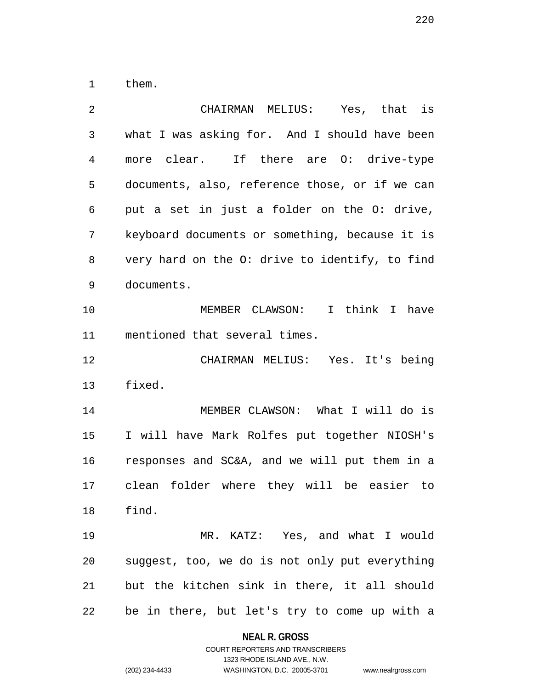1 them.

| $\overline{2}$ | CHAIRMAN MELIUS: Yes, that is                  |  |  |  |
|----------------|------------------------------------------------|--|--|--|
| 3              | what I was asking for. And I should have been  |  |  |  |
| 4              | more clear. If there are 0: drive-type         |  |  |  |
| 5              | documents, also, reference those, or if we can |  |  |  |
| 6              | put a set in just a folder on the 0: drive,    |  |  |  |
| 7              | keyboard documents or something, because it is |  |  |  |
| 8              | very hard on the O: drive to identify, to find |  |  |  |
| 9              | documents.                                     |  |  |  |
| 10             | MEMBER CLAWSON: I think I have                 |  |  |  |
| 11             | mentioned that several times.                  |  |  |  |
| 12             | CHAIRMAN MELIUS: Yes. It's being               |  |  |  |
| 13             | fixed.                                         |  |  |  |
| 14             | MEMBER CLAWSON: What I will do is              |  |  |  |
| 15             | I will have Mark Rolfes put together NIOSH's   |  |  |  |
| 16             | responses and SC&A, and we will put them in a  |  |  |  |
| 17             | clean folder where they will be easier to      |  |  |  |
| 18             | find.                                          |  |  |  |
| 19             | MR. KATZ: Yes, and what I would                |  |  |  |
| 20             | suggest, too, we do is not only put everything |  |  |  |
| 21             | but the kitchen sink in there, it all should   |  |  |  |
| 22             | be in there, but let's try to come up with a   |  |  |  |

```
COURT REPORTERS AND TRANSCRIBERS
                     1323 RHODE ISLAND AVE., N.W.
(202) 234-4433 WASHINGTON, D.C. 20005-3701 www.nealrgross.com
```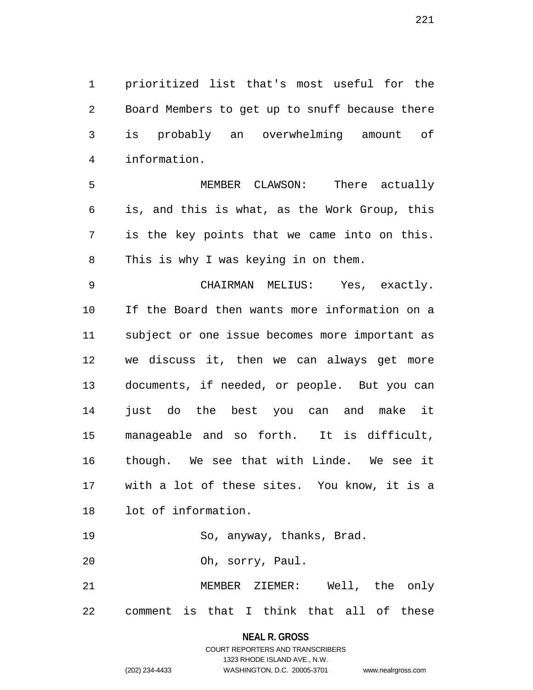1 prioritized list that's most useful for the 2 Board Members to get up to snuff because there 3 is probably an overwhelming amount of 4 information.

5 MEMBER CLAWSON: There actually 6 is, and this is what, as the Work Group, this 7 is the key points that we came into on this. 8 This is why I was keying in on them.

9 CHAIRMAN MELIUS: Yes, exactly. 10 If the Board then wants more information on a 11 subject or one issue becomes more important as 12 we discuss it, then we can always get more 13 documents, if needed, or people. But you can 14 just do the best you can and make it 15 manageable and so forth. It is difficult, 16 though. We see that with Linde. We see it 17 with a lot of these sites. You know, it is a 18 lot of information.

19 So, anyway, thanks, Brad.

20 Oh, sorry, Paul.

21 MEMBER ZIEMER: Well, the only 22 comment is that I think that all of these

## **NEAL R. GROSS** COURT REPORTERS AND TRANSCRIBERS 1323 RHODE ISLAND AVE., N.W. (202) 234-4433 WASHINGTON, D.C. 20005-3701 www.nealrgross.com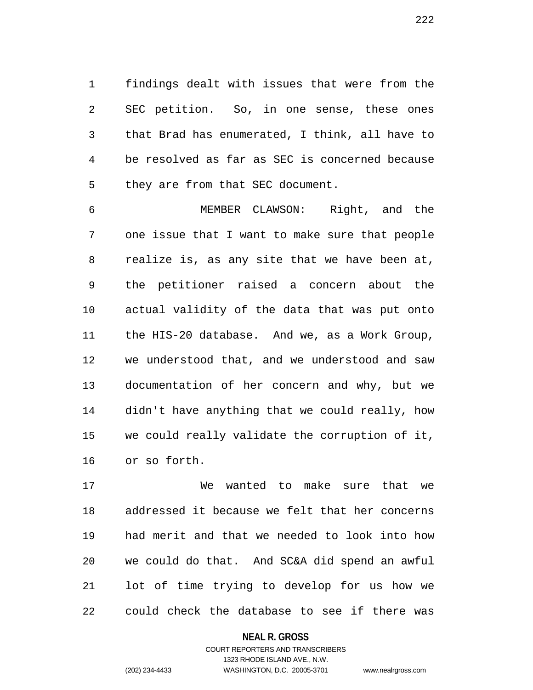1 findings dealt with issues that were from the 2 SEC petition. So, in one sense, these ones 3 that Brad has enumerated, I think, all have to 4 be resolved as far as SEC is concerned because 5 they are from that SEC document.

6 MEMBER CLAWSON: Right, and the 7 one issue that I want to make sure that people 8 realize is, as any site that we have been at, 9 the petitioner raised a concern about the 10 actual validity of the data that was put onto 11 the HIS-20 database. And we, as a Work Group, 12 we understood that, and we understood and saw 13 documentation of her concern and why, but we 14 didn't have anything that we could really, how 15 we could really validate the corruption of it, 16 or so forth.

17 We wanted to make sure that we 18 addressed it because we felt that her concerns 19 had merit and that we needed to look into how 20 we could do that. And SC&A did spend an awful 21 lot of time trying to develop for us how we 22 could check the database to see if there was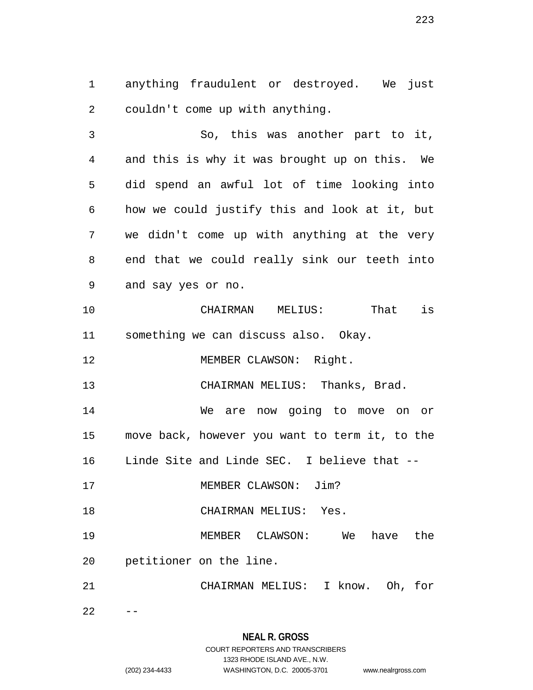1 anything fraudulent or destroyed. We just 2 couldn't come up with anything.

3 So, this was another part to it, 4 and this is why it was brought up on this. We 5 did spend an awful lot of time looking into 6 how we could justify this and look at it, but 7 we didn't come up with anything at the very 8 end that we could really sink our teeth into 9 and say yes or no.

10 CHAIRMAN MELIUS: That is 11 something we can discuss also. Okay.

12 MEMBER CLAWSON: Right.

13 CHAIRMAN MELIUS: Thanks, Brad.

14 We are now going to move on or 15 move back, however you want to term it, to the 16 Linde Site and Linde SEC. I believe that --

17 MEMBER CLAWSON: Jim?

18 CHAIRMAN MELIUS: Yes.

19 MEMBER CLAWSON: We have the

20 petitioner on the line.

21 CHAIRMAN MELIUS: I know. Oh, for

 $22 - -$ 

# **NEAL R. GROSS**

## COURT REPORTERS AND TRANSCRIBERS 1323 RHODE ISLAND AVE., N.W. (202) 234-4433 WASHINGTON, D.C. 20005-3701 www.nealrgross.com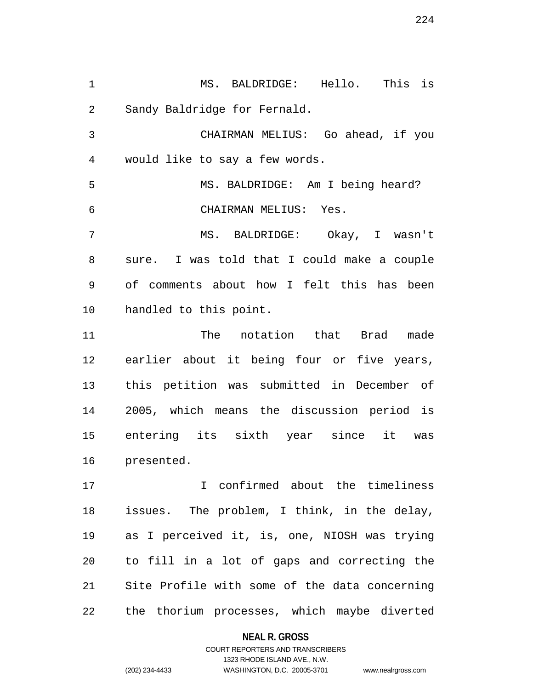1 MS. BALDRIDGE: Hello. This is 2 Sandy Baldridge for Fernald. 3 CHAIRMAN MELIUS: Go ahead, if you 4 would like to say a few words. 5 MS. BALDRIDGE: Am I being heard? 6 CHAIRMAN MELIUS: Yes. 7 MS. BALDRIDGE: Okay, I wasn't 8 sure. I was told that I could make a couple 9 of comments about how I felt this has been 10 handled to this point. 11 The notation that Brad made 12 earlier about it being four or five years, 13 this petition was submitted in December of 14 2005, which means the discussion period is 15 entering its sixth year since it was 16 presented.

17 I confirmed about the timeliness 18 issues. The problem, I think, in the delay, 19 as I perceived it, is, one, NIOSH was trying 20 to fill in a lot of gaps and correcting the 21 Site Profile with some of the data concerning 22 the thorium processes, which maybe diverted

**NEAL R. GROSS**

COURT REPORTERS AND TRANSCRIBERS 1323 RHODE ISLAND AVE., N.W. (202) 234-4433 WASHINGTON, D.C. 20005-3701 www.nealrgross.com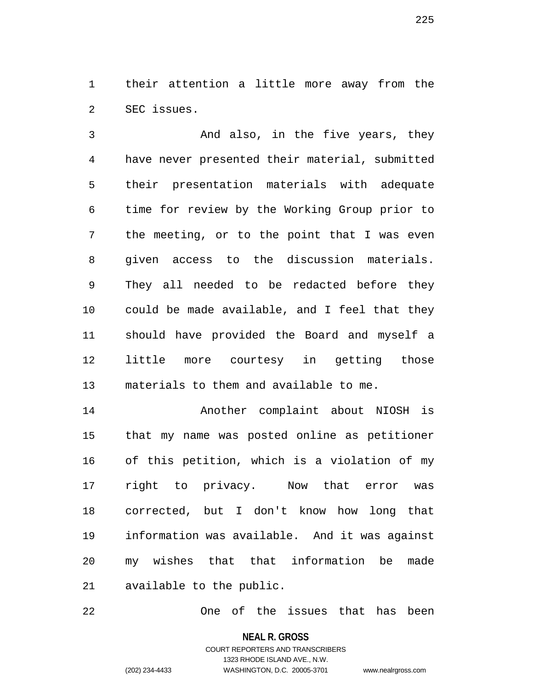1 their attention a little more away from the 2 SEC issues.

3 And also, in the five years, they 4 have never presented their material, submitted 5 their presentation materials with adequate 6 time for review by the Working Group prior to 7 the meeting, or to the point that I was even 8 given access to the discussion materials. 9 They all needed to be redacted before they 10 could be made available, and I feel that they 11 should have provided the Board and myself a 12 little more courtesy in getting those 13 materials to them and available to me.

14 Another complaint about NIOSH is 15 that my name was posted online as petitioner 16 of this petition, which is a violation of my 17 right to privacy. Now that error was 18 corrected, but I don't know how long that 19 information was available. And it was against 20 my wishes that that information be made 21 available to the public.

22 One of the issues that has been

**NEAL R. GROSS**

COURT REPORTERS AND TRANSCRIBERS 1323 RHODE ISLAND AVE., N.W. (202) 234-4433 WASHINGTON, D.C. 20005-3701 www.nealrgross.com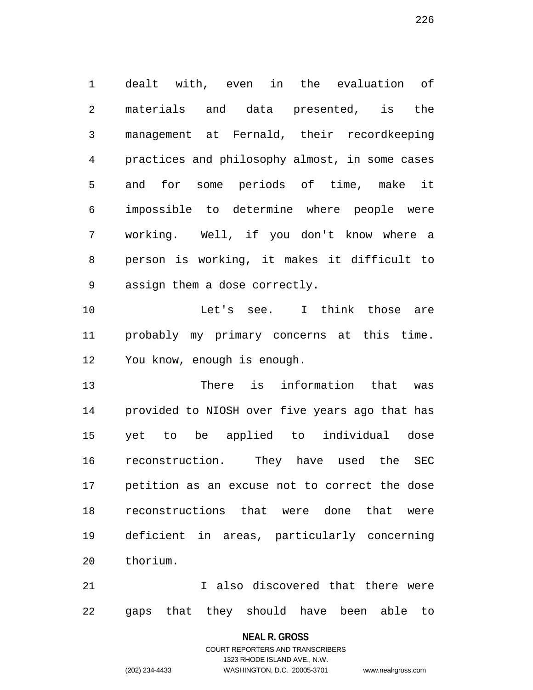1 dealt with, even in the evaluation of 2 materials and data presented, is the 3 management at Fernald, their recordkeeping 4 practices and philosophy almost, in some cases 5 and for some periods of time, make it 6 impossible to determine where people were 7 working. Well, if you don't know where a 8 person is working, it makes it difficult to 9 assign them a dose correctly.

10 Let's see. I think those are 11 probably my primary concerns at this time. 12 You know, enough is enough.

13 There is information that was 14 provided to NIOSH over five years ago that has 15 yet to be applied to individual dose 16 reconstruction. They have used the SEC 17 petition as an excuse not to correct the dose 18 reconstructions that were done that were 19 deficient in areas, particularly concerning 20 thorium.

21 I also discovered that there were 22 gaps that they should have been able to

**NEAL R. GROSS**

## COURT REPORTERS AND TRANSCRIBERS 1323 RHODE ISLAND AVE., N.W. (202) 234-4433 WASHINGTON, D.C. 20005-3701 www.nealrgross.com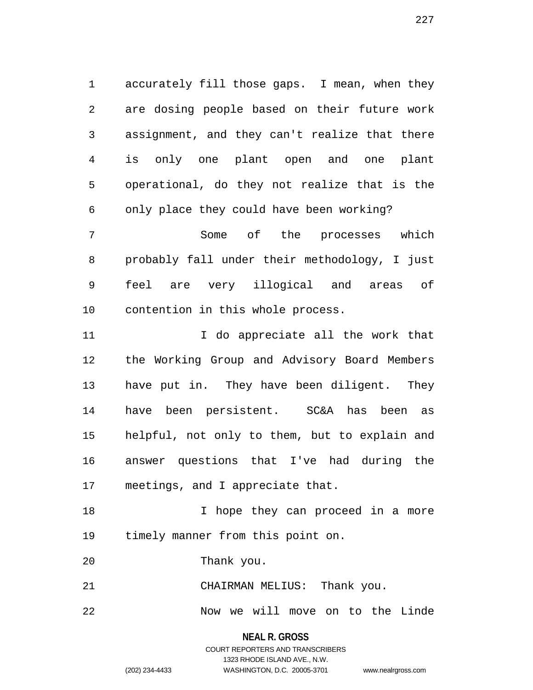1 accurately fill those gaps. I mean, when they 2 are dosing people based on their future work 3 assignment, and they can't realize that there 4 is only one plant open and one plant 5 operational, do they not realize that is the 6 only place they could have been working?

7 Some of the processes which 8 probably fall under their methodology, I just 9 feel are very illogical and areas of 10 contention in this whole process.

11 10 I do appreciate all the work that 12 the Working Group and Advisory Board Members 13 have put in. They have been diligent. They 14 have been persistent. SC&A has been as 15 helpful, not only to them, but to explain and 16 answer questions that I've had during the 17 meetings, and I appreciate that.

18 I hope they can proceed in a more 19 timely manner from this point on.

20 Thank you.

21 CHAIRMAN MELIUS: Thank you.

22 Now we will move on to the Linde

**NEAL R. GROSS** COURT REPORTERS AND TRANSCRIBERS 1323 RHODE ISLAND AVE., N.W. (202) 234-4433 WASHINGTON, D.C. 20005-3701 www.nealrgross.com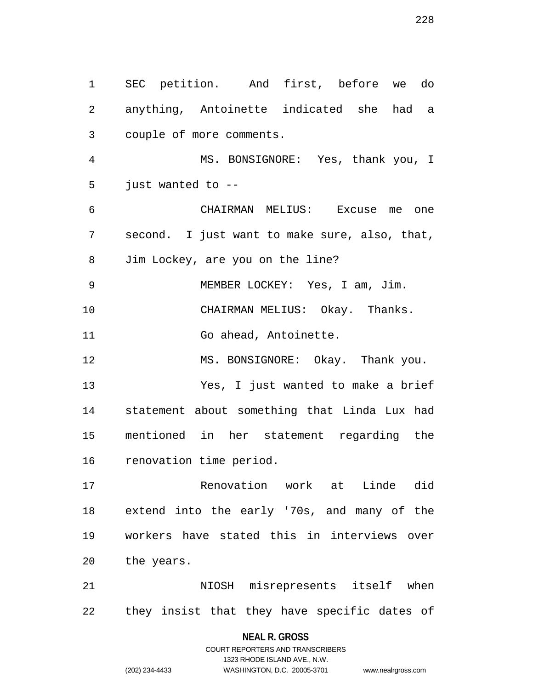1 SEC petition. And first, before we do 2 anything, Antoinette indicated she had a 3 couple of more comments. 4 MS. BONSIGNORE: Yes, thank you, I 5 just wanted to -- 6 CHAIRMAN MELIUS: Excuse me one 7 second. I just want to make sure, also, that, 8 Jim Lockey, are you on the line? 9 MEMBER LOCKEY: Yes, I am, Jim. 10 CHAIRMAN MELIUS: Okay. Thanks. 11 Go ahead, Antoinette. 12 MS. BONSIGNORE: Okay. Thank you. 13 Yes, I just wanted to make a brief 14 statement about something that Linda Lux had 15 mentioned in her statement regarding the 16 renovation time period. 17 Renovation work at Linde did 18 extend into the early '70s, and many of the 19 workers have stated this in interviews over 20 the years. 21 NIOSH misrepresents itself when 22 they insist that they have specific dates of

#### **NEAL R. GROSS**

COURT REPORTERS AND TRANSCRIBERS 1323 RHODE ISLAND AVE., N.W. (202) 234-4433 WASHINGTON, D.C. 20005-3701 www.nealrgross.com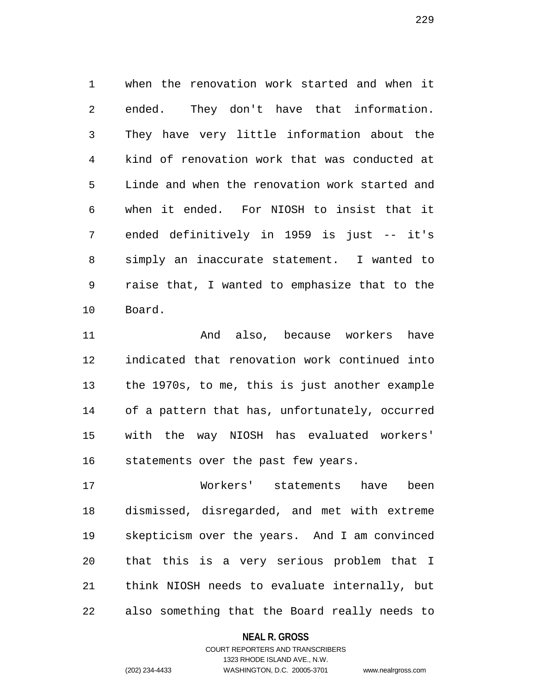1 when the renovation work started and when it 2 ended. They don't have that information. 3 They have very little information about the 4 kind of renovation work that was conducted at 5 Linde and when the renovation work started and 6 when it ended. For NIOSH to insist that it 7 ended definitively in 1959 is just -- it's 8 simply an inaccurate statement. I wanted to 9 raise that, I wanted to emphasize that to the 10 Board.

11 And also, because workers have 12 indicated that renovation work continued into 13 the 1970s, to me, this is just another example 14 of a pattern that has, unfortunately, occurred 15 with the way NIOSH has evaluated workers' 16 statements over the past few years.

17 Workers' statements have been 18 dismissed, disregarded, and met with extreme 19 skepticism over the years. And I am convinced 20 that this is a very serious problem that I 21 think NIOSH needs to evaluate internally, but 22 also something that the Board really needs to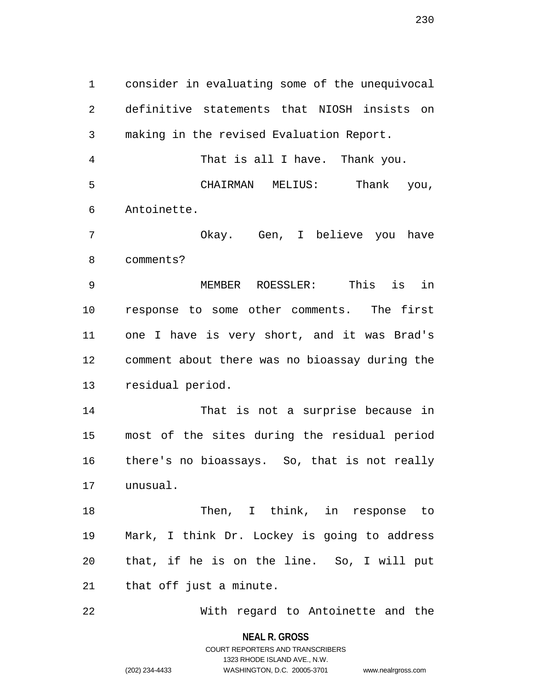1 consider in evaluating some of the unequivocal 2 definitive statements that NIOSH insists on 3 making in the revised Evaluation Report.

4 That is all I have. Thank you. 5 CHAIRMAN MELIUS: Thank you, 6 Antoinette.

7 Okay. Gen, I believe you have 8 comments?

9 MEMBER ROESSLER: This is in 10 response to some other comments. The first 11 one I have is very short, and it was Brad's 12 comment about there was no bioassay during the 13 residual period.

14 That is not a surprise because in 15 most of the sites during the residual period 16 there's no bioassays. So, that is not really 17 unusual.

18 Then, I think, in response to 19 Mark, I think Dr. Lockey is going to address 20 that, if he is on the line. So, I will put 21 that off just a minute.

22 With regard to Antoinette and the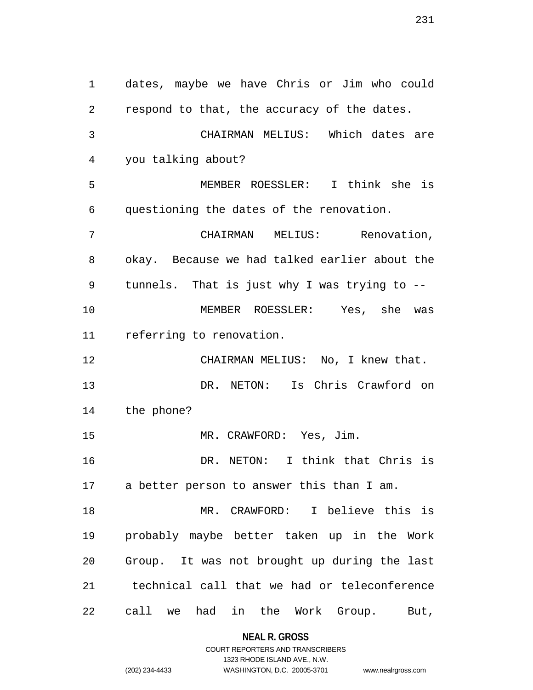1 dates, maybe we have Chris or Jim who could 2 respond to that, the accuracy of the dates. 3 CHAIRMAN MELIUS: Which dates are 4 you talking about? 5 MEMBER ROESSLER: I think she is 6 questioning the dates of the renovation. 7 CHAIRMAN MELIUS: Renovation, 8 okay. Because we had talked earlier about the 9 tunnels. That is just why I was trying to -- 10 MEMBER ROESSLER: Yes, she was 11 referring to renovation. 12 CHAIRMAN MELIUS: No, I knew that. 13 DR. NETON: Is Chris Crawford on 14 the phone? 15 MR. CRAWFORD: Yes, Jim. 16 DR. NETON: I think that Chris is 17 a better person to answer this than I am. 18 MR. CRAWFORD: I believe this is 19 probably maybe better taken up in the Work 20 Group. It was not brought up during the last 21 technical call that we had or teleconference 22 call we had in the Work Group. But,

**NEAL R. GROSS**

COURT REPORTERS AND TRANSCRIBERS 1323 RHODE ISLAND AVE., N.W. (202) 234-4433 WASHINGTON, D.C. 20005-3701 www.nealrgross.com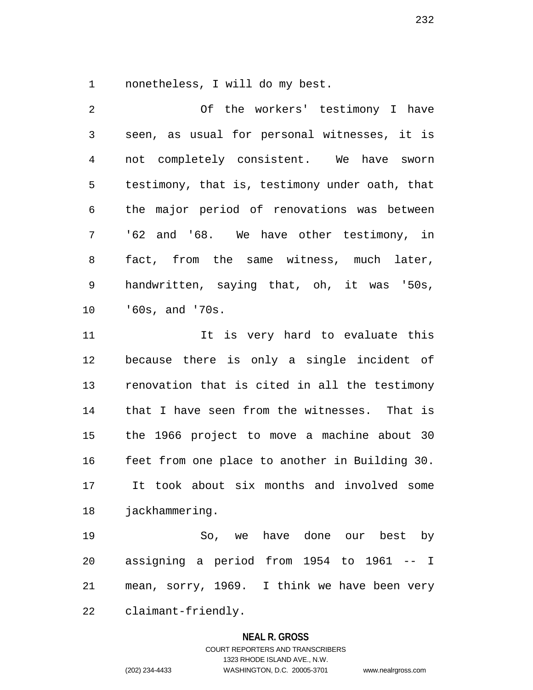1 nonetheless, I will do my best.

2 Of the workers' testimony I have 3 seen, as usual for personal witnesses, it is 4 not completely consistent. We have sworn 5 testimony, that is, testimony under oath, that 6 the major period of renovations was between 7 '62 and '68. We have other testimony, in 8 fact, from the same witness, much later, 9 handwritten, saying that, oh, it was '50s, 10 '60s, and '70s. 11 11 It is very hard to evaluate this 12 because there is only a single incident of 13 renovation that is cited in all the testimony

14 that I have seen from the witnesses. That is 15 the 1966 project to move a machine about 30 16 feet from one place to another in Building 30. 17 It took about six months and involved some 18 jackhammering.

19 So, we have done our best by 20 assigning a period from 1954 to 1961 -- I 21 mean, sorry, 1969. I think we have been very 22 claimant-friendly.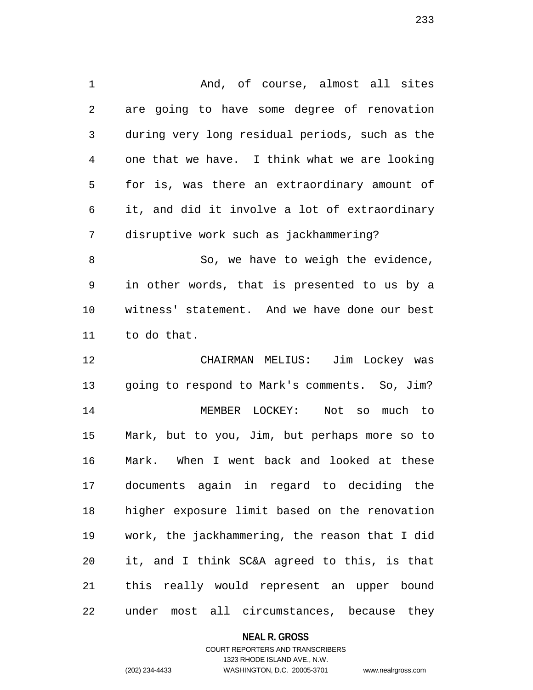1 And, of course, almost all sites 2 are going to have some degree of renovation 3 during very long residual periods, such as the 4 one that we have. I think what we are looking 5 for is, was there an extraordinary amount of 6 it, and did it involve a lot of extraordinary 7 disruptive work such as jackhammering? 8 So, we have to weigh the evidence, 9 in other words, that is presented to us by a 10 witness' statement. And we have done our best 11 to do that. 12 CHAIRMAN MELIUS: Jim Lockey was 13 going to respond to Mark's comments. So, Jim? 14 MEMBER LOCKEY: Not so much to 15 Mark, but to you, Jim, but perhaps more so to 16 Mark. When I went back and looked at these 17 documents again in regard to deciding the 18 higher exposure limit based on the renovation 19 work, the jackhammering, the reason that I did 20 it, and I think SC&A agreed to this, is that 21 this really would represent an upper bound 22 under most all circumstances, because they

#### **NEAL R. GROSS**

## COURT REPORTERS AND TRANSCRIBERS 1323 RHODE ISLAND AVE., N.W. (202) 234-4433 WASHINGTON, D.C. 20005-3701 www.nealrgross.com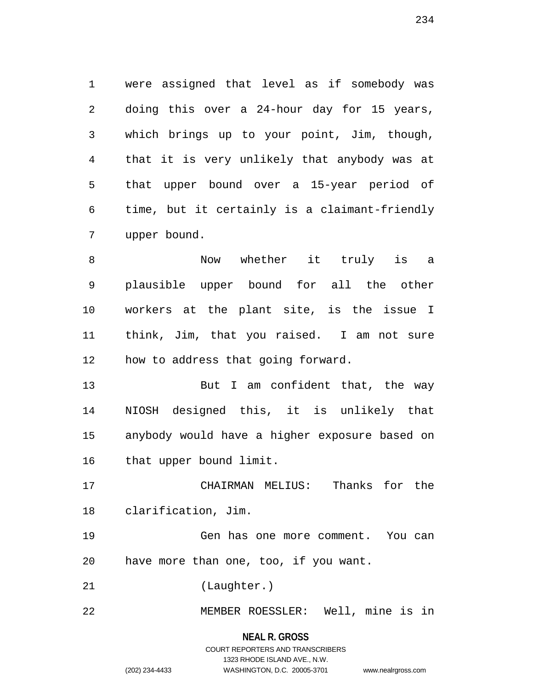1 were assigned that level as if somebody was 2 doing this over a 24-hour day for 15 years, 3 which brings up to your point, Jim, though, 4 that it is very unlikely that anybody was at 5 that upper bound over a 15-year period of 6 time, but it certainly is a claimant-friendly 7 upper bound.

8 Now whether it truly is a 9 plausible upper bound for all the other 10 workers at the plant site, is the issue I 11 think, Jim, that you raised. I am not sure 12 how to address that going forward.

13 But I am confident that, the way 14 NIOSH designed this, it is unlikely that 15 anybody would have a higher exposure based on 16 that upper bound limit.

17 CHAIRMAN MELIUS: Thanks for the 18 clarification, Jim.

19 Gen has one more comment. You can 20 have more than one, too, if you want.

21 (Laughter.)

22 MEMBER ROESSLER: Well, mine is in

## **NEAL R. GROSS** COURT REPORTERS AND TRANSCRIBERS 1323 RHODE ISLAND AVE., N.W. (202) 234-4433 WASHINGTON, D.C. 20005-3701 www.nealrgross.com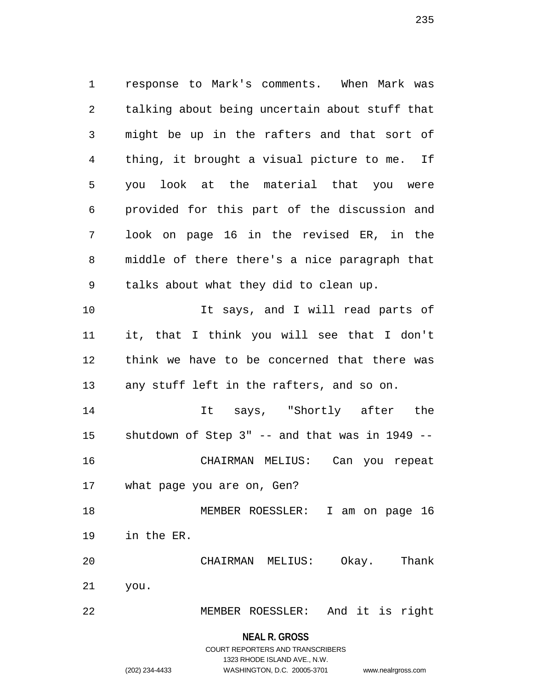1 response to Mark's comments. When Mark was 2 talking about being uncertain about stuff that 3 might be up in the rafters and that sort of 4 thing, it brought a visual picture to me. If 5 you look at the material that you were 6 provided for this part of the discussion and 7 look on page 16 in the revised ER, in the 8 middle of there there's a nice paragraph that 9 talks about what they did to clean up. 10 10 It says, and I will read parts of 11 it, that I think you will see that I don't 12 think we have to be concerned that there was 13 any stuff left in the rafters, and so on. 14 It says, "Shortly after the 15 shutdown of Step 3" -- and that was in 1949 -- 16 CHAIRMAN MELIUS: Can you repeat 17 what page you are on, Gen? 18 MEMBER ROESSLER: I am on page 16 19 in the ER. 20 CHAIRMAN MELIUS: Okay. Thank 21 you.

22 MEMBER ROESSLER: And it is right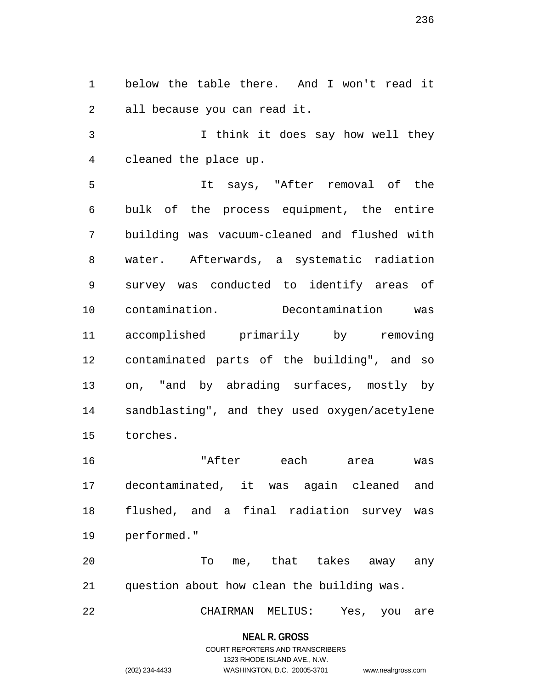1 below the table there. And I won't read it 2 all because you can read it.

3 I think it does say how well they 4 cleaned the place up.

5 It says, "After removal of the 6 bulk of the process equipment, the entire 7 building was vacuum-cleaned and flushed with 8 water. Afterwards, a systematic radiation 9 survey was conducted to identify areas of 10 contamination. Decontamination was 11 accomplished primarily by removing 12 contaminated parts of the building", and so 13 on, "and by abrading surfaces, mostly by 14 sandblasting", and they used oxygen/acetylene 15 torches.

16 "After each area was 17 decontaminated, it was again cleaned and 18 flushed, and a final radiation survey was 19 performed."

20 To me, that takes away any 21 question about how clean the building was.

22 CHAIRMAN MELIUS: Yes, you are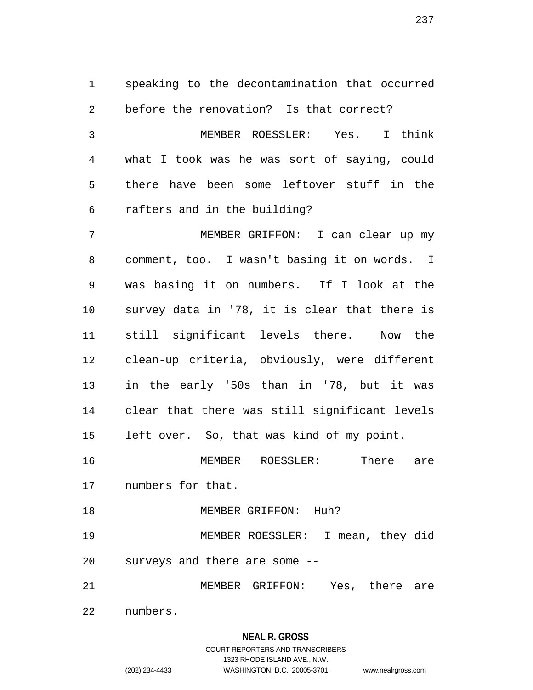1 speaking to the decontamination that occurred 2 before the renovation? Is that correct? 3 MEMBER ROESSLER: Yes. I think 4 what I took was he was sort of saying, could 5 there have been some leftover stuff in the 6 rafters and in the building? 7 MEMBER GRIFFON: I can clear up my 8 comment, too. I wasn't basing it on words. I 9 was basing it on numbers. If I look at the 10 survey data in '78, it is clear that there is 11 still significant levels there. Now the 12 clean-up criteria, obviously, were different 13 in the early '50s than in '78, but it was 14 clear that there was still significant levels 15 left over. So, that was kind of my point. 16 MEMBER ROESSLER: There are 17 numbers for that. 18 MEMBER GRIFFON: Huh? 19 MEMBER ROESSLER: I mean, they did 20 surveys and there are some -- 21 MEMBER GRIFFON: Yes, there are

22 numbers.

## **NEAL R. GROSS**

## COURT REPORTERS AND TRANSCRIBERS 1323 RHODE ISLAND AVE., N.W. (202) 234-4433 WASHINGTON, D.C. 20005-3701 www.nealrgross.com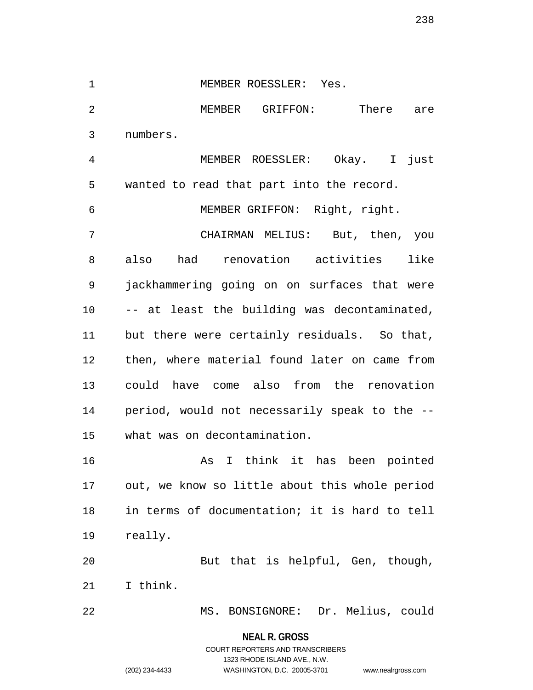1 MEMBER ROESSLER: Yes. 2 MEMBER GRIFFON: There are 3 numbers. 4 MEMBER ROESSLER: Okay. I just 5 wanted to read that part into the record. 6 MEMBER GRIFFON: Right, right. 7 CHAIRMAN MELIUS: But, then, you 8 also had renovation activities like 9 jackhammering going on on surfaces that were 10 -- at least the building was decontaminated, 11 but there were certainly residuals. So that, 12 then, where material found later on came from 13 could have come also from the renovation 14 period, would not necessarily speak to the -- 15 what was on decontamination. 16 As I think it has been pointed 17 out, we know so little about this whole period 18 in terms of documentation; it is hard to tell 19 really. 20 But that is helpful, Gen, though, 21 I think. 22 MS. BONSIGNORE: Dr. Melius, could

> **NEAL R. GROSS** COURT REPORTERS AND TRANSCRIBERS 1323 RHODE ISLAND AVE., N.W.

(202) 234-4433 WASHINGTON, D.C. 20005-3701 www.nealrgross.com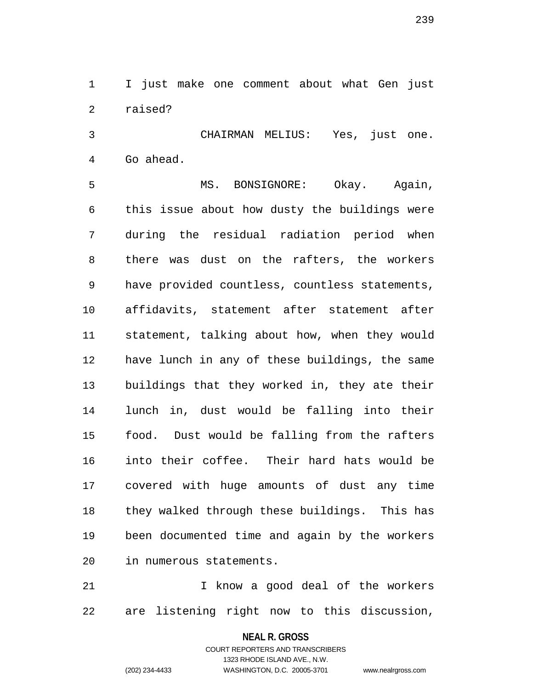1 I just make one comment about what Gen just 2 raised?

3 CHAIRMAN MELIUS: Yes, just one. 4 Go ahead.

5 MS. BONSIGNORE: Okay. Again, 6 this issue about how dusty the buildings were 7 during the residual radiation period when 8 there was dust on the rafters, the workers 9 have provided countless, countless statements, 10 affidavits, statement after statement after 11 statement, talking about how, when they would 12 have lunch in any of these buildings, the same 13 buildings that they worked in, they ate their 14 lunch in, dust would be falling into their 15 food. Dust would be falling from the rafters 16 into their coffee. Their hard hats would be 17 covered with huge amounts of dust any time 18 they walked through these buildings. This has 19 been documented time and again by the workers 20 in numerous statements.

21 I know a good deal of the workers 22 are listening right now to this discussion,

**NEAL R. GROSS**

COURT REPORTERS AND TRANSCRIBERS 1323 RHODE ISLAND AVE., N.W. (202) 234-4433 WASHINGTON, D.C. 20005-3701 www.nealrgross.com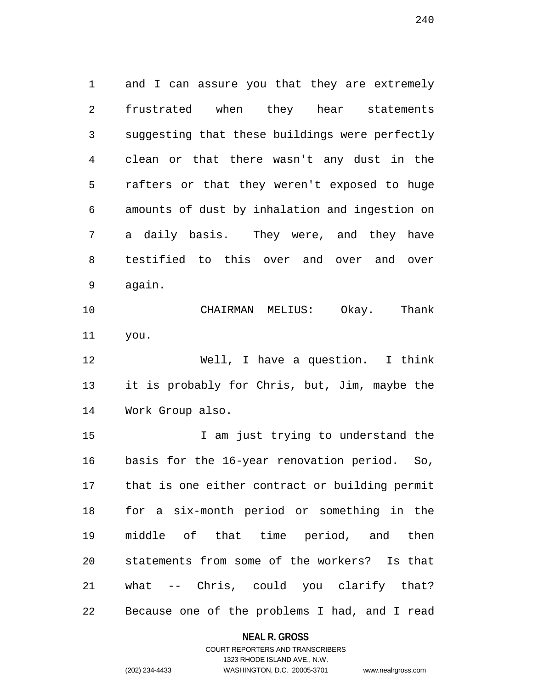1 and I can assure you that they are extremely 2 frustrated when they hear statements 3 suggesting that these buildings were perfectly 4 clean or that there wasn't any dust in the 5 rafters or that they weren't exposed to huge 6 amounts of dust by inhalation and ingestion on 7 a daily basis. They were, and they have 8 testified to this over and over and over 9 again.

10 CHAIRMAN MELIUS: Okay. Thank 11 you.

12 Well, I have a question. I think 13 it is probably for Chris, but, Jim, maybe the 14 Work Group also.

15 15 I am just trying to understand the 16 basis for the 16-year renovation period. So, 17 that is one either contract or building permit 18 for a six-month period or something in the 19 middle of that time period, and then 20 statements from some of the workers? Is that 21 what -- Chris, could you clarify that? 22 Because one of the problems I had, and I read

#### **NEAL R. GROSS**

## COURT REPORTERS AND TRANSCRIBERS 1323 RHODE ISLAND AVE., N.W. (202) 234-4433 WASHINGTON, D.C. 20005-3701 www.nealrgross.com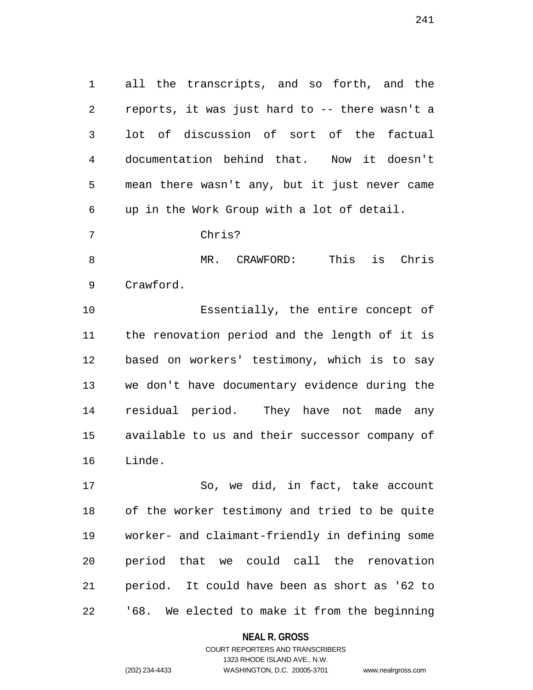1 all the transcripts, and so forth, and the 2 reports, it was just hard to -- there wasn't a 3 lot of discussion of sort of the factual 4 documentation behind that. Now it doesn't 5 mean there wasn't any, but it just never came 6 up in the Work Group with a lot of detail.

7 Chris?

8 MR. CRAWFORD: This is Chris 9 Crawford.

10 Essentially, the entire concept of 11 the renovation period and the length of it is 12 based on workers' testimony, which is to say 13 we don't have documentary evidence during the 14 residual period. They have not made any 15 available to us and their successor company of 16 Linde.

17 So, we did, in fact, take account 18 of the worker testimony and tried to be quite 19 worker- and claimant-friendly in defining some 20 period that we could call the renovation 21 period. It could have been as short as '62 to 22 '68. We elected to make it from the beginning

#### **NEAL R. GROSS**

## COURT REPORTERS AND TRANSCRIBERS 1323 RHODE ISLAND AVE., N.W. (202) 234-4433 WASHINGTON, D.C. 20005-3701 www.nealrgross.com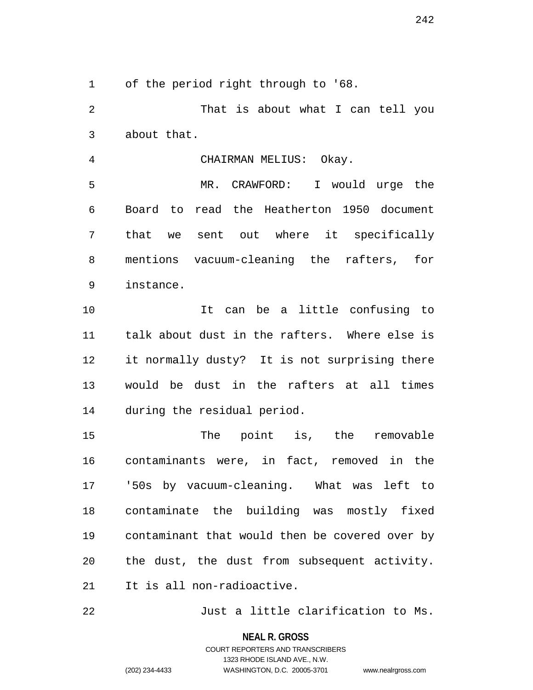242

1 of the period right through to '68.

2 That is about what I can tell you 3 about that.

4 CHAIRMAN MELIUS: Okay.

5 MR. CRAWFORD: I would urge the 6 Board to read the Heatherton 1950 document 7 that we sent out where it specifically 8 mentions vacuum-cleaning the rafters, for 9 instance.

10 It can be a little confusing to 11 talk about dust in the rafters. Where else is 12 it normally dusty? It is not surprising there 13 would be dust in the rafters at all times 14 during the residual period.

15 The point is, the removable 16 contaminants were, in fact, removed in the 17 '50s by vacuum-cleaning. What was left to 18 contaminate the building was mostly fixed 19 contaminant that would then be covered over by 20 the dust, the dust from subsequent activity. 21 It is all non-radioactive.

22 Just a little clarification to Ms.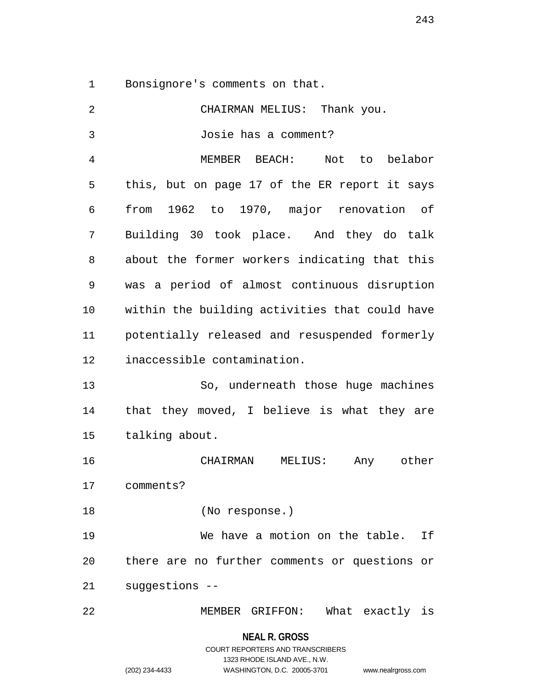1 Bonsignore's comments on that.

| 2  | CHAIRMAN MELIUS: Thank you.                    |  |  |
|----|------------------------------------------------|--|--|
| 3  | Josie has a comment?                           |  |  |
| 4  | MEMBER BEACH: Not to belabor                   |  |  |
| 5  | this, but on page 17 of the ER report it says  |  |  |
| 6  | from 1962 to 1970, major renovation of         |  |  |
| 7  | Building 30 took place. And they do talk       |  |  |
| 8  | about the former workers indicating that this  |  |  |
| 9  | was a period of almost continuous disruption   |  |  |
| 10 | within the building activities that could have |  |  |
| 11 | potentially released and resuspended formerly  |  |  |
| 12 | inaccessible contamination.                    |  |  |
| 13 | So, underneath those huge machines             |  |  |
| 14 | that they moved, I believe is what they are    |  |  |
| 15 | talking about.                                 |  |  |
| 16 | CHAIRMAN MELIUS: Any other                     |  |  |
| 17 | comments?                                      |  |  |
| 18 | (No response.)                                 |  |  |
| 19 | We have a motion on the table.<br>If           |  |  |
| 20 | there are no further comments or questions or  |  |  |
| 21 | suggestions --                                 |  |  |
| 22 | MEMBER GRIFFON: What exactly is                |  |  |
|    | NEAL R. GROSS                                  |  |  |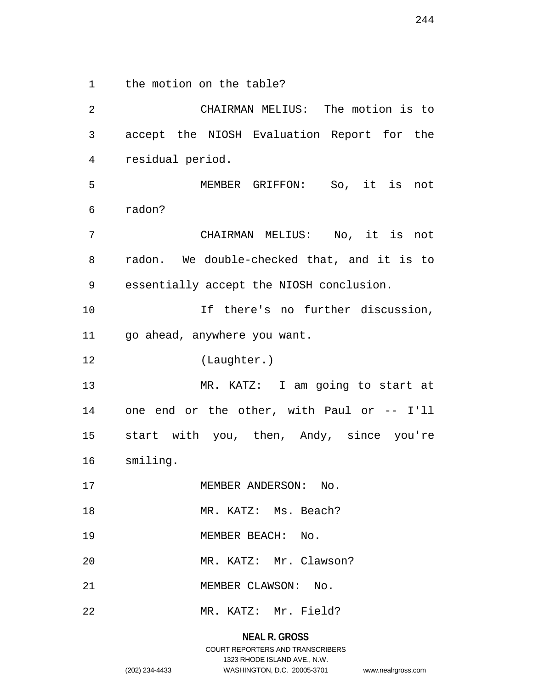1 the motion on the table?

2 CHAIRMAN MELIUS: The motion is to 3 accept the NIOSH Evaluation Report for the 4 residual period. 5 MEMBER GRIFFON: So, it is not 6 radon? 7 CHAIRMAN MELIUS: No, it is not 8 radon. We double-checked that, and it is to 9 essentially accept the NIOSH conclusion. 10 10 If there's no further discussion, 11 go ahead, anywhere you want. 12 (Laughter.) 13 MR. KATZ: I am going to start at 14 one end or the other, with Paul or -- I'll 15 start with you, then, Andy, since you're 16 smiling. 17 MEMBER ANDERSON: No. 18 MR. KATZ: Ms. Beach? 19 MEMBER BEACH: No. 20 MR. KATZ: Mr. Clawson? 21 MEMBER CLAWSON: No. 22 MR. KATZ: Mr. Field?

> **NEAL R. GROSS** COURT REPORTERS AND TRANSCRIBERS 1323 RHODE ISLAND AVE., N.W. (202) 234-4433 WASHINGTON, D.C. 20005-3701 www.nealrgross.com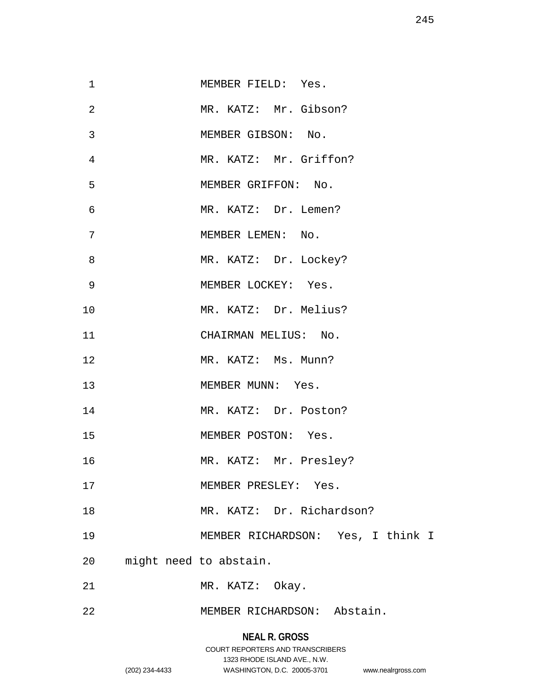| $\mathbf 1$ | MEMBER FIELD: Yes.                |
|-------------|-----------------------------------|
| 2           | MR. KATZ: Mr. Gibson?             |
| 3           | MEMBER GIBSON: No.                |
| 4           | MR. KATZ: Mr. Griffon?            |
| 5           | MEMBER GRIFFON: No.               |
| 6           | MR. KATZ: Dr. Lemen?              |
| 7           | MEMBER LEMEN: No.                 |
| 8           | MR. KATZ: Dr. Lockey?             |
| 9           | MEMBER LOCKEY: Yes.               |
| 10          | MR. KATZ: Dr. Melius?             |
| 11          | CHAIRMAN MELIUS: No.              |
| 12          | MR. KATZ: Ms. Munn?               |
| 13          | MEMBER MUNN: Yes.                 |
| 14          | MR. KATZ: Dr. Poston?             |
| 15          | MEMBER POSTON: Yes.               |
| 16          | MR. KATZ: Mr. Presley?            |
| 17          | MEMBER PRESLEY: Yes.              |
| 18          | MR. KATZ: Dr. Richardson?         |
| 19          | MEMBER RICHARDSON: Yes, I think I |
| 20          | might need to abstain.            |
| 21          | MR. KATZ: Okay.                   |
| 22          | MEMBER RICHARDSON: Abstain.       |

# **NEAL R. GROSS**

## COURT REPORTERS AND TRANSCRIBERS 1323 RHODE ISLAND AVE., N.W. (202) 234-4433 WASHINGTON, D.C. 20005-3701 www.nealrgross.com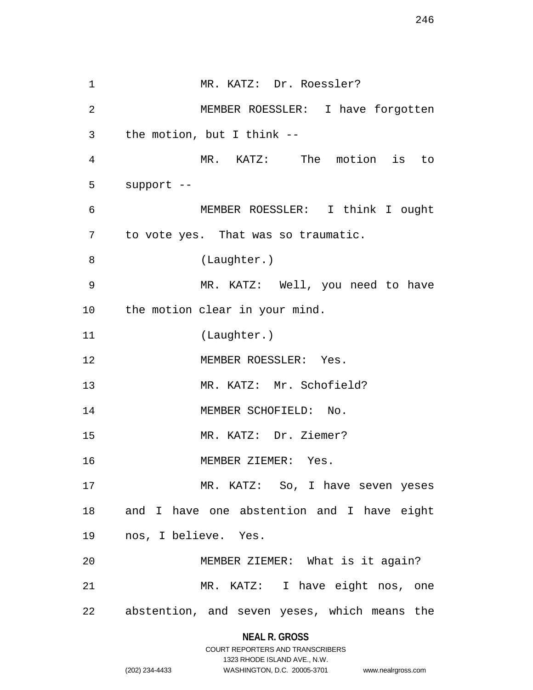1 MR. KATZ: Dr. Roessler? 2 MEMBER ROESSLER: I have forgotten 3 the motion, but I think -- 4 MR. KATZ: The motion is to 5 support -- 6 MEMBER ROESSLER: I think I ought 7 to vote yes. That was so traumatic. 8 (Laughter.) 9 MR. KATZ: Well, you need to have 10 the motion clear in your mind. 11 (Laughter.) 12 MEMBER ROESSLER: Yes. 13 MR. KATZ: Mr. Schofield? 14 MEMBER SCHOFIELD: No. 15 MR. KATZ: Dr. Ziemer? 16 MEMBER ZIEMER: Yes. 17 MR. KATZ: So, I have seven yeses 18 and I have one abstention and I have eight 19 nos, I believe. Yes. 20 MEMBER ZIEMER: What is it again? 21 MR. KATZ: I have eight nos, one 22 abstention, and seven yeses, which means the

#### **NEAL R. GROSS**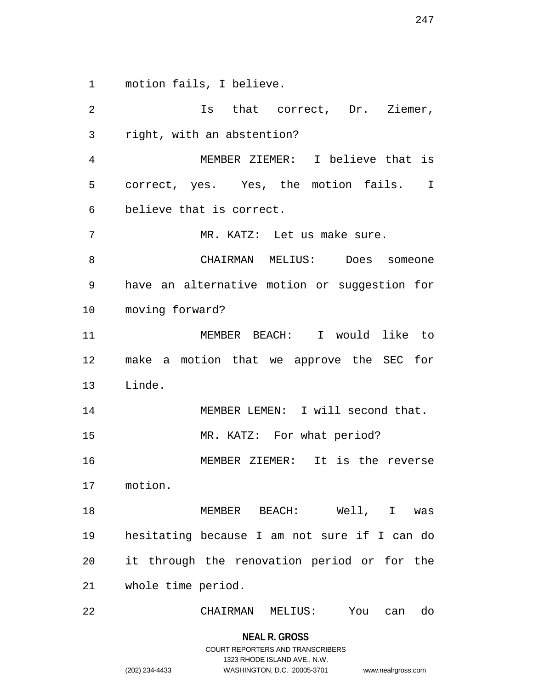1 motion fails, I believe.

2 Is that correct, Dr. Ziemer, 3 right, with an abstention? 4 MEMBER ZIEMER: I believe that is 5 correct, yes. Yes, the motion fails. I 6 believe that is correct. 7 MR. KATZ: Let us make sure. 8 CHAIRMAN MELIUS: Does someone 9 have an alternative motion or suggestion for 10 moving forward? 11 MEMBER BEACH: I would like to 12 make a motion that we approve the SEC for 13 Linde. 14 MEMBER LEMEN: I will second that. 15 MR. KATZ: For what period? 16 MEMBER ZIEMER: It is the reverse 17 motion. 18 MEMBER BEACH: Well, I was 19 hesitating because I am not sure if I can do 20 it through the renovation period or for the 21 whole time period. 22 CHAIRMAN MELIUS: You can do

> **NEAL R. GROSS** COURT REPORTERS AND TRANSCRIBERS 1323 RHODE ISLAND AVE., N.W. (202) 234-4433 WASHINGTON, D.C. 20005-3701 www.nealrgross.com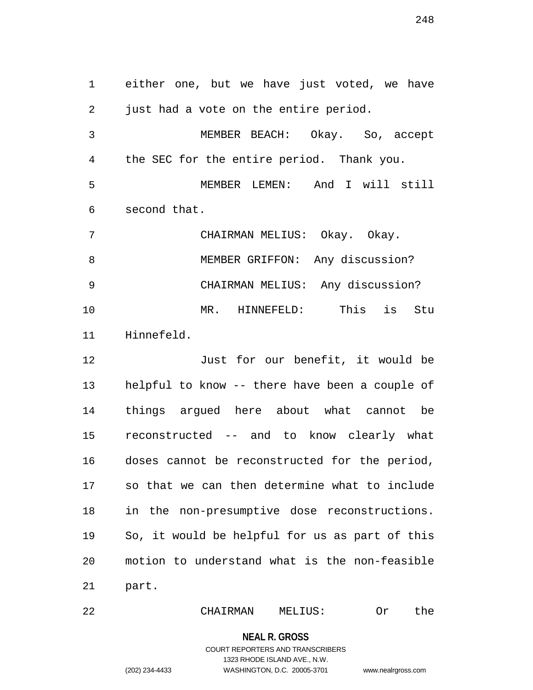1 either one, but we have just voted, we have 2 just had a vote on the entire period. 3 MEMBER BEACH: Okay. So, accept 4 the SEC for the entire period. Thank you. 5 MEMBER LEMEN: And I will still 6 second that. 7 CHAIRMAN MELIUS: Okay. Okay. 8 MEMBER GRIFFON: Any discussion? 9 CHAIRMAN MELIUS: Any discussion? 10 MR. HINNEFELD: This is Stu 11 Hinnefeld. 12 Just for our benefit, it would be 13 helpful to know -- there have been a couple of 14 things argued here about what cannot be 15 reconstructed -- and to know clearly what 16 doses cannot be reconstructed for the period, 17 so that we can then determine what to include 18 in the non-presumptive dose reconstructions. 19 So, it would be helpful for us as part of this 20 motion to understand what is the non-feasible 21 part.

22 CHAIRMAN MELIUS: Or the

#### **NEAL R. GROSS**

COURT REPORTERS AND TRANSCRIBERS 1323 RHODE ISLAND AVE., N.W. (202) 234-4433 WASHINGTON, D.C. 20005-3701 www.nealrgross.com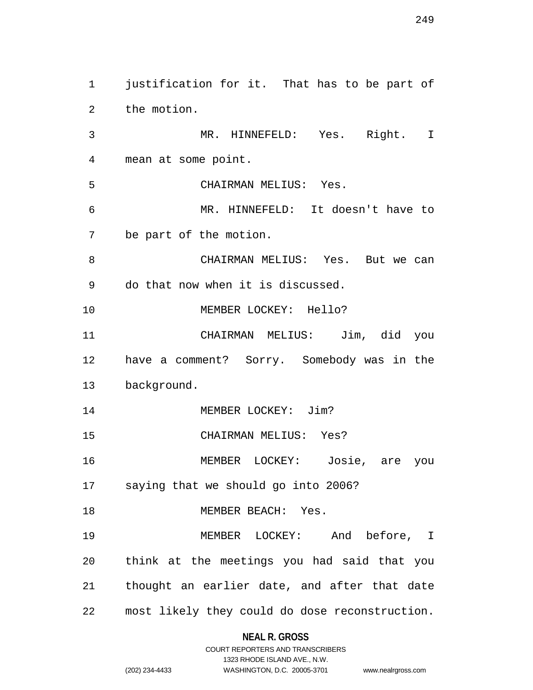1 justification for it. That has to be part of 2 the motion. 3 MR. HINNEFELD: Yes. Right. I 4 mean at some point. 5 CHAIRMAN MELIUS: Yes. 6 MR. HINNEFELD: It doesn't have to 7 be part of the motion. 8 CHAIRMAN MELIUS: Yes. But we can 9 do that now when it is discussed. 10 MEMBER LOCKEY: Hello? 11 CHAIRMAN MELIUS: Jim, did you 12 have a comment? Sorry. Somebody was in the 13 background. 14 MEMBER LOCKEY: Jim? 15 CHAIRMAN MELIUS: Yes? 16 MEMBER LOCKEY: Josie, are you 17 saying that we should go into 2006? 18 MEMBER BEACH: Yes. 19 MEMBER LOCKEY: And before, I 20 think at the meetings you had said that you 21 thought an earlier date, and after that date 22 most likely they could do dose reconstruction.

## **NEAL R. GROSS**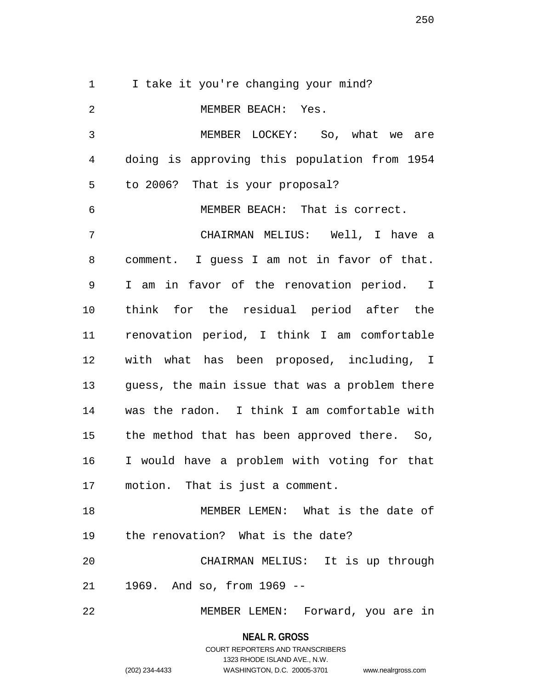1 I take it you're changing your mind? 2 MEMBER BEACH: Yes. 3 MEMBER LOCKEY: So, what we are 4 doing is approving this population from 1954 5 to 2006? That is your proposal? 6 MEMBER BEACH: That is correct. 7 CHAIRMAN MELIUS: Well, I have a 8 comment. I guess I am not in favor of that. 9 I am in favor of the renovation period. I 10 think for the residual period after the 11 renovation period, I think I am comfortable 12 with what has been proposed, including, I 13 guess, the main issue that was a problem there 14 was the radon. I think I am comfortable with 15 the method that has been approved there. So, 16 I would have a problem with voting for that 17 motion. That is just a comment. 18 MEMBER LEMEN: What is the date of 19 the renovation? What is the date? 20 CHAIRMAN MELIUS: It is up through 21 1969. And so, from 1969 --

22 MEMBER LEMEN: Forward, you are in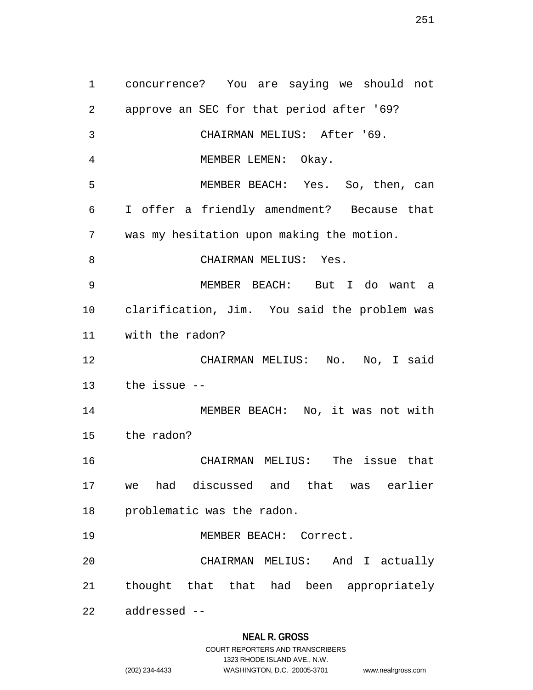1 concurrence? You are saying we should not 2 approve an SEC for that period after '69? 3 CHAIRMAN MELIUS: After '69. 4 MEMBER LEMEN: Okay. 5 MEMBER BEACH: Yes. So, then, can 6 I offer a friendly amendment? Because that 7 was my hesitation upon making the motion. 8 CHAIRMAN MELIUS: Yes. 9 MEMBER BEACH: But I do want a 10 clarification, Jim. You said the problem was 11 with the radon? 12 CHAIRMAN MELIUS: No. No, I said 13 the issue -- 14 MEMBER BEACH: No, it was not with 15 the radon? 16 CHAIRMAN MELIUS: The issue that 17 we had discussed and that was earlier 18 problematic was the radon. 19 MEMBER BEACH: Correct. 20 CHAIRMAN MELIUS: And I actually 21 thought that that had been appropriately 22 addressed --

1323 RHODE ISLAND AVE., N.W. (202) 234-4433 WASHINGTON, D.C. 20005-3701 www.nealrgross.com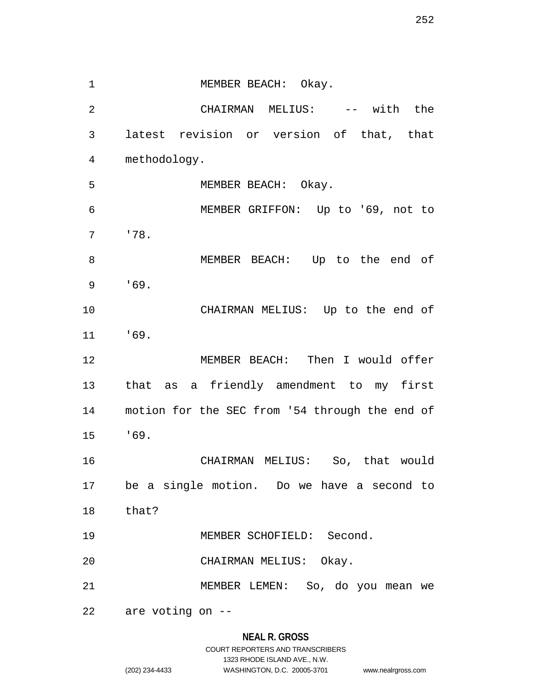1 MEMBER BEACH: Okay. 2 CHAIRMAN MELIUS: -- with the 3 latest revision or version of that, that 4 methodology. 5 MEMBER BEACH: Okay. 6 MEMBER GRIFFON: Up to '69, not to 7 '78. 8 MEMBER BEACH: Up to the end of 9 '69. 10 CHAIRMAN MELIUS: Up to the end of 11 '69. 12 MEMBER BEACH: Then I would offer 13 that as a friendly amendment to my first 14 motion for the SEC from '54 through the end of 15 '69. 16 CHAIRMAN MELIUS: So, that would 17 be a single motion. Do we have a second to 18 that? 19 MEMBER SCHOFIELD: Second. 20 CHAIRMAN MELIUS: Okay. 21 MEMBER LEMEN: So, do you mean we 22 are voting on --

## **NEAL R. GROSS** COURT REPORTERS AND TRANSCRIBERS 1323 RHODE ISLAND AVE., N.W. (202) 234-4433 WASHINGTON, D.C. 20005-3701 www.nealrgross.com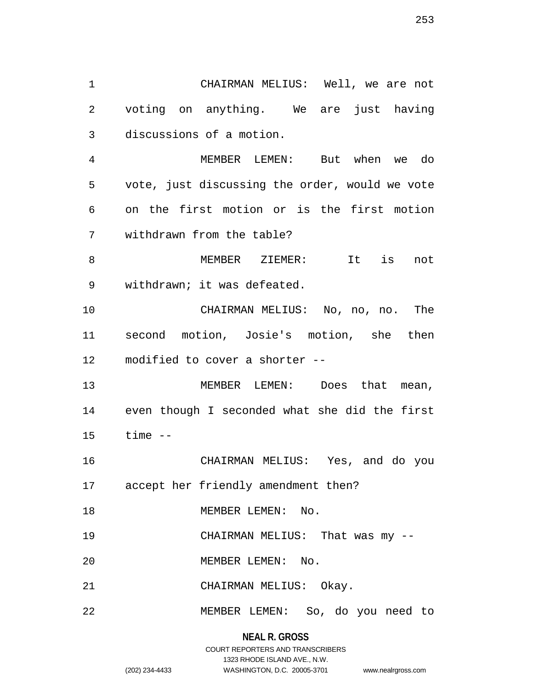1 CHAIRMAN MELIUS: Well, we are not 2 voting on anything. We are just having 3 discussions of a motion.

4 MEMBER LEMEN: But when we do 5 vote, just discussing the order, would we vote 6 on the first motion or is the first motion 7 withdrawn from the table?

8 MEMBER ZIEMER: It is not 9 withdrawn; it was defeated.

10 CHAIRMAN MELIUS: No, no, no. The 11 second motion, Josie's motion, she then 12 modified to cover a shorter --

13 MEMBER LEMEN: Does that mean, 14 even though I seconded what she did the first 15 time --

16 CHAIRMAN MELIUS: Yes, and do you 17 accept her friendly amendment then?

18 MEMBER LEMEN: No.

19 CHAIRMAN MELIUS: That was my --

20 MEMBER LEMEN: No.

21 CHAIRMAN MELIUS: Okay.

22 MEMBER LEMEN: So, do you need to

**NEAL R. GROSS** COURT REPORTERS AND TRANSCRIBERS 1323 RHODE ISLAND AVE., N.W.

(202) 234-4433 WASHINGTON, D.C. 20005-3701 www.nealrgross.com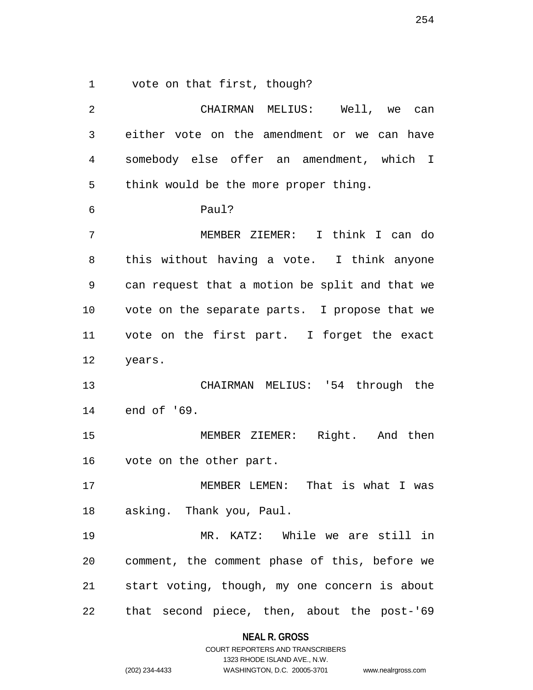1 vote on that first, though?

| 2  | CHAIRMAN MELIUS: Well, we<br>can               |
|----|------------------------------------------------|
| 3  | either vote on the amendment or we can have    |
| 4  | somebody else offer an amendment, which I      |
| 5  | think would be the more proper thing.          |
| 6  | Paul?                                          |
| 7  | MEMBER ZIEMER: I think I can do                |
| 8  | this without having a vote. I think anyone     |
| 9  | can request that a motion be split and that we |
| 10 | vote on the separate parts. I propose that we  |
| 11 | vote on the first part. I forget the exact     |
| 12 | years.                                         |
| 13 | CHAIRMAN MELIUS: '54 through the               |
| 14 | end of '69.                                    |
| 15 | MEMBER ZIEMER: Right. And then                 |
| 16 | vote on the other part.                        |
| 17 | MEMBER LEMEN: That is what I was               |
| 18 | asking.  Thank you, Paul.                      |
| 19 | MR. KATZ: While we are still in                |
| 20 | comment, the comment phase of this, before we  |
| 21 | start voting, though, my one concern is about  |
| 22 | that second piece, then, about the post-'69    |

**NEAL R. GROSS** COURT REPORTERS AND TRANSCRIBERS

1323 RHODE ISLAND AVE., N.W.

(202) 234-4433 WASHINGTON, D.C. 20005-3701 www.nealrgross.com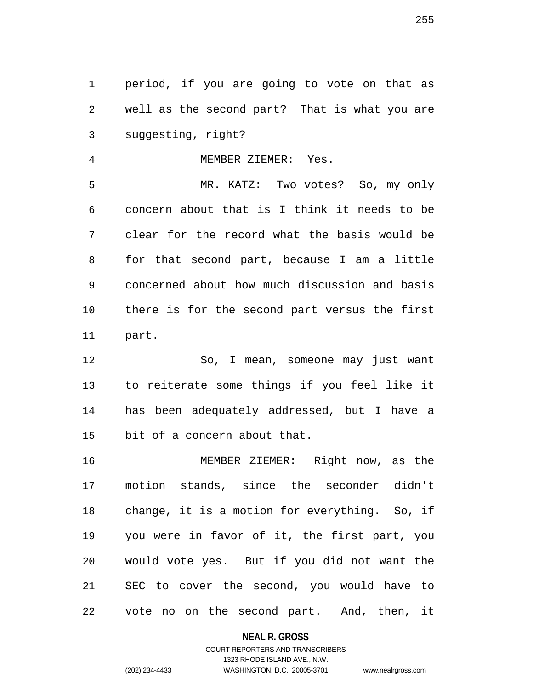1 period, if you are going to vote on that as 2 well as the second part? That is what you are 3 suggesting, right?

4 MEMBER ZIEMER: Yes.

5 MR. KATZ: Two votes? So, my only 6 concern about that is I think it needs to be 7 clear for the record what the basis would be 8 for that second part, because I am a little 9 concerned about how much discussion and basis 10 there is for the second part versus the first 11 part.

12 So, I mean, someone may just want 13 to reiterate some things if you feel like it 14 has been adequately addressed, but I have a 15 bit of a concern about that.

16 MEMBER ZIEMER: Right now, as the 17 motion stands, since the seconder didn't 18 change, it is a motion for everything. So, if 19 you were in favor of it, the first part, you 20 would vote yes. But if you did not want the 21 SEC to cover the second, you would have to 22 vote no on the second part. And, then, it

**NEAL R. GROSS**

# COURT REPORTERS AND TRANSCRIBERS 1323 RHODE ISLAND AVE., N.W. (202) 234-4433 WASHINGTON, D.C. 20005-3701 www.nealrgross.com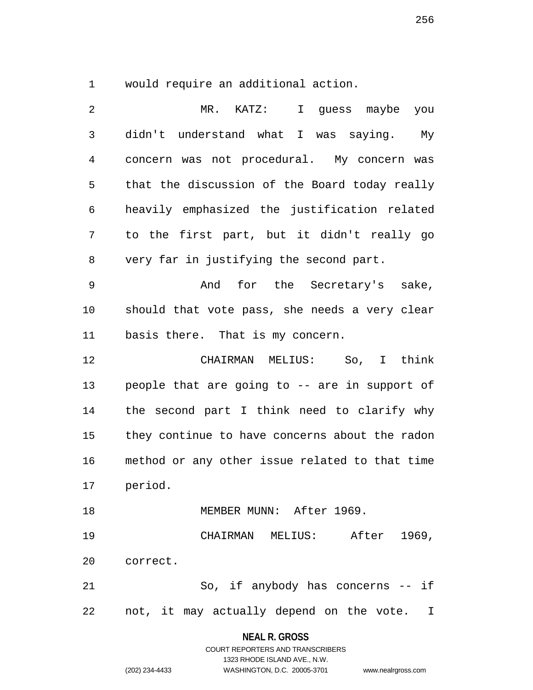1 would require an additional action.

| 2              | MR. KATZ:<br>I guess maybe you                 |
|----------------|------------------------------------------------|
| $\mathfrak{Z}$ | didn't understand what I was saying. My        |
| 4              | concern was not procedural. My concern was     |
| 5              | that the discussion of the Board today really  |
| 6              | heavily emphasized the justification related   |
| 7              | to the first part, but it didn't really go     |
| 8              | very far in justifying the second part.        |
| 9              | And for the Secretary's sake,                  |
| 10             | should that vote pass, she needs a very clear  |
| 11             | basis there. That is my concern.               |
| 12             | CHAIRMAN MELIUS: So, I think                   |
| 13             | people that are going to -- are in support of  |
| 14             | the second part I think need to clarify why    |
| 15             | they continue to have concerns about the radon |
| 16             | method or any other issue related to that time |
| 17             | period.                                        |
| 18             | MEMBER MUNN: After 1969.                       |
| 19             | CHAIRMAN MELIUS: After 1969,                   |
| 20             | correct.                                       |
| 21             | So, if anybody has concerns -- if              |
| 22             | not, it may actually depend on the vote. I     |

**NEAL R. GROSS** COURT REPORTERS AND TRANSCRIBERS

1323 RHODE ISLAND AVE., N.W. (202) 234-4433 WASHINGTON, D.C. 20005-3701 www.nealrgross.com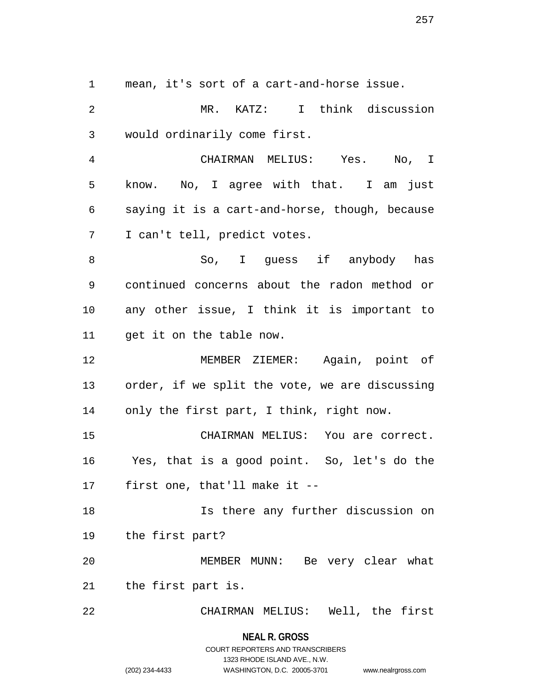1 mean, it's sort of a cart-and-horse issue.

2 MR. KATZ: I think discussion 3 would ordinarily come first.

4 CHAIRMAN MELIUS: Yes. No, I 5 know. No, I agree with that. I am just 6 saying it is a cart-and-horse, though, because 7 I can't tell, predict votes.

8 So, I guess if anybody has 9 continued concerns about the radon method or 10 any other issue, I think it is important to 11 get it on the table now.

12 MEMBER ZIEMER: Again, point of 13 order, if we split the vote, we are discussing 14 only the first part, I think, right now.

15 CHAIRMAN MELIUS: You are correct. 16 Yes, that is a good point. So, let's do the 17 first one, that'll make it --

18 Is there any further discussion on 19 the first part?

20 MEMBER MUNN: Be very clear what 21 the first part is.

22 CHAIRMAN MELIUS: Well, the first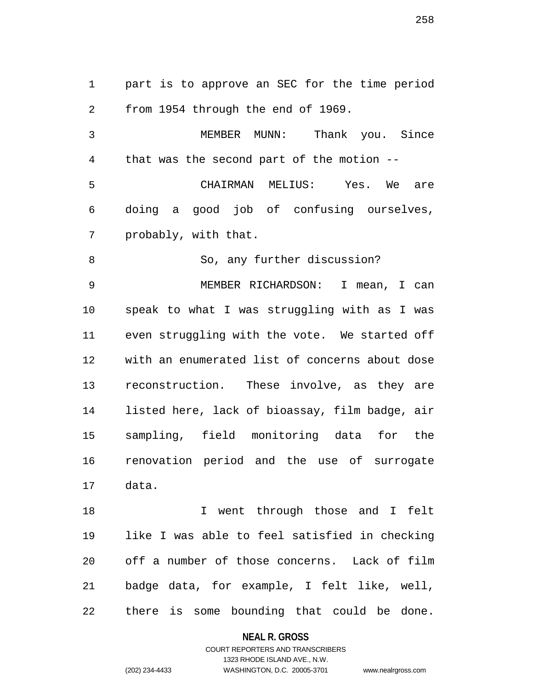1 part is to approve an SEC for the time period 2 from 1954 through the end of 1969.

3 MEMBER MUNN: Thank you. Since 4 that was the second part of the motion -- 5 CHAIRMAN MELIUS: Yes. We are 6 doing a good job of confusing ourselves, 7 probably, with that.

8 So, any further discussion?

9 MEMBER RICHARDSON: I mean, I can 10 speak to what I was struggling with as I was 11 even struggling with the vote. We started off 12 with an enumerated list of concerns about dose 13 reconstruction. These involve, as they are 14 listed here, lack of bioassay, film badge, air 15 sampling, field monitoring data for the 16 renovation period and the use of surrogate 17 data.

18 I went through those and I felt 19 like I was able to feel satisfied in checking 20 off a number of those concerns. Lack of film 21 badge data, for example, I felt like, well, 22 there is some bounding that could be done.

**NEAL R. GROSS**

COURT REPORTERS AND TRANSCRIBERS 1323 RHODE ISLAND AVE., N.W. (202) 234-4433 WASHINGTON, D.C. 20005-3701 www.nealrgross.com

258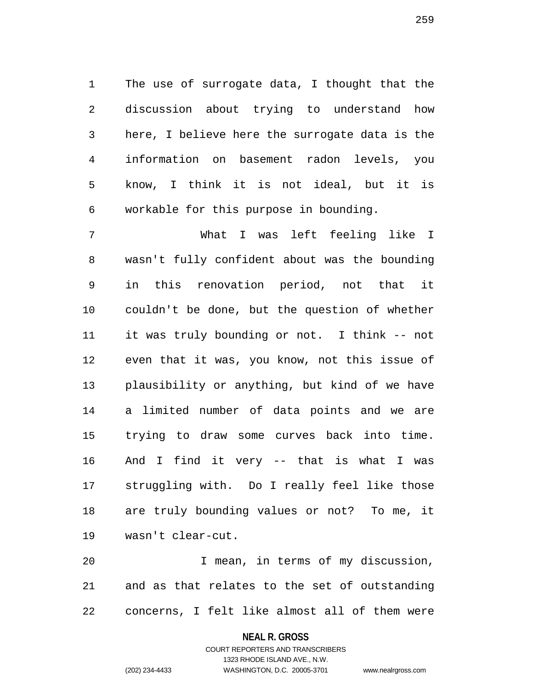1 The use of surrogate data, I thought that the 2 discussion about trying to understand how 3 here, I believe here the surrogate data is the 4 information on basement radon levels, you 5 know, I think it is not ideal, but it is 6 workable for this purpose in bounding.

7 What I was left feeling like I 8 wasn't fully confident about was the bounding 9 in this renovation period, not that it 10 couldn't be done, but the question of whether 11 it was truly bounding or not. I think -- not 12 even that it was, you know, not this issue of 13 plausibility or anything, but kind of we have 14 a limited number of data points and we are 15 trying to draw some curves back into time. 16 And I find it very -- that is what I was 17 struggling with. Do I really feel like those 18 are truly bounding values or not? To me, it 19 wasn't clear-cut.

20 I mean, in terms of my discussion, 21 and as that relates to the set of outstanding 22 concerns, I felt like almost all of them were

1323 RHODE ISLAND AVE., N.W.

(202) 234-4433 WASHINGTON, D.C. 20005-3701 www.nealrgross.com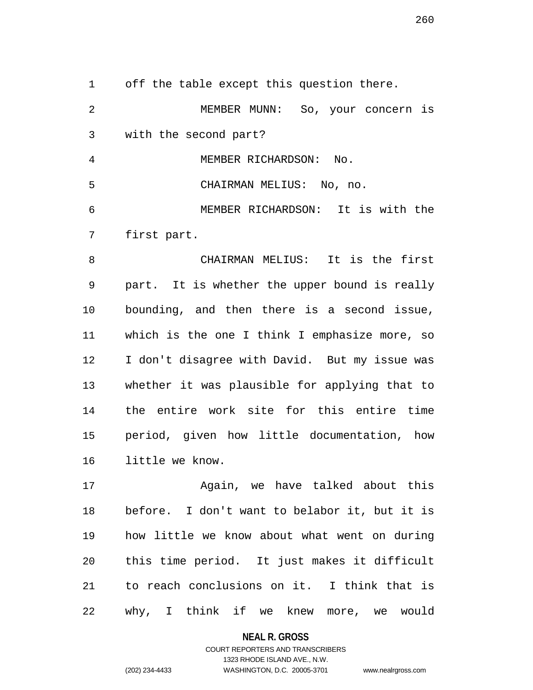1 off the table except this question there. 2 MEMBER MUNN: So, your concern is 3 with the second part? 4 MEMBER RICHARDSON: No. 5 CHAIRMAN MELIUS: No, no. 6 MEMBER RICHARDSON: It is with the 7 first part. 8 CHAIRMAN MELIUS: It is the first 9 part. It is whether the upper bound is really

10 bounding, and then there is a second issue, 11 which is the one I think I emphasize more, so 12 I don't disagree with David. But my issue was 13 whether it was plausible for applying that to 14 the entire work site for this entire time 15 period, given how little documentation, how 16 little we know.

17 Again, we have talked about this 18 before. I don't want to belabor it, but it is 19 how little we know about what went on during 20 this time period. It just makes it difficult 21 to reach conclusions on it. I think that is 22 why, I think if we knew more, we would

**NEAL R. GROSS**

COURT REPORTERS AND TRANSCRIBERS 1323 RHODE ISLAND AVE., N.W. (202) 234-4433 WASHINGTON, D.C. 20005-3701 www.nealrgross.com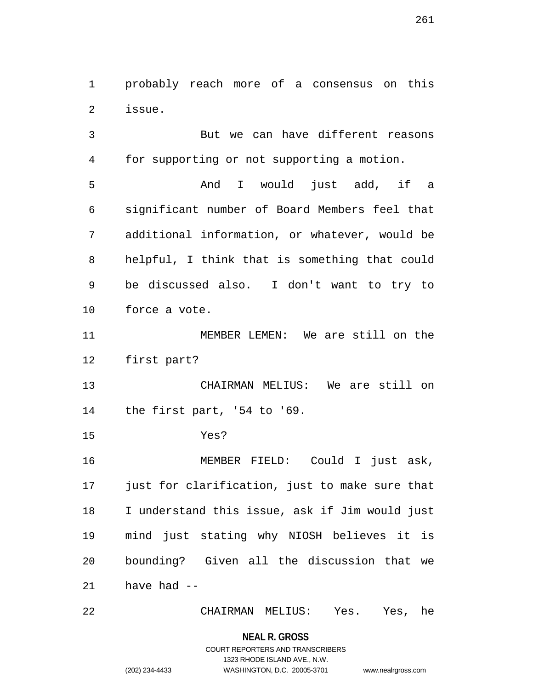1 probably reach more of a consensus on this 2 issue.

3 But we can have different reasons 4 for supporting or not supporting a motion. 5 And I would just add, if a 6 significant number of Board Members feel that 7 additional information, or whatever, would be 8 helpful, I think that is something that could 9 be discussed also. I don't want to try to 10 force a vote.

11 MEMBER LEMEN: We are still on the 12 first part?

13 CHAIRMAN MELIUS: We are still on 14 the first part, '54 to '69.

15 Yes?

16 MEMBER FIELD: Could I just ask, 17 just for clarification, just to make sure that 18 I understand this issue, ask if Jim would just 19 mind just stating why NIOSH believes it is 20 bounding? Given all the discussion that we 21 have had --

22 CHAIRMAN MELIUS: Yes. Yes, he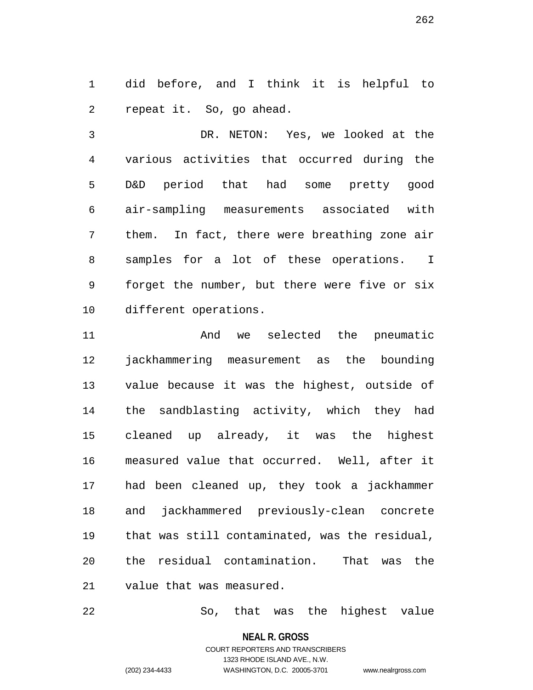1 did before, and I think it is helpful to 2 repeat it. So, go ahead.

3 DR. NETON: Yes, we looked at the 4 various activities that occurred during the 5 D&D period that had some pretty good 6 air-sampling measurements associated with 7 them. In fact, there were breathing zone air 8 samples for a lot of these operations. I 9 forget the number, but there were five or six 10 different operations.

11 And we selected the pneumatic 12 jackhammering measurement as the bounding 13 value because it was the highest, outside of 14 the sandblasting activity, which they had 15 cleaned up already, it was the highest 16 measured value that occurred. Well, after it 17 had been cleaned up, they took a jackhammer 18 and jackhammered previously-clean concrete 19 that was still contaminated, was the residual, 20 the residual contamination. That was the 21 value that was measured.

22 So, that was the highest value

**NEAL R. GROSS** COURT REPORTERS AND TRANSCRIBERS 1323 RHODE ISLAND AVE., N.W. (202) 234-4433 WASHINGTON, D.C. 20005-3701 www.nealrgross.com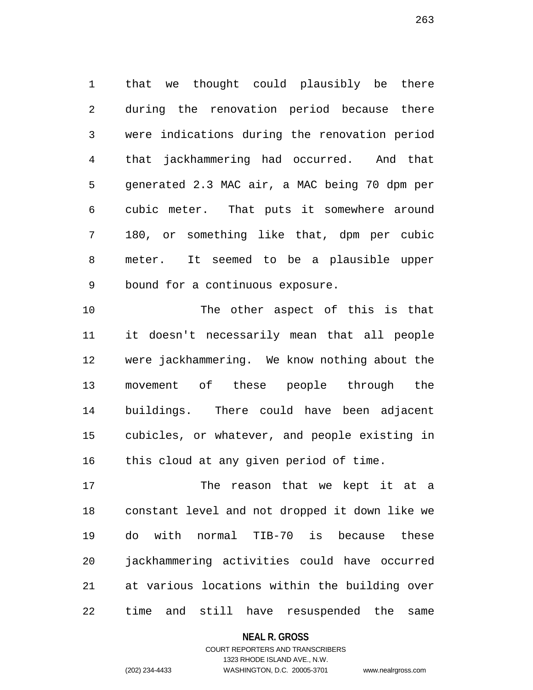1 that we thought could plausibly be there 2 during the renovation period because there 3 were indications during the renovation period 4 that jackhammering had occurred. And that 5 generated 2.3 MAC air, a MAC being 70 dpm per 6 cubic meter. That puts it somewhere around 7 180, or something like that, dpm per cubic 8 meter. It seemed to be a plausible upper 9 bound for a continuous exposure.

10 The other aspect of this is that 11 it doesn't necessarily mean that all people 12 were jackhammering. We know nothing about the 13 movement of these people through the 14 buildings. There could have been adjacent 15 cubicles, or whatever, and people existing in 16 this cloud at any given period of time.

17 The reason that we kept it at a 18 constant level and not dropped it down like we 19 do with normal TIB-70 is because these 20 jackhammering activities could have occurred 21 at various locations within the building over 22 time and still have resuspended the same

**NEAL R. GROSS**

## COURT REPORTERS AND TRANSCRIBERS 1323 RHODE ISLAND AVE., N.W. (202) 234-4433 WASHINGTON, D.C. 20005-3701 www.nealrgross.com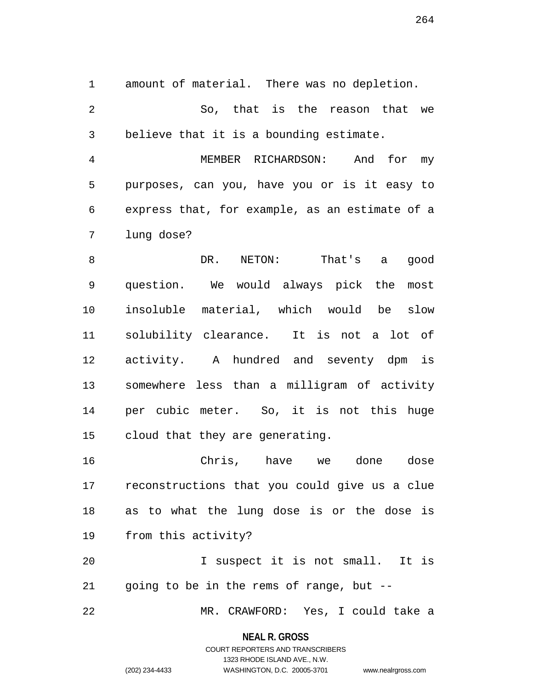1 amount of material. There was no depletion.

2 So, that is the reason that we 3 believe that it is a bounding estimate.

4 MEMBER RICHARDSON: And for my 5 purposes, can you, have you or is it easy to 6 express that, for example, as an estimate of a 7 lung dose?

8 DR. NETON: That's a good 9 question. We would always pick the most 10 insoluble material, which would be slow 11 solubility clearance. It is not a lot of 12 activity. A hundred and seventy dpm is 13 somewhere less than a milligram of activity 14 per cubic meter. So, it is not this huge 15 cloud that they are generating.

16 Chris, have we done dose 17 reconstructions that you could give us a clue 18 as to what the lung dose is or the dose is 19 from this activity?

20 I suspect it is not small. It is 21 going to be in the rems of range, but --

22 MR. CRAWFORD: Yes, I could take a

**NEAL R. GROSS** COURT REPORTERS AND TRANSCRIBERS

1323 RHODE ISLAND AVE., N.W. (202) 234-4433 WASHINGTON, D.C. 20005-3701 www.nealrgross.com

264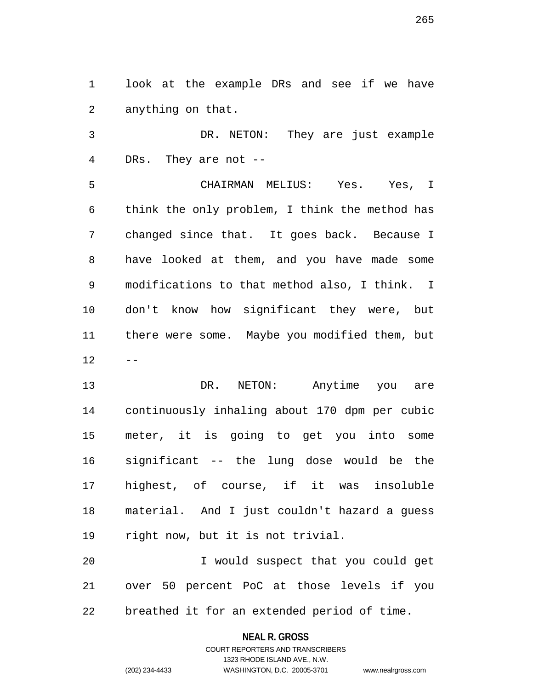1 look at the example DRs and see if we have 2 anything on that.

3 DR. NETON: They are just example 4 DRs. They are not --

5 CHAIRMAN MELIUS: Yes. Yes, I 6 think the only problem, I think the method has 7 changed since that. It goes back. Because I 8 have looked at them, and you have made some 9 modifications to that method also, I think. I 10 don't know how significant they were, but 11 there were some. Maybe you modified them, but  $12 - -$ 

13 DR. NETON: Anytime you are 14 continuously inhaling about 170 dpm per cubic 15 meter, it is going to get you into some 16 significant -- the lung dose would be the 17 highest, of course, if it was insoluble 18 material. And I just couldn't hazard a guess 19 right now, but it is not trivial.

20 I would suspect that you could get 21 over 50 percent PoC at those levels if you 22 breathed it for an extended period of time.

## **NEAL R. GROSS**

COURT REPORTERS AND TRANSCRIBERS 1323 RHODE ISLAND AVE., N.W. (202) 234-4433 WASHINGTON, D.C. 20005-3701 www.nealrgross.com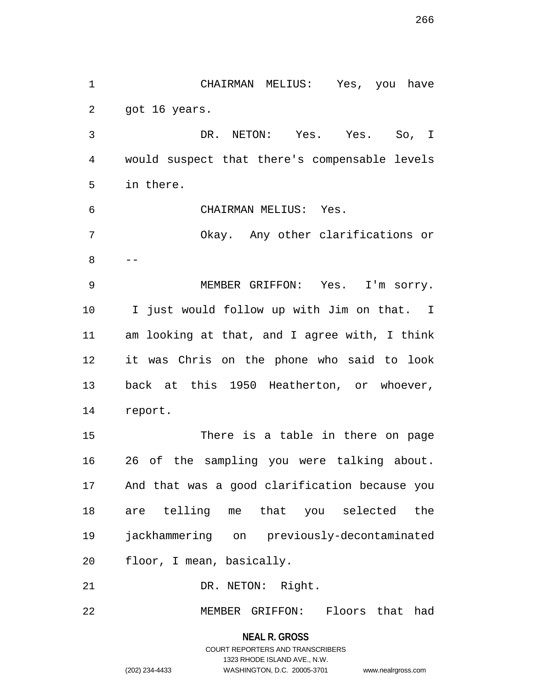2 got 16 years. 3 DR. NETON: Yes. Yes. So, I 4 would suspect that there's compensable levels 5 in there. 6 CHAIRMAN MELIUS: Yes. 7 Okay. Any other clarifications or 8 -- 9 MEMBER GRIFFON: Yes. I'm sorry. 10 I just would follow up with Jim on that. I 11 am looking at that, and I agree with, I think 12 it was Chris on the phone who said to look 13 back at this 1950 Heatherton, or whoever, 14 report. 15 There is a table in there on page 16 26 of the sampling you were talking about. 17 And that was a good clarification because you 18 are telling me that you selected the 19 jackhammering on previously-decontaminated 20 floor, I mean, basically. 21 DR. NETON: Right.

1 CHAIRMAN MELIUS: Yes, you have

22 MEMBER GRIFFON: Floors that had

**NEAL R. GROSS**

COURT REPORTERS AND TRANSCRIBERS 1323 RHODE ISLAND AVE., N.W. (202) 234-4433 WASHINGTON, D.C. 20005-3701 www.nealrgross.com

266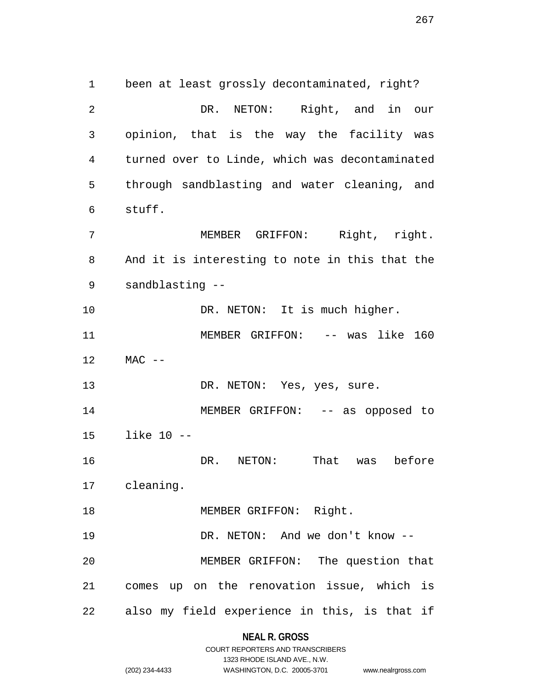1 been at least grossly decontaminated, right? 2 DR. NETON: Right, and in our 3 opinion, that is the way the facility was 4 turned over to Linde, which was decontaminated 5 through sandblasting and water cleaning, and 6 stuff. 7 MEMBER GRIFFON: Right, right. 8 And it is interesting to note in this that the 9 sandblasting -- 10 DR. NETON: It is much higher. 11 MEMBER GRIFFON: -- was like 160 12 MAC -- 13 DR. NETON: Yes, yes, sure. 14 MEMBER GRIFFON: -- as opposed to 15 like 10 -- 16 DR. NETON: That was before 17 cleaning. 18 MEMBER GRIFFON: Right. 19 DR. NETON: And we don't know -- 20 MEMBER GRIFFON: The question that 21 comes up on the renovation issue, which is 22 also my field experience in this, is that if

# **NEAL R. GROSS**

|                | COURT REPORTERS AND TRANSCRIBERS |                    |
|----------------|----------------------------------|--------------------|
|                | 1323 RHODE ISLAND AVE N.W.       |                    |
| (202) 234-4433 | WASHINGTON, D.C. 20005-3701      | www.nealrgross.com |

267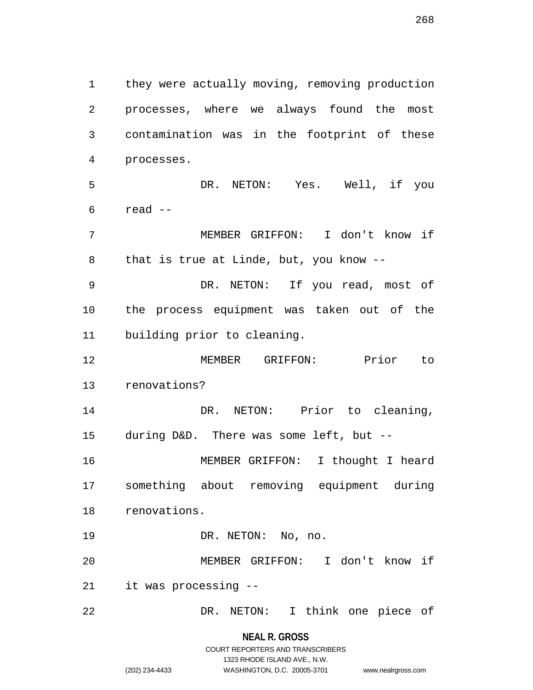1 they were actually moving, removing production 2 processes, where we always found the most 3 contamination was in the footprint of these 4 processes. 5 DR. NETON: Yes. Well, if you  $6$  read  $-$ 7 MEMBER GRIFFON: I don't know if 8 that is true at Linde, but, you know -- 9 DR. NETON: If you read, most of 10 the process equipment was taken out of the 11 building prior to cleaning. 12 MEMBER GRIFFON: Prior to 13 renovations? 14 DR. NETON: Prior to cleaning, 15 during D&D. There was some left, but -- 16 MEMBER GRIFFON: I thought I heard 17 something about removing equipment during 18 renovations. 19 DR. NETON: No, no. 20 MEMBER GRIFFON: I don't know if 21 it was processing -- 22 DR. NETON: I think one piece of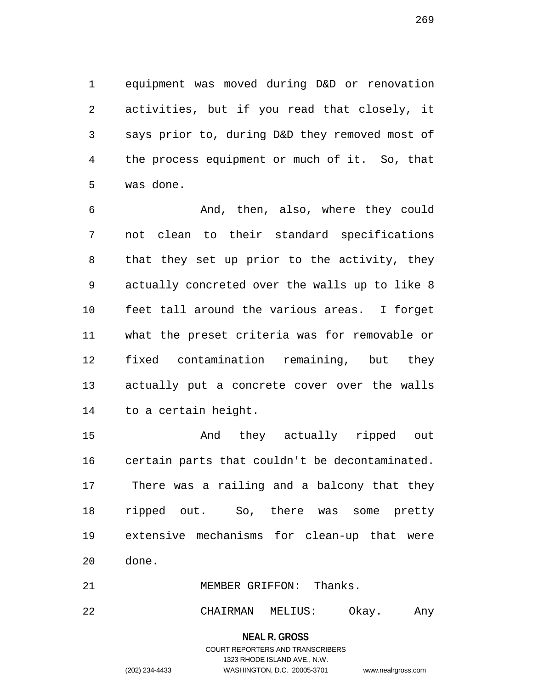1 equipment was moved during D&D or renovation 2 activities, but if you read that closely, it 3 says prior to, during D&D they removed most of 4 the process equipment or much of it. So, that 5 was done.

6 And, then, also, where they could 7 not clean to their standard specifications 8 that they set up prior to the activity, they 9 actually concreted over the walls up to like 8 10 feet tall around the various areas. I forget 11 what the preset criteria was for removable or 12 fixed contamination remaining, but they 13 actually put a concrete cover over the walls 14 to a certain height.

15 And they actually ripped out 16 certain parts that couldn't be decontaminated. 17 There was a railing and a balcony that they 18 ripped out. So, there was some pretty 19 extensive mechanisms for clean-up that were 20 done.

21 MEMBER GRIFFON: Thanks.

22 CHAIRMAN MELIUS: Okay. Any

269

COURT REPORTERS AND TRANSCRIBERS 1323 RHODE ISLAND AVE., N.W. (202) 234-4433 WASHINGTON, D.C. 20005-3701 www.nealrgross.com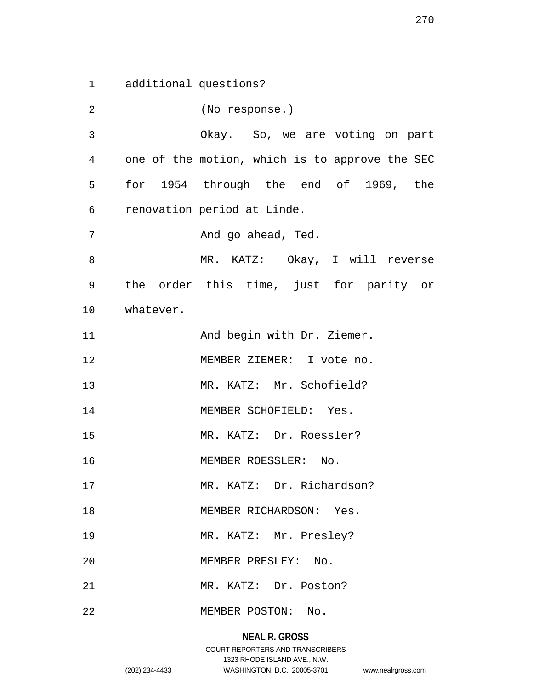1 additional questions?

2 (No response.) 3 Okay. So, we are voting on part 4 one of the motion, which is to approve the SEC 5 for 1954 through the end of 1969, the 6 renovation period at Linde. 7 And go ahead, Ted. 8 MR. KATZ: Okay, I will reverse 9 the order this time, just for parity or 10 whatever. 11 And begin with Dr. Ziemer. 12 MEMBER ZIEMER: I vote no. 13 MR. KATZ: Mr. Schofield? 14 MEMBER SCHOFIELD: Yes. 15 MR. KATZ: Dr. Roessler? 16 MEMBER ROESSLER: No. 17 MR. KATZ: Dr. Richardson? 18 MEMBER RICHARDSON: Yes. 19 MR. KATZ: Mr. Presley? 20 MEMBER PRESLEY: No. 21 MR. KATZ: Dr. Poston? 22 MEMBER POSTON: No.

## **NEAL R. GROSS**

## COURT REPORTERS AND TRANSCRIBERS 1323 RHODE ISLAND AVE., N.W. (202) 234-4433 WASHINGTON, D.C. 20005-3701 www.nealrgross.com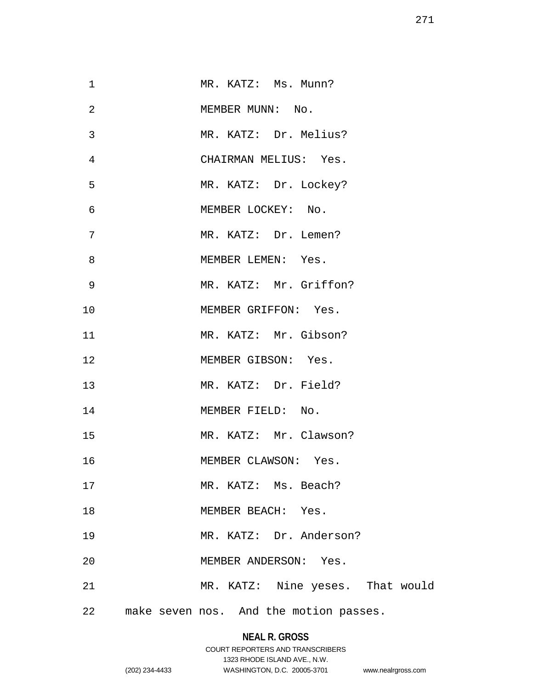| $\mathbf 1$    | MR. KATZ: Ms. Munn?                    |
|----------------|----------------------------------------|
| $\overline{2}$ | MEMBER MUNN: No.                       |
| 3              | MR. KATZ: Dr. Melius?                  |
| 4              | CHAIRMAN MELIUS: Yes.                  |
| 5              | MR. KATZ: Dr. Lockey?                  |
| 6              | MEMBER LOCKEY: No.                     |
| 7              | MR. KATZ: Dr. Lemen?                   |
| 8              | MEMBER LEMEN: Yes.                     |
| 9              | MR. KATZ: Mr. Griffon?                 |
| 10             | MEMBER GRIFFON: Yes.                   |
| 11             | MR. KATZ: Mr. Gibson?                  |
| $12 \,$        | MEMBER GIBSON: Yes.                    |
| 13             | MR. KATZ: Dr. Field?                   |
| 14             | MEMBER FIELD: No.                      |
| 15             | MR. KATZ: Mr. Clawson?                 |
| 16             | MEMBER CLAWSON: Yes.                   |
| 17             | MR. KATZ: Ms. Beach?                   |
| 18             | MEMBER BEACH: Yes.                     |
| 19             | MR. KATZ: Dr. Anderson?                |
| 20             | MEMBER ANDERSON: Yes.                  |
| 21             | MR. KATZ: Nine yeses. That would       |
| 22             | make seven nos. And the motion passes. |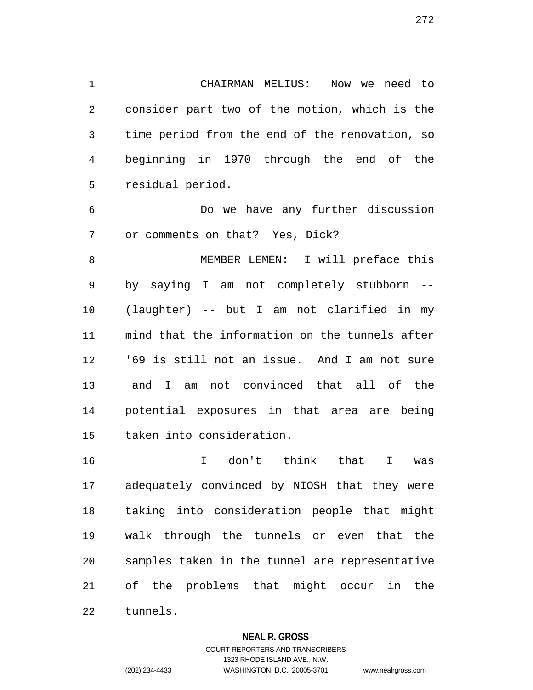1 CHAIRMAN MELIUS: Now we need to 2 consider part two of the motion, which is the 3 time period from the end of the renovation, so 4 beginning in 1970 through the end of the 5 residual period.

6 Do we have any further discussion 7 or comments on that? Yes, Dick?

8 MEMBER LEMEN: I will preface this 9 by saying I am not completely stubborn -- 10 (laughter) -- but I am not clarified in my 11 mind that the information on the tunnels after 12 '69 is still not an issue. And I am not sure 13 and I am not convinced that all of the 14 potential exposures in that area are being 15 taken into consideration.

16 I don't think that I was 17 adequately convinced by NIOSH that they were 18 taking into consideration people that might 19 walk through the tunnels or even that the 20 samples taken in the tunnel are representative 21 of the problems that might occur in the 22 tunnels.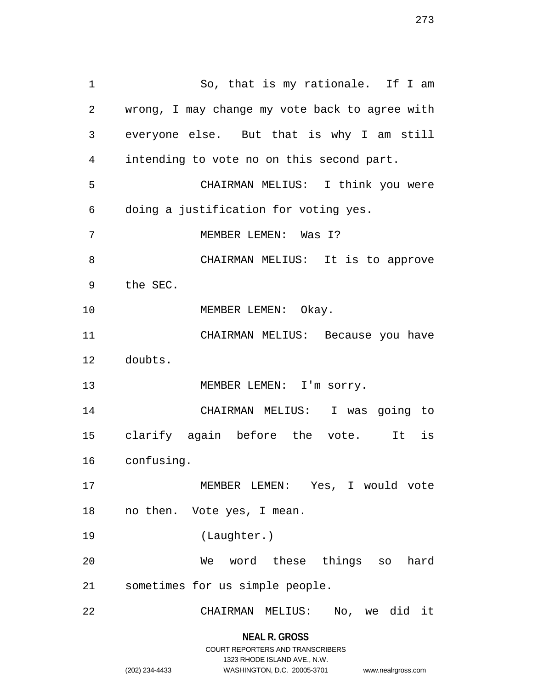1 So, that is my rationale. If I am 2 wrong, I may change my vote back to agree with 3 everyone else. But that is why I am still 4 intending to vote no on this second part. 5 CHAIRMAN MELIUS: I think you were 6 doing a justification for voting yes. 7 MEMBER LEMEN: Was I? 8 CHAIRMAN MELIUS: It is to approve 9 the SEC. 10 MEMBER LEMEN: Okay. 11 CHAIRMAN MELIUS: Because you have 12 doubts. 13 MEMBER LEMEN: I'm sorry. 14 CHAIRMAN MELIUS: I was going to 15 clarify again before the vote. It is 16 confusing. 17 MEMBER LEMEN: Yes, I would vote 18 no then. Vote yes, I mean. 19 (Laughter.) 20 We word these things so hard 21 sometimes for us simple people. 22 CHAIRMAN MELIUS: No, we did it

1323 RHODE ISLAND AVE., N.W.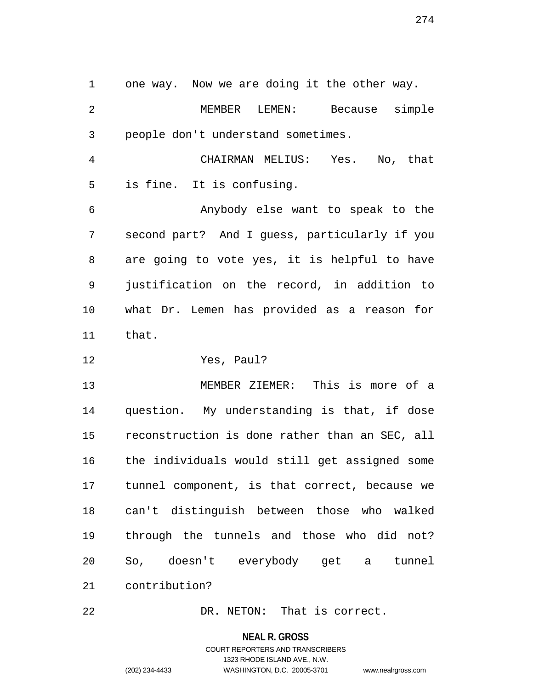1 one way. Now we are doing it the other way. 2 MEMBER LEMEN: Because simple 3 people don't understand sometimes. 4 CHAIRMAN MELIUS: Yes. No, that 5 is fine. It is confusing. 6 Anybody else want to speak to the 7 second part? And I guess, particularly if you 8 are going to vote yes, it is helpful to have 9 justification on the record, in addition to 10 what Dr. Lemen has provided as a reason for 11 that.

12 Yes, Paul?

13 MEMBER ZIEMER: This is more of a 14 question. My understanding is that, if dose 15 reconstruction is done rather than an SEC, all 16 the individuals would still get assigned some 17 tunnel component, is that correct, because we 18 can't distinguish between those who walked 19 through the tunnels and those who did not? 20 So, doesn't everybody get a tunnel 21 contribution?

22 DR. NETON: That is correct.

**NEAL R. GROSS**

COURT REPORTERS AND TRANSCRIBERS 1323 RHODE ISLAND AVE., N.W. (202) 234-4433 WASHINGTON, D.C. 20005-3701 www.nealrgross.com

274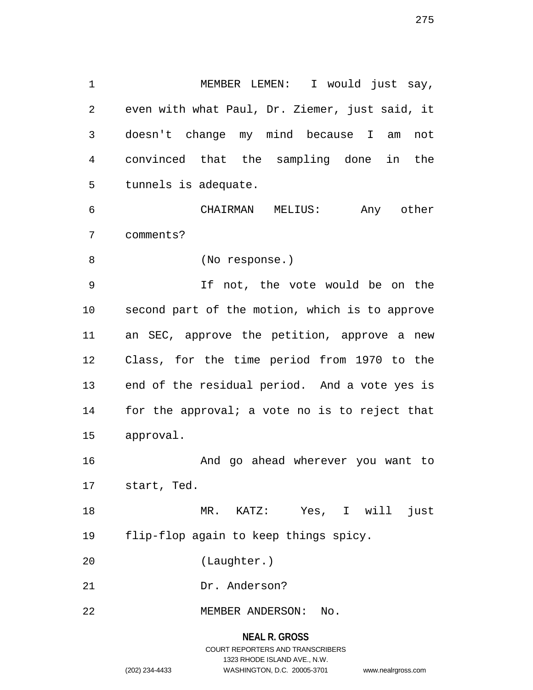1 MEMBER LEMEN: I would just say, 2 even with what Paul, Dr. Ziemer, just said, it 3 doesn't change my mind because I am not 4 convinced that the sampling done in the 5 tunnels is adequate.

6 CHAIRMAN MELIUS: Any other 7 comments?

8 (No response.)

9 If not, the vote would be on the 10 second part of the motion, which is to approve 11 an SEC, approve the petition, approve a new 12 Class, for the time period from 1970 to the 13 end of the residual period. And a vote yes is 14 for the approval; a vote no is to reject that 15 approval.

16 And go ahead wherever you want to 17 start, Ted.

18 MR. KATZ: Yes, I will just 19 flip-flop again to keep things spicy.

20 (Laughter.)

- 21 Dr. Anderson?
- 22 MEMBER ANDERSON: No.

# **NEAL R. GROSS** COURT REPORTERS AND TRANSCRIBERS 1323 RHODE ISLAND AVE., N.W. (202) 234-4433 WASHINGTON, D.C. 20005-3701 www.nealrgross.com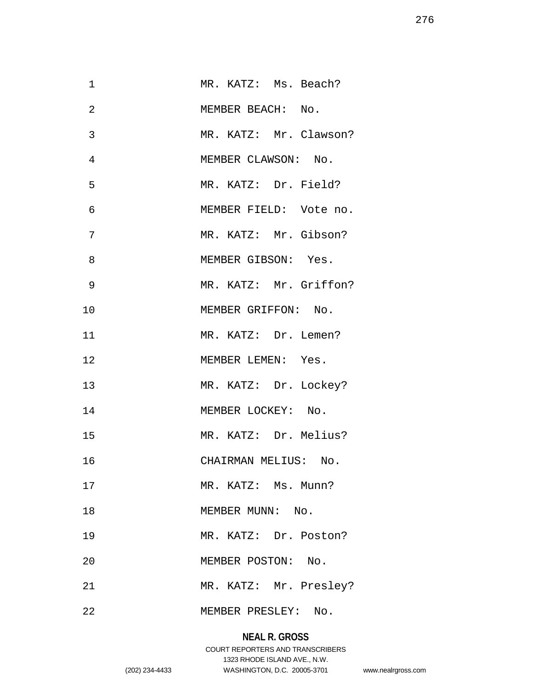| $\mathbf 1$    | MR. KATZ: Ms. Beach?   |
|----------------|------------------------|
| $\overline{2}$ | MEMBER BEACH: No.      |
| 3              | MR. KATZ: Mr. Clawson? |
| $\overline{4}$ | MEMBER CLAWSON: No.    |
| 5              | MR. KATZ: Dr. Field?   |
| 6              | MEMBER FIELD: Vote no. |
| 7              | MR. KATZ: Mr. Gibson?  |
| 8              | MEMBER GIBSON: Yes.    |
| 9              | MR. KATZ: Mr. Griffon? |
| 10             | MEMBER GRIFFON: No.    |
| 11             | MR. KATZ: Dr. Lemen?   |
| 12             | MEMBER LEMEN: Yes.     |
| 13             | MR. KATZ: Dr. Lockey?  |
| 14             | MEMBER LOCKEY: No.     |
| 15             | MR. KATZ: Dr. Melius?  |
| 16             | CHAIRMAN MELIUS: No.   |
| 17             | MR. KATZ: Ms. Munn?    |
| 18             | MEMBER MUNN: No.       |
| 19             | MR. KATZ: Dr. Poston?  |
| 20             | MEMBER POSTON: No.     |
| 21             | MR. KATZ: Mr. Presley? |
| 22             | MEMBER PRESLEY: No.    |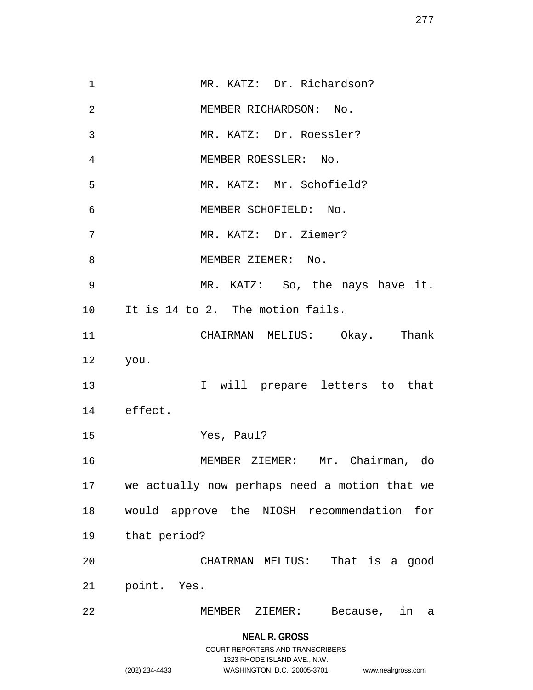**NEAL R. GROSS** 1 MR. KATZ: Dr. Richardson? 2 MEMBER RICHARDSON: No. 3 MR. KATZ: Dr. Roessler? 4 MEMBER ROESSLER: No. 5 MR. KATZ: Mr. Schofield? 6 MEMBER SCHOFIELD: No. 7 MR. KATZ: Dr. Ziemer? 8 MEMBER ZIEMER: No. 9 MR. KATZ: So, the nays have it. 10 It is 14 to 2. The motion fails. 11 CHAIRMAN MELIUS: Okay. Thank 12 you. 13 I will prepare letters to that 14 effect. 15 Yes, Paul? 16 MEMBER ZIEMER: Mr. Chairman, do 17 we actually now perhaps need a motion that we 18 would approve the NIOSH recommendation for 19 that period? 20 CHAIRMAN MELIUS: That is a good 21 point. Yes. 22 MEMBER ZIEMER: Because, in a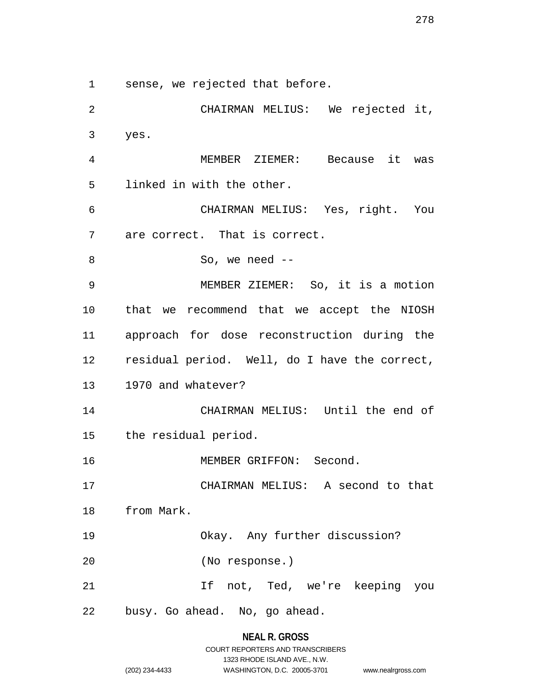1 sense, we rejected that before.

2 CHAIRMAN MELIUS: We rejected it, 3 yes. 4 MEMBER ZIEMER: Because it was 5 linked in with the other. 6 CHAIRMAN MELIUS: Yes, right. You 7 are correct. That is correct. 8 So, we need --9 MEMBER ZIEMER: So, it is a motion 10 that we recommend that we accept the NIOSH 11 approach for dose reconstruction during the 12 residual period. Well, do I have the correct, 13 1970 and whatever? 14 CHAIRMAN MELIUS: Until the end of 15 the residual period. 16 MEMBER GRIFFON: Second. 17 CHAIRMAN MELIUS: A second to that 18 from Mark. 19 Okay. Any further discussion? 20 (No response.) 21 If not, Ted, we're keeping you 22 busy. Go ahead. No, go ahead.

# **NEAL R. GROSS**

|                | COURT REPORTERS AND TRANSCRIBERS |                    |
|----------------|----------------------------------|--------------------|
|                | 1323 RHODE ISLAND AVE N.W.       |                    |
| (202) 234-4433 | WASHINGTON, D.C. 20005-3701      | www.nealrgross.com |

278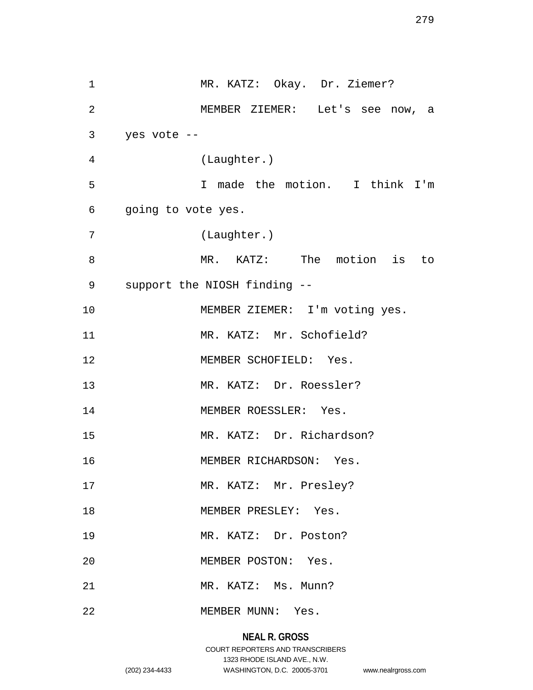1 MR. KATZ: Okay. Dr. Ziemer? 2 MEMBER ZIEMER: Let's see now, a 3 yes vote -- 4 (Laughter.) 5 I made the motion. I think I'm 6 going to vote yes. 7 (Laughter.) 8 MR. KATZ: The motion is to 9 support the NIOSH finding -- 10 MEMBER ZIEMER: I'm voting yes. 11 MR. KATZ: Mr. Schofield? 12 MEMBER SCHOFIELD: Yes. 13 MR. KATZ: Dr. Roessler? 14 MEMBER ROESSLER: Yes. 15 MR. KATZ: Dr. Richardson? 16 MEMBER RICHARDSON: Yes. 17 MR. KATZ: Mr. Presley? 18 MEMBER PRESLEY: Yes. 19 MR. KATZ: Dr. Poston? 20 MEMBER POSTON: Yes. 21 MR. KATZ: Ms. Munn? 22 MEMBER MUNN: Yes.

# **NEAL R. GROSS**

## COURT REPORTERS AND TRANSCRIBERS 1323 RHODE ISLAND AVE., N.W. (202) 234-4433 WASHINGTON, D.C. 20005-3701 www.nealrgross.com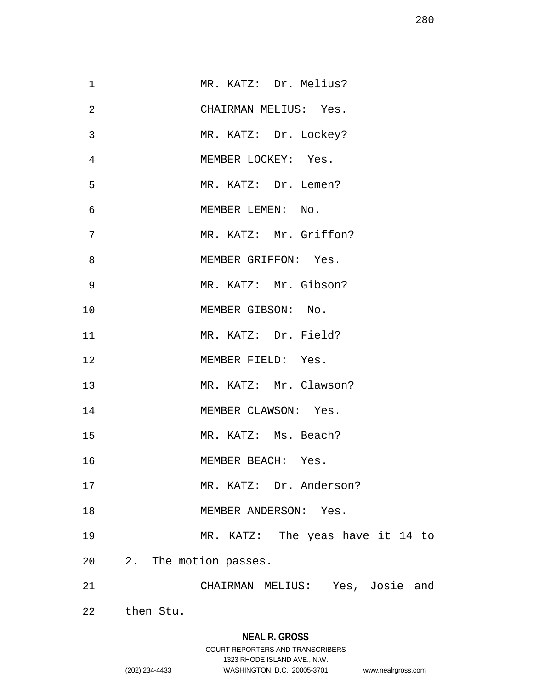| $\mathbf 1$    | MR. KATZ: Dr. Melius?            |
|----------------|----------------------------------|
| $\overline{2}$ | CHAIRMAN MELIUS: Yes.            |
| 3              | MR. KATZ: Dr. Lockey?            |
| $\overline{4}$ | MEMBER LOCKEY: Yes.              |
| 5              | MR. KATZ: Dr. Lemen?             |
| $\epsilon$     | MEMBER LEMEN: No.                |
| 7              | MR. KATZ: Mr. Griffon?           |
| 8              | MEMBER GRIFFON: Yes.             |
| $\overline{9}$ | MR. KATZ: Mr. Gibson?            |
| 10             | MEMBER GIBSON: No.               |
| 11             | MR. KATZ: Dr. Field?             |
| 12             | MEMBER FIELD: Yes.               |
| 13             | MR. KATZ: Mr. Clawson?           |
| 14             | MEMBER CLAWSON: Yes.             |
| 15             | MR. KATZ: Ms. Beach?             |
| 16             | MEMBER BEACH: Yes.               |
| 17             | MR. KATZ: Dr. Anderson?          |
| 18             | MEMBER ANDERSON: Yes.            |
| 19             | MR. KATZ: The yeas have it 14 to |
| 20             | 2. The motion passes.            |
| 21             | CHAIRMAN MELIUS: Yes, Josie and  |
| 22             | then Stu.                        |

1323 RHODE ISLAND AVE., N.W.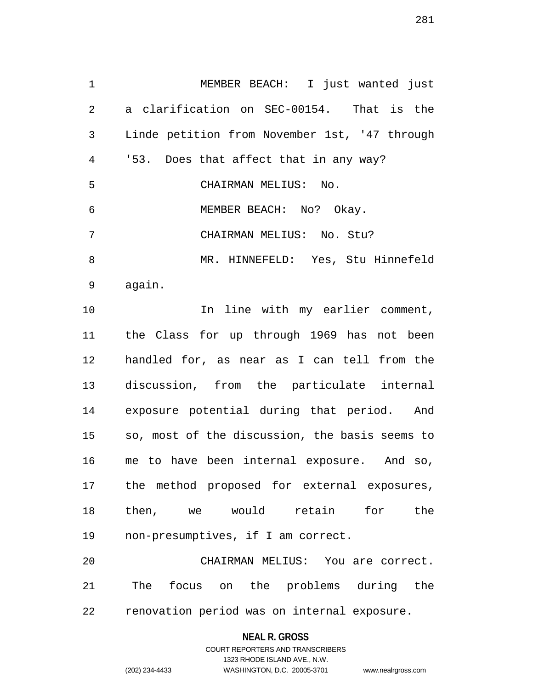1 MEMBER BEACH: I just wanted just 2 a clarification on SEC-00154. That is the 3 Linde petition from November 1st, '47 through 4 '53. Does that affect that in any way? 5 CHAIRMAN MELIUS: No. 6 MEMBER BEACH: No? Okay. 7 CHAIRMAN MELIUS: No. Stu? 8 MR. HINNEFELD: Yes, Stu Hinnefeld 9 again. 10 10 In line with my earlier comment, 11 the Class for up through 1969 has not been 12 handled for, as near as I can tell from the 13 discussion, from the particulate internal 14 exposure potential during that period. And 15 so, most of the discussion, the basis seems to 16 me to have been internal exposure. And so, 17 the method proposed for external exposures, 18 then, we would retain for the 19 non-presumptives, if I am correct.

20 CHAIRMAN MELIUS: You are correct. 21 The focus on the problems during the 22 renovation period was on internal exposure.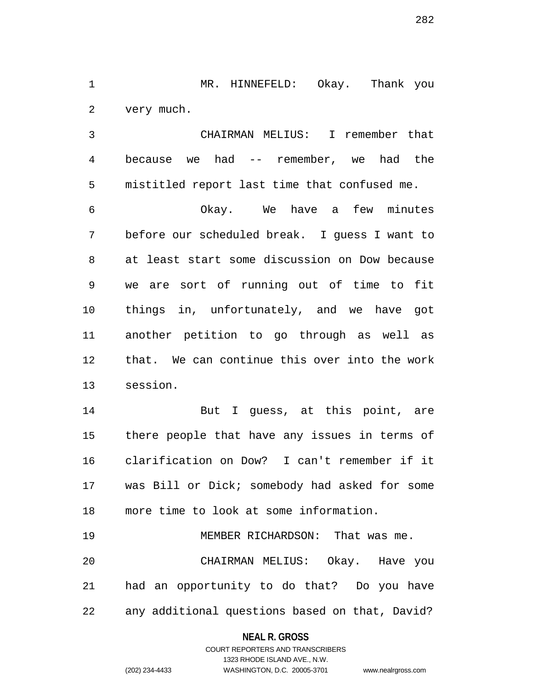1 MR. HINNEFELD: Okay. Thank you 2 very much.

3 CHAIRMAN MELIUS: I remember that 4 because we had -- remember, we had the 5 mistitled report last time that confused me.

6 Okay. We have a few minutes 7 before our scheduled break. I guess I want to 8 at least start some discussion on Dow because 9 we are sort of running out of time to fit 10 things in, unfortunately, and we have got 11 another petition to go through as well as 12 that. We can continue this over into the work 13 session.

14 But I guess, at this point, are 15 there people that have any issues in terms of 16 clarification on Dow? I can't remember if it 17 was Bill or Dick; somebody had asked for some 18 more time to look at some information.

19 MEMBER RICHARDSON: That was me. 20 CHAIRMAN MELIUS: Okay. Have you 21 had an opportunity to do that? Do you have 22 any additional questions based on that, David?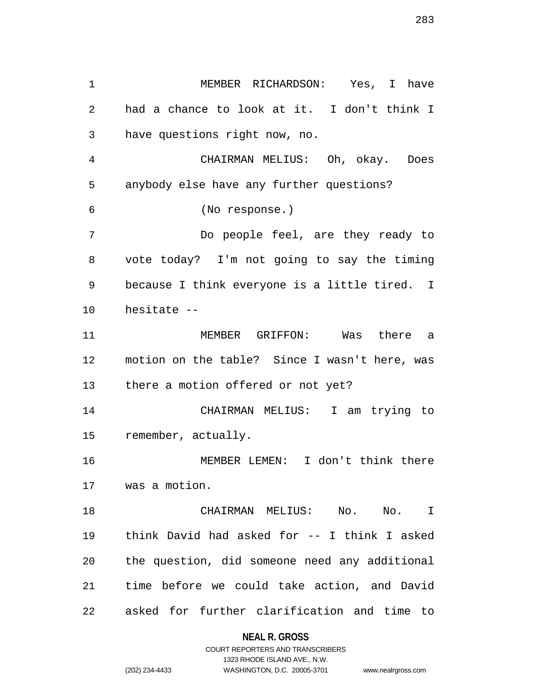| 1  | MEMBER RICHARDSON: Yes, I have                |
|----|-----------------------------------------------|
| 2  | had a chance to look at it. I don't think I   |
| 3  | have questions right now, no.                 |
| 4  | CHAIRMAN MELIUS: Oh, okay. Does               |
| 5  | anybody else have any further questions?      |
| 6  | (No response.)                                |
| 7  | Do people feel, are they ready to             |
| 8  | vote today? I'm not going to say the timing   |
| 9  | because I think everyone is a little tired. I |
| 10 | hesitate --                                   |
| 11 | MEMBER GRIFFON: Was there a                   |
| 12 | motion on the table? Since I wasn't here, was |
| 13 | there a motion offered or not yet?            |
| 14 | CHAIRMAN MELIUS: I am trying to               |
| 15 | remember, actually.                           |
| 16 | MEMBER LEMEN: I don't think there             |
| 17 | was a motion.                                 |
| 18 | CHAIRMAN MELIUS: No. No. I                    |
| 19 | think David had asked for -- I think I asked  |
| 20 | the question, did someone need any additional |
| 21 | time before we could take action, and David   |
| 22 | asked for further clarification and time to   |

**NEAL R. GROSS** COURT REPORTERS AND TRANSCRIBERS

1323 RHODE ISLAND AVE., N.W. (202) 234-4433 WASHINGTON, D.C. 20005-3701 www.nealrgross.com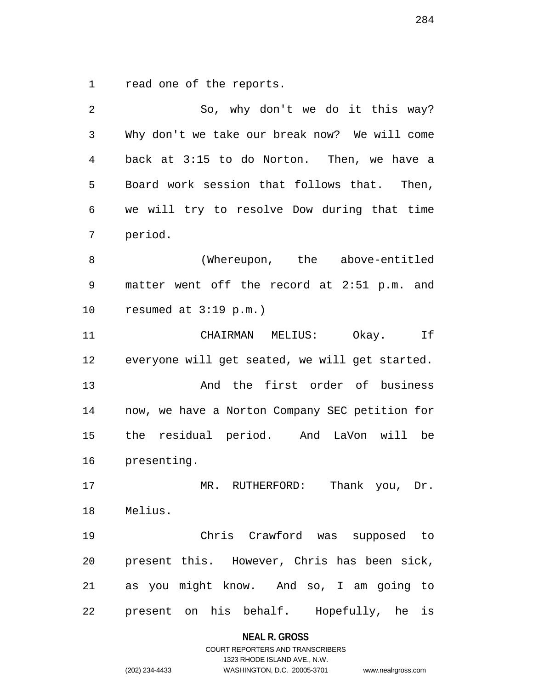1 read one of the reports.

| 2            | So, why don't we do it this way?               |
|--------------|------------------------------------------------|
| $\mathbf{3}$ | Why don't we take our break now? We will come  |
| 4            | back at 3:15 to do Norton. Then, we have a     |
| 5            | Board work session that follows that. Then,    |
| 6            | we will try to resolve Dow during that time    |
| 7            | period.                                        |
| 8            | (Whereupon, the above-entitled                 |
| 9            | matter went off the record at 2:51 p.m. and    |
| 10           | resumed at $3:19$ p.m.)                        |
| 11           | CHAIRMAN MELIUS:<br>Okay.<br>If                |
| 12           | everyone will get seated, we will get started. |
| 13           | And the first order of business                |
| 14           | now, we have a Norton Company SEC petition for |
| 15           | the residual period. And LaVon will be         |
| 16           | presenting.                                    |
| 17           | MR. RUTHERFORD:<br>Thank you, Dr.              |
| 18           | Melius.                                        |
| 19           | Chris Crawford was supposed to                 |
| 20           | present this. However, Chris has been sick,    |
| 21           | as you might know. And so, I am going to       |
| 22           | Hopefully, he<br>present on his behalf.<br>is  |

**NEAL R. GROSS**

# COURT REPORTERS AND TRANSCRIBERS 1323 RHODE ISLAND AVE., N.W. (202) 234-4433 WASHINGTON, D.C. 20005-3701 www.nealrgross.com

284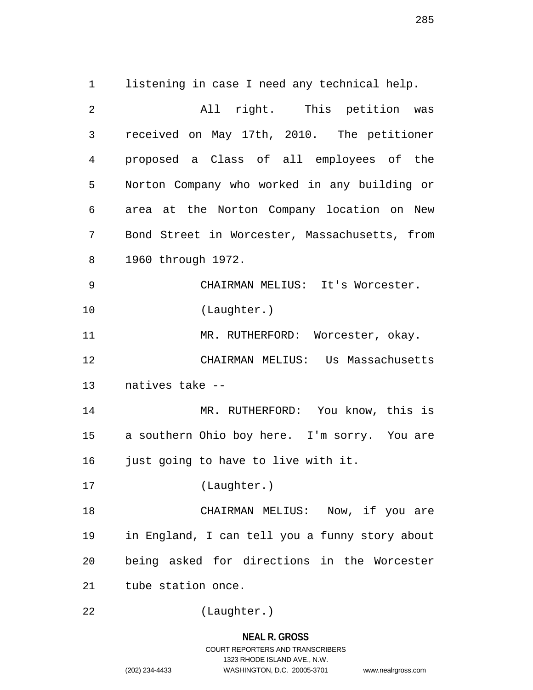1 listening in case I need any technical help. 2 All right. This petition was 3 received on May 17th, 2010. The petitioner 4 proposed a Class of all employees of the 5 Norton Company who worked in any building or 6 area at the Norton Company location on New 7 Bond Street in Worcester, Massachusetts, from 8 1960 through 1972. 9 CHAIRMAN MELIUS: It's Worcester. 10 (Laughter.) 11 MR. RUTHERFORD: Worcester, okay. 12 CHAIRMAN MELIUS: Us Massachusetts 13 natives take -- 14 MR. RUTHERFORD: You know, this is 15 a southern Ohio boy here. I'm sorry. You are 16 just going to have to live with it. 17 (Laughter.) 18 CHAIRMAN MELIUS: Now, if you are 19 in England, I can tell you a funny story about 20 being asked for directions in the Worcester 21 tube station once.

22 (Laughter.)

# **NEAL R. GROSS** COURT REPORTERS AND TRANSCRIBERS 1323 RHODE ISLAND AVE., N.W. (202) 234-4433 WASHINGTON, D.C. 20005-3701 www.nealrgross.com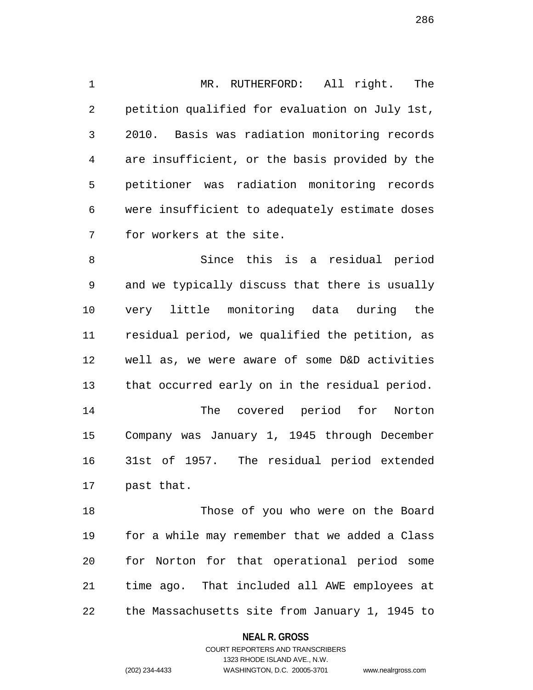1 MR. RUTHERFORD: All right. The 2 petition qualified for evaluation on July 1st, 3 2010. Basis was radiation monitoring records 4 are insufficient, or the basis provided by the 5 petitioner was radiation monitoring records 6 were insufficient to adequately estimate doses 7 for workers at the site.

8 Since this is a residual period 9 and we typically discuss that there is usually 10 very little monitoring data during the 11 residual period, we qualified the petition, as 12 well as, we were aware of some D&D activities 13 that occurred early on in the residual period. 14 The covered period for Norton 15 Company was January 1, 1945 through December 16 31st of 1957. The residual period extended 17 past that.

18 Those of you who were on the Board 19 for a while may remember that we added a Class 20 for Norton for that operational period some 21 time ago. That included all AWE employees at 22 the Massachusetts site from January 1, 1945 to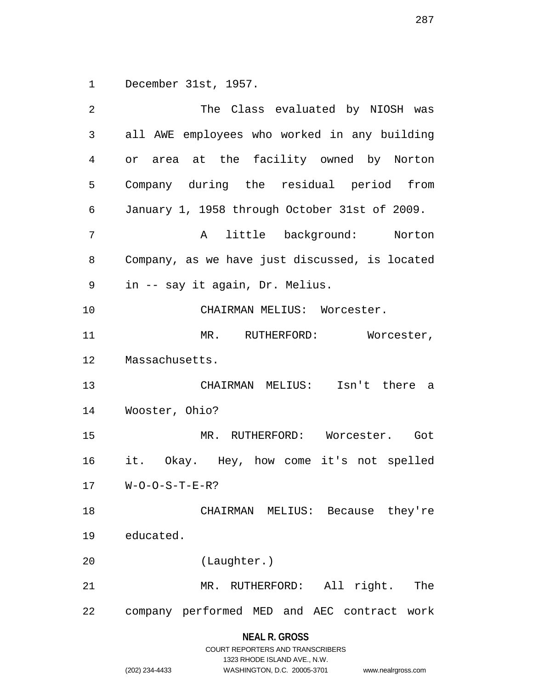1 December 31st, 1957.

|                | The Class evaluated by NIOSH was               |
|----------------|------------------------------------------------|
| $\mathfrak{Z}$ | all AWE employees who worked in any building   |
| 4              | or area at the facility owned by Norton        |
| 5              | Company during the residual period from        |
| 6              | January 1, 1958 through October 31st of 2009.  |
| 7              | little background: Norton<br>$\mathbf{A}$      |
| 8              | Company, as we have just discussed, is located |
| 9              | in -- say it again, Dr. Melius.                |
| 10             | CHAIRMAN MELIUS: Worcester.                    |
| 11             | MR. RUTHERFORD: Worcester,                     |
| 12             | Massachusetts.                                 |
|                |                                                |
| 13             | CHAIRMAN MELIUS: Isn't there a                 |
| 14             | Wooster, Ohio?                                 |
| 15             | MR. RUTHERFORD: Worcester. Got                 |
| 16             | it. Okay. Hey, how come it's not spelled       |
| 17             | $W$ -O-O-S-T-E-R?                              |
| 18             | CHAIRMAN MELIUS: Because they're               |
| 19             | educated.                                      |
| 20             | (Laughter.)                                    |
| 21             | All right.<br>The<br>MR. RUTHERFORD:           |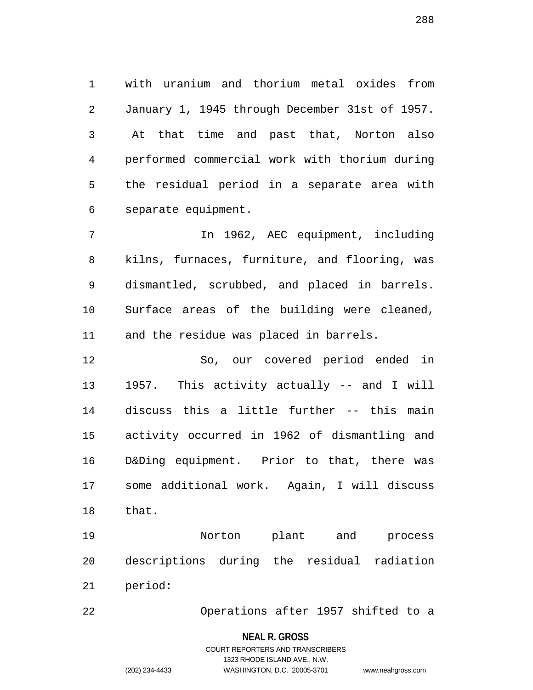1 with uranium and thorium metal oxides from 2 January 1, 1945 through December 31st of 1957. 3 At that time and past that, Norton also 4 performed commercial work with thorium during 5 the residual period in a separate area with 6 separate equipment.

7 In 1962, AEC equipment, including 8 kilns, furnaces, furniture, and flooring, was 9 dismantled, scrubbed, and placed in barrels. 10 Surface areas of the building were cleaned, 11 and the residue was placed in barrels.

12 So, our covered period ended in 13 1957. This activity actually -- and I will 14 discuss this a little further -- this main 15 activity occurred in 1962 of dismantling and 16 D&Ding equipment. Prior to that, there was 17 some additional work. Again, I will discuss 18 that.

19 Norton plant and process 20 descriptions during the residual radiation 21 period:

22 Operations after 1957 shifted to a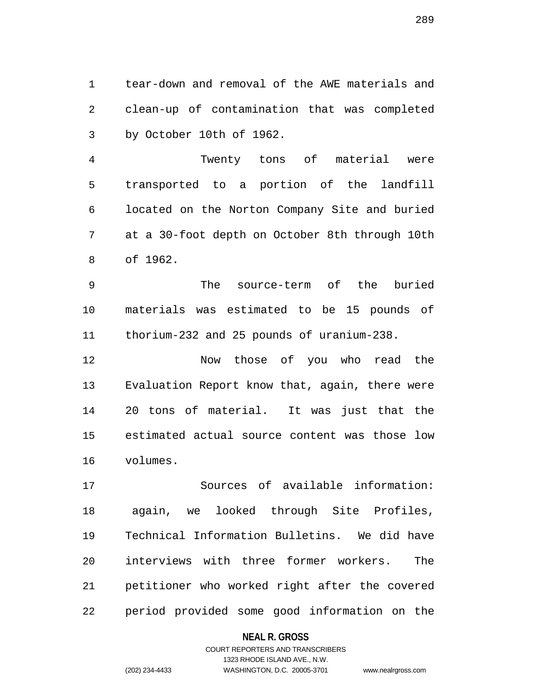1 tear-down and removal of the AWE materials and 2 clean-up of contamination that was completed 3 by October 10th of 1962.

4 Twenty tons of material were 5 transported to a portion of the landfill 6 located on the Norton Company Site and buried 7 at a 30-foot depth on October 8th through 10th 8 of 1962.

9 The source-term of the buried 10 materials was estimated to be 15 pounds of 11 thorium-232 and 25 pounds of uranium-238.

12 Now those of you who read the 13 Evaluation Report know that, again, there were 14 20 tons of material. It was just that the 15 estimated actual source content was those low 16 volumes.

17 Sources of available information: 18 again, we looked through Site Profiles, 19 Technical Information Bulletins. We did have 20 interviews with three former workers. The 21 petitioner who worked right after the covered 22 period provided some good information on the

### **NEAL R. GROSS**

289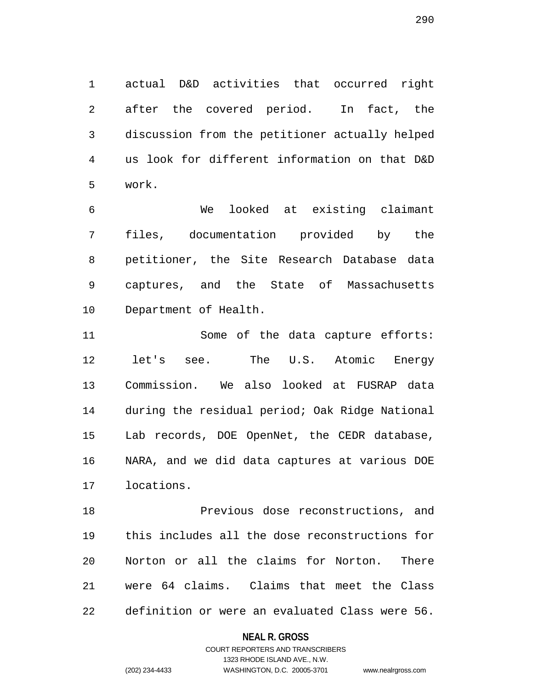1 actual D&D activities that occurred right 2 after the covered period. In fact, the 3 discussion from the petitioner actually helped 4 us look for different information on that D&D 5 work.

6 We looked at existing claimant 7 files, documentation provided by the 8 petitioner, the Site Research Database data 9 captures, and the State of Massachusetts 10 Department of Health.

11 Some of the data capture efforts: 12 let's see. The U.S. Atomic Energy 13 Commission. We also looked at FUSRAP data 14 during the residual period; Oak Ridge National 15 Lab records, DOE OpenNet, the CEDR database, 16 NARA, and we did data captures at various DOE 17 locations.

18 Previous dose reconstructions, and 19 this includes all the dose reconstructions for 20 Norton or all the claims for Norton. There 21 were 64 claims. Claims that meet the Class 22 definition or were an evaluated Class were 56.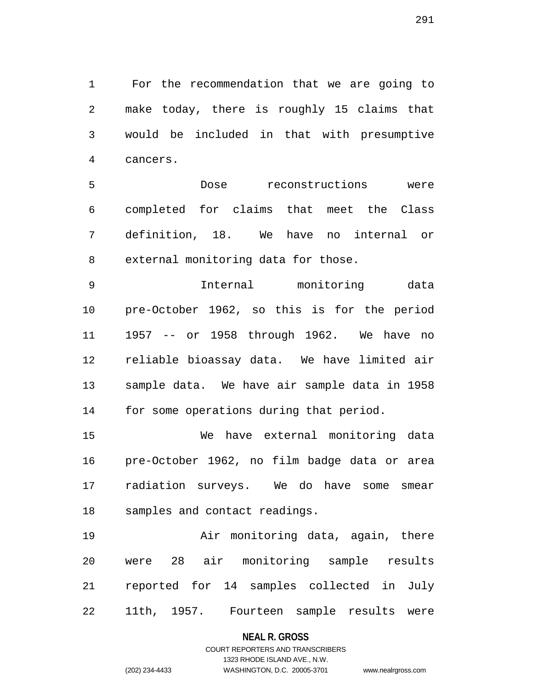1 For the recommendation that we are going to 2 make today, there is roughly 15 claims that 3 would be included in that with presumptive 4 cancers.

5 Dose reconstructions were 6 completed for claims that meet the Class 7 definition, 18. We have no internal or 8 external monitoring data for those.

9 Internal monitoring data 10 pre-October 1962, so this is for the period 11 1957 -- or 1958 through 1962. We have no 12 reliable bioassay data. We have limited air 13 sample data. We have air sample data in 1958 14 for some operations during that period.

15 We have external monitoring data 16 pre-October 1962, no film badge data or area 17 radiation surveys. We do have some smear 18 samples and contact readings.

19 Air monitoring data, again, there 20 were 28 air monitoring sample results 21 reported for 14 samples collected in July 22 11th, 1957. Fourteen sample results were

### **NEAL R. GROSS**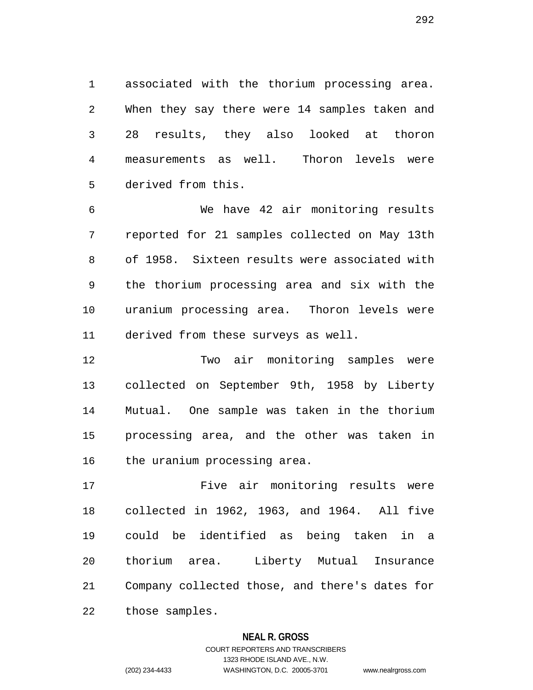1 associated with the thorium processing area. 2 When they say there were 14 samples taken and 3 28 results, they also looked at thoron 4 measurements as well. Thoron levels were 5 derived from this.

6 We have 42 air monitoring results 7 reported for 21 samples collected on May 13th 8 of 1958. Sixteen results were associated with 9 the thorium processing area and six with the 10 uranium processing area. Thoron levels were 11 derived from these surveys as well.

12 Two air monitoring samples were 13 collected on September 9th, 1958 by Liberty 14 Mutual. One sample was taken in the thorium 15 processing area, and the other was taken in 16 the uranium processing area.

17 Five air monitoring results were 18 collected in 1962, 1963, and 1964. All five 19 could be identified as being taken in a 20 thorium area. Liberty Mutual Insurance 21 Company collected those, and there's dates for 22 those samples.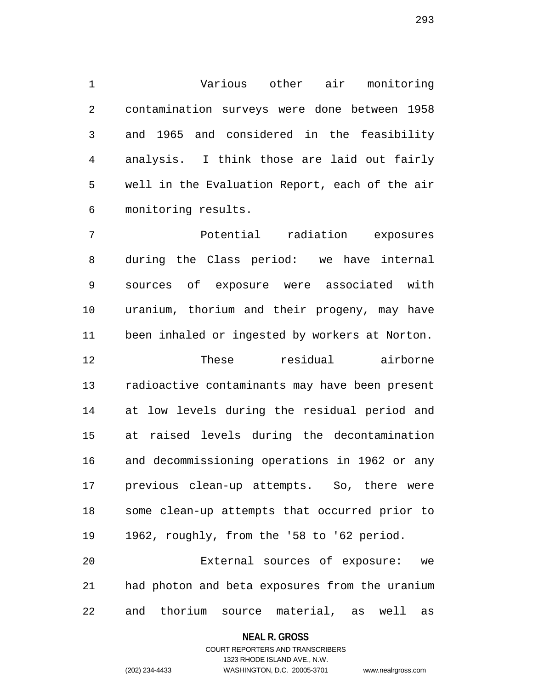1 Various other air monitoring 2 contamination surveys were done between 1958 3 and 1965 and considered in the feasibility 4 analysis. I think those are laid out fairly 5 well in the Evaluation Report, each of the air 6 monitoring results.

7 Potential radiation exposures 8 during the Class period: we have internal 9 sources of exposure were associated with 10 uranium, thorium and their progeny, may have 11 been inhaled or ingested by workers at Norton. 12 These residual airborne 13 radioactive contaminants may have been present 14 at low levels during the residual period and 15 at raised levels during the decontamination 16 and decommissioning operations in 1962 or any 17 previous clean-up attempts. So, there were 18 some clean-up attempts that occurred prior to 19 1962, roughly, from the '58 to '62 period. 20 External sources of exposure: we

21 had photon and beta exposures from the uranium 22 and thorium source material, as well as

### **NEAL R. GROSS**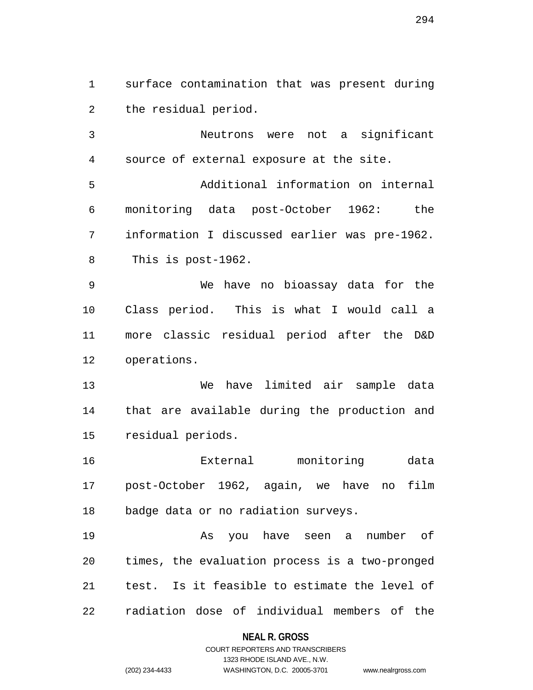1 surface contamination that was present during 2 the residual period.

3 Neutrons were not a significant 4 source of external exposure at the site.

5 Additional information on internal 6 monitoring data post-October 1962: the 7 information I discussed earlier was pre-1962. 8 This is post-1962.

9 We have no bioassay data for the 10 Class period. This is what I would call a 11 more classic residual period after the D&D 12 operations.

13 We have limited air sample data 14 that are available during the production and 15 residual periods.

16 External monitoring data 17 post-October 1962, again, we have no film 18 badge data or no radiation surveys.

19 As you have seen a number of 20 times, the evaluation process is a two-pronged 21 test. Is it feasible to estimate the level of 22 radiation dose of individual members of the

## **NEAL R. GROSS**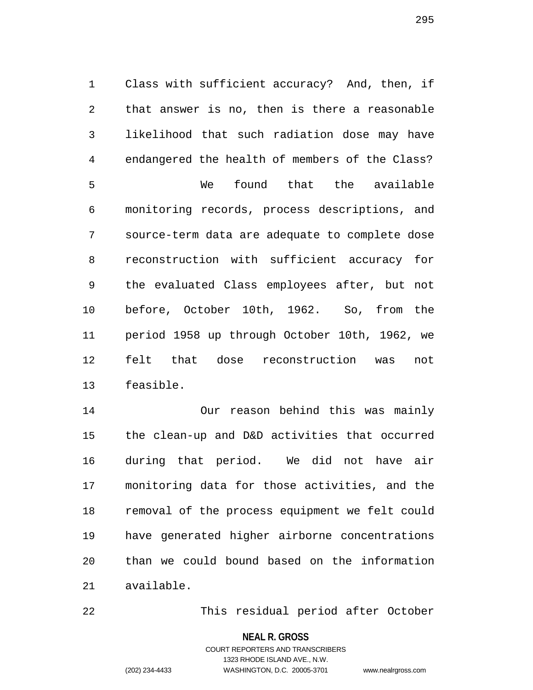1 Class with sufficient accuracy? And, then, if 2 that answer is no, then is there a reasonable 3 likelihood that such radiation dose may have 4 endangered the health of members of the Class? 5 We found that the available 6 monitoring records, process descriptions, and 7 source-term data are adequate to complete dose 8 reconstruction with sufficient accuracy for 9 the evaluated Class employees after, but not 10 before, October 10th, 1962. So, from the 11 period 1958 up through October 10th, 1962, we 12 felt that dose reconstruction was not 13 feasible.

14 Our reason behind this was mainly 15 the clean-up and D&D activities that occurred 16 during that period. We did not have air 17 monitoring data for those activities, and the 18 removal of the process equipment we felt could 19 have generated higher airborne concentrations 20 than we could bound based on the information 21 available.

22 This residual period after October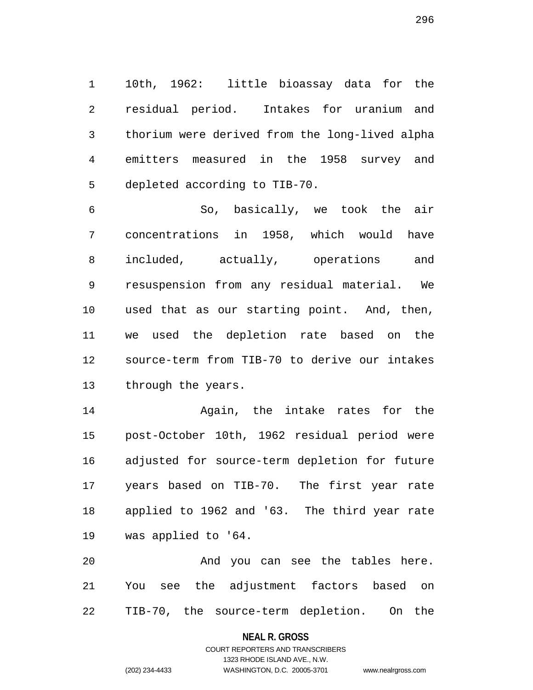1 10th, 1962: little bioassay data for the 2 residual period. Intakes for uranium and 3 thorium were derived from the long-lived alpha 4 emitters measured in the 1958 survey and 5 depleted according to TIB-70.

6 So, basically, we took the air 7 concentrations in 1958, which would have 8 included, actually, operations and 9 resuspension from any residual material. We 10 used that as our starting point. And, then, 11 we used the depletion rate based on the 12 source-term from TIB-70 to derive our intakes 13 through the years.

14 Again, the intake rates for the 15 post-October 10th, 1962 residual period were 16 adjusted for source-term depletion for future 17 years based on TIB-70. The first year rate 18 applied to 1962 and '63. The third year rate 19 was applied to '64.

20 And you can see the tables here. 21 You see the adjustment factors based on 22 TIB-70, the source-term depletion. On the

### **NEAL R. GROSS**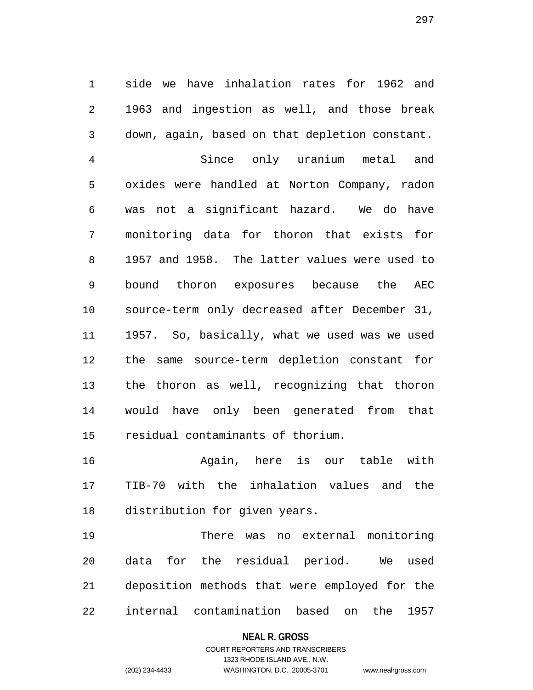1 side we have inhalation rates for 1962 and 2 1963 and ingestion as well, and those break 3 down, again, based on that depletion constant.

4 Since only uranium metal and 5 oxides were handled at Norton Company, radon 6 was not a significant hazard. We do have 7 monitoring data for thoron that exists for 8 1957 and 1958. The latter values were used to 9 bound thoron exposures because the AEC 10 source-term only decreased after December 31, 11 1957. So, basically, what we used was we used 12 the same source-term depletion constant for 13 the thoron as well, recognizing that thoron 14 would have only been generated from that 15 residual contaminants of thorium.

16 Again, here is our table with 17 TIB-70 with the inhalation values and the 18 distribution for given years.

19 There was no external monitoring 20 data for the residual period. We used 21 deposition methods that were employed for the 22 internal contamination based on the 1957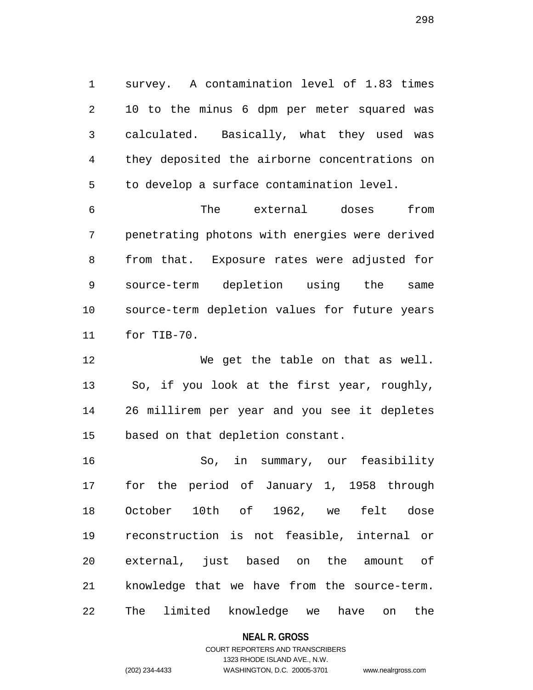1 survey. A contamination level of 1.83 times 2 10 to the minus 6 dpm per meter squared was 3 calculated. Basically, what they used was 4 they deposited the airborne concentrations on 5 to develop a surface contamination level.

6 The external doses from 7 penetrating photons with energies were derived 8 from that. Exposure rates were adjusted for 9 source-term depletion using the same 10 source-term depletion values for future years 11 for TIB-70.

12 We get the table on that as well. 13 So, if you look at the first year, roughly, 14 26 millirem per year and you see it depletes 15 based on that depletion constant.

16 So, in summary, our feasibility 17 for the period of January 1, 1958 through 18 October 10th of 1962, we felt dose 19 reconstruction is not feasible, internal or 20 external, just based on the amount of 21 knowledge that we have from the source-term. 22 The limited knowledge we have on the

**NEAL R. GROSS**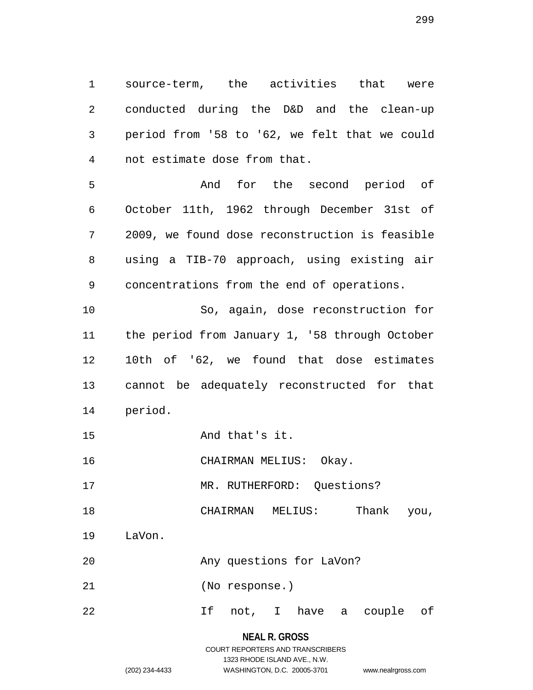1 source-term, the activities that were 2 conducted during the D&D and the clean-up 3 period from '58 to '62, we felt that we could 4 not estimate dose from that.

5 And for the second period of 6 October 11th, 1962 through December 31st of 7 2009, we found dose reconstruction is feasible 8 using a TIB-70 approach, using existing air 9 concentrations from the end of operations.

10 So, again, dose reconstruction for 11 the period from January 1, '58 through October 12 10th of '62, we found that dose estimates 13 cannot be adequately reconstructed for that 14 period.

15 And that's it.

16 CHAIRMAN MELIUS: Okay.

17 MR. RUTHERFORD: Questions?

18 CHAIRMAN MELIUS: Thank you,

19 LaVon.

20 Any questions for LaVon?

21 (No response.)

22 If not, I have a couple of

# **NEAL R. GROSS** COURT REPORTERS AND TRANSCRIBERS 1323 RHODE ISLAND AVE., N.W.

(202) 234-4433 WASHINGTON, D.C. 20005-3701 www.nealrgross.com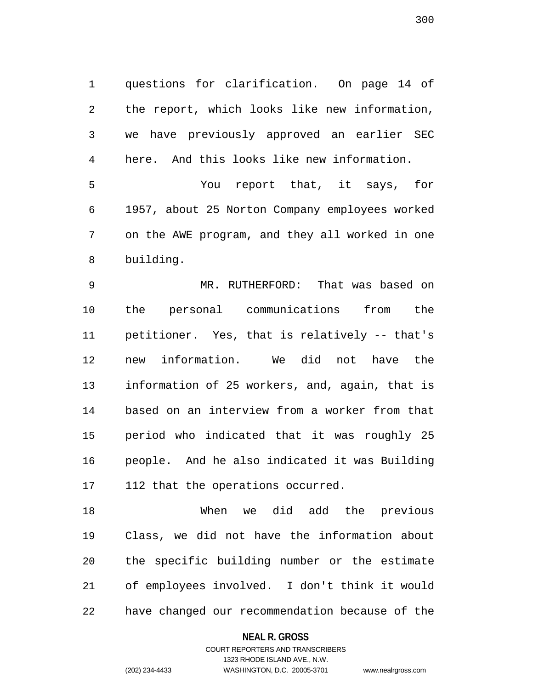1 questions for clarification. On page 14 of 2 the report, which looks like new information, 3 we have previously approved an earlier SEC 4 here. And this looks like new information.

5 You report that, it says, for 6 1957, about 25 Norton Company employees worked 7 on the AWE program, and they all worked in one 8 building.

9 MR. RUTHERFORD: That was based on 10 the personal communications from the 11 petitioner. Yes, that is relatively -- that's 12 new information. We did not have the 13 information of 25 workers, and, again, that is 14 based on an interview from a worker from that 15 period who indicated that it was roughly 25 16 people. And he also indicated it was Building 17 112 that the operations occurred.

18 When we did add the previous 19 Class, we did not have the information about 20 the specific building number or the estimate 21 of employees involved. I don't think it would 22 have changed our recommendation because of the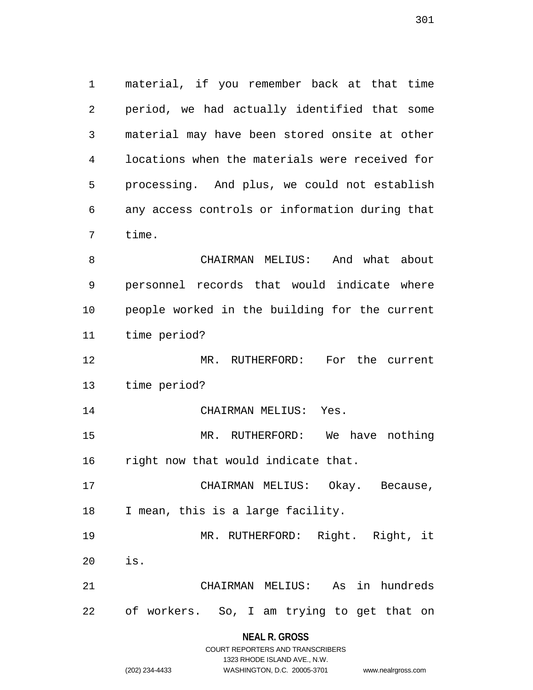1 material, if you remember back at that time 2 period, we had actually identified that some 3 material may have been stored onsite at other 4 locations when the materials were received for 5 processing. And plus, we could not establish 6 any access controls or information during that 7 time.

8 CHAIRMAN MELIUS: And what about 9 personnel records that would indicate where 10 people worked in the building for the current 11 time period?

12 MR. RUTHERFORD: For the current 13 time period?

14 CHAIRMAN MELIUS: Yes. 15 MR. RUTHERFORD: We have nothing

16 right now that would indicate that.

17 CHAIRMAN MELIUS: Okay. Because, 18 I mean, this is a large facility.

19 MR. RUTHERFORD: Right. Right, it 20 is.

21 CHAIRMAN MELIUS: As in hundreds 22 of workers. So, I am trying to get that on

**NEAL R. GROSS**

|                | COURT REPORTERS AND TRANSCRIBERS |                    |
|----------------|----------------------------------|--------------------|
|                | 1323 RHODE ISLAND AVE N.W.       |                    |
| (202) 234-4433 | WASHINGTON, D.C. 20005-3701      | www.nealrgross.com |

301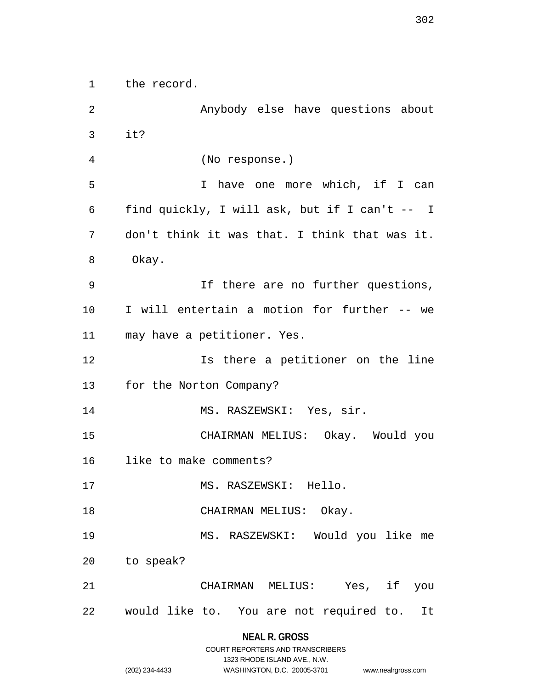1 the record.

2 Anybody else have questions about 3 it? 4 (No response.) 5 I have one more which, if I can 6 find quickly, I will ask, but if I can't -- I 7 don't think it was that. I think that was it. 8 Okay. 9 If there are no further questions, 10 I will entertain a motion for further -- we 11 may have a petitioner. Yes. 12 **Is there a petitioner on the line** 13 for the Norton Company? 14 MS. RASZEWSKI: Yes, sir. 15 CHAIRMAN MELIUS: Okay. Would you 16 like to make comments? 17 MS. RASZEWSKI: Hello. 18 CHAIRMAN MELIUS: Okay. 19 MS. RASZEWSKI: Would you like me 20 to speak? 21 CHAIRMAN MELIUS: Yes, if you 22 would like to. You are not required to. It

|                | COURT REPORTERS AND TRANSCRIBERS |                    |
|----------------|----------------------------------|--------------------|
|                | 1323 RHODE ISLAND AVE., N.W.     |                    |
| (202) 234-4433 | WASHINGTON, D.C. 20005-3701      | www.nealrgross.com |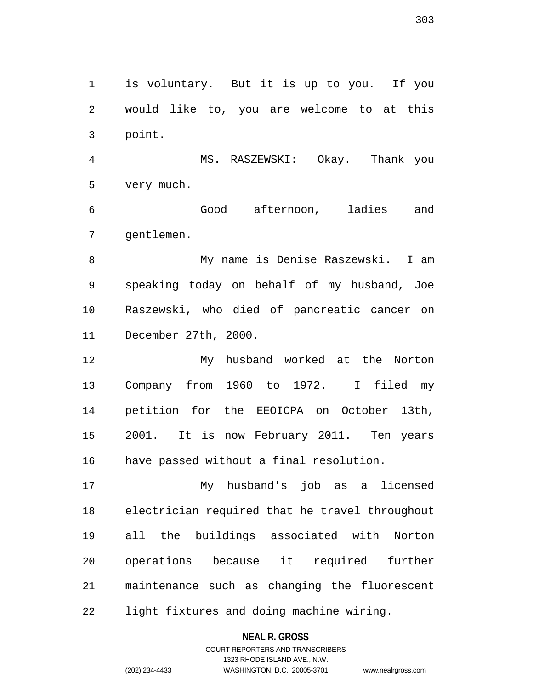1 is voluntary. But it is up to you. If you 2 would like to, you are welcome to at this 3 point.

4 MS. RASZEWSKI: Okay. Thank you 5 very much.

6 Good afternoon, ladies and 7 gentlemen.

8 My name is Denise Raszewski. I am 9 speaking today on behalf of my husband, Joe 10 Raszewski, who died of pancreatic cancer on 11 December 27th, 2000.

12 My husband worked at the Norton 13 Company from 1960 to 1972. I filed my 14 petition for the EEOICPA on October 13th, 15 2001. It is now February 2011. Ten years 16 have passed without a final resolution.

17 My husband's job as a licensed 18 electrician required that he travel throughout 19 all the buildings associated with Norton 20 operations because it required further 21 maintenance such as changing the fluorescent 22 light fixtures and doing machine wiring.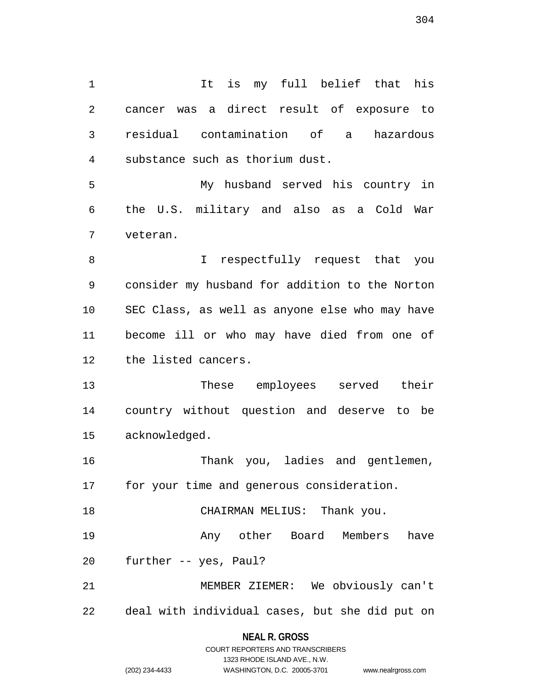1 1 It is my full belief that his 2 cancer was a direct result of exposure to 3 residual contamination of a hazardous 4 substance such as thorium dust. 5 My husband served his country in 6 the U.S. military and also as a Cold War 7 veteran. 8 I respectfully request that you 9 consider my husband for addition to the Norton 10 SEC Class, as well as anyone else who may have 11 become ill or who may have died from one of 12 the listed cancers. 13 These employees served their 14 country without question and deserve to be 15 acknowledged.

16 Thank you, ladies and gentlemen, 17 for your time and generous consideration.

18 CHAIRMAN MELIUS: Thank you.

19 Any other Board Members have 20 further -- yes, Paul?

21 MEMBER ZIEMER: We obviously can't 22 deal with individual cases, but she did put on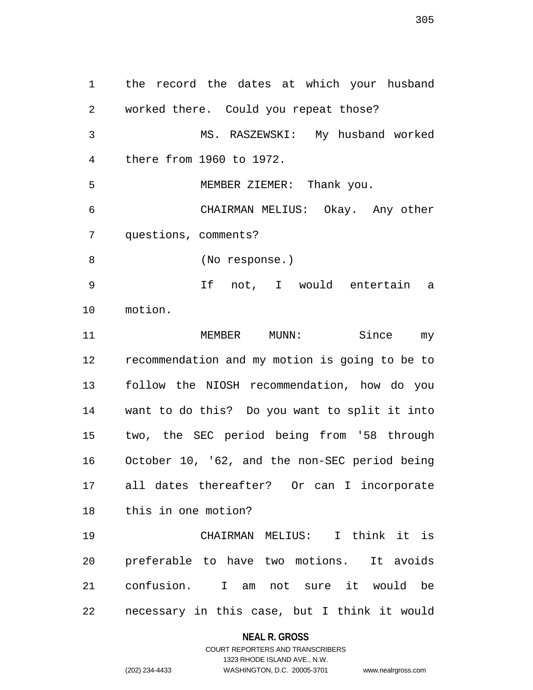1 the record the dates at which your husband 2 worked there. Could you repeat those? 3 MS. RASZEWSKI: My husband worked 4 there from 1960 to 1972. 5 MEMBER ZIEMER: Thank you. 6 CHAIRMAN MELIUS: Okay. Any other 7 questions, comments? 8 (No response.) 9 If not, I would entertain a 10 motion. 11 MEMBER MUNN: Since my 12 recommendation and my motion is going to be to 13 follow the NIOSH recommendation, how do you 14 want to do this? Do you want to split it into 15 two, the SEC period being from '58 through 16 October 10, '62, and the non-SEC period being 17 all dates thereafter? Or can I incorporate 18 this in one motion? 19 CHAIRMAN MELIUS: I think it is

20 preferable to have two motions. It avoids 21 confusion. I am not sure it would be 22 necessary in this case, but I think it would

### **NEAL R. GROSS**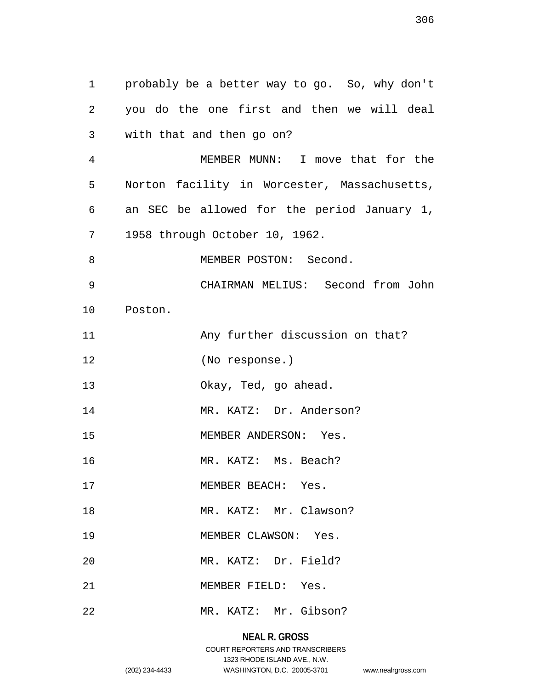1 probably be a better way to go. So, why don't 2 you do the one first and then we will deal 3 with that and then go on? 4 MEMBER MUNN: I move that for the 5 Norton facility in Worcester, Massachusetts, 6 an SEC be allowed for the period January 1, 7 1958 through October 10, 1962. 8 MEMBER POSTON: Second. 9 CHAIRMAN MELIUS: Second from John 10 Poston. 11 Any further discussion on that? 12 (No response.) 13 Okay, Ted, go ahead. 14 MR. KATZ: Dr. Anderson? 15 MEMBER ANDERSON: Yes. 16 MR. KATZ: Ms. Beach? 17 MEMBER BEACH: Yes. 18 MR. KATZ: Mr. Clawson? 19 MEMBER CLAWSON: Yes. 20 MR. KATZ: Dr. Field? 21 MEMBER FIELD: Yes. 22 MR. KATZ: Mr. Gibson?

# **NEAL R. GROSS**

306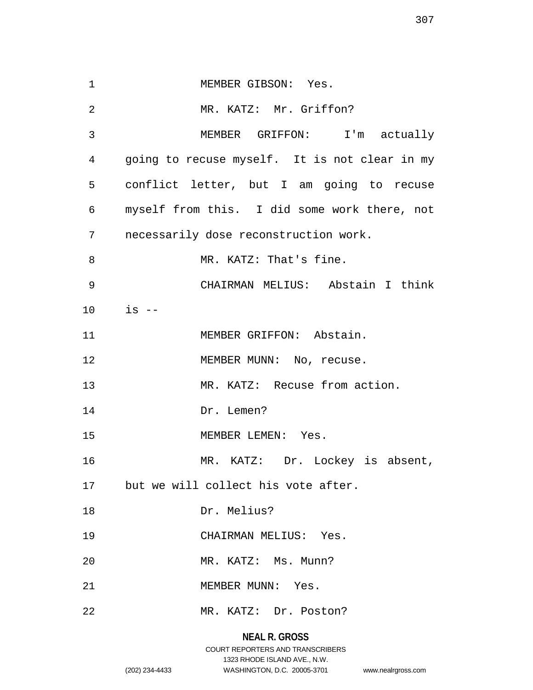| $\mathbf 1$    | MEMBER GIBSON: Yes.                           |
|----------------|-----------------------------------------------|
| $\overline{2}$ | MR. KATZ: Mr. Griffon?                        |
| 3              | MEMBER GRIFFON: I'm actually                  |
| 4              | going to recuse myself. It is not clear in my |
| 5              | conflict letter, but I am going to recuse     |
| 6              | myself from this. I did some work there, not  |
| 7              | necessarily dose reconstruction work.         |
| 8              | MR. KATZ: That's fine.                        |
| 9              | CHAIRMAN MELIUS: Abstain I think              |
| 10             | is --                                         |
| 11             | MEMBER GRIFFON: Abstain.                      |
| 12             | MEMBER MUNN: No, recuse.                      |
| 13             | MR. KATZ: Recuse from action.                 |
| 14             | Dr. Lemen?                                    |
| 15             | MEMBER LEMEN: Yes.                            |
| 16             | MR. KATZ: Dr. Lockey is absent,               |
|                | 17 but we will collect his vote after.        |
| 18             | Dr. Melius?                                   |
| 19             | CHAIRMAN MELIUS: Yes.                         |
| 20             | MR. KATZ: Ms. Munn?                           |
| 21             | MEMBER MUNN: Yes.                             |
| 22             | MR. KATZ: Dr. Poston?                         |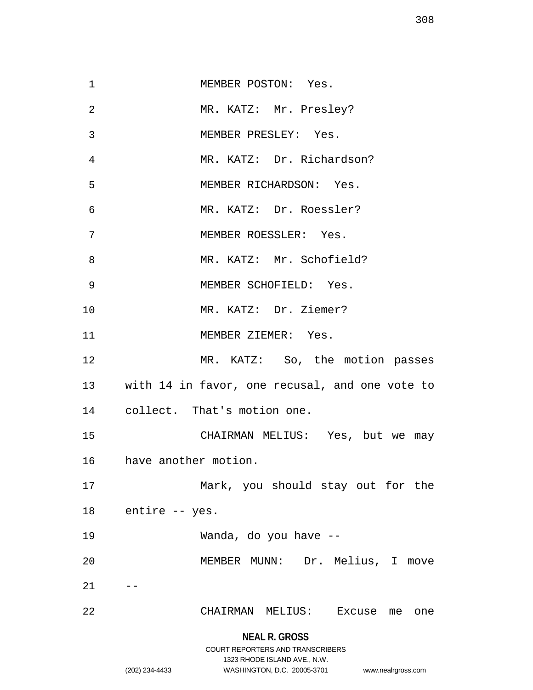| 1  | MEMBER POSTON: Yes.                                             |
|----|-----------------------------------------------------------------|
| 2  | MR. KATZ: Mr. Presley?                                          |
| 3  | MEMBER PRESLEY: Yes.                                            |
| 4  | MR. KATZ: Dr. Richardson?                                       |
| 5  | MEMBER RICHARDSON: Yes.                                         |
| 6  | MR. KATZ: Dr. Roessler?                                         |
| 7  | MEMBER ROESSLER: Yes.                                           |
| 8  | MR. KATZ: Mr. Schofield?                                        |
| 9  | MEMBER SCHOFIELD: Yes.                                          |
| 10 | MR. KATZ: Dr. Ziemer?                                           |
| 11 | MEMBER ZIEMER: Yes.                                             |
| 12 | MR. KATZ: So, the motion passes                                 |
|    | 13 with 14 in favor, one recusal, and one vote to               |
| 14 | collect. That's motion one.                                     |
| 15 | CHAIRMAN MELIUS: Yes, but we may                                |
|    | 16 have another motion.                                         |
| 17 | Mark, you should stay out for the                               |
| 18 | entire -- yes.                                                  |
| 19 | Wanda, do you have --                                           |
| 20 | MEMBER MUNN: Dr. Melius, I move                                 |
| 21 |                                                                 |
| 22 | CHAIRMAN MELIUS: Excuse<br>me<br>one                            |
|    |                                                                 |
|    | <b>NEAL R. GROSS</b><br><b>COURT REPORTERS AND TRANSCRIBERS</b> |
|    | 1323 RHODE ISLAND AVE., N.W.                                    |
|    |                                                                 |

(202) 234-4433 WASHINGTON, D.C. 20005-3701 www.nealrgross.com

308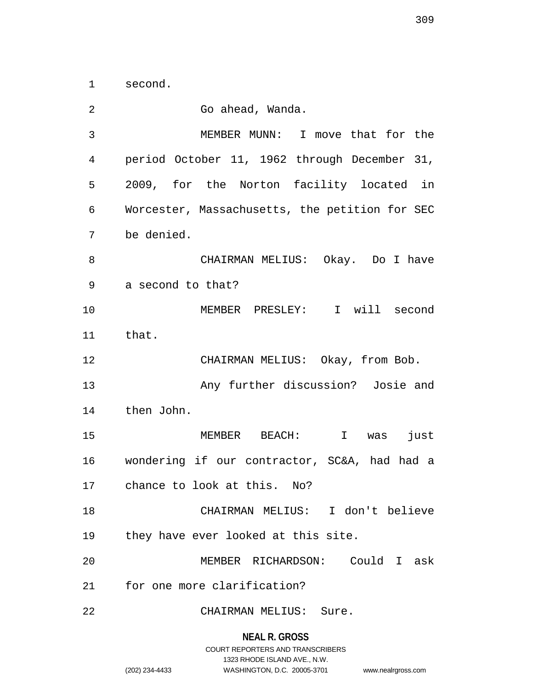1 second.

| 2  | Go ahead, Wanda.                               |
|----|------------------------------------------------|
| 3  | MEMBER MUNN: I move that for the               |
| 4  | period October 11, 1962 through December 31,   |
| 5  | 2009, for the Norton facility located in       |
| 6  | Worcester, Massachusetts, the petition for SEC |
| 7  | be denied.                                     |
| 8  | CHAIRMAN MELIUS: Okay. Do I have               |
| 9  | a second to that?                              |
| 10 | MEMBER PRESLEY: I will second                  |
| 11 | that.                                          |
| 12 | CHAIRMAN MELIUS: Okay, from Bob.               |
| 13 | Any further discussion? Josie and              |
| 14 | then John.                                     |
| 15 | I was<br>MEMBER BEACH:<br>just                 |
| 16 | wondering if our contractor, SC&A, had had a   |
| 17 | chance to look at this. No?                    |
| 18 | CHAIRMAN MELIUS: I don't believe               |
| 19 | they have ever looked at this site.            |
| 20 | MEMBER RICHARDSON: Could I ask                 |
| 21 | for one more clarification?                    |
| 22 | CHAIRMAN MELIUS: Sure.                         |

# **NEAL R. GROSS**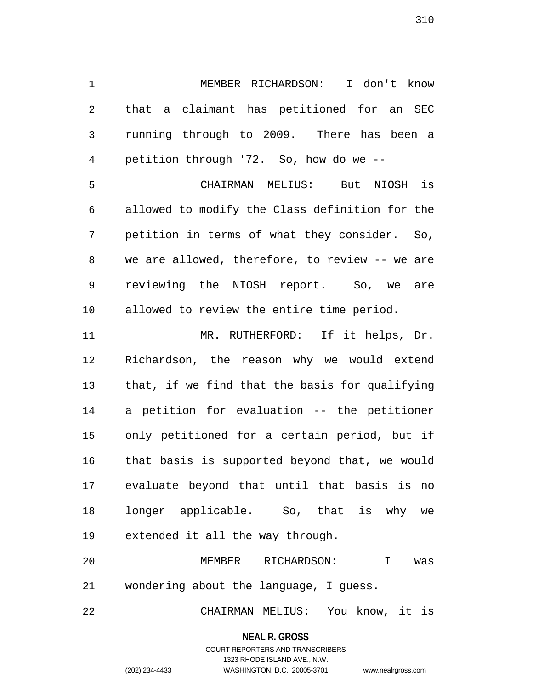1 MEMBER RICHARDSON: I don't know 2 that a claimant has petitioned for an SEC 3 running through to 2009. There has been a 4 petition through '72. So, how do we -- 5 CHAIRMAN MELIUS: But NIOSH is 6 allowed to modify the Class definition for the 7 petition in terms of what they consider. So, 8 we are allowed, therefore, to review -- we are

9 reviewing the NIOSH report. So, we are 10 allowed to review the entire time period.

11 MR. RUTHERFORD: If it helps, Dr. 12 Richardson, the reason why we would extend 13 that, if we find that the basis for qualifying 14 a petition for evaluation -- the petitioner 15 only petitioned for a certain period, but if 16 that basis is supported beyond that, we would 17 evaluate beyond that until that basis is no 18 longer applicable. So, that is why we 19 extended it all the way through.

20 MEMBER RICHARDSON: I was 21 wondering about the language, I guess.

22 CHAIRMAN MELIUS: You know, it is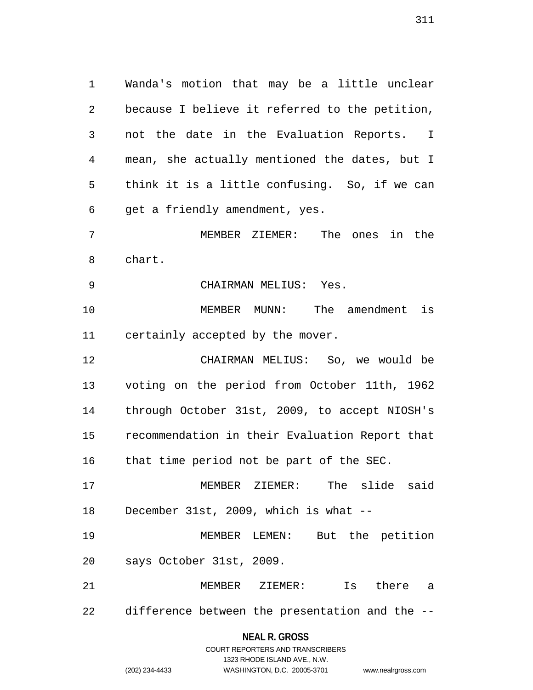1 Wanda's motion that may be a little unclear 2 because I believe it referred to the petition, 3 not the date in the Evaluation Reports. I 4 mean, she actually mentioned the dates, but I 5 think it is a little confusing. So, if we can 6 get a friendly amendment, yes. 7 MEMBER ZIEMER: The ones in the 8 chart.

9 CHAIRMAN MELIUS: Yes.

10 MEMBER MUNN: The amendment is 11 certainly accepted by the mover.

12 CHAIRMAN MELIUS: So, we would be 13 voting on the period from October 11th, 1962 14 through October 31st, 2009, to accept NIOSH's 15 recommendation in their Evaluation Report that 16 that time period not be part of the SEC.

17 MEMBER ZIEMER: The slide said 18 December 31st, 2009, which is what --

19 MEMBER LEMEN: But the petition 20 says October 31st, 2009.

21 MEMBER ZIEMER: Is there a 22 difference between the presentation and the --

### **NEAL R. GROSS**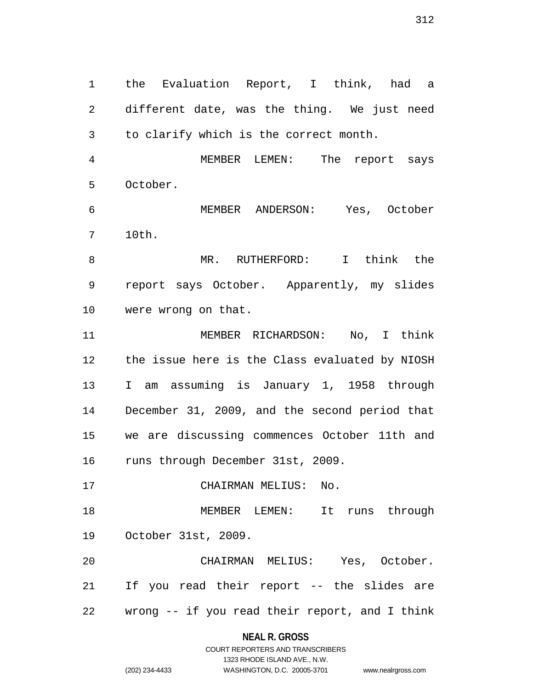1 the Evaluation Report, I think, had a 2 different date, was the thing. We just need 3 to clarify which is the correct month.

4 MEMBER LEMEN: The report says 5 October.

6 MEMBER ANDERSON: Yes, October 7 10th.

8 MR. RUTHERFORD: I think the 9 report says October. Apparently, my slides 10 were wrong on that.

11 MEMBER RICHARDSON: No, I think 12 the issue here is the Class evaluated by NIOSH 13 I am assuming is January 1, 1958 through 14 December 31, 2009, and the second period that 15 we are discussing commences October 11th and 16 runs through December 31st, 2009.

17 CHAIRMAN MELIUS: No.

18 MEMBER LEMEN: It runs through 19 October 31st, 2009.

20 CHAIRMAN MELIUS: Yes, October. 21 If you read their report -- the slides are 22 wrong -- if you read their report, and I think

## **NEAL R. GROSS**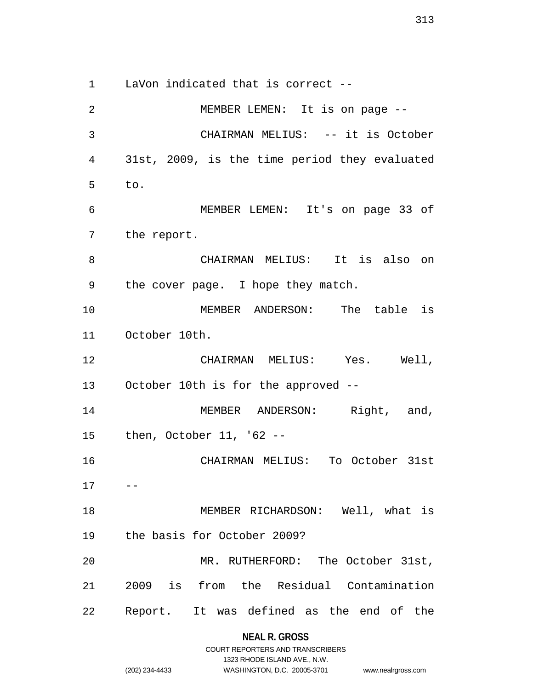1 LaVon indicated that is correct --

2 MEMBER LEMEN: It is on page -- 3 CHAIRMAN MELIUS: -- it is October 4 31st, 2009, is the time period they evaluated 5 to. 6 MEMBER LEMEN: It's on page 33 of 7 the report. 8 CHAIRMAN MELIUS: It is also on 9 the cover page. I hope they match. 10 MEMBER ANDERSON: The table is 11 October 10th. 12 CHAIRMAN MELIUS: Yes. Well, 13 October 10th is for the approved -- 14 MEMBER ANDERSON: Right, and, 15 then, October 11, '62 -- 16 CHAIRMAN MELIUS: To October 31st  $17 - -$ 18 MEMBER RICHARDSON: Well, what is 19 the basis for October 2009? 20 MR. RUTHERFORD: The October 31st, 21 2009 is from the Residual Contamination 22 Report. It was defined as the end of the

|                | COURT REPORTERS AND TRANSCRIBERS |                    |
|----------------|----------------------------------|--------------------|
|                | 1323 RHODE ISLAND AVE N.W.       |                    |
| (202) 234-4433 | WASHINGTON, D.C. 20005-3701      | www.nealrgross.com |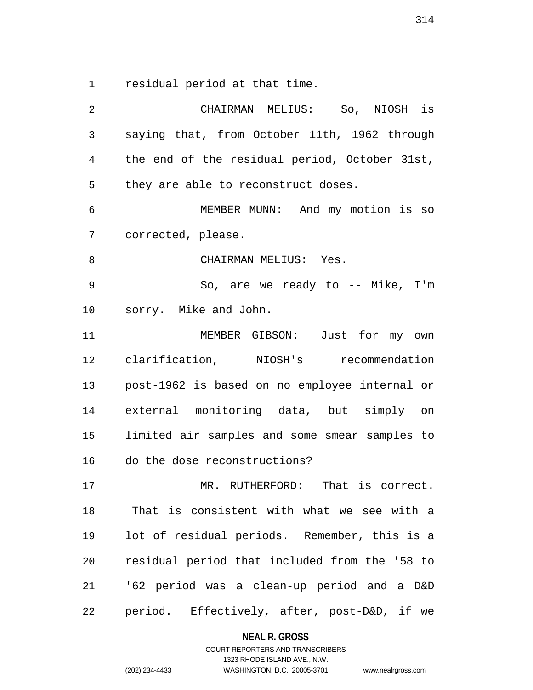1 residual period at that time.

2 CHAIRMAN MELIUS: So, NIOSH is 3 saying that, from October 11th, 1962 through 4 the end of the residual period, October 31st, 5 they are able to reconstruct doses. 6 MEMBER MUNN: And my motion is so 7 corrected, please. 8 CHAIRMAN MELIUS: Yes. 9 So, are we ready to -- Mike, I'm 10 sorry. Mike and John. 11 MEMBER GIBSON: Just for my own 12 clarification, NIOSH's recommendation 13 post-1962 is based on no employee internal or 14 external monitoring data, but simply on 15 limited air samples and some smear samples to 16 do the dose reconstructions? 17 MR. RUTHERFORD: That is correct. 18 That is consistent with what we see with a 19 lot of residual periods. Remember, this is a 20 residual period that included from the '58 to 21 '62 period was a clean-up period and a D&D 22 period. Effectively, after, post-D&D, if we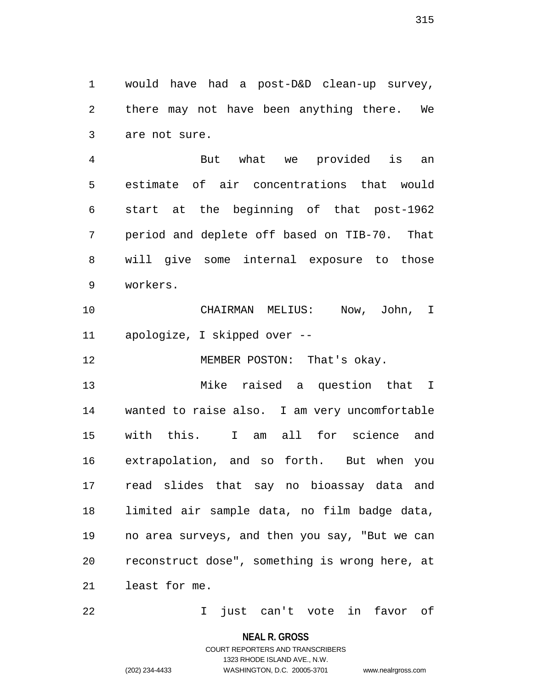1 would have had a post-D&D clean-up survey, 2 there may not have been anything there. We 3 are not sure.

4 But what we provided is an 5 estimate of air concentrations that would 6 start at the beginning of that post-1962 7 period and deplete off based on TIB-70. That 8 will give some internal exposure to those 9 workers.

10 CHAIRMAN MELIUS: Now, John, I 11 apologize, I skipped over --

12 MEMBER POSTON: That's okay.

13 Mike raised a question that I 14 wanted to raise also. I am very uncomfortable 15 with this. I am all for science and 16 extrapolation, and so forth. But when you 17 read slides that say no bioassay data and 18 limited air sample data, no film badge data, 19 no area surveys, and then you say, "But we can 20 reconstruct dose", something is wrong here, at 21 least for me.

22 I just can't vote in favor of

**NEAL R. GROSS**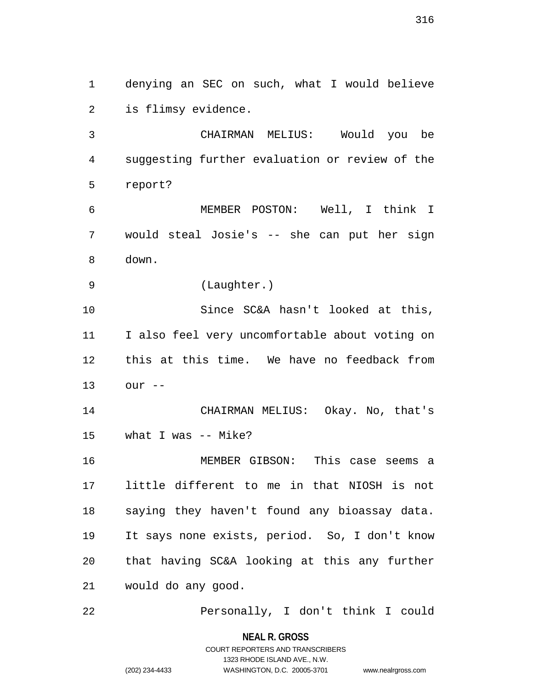1 denying an SEC on such, what I would believe 2 is flimsy evidence.

3 CHAIRMAN MELIUS: Would you be 4 suggesting further evaluation or review of the 5 report?

6 MEMBER POSTON: Well, I think I 7 would steal Josie's -- she can put her sign 8 down.

9 (Laughter.)

10 Since SC&A hasn't looked at this, 11 I also feel very uncomfortable about voting on 12 this at this time. We have no feedback from 13 our --

14 CHAIRMAN MELIUS: Okay. No, that's 15 what I was -- Mike?

16 MEMBER GIBSON: This case seems a 17 little different to me in that NIOSH is not 18 saying they haven't found any bioassay data. 19 It says none exists, period. So, I don't know 20 that having SC&A looking at this any further 21 would do any good.

22 Personally, I don't think I could

**NEAL R. GROSS** COURT REPORTERS AND TRANSCRIBERS

1323 RHODE ISLAND AVE., N.W.

(202) 234-4433 WASHINGTON, D.C. 20005-3701 www.nealrgross.com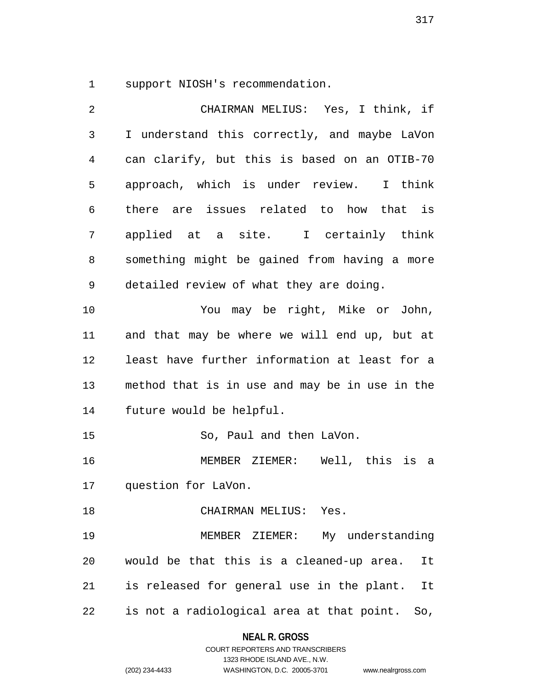1 support NIOSH's recommendation.

| 2            | CHAIRMAN MELIUS: Yes, I think, if                |
|--------------|--------------------------------------------------|
| $\mathsf{3}$ | I understand this correctly, and maybe LaVon     |
| 4            | can clarify, but this is based on an OTIB-70     |
| 5            | approach, which is under review. I think         |
| 6            | there are issues related to how that is          |
| 7            | applied at a site. I certainly think             |
| 8            | something might be gained from having a more     |
| 9            | detailed review of what they are doing.          |
| 10           | You may be right, Mike or John,                  |
| 11           | and that may be where we will end up, but at     |
| 12           | least have further information at least for a    |
| 13           | method that is in use and may be in use in the   |
| 14           | future would be helpful.                         |
| 15           | So, Paul and then LaVon.                         |
| 16           | MEMBER ZIEMER: Well, this is a                   |
| 17           | question for LaVon.                              |
| 18           | CHAIRMAN MELIUS: Yes.                            |
| 19           | MEMBER ZIEMER: My understanding                  |
| 20           | would be that this is a cleaned-up area.<br>It   |
| 21           | is released for general use in the plant. It     |
| 22           | is not a radiological area at that point.<br>So, |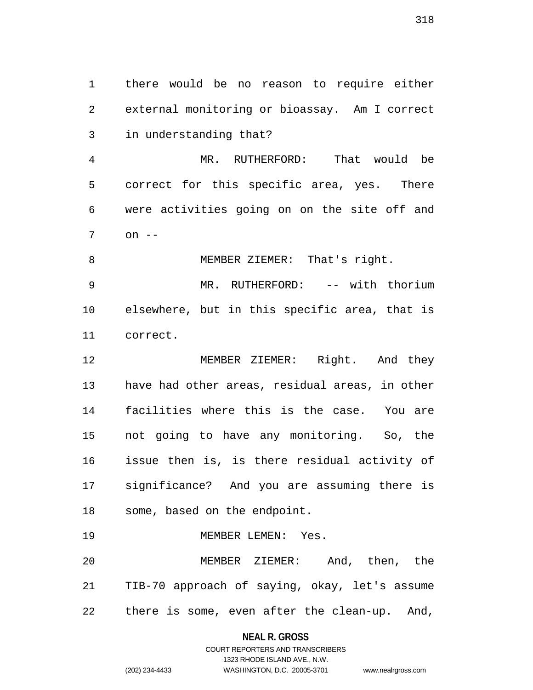1 there would be no reason to require either 2 external monitoring or bioassay. Am I correct 3 in understanding that?

4 MR. RUTHERFORD: That would be 5 correct for this specific area, yes. There 6 were activities going on on the site off and 7 on --

8 MEMBER ZIEMER: That's right.

9 MR. RUTHERFORD: -- with thorium 10 elsewhere, but in this specific area, that is 11 correct.

12 MEMBER ZIEMER: Right. And they 13 have had other areas, residual areas, in other 14 facilities where this is the case. You are 15 not going to have any monitoring. So, the 16 issue then is, is there residual activity of 17 significance? And you are assuming there is 18 some, based on the endpoint.

19 MEMBER LEMEN: Yes.

20 MEMBER ZIEMER: And, then, the 21 TIB-70 approach of saying, okay, let's assume 22 there is some, even after the clean-up. And,

**NEAL R. GROSS**

318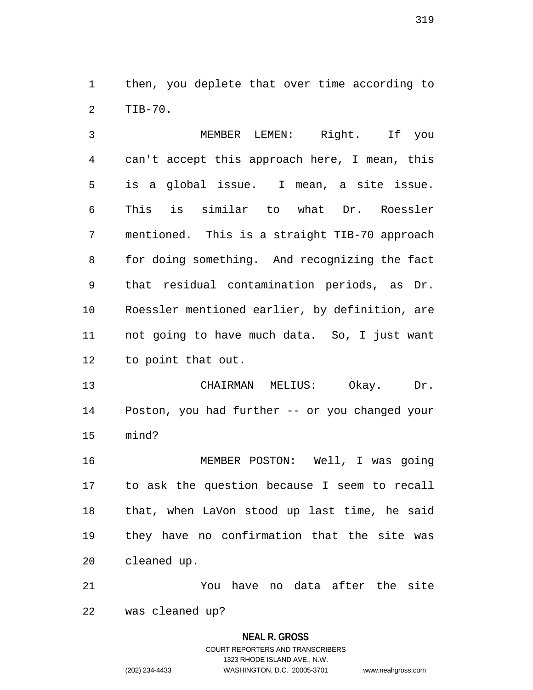1 then, you deplete that over time according to 2 TIB-70.

3 MEMBER LEMEN: Right. If you 4 can't accept this approach here, I mean, this 5 is a global issue. I mean, a site issue. 6 This is similar to what Dr. Roessler 7 mentioned. This is a straight TIB-70 approach 8 for doing something. And recognizing the fact 9 that residual contamination periods, as Dr. 10 Roessler mentioned earlier, by definition, are 11 not going to have much data. So, I just want 12 to point that out.

13 CHAIRMAN MELIUS: Okay. Dr. 14 Poston, you had further -- or you changed your 15 mind?

16 MEMBER POSTON: Well, I was going 17 to ask the question because I seem to recall 18 that, when LaVon stood up last time, he said 19 they have no confirmation that the site was 20 cleaned up.

21 You have no data after the site 22 was cleaned up?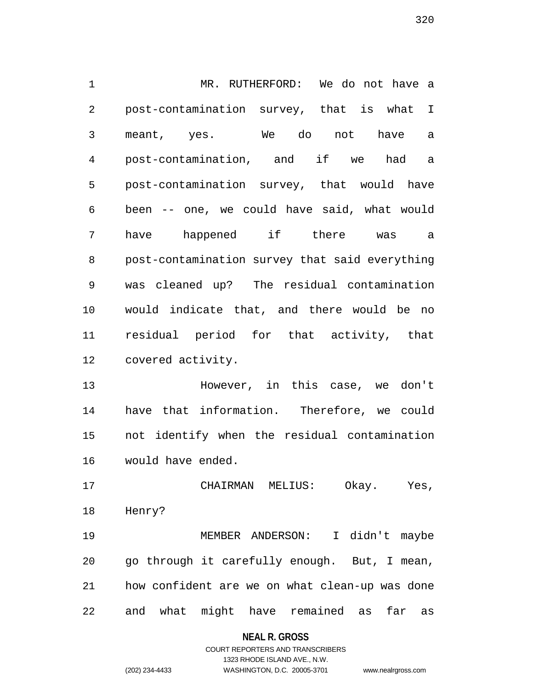1 MR. RUTHERFORD: We do not have a 2 post-contamination survey, that is what I 3 meant, yes. We do not have a 4 post-contamination, and if we had a 5 post-contamination survey, that would have 6 been -- one, we could have said, what would 7 have happened if there was a 8 post-contamination survey that said everything 9 was cleaned up? The residual contamination 10 would indicate that, and there would be no 11 residual period for that activity, that 12 covered activity.

13 However, in this case, we don't 14 have that information. Therefore, we could 15 not identify when the residual contamination 16 would have ended.

17 CHAIRMAN MELIUS: Okay. Yes, 18 Henry?

19 MEMBER ANDERSON: I didn't maybe 20 go through it carefully enough. But, I mean, 21 how confident are we on what clean-up was done 22 and what might have remained as far as

### **NEAL R. GROSS**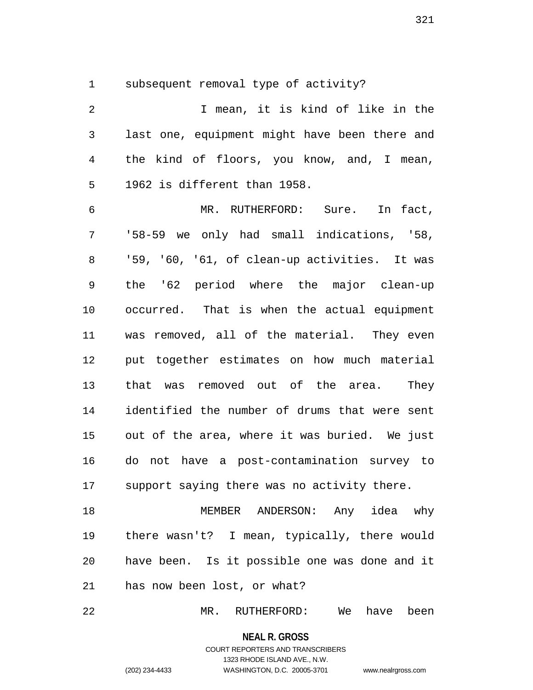1 subsequent removal type of activity?

| $\overline{2}$ | I mean, it is kind of like in the             |
|----------------|-----------------------------------------------|
| $\mathfrak{Z}$ | last one, equipment might have been there and |
| 4              | the kind of floors, you know, and, I mean,    |
| 5              | 1962 is different than 1958.                  |
| 6              | MR. RUTHERFORD: Sure. In fact,                |
| 7              | '58-59 we only had small indications, '58,    |
| 8              | '59, '60, '61, of clean-up activities. It was |
| 9              | the '62 period where the major clean-up       |
| 10             | occurred. That is when the actual equipment   |
| 11             | was removed, all of the material. They even   |
| 12             | put together estimates on how much material   |
| 13             | that was removed out of the area.<br>They     |
| 14             | identified the number of drums that were sent |
| 15             | out of the area, where it was buried. We just |
| 16             | do not have a post-contamination survey to    |
| 17             | support saying there was no activity there.   |
| 18             | MEMBER ANDERSON: Any idea why                 |
| 19             | there wasn't? I mean, typically, there would  |
| 20             | have been. Is it possible one was done and it |
| 21             | has now been lost, or what?                   |

22 MR. RUTHERFORD: We have been

**NEAL R. GROSS**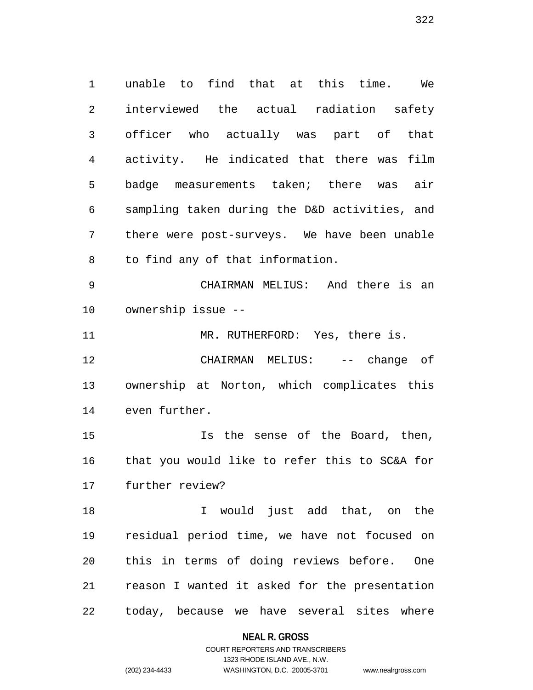1 unable to find that at this time. We 2 interviewed the actual radiation safety 3 officer who actually was part of that 4 activity. He indicated that there was film 5 badge measurements taken; there was air 6 sampling taken during the D&D activities, and 7 there were post-surveys. We have been unable 8 to find any of that information.

9 CHAIRMAN MELIUS: And there is an 10 ownership issue --

11 MR. RUTHERFORD: Yes, there is.

12 CHAIRMAN MELIUS: -- change of 13 ownership at Norton, which complicates this 14 even further.

15 Is the sense of the Board, then, 16 that you would like to refer this to SC&A for 17 further review?

18 I would just add that, on the 19 residual period time, we have not focused on 20 this in terms of doing reviews before. One 21 reason I wanted it asked for the presentation 22 today, because we have several sites where

## **NEAL R. GROSS**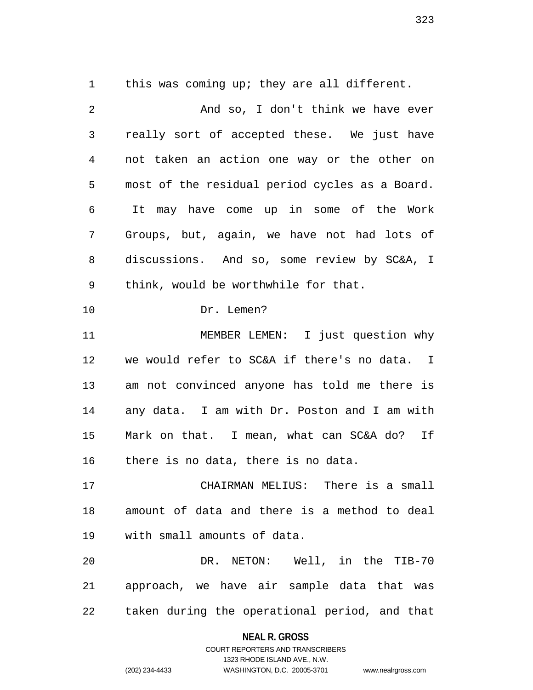1 this was coming up; they are all different.

| $\overline{2}$ | And so, I don't think we have ever             |
|----------------|------------------------------------------------|
| $\mathfrak{Z}$ | really sort of accepted these. We just have    |
| 4              | not taken an action one way or the other on    |
| 5              | most of the residual period cycles as a Board. |
| 6              | It may have come up in some of the Work        |
| 7              | Groups, but, again, we have not had lots of    |
| 8              | discussions. And so, some review by SC&A, I    |
| 9              | think, would be worthwhile for that.           |
| 10             | Dr. Lemen?                                     |
| 11             | MEMBER LEMEN: I just question why              |
| 12             | we would refer to SC&A if there's no data. I   |
| 13             | am not convinced anyone has told me there is   |
| 14             | any data. I am with Dr. Poston and I am with   |
| 15             | Mark on that. I mean, what can SC&A do? If     |
| 16             | there is no data, there is no data.            |
| 17             | CHAIRMAN MELIUS: There is a small              |
| 18             | amount of data and there is a method to deal   |
| 19             | with small amounts of data.                    |
| 20             | DR. NETON: Well, in the TIB-70                 |
| 21             | approach, we have air sample data that was     |
| 22             | taken during the operational period, and that  |

**NEAL R. GROSS** COURT REPORTERS AND TRANSCRIBERS

1323 RHODE ISLAND AVE., N.W.

(202) 234-4433 WASHINGTON, D.C. 20005-3701 www.nealrgross.com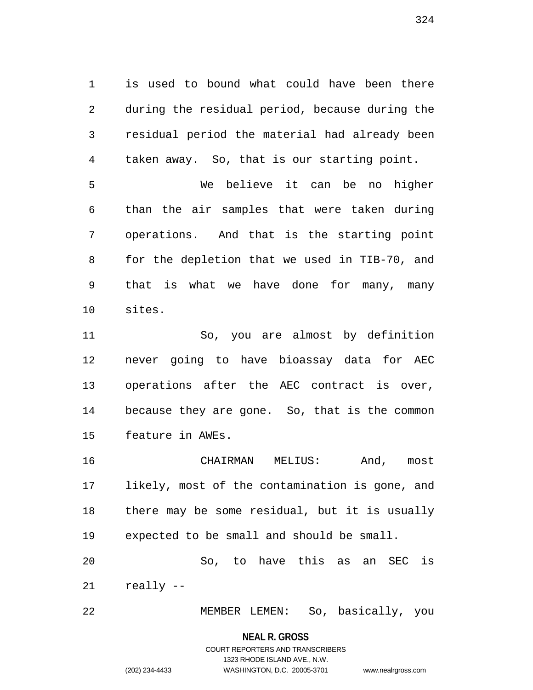1 is used to bound what could have been there 2 during the residual period, because during the 3 residual period the material had already been 4 taken away. So, that is our starting point.

5 We believe it can be no higher 6 than the air samples that were taken during 7 operations. And that is the starting point 8 for the depletion that we used in TIB-70, and 9 that is what we have done for many, many 10 sites.

11 So, you are almost by definition 12 never going to have bioassay data for AEC 13 operations after the AEC contract is over, 14 because they are gone. So, that is the common 15 feature in AWEs.

16 CHAIRMAN MELIUS: And, most 17 likely, most of the contamination is gone, and 18 there may be some residual, but it is usually 19 expected to be small and should be small. 20 So, to have this as an SEC is

21 really --

22 MEMBER LEMEN: So, basically, you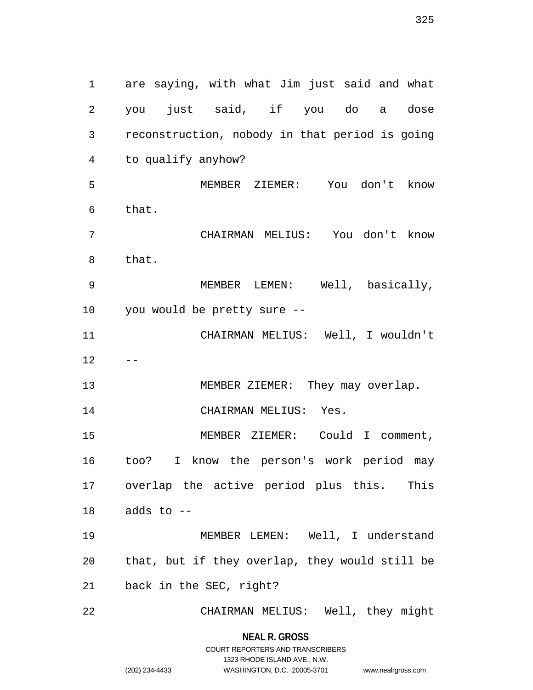1 are saying, with what Jim just said and what 2 you just said, if you do a dose 3 reconstruction, nobody in that period is going 4 to qualify anyhow? 5 MEMBER ZIEMER: You don't know 6 that. 7 CHAIRMAN MELIUS: You don't know 8 that. 9 MEMBER LEMEN: Well, basically, 10 you would be pretty sure -- 11 CHAIRMAN MELIUS: Well, I wouldn't  $12 - -$ 13 MEMBER ZIEMER: They may overlap. 14 CHAIRMAN MELIUS: Yes. 15 MEMBER ZIEMER: Could I comment, 16 too? I know the person's work period may 17 overlap the active period plus this. This  $18$  adds to  $-$ 19 MEMBER LEMEN: Well, I understand 20 that, but if they overlap, they would still be 21 back in the SEC, right? 22 CHAIRMAN MELIUS: Well, they might

> **NEAL R. GROSS** COURT REPORTERS AND TRANSCRIBERS

> > 1323 RHODE ISLAND AVE., N.W.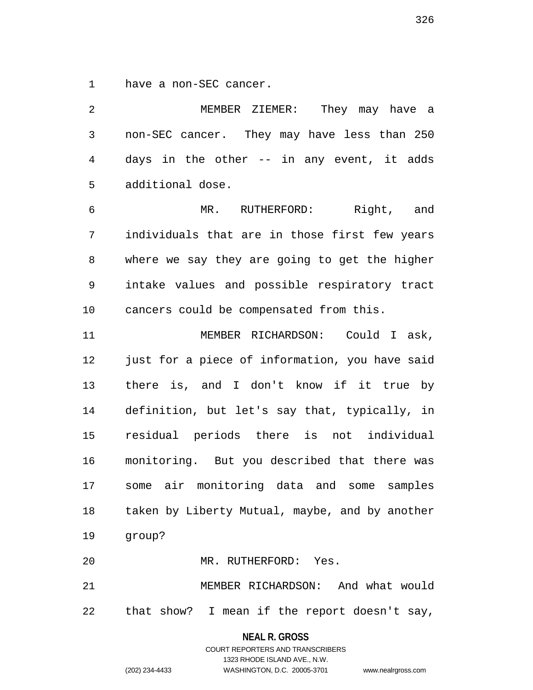1 have a non-SEC cancer.

2 MEMBER ZIEMER: They may have a 3 non-SEC cancer. They may have less than 250 4 days in the other -- in any event, it adds 5 additional dose.

6 MR. RUTHERFORD: Right, and 7 individuals that are in those first few years 8 where we say they are going to get the higher 9 intake values and possible respiratory tract 10 cancers could be compensated from this.

11 MEMBER RICHARDSON: Could I ask, 12 just for a piece of information, you have said 13 there is, and I don't know if it true by 14 definition, but let's say that, typically, in 15 residual periods there is not individual 16 monitoring. But you described that there was 17 some air monitoring data and some samples 18 taken by Liberty Mutual, maybe, and by another 19 group?

20 MR. RUTHERFORD: Yes.

21 MEMBER RICHARDSON: And what would 22 that show? I mean if the report doesn't say,

> **NEAL R. GROSS** COURT REPORTERS AND TRANSCRIBERS

1323 RHODE ISLAND AVE., N.W. (202) 234-4433 WASHINGTON, D.C. 20005-3701 www.nealrgross.com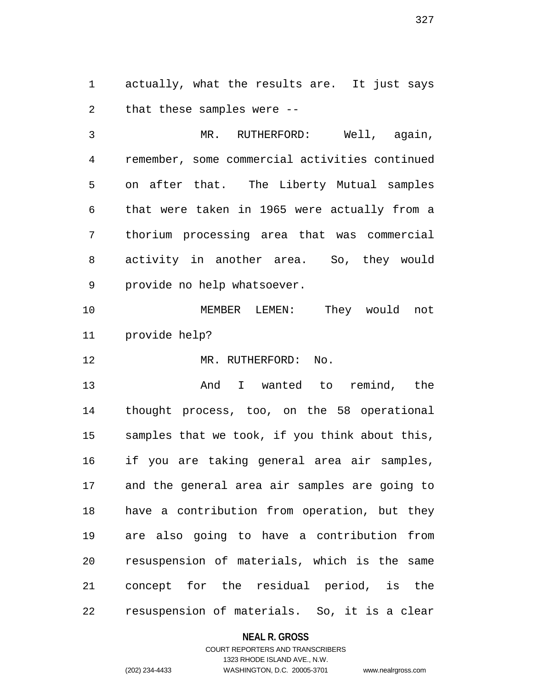1 actually, what the results are. It just says 2 that these samples were --

3 MR. RUTHERFORD: Well, again, 4 remember, some commercial activities continued 5 on after that. The Liberty Mutual samples 6 that were taken in 1965 were actually from a 7 thorium processing area that was commercial 8 activity in another area. So, they would 9 provide no help whatsoever.

10 MEMBER LEMEN: They would not 11 provide help?

12 MR. RUTHERFORD: No.

13 And I wanted to remind, the 14 thought process, too, on the 58 operational 15 samples that we took, if you think about this, 16 if you are taking general area air samples, 17 and the general area air samples are going to 18 have a contribution from operation, but they 19 are also going to have a contribution from 20 resuspension of materials, which is the same 21 concept for the residual period, is the 22 resuspension of materials. So, it is a clear

**NEAL R. GROSS**

# COURT REPORTERS AND TRANSCRIBERS 1323 RHODE ISLAND AVE., N.W. (202) 234-4433 WASHINGTON, D.C. 20005-3701 www.nealrgross.com

327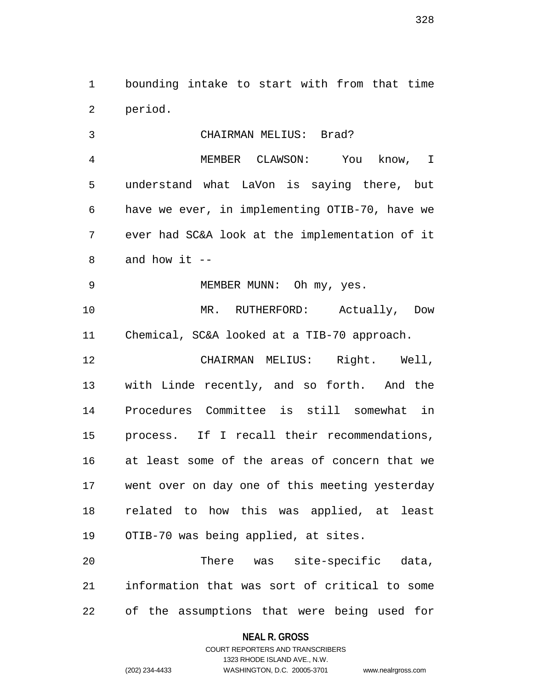1 bounding intake to start with from that time 2 period.

3 CHAIRMAN MELIUS: Brad? 4 MEMBER CLAWSON: You know, I 5 understand what LaVon is saying there, but 6 have we ever, in implementing OTIB-70, have we 7 ever had SC&A look at the implementation of it  $8$  and how it  $-$ 9 MEMBER MUNN: Oh my, yes. 10 MR. RUTHERFORD: Actually, Dow 11 Chemical, SC&A looked at a TIB-70 approach. 12 CHAIRMAN MELIUS: Right. Well, 13 with Linde recently, and so forth. And the 14 Procedures Committee is still somewhat in 15 process. If I recall their recommendations, 16 at least some of the areas of concern that we 17 went over on day one of this meeting yesterday 18 related to how this was applied, at least 19 OTIB-70 was being applied, at sites. 20 There was site-specific data, 21 information that was sort of critical to some

22 of the assumptions that were being used for

**NEAL R. GROSS**

COURT REPORTERS AND TRANSCRIBERS 1323 RHODE ISLAND AVE., N.W. (202) 234-4433 WASHINGTON, D.C. 20005-3701 www.nealrgross.com

328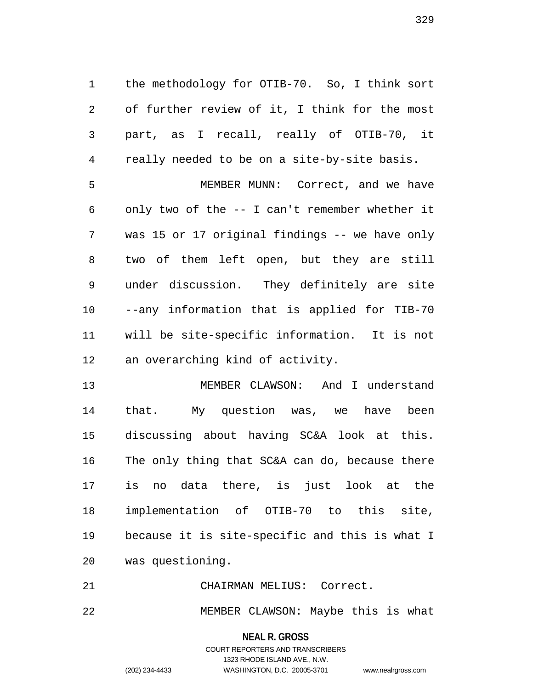1 the methodology for OTIB-70. So, I think sort 2 of further review of it, I think for the most 3 part, as I recall, really of OTIB-70, it 4 really needed to be on a site-by-site basis.

5 MEMBER MUNN: Correct, and we have 6 only two of the -- I can't remember whether it 7 was 15 or 17 original findings -- we have only 8 two of them left open, but they are still 9 under discussion. They definitely are site 10 --any information that is applied for TIB-70 11 will be site-specific information. It is not 12 an overarching kind of activity.

13 MEMBER CLAWSON: And I understand 14 that. My question was, we have been 15 discussing about having SC&A look at this. 16 The only thing that SC&A can do, because there 17 is no data there, is just look at the 18 implementation of OTIB-70 to this site, 19 because it is site-specific and this is what I 20 was questioning.

21 CHAIRMAN MELIUS: Correct.

22 MEMBER CLAWSON: Maybe this is what

**NEAL R. GROSS** COURT REPORTERS AND TRANSCRIBERS

1323 RHODE ISLAND AVE., N.W. (202) 234-4433 WASHINGTON, D.C. 20005-3701 www.nealrgross.com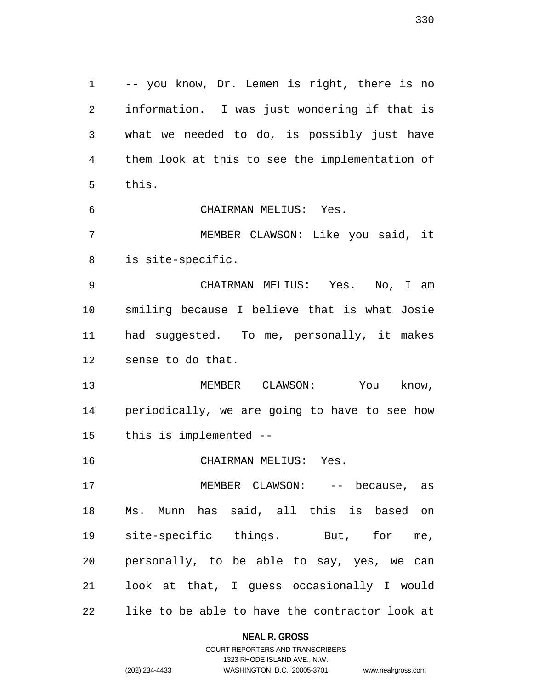1 -- you know, Dr. Lemen is right, there is no 2 information. I was just wondering if that is 3 what we needed to do, is possibly just have 4 them look at this to see the implementation of 5 this. 6 CHAIRMAN MELIUS: Yes. 7 MEMBER CLAWSON: Like you said, it 8 is site-specific. 9 CHAIRMAN MELIUS: Yes. No, I am 10 smiling because I believe that is what Josie 11 had suggested. To me, personally, it makes 12 sense to do that. 13 MEMBER CLAWSON: You know, 14 periodically, we are going to have to see how 15 this is implemented -- 16 CHAIRMAN MELIUS: Yes. 17 MEMBER CLAWSON: -- because, as 18 Ms. Munn has said, all this is based on 19 site-specific things. But, for me, 20 personally, to be able to say, yes, we can 21 look at that, I guess occasionally I would 22 like to be able to have the contractor look at

# **NEAL R. GROSS**

330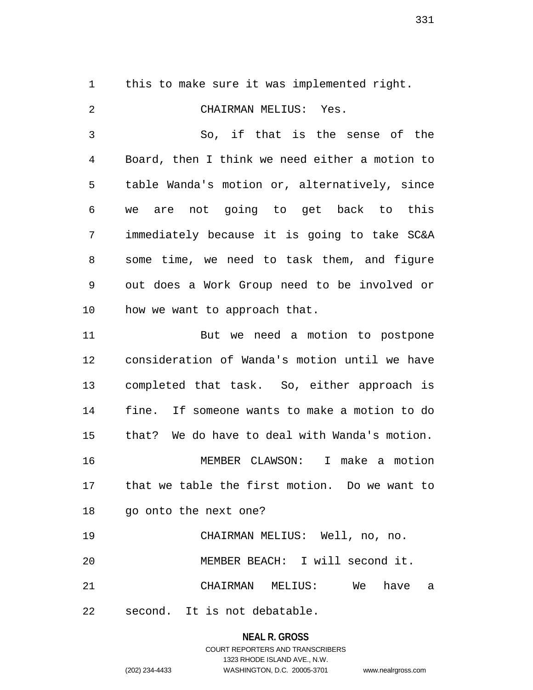1 this to make sure it was implemented right.

2 CHAIRMAN MELIUS: Yes. 3 So, if that is the sense of the 4 Board, then I think we need either a motion to 5 table Wanda's motion or, alternatively, since 6 we are not going to get back to this 7 immediately because it is going to take SC&A 8 some time, we need to task them, and figure 9 out does a Work Group need to be involved or 10 how we want to approach that. 11 But we need a motion to postpone 12 consideration of Wanda's motion until we have 13 completed that task. So, either approach is 14 fine. If someone wants to make a motion to do 15 that? We do have to deal with Wanda's motion. 16 MEMBER CLAWSON: I make a motion 17 that we table the first motion. Do we want to 18 go onto the next one? 19 CHAIRMAN MELIUS: Well, no, no. 20 MEMBER BEACH: I will second it.

22 second. It is not debatable.

**NEAL R. GROSS** COURT REPORTERS AND TRANSCRIBERS 1323 RHODE ISLAND AVE., N.W.

21 CHAIRMAN MELIUS: We have a

(202) 234-4433 WASHINGTON, D.C. 20005-3701 www.nealrgross.com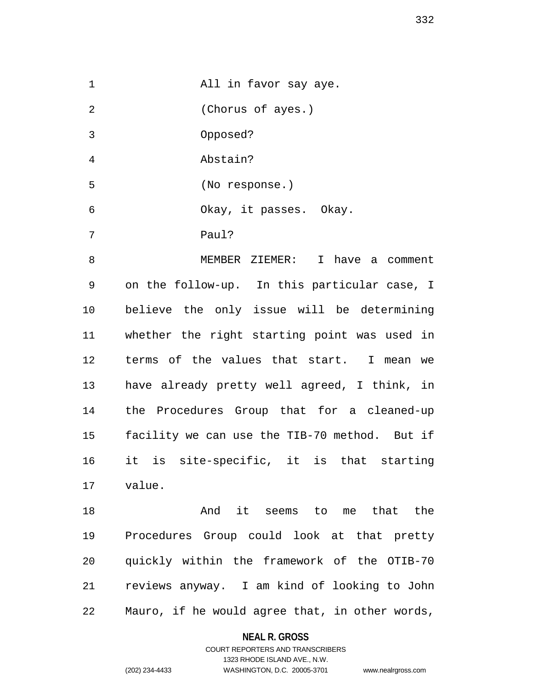| $\mathbf{1}$   | All in favor say aye.                         |
|----------------|-----------------------------------------------|
| $\overline{2}$ | (Chorus of ayes.)                             |
| 3              | Opposed?                                      |
| $\overline{4}$ | Abstain?                                      |
| 5              | (No response.)                                |
| 6              | Okay, it passes. Okay.                        |
| 7              | Paul?                                         |
| 8              | MEMBER ZIEMER: I have a comment               |
| 9              | on the follow-up. In this particular case, I  |
| 10             | believe the only issue will be determining    |
| 11             | whether the right starting point was used in  |
| 12             | terms of the values that start. I mean we     |
| 13             | have already pretty well agreed, I think, in  |
| 14             | the Procedures Group that for a cleaned-up    |
| 15             | facility we can use the TIB-70 method. But if |
| 16 —           | it is site-specific, it is that starting      |
|                | 17 value.                                     |
| 18             | And it seems to me that the                   |
| 19             | Procedures Group could look at that pretty    |

21 reviews anyway. I am kind of looking to John 22 Mauro, if he would agree that, in other words,

20 quickly within the framework of the OTIB-70

# **NEAL R. GROSS**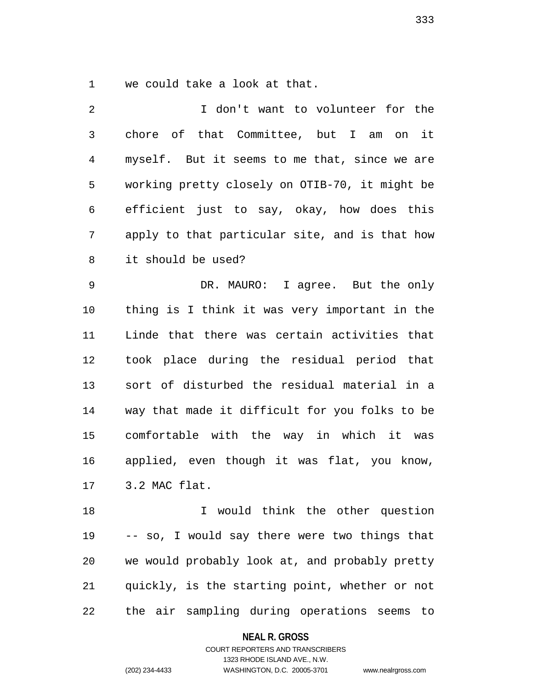1 we could take a look at that.

2 I don't want to volunteer for the 3 chore of that Committee, but I am on it 4 myself. But it seems to me that, since we are 5 working pretty closely on OTIB-70, it might be 6 efficient just to say, okay, how does this 7 apply to that particular site, and is that how 8 it should be used? 9 DR. MAURO: I agree. But the only 10 thing is I think it was very important in the 11 Linde that there was certain activities that 12 took place during the residual period that 13 sort of disturbed the residual material in a 14 way that made it difficult for you folks to be 15 comfortable with the way in which it was 16 applied, even though it was flat, you know, 17 3.2 MAC flat. 18 I would think the other question 19 -- so, I would say there were two things that 20 we would probably look at, and probably pretty

22 the air sampling during operations seems to

21 quickly, is the starting point, whether or not

**NEAL R. GROSS**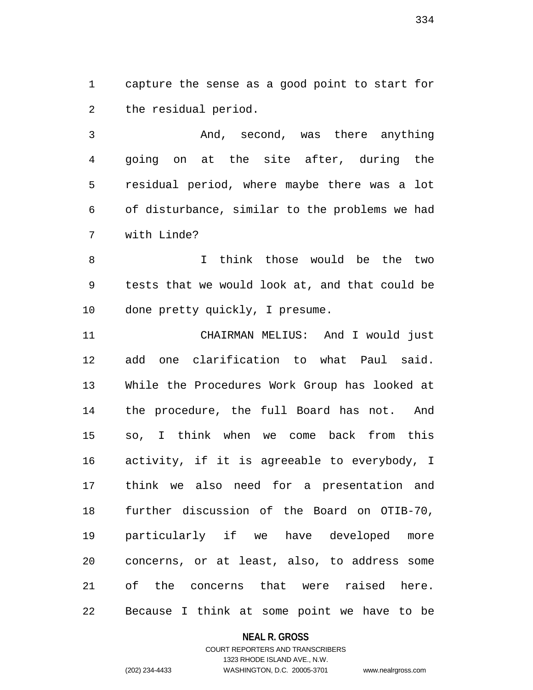1 capture the sense as a good point to start for 2 the residual period.

3 And, second, was there anything 4 going on at the site after, during the 5 residual period, where maybe there was a lot 6 of disturbance, similar to the problems we had 7 with Linde?

8 I think those would be the two 9 tests that we would look at, and that could be 10 done pretty quickly, I presume.

11 CHAIRMAN MELIUS: And I would just 12 add one clarification to what Paul said. 13 While the Procedures Work Group has looked at 14 the procedure, the full Board has not. And 15 so, I think when we come back from this 16 activity, if it is agreeable to everybody, I 17 think we also need for a presentation and 18 further discussion of the Board on OTIB-70, 19 particularly if we have developed more 20 concerns, or at least, also, to address some 21 of the concerns that were raised here. 22 Because I think at some point we have to be

### **NEAL R. GROSS**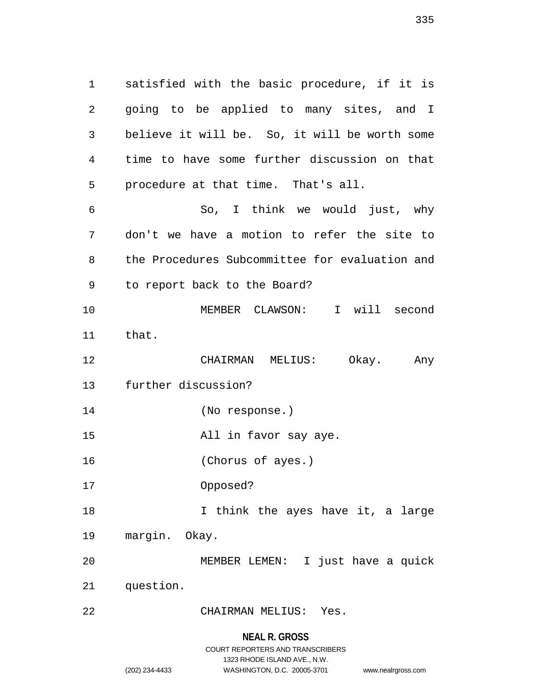1 satisfied with the basic procedure, if it is 2 going to be applied to many sites, and I 3 believe it will be. So, it will be worth some 4 time to have some further discussion on that 5 procedure at that time. That's all. 6 So, I think we would just, why 7 don't we have a motion to refer the site to 8 the Procedures Subcommittee for evaluation and 9 to report back to the Board? 10 MEMBER CLAWSON: I will second 11 that. 12 CHAIRMAN MELIUS: Okay. Any 13 further discussion? 14 (No response.) 15 All in favor say aye. 16 (Chorus of ayes.) 17 Opposed? 18 18 I think the ayes have it, a large 19 margin. Okay. 20 MEMBER LEMEN: I just have a quick 21 question. 22 CHAIRMAN MELIUS: Yes.

### **NEAL R. GROSS**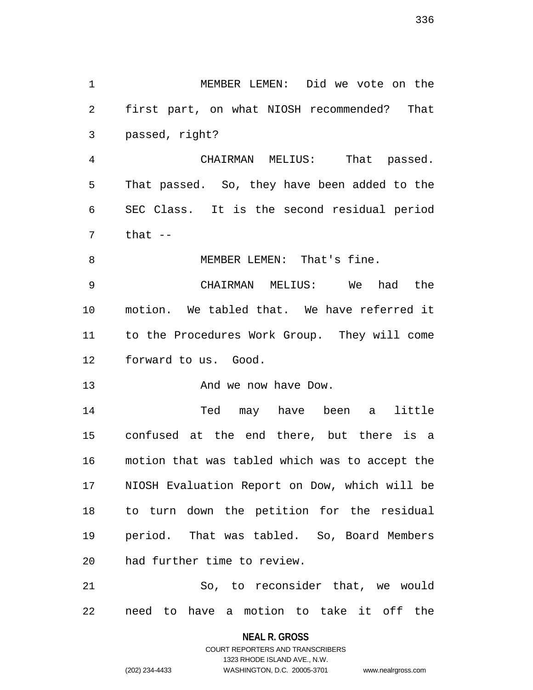1 MEMBER LEMEN: Did we vote on the 2 first part, on what NIOSH recommended? That 4 CHAIRMAN MELIUS: That passed. 5 That passed. So, they have been added to the 9 CHAIRMAN MELIUS: We had the

6 SEC Class. It is the second residual period  $7$  that  $-$ 8 MEMBER LEMEN: That's fine.

10 motion. We tabled that. We have referred it 11 to the Procedures Work Group. They will come 12 forward to us. Good.

13 And we now have Dow.

3 passed, right?

14 Ted may have been a little 15 confused at the end there, but there is a 16 motion that was tabled which was to accept the 17 NIOSH Evaluation Report on Dow, which will be 18 to turn down the petition for the residual 19 period. That was tabled. So, Board Members 20 had further time to review.

21 So, to reconsider that, we would 22 need to have a motion to take it off the

> **NEAL R. GROSS** COURT REPORTERS AND TRANSCRIBERS

> > 1323 RHODE ISLAND AVE., N.W.

(202) 234-4433 WASHINGTON, D.C. 20005-3701 www.nealrgross.com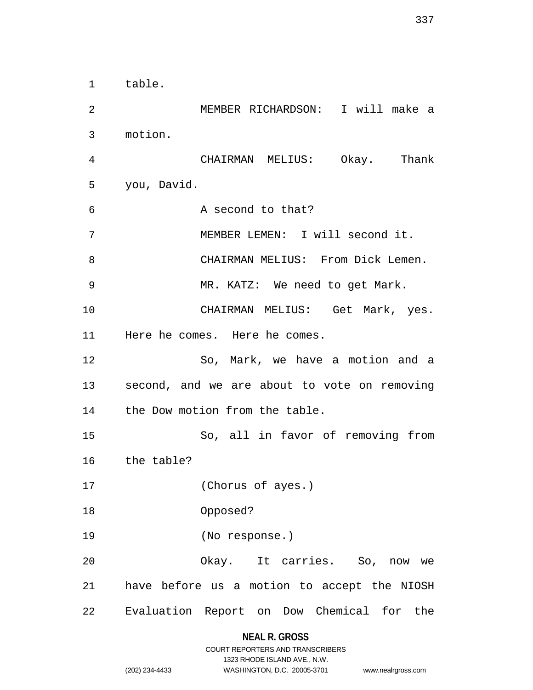1 table. 2 MEMBER RICHARDSON: I will make a 3 motion. 4 CHAIRMAN MELIUS: Okay. Thank 5 you, David. 6 A second to that? 7 MEMBER LEMEN: I will second it. 8 CHAIRMAN MELIUS: From Dick Lemen. 9 MR. KATZ: We need to get Mark. 10 CHAIRMAN MELIUS: Get Mark, yes. 11 Here he comes. Here he comes. 12 So, Mark, we have a motion and a 13 second, and we are about to vote on removing 14 the Dow motion from the table. 15 So, all in favor of removing from 16 the table? 17 (Chorus of ayes.) 18 Opposed? 19 (No response.) 20 Okay. It carries. So, now we 21 have before us a motion to accept the NIOSH 22 Evaluation Report on Dow Chemical for the

# **NEAL R. GROSS**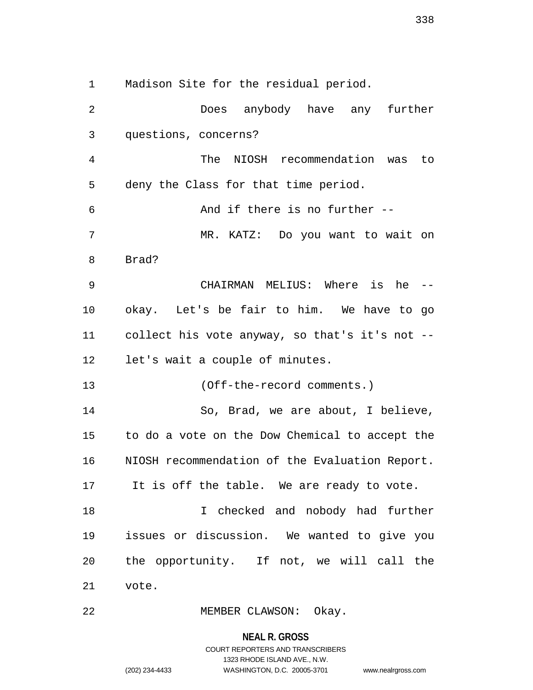1 Madison Site for the residual period.

2 Does anybody have any further 3 questions, concerns? 4 The NIOSH recommendation was to 5 deny the Class for that time period. 6 And if there is no further -- 7 MR. KATZ: Do you want to wait on 8 Brad? 9 CHAIRMAN MELIUS: Where is he -- 10 okay. Let's be fair to him. We have to go 11 collect his vote anyway, so that's it's not -- 12 let's wait a couple of minutes. 13 (Off-the-record comments.) 14 So, Brad, we are about, I believe, 15 to do a vote on the Dow Chemical to accept the 16 NIOSH recommendation of the Evaluation Report. 17 It is off the table. We are ready to vote. 18 I checked and nobody had further 19 issues or discussion. We wanted to give you 20 the opportunity. If not, we will call the 21 vote.

22 MEMBER CLAWSON: Okay.

**NEAL R. GROSS**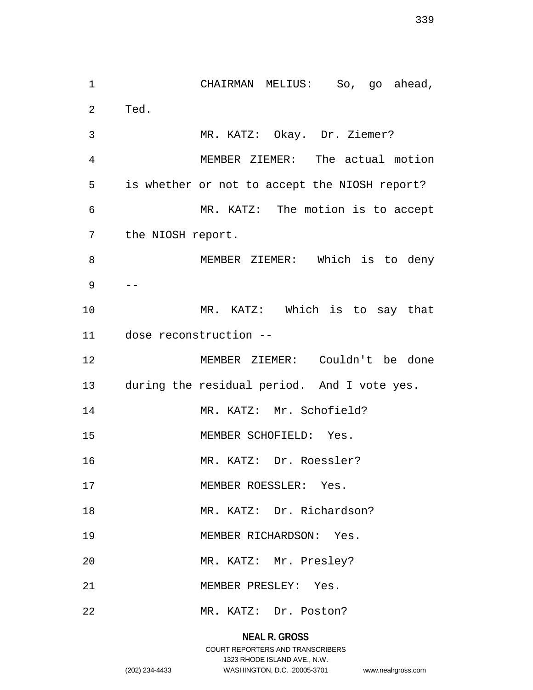1 CHAIRMAN MELIUS: So, go ahead, 2 Ted. 3 MR. KATZ: Okay. Dr. Ziemer? 4 MEMBER ZIEMER: The actual motion 5 is whether or not to accept the NIOSH report? 6 MR. KATZ: The motion is to accept 7 the NIOSH report. 8 MEMBER ZIEMER: Which is to deny 9 -- 10 MR. KATZ: Which is to say that 11 dose reconstruction -- 12 MEMBER ZIEMER: Couldn't be done 13 during the residual period. And I vote yes. 14 MR. KATZ: Mr. Schofield? 15 MEMBER SCHOFIELD: Yes. 16 MR. KATZ: Dr. Roessler? 17 MEMBER ROESSLER: Yes. 18 MR. KATZ: Dr. Richardson? 19 MEMBER RICHARDSON: Yes. 20 MR. KATZ: Mr. Presley? 21 MEMBER PRESLEY: Yes. 22 MR. KATZ: Dr. Poston?

# **NEAL R. GROSS**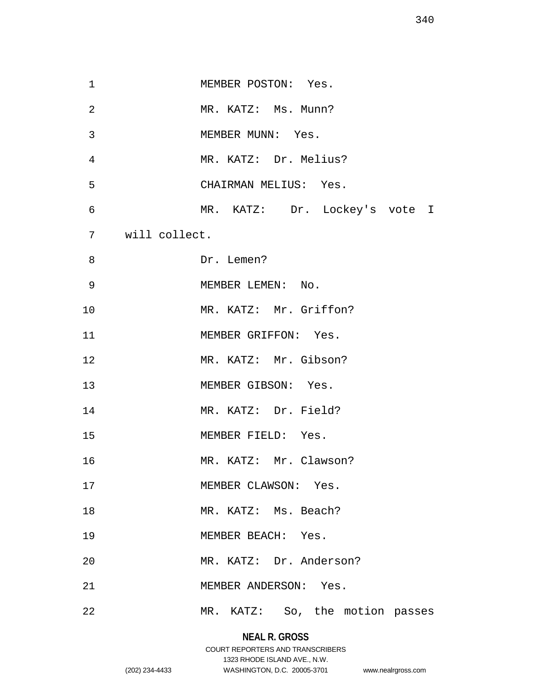| $\mathbf 1$ | MEMBER POSTON: Yes.             |
|-------------|---------------------------------|
| 2           | MR. KATZ: Ms. Munn?             |
| 3           | MEMBER MUNN: Yes.               |
| 4           | MR. KATZ: Dr. Melius?           |
| 5           | CHAIRMAN MELIUS: Yes.           |
| 6           | MR. KATZ: Dr. Lockey's vote I   |
| 7           | will collect.                   |
| 8           | Dr. Lemen?                      |
| 9           | MEMBER LEMEN: No.               |
| 10          | MR. KATZ: Mr. Griffon?          |
| 11          | MEMBER GRIFFON: Yes.            |
| 12          | MR. KATZ: Mr. Gibson?           |
| 13          | MEMBER GIBSON: Yes.             |
| 14          | MR. KATZ: Dr. Field?            |
| 15          | MEMBER FIELD: Yes.              |
| 16          | MR. KATZ: Mr. Clawson?          |
| 17          | MEMBER CLAWSON: Yes.            |
| 18          | MR. KATZ: Ms. Beach?            |
| 19          | MEMBER BEACH: Yes.              |
| 20          | MR. KATZ: Dr. Anderson?         |
| 21          | MEMBER ANDERSON: Yes.           |
| 22          | MR. KATZ: So, the motion passes |

# **NEAL R. GROSS** COURT REPORTERS AND TRANSCRIBERS 1323 RHODE ISLAND AVE., N.W.

(202) 234-4433 WASHINGTON, D.C. 20005-3701 www.nealrgross.com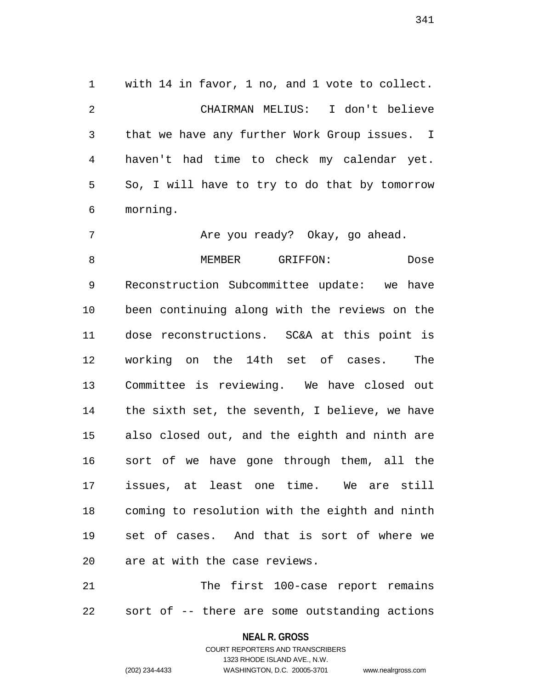1 with 14 in favor, 1 no, and 1 vote to collect. 2 CHAIRMAN MELIUS: I don't believe 3 that we have any further Work Group issues. I 4 haven't had time to check my calendar yet. 5 So, I will have to try to do that by tomorrow 6 morning.

7 Are you ready? Okay, go ahead. 8 MEMBER GRIFFON: Dose 9 Reconstruction Subcommittee update: we have 10 been continuing along with the reviews on the 11 dose reconstructions. SC&A at this point is 12 working on the 14th set of cases. The 13 Committee is reviewing. We have closed out 14 the sixth set, the seventh, I believe, we have 15 also closed out, and the eighth and ninth are 16 sort of we have gone through them, all the 17 issues, at least one time. We are still 18 coming to resolution with the eighth and ninth 19 set of cases. And that is sort of where we 20 are at with the case reviews.

21 The first 100-case report remains 22 sort of -- there are some outstanding actions

#### **NEAL R. GROSS**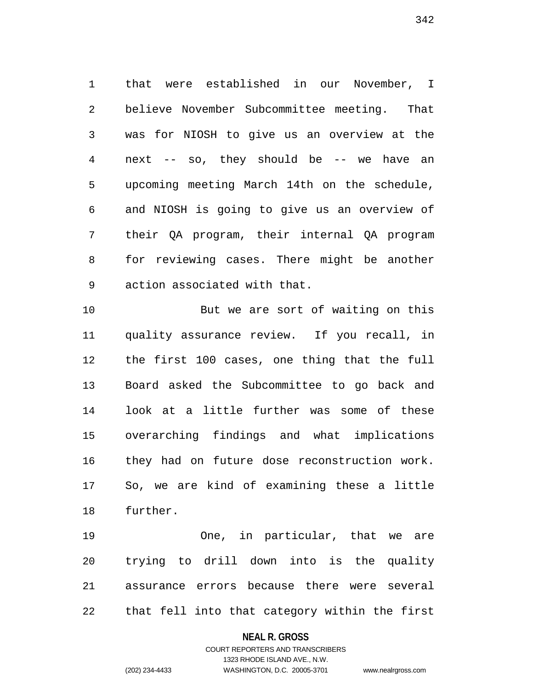1 that were established in our November, I 2 believe November Subcommittee meeting. That 3 was for NIOSH to give us an overview at the 4 next -- so, they should be -- we have an 5 upcoming meeting March 14th on the schedule, 6 and NIOSH is going to give us an overview of 7 their QA program, their internal QA program 8 for reviewing cases. There might be another 9 action associated with that.

10 But we are sort of waiting on this 11 quality assurance review. If you recall, in 12 the first 100 cases, one thing that the full 13 Board asked the Subcommittee to go back and 14 look at a little further was some of these 15 overarching findings and what implications 16 they had on future dose reconstruction work. 17 So, we are kind of examining these a little 18 further.

19 One, in particular, that we are 20 trying to drill down into is the quality 21 assurance errors because there were several 22 that fell into that category within the first

### **NEAL R. GROSS**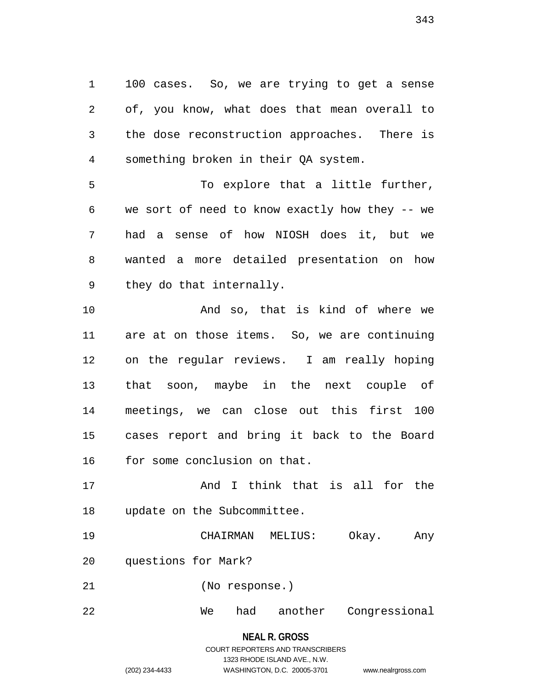1 100 cases. So, we are trying to get a sense 2 of, you know, what does that mean overall to 3 the dose reconstruction approaches. There is 4 something broken in their QA system.

5 To explore that a little further, 6 we sort of need to know exactly how they -- we 7 had a sense of how NIOSH does it, but we 8 wanted a more detailed presentation on how 9 they do that internally.

10 And so, that is kind of where we 11 are at on those items. So, we are continuing 12 on the regular reviews. I am really hoping 13 that soon, maybe in the next couple of 14 meetings, we can close out this first 100 15 cases report and bring it back to the Board 16 for some conclusion on that.

17 And I think that is all for the 18 update on the Subcommittee.

19 CHAIRMAN MELIUS: Okay. Any 20 questions for Mark?

21 (No response.)

22 We had another Congressional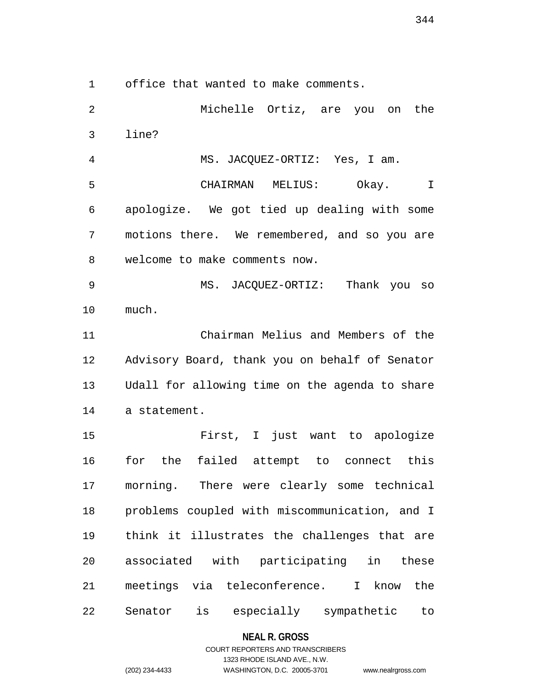1 office that wanted to make comments.

2 Michelle Ortiz, are you on the 3 line? 4 MS. JACQUEZ-ORTIZ: Yes, I am. 5 CHAIRMAN MELIUS: Okay. I 6 apologize. We got tied up dealing with some 7 motions there. We remembered, and so you are 8 welcome to make comments now. 9 MS. JACQUEZ-ORTIZ: Thank you so 10 much. 11 Chairman Melius and Members of the 12 Advisory Board, thank you on behalf of Senator 13 Udall for allowing time on the agenda to share 14 a statement. 15 First, I just want to apologize 16 for the failed attempt to connect this 17 morning. There were clearly some technical 18 problems coupled with miscommunication, and I 19 think it illustrates the challenges that are 20 associated with participating in these 21 meetings via teleconference. I know the 22 Senator is especially sympathetic to

#### **NEAL R. GROSS**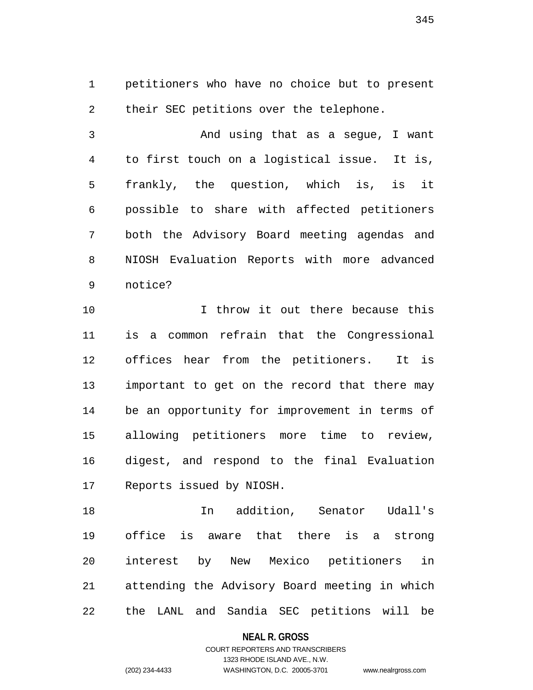1 petitioners who have no choice but to present 2 their SEC petitions over the telephone.

3 And using that as a segue, I want 4 to first touch on a logistical issue. It is, 5 frankly, the question, which is, is it 6 possible to share with affected petitioners 7 both the Advisory Board meeting agendas and 8 NIOSH Evaluation Reports with more advanced 9 notice?

10 I throw it out there because this 11 is a common refrain that the Congressional 12 offices hear from the petitioners. It is 13 important to get on the record that there may 14 be an opportunity for improvement in terms of 15 allowing petitioners more time to review, 16 digest, and respond to the final Evaluation 17 Reports issued by NIOSH.

18 In addition, Senator Udall's 19 office is aware that there is a strong 20 interest by New Mexico petitioners in 21 attending the Advisory Board meeting in which 22 the LANL and Sandia SEC petitions will be

**NEAL R. GROSS**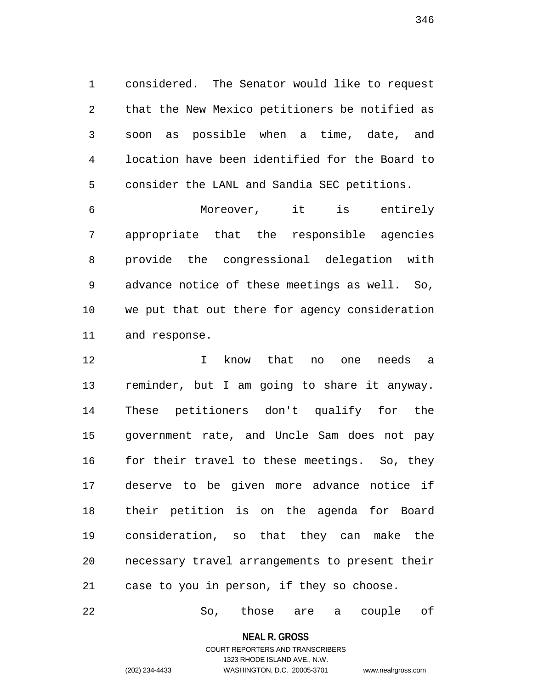1 considered. The Senator would like to request 2 that the New Mexico petitioners be notified as 3 soon as possible when a time, date, and 4 location have been identified for the Board to 5 consider the LANL and Sandia SEC petitions.

6 Moreover, it is entirely 7 appropriate that the responsible agencies 8 provide the congressional delegation with 9 advance notice of these meetings as well. So, 10 we put that out there for agency consideration 11 and response.

12 I know that no one needs a 13 reminder, but I am going to share it anyway. 14 These petitioners don't qualify for the 15 government rate, and Uncle Sam does not pay 16 for their travel to these meetings. So, they 17 deserve to be given more advance notice if 18 their petition is on the agenda for Board 19 consideration, so that they can make the 20 necessary travel arrangements to present their 21 case to you in person, if they so choose.

22 So, those are a couple of

**NEAL R. GROSS**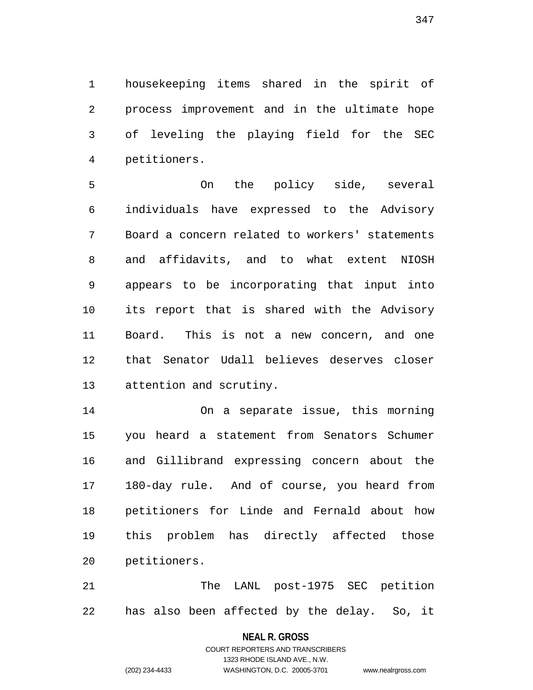1 housekeeping items shared in the spirit of 2 process improvement and in the ultimate hope 3 of leveling the playing field for the SEC 4 petitioners.

5 On the policy side, several 6 individuals have expressed to the Advisory 7 Board a concern related to workers' statements 8 and affidavits, and to what extent NIOSH 9 appears to be incorporating that input into 10 its report that is shared with the Advisory 11 Board. This is not a new concern, and one 12 that Senator Udall believes deserves closer 13 attention and scrutiny.

14 On a separate issue, this morning 15 you heard a statement from Senators Schumer 16 and Gillibrand expressing concern about the 17 180-day rule. And of course, you heard from 18 petitioners for Linde and Fernald about how 19 this problem has directly affected those 20 petitioners.

21 The LANL post-1975 SEC petition 22 has also been affected by the delay. So, it

### **NEAL R. GROSS**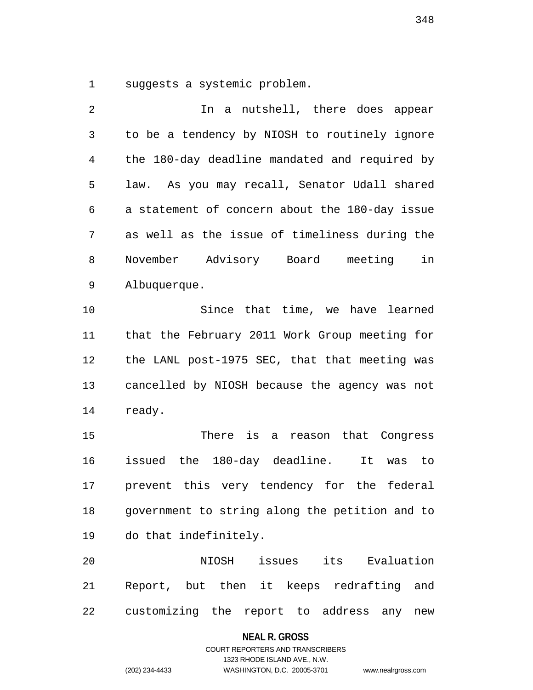1 suggests a systemic problem.

| 2  | In a nutshell, there does appear                |
|----|-------------------------------------------------|
| 3  | to be a tendency by NIOSH to routinely ignore   |
| 4  | the 180-day deadline mandated and required by   |
| 5  | law. As you may recall, Senator Udall shared    |
| 6  | a statement of concern about the 180-day issue  |
| 7  | as well as the issue of timeliness during the   |
| 8  | November Advisory Board meeting<br>in           |
| 9  | Albuquerque.                                    |
| 10 | Since that time, we have learned                |
| 11 | that the February 2011 Work Group meeting for   |
| 12 | the LANL post-1975 SEC, that that meeting was   |
| 13 | cancelled by NIOSH because the agency was not   |
| 14 | ready.                                          |
| 15 | There is a reason that Congress                 |
| 16 | issued the 180-day deadline.<br>It<br>was to    |
| 17 | prevent this very tendency for the federal      |
| 18 | government to string along the petition and to  |
| 19 | do that indefinitely.                           |
| 20 | issues its Evaluation<br>NIOSH                  |
| 21 | Report, but then it keeps redrafting and        |
| 22 | customizing the report to address<br>any<br>new |

**NEAL R. GROSS**

# COURT REPORTERS AND TRANSCRIBERS 1323 RHODE ISLAND AVE., N.W. (202) 234-4433 WASHINGTON, D.C. 20005-3701 www.nealrgross.com

348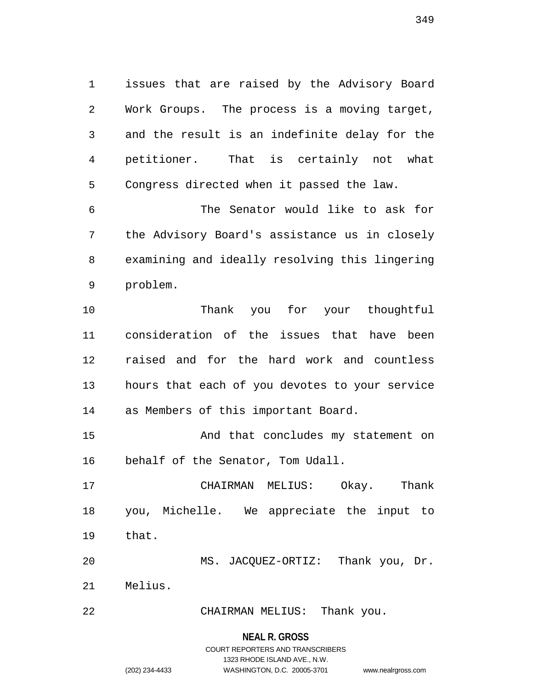1 issues that are raised by the Advisory Board 2 Work Groups. The process is a moving target, 3 and the result is an indefinite delay for the 4 petitioner. That is certainly not what 5 Congress directed when it passed the law.

6 The Senator would like to ask for 7 the Advisory Board's assistance us in closely 8 examining and ideally resolving this lingering 9 problem.

10 Thank you for your thoughtful 11 consideration of the issues that have been 12 raised and for the hard work and countless 13 hours that each of you devotes to your service 14 as Members of this important Board.

15 And that concludes my statement on 16 behalf of the Senator, Tom Udall.

17 CHAIRMAN MELIUS: Okay. Thank 18 you, Michelle. We appreciate the input to 19 that.

20 MS. JACQUEZ-ORTIZ: Thank you, Dr. 21 Melius.

22 CHAIRMAN MELIUS: Thank you.

#### **NEAL R. GROSS**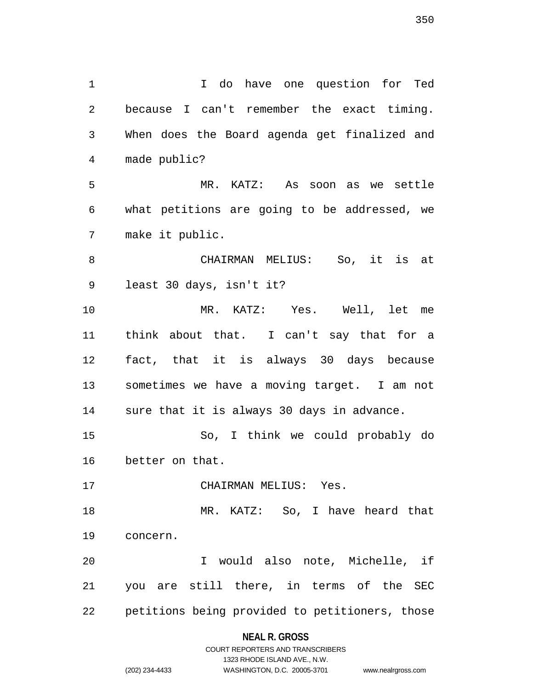1 I do have one question for Ted 2 because I can't remember the exact timing. 3 When does the Board agenda get finalized and 4 made public? 5 MR. KATZ: As soon as we settle 6 what petitions are going to be addressed, we 7 make it public. 8 CHAIRMAN MELIUS: So, it is at 9 least 30 days, isn't it? 10 MR. KATZ: Yes. Well, let me 11 think about that. I can't say that for a 12 fact, that it is always 30 days because 13 sometimes we have a moving target. I am not 14 sure that it is always 30 days in advance. 15 So, I think we could probably do 16 better on that. 17 CHAIRMAN MELIUS: Yes. 18 MR. KATZ: So, I have heard that 19 concern. 20 I would also note, Michelle, if 21 you are still there, in terms of the SEC 22 petitions being provided to petitioners, those

# **NEAL R. GROSS**

COURT REPORTERS AND TRANSCRIBERS 1323 RHODE ISLAND AVE., N.W. (202) 234-4433 WASHINGTON, D.C. 20005-3701 www.nealrgross.com

350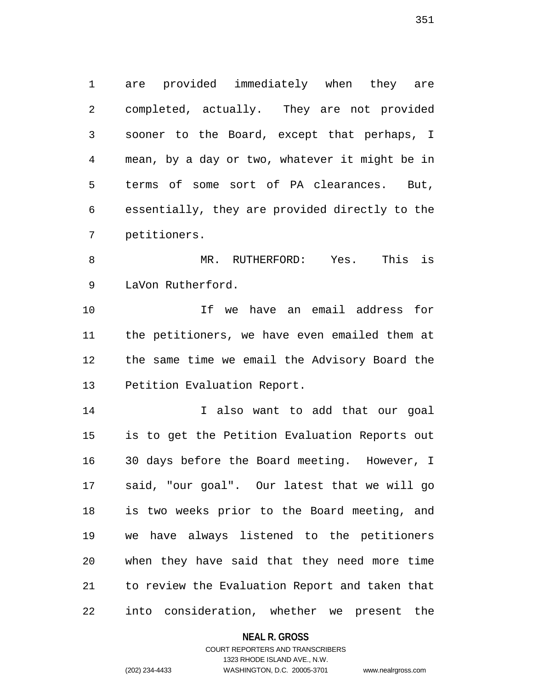1 are provided immediately when they are 2 completed, actually. They are not provided 3 sooner to the Board, except that perhaps, I 4 mean, by a day or two, whatever it might be in 5 terms of some sort of PA clearances. But, 6 essentially, they are provided directly to the 7 petitioners.

8 MR. RUTHERFORD: Yes. This is 9 LaVon Rutherford.

10 If we have an email address for 11 the petitioners, we have even emailed them at 12 the same time we email the Advisory Board the 13 Petition Evaluation Report.

14 I also want to add that our goal 15 is to get the Petition Evaluation Reports out 16 30 days before the Board meeting. However, I 17 said, "our goal". Our latest that we will go 18 is two weeks prior to the Board meeting, and 19 we have always listened to the petitioners 20 when they have said that they need more time 21 to review the Evaluation Report and taken that 22 into consideration, whether we present the

### **NEAL R. GROSS**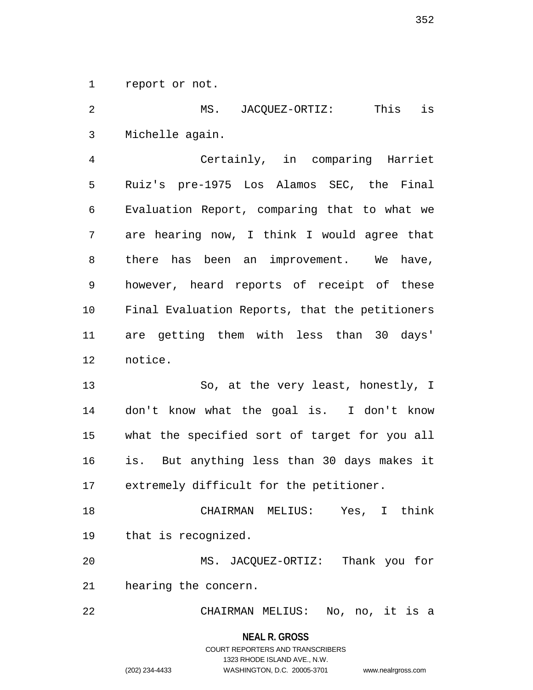1 report or not.

2 MS. JACQUEZ-ORTIZ: This is 3 Michelle again.

4 Certainly, in comparing Harriet 5 Ruiz's pre-1975 Los Alamos SEC, the Final 6 Evaluation Report, comparing that to what we 7 are hearing now, I think I would agree that 8 there has been an improvement. We have, 9 however, heard reports of receipt of these 10 Final Evaluation Reports, that the petitioners 11 are getting them with less than 30 days' 12 notice.

13 So, at the very least, honestly, I 14 don't know what the goal is. I don't know 15 what the specified sort of target for you all 16 is. But anything less than 30 days makes it 17 extremely difficult for the petitioner.

18 CHAIRMAN MELIUS: Yes, I think 19 that is recognized.

20 MS. JACQUEZ-ORTIZ: Thank you for 21 hearing the concern.

22 CHAIRMAN MELIUS: No, no, it is a

**NEAL R. GROSS**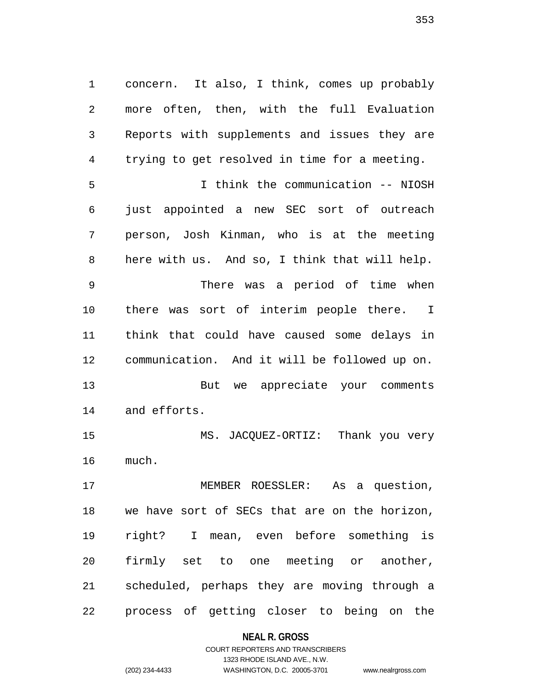1 concern. It also, I think, comes up probably 2 more often, then, with the full Evaluation 3 Reports with supplements and issues they are 4 trying to get resolved in time for a meeting. 5 I think the communication -- NIOSH 6 just appointed a new SEC sort of outreach 7 person, Josh Kinman, who is at the meeting 8 here with us. And so, I think that will help. 9 There was a period of time when 10 there was sort of interim people there. I 11 think that could have caused some delays in 12 communication. And it will be followed up on. 13 But we appreciate your comments 14 and efforts. 15 MS. JACQUEZ-ORTIZ: Thank you very

17 MEMBER ROESSLER: As a question, 18 we have sort of SECs that are on the horizon, 19 right? I mean, even before something is 20 firmly set to one meeting or another, 21 scheduled, perhaps they are moving through a 22 process of getting closer to being on the

### **NEAL R. GROSS**

# COURT REPORTERS AND TRANSCRIBERS 1323 RHODE ISLAND AVE., N.W. (202) 234-4433 WASHINGTON, D.C. 20005-3701 www.nealrgross.com

16 much.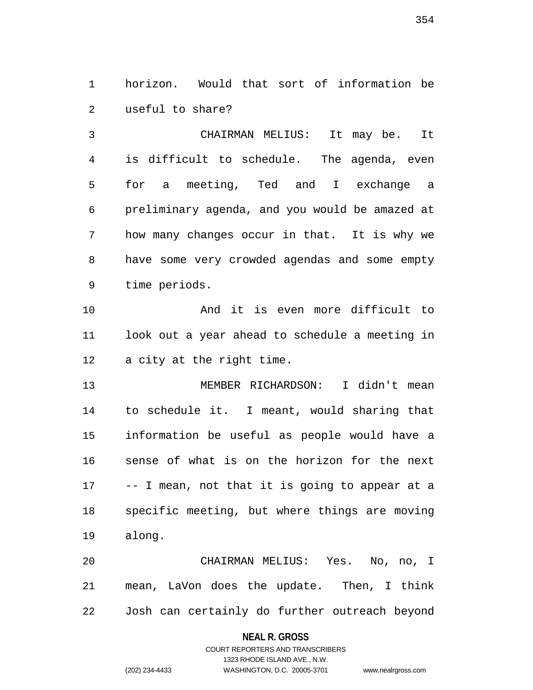1 horizon. Would that sort of information be 2 useful to share?

3 CHAIRMAN MELIUS: It may be. It 4 is difficult to schedule. The agenda, even 5 for a meeting, Ted and I exchange a 6 preliminary agenda, and you would be amazed at 7 how many changes occur in that. It is why we 8 have some very crowded agendas and some empty 9 time periods.

10 And it is even more difficult to 11 look out a year ahead to schedule a meeting in 12 a city at the right time.

13 MEMBER RICHARDSON: I didn't mean 14 to schedule it. I meant, would sharing that 15 information be useful as people would have a 16 sense of what is on the horizon for the next 17 -- I mean, not that it is going to appear at a 18 specific meeting, but where things are moving 19 along.

20 CHAIRMAN MELIUS: Yes. No, no, I 21 mean, LaVon does the update. Then, I think 22 Josh can certainly do further outreach beyond

### **NEAL R. GROSS**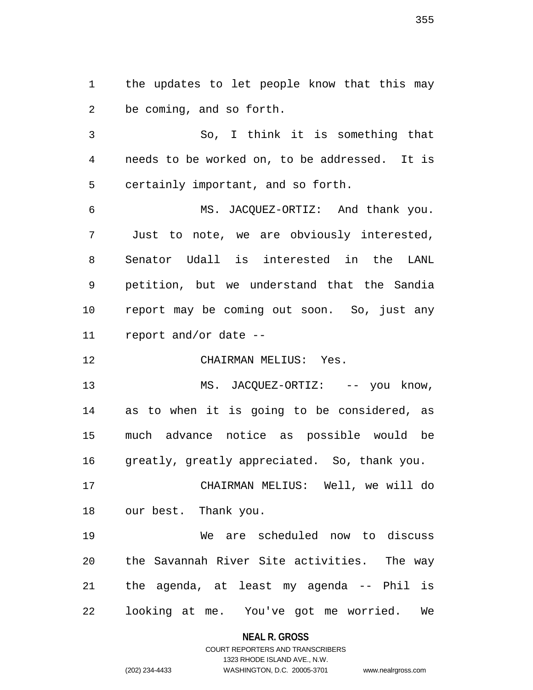1 the updates to let people know that this may 2 be coming, and so forth.

3 So, I think it is something that 4 needs to be worked on, to be addressed. It is 5 certainly important, and so forth.

6 MS. JACQUEZ-ORTIZ: And thank you. 7 Just to note, we are obviously interested, 8 Senator Udall is interested in the LANL 9 petition, but we understand that the Sandia 10 report may be coming out soon. So, just any 11 report and/or date --

12 CHAIRMAN MELIUS: Yes.

13 MS. JACQUEZ-ORTIZ: -- you know, 14 as to when it is going to be considered, as 15 much advance notice as possible would be 16 greatly, greatly appreciated. So, thank you.

17 CHAIRMAN MELIUS: Well, we will do 18 our best. Thank you.

19 We are scheduled now to discuss 20 the Savannah River Site activities. The way 21 the agenda, at least my agenda -- Phil is 22 looking at me. You've got me worried. We

### **NEAL R. GROSS**

### COURT REPORTERS AND TRANSCRIBERS 1323 RHODE ISLAND AVE., N.W. (202) 234-4433 WASHINGTON, D.C. 20005-3701 www.nealrgross.com

355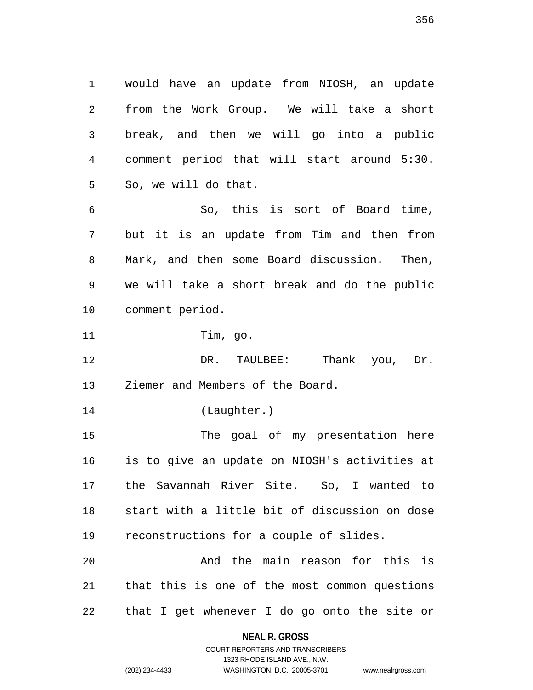1 would have an update from NIOSH, an update 2 from the Work Group. We will take a short 3 break, and then we will go into a public 4 comment period that will start around 5:30. 5 So, we will do that. 6 So, this is sort of Board time, 7 but it is an update from Tim and then from 8 Mark, and then some Board discussion. Then, 9 we will take a short break and do the public

10 comment period.

11 Tim, go.

12 DR. TAULBEE: Thank you, Dr. 13 Ziemer and Members of the Board.

14 (Laughter.)

15 The goal of my presentation here 16 is to give an update on NIOSH's activities at 17 the Savannah River Site. So, I wanted to 18 start with a little bit of discussion on dose 19 reconstructions for a couple of slides.

20 And the main reason for this is 21 that this is one of the most common questions 22 that I get whenever I do go onto the site or

1323 RHODE ISLAND AVE., N.W.

```
(202) 234-4433 WASHINGTON, D.C. 20005-3701 www.nealrgross.com
```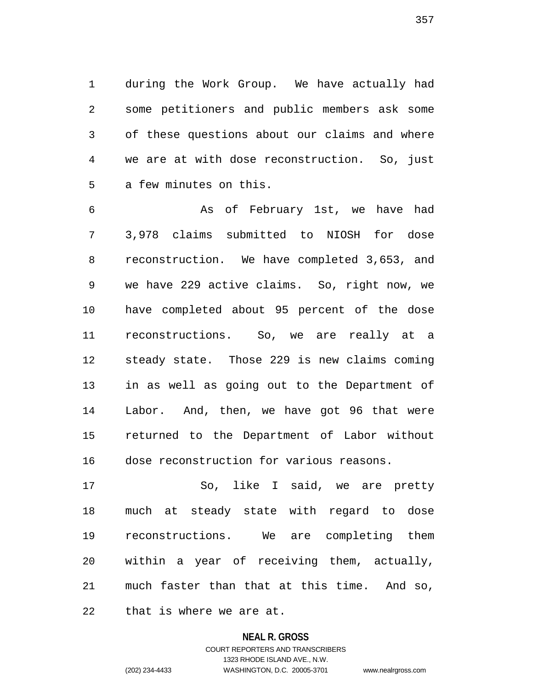1 during the Work Group. We have actually had 2 some petitioners and public members ask some 3 of these questions about our claims and where 4 we are at with dose reconstruction. So, just 5 a few minutes on this.

6 As of February 1st, we have had 7 3,978 claims submitted to NIOSH for dose 8 reconstruction. We have completed 3,653, and 9 we have 229 active claims. So, right now, we 10 have completed about 95 percent of the dose 11 reconstructions. So, we are really at a 12 steady state. Those 229 is new claims coming 13 in as well as going out to the Department of 14 Labor. And, then, we have got 96 that were 15 returned to the Department of Labor without 16 dose reconstruction for various reasons.

17 So, like I said, we are pretty 18 much at steady state with regard to dose 19 reconstructions. We are completing them 20 within a year of receiving them, actually, 21 much faster than that at this time. And so, 22 that is where we are at.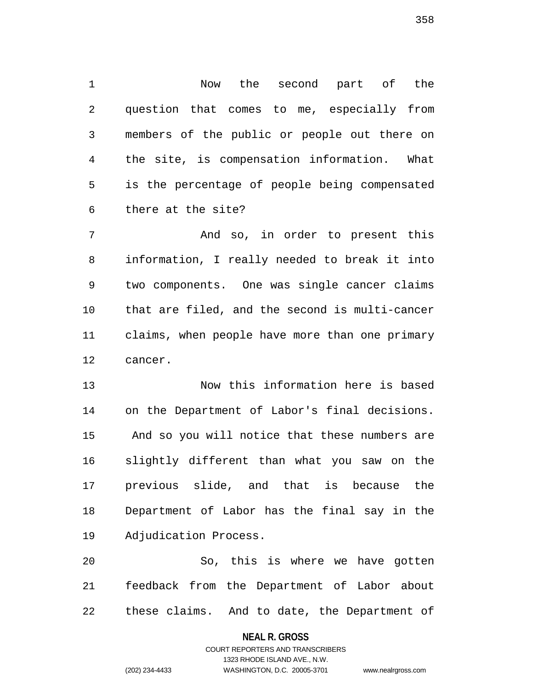1 Now the second part of the 2 question that comes to me, especially from 3 members of the public or people out there on 4 the site, is compensation information. What 5 is the percentage of people being compensated 6 there at the site?

7 And so, in order to present this 8 information, I really needed to break it into 9 two components. One was single cancer claims 10 that are filed, and the second is multi-cancer 11 claims, when people have more than one primary 12 cancer.

13 Now this information here is based 14 on the Department of Labor's final decisions. 15 And so you will notice that these numbers are 16 slightly different than what you saw on the 17 previous slide, and that is because the 18 Department of Labor has the final say in the 19 Adjudication Process.

20 So, this is where we have gotten 21 feedback from the Department of Labor about 22 these claims. And to date, the Department of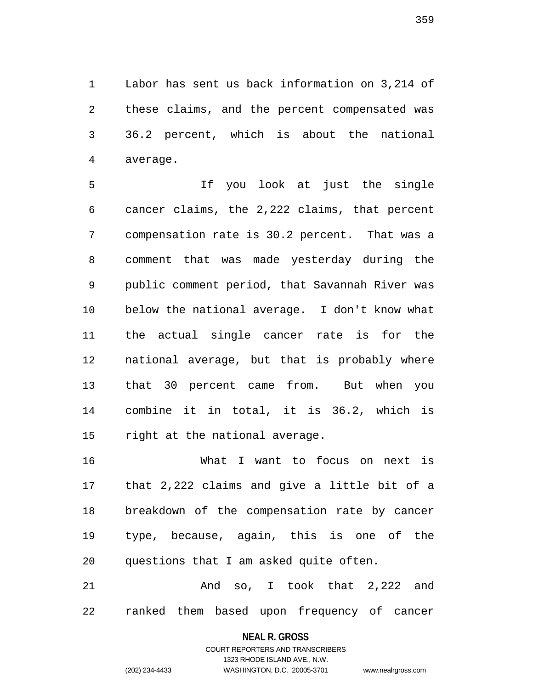1 Labor has sent us back information on 3,214 of 2 these claims, and the percent compensated was 3 36.2 percent, which is about the national 4 average.

5 If you look at just the single 6 cancer claims, the 2,222 claims, that percent 7 compensation rate is 30.2 percent. That was a 8 comment that was made yesterday during the 9 public comment period, that Savannah River was 10 below the national average. I don't know what 11 the actual single cancer rate is for the 12 national average, but that is probably where 13 that 30 percent came from. But when you 14 combine it in total, it is 36.2, which is 15 right at the national average.

16 What I want to focus on next is 17 that 2,222 claims and give a little bit of a 18 breakdown of the compensation rate by cancer 19 type, because, again, this is one of the 20 questions that I am asked quite often.

21 And so, I took that 2,222 and 22 ranked them based upon frequency of cancer

# **NEAL R. GROSS** COURT REPORTERS AND TRANSCRIBERS

1323 RHODE ISLAND AVE., N.W.

(202) 234-4433 WASHINGTON, D.C. 20005-3701 www.nealrgross.com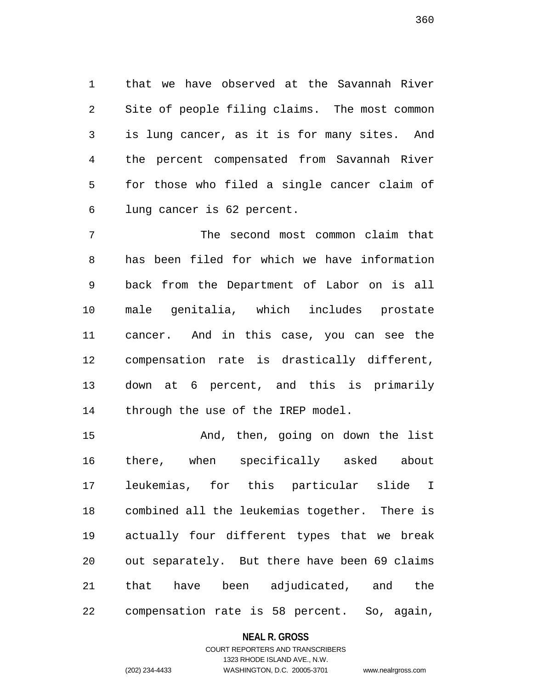1 that we have observed at the Savannah River 2 Site of people filing claims. The most common 3 is lung cancer, as it is for many sites. And 4 the percent compensated from Savannah River 5 for those who filed a single cancer claim of 6 lung cancer is 62 percent.

7 The second most common claim that 8 has been filed for which we have information 9 back from the Department of Labor on is all 10 male genitalia, which includes prostate 11 cancer. And in this case, you can see the 12 compensation rate is drastically different, 13 down at 6 percent, and this is primarily 14 through the use of the IREP model.

15 And, then, going on down the list 16 there, when specifically asked about 17 leukemias, for this particular slide I 18 combined all the leukemias together. There is 19 actually four different types that we break 20 out separately. But there have been 69 claims 21 that have been adjudicated, and the 22 compensation rate is 58 percent. So, again,

### **NEAL R. GROSS**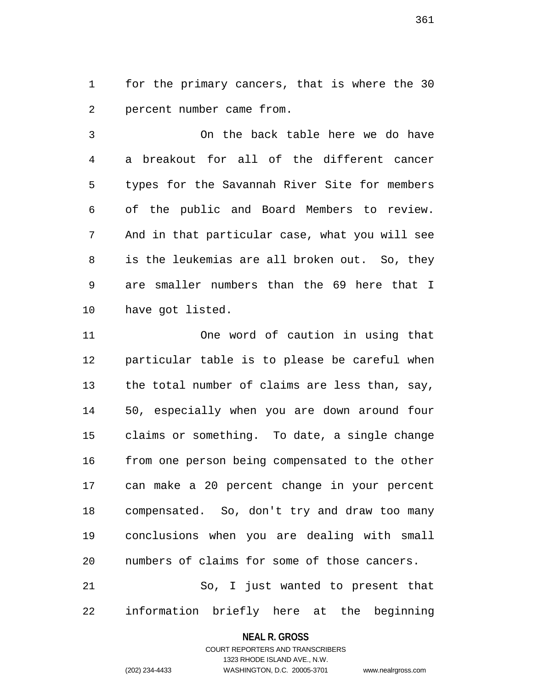1 for the primary cancers, that is where the 30 2 percent number came from.

3 On the back table here we do have 4 a breakout for all of the different cancer 5 types for the Savannah River Site for members 6 of the public and Board Members to review. 7 And in that particular case, what you will see 8 is the leukemias are all broken out. So, they 9 are smaller numbers than the 69 here that I 10 have got listed.

11 One word of caution in using that 12 particular table is to please be careful when 13 the total number of claims are less than, say, 14 50, especially when you are down around four 15 claims or something. To date, a single change 16 from one person being compensated to the other 17 can make a 20 percent change in your percent 18 compensated. So, don't try and draw too many 19 conclusions when you are dealing with small 20 numbers of claims for some of those cancers. 21 So, I just wanted to present that

22 information briefly here at the beginning

#### **NEAL R. GROSS**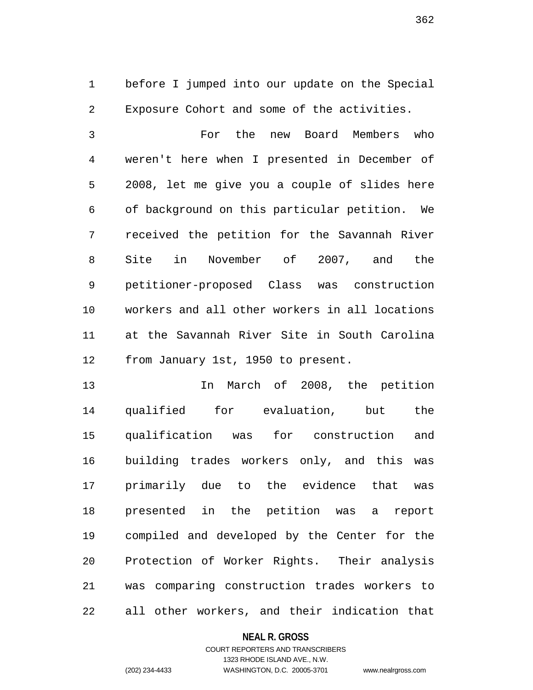1 before I jumped into our update on the Special 2 Exposure Cohort and some of the activities.

3 For the new Board Members who 4 weren't here when I presented in December of 5 2008, let me give you a couple of slides here 6 of background on this particular petition. We 7 received the petition for the Savannah River 8 Site in November of 2007, and the 9 petitioner-proposed Class was construction 10 workers and all other workers in all locations 11 at the Savannah River Site in South Carolina 12 from January 1st, 1950 to present.

13 In March of 2008, the petition 14 qualified for evaluation, but the 15 qualification was for construction and 16 building trades workers only, and this was 17 primarily due to the evidence that was 18 presented in the petition was a report 19 compiled and developed by the Center for the 20 Protection of Worker Rights. Their analysis 21 was comparing construction trades workers to 22 all other workers, and their indication that

### **NEAL R. GROSS**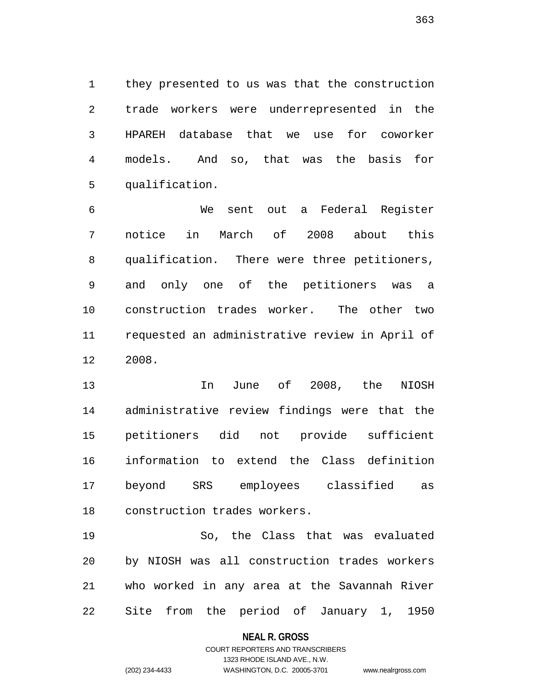1 they presented to us was that the construction 2 trade workers were underrepresented in the 3 HPAREH database that we use for coworker 4 models. And so, that was the basis for 5 qualification.

6 We sent out a Federal Register 7 notice in March of 2008 about this 8 qualification. There were three petitioners, 9 and only one of the petitioners was a 10 construction trades worker. The other two 11 requested an administrative review in April of 12 2008.

13 In June of 2008, the NIOSH 14 administrative review findings were that the 15 petitioners did not provide sufficient 16 information to extend the Class definition 17 beyond SRS employees classified as 18 construction trades workers.

19 So, the Class that was evaluated 20 by NIOSH was all construction trades workers 21 who worked in any area at the Savannah River 22 Site from the period of January 1, 1950

### **NEAL R. GROSS**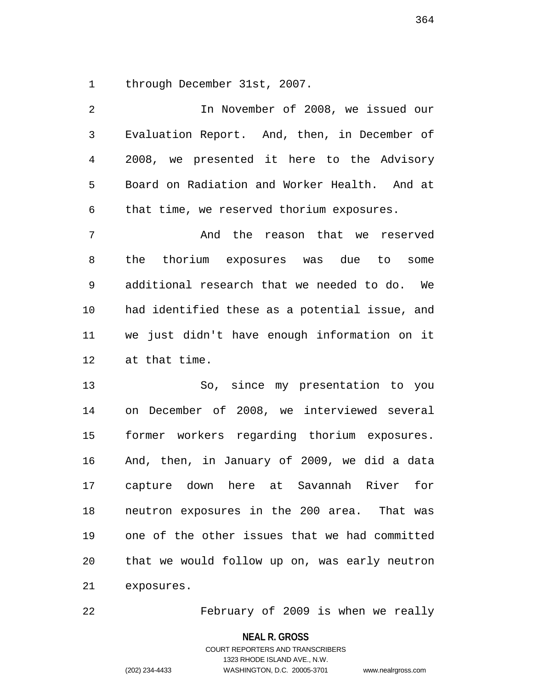1 through December 31st, 2007.

2 In November of 2008, we issued our 3 Evaluation Report. And, then, in December of 4 2008, we presented it here to the Advisory 5 Board on Radiation and Worker Health. And at 6 that time, we reserved thorium exposures. 7 And the reason that we reserved 8 the thorium exposures was due to some 9 additional research that we needed to do. We 10 had identified these as a potential issue, and 11 we just didn't have enough information on it 12 at that time. 13 So, since my presentation to you 14 on December of 2008, we interviewed several 15 former workers regarding thorium exposures. 16 And, then, in January of 2009, we did a data

17 capture down here at Savannah River for 18 neutron exposures in the 200 area. That was 19 one of the other issues that we had committed 20 that we would follow up on, was early neutron 21 exposures.

22 February of 2009 is when we really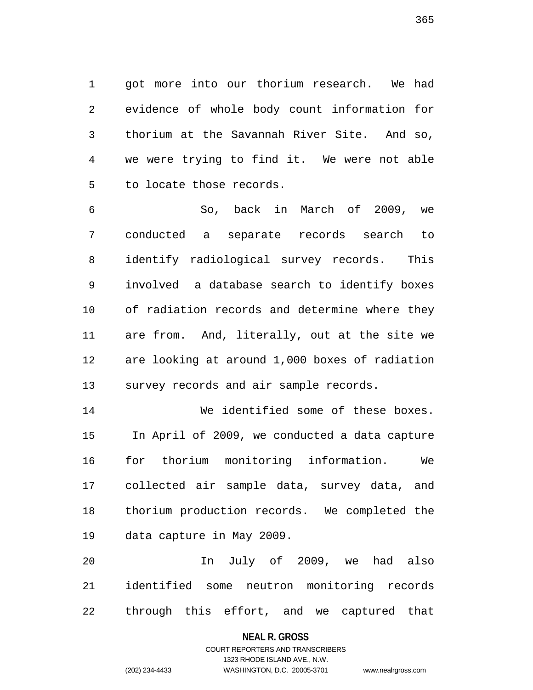1 got more into our thorium research. We had 2 evidence of whole body count information for 3 thorium at the Savannah River Site. And so, 4 we were trying to find it. We were not able 5 to locate those records.

6 So, back in March of 2009, we 7 conducted a separate records search to 8 identify radiological survey records. This 9 involved a database search to identify boxes 10 of radiation records and determine where they 11 are from. And, literally, out at the site we 12 are looking at around 1,000 boxes of radiation 13 survey records and air sample records.

14 We identified some of these boxes. 15 In April of 2009, we conducted a data capture 16 for thorium monitoring information. We 17 collected air sample data, survey data, and 18 thorium production records. We completed the 19 data capture in May 2009.

20 In July of 2009, we had also 21 identified some neutron monitoring records 22 through this effort, and we captured that

### **NEAL R. GROSS**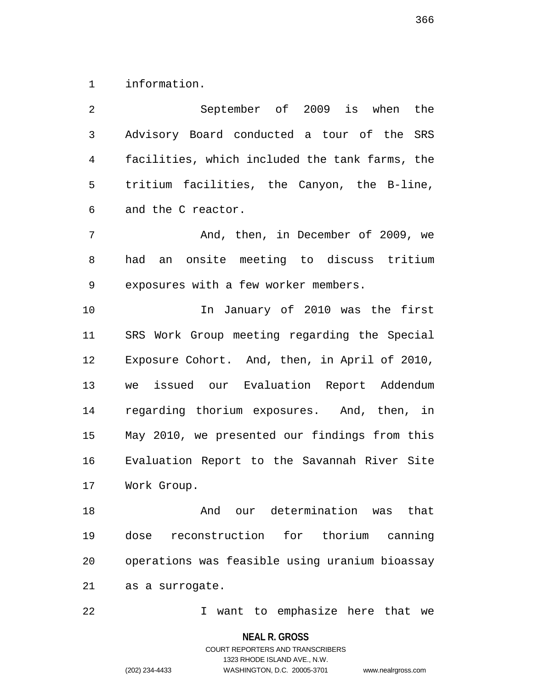1 information.

| 2              | September of 2009 is when the                  |
|----------------|------------------------------------------------|
| 3              | Advisory Board conducted a tour of the SRS     |
| $\overline{4}$ | facilities, which included the tank farms, the |
| 5              | tritium facilities, the Canyon, the B-line,    |
| 6              | and the C reactor.                             |
| 7              | And, then, in December of 2009, we             |
| 8              | an onsite meeting to discuss tritium<br>had    |
| 9              | exposures with a few worker members.           |
| 10             | In January of 2010 was the first               |
| 11             | SRS Work Group meeting regarding the Special   |
| 12             | Exposure Cohort. And, then, in April of 2010,  |
| 13             | we issued our Evaluation Report Addendum       |
| 14             | regarding thorium exposures. And, then, in     |
| 15             | May 2010, we presented our findings from this  |
| 16             | Evaluation Report to the Savannah River Site   |
| 17             | Work Group.                                    |
| 18             | our determination was that<br>And              |
| 19             | dose reconstruction for thorium canning        |
| 20             | operations was feasible using uranium bioassay |
| 21             | as a surrogate.                                |
|                |                                                |

22 I want to emphasize here that we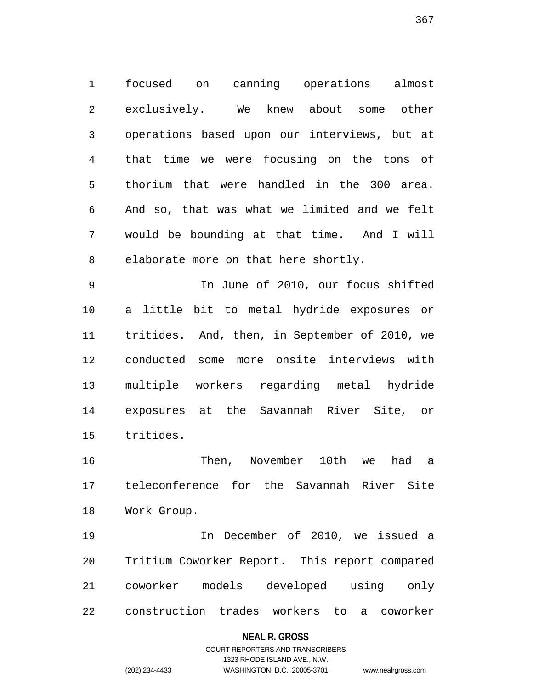1 focused on canning operations almost 2 exclusively. We knew about some other 3 operations based upon our interviews, but at 4 that time we were focusing on the tons of 5 thorium that were handled in the 300 area. 6 And so, that was what we limited and we felt 7 would be bounding at that time. And I will 8 elaborate more on that here shortly.

9 In June of 2010, our focus shifted 10 a little bit to metal hydride exposures or 11 tritides. And, then, in September of 2010, we 12 conducted some more onsite interviews with 13 multiple workers regarding metal hydride 14 exposures at the Savannah River Site, or 15 tritides.

16 Then, November 10th we had a 17 teleconference for the Savannah River Site 18 Work Group.

19 In December of 2010, we issued a 20 Tritium Coworker Report. This report compared 21 coworker models developed using only 22 construction trades workers to a coworker

### **NEAL R. GROSS**

# COURT REPORTERS AND TRANSCRIBERS 1323 RHODE ISLAND AVE., N.W. (202) 234-4433 WASHINGTON, D.C. 20005-3701 www.nealrgross.com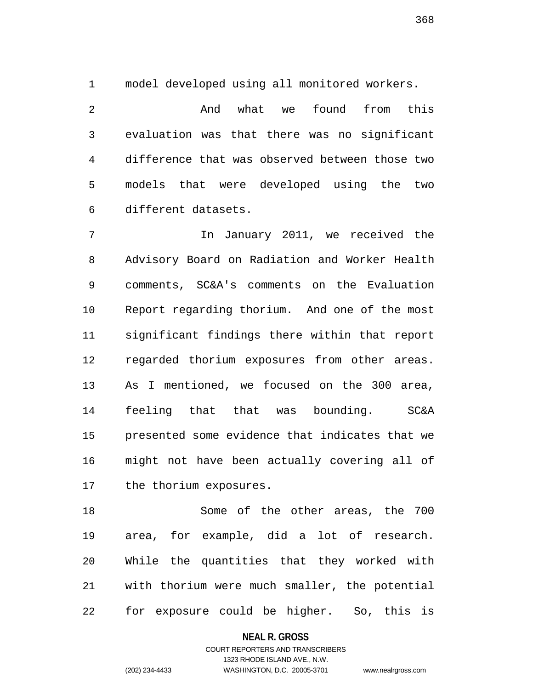1 model developed using all monitored workers.

2 And what we found from this 3 evaluation was that there was no significant 4 difference that was observed between those two 5 models that were developed using the two 6 different datasets.

7 In January 2011, we received the 8 Advisory Board on Radiation and Worker Health 9 comments, SC&A's comments on the Evaluation 10 Report regarding thorium. And one of the most 11 significant findings there within that report 12 regarded thorium exposures from other areas. 13 As I mentioned, we focused on the 300 area, 14 feeling that that was bounding. SC&A 15 presented some evidence that indicates that we 16 might not have been actually covering all of 17 the thorium exposures.

18 Some of the other areas, the 700 19 area, for example, did a lot of research. 20 While the quantities that they worked with 21 with thorium were much smaller, the potential 22 for exposure could be higher. So, this is

**NEAL R. GROSS**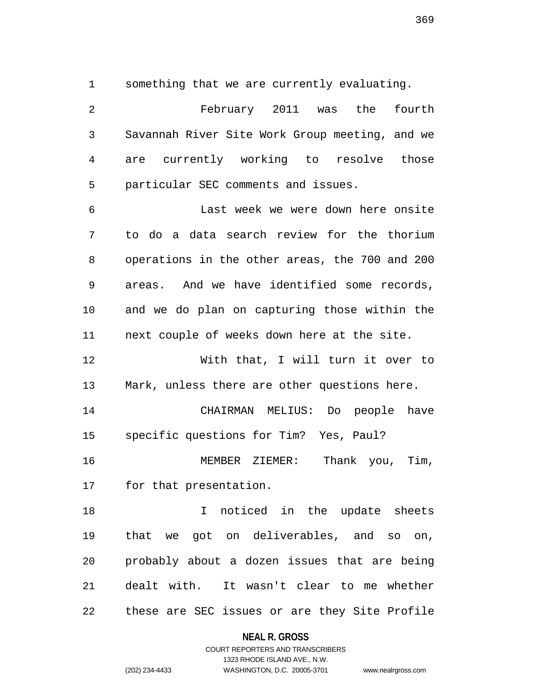1 something that we are currently evaluating.

2 February 2011 was the fourth 3 Savannah River Site Work Group meeting, and we 4 are currently working to resolve those 5 particular SEC comments and issues. 6 Last week we were down here onsite 7 to do a data search review for the thorium 8 operations in the other areas, the 700 and 200 9 areas. And we have identified some records, 10 and we do plan on capturing those within the 11 next couple of weeks down here at the site. 12 With that, I will turn it over to 13 Mark, unless there are other questions here. 14 CHAIRMAN MELIUS: Do people have 15 specific questions for Tim? Yes, Paul? 16 MEMBER ZIEMER: Thank you, Tim, 17 for that presentation. 18 18 I noticed in the update sheets 19 that we got on deliverables, and so on, 20 probably about a dozen issues that are being 21 dealt with. It wasn't clear to me whether 22 these are SEC issues or are they Site Profile

**NEAL R. GROSS**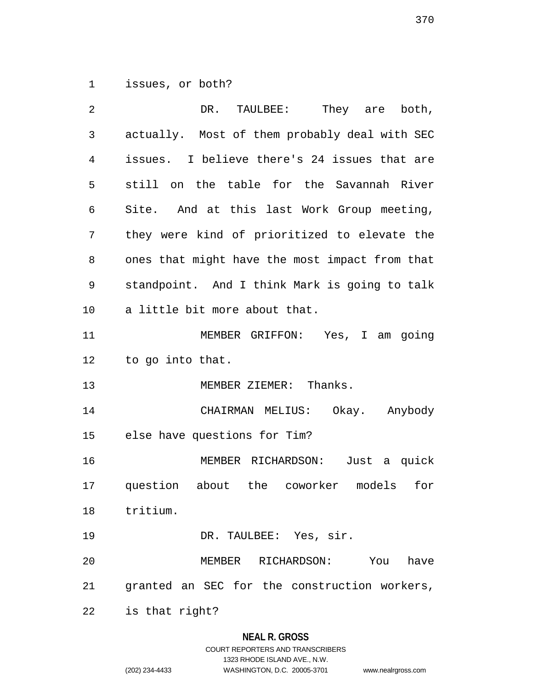1 issues, or both?

| 2              | DR. TAULBEE: They are both,                    |  |  |  |
|----------------|------------------------------------------------|--|--|--|
| $\mathfrak{Z}$ | actually. Most of them probably deal with SEC  |  |  |  |
| 4              | issues. I believe there's 24 issues that are   |  |  |  |
| 5              | still on the table for the Savannah River      |  |  |  |
| 6              | Site. And at this last Work Group meeting,     |  |  |  |
| 7              | they were kind of prioritized to elevate the   |  |  |  |
| 8              | ones that might have the most impact from that |  |  |  |
| 9              | standpoint. And I think Mark is going to talk  |  |  |  |
| 10             | a little bit more about that.                  |  |  |  |
| 11             | MEMBER GRIFFON: Yes, I am going                |  |  |  |
| 12             | to go into that.                               |  |  |  |
| 13             | MEMBER ZIEMER: Thanks.                         |  |  |  |
| 14             | CHAIRMAN MELIUS: Okay. Anybody                 |  |  |  |
| 15             | else have questions for Tim?                   |  |  |  |
| 16             | MEMBER RICHARDSON: Just a quick                |  |  |  |
| 17             | question about the coworker models for         |  |  |  |
| 18             | tritium.                                       |  |  |  |
| 19             | DR. TAULBEE: Yes, sir.                         |  |  |  |
| 20             | MEMBER RICHARDSON: You<br>have                 |  |  |  |
| 21             | granted an SEC for the construction workers,   |  |  |  |
| 22             | is that right?                                 |  |  |  |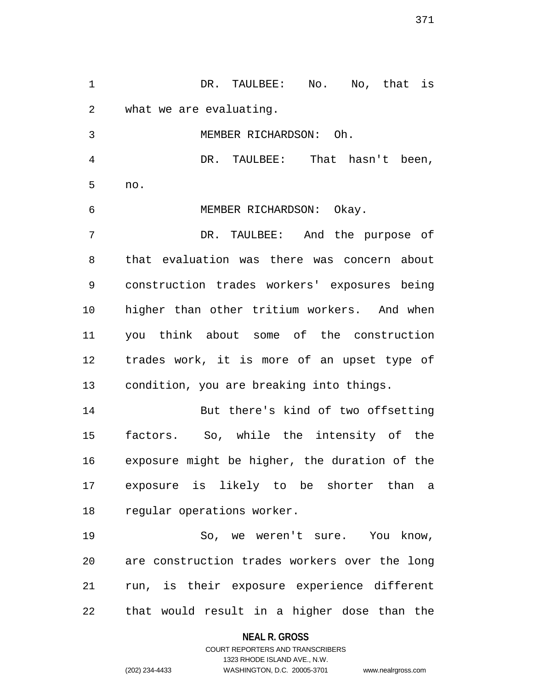1 DR. TAULBEE: No. No, that is 2 what we are evaluating. 3 MEMBER RICHARDSON: Oh. 4 DR. TAULBEE: That hasn't been, 5 no. 6 MEMBER RICHARDSON: Okay. 7 DR. TAULBEE: And the purpose of 8 that evaluation was there was concern about 9 construction trades workers' exposures being 10 higher than other tritium workers. And when 11 you think about some of the construction 12 trades work, it is more of an upset type of 13 condition, you are breaking into things. 14 But there's kind of two offsetting 15 factors. So, while the intensity of the 16 exposure might be higher, the duration of the 17 exposure is likely to be shorter than a 18 regular operations worker. 19 So, we weren't sure. You know, 20 are construction trades workers over the long 21 run, is their exposure experience different 22 that would result in a higher dose than the

> **NEAL R. GROSS** COURT REPORTERS AND TRANSCRIBERS

1323 RHODE ISLAND AVE., N.W. (202) 234-4433 WASHINGTON, D.C. 20005-3701 www.nealrgross.com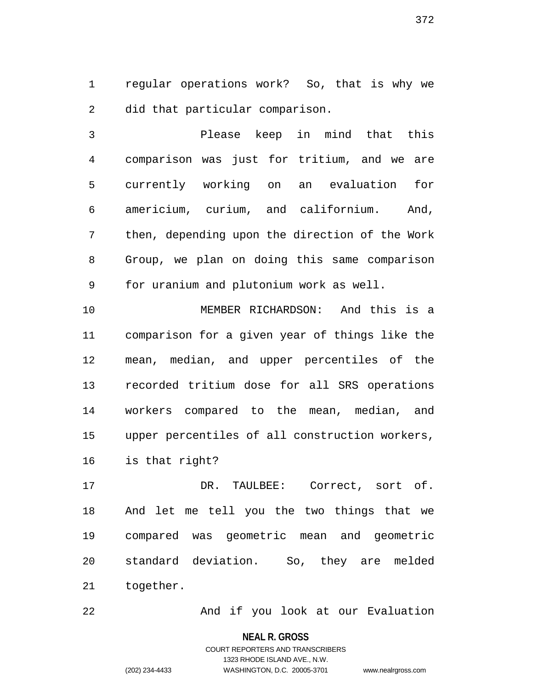1 regular operations work? So, that is why we 2 did that particular comparison.

3 Please keep in mind that this 4 comparison was just for tritium, and we are 5 currently working on an evaluation for 6 americium, curium, and californium. And, 7 then, depending upon the direction of the Work 8 Group, we plan on doing this same comparison 9 for uranium and plutonium work as well.

10 MEMBER RICHARDSON: And this is a 11 comparison for a given year of things like the 12 mean, median, and upper percentiles of the 13 recorded tritium dose for all SRS operations 14 workers compared to the mean, median, and 15 upper percentiles of all construction workers, 16 is that right?

17 DR. TAULBEE: Correct, sort of. 18 And let me tell you the two things that we 19 compared was geometric mean and geometric 20 standard deviation. So, they are melded 21 together.

22 And if you look at our Evaluation

**NEAL R. GROSS**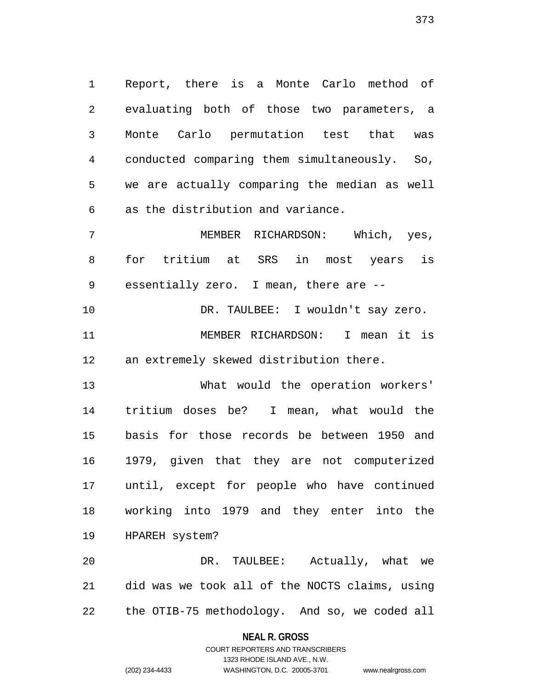1 Report, there is a Monte Carlo method of 2 evaluating both of those two parameters, a 3 Monte Carlo permutation test that was 4 conducted comparing them simultaneously. So, 5 we are actually comparing the median as well 6 as the distribution and variance.

7 MEMBER RICHARDSON: Which, yes, 8 for tritium at SRS in most years is 9 essentially zero. I mean, there are --

10 DR. TAULBEE: I wouldn't say zero. 11 MEMBER RICHARDSON: I mean it is 12 an extremely skewed distribution there.

13 What would the operation workers' 14 tritium doses be? I mean, what would the 15 basis for those records be between 1950 and 16 1979, given that they are not computerized 17 until, except for people who have continued 18 working into 1979 and they enter into the 19 HPAREH system?

20 DR. TAULBEE: Actually, what we 21 did was we took all of the NOCTS claims, using 22 the OTIB-75 methodology. And so, we coded all

**NEAL R. GROSS**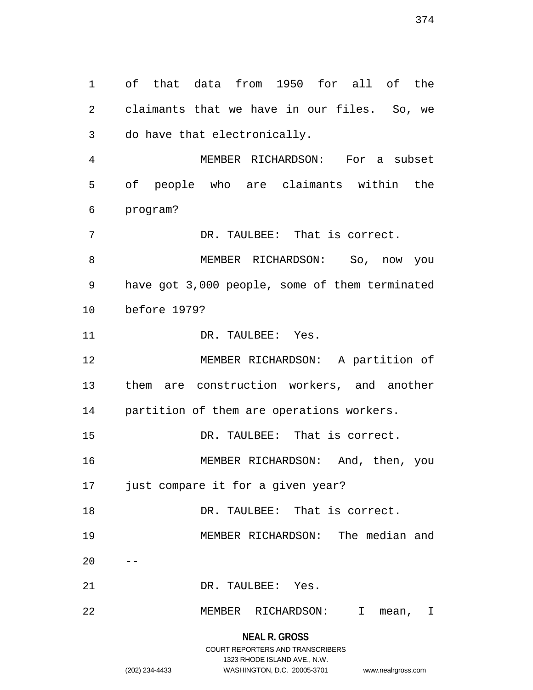1 of that data from 1950 for all of the 2 claimants that we have in our files. So, we 3 do have that electronically. 4 MEMBER RICHARDSON: For a subset 5 of people who are claimants within the 6 program? 7 DR. TAULBEE: That is correct. 8 MEMBER RICHARDSON: So, now you 9 have got 3,000 people, some of them terminated 10 before 1979? 11 DR. TAULBEE: Yes. 12 MEMBER RICHARDSON: A partition of 13 them are construction workers, and another 14 partition of them are operations workers. 15 DR. TAULBEE: That is correct. 16 MEMBER RICHARDSON: And, then, you 17 just compare it for a given year? 18 DR. TAULBEE: That is correct. 19 MEMBER RICHARDSON: The median and  $20$ 21 DR. TAULBEE: Yes. 22 MEMBER RICHARDSON: I mean, I

> **NEAL R. GROSS** COURT REPORTERS AND TRANSCRIBERS 1323 RHODE ISLAND AVE., N.W. (202) 234-4433 WASHINGTON, D.C. 20005-3701 www.nealrgross.com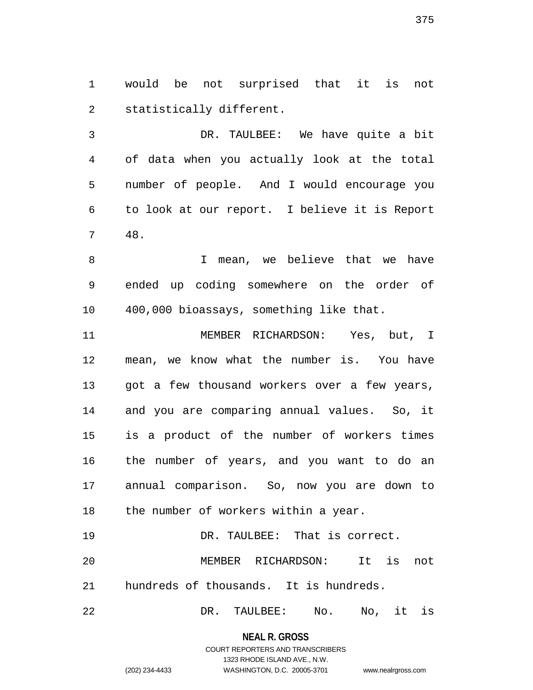1 would be not surprised that it is not 2 statistically different.

3 DR. TAULBEE: We have quite a bit 4 of data when you actually look at the total 5 number of people. And I would encourage you 6 to look at our report. I believe it is Report 7 48.

8 I mean, we believe that we have 9 ended up coding somewhere on the order of 10 400,000 bioassays, something like that.

11 MEMBER RICHARDSON: Yes, but, I 12 mean, we know what the number is. You have 13 got a few thousand workers over a few years, 14 and you are comparing annual values. So, it 15 is a product of the number of workers times 16 the number of years, and you want to do an 17 annual comparison. So, now you are down to 18 the number of workers within a year.

19 DR. TAULBEE: That is correct. 20 MEMBER RICHARDSON: It is not 21 hundreds of thousands. It is hundreds.

22 DR. TAULBEE: No. No, it is

**NEAL R. GROSS** COURT REPORTERS AND TRANSCRIBERS

1323 RHODE ISLAND AVE., N.W.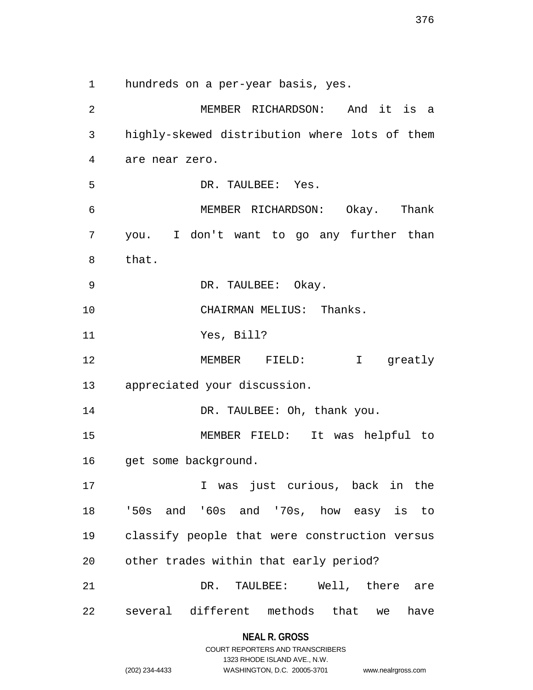1 hundreds on a per-year basis, yes.

2 MEMBER RICHARDSON: And it is a 3 highly-skewed distribution where lots of them 4 are near zero. 5 DR. TAULBEE: Yes. 6 MEMBER RICHARDSON: Okay. Thank 7 you. I don't want to go any further than 8 that. 9 DR. TAULBEE: Okay. 10 CHAIRMAN MELIUS: Thanks. 11 Yes, Bill? 12 MEMBER FIELD: I greatly 13 appreciated your discussion. 14 DR. TAULBEE: Oh, thank you. 15 MEMBER FIELD: It was helpful to 16 get some background. 17 17 I was just curious, back in the 18 '50s and '60s and '70s, how easy is to 19 classify people that were construction versus 20 other trades within that early period? 21 DR. TAULBEE: Well, there are 22 several different methods that we have

|                | COURT REPORTERS AND TRANSCRIBERS |                    |
|----------------|----------------------------------|--------------------|
|                | 1323 RHODE ISLAND AVE N.W.       |                    |
| (202) 234-4433 | WASHINGTON, D.C. 20005-3701      | www.nealrgross.com |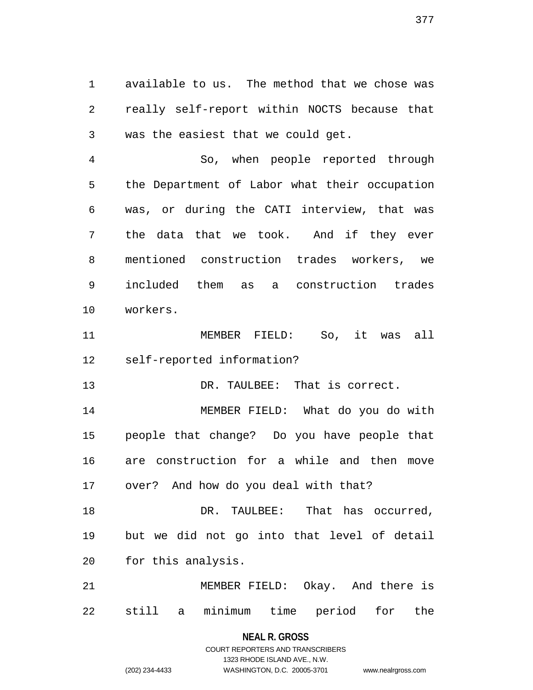1 available to us. The method that we chose was 2 really self-report within NOCTS because that 3 was the easiest that we could get.

4 So, when people reported through 5 the Department of Labor what their occupation 6 was, or during the CATI interview, that was 7 the data that we took. And if they ever 8 mentioned construction trades workers, we 9 included them as a construction trades 10 workers.

11 MEMBER FIELD: So, it was all 12 self-reported information?

13 DR. TAULBEE: That is correct.

14 MEMBER FIELD: What do you do with 15 people that change? Do you have people that 16 are construction for a while and then move 17 over? And how do you deal with that?

18 DR. TAULBEE: That has occurred, 19 but we did not go into that level of detail 20 for this analysis.

21 MEMBER FIELD: Okay. And there is 22 still a minimum time period for the

> **NEAL R. GROSS** COURT REPORTERS AND TRANSCRIBERS

> > 1323 RHODE ISLAND AVE., N.W.

(202) 234-4433 WASHINGTON, D.C. 20005-3701 www.nealrgross.com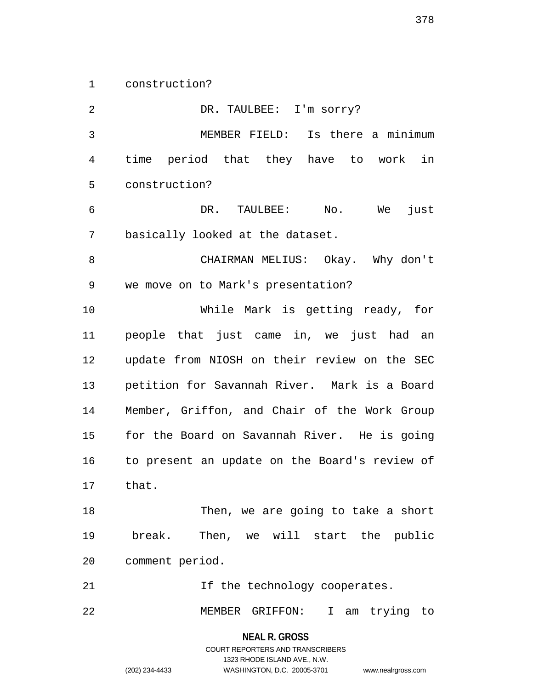1 construction?

2 DR. TAULBEE: I'm sorry? 3 MEMBER FIELD: Is there a minimum 4 time period that they have to work in 5 construction? 6 DR. TAULBEE: No. We just 7 basically looked at the dataset. 8 CHAIRMAN MELIUS: Okay. Why don't 9 we move on to Mark's presentation? 10 While Mark is getting ready, for 11 people that just came in, we just had an 12 update from NIOSH on their review on the SEC 13 petition for Savannah River. Mark is a Board 14 Member, Griffon, and Chair of the Work Group 15 for the Board on Savannah River. He is going 16 to present an update on the Board's review of 17 that. 18 Then, we are going to take a short 19 break. Then, we will start the public 20 comment period. 21 11 If the technology cooperates. 22 MEMBER GRIFFON: I am trying to

> **NEAL R. GROSS** COURT REPORTERS AND TRANSCRIBERS

> > 1323 RHODE ISLAND AVE., N.W.

(202) 234-4433 WASHINGTON, D.C. 20005-3701 www.nealrgross.com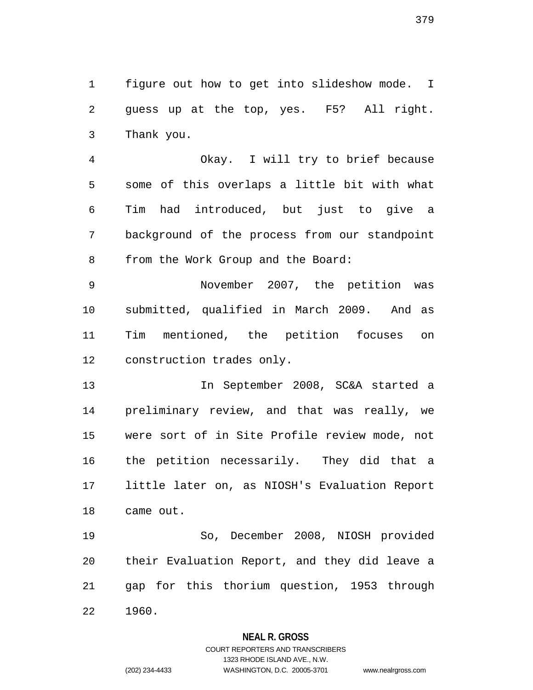1 figure out how to get into slideshow mode. I 2 guess up at the top, yes. F5? All right. 3 Thank you.

4 Okay. I will try to brief because 5 some of this overlaps a little bit with what 6 Tim had introduced, but just to give a 7 background of the process from our standpoint 8 from the Work Group and the Board:

9 November 2007, the petition was 10 submitted, qualified in March 2009. And as 11 Tim mentioned, the petition focuses on 12 construction trades only.

13 In September 2008, SC&A started a 14 preliminary review, and that was really, we 15 were sort of in Site Profile review mode, not 16 the petition necessarily. They did that a 17 little later on, as NIOSH's Evaluation Report 18 came out.

19 So, December 2008, NIOSH provided 20 their Evaluation Report, and they did leave a 21 gap for this thorium question, 1953 through 22 1960.

### **NEAL R. GROSS**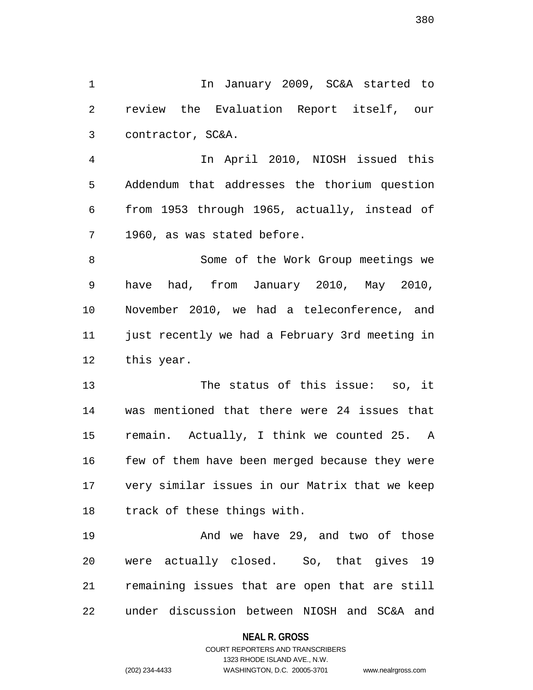1 1 In January 2009, SC&A started to 2 review the Evaluation Report itself, our 3 contractor, SC&A.

4 In April 2010, NIOSH issued this 5 Addendum that addresses the thorium question 6 from 1953 through 1965, actually, instead of 7 1960, as was stated before.

8 Some of the Work Group meetings we 9 have had, from January 2010, May 2010, 10 November 2010, we had a teleconference, and 11 just recently we had a February 3rd meeting in 12 this year.

13 The status of this issue: so, it 14 was mentioned that there were 24 issues that 15 remain. Actually, I think we counted 25. A 16 few of them have been merged because they were 17 very similar issues in our Matrix that we keep 18 track of these things with.

19 And we have 29, and two of those 20 were actually closed. So, that gives 19 21 remaining issues that are open that are still 22 under discussion between NIOSH and SC&A and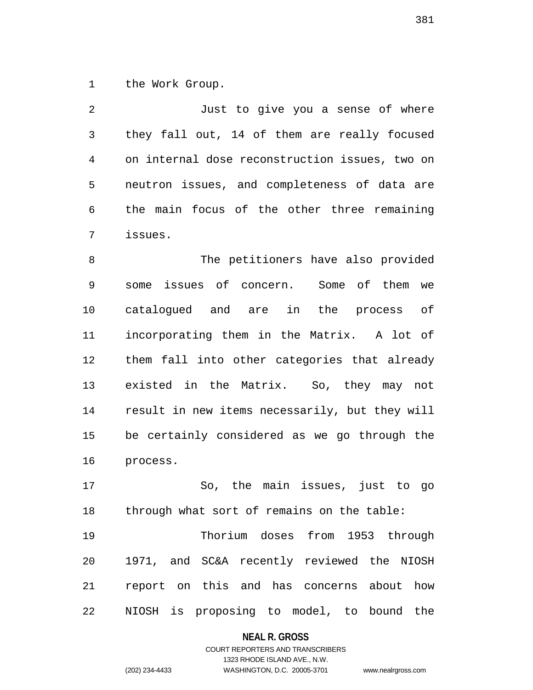1 the Work Group.

2 Just to give you a sense of where 3 they fall out, 14 of them are really focused 4 on internal dose reconstruction issues, two on 5 neutron issues, and completeness of data are 6 the main focus of the other three remaining 7 issues.

8 The petitioners have also provided 9 some issues of concern. Some of them we 10 catalogued and are in the process of 11 incorporating them in the Matrix. A lot of 12 them fall into other categories that already 13 existed in the Matrix. So, they may not 14 result in new items necessarily, but they will 15 be certainly considered as we go through the 16 process.

17 So, the main issues, just to go 18 through what sort of remains on the table:

19 Thorium doses from 1953 through 20 1971, and SC&A recently reviewed the NIOSH 21 report on this and has concerns about how 22 NIOSH is proposing to model, to bound the

### **NEAL R. GROSS**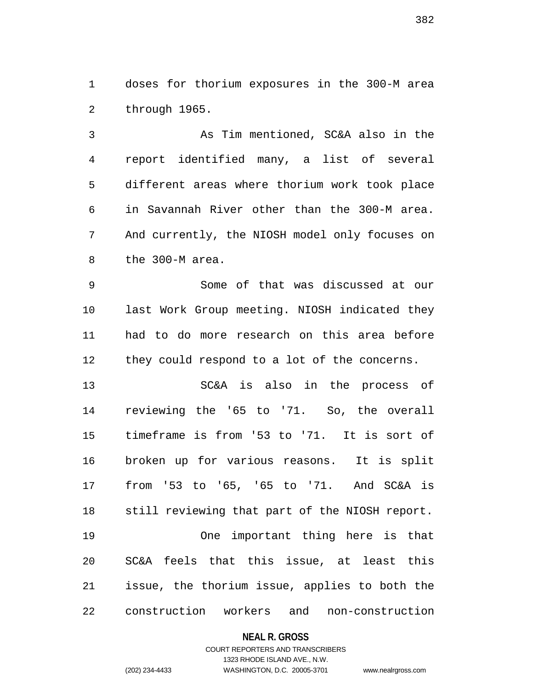1 doses for thorium exposures in the 300-M area 2 through 1965.

3 As Tim mentioned, SC&A also in the 4 report identified many, a list of several 5 different areas where thorium work took place 6 in Savannah River other than the 300-M area. 7 And currently, the NIOSH model only focuses on 8 the 300-M area.

9 Some of that was discussed at our 10 last Work Group meeting. NIOSH indicated they 11 had to do more research on this area before 12 they could respond to a lot of the concerns.

13 SC&A is also in the process of 14 reviewing the '65 to '71. So, the overall 15 timeframe is from '53 to '71. It is sort of 16 broken up for various reasons. It is split 17 from '53 to '65, '65 to '71. And SC&A is 18 still reviewing that part of the NIOSH report. 19 One important thing here is that 20 SC&A feels that this issue, at least this 21 issue, the thorium issue, applies to both the 22 construction workers and non-construction

### **NEAL R. GROSS**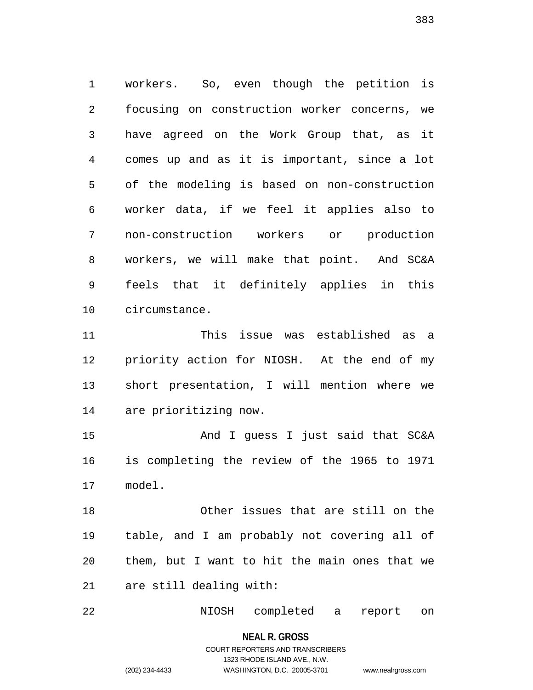1 workers. So, even though the petition is 2 focusing on construction worker concerns, we 3 have agreed on the Work Group that, as it 4 comes up and as it is important, since a lot 5 of the modeling is based on non-construction 6 worker data, if we feel it applies also to 7 non-construction workers or production 8 workers, we will make that point. And SC&A 9 feels that it definitely applies in this 10 circumstance.

11 This issue was established as a 12 priority action for NIOSH. At the end of my 13 short presentation, I will mention where we 14 are prioritizing now.

15 And I guess I just said that SC&A 16 is completing the review of the 1965 to 1971 17 model.

18 Other issues that are still on the 19 table, and I am probably not covering all of 20 them, but I want to hit the main ones that we 21 are still dealing with:

22 NIOSH completed a report on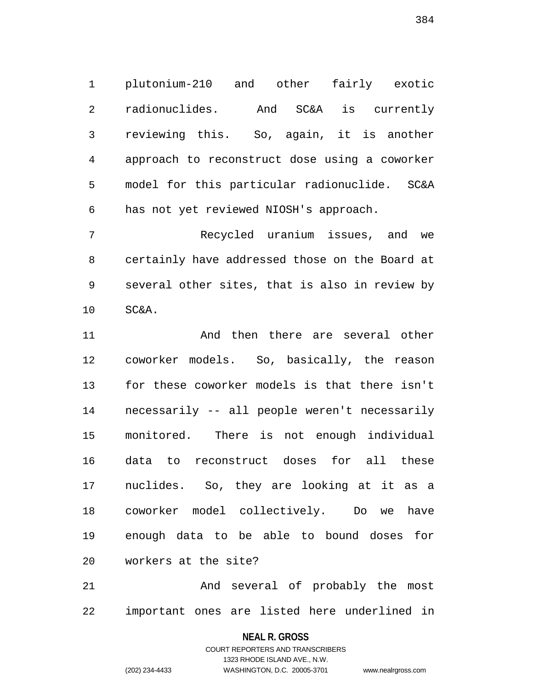1 plutonium-210 and other fairly exotic 2 radionuclides. And SC&A is currently 3 reviewing this. So, again, it is another 4 approach to reconstruct dose using a coworker 5 model for this particular radionuclide. SC&A 6 has not yet reviewed NIOSH's approach.

7 Recycled uranium issues, and we 8 certainly have addressed those on the Board at 9 several other sites, that is also in review by 10 SC&A.

11 And then there are several other 12 coworker models. So, basically, the reason 13 for these coworker models is that there isn't 14 necessarily -- all people weren't necessarily 15 monitored. There is not enough individual 16 data to reconstruct doses for all these 17 nuclides. So, they are looking at it as a 18 coworker model collectively. Do we have 19 enough data to be able to bound doses for 20 workers at the site?

21 And several of probably the most 22 important ones are listed here underlined in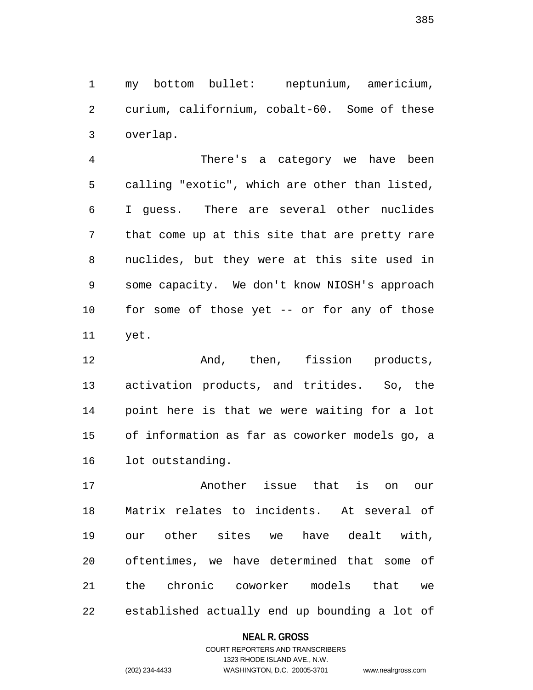1 my bottom bullet: neptunium, americium, 2 curium, californium, cobalt-60. Some of these 3 overlap.

4 There's a category we have been 5 calling "exotic", which are other than listed, 6 I guess. There are several other nuclides 7 that come up at this site that are pretty rare 8 nuclides, but they were at this site used in 9 some capacity. We don't know NIOSH's approach 10 for some of those yet -- or for any of those 11 yet.

12 And, then, fission products, 13 activation products, and tritides. So, the 14 point here is that we were waiting for a lot 15 of information as far as coworker models go, a 16 lot outstanding.

17 Another issue that is on our 18 Matrix relates to incidents. At several of 19 our other sites we have dealt with, 20 oftentimes, we have determined that some of 21 the chronic coworker models that we 22 established actually end up bounding a lot of

### **NEAL R. GROSS**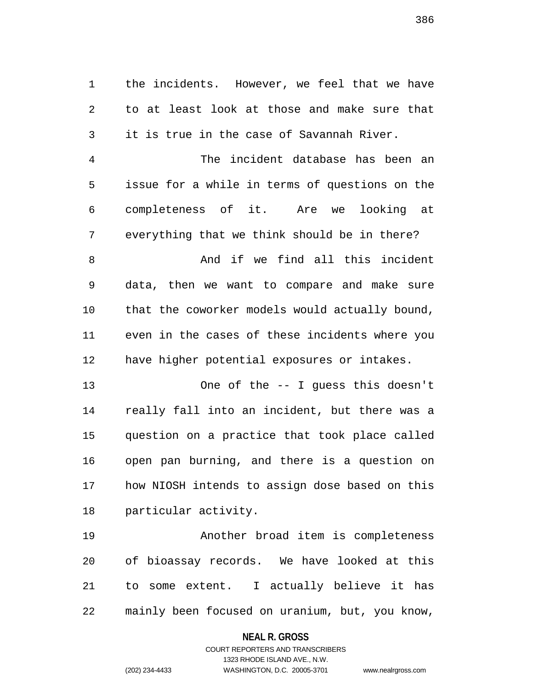1 the incidents. However, we feel that we have 2 to at least look at those and make sure that 3 it is true in the case of Savannah River.

4 The incident database has been an 5 issue for a while in terms of questions on the 6 completeness of it. Are we looking at 7 everything that we think should be in there?

8 And if we find all this incident 9 data, then we want to compare and make sure 10 that the coworker models would actually bound, 11 even in the cases of these incidents where you 12 have higher potential exposures or intakes.

13 One of the -- I guess this doesn't 14 really fall into an incident, but there was a 15 question on a practice that took place called 16 open pan burning, and there is a question on 17 how NIOSH intends to assign dose based on this 18 particular activity.

19 Another broad item is completeness 20 of bioassay records. We have looked at this 21 to some extent. I actually believe it has 22 mainly been focused on uranium, but, you know,

> **NEAL R. GROSS** COURT REPORTERS AND TRANSCRIBERS

> > 1323 RHODE ISLAND AVE., N.W.

(202) 234-4433 WASHINGTON, D.C. 20005-3701 www.nealrgross.com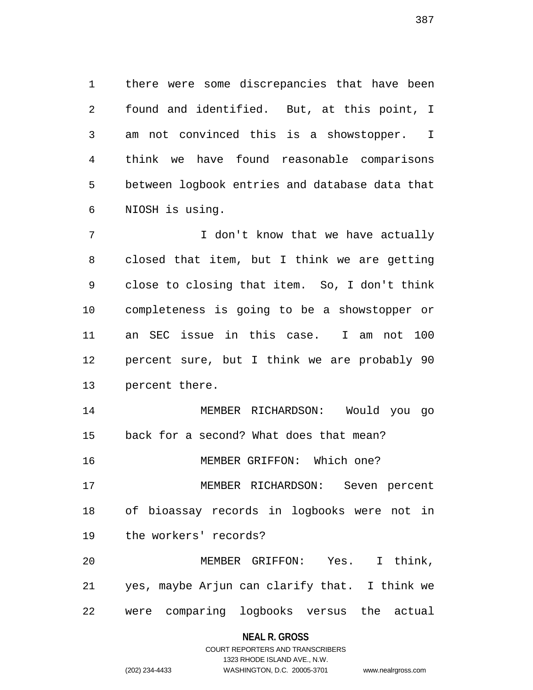1 there were some discrepancies that have been 2 found and identified. But, at this point, I 3 am not convinced this is a showstopper. I 4 think we have found reasonable comparisons 5 between logbook entries and database data that 6 NIOSH is using.

7 I don't know that we have actually 8 closed that item, but I think we are getting 9 close to closing that item. So, I don't think 10 completeness is going to be a showstopper or 11 an SEC issue in this case. I am not 100 12 percent sure, but I think we are probably 90 13 percent there.

14 MEMBER RICHARDSON: Would you go 15 back for a second? What does that mean? 16 MEMBER GRIFFON: Which one? 17 MEMBER RICHARDSON: Seven percent

18 of bioassay records in logbooks were not in 19 the workers' records?

20 MEMBER GRIFFON: Yes. I think, 21 yes, maybe Arjun can clarify that. I think we 22 were comparing logbooks versus the actual

### **NEAL R. GROSS**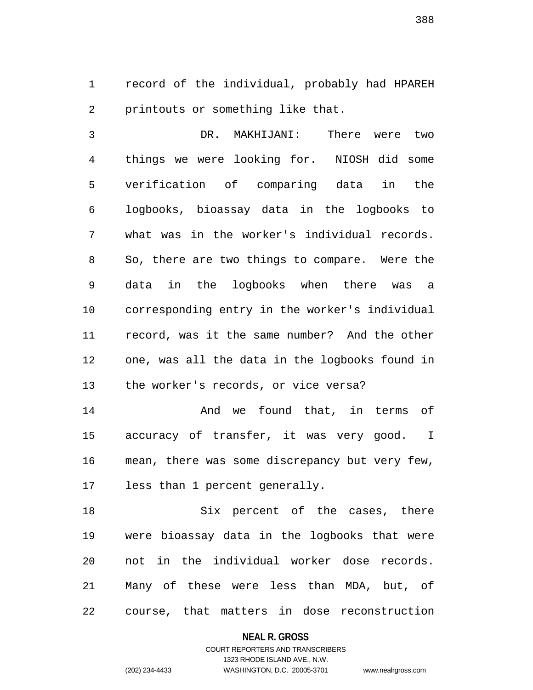1 record of the individual, probably had HPAREH 2 printouts or something like that.

3 DR. MAKHIJANI: There were two 4 things we were looking for. NIOSH did some 5 verification of comparing data in the 6 logbooks, bioassay data in the logbooks to 7 what was in the worker's individual records. 8 So, there are two things to compare. Were the 9 data in the logbooks when there was a 10 corresponding entry in the worker's individual 11 record, was it the same number? And the other 12 one, was all the data in the logbooks found in 13 the worker's records, or vice versa?

14 **And we found that, in terms of** 15 accuracy of transfer, it was very good. I 16 mean, there was some discrepancy but very few, 17 less than 1 percent generally.

18 Six percent of the cases, there 19 were bioassay data in the logbooks that were 20 not in the individual worker dose records. 21 Many of these were less than MDA, but, of 22 course, that matters in dose reconstruction

### **NEAL R. GROSS**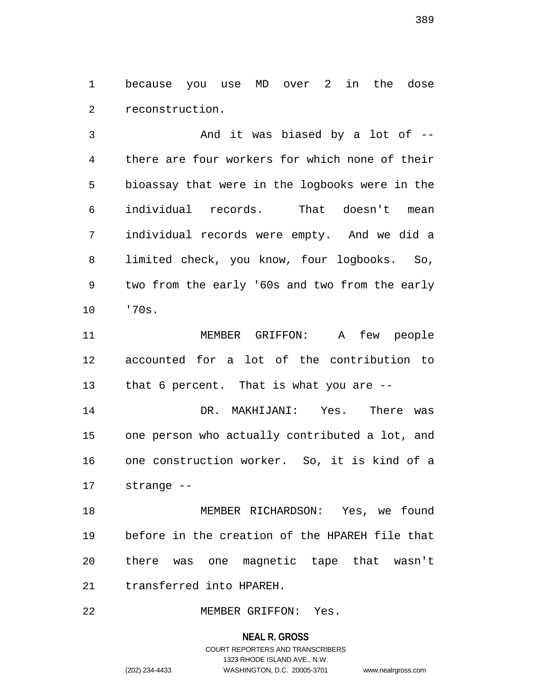1 because you use MD over 2 in the dose 2 reconstruction.

3 And it was biased by a lot of -- 4 there are four workers for which none of their 5 bioassay that were in the logbooks were in the 6 individual records. That doesn't mean 7 individual records were empty. And we did a 8 limited check, you know, four logbooks. So, 9 two from the early '60s and two from the early 10 '70s.

11 MEMBER GRIFFON: A few people 12 accounted for a lot of the contribution to 13 that 6 percent. That is what you are --

14 DR. MAKHIJANI: Yes. There was 15 one person who actually contributed a lot, and 16 one construction worker. So, it is kind of a 17 strange --

18 MEMBER RICHARDSON: Yes, we found 19 before in the creation of the HPAREH file that 20 there was one magnetic tape that wasn't 21 transferred into HPAREH.

22 MEMBER GRIFFON: Yes.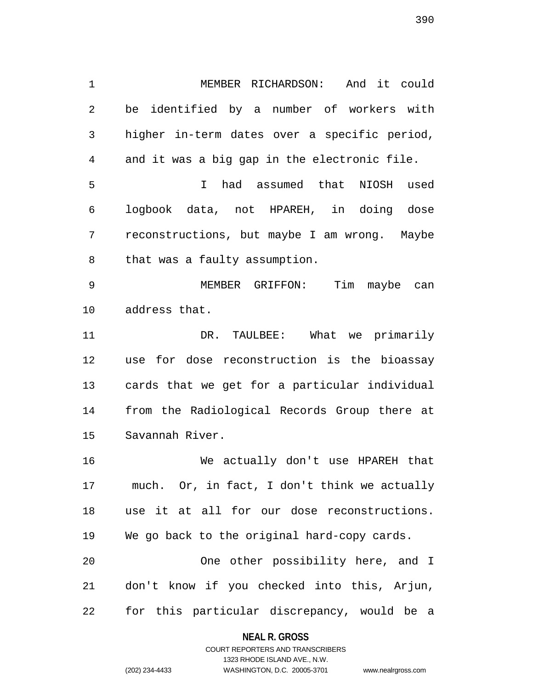1 MEMBER RICHARDSON: And it could 2 be identified by a number of workers with 3 higher in-term dates over a specific period, 4 and it was a big gap in the electronic file. 5 I had assumed that NIOSH used 6 logbook data, not HPAREH, in doing dose 7 reconstructions, but maybe I am wrong. Maybe 8 that was a faulty assumption. 9 MEMBER GRIFFON: Tim maybe can 10 address that. 11 DR. TAULBEE: What we primarily 12 use for dose reconstruction is the bioassay 13 cards that we get for a particular individual 14 from the Radiological Records Group there at 15 Savannah River. 16 We actually don't use HPAREH that 17 much. Or, in fact, I don't think we actually 18 use it at all for our dose reconstructions. 19 We go back to the original hard-copy cards. 20 One other possibility here, and I 21 don't know if you checked into this, Arjun,

22 for this particular discrepancy, would be a

### **NEAL R. GROSS** COURT REPORTERS AND TRANSCRIBERS

1323 RHODE ISLAND AVE., N.W.

(202) 234-4433 WASHINGTON, D.C. 20005-3701 www.nealrgross.com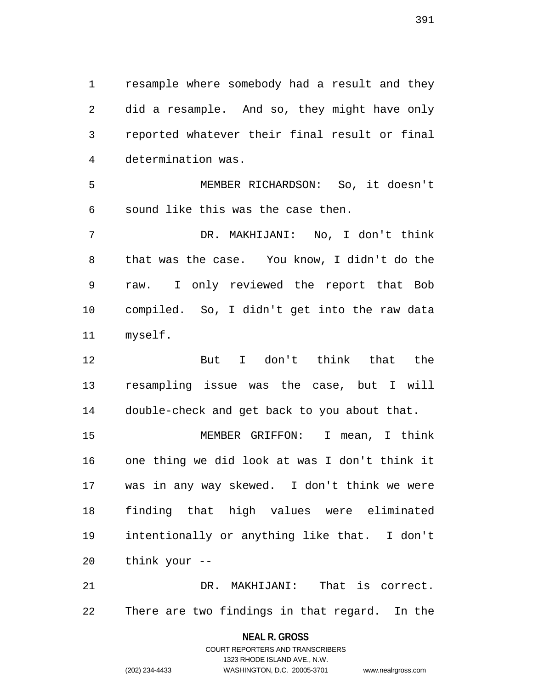1 resample where somebody had a result and they 2 did a resample. And so, they might have only 3 reported whatever their final result or final 4 determination was.

5 MEMBER RICHARDSON: So, it doesn't 6 sound like this was the case then.

7 DR. MAKHIJANI: No, I don't think 8 that was the case. You know, I didn't do the 9 raw. I only reviewed the report that Bob 10 compiled. So, I didn't get into the raw data 11 myself.

12 But I don't think that the 13 resampling issue was the case, but I will 14 double-check and get back to you about that.

15 MEMBER GRIFFON: I mean, I think 16 one thing we did look at was I don't think it 17 was in any way skewed. I don't think we were 18 finding that high values were eliminated 19 intentionally or anything like that. I don't 20 think your --

21 DR. MAKHIJANI: That is correct. 22 There are two findings in that regard. In the

### **NEAL R. GROSS**

COURT REPORTERS AND TRANSCRIBERS 1323 RHODE ISLAND AVE., N.W. (202) 234-4433 WASHINGTON, D.C. 20005-3701 www.nealrgross.com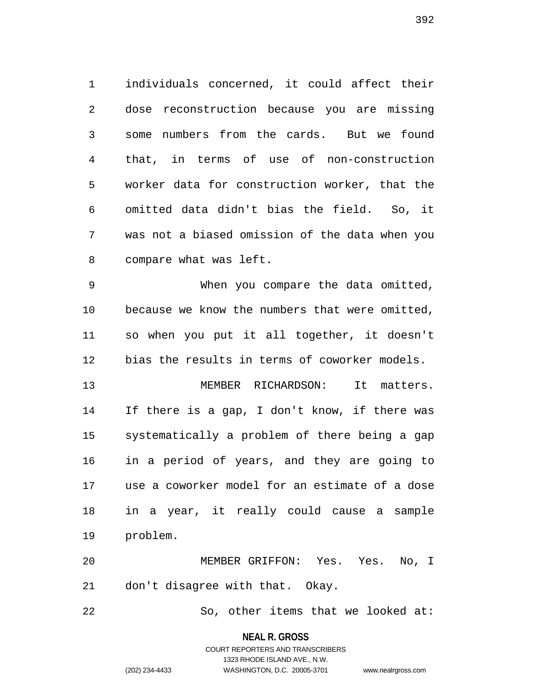1 individuals concerned, it could affect their 2 dose reconstruction because you are missing 3 some numbers from the cards. But we found 4 that, in terms of use of non-construction 5 worker data for construction worker, that the 6 omitted data didn't bias the field. So, it 7 was not a biased omission of the data when you 8 compare what was left.

9 When you compare the data omitted, 10 because we know the numbers that were omitted, 11 so when you put it all together, it doesn't 12 bias the results in terms of coworker models.

13 MEMBER RICHARDSON: It matters. 14 If there is a gap, I don't know, if there was 15 systematically a problem of there being a gap 16 in a period of years, and they are going to 17 use a coworker model for an estimate of a dose 18 in a year, it really could cause a sample 19 problem.

20 MEMBER GRIFFON: Yes. Yes. No, I 21 don't disagree with that. Okay.

22 So, other items that we looked at:

**NEAL R. GROSS**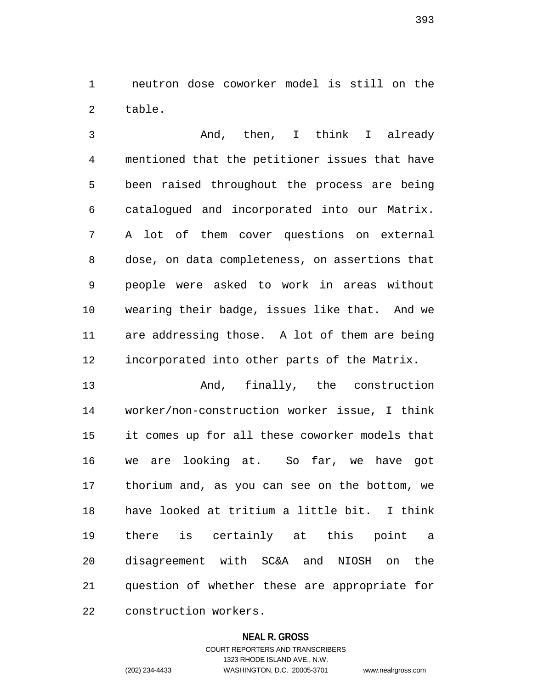1 neutron dose coworker model is still on the 2 table.

3 And, then, I think I already 4 mentioned that the petitioner issues that have 5 been raised throughout the process are being 6 catalogued and incorporated into our Matrix. 7 A lot of them cover questions on external 8 dose, on data completeness, on assertions that 9 people were asked to work in areas without 10 wearing their badge, issues like that. And we 11 are addressing those. A lot of them are being 12 incorporated into other parts of the Matrix.

13 And, finally, the construction 14 worker/non-construction worker issue, I think 15 it comes up for all these coworker models that 16 we are looking at. So far, we have got 17 thorium and, as you can see on the bottom, we 18 have looked at tritium a little bit. I think 19 there is certainly at this point a 20 disagreement with SC&A and NIOSH on the 21 question of whether these are appropriate for 22 construction workers.

### **NEAL R. GROSS**

COURT REPORTERS AND TRANSCRIBERS 1323 RHODE ISLAND AVE., N.W. (202) 234-4433 WASHINGTON, D.C. 20005-3701 www.nealrgross.com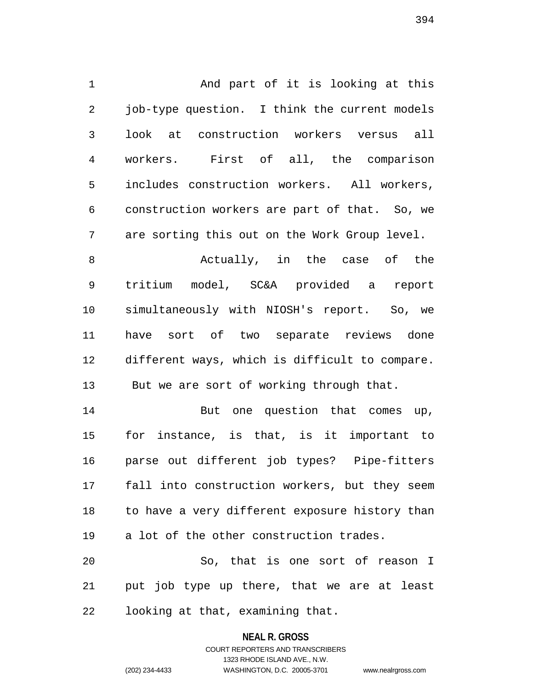1 And part of it is looking at this 2 job-type question. I think the current models 3 look at construction workers versus all 4 workers. First of all, the comparison 5 includes construction workers. All workers, 6 construction workers are part of that. So, we 7 are sorting this out on the Work Group level. 8 Actually, in the case of the 9 tritium model, SC&A provided a report 10 simultaneously with NIOSH's report. So, we 11 have sort of two separate reviews done 12 different ways, which is difficult to compare. 13 But we are sort of working through that. 14 But one question that comes up, 15 for instance, is that, is it important to 16 parse out different job types? Pipe-fitters

17 fall into construction workers, but they seem 18 to have a very different exposure history than 19 a lot of the other construction trades.

20 So, that is one sort of reason I 21 put job type up there, that we are at least 22 looking at that, examining that.

**NEAL R. GROSS**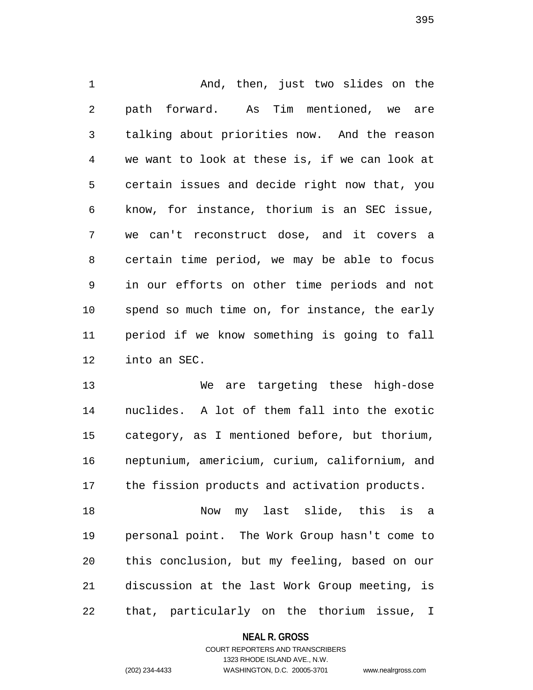1 And, then, just two slides on the 2 path forward. As Tim mentioned, we are 3 talking about priorities now. And the reason 4 we want to look at these is, if we can look at 5 certain issues and decide right now that, you 6 know, for instance, thorium is an SEC issue, 7 we can't reconstruct dose, and it covers a 8 certain time period, we may be able to focus 9 in our efforts on other time periods and not 10 spend so much time on, for instance, the early 11 period if we know something is going to fall 12 into an SEC.

13 We are targeting these high-dose 14 nuclides. A lot of them fall into the exotic 15 category, as I mentioned before, but thorium, 16 neptunium, americium, curium, californium, and 17 the fission products and activation products.

18 Now my last slide, this is a 19 personal point. The Work Group hasn't come to 20 this conclusion, but my feeling, based on our 21 discussion at the last Work Group meeting, is 22 that, particularly on the thorium issue, I

### **NEAL R. GROSS**

COURT REPORTERS AND TRANSCRIBERS 1323 RHODE ISLAND AVE., N.W. (202) 234-4433 WASHINGTON, D.C. 20005-3701 www.nealrgross.com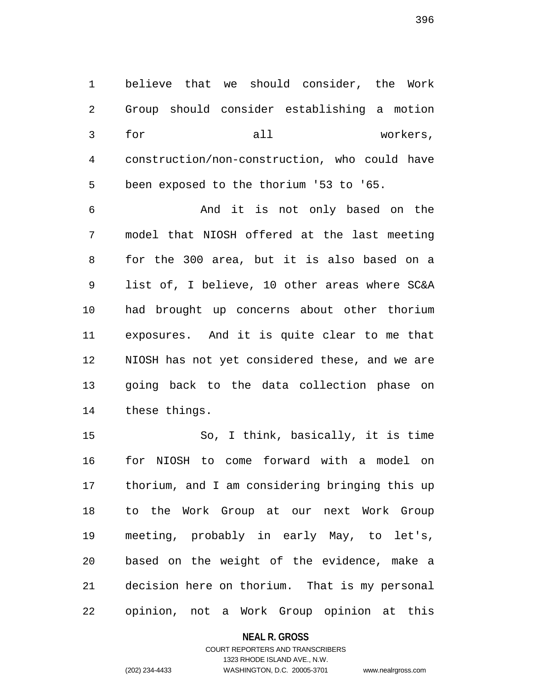1 believe that we should consider, the Work 2 Group should consider establishing a motion 3 for all workers, 4 construction/non-construction, who could have 5 been exposed to the thorium '53 to '65.

6 And it is not only based on the 7 model that NIOSH offered at the last meeting 8 for the 300 area, but it is also based on a 9 list of, I believe, 10 other areas where SC&A 10 had brought up concerns about other thorium 11 exposures. And it is quite clear to me that 12 NIOSH has not yet considered these, and we are 13 going back to the data collection phase on 14 these things.

15 So, I think, basically, it is time 16 for NIOSH to come forward with a model on 17 thorium, and I am considering bringing this up 18 to the Work Group at our next Work Group 19 meeting, probably in early May, to let's, 20 based on the weight of the evidence, make a 21 decision here on thorium. That is my personal 22 opinion, not a Work Group opinion at this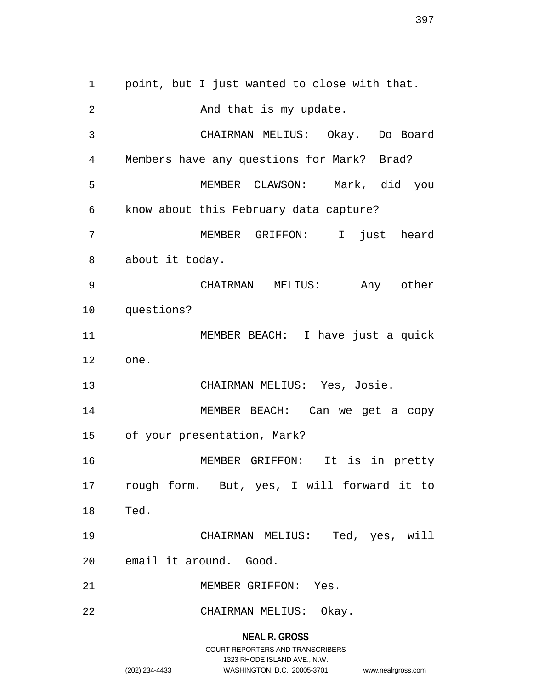**NEAL R. GROSS** 1 point, but I just wanted to close with that. 2 And that is my update. 3 CHAIRMAN MELIUS: Okay. Do Board 4 Members have any questions for Mark? Brad? 5 MEMBER CLAWSON: Mark, did you 6 know about this February data capture? 7 MEMBER GRIFFON: I just heard 8 about it today. 9 CHAIRMAN MELIUS: Any other 10 questions? 11 MEMBER BEACH: I have just a quick 12 one. 13 CHAIRMAN MELIUS: Yes, Josie. 14 MEMBER BEACH: Can we get a copy 15 of your presentation, Mark? 16 MEMBER GRIFFON: It is in pretty 17 rough form. But, yes, I will forward it to 18 Ted. 19 CHAIRMAN MELIUS: Ted, yes, will 20 email it around. Good. 21 MEMBER GRIFFON: Yes. 22 CHAIRMAN MELIUS: Okay.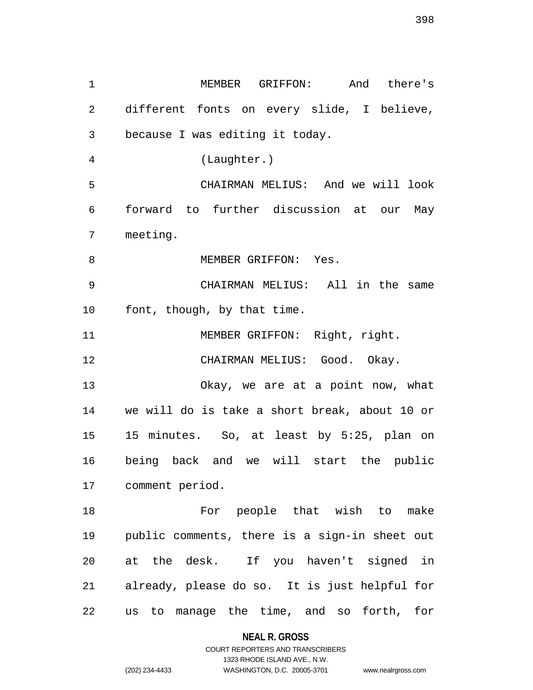1 MEMBER GRIFFON: And there's 2 different fonts on every slide, I believe, 3 because I was editing it today. 4 (Laughter.) 5 CHAIRMAN MELIUS: And we will look 6 forward to further discussion at our May 7 meeting. 8 MEMBER GRIFFON: Yes. 9 CHAIRMAN MELIUS: All in the same 10 font, though, by that time. 11 MEMBER GRIFFON: Right, right. 12 CHAIRMAN MELIUS: Good. Okay. 13 Okay, we are at a point now, what 14 we will do is take a short break, about 10 or 15 15 minutes. So, at least by 5:25, plan on 16 being back and we will start the public 17 comment period. 18 For people that wish to make 19 public comments, there is a sign-in sheet out 20 at the desk. If you haven't signed in 21 already, please do so. It is just helpful for 22 us to manage the time, and so forth, for

**NEAL R. GROSS**

COURT REPORTERS AND TRANSCRIBERS 1323 RHODE ISLAND AVE., N.W. (202) 234-4433 WASHINGTON, D.C. 20005-3701 www.nealrgross.com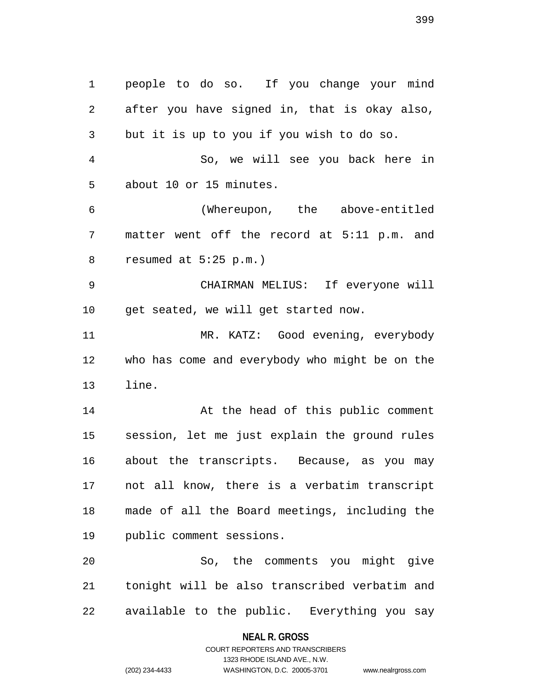1 people to do so. If you change your mind 2 after you have signed in, that is okay also, 3 but it is up to you if you wish to do so. 4 So, we will see you back here in 5 about 10 or 15 minutes. 6 (Whereupon, the above-entitled 7 matter went off the record at 5:11 p.m. and 8 resumed at 5:25 p.m.) 9 CHAIRMAN MELIUS: If everyone will 10 get seated, we will get started now. 11 MR. KATZ: Good evening, everybody 12 who has come and everybody who might be on the 13 line. 14 At the head of this public comment 15 session, let me just explain the ground rules 16 about the transcripts. Because, as you may 17 not all know, there is a verbatim transcript 18 made of all the Board meetings, including the 19 public comment sessions. 20 So, the comments you might give 21 tonight will be also transcribed verbatim and 22 available to the public. Everything you say

**NEAL R. GROSS**

COURT REPORTERS AND TRANSCRIBERS 1323 RHODE ISLAND AVE., N.W. (202) 234-4433 WASHINGTON, D.C. 20005-3701 www.nealrgross.com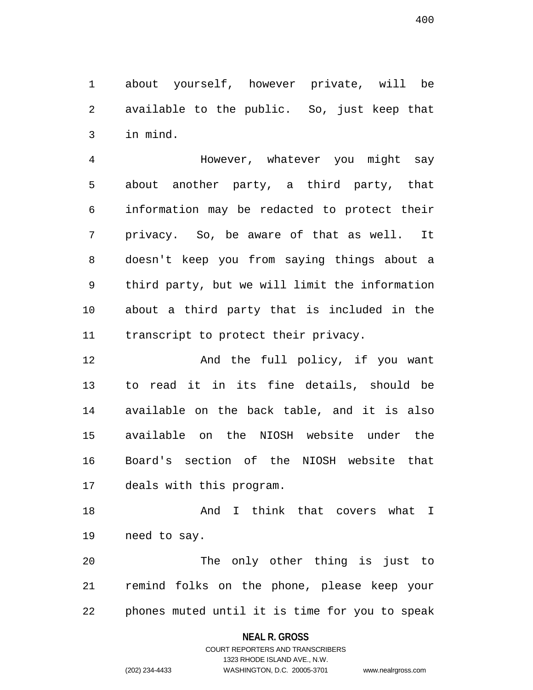1 about yourself, however private, will be 2 available to the public. So, just keep that 3 in mind.

4 However, whatever you might say 5 about another party, a third party, that 6 information may be redacted to protect their 7 privacy. So, be aware of that as well. It 8 doesn't keep you from saying things about a 9 third party, but we will limit the information 10 about a third party that is included in the 11 transcript to protect their privacy.

12 And the full policy, if you want 13 to read it in its fine details, should be 14 available on the back table, and it is also 15 available on the NIOSH website under the 16 Board's section of the NIOSH website that 17 deals with this program.

18 And I think that covers what I 19 need to say.

20 The only other thing is just to 21 remind folks on the phone, please keep your 22 phones muted until it is time for you to speak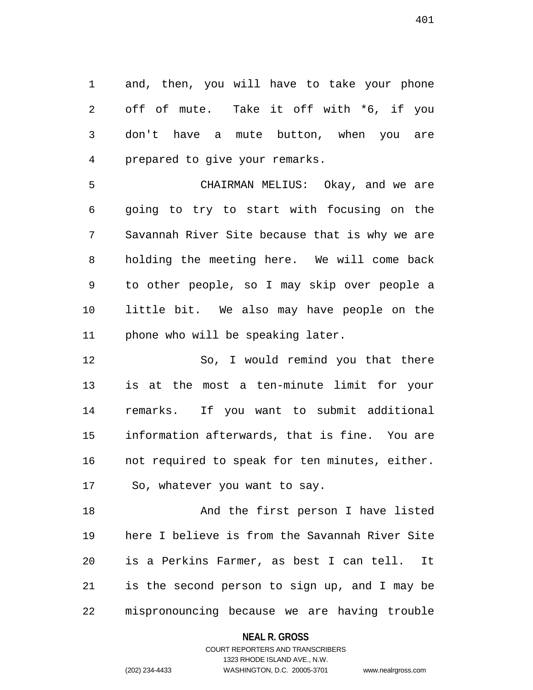1 and, then, you will have to take your phone 2 off of mute. Take it off with \*6, if you 3 don't have a mute button, when you are 4 prepared to give your remarks.

5 CHAIRMAN MELIUS: Okay, and we are 6 going to try to start with focusing on the 7 Savannah River Site because that is why we are 8 holding the meeting here. We will come back 9 to other people, so I may skip over people a 10 little bit. We also may have people on the 11 phone who will be speaking later.

12 So, I would remind you that there 13 is at the most a ten-minute limit for your 14 remarks. If you want to submit additional 15 information afterwards, that is fine. You are 16 not required to speak for ten minutes, either. 17 So, whatever you want to say.

18 And the first person I have listed 19 here I believe is from the Savannah River Site 20 is a Perkins Farmer, as best I can tell. It 21 is the second person to sign up, and I may be 22 mispronouncing because we are having trouble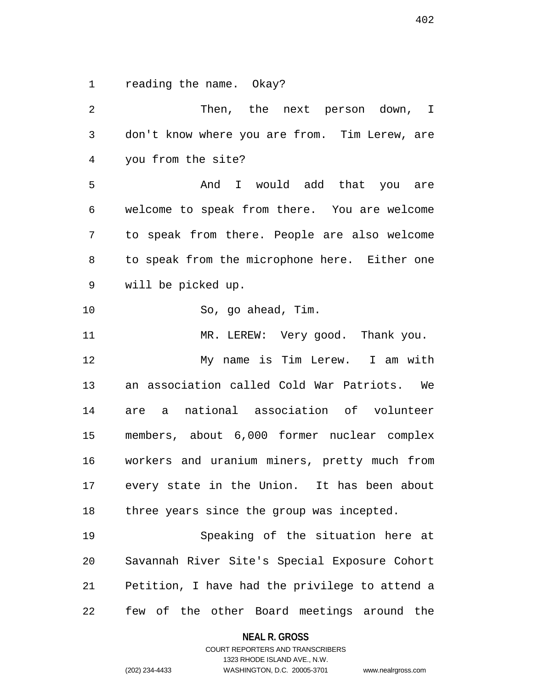1 reading the name. Okay?

2 Then, the next person down, I 3 don't know where you are from. Tim Lerew, are 4 you from the site? 5 And I would add that you are 6 welcome to speak from there. You are welcome 7 to speak from there. People are also welcome 8 to speak from the microphone here. Either one 9 will be picked up. 10 So, go ahead, Tim. 11 MR. LEREW: Very good. Thank you. 12 My name is Tim Lerew. I am with 13 an association called Cold War Patriots. We 14 are a national association of volunteer 15 members, about 6,000 former nuclear complex 16 workers and uranium miners, pretty much from 17 every state in the Union. It has been about 18 three years since the group was incepted. 19 Speaking of the situation here at 20 Savannah River Site's Special Exposure Cohort 21 Petition, I have had the privilege to attend a 22 few of the other Board meetings around the

#### **NEAL R. GROSS**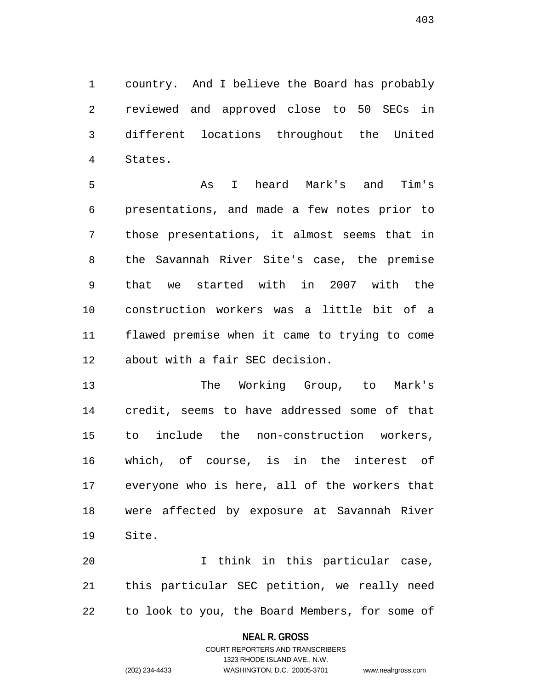1 country. And I believe the Board has probably 2 reviewed and approved close to 50 SECs in 3 different locations throughout the United 4 States.

5 As I heard Mark's and Tim's 6 presentations, and made a few notes prior to 7 those presentations, it almost seems that in 8 the Savannah River Site's case, the premise 9 that we started with in 2007 with the 10 construction workers was a little bit of a 11 flawed premise when it came to trying to come 12 about with a fair SEC decision.

13 The Working Group, to Mark's 14 credit, seems to have addressed some of that 15 to include the non-construction workers, 16 which, of course, is in the interest of 17 everyone who is here, all of the workers that 18 were affected by exposure at Savannah River 19 Site.

20 I think in this particular case, 21 this particular SEC petition, we really need 22 to look to you, the Board Members, for some of

#### **NEAL R. GROSS**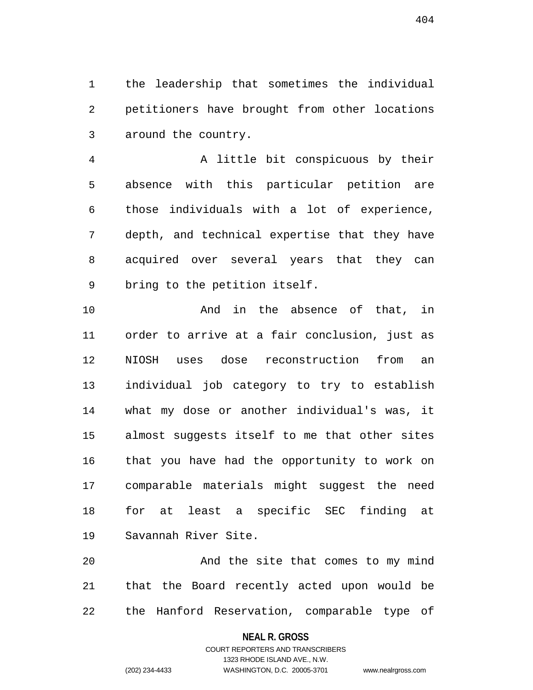1 the leadership that sometimes the individual 2 petitioners have brought from other locations 3 around the country.

4 A little bit conspicuous by their 5 absence with this particular petition are 6 those individuals with a lot of experience, 7 depth, and technical expertise that they have 8 acquired over several years that they can 9 bring to the petition itself.

10 And in the absence of that, in 11 order to arrive at a fair conclusion, just as 12 NIOSH uses dose reconstruction from an 13 individual job category to try to establish 14 what my dose or another individual's was, it 15 almost suggests itself to me that other sites 16 that you have had the opportunity to work on 17 comparable materials might suggest the need 18 for at least a specific SEC finding at 19 Savannah River Site.

20 And the site that comes to my mind 21 that the Board recently acted upon would be 22 the Hanford Reservation, comparable type of

## **NEAL R. GROSS**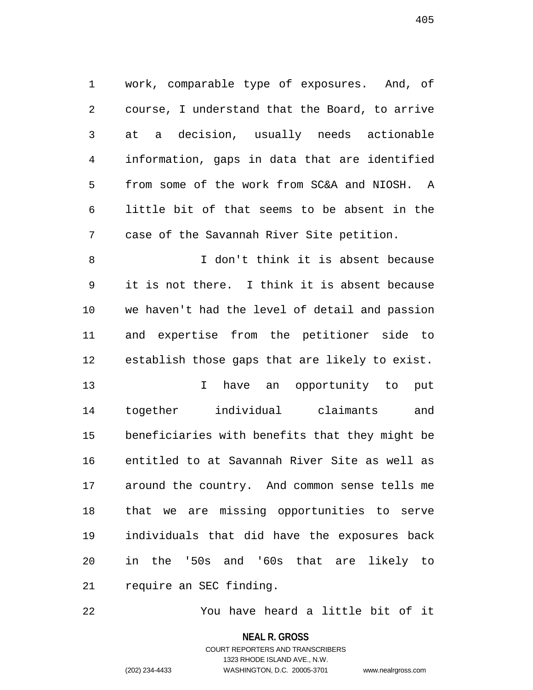1 work, comparable type of exposures. And, of 2 course, I understand that the Board, to arrive 3 at a decision, usually needs actionable 4 information, gaps in data that are identified 5 from some of the work from SC&A and NIOSH. A 6 little bit of that seems to be absent in the 7 case of the Savannah River Site petition.

8 I don't think it is absent because 9 it is not there. I think it is absent because 10 we haven't had the level of detail and passion 11 and expertise from the petitioner side to 12 establish those gaps that are likely to exist.

13 13 I have an opportunity to put 14 together individual claimants and 15 beneficiaries with benefits that they might be 16 entitled to at Savannah River Site as well as 17 around the country. And common sense tells me 18 that we are missing opportunities to serve 19 individuals that did have the exposures back 20 in the '50s and '60s that are likely to 21 require an SEC finding.

22 You have heard a little bit of it

**NEAL R. GROSS**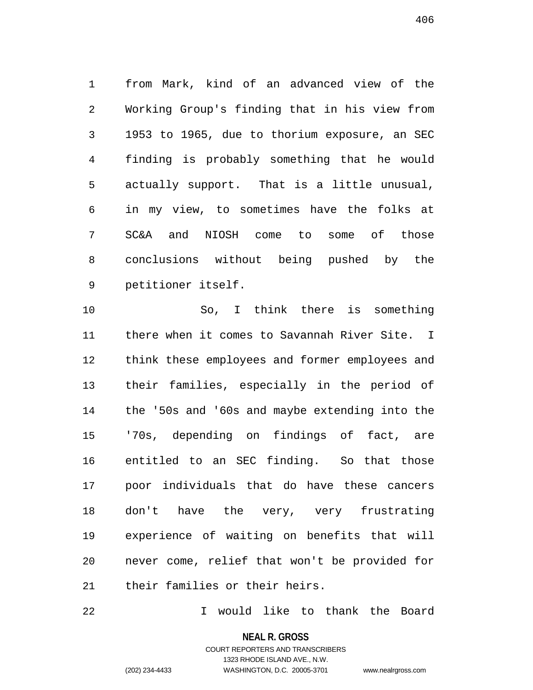1 from Mark, kind of an advanced view of the 2 Working Group's finding that in his view from 3 1953 to 1965, due to thorium exposure, an SEC 4 finding is probably something that he would 5 actually support. That is a little unusual, 6 in my view, to sometimes have the folks at 7 SC&A and NIOSH come to some of those 8 conclusions without being pushed by the 9 petitioner itself.

10 So, I think there is something 11 there when it comes to Savannah River Site. I 12 think these employees and former employees and 13 their families, especially in the period of 14 the '50s and '60s and maybe extending into the 15 '70s, depending on findings of fact, are 16 entitled to an SEC finding. So that those 17 poor individuals that do have these cancers 18 don't have the very, very frustrating 19 experience of waiting on benefits that will 20 never come, relief that won't be provided for 21 their families or their heirs.

22 I would like to thank the Board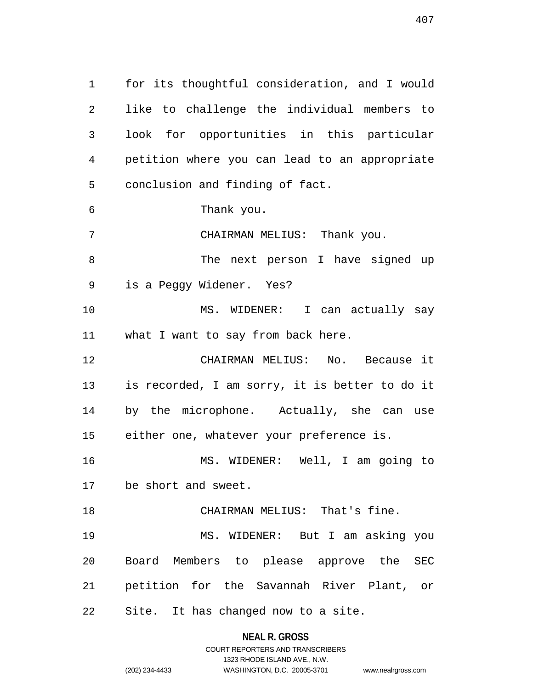1 for its thoughtful consideration, and I would 2 like to challenge the individual members to 3 look for opportunities in this particular 4 petition where you can lead to an appropriate 5 conclusion and finding of fact. 6 Thank you. 7 CHAIRMAN MELIUS: Thank you. 8 The next person I have signed up 9 is a Peggy Widener. Yes? 10 MS. WIDENER: I can actually say 11 what I want to say from back here. 12 CHAIRMAN MELIUS: No. Because it 13 is recorded, I am sorry, it is better to do it 14 by the microphone. Actually, she can use 15 either one, whatever your preference is. 16 MS. WIDENER: Well, I am going to 17 be short and sweet. 18 CHAIRMAN MELIUS: That's fine. 19 MS. WIDENER: But I am asking you 20 Board Members to please approve the SEC 21 petition for the Savannah River Plant, or 22 Site. It has changed now to a site.

#### **NEAL R. GROSS**

COURT REPORTERS AND TRANSCRIBERS 1323 RHODE ISLAND AVE., N.W. (202) 234-4433 WASHINGTON, D.C. 20005-3701 www.nealrgross.com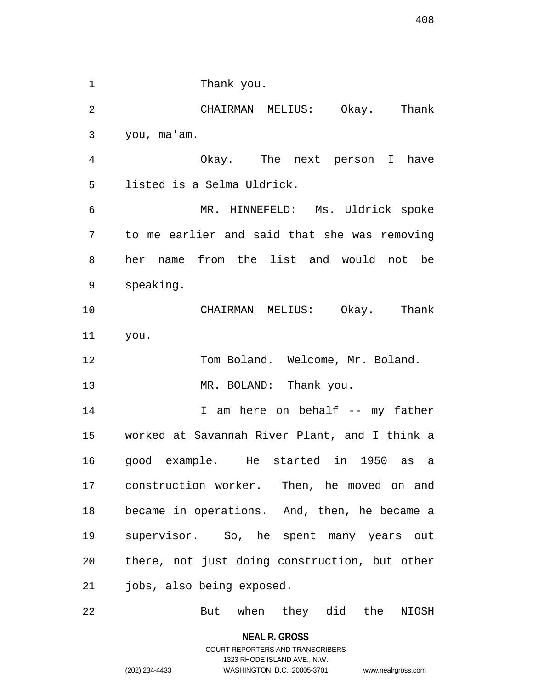1 Thank you. 2 CHAIRMAN MELIUS: Okay. Thank 3 you, ma'am. 4 Okay. The next person I have 5 listed is a Selma Uldrick. 6 MR. HINNEFELD: Ms. Uldrick spoke 7 to me earlier and said that she was removing 8 her name from the list and would not be 9 speaking. 10 CHAIRMAN MELIUS: Okay. Thank 11 you. 12 Tom Boland. Welcome, Mr. Boland. 13 MR. BOLAND: Thank you. 14 14 I am here on behalf -- my father 15 worked at Savannah River Plant, and I think a 16 good example. He started in 1950 as a 17 construction worker. Then, he moved on and 18 became in operations. And, then, he became a 19 supervisor. So, he spent many years out 20 there, not just doing construction, but other 21 jobs, also being exposed. 22 But when they did the NIOSH

**NEAL R. GROSS**

## COURT REPORTERS AND TRANSCRIBERS 1323 RHODE ISLAND AVE., N.W. (202) 234-4433 WASHINGTON, D.C. 20005-3701 www.nealrgross.com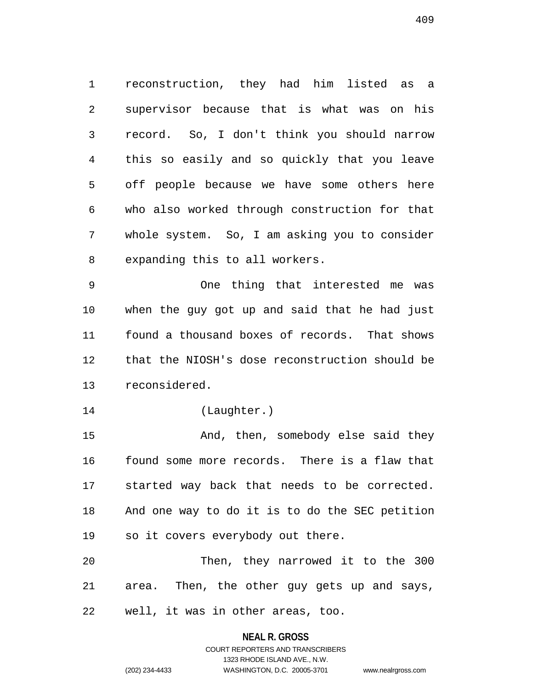1 reconstruction, they had him listed as a 2 supervisor because that is what was on his 3 record. So, I don't think you should narrow 4 this so easily and so quickly that you leave 5 off people because we have some others here 6 who also worked through construction for that 7 whole system. So, I am asking you to consider 8 expanding this to all workers.

9 One thing that interested me was 10 when the guy got up and said that he had just 11 found a thousand boxes of records. That shows 12 that the NIOSH's dose reconstruction should be 13 reconsidered.

14 (Laughter.)

15 And, then, somebody else said they 16 found some more records. There is a flaw that 17 started way back that needs to be corrected. 18 And one way to do it is to do the SEC petition 19 so it covers everybody out there.

20 Then, they narrowed it to the 300 21 area. Then, the other guy gets up and says, 22 well, it was in other areas, too.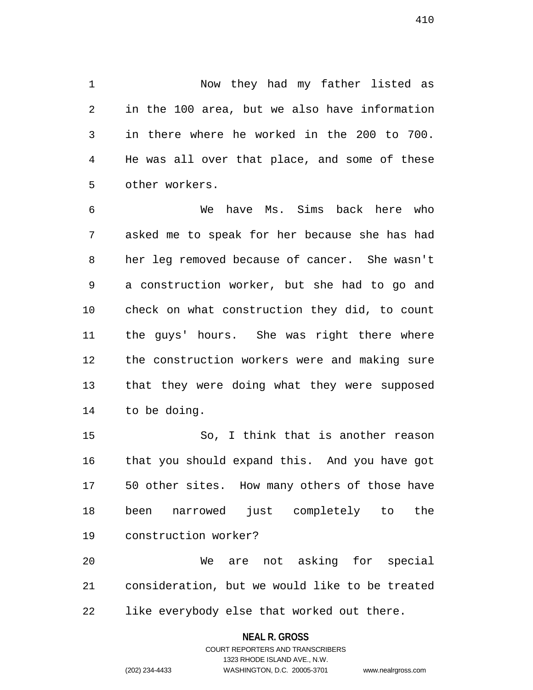1 Now they had my father listed as 2 in the 100 area, but we also have information 3 in there where he worked in the 200 to 700. 4 He was all over that place, and some of these 5 other workers.

6 We have Ms. Sims back here who 7 asked me to speak for her because she has had 8 her leg removed because of cancer. She wasn't 9 a construction worker, but she had to go and 10 check on what construction they did, to count 11 the guys' hours. She was right there where 12 the construction workers were and making sure 13 that they were doing what they were supposed 14 to be doing.

15 So, I think that is another reason 16 that you should expand this. And you have got 17 50 other sites. How many others of those have 18 been narrowed just completely to the 19 construction worker?

20 We are not asking for special 21 consideration, but we would like to be treated 22 like everybody else that worked out there.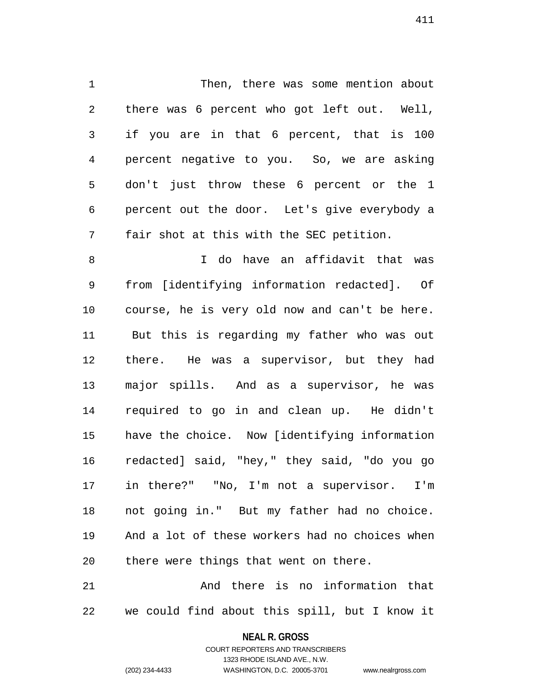1 Then, there was some mention about 2 there was 6 percent who got left out. Well, 3 if you are in that 6 percent, that is 100 4 percent negative to you. So, we are asking 5 don't just throw these 6 percent or the 1 6 percent out the door. Let's give everybody a 7 fair shot at this with the SEC petition.

8 I do have an affidavit that was 9 from [identifying information redacted]. Of 10 course, he is very old now and can't be here. 11 But this is regarding my father who was out 12 there. He was a supervisor, but they had 13 major spills. And as a supervisor, he was 14 required to go in and clean up. He didn't 15 have the choice. Now [identifying information 16 redacted] said, "hey," they said, "do you go 17 in there?" "No, I'm not a supervisor. I'm 18 not going in." But my father had no choice. 19 And a lot of these workers had no choices when 20 there were things that went on there.

21 And there is no information that 22 we could find about this spill, but I know it

## **NEAL R. GROSS**

COURT REPORTERS AND TRANSCRIBERS 1323 RHODE ISLAND AVE., N.W. (202) 234-4433 WASHINGTON, D.C. 20005-3701 www.nealrgross.com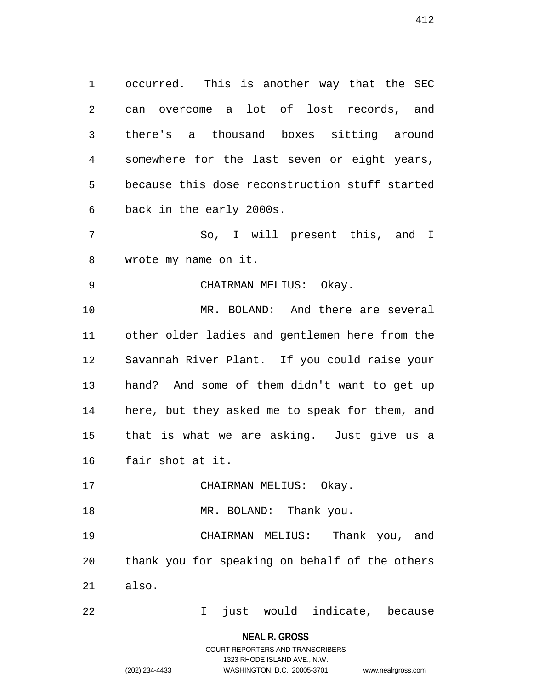1 occurred. This is another way that the SEC 2 can overcome a lot of lost records, and 3 there's a thousand boxes sitting around 4 somewhere for the last seven or eight years, 5 because this dose reconstruction stuff started 6 back in the early 2000s.

7 So, I will present this, and I 8 wrote my name on it.

9 CHAIRMAN MELIUS: Okay. 10 MR. BOLAND: And there are several 11 other older ladies and gentlemen here from the 12 Savannah River Plant. If you could raise your 13 hand? And some of them didn't want to get up 14 here, but they asked me to speak for them, and 15 that is what we are asking. Just give us a

- 16 fair shot at it.
- 17 CHAIRMAN MELIUS: Okay.

18 MR. BOLAND: Thank you.

19 CHAIRMAN MELIUS: Thank you, and 20 thank you for speaking on behalf of the others 21 also.

22 I just would indicate, because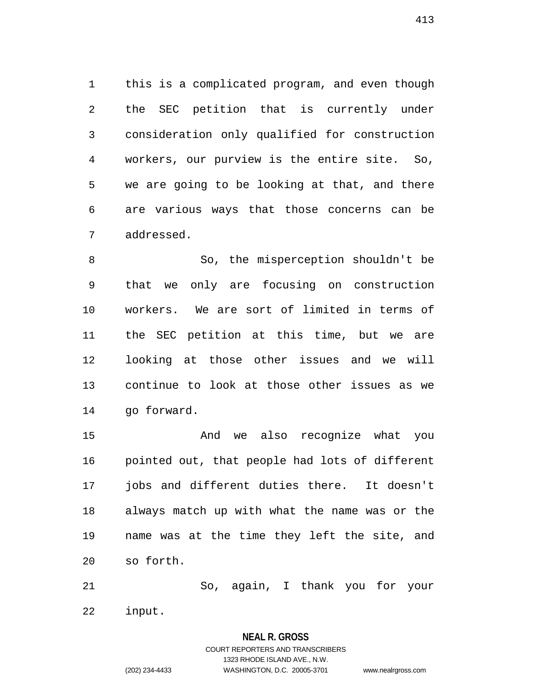1 this is a complicated program, and even though 2 the SEC petition that is currently under 3 consideration only qualified for construction 4 workers, our purview is the entire site. So, 5 we are going to be looking at that, and there 6 are various ways that those concerns can be 7 addressed.

8 So, the misperception shouldn't be 9 that we only are focusing on construction 10 workers. We are sort of limited in terms of 11 the SEC petition at this time, but we are 12 looking at those other issues and we will 13 continue to look at those other issues as we 14 go forward.

15 And we also recognize what you 16 pointed out, that people had lots of different 17 jobs and different duties there. It doesn't 18 always match up with what the name was or the 19 name was at the time they left the site, and 20 so forth.

21 So, again, I thank you for your 22 input.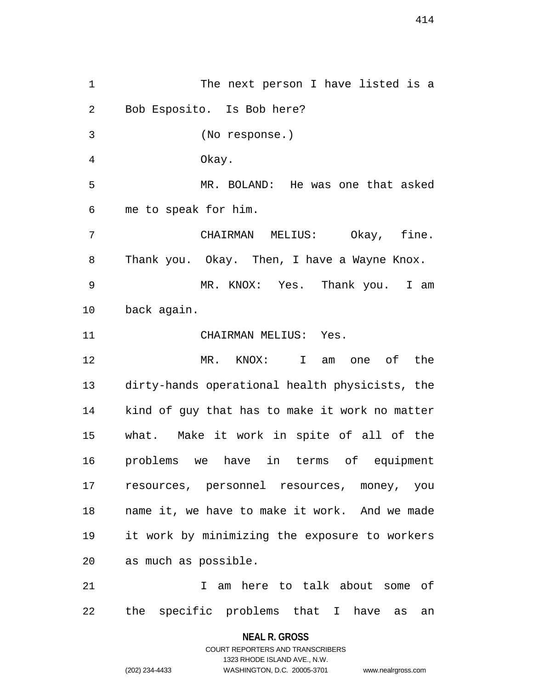1 The next person I have listed is a 2 Bob Esposito. Is Bob here? 3 (No response.) 4 Okay. 5 MR. BOLAND: He was one that asked 6 me to speak for him. 7 CHAIRMAN MELIUS: Okay, fine. 8 Thank you. Okay. Then, I have a Wayne Knox. 9 MR. KNOX: Yes. Thank you. I am 10 back again. 11 CHAIRMAN MELIUS: Yes. 12 MR. KNOX: I am one of the 13 dirty-hands operational health physicists, the 14 kind of guy that has to make it work no matter 15 what. Make it work in spite of all of the 16 problems we have in terms of equipment 17 resources, personnel resources, money, you 18 name it, we have to make it work. And we made 19 it work by minimizing the exposure to workers 20 as much as possible. 21 I am here to talk about some of 22 the specific problems that I have as an

> **NEAL R. GROSS** COURT REPORTERS AND TRANSCRIBERS

> > 1323 RHODE ISLAND AVE., N.W.

(202) 234-4433 WASHINGTON, D.C. 20005-3701 www.nealrgross.com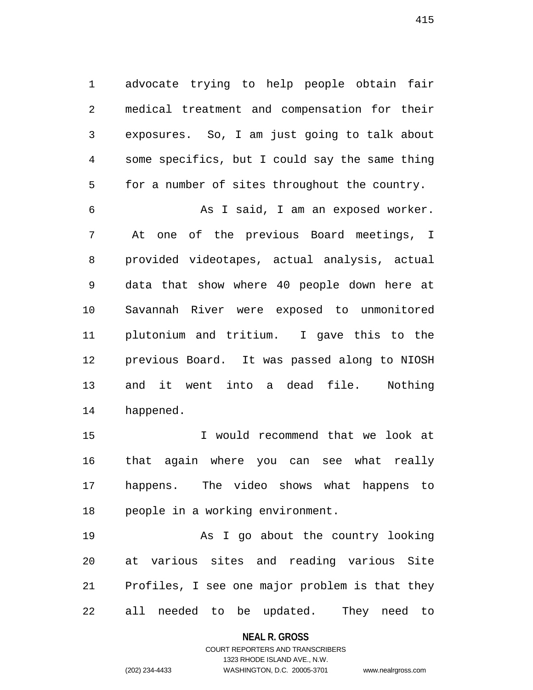1 advocate trying to help people obtain fair 2 medical treatment and compensation for their 3 exposures. So, I am just going to talk about 4 some specifics, but I could say the same thing 5 for a number of sites throughout the country.

6 As I said, I am an exposed worker. 7 At one of the previous Board meetings, I 8 provided videotapes, actual analysis, actual 9 data that show where 40 people down here at 10 Savannah River were exposed to unmonitored 11 plutonium and tritium. I gave this to the 12 previous Board. It was passed along to NIOSH 13 and it went into a dead file. Nothing 14 happened.

15 I would recommend that we look at 16 that again where you can see what really 17 happens. The video shows what happens to 18 people in a working environment.

19 As I go about the country looking 20 at various sites and reading various Site 21 Profiles, I see one major problem is that they 22 all needed to be updated. They need to

## **NEAL R. GROSS**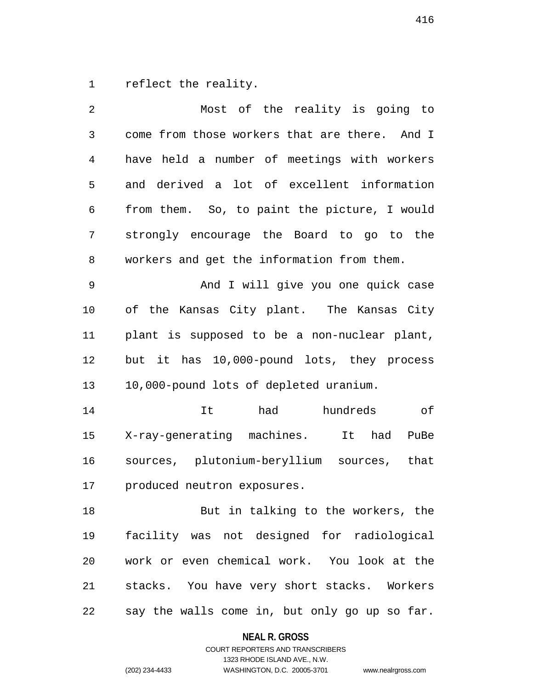1 reflect the reality.

| $\overline{2}$ | Most of the reality is going to               |
|----------------|-----------------------------------------------|
| $\mathfrak{Z}$ | come from those workers that are there. And I |
| 4              | have held a number of meetings with workers   |
| 5              | and derived a lot of excellent information    |
| 6              | from them. So, to paint the picture, I would  |
| 7              | strongly encourage the Board to go to the     |
| 8              | workers and get the information from them.    |
| 9              | And I will give you one quick case            |
| 10             | of the Kansas City plant. The Kansas City     |
| 11             | plant is supposed to be a non-nuclear plant,  |
| 12             | but it has 10,000-pound lots, they process    |
| 13             | 10,000-pound lots of depleted uranium.        |
| 14             | had<br>It<br>hundreds<br>оf                   |
| 15             | X-ray-generating machines.<br>It had<br>PuBe  |
| 16             | sources, plutonium-beryllium sources,<br>that |
| 17             | produced neutron exposures.                   |
| 18             | But in talking to the workers, the            |
| 19             | facility was not designed for radiological    |
| 20             | work or even chemical work. You look at the   |
| 21             | stacks. You have very short stacks. Workers   |
| 22             | say the walls come in, but only go up so far. |

**NEAL R. GROSS**

COURT REPORTERS AND TRANSCRIBERS 1323 RHODE ISLAND AVE., N.W. (202) 234-4433 WASHINGTON, D.C. 20005-3701 www.nealrgross.com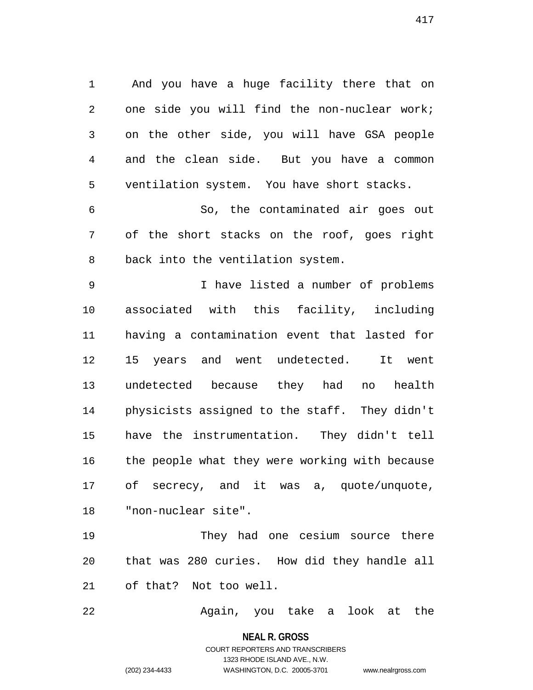1 And you have a huge facility there that on 2 one side you will find the non-nuclear work; 3 on the other side, you will have GSA people 4 and the clean side. But you have a common 5 ventilation system. You have short stacks.

6 So, the contaminated air goes out 7 of the short stacks on the roof, goes right 8 back into the ventilation system.

9 I have listed a number of problems 10 associated with this facility, including 11 having a contamination event that lasted for 12 15 years and went undetected. It went 13 undetected because they had no health 14 physicists assigned to the staff. They didn't 15 have the instrumentation. They didn't tell 16 the people what they were working with because 17 of secrecy, and it was a, quote/unquote, 18 "non-nuclear site".

19 They had one cesium source there 20 that was 280 curies. How did they handle all 21 of that? Not too well.

22 Again, you take a look at the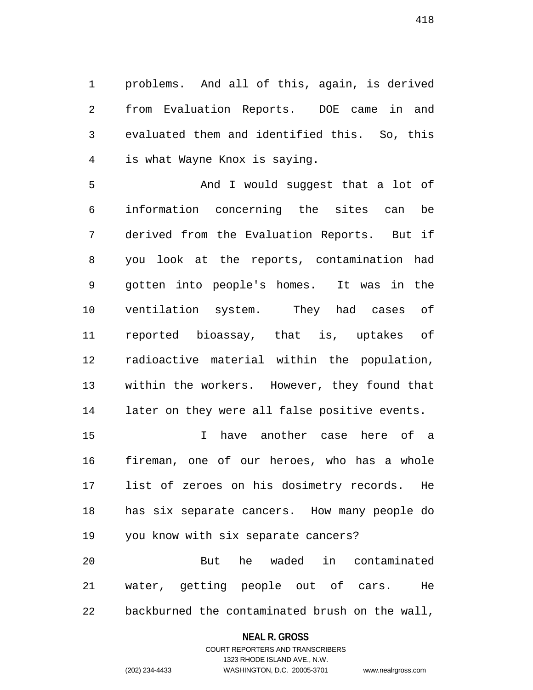1 problems. And all of this, again, is derived 2 from Evaluation Reports. DOE came in and 3 evaluated them and identified this. So, this 4 is what Wayne Knox is saying.

5 And I would suggest that a lot of 6 information concerning the sites can be 7 derived from the Evaluation Reports. But if 8 you look at the reports, contamination had 9 gotten into people's homes. It was in the 10 ventilation system. They had cases of 11 reported bioassay, that is, uptakes of 12 radioactive material within the population, 13 within the workers. However, they found that 14 later on they were all false positive events.

15 I have another case here of a 16 fireman, one of our heroes, who has a whole 17 list of zeroes on his dosimetry records. He 18 has six separate cancers. How many people do 19 you know with six separate cancers? 20 But he waded in contaminated

21 water, getting people out of cars. He 22 backburned the contaminated brush on the wall,

## **NEAL R. GROSS**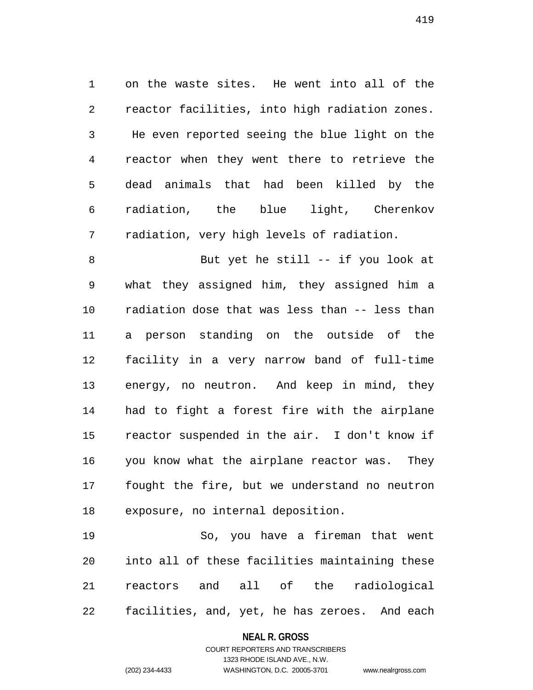1 on the waste sites. He went into all of the 2 reactor facilities, into high radiation zones. 3 He even reported seeing the blue light on the 4 reactor when they went there to retrieve the 5 dead animals that had been killed by the 6 radiation, the blue light, Cherenkov 7 radiation, very high levels of radiation.

8 But yet he still -- if you look at 9 what they assigned him, they assigned him a 10 radiation dose that was less than -- less than 11 a person standing on the outside of the 12 facility in a very narrow band of full-time 13 energy, no neutron. And keep in mind, they 14 had to fight a forest fire with the airplane 15 reactor suspended in the air. I don't know if 16 you know what the airplane reactor was. They 17 fought the fire, but we understand no neutron 18 exposure, no internal deposition.

19 So, you have a fireman that went 20 into all of these facilities maintaining these 21 reactors and all of the radiological 22 facilities, and, yet, he has zeroes. And each

## **NEAL R. GROSS**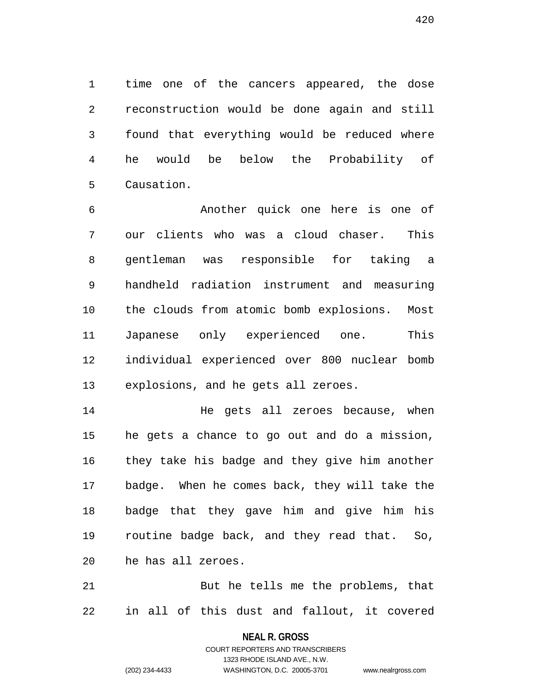1 time one of the cancers appeared, the dose 2 reconstruction would be done again and still 3 found that everything would be reduced where 4 he would be below the Probability of 5 Causation.

6 Another quick one here is one of 7 our clients who was a cloud chaser. This 8 gentleman was responsible for taking a 9 handheld radiation instrument and measuring 10 the clouds from atomic bomb explosions. Most 11 Japanese only experienced one. This 12 individual experienced over 800 nuclear bomb 13 explosions, and he gets all zeroes.

14 He gets all zeroes because, when 15 he gets a chance to go out and do a mission, 16 they take his badge and they give him another 17 badge. When he comes back, they will take the 18 badge that they gave him and give him his 19 routine badge back, and they read that. So, 20 he has all zeroes.

21 But he tells me the problems, that 22 in all of this dust and fallout, it covered

**NEAL R. GROSS**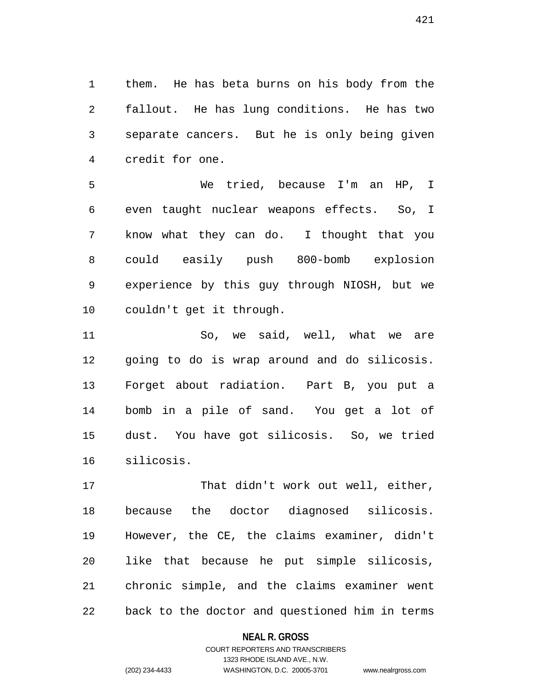1 them. He has beta burns on his body from the 2 fallout. He has lung conditions. He has two 3 separate cancers. But he is only being given 4 credit for one.

5 We tried, because I'm an HP, I 6 even taught nuclear weapons effects. So, I 7 know what they can do. I thought that you 8 could easily push 800-bomb explosion 9 experience by this guy through NIOSH, but we 10 couldn't get it through.

11 So, we said, well, what we are 12 going to do is wrap around and do silicosis. 13 Forget about radiation. Part B, you put a 14 bomb in a pile of sand. You get a lot of 15 dust. You have got silicosis. So, we tried 16 silicosis.

17 That didn't work out well, either, 18 because the doctor diagnosed silicosis. 19 However, the CE, the claims examiner, didn't 20 like that because he put simple silicosis, 21 chronic simple, and the claims examiner went 22 back to the doctor and questioned him in terms

## **NEAL R. GROSS**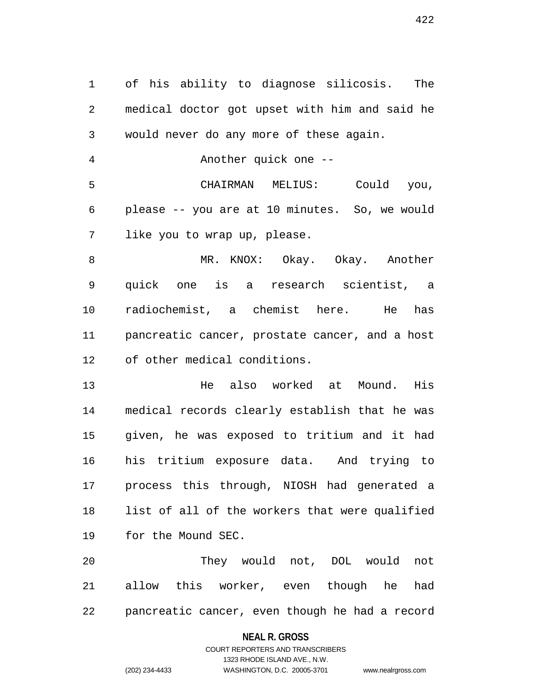1 of his ability to diagnose silicosis. The 2 medical doctor got upset with him and said he 3 would never do any more of these again.

4 Another quick one --

5 CHAIRMAN MELIUS: Could you, 6 please -- you are at 10 minutes. So, we would 7 like you to wrap up, please.

8 MR. KNOX: Okay. Okay. Another 9 quick one is a research scientist, a 10 radiochemist, a chemist here. He has 11 pancreatic cancer, prostate cancer, and a host 12 of other medical conditions.

13 He also worked at Mound. His 14 medical records clearly establish that he was 15 given, he was exposed to tritium and it had 16 his tritium exposure data. And trying to 17 process this through, NIOSH had generated a 18 list of all of the workers that were qualified 19 for the Mound SEC.

20 They would not, DOL would not 21 allow this worker, even though he had 22 pancreatic cancer, even though he had a record

## **NEAL R. GROSS**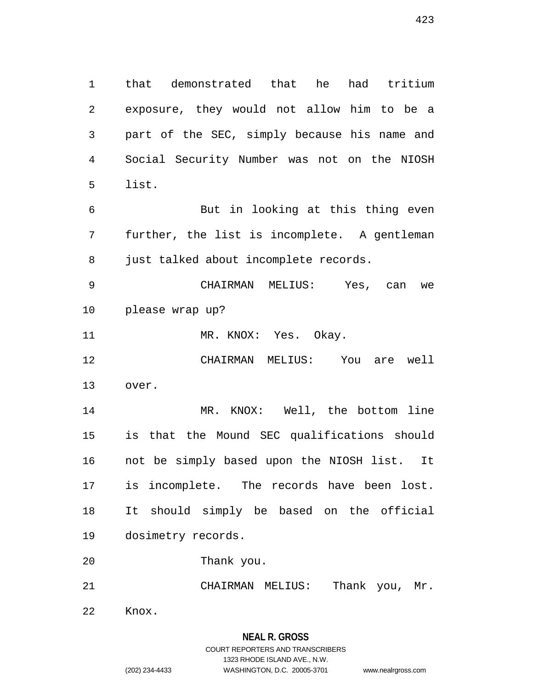1 that demonstrated that he had tritium 2 exposure, they would not allow him to be a 3 part of the SEC, simply because his name and 4 Social Security Number was not on the NIOSH 5 list. 6 But in looking at this thing even 7 further, the list is incomplete. A gentleman 8 just talked about incomplete records. 9 CHAIRMAN MELIUS: Yes, can we 10 please wrap up? 11 MR. KNOX: Yes. Okay. 12 CHAIRMAN MELIUS: You are well 13 over.

14 MR. KNOX: Well, the bottom line 15 is that the Mound SEC qualifications should 16 not be simply based upon the NIOSH list. It 17 is incomplete. The records have been lost. 18 It should simply be based on the official 19 dosimetry records.

20 Thank you.

21 CHAIRMAN MELIUS: Thank you, Mr.

22 Knox.

# **NEAL R. GROSS**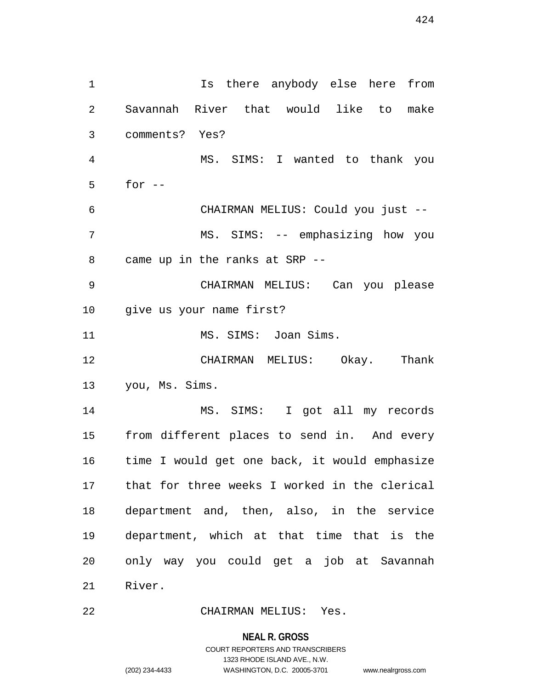1 Is there anybody else here from 2 Savannah River that would like to make 3 comments? Yes? 4 MS. SIMS: I wanted to thank you 5 for -- 6 CHAIRMAN MELIUS: Could you just -- 7 MS. SIMS: -- emphasizing how you 8 came up in the ranks at SRP -- 9 CHAIRMAN MELIUS: Can you please 10 give us your name first? 11 MS. SIMS: Joan Sims. 12 CHAIRMAN MELIUS: Okay. Thank 13 you, Ms. Sims. 14 MS. SIMS: I got all my records 15 from different places to send in. And every 16 time I would get one back, it would emphasize 17 that for three weeks I worked in the clerical 18 department and, then, also, in the service 19 department, which at that time that is the 20 only way you could get a job at Savannah 21 River.

22 CHAIRMAN MELIUS: Yes.

#### **NEAL R. GROSS**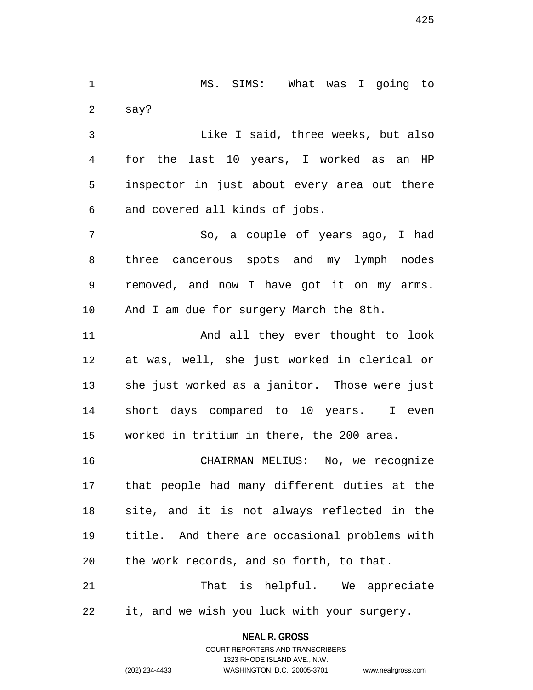1 MS. SIMS: What was I going to 2 say?

3 Like I said, three weeks, but also 4 for the last 10 years, I worked as an HP 5 inspector in just about every area out there 6 and covered all kinds of jobs.

7 So, a couple of years ago, I had 8 three cancerous spots and my lymph nodes 9 removed, and now I have got it on my arms. 10 And I am due for surgery March the 8th.

11 And all they ever thought to look 12 at was, well, she just worked in clerical or 13 she just worked as a janitor. Those were just 14 short days compared to 10 years. I even 15 worked in tritium in there, the 200 area.

16 CHAIRMAN MELIUS: No, we recognize 17 that people had many different duties at the 18 site, and it is not always reflected in the 19 title. And there are occasional problems with 20 the work records, and so forth, to that.

21 That is helpful. We appreciate 22 it, and we wish you luck with your surgery.

> **NEAL R. GROSS** COURT REPORTERS AND TRANSCRIBERS

> > 1323 RHODE ISLAND AVE., N.W.

(202) 234-4433 WASHINGTON, D.C. 20005-3701 www.nealrgross.com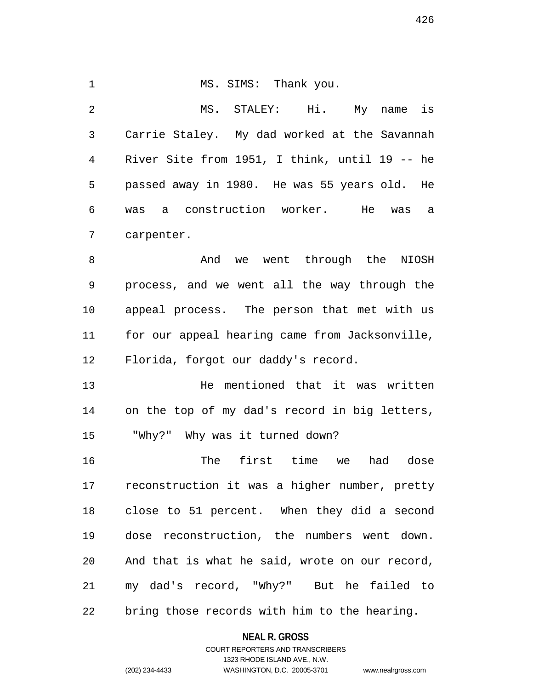1 MS. SIMS: Thank you. 2 MS. STALEY: Hi. My name is 3 Carrie Staley. My dad worked at the Savannah 4 River Site from 1951, I think, until 19 -- he 5 passed away in 1980. He was 55 years old. He 6 was a construction worker. He was a 7 carpenter. 8 And we went through the NIOSH 9 process, and we went all the way through the 10 appeal process. The person that met with us 11 for our appeal hearing came from Jacksonville, 12 Florida, forgot our daddy's record. 13 He mentioned that it was written 14 on the top of my dad's record in big letters, 15 "Why?" Why was it turned down? 16 The first time we had dose 17 reconstruction it was a higher number, pretty 18 close to 51 percent. When they did a second

19 dose reconstruction, the numbers went down. 20 And that is what he said, wrote on our record, 21 my dad's record, "Why?" But he failed to 22 bring those records with him to the hearing.

> **NEAL R. GROSS** COURT REPORTERS AND TRANSCRIBERS

1323 RHODE ISLAND AVE., N.W. (202) 234-4433 WASHINGTON, D.C. 20005-3701 www.nealrgross.com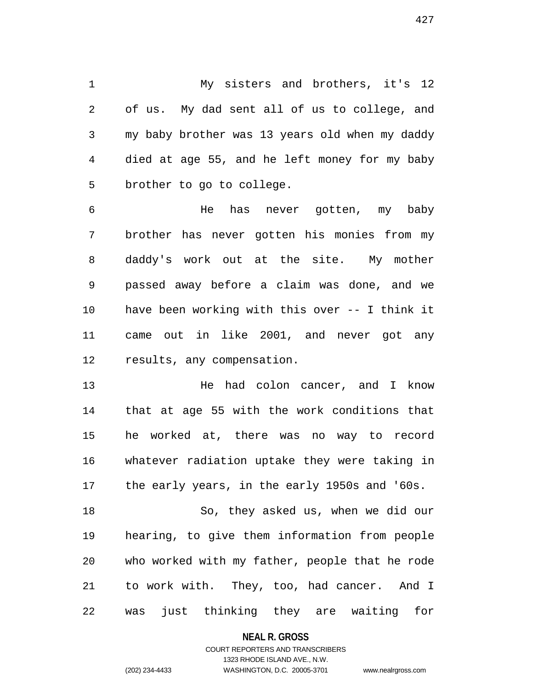1 My sisters and brothers, it's 12 2 of us. My dad sent all of us to college, and 3 my baby brother was 13 years old when my daddy 4 died at age 55, and he left money for my baby 5 brother to go to college.

6 He has never gotten, my baby 7 brother has never gotten his monies from my 8 daddy's work out at the site. My mother 9 passed away before a claim was done, and we 10 have been working with this over -- I think it 11 came out in like 2001, and never got any 12 results, any compensation.

13 He had colon cancer, and I know 14 that at age 55 with the work conditions that 15 he worked at, there was no way to record 16 whatever radiation uptake they were taking in 17 the early years, in the early 1950s and '60s.

18 So, they asked us, when we did our 19 hearing, to give them information from people 20 who worked with my father, people that he rode 21 to work with. They, too, had cancer. And I 22 was just thinking they are waiting for

## **NEAL R. GROSS**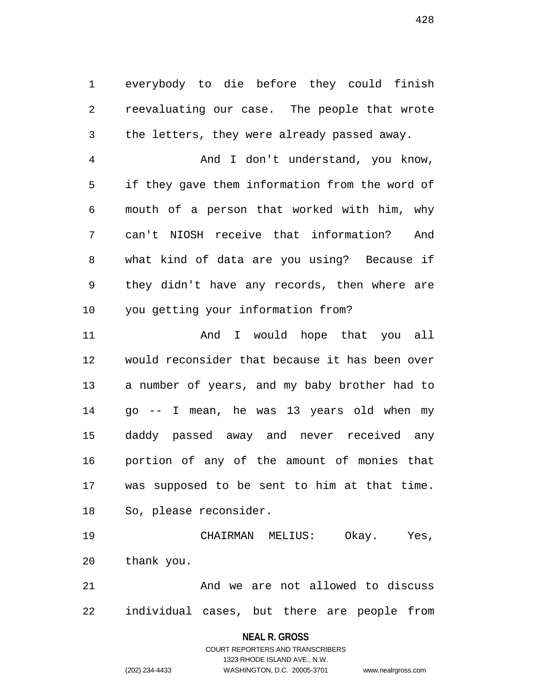1 everybody to die before they could finish 2 reevaluating our case. The people that wrote 3 the letters, they were already passed away.

4 And I don't understand, you know, 5 if they gave them information from the word of 6 mouth of a person that worked with him, why 7 can't NIOSH receive that information? And 8 what kind of data are you using? Because if 9 they didn't have any records, then where are 10 you getting your information from?

11 And I would hope that you all 12 would reconsider that because it has been over 13 a number of years, and my baby brother had to 14 go -- I mean, he was 13 years old when my 15 daddy passed away and never received any 16 portion of any of the amount of monies that 17 was supposed to be sent to him at that time. 18 So, please reconsider.

19 CHAIRMAN MELIUS: Okay. Yes, 20 thank you.

21 And we are not allowed to discuss 22 individual cases, but there are people from

**NEAL R. GROSS**

COURT REPORTERS AND TRANSCRIBERS 1323 RHODE ISLAND AVE., N.W. (202) 234-4433 WASHINGTON, D.C. 20005-3701 www.nealrgross.com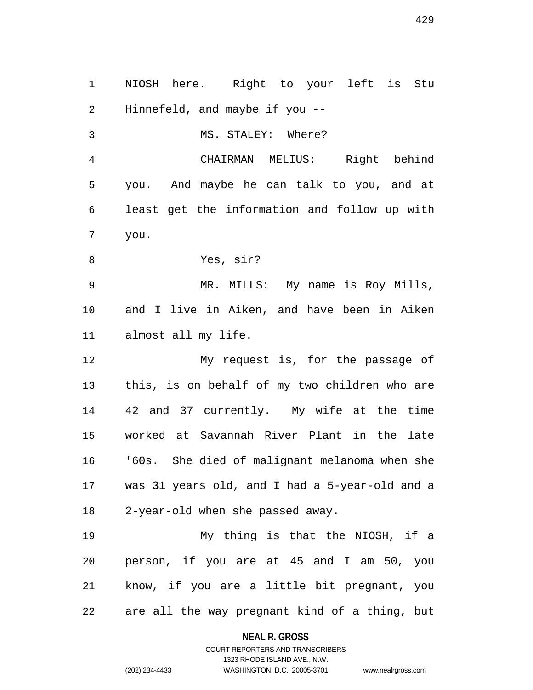1 NIOSH here. Right to your left is Stu 2 Hinnefeld, and maybe if you -- 3 MS. STALEY: Where? 4 CHAIRMAN MELIUS: Right behind 5 you. And maybe he can talk to you, and at 6 least get the information and follow up with 7 you. 8 Yes, sir? 9 MR. MILLS: My name is Roy Mills, 10 and I live in Aiken, and have been in Aiken 11 almost all my life. 12 My request is, for the passage of 13 this, is on behalf of my two children who are 14 42 and 37 currently. My wife at the time 15 worked at Savannah River Plant in the late 16 '60s. She died of malignant melanoma when she 17 was 31 years old, and I had a 5-year-old and a 18 2-year-old when she passed away. 19 My thing is that the NIOSH, if a 20 person, if you are at 45 and I am 50, you 21 know, if you are a little bit pregnant, you 22 are all the way pregnant kind of a thing, but

> **NEAL R. GROSS** COURT REPORTERS AND TRANSCRIBERS

> > 1323 RHODE ISLAND AVE., N.W.

(202) 234-4433 WASHINGTON, D.C. 20005-3701 www.nealrgross.com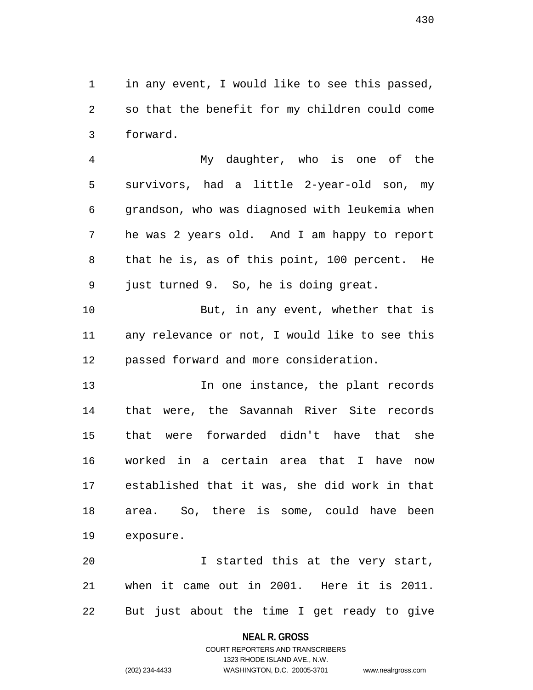1 in any event, I would like to see this passed, 2 so that the benefit for my children could come 3 forward.

4 My daughter, who is one of the 5 survivors, had a little 2-year-old son, my 6 grandson, who was diagnosed with leukemia when 7 he was 2 years old. And I am happy to report 8 that he is, as of this point, 100 percent. He 9 just turned 9. So, he is doing great.

10 But, in any event, whether that is 11 any relevance or not, I would like to see this 12 passed forward and more consideration.

13 **In one instance, the plant records** 14 that were, the Savannah River Site records 15 that were forwarded didn't have that she 16 worked in a certain area that I have now 17 established that it was, she did work in that 18 area. So, there is some, could have been 19 exposure.

20 I started this at the very start, 21 when it came out in 2001. Here it is 2011. 22 But just about the time I get ready to give

## **NEAL R. GROSS**

## COURT REPORTERS AND TRANSCRIBERS 1323 RHODE ISLAND AVE., N.W. (202) 234-4433 WASHINGTON, D.C. 20005-3701 www.nealrgross.com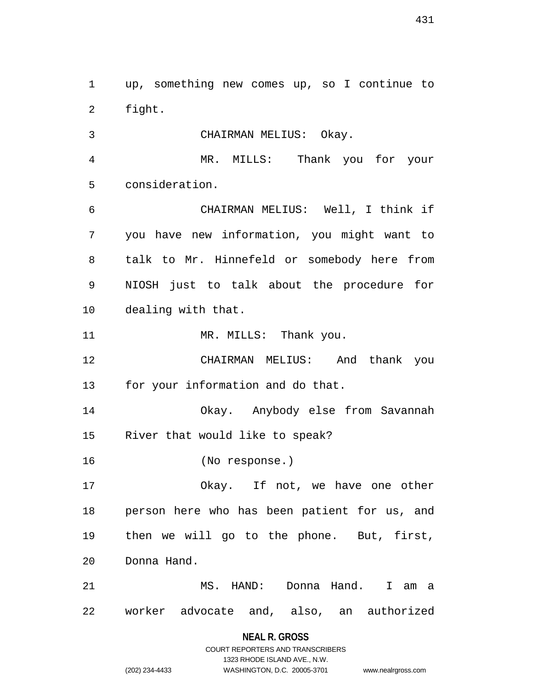1 up, something new comes up, so I continue to 2 fight.

3 CHAIRMAN MELIUS: Okay.

4 MR. MILLS: Thank you for your 5 consideration.

6 CHAIRMAN MELIUS: Well, I think if 7 you have new information, you might want to 8 talk to Mr. Hinnefeld or somebody here from 9 NIOSH just to talk about the procedure for 10 dealing with that.

11 MR. MILLS: Thank you.

12 CHAIRMAN MELIUS: And thank you 13 for your information and do that.

14 Okay. Anybody else from Savannah 15 River that would like to speak?

16 (No response.)

17 Okay. If not, we have one other 18 person here who has been patient for us, and 19 then we will go to the phone. But, first, 20 Donna Hand.

21 MS. HAND: Donna Hand. I am a 22 worker advocate and, also, an authorized

**NEAL R. GROSS**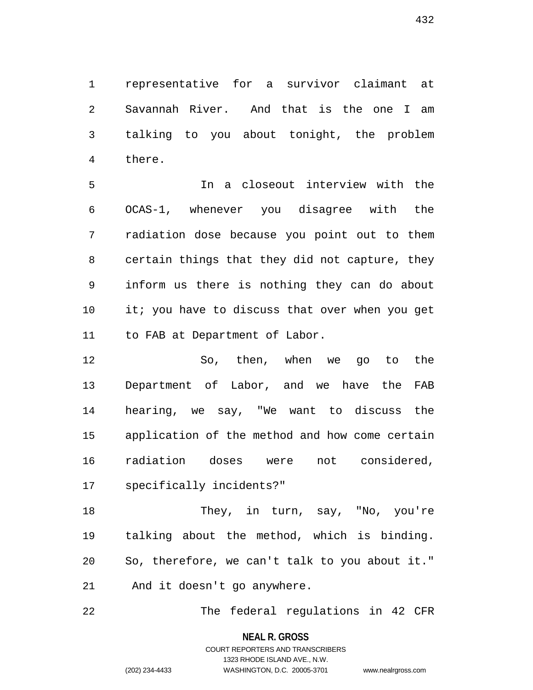1 representative for a survivor claimant at 2 Savannah River. And that is the one I am 3 talking to you about tonight, the problem 4 there.

5 In a closeout interview with the 6 OCAS-1, whenever you disagree with the 7 radiation dose because you point out to them 8 certain things that they did not capture, they 9 inform us there is nothing they can do about 10 it; you have to discuss that over when you get 11 to FAB at Department of Labor.

12 So, then, when we go to the 13 Department of Labor, and we have the FAB 14 hearing, we say, "We want to discuss the 15 application of the method and how come certain 16 radiation doses were not considered, 17 specifically incidents?"

18 They, in turn, say, "No, you're 19 talking about the method, which is binding. 20 So, therefore, we can't talk to you about it." 21 And it doesn't go anywhere.

22 The federal regulations in 42 CFR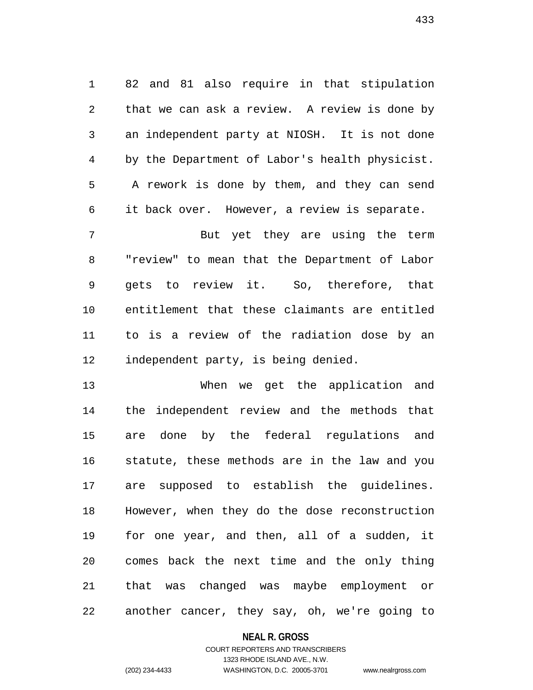1 82 and 81 also require in that stipulation 2 that we can ask a review. A review is done by 3 an independent party at NIOSH. It is not done 4 by the Department of Labor's health physicist. 5 A rework is done by them, and they can send 6 it back over. However, a review is separate.

7 But yet they are using the term 8 "review" to mean that the Department of Labor 9 gets to review it. So, therefore, that 10 entitlement that these claimants are entitled 11 to is a review of the radiation dose by an 12 independent party, is being denied.

13 When we get the application and 14 the independent review and the methods that 15 are done by the federal regulations and 16 statute, these methods are in the law and you 17 are supposed to establish the guidelines. 18 However, when they do the dose reconstruction 19 for one year, and then, all of a sudden, it 20 comes back the next time and the only thing 21 that was changed was maybe employment or 22 another cancer, they say, oh, we're going to

## **NEAL R. GROSS**

## COURT REPORTERS AND TRANSCRIBERS 1323 RHODE ISLAND AVE., N.W. (202) 234-4433 WASHINGTON, D.C. 20005-3701 www.nealrgross.com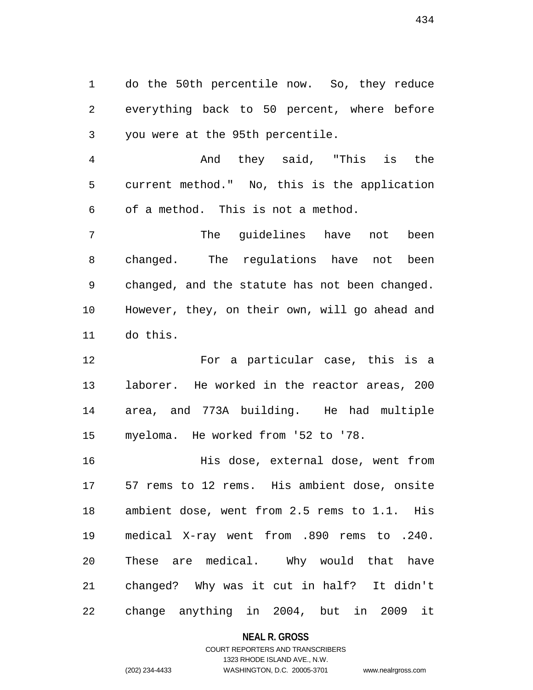1 do the 50th percentile now. So, they reduce 2 everything back to 50 percent, where before 3 you were at the 95th percentile.

4 And they said, "This is the 5 current method." No, this is the application 6 of a method. This is not a method.

7 The guidelines have not been 8 changed. The regulations have not been 9 changed, and the statute has not been changed. 10 However, they, on their own, will go ahead and 11 do this.

12 For a particular case, this is a 13 laborer. He worked in the reactor areas, 200 14 area, and 773A building. He had multiple 15 myeloma. He worked from '52 to '78.

16 His dose, external dose, went from 17 57 rems to 12 rems. His ambient dose, onsite 18 ambient dose, went from 2.5 rems to 1.1. His 19 medical X-ray went from .890 rems to .240. 20 These are medical. Why would that have 21 changed? Why was it cut in half? It didn't 22 change anything in 2004, but in 2009 it

#### **NEAL R. GROSS**

## COURT REPORTERS AND TRANSCRIBERS 1323 RHODE ISLAND AVE., N.W. (202) 234-4433 WASHINGTON, D.C. 20005-3701 www.nealrgross.com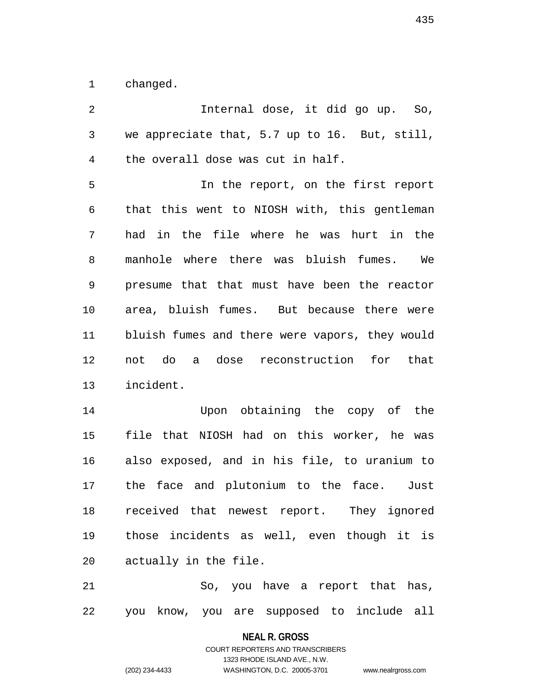1 changed.

2 Internal dose, it did go up. So, 3 we appreciate that, 5.7 up to 16. But, still, 4 the overall dose was cut in half. 5 In the report, on the first report 6 that this went to NIOSH with, this gentleman 7 had in the file where he was hurt in the 8 manhole where there was bluish fumes. We 9 presume that that must have been the reactor 10 area, bluish fumes. But because there were 11 bluish fumes and there were vapors, they would 12 not do a dose reconstruction for that 13 incident. 14 Upon obtaining the copy of the 15 file that NIOSH had on this worker, he was 16 also exposed, and in his file, to uranium to 17 the face and plutonium to the face. Just 18 received that newest report. They ignored 19 those incidents as well, even though it is 20 actually in the file. 21 So, you have a report that has, 22 you know, you are supposed to include all

> **NEAL R. GROSS** COURT REPORTERS AND TRANSCRIBERS

1323 RHODE ISLAND AVE., N.W. (202) 234-4433 WASHINGTON, D.C. 20005-3701 www.nealrgross.com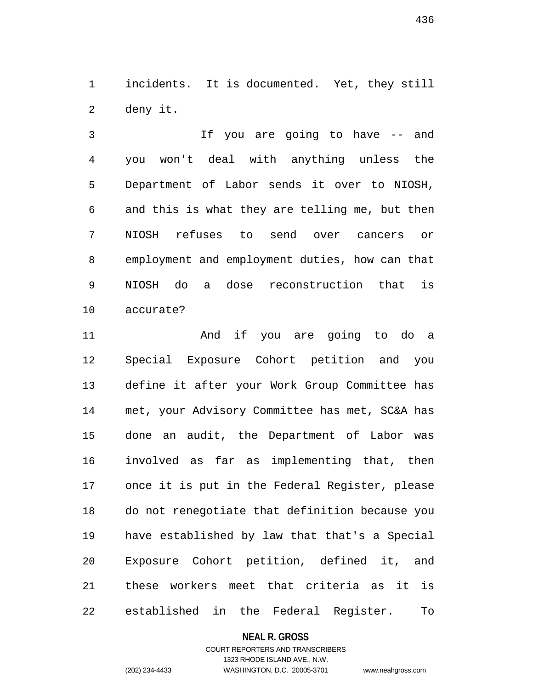1 incidents. It is documented. Yet, they still 2 deny it.

3 If you are going to have -- and 4 you won't deal with anything unless the 5 Department of Labor sends it over to NIOSH, 6 and this is what they are telling me, but then 7 NIOSH refuses to send over cancers or 8 employment and employment duties, how can that 9 NIOSH do a dose reconstruction that is 10 accurate?

11 And if you are going to do a 12 Special Exposure Cohort petition and you 13 define it after your Work Group Committee has 14 met, your Advisory Committee has met, SC&A has 15 done an audit, the Department of Labor was 16 involved as far as implementing that, then 17 once it is put in the Federal Register, please 18 do not renegotiate that definition because you 19 have established by law that that's a Special 20 Exposure Cohort petition, defined it, and 21 these workers meet that criteria as it is 22 established in the Federal Register. To

#### **NEAL R. GROSS**

# COURT REPORTERS AND TRANSCRIBERS 1323 RHODE ISLAND AVE., N.W. (202) 234-4433 WASHINGTON, D.C. 20005-3701 www.nealrgross.com

436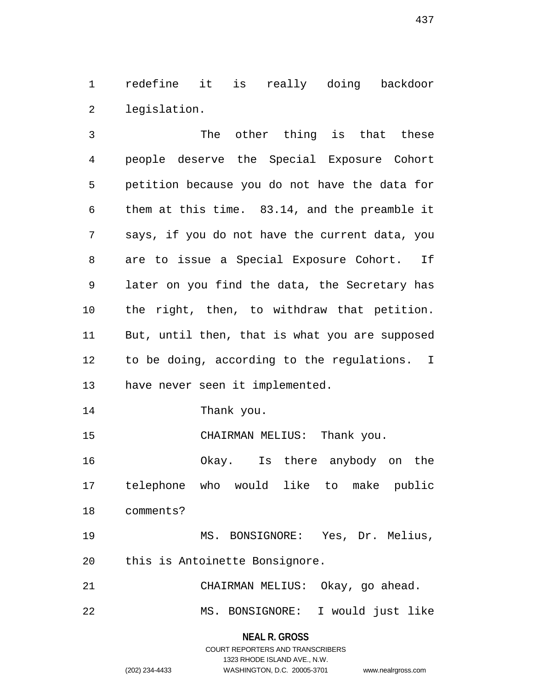1 redefine it is really doing backdoor 2 legislation.

3 The other thing is that these 4 people deserve the Special Exposure Cohort 5 petition because you do not have the data for 6 them at this time. 83.14, and the preamble it 7 says, if you do not have the current data, you 8 are to issue a Special Exposure Cohort. If 9 later on you find the data, the Secretary has 10 the right, then, to withdraw that petition. 11 But, until then, that is what you are supposed 12 to be doing, according to the regulations. I 13 have never seen it implemented.

14 Thank you.

15 CHAIRMAN MELIUS: Thank you.

16 Okay. Is there anybody on the 17 telephone who would like to make public 18 comments?

19 MS. BONSIGNORE: Yes, Dr. Melius, 20 this is Antoinette Bonsignore.

21 CHAIRMAN MELIUS: Okay, go ahead.

22 MS. BONSIGNORE: I would just like

**NEAL R. GROSS** COURT REPORTERS AND TRANSCRIBERS

1323 RHODE ISLAND AVE., N.W.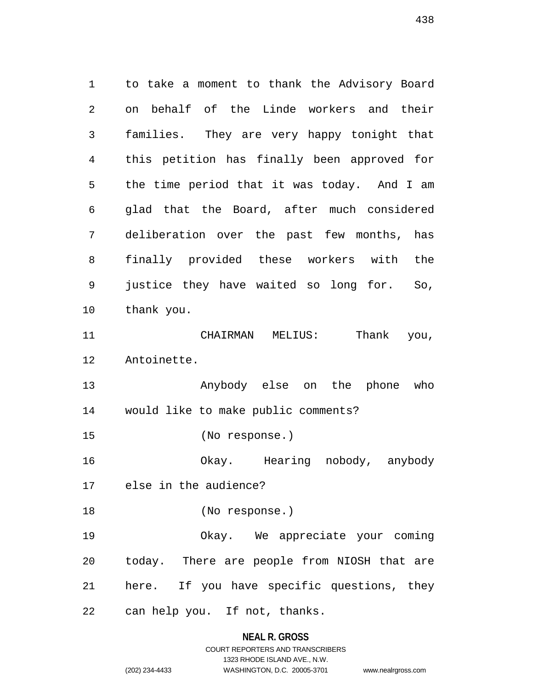1 to take a moment to thank the Advisory Board 2 on behalf of the Linde workers and their 3 families. They are very happy tonight that 4 this petition has finally been approved for 5 the time period that it was today. And I am 6 glad that the Board, after much considered 7 deliberation over the past few months, has 8 finally provided these workers with the 9 justice they have waited so long for. So, 10 thank you. 11 CHAIRMAN MELIUS: Thank you, 12 Antoinette. 13 Anybody else on the phone who 14 would like to make public comments? 15 (No response.) 16 Okay. Hearing nobody, anybody 17 else in the audience? 18 (No response.) 19 Okay. We appreciate your coming 20 today. There are people from NIOSH that are 21 here. If you have specific questions, they 22 can help you. If not, thanks.

## **NEAL R. GROSS**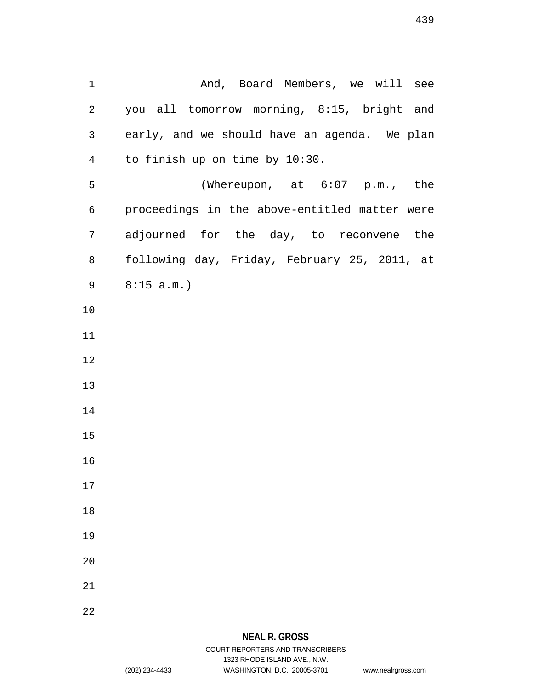1 And, Board Members, we will see 2 you all tomorrow morning, 8:15, bright and 3 early, and we should have an agenda. We plan 4 to finish up on time by 10:30. 5 (Whereupon, at 6:07 p.m., the 6 proceedings in the above-entitled matter were 7 adjourned for the day, to reconvene the 8 following day, Friday, February 25, 2011, at 9 8:15 a.m.) 10 11 12 13 14 15 16 17 18 19 20 21 22